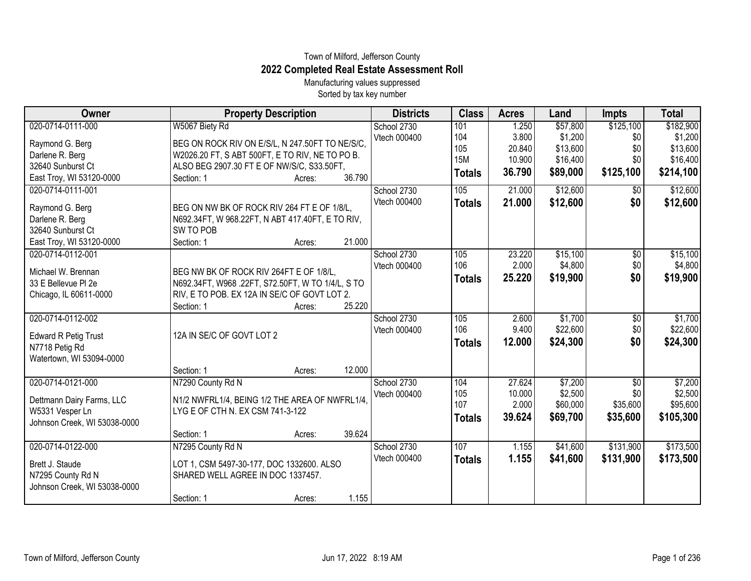## Town of Milford, Jefferson County **2022 Completed Real Estate Assessment Roll**

Manufacturing values suppressed Sorted by tax key number

| Owner                                           | <b>Property Description</b>                      |        |        | <b>Districts</b> | <b>Class</b>  | <b>Acres</b> | Land     | <b>Impts</b>    | <b>Total</b> |
|-------------------------------------------------|--------------------------------------------------|--------|--------|------------------|---------------|--------------|----------|-----------------|--------------|
| 020-0714-0111-000                               | W5067 Biety Rd                                   |        |        | School 2730      | 101           | 1.250        | \$57,800 | \$125,100       | \$182,900    |
| Raymond G. Berg                                 | BEG ON ROCK RIV ON E/S/L, N 247.50FT TO NE/S/C,  |        |        | Vtech 000400     | 104           | 3.800        | \$1,200  | \$0             | \$1,200      |
| Darlene R. Berg                                 | W2026.20 FT, S ABT 500FT, E TO RIV, NE TO PO B.  |        |        |                  | 105           | 20.840       | \$13,600 | \$0             | \$13,600     |
| 32640 Sunburst Ct                               | ALSO BEG 2907.30 FT E OF NW/S/C, S33.50FT,       |        |        |                  | <b>15M</b>    | 10.900       | \$16,400 | \$0             | \$16,400     |
| East Troy, WI 53120-0000                        | Section: 1                                       | Acres: | 36.790 |                  | <b>Totals</b> | 36.790       | \$89,000 | \$125,100       | \$214,100    |
| 020-0714-0111-001                               |                                                  |        |        | School 2730      | 105           | 21.000       | \$12,600 | $\overline{50}$ | \$12,600     |
| Raymond G. Berg                                 | BEG ON NW BK OF ROCK RIV 264 FT E OF 1/8/L,      |        |        | Vtech 000400     | <b>Totals</b> | 21.000       | \$12,600 | \$0             | \$12,600     |
| Darlene R. Berg                                 | N692.34FT, W 968.22FT, N ABT 417.40FT, E TO RIV, |        |        |                  |               |              |          |                 |              |
| 32640 Sunburst Ct                               | SW TO POB                                        |        |        |                  |               |              |          |                 |              |
| East Troy, WI 53120-0000                        | Section: 1                                       | Acres: | 21.000 |                  |               |              |          |                 |              |
| 020-0714-0112-001                               |                                                  |        |        | School 2730      | 105           | 23.220       | \$15,100 | \$0             | \$15,100     |
| Michael W. Brennan                              | BEG NW BK OF ROCK RIV 264FT E OF 1/8/L,          |        |        | Vtech 000400     | 106           | 2.000        | \$4,800  | \$0             | \$4,800      |
| 33 E Bellevue PI 2e                             | N692.34FT, W968.22FT, S72.50FT, W TO 1/4/L, S TO |        |        |                  | <b>Totals</b> | 25.220       | \$19,900 | \$0             | \$19,900     |
| Chicago, IL 60611-0000                          | RIV, E TO POB. EX 12A IN SE/C OF GOVT LOT 2.     |        |        |                  |               |              |          |                 |              |
|                                                 | Section: 1                                       | Acres: | 25.220 |                  |               |              |          |                 |              |
| 020-0714-0112-002                               |                                                  |        |        | School 2730      | 105           | 2.600        | \$1,700  | $\overline{60}$ | \$1,700      |
|                                                 | 12A IN SE/C OF GOVT LOT 2                        |        |        | Vtech 000400     | 106           | 9.400        | \$22,600 | \$0             | \$22,600     |
| <b>Edward R Petig Trust</b><br>N7718 Petig Rd   |                                                  |        |        |                  | <b>Totals</b> | 12.000       | \$24,300 | \$0             | \$24,300     |
| Watertown, WI 53094-0000                        |                                                  |        |        |                  |               |              |          |                 |              |
|                                                 | Section: 1                                       | Acres: | 12.000 |                  |               |              |          |                 |              |
| 020-0714-0121-000                               | N7290 County Rd N                                |        |        | School 2730      | 104           | 27.624       | \$7,200  | \$0             | \$7,200      |
|                                                 |                                                  |        |        | Vtech 000400     | 105           | 10.000       | \$2,500  | \$0             | \$2,500      |
| Dettmann Dairy Farms, LLC                       | N1/2 NWFRL1/4, BEING 1/2 THE AREA OF NWFRL1/4.   |        |        |                  | 107           | 2.000        | \$60,000 | \$35,600        | \$95,600     |
| W5331 Vesper Ln<br>Johnson Creek, WI 53038-0000 | LYG E OF CTH N. EX CSM 741-3-122                 |        |        |                  | <b>Totals</b> | 39.624       | \$69,700 | \$35,600        | \$105,300    |
|                                                 | Section: 1                                       | Acres: | 39.624 |                  |               |              |          |                 |              |
| 020-0714-0122-000                               | N7295 County Rd N                                |        |        | School 2730      | 107           | 1.155        | \$41,600 | \$131,900       | \$173,500    |
|                                                 |                                                  |        |        | Vtech 000400     | <b>Totals</b> | 1.155        | \$41,600 | \$131,900       | \$173,500    |
| Brett J. Staude                                 | LOT 1, CSM 5497-30-177, DOC 1332600. ALSO        |        |        |                  |               |              |          |                 |              |
| N7295 County Rd N                               | SHARED WELL AGREE IN DOC 1337457.                |        |        |                  |               |              |          |                 |              |
| Johnson Creek, WI 53038-0000                    |                                                  |        |        |                  |               |              |          |                 |              |
|                                                 | Section: 1                                       | Acres: | 1.155  |                  |               |              |          |                 |              |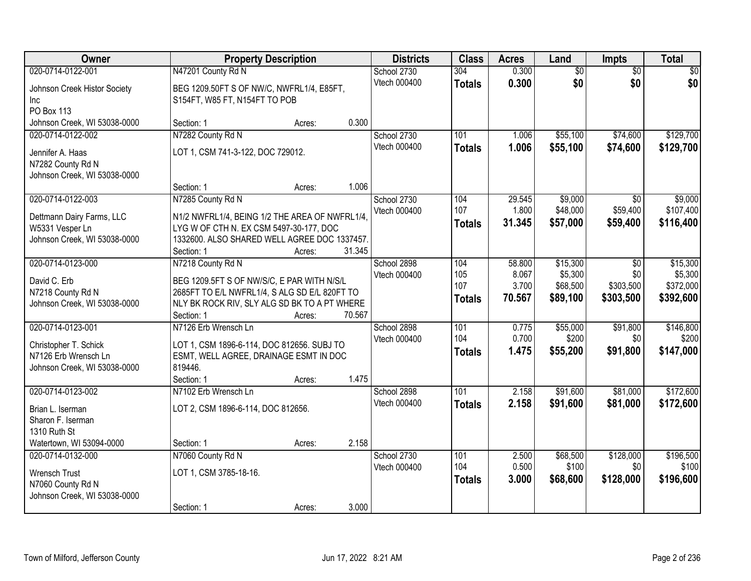| Owner                                                                                              | <b>Property Description</b>                                                                                                                               |        |        | <b>Districts</b>            | <b>Class</b>                | <b>Acres</b>             | Land                            | <b>Impts</b>                  | <b>Total</b>                      |
|----------------------------------------------------------------------------------------------------|-----------------------------------------------------------------------------------------------------------------------------------------------------------|--------|--------|-----------------------------|-----------------------------|--------------------------|---------------------------------|-------------------------------|-----------------------------------|
| 020-0714-0122-001                                                                                  | N47201 County Rd N                                                                                                                                        |        |        | School 2730                 | 304                         | 0.300                    | \$0                             | $\overline{50}$               | \$0                               |
| Johnson Creek Histor Society<br><b>Inc</b><br><b>PO Box 113</b>                                    | BEG 1209.50FT S OF NW/C, NWFRL1/4, E85FT,<br>S154FT, W85 FT, N154FT TO POB                                                                                |        |        | Vtech 000400                | <b>Totals</b>               | 0.300                    | \$0                             | \$0                           | \$0                               |
| Johnson Creek, WI 53038-0000                                                                       | Section: 1                                                                                                                                                | Acres: | 0.300  |                             |                             |                          |                                 |                               |                                   |
| 020-0714-0122-002<br>Jennifer A. Haas<br>N7282 County Rd N<br>Johnson Creek, WI 53038-0000         | N7282 County Rd N<br>LOT 1, CSM 741-3-122, DOC 729012.                                                                                                    |        |        | School 2730<br>Vtech 000400 | 101<br><b>Totals</b>        | 1.006<br>1.006           | \$55,100<br>\$55,100            | \$74,600<br>\$74,600          | \$129,700<br>\$129,700            |
| 020-0714-0122-003                                                                                  | Section: 1<br>N7285 County Rd N                                                                                                                           | Acres: | 1.006  | School 2730                 | 104                         | 29.545                   | \$9,000                         | \$0                           | \$9,000                           |
| Dettmann Dairy Farms, LLC<br>W5331 Vesper Ln<br>Johnson Creek, WI 53038-0000                       | N1/2 NWFRL1/4, BEING 1/2 THE AREA OF NWFRL1/4,<br>LYG W OF CTH N. EX CSM 5497-30-177, DOC<br>1332600. ALSO SHARED WELL AGREE DOC 1337457.<br>Section: 1   | Acres: | 31.345 | Vtech 000400                | 107<br><b>Totals</b>        | 1.800<br>31.345          | \$48,000<br>\$57,000            | \$59,400<br>\$59,400          | \$107,400<br>\$116,400            |
| 020-0714-0123-000                                                                                  | N7218 County Rd N                                                                                                                                         |        |        | School 2898                 | 104                         | 58.800                   | \$15,300                        | \$0                           | \$15,300                          |
| David C. Erb<br>N7218 County Rd N<br>Johnson Creek, WI 53038-0000                                  | BEG 1209.5FT S OF NW/S/C, E PAR WITH N/S/L<br>2685FT TO E/L NWFRL1/4, S ALG SD E/L 820FT TO<br>NLY BK ROCK RIV, SLY ALG SD BK TO A PT WHERE<br>Section: 1 | Acres: | 70.567 | Vtech 000400                | 105<br>107<br><b>Totals</b> | 8.067<br>3.700<br>70.567 | \$5,300<br>\$68,500<br>\$89,100 | \$0<br>\$303,500<br>\$303,500 | \$5,300<br>\$372,000<br>\$392,600 |
| 020-0714-0123-001<br>Christopher T. Schick<br>N7126 Erb Wrensch Ln<br>Johnson Creek, WI 53038-0000 | N7126 Erb Wrensch Ln<br>LOT 1, CSM 1896-6-114, DOC 812656. SUBJ TO<br>ESMT, WELL AGREE, DRAINAGE ESMT IN DOC<br>819446.<br>Section: 1                     | Acres: | 1.475  | School 2898<br>Vtech 000400 | 101<br>104<br><b>Totals</b> | 0.775<br>0.700<br>1.475  | \$55,000<br>\$200<br>\$55,200   | \$91,800<br>\$0<br>\$91,800   | \$146,800<br>\$200<br>\$147,000   |
| 020-0714-0123-002                                                                                  | N7102 Erb Wrensch Ln                                                                                                                                      |        |        | School 2898                 | 101                         | 2.158                    | \$91,600                        | \$81,000                      | \$172,600                         |
| Brian L. Iserman<br>Sharon F. Iserman<br>1310 Ruth St<br>Watertown, WI 53094-0000                  | LOT 2, CSM 1896-6-114, DOC 812656.<br>Section: 1                                                                                                          | Acres: | 2.158  | Vtech 000400                | <b>Totals</b>               | 2.158                    | \$91,600                        | \$81,000                      | \$172,600                         |
| 020-0714-0132-000                                                                                  | N7060 County Rd N                                                                                                                                         |        |        | School 2730                 | 101                         | 2.500                    | \$68,500                        | \$128,000                     | \$196,500                         |
| Wrensch Trust<br>N7060 County Rd N<br>Johnson Creek, WI 53038-0000                                 | LOT 1, CSM 3785-18-16.<br>Section: 1                                                                                                                      | Acres: | 3.000  | Vtech 000400                | 104<br><b>Totals</b>        | 0.500<br>3.000           | \$100<br>\$68,600               | \$0<br>\$128,000              | \$100<br>\$196,600                |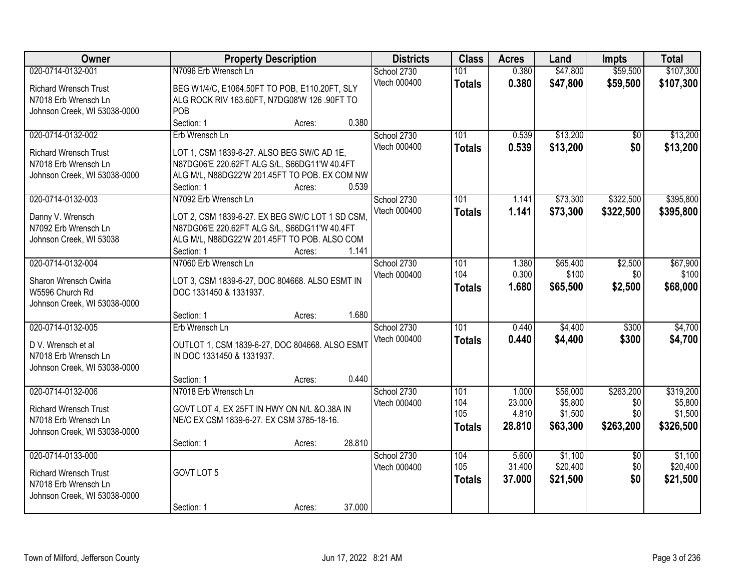| Owner                                                | <b>Property Description</b>                                              | <b>Districts</b> | <b>Class</b> | <b>Acres</b>  | Land   | <b>Impts</b> | <b>Total</b>    |           |
|------------------------------------------------------|--------------------------------------------------------------------------|------------------|--------------|---------------|--------|--------------|-----------------|-----------|
| 020-0714-0132-001                                    | N7096 Erb Wrensch Ln                                                     |                  | School 2730  | 101           | 0.380  | \$47,800     | \$59,500        | \$107,300 |
| <b>Richard Wrensch Trust</b>                         | BEG W1/4/C, E1064.50FT TO POB, E110.20FT, SLY                            |                  | Vtech 000400 | <b>Totals</b> | 0.380  | \$47,800     | \$59,500        | \$107,300 |
| N7018 Erb Wrensch Ln                                 | ALG ROCK RIV 163.60FT, N7DG08'W 126 .90FT TO                             |                  |              |               |        |              |                 |           |
| Johnson Creek, WI 53038-0000                         | POB                                                                      |                  |              |               |        |              |                 |           |
|                                                      | Section: 1<br>Acres:                                                     | 0.380            |              |               |        |              |                 |           |
| 020-0714-0132-002                                    | Erb Wrensch Ln                                                           |                  | School 2730  | 101           | 0.539  | \$13,200     | \$0             | \$13,200  |
| Richard Wrensch Trust                                | LOT 1, CSM 1839-6-27. ALSO BEG SW/C AD 1E,                               |                  | Vtech 000400 | <b>Totals</b> | 0.539  | \$13,200     | \$0             | \$13,200  |
| N7018 Erb Wrensch Ln                                 | N87DG06'E 220.62FT ALG S/L, S66DG11'W 40.4FT                             |                  |              |               |        |              |                 |           |
| Johnson Creek, WI 53038-0000                         | ALG M/L, N88DG22'W 201.45FT TO POB. EX COM NW                            |                  |              |               |        |              |                 |           |
|                                                      | Section: 1<br>Acres:                                                     | 0.539            |              |               |        |              |                 |           |
| 020-0714-0132-003                                    | N7092 Erb Wrensch Ln                                                     |                  | School 2730  | 101           | 1.141  | \$73,300     | \$322,500       | \$395,800 |
| Danny V. Wrensch                                     | LOT 2, CSM 1839-6-27. EX BEG SW/C LOT 1 SD CSM,                          |                  | Vtech 000400 | <b>Totals</b> | 1.141  | \$73,300     | \$322,500       | \$395,800 |
| N7092 Erb Wrensch Ln                                 | N87DG06'E 220.62FT ALG S/L, S66DG11'W 40.4FT                             |                  |              |               |        |              |                 |           |
| Johnson Creek, WI 53038                              | ALG M/L, N88DG22'W 201.45FT TO POB. ALSO COM                             |                  |              |               |        |              |                 |           |
|                                                      | Section: 1<br>Acres:                                                     | 1.141            |              |               |        |              |                 |           |
| 020-0714-0132-004                                    | N7060 Erb Wrensch Ln                                                     |                  | School 2730  | 101           | 1.380  | \$65,400     | \$2,500         | \$67,900  |
| Sharon Wrensch Cwirla                                |                                                                          |                  | Vtech 000400 | 104           | 0.300  | \$100        | \$0             | \$100     |
| W5596 Church Rd                                      | LOT 3, CSM 1839-6-27, DOC 804668. ALSO ESMT IN<br>DOC 1331450 & 1331937. |                  |              | <b>Totals</b> | 1.680  | \$65,500     | \$2,500         | \$68,000  |
| Johnson Creek, WI 53038-0000                         |                                                                          |                  |              |               |        |              |                 |           |
|                                                      | Section: 1<br>Acres:                                                     | 1.680            |              |               |        |              |                 |           |
| 020-0714-0132-005                                    | Erb Wrensch Ln                                                           |                  | School 2730  | 101           | 0.440  | \$4,400      | \$300           | \$4,700   |
|                                                      |                                                                          |                  | Vtech 000400 | <b>Totals</b> | 0.440  | \$4,400      | \$300           | \$4,700   |
| D V. Wrensch et al                                   | OUTLOT 1, CSM 1839-6-27, DOC 804668. ALSO ESMT                           |                  |              |               |        |              |                 |           |
| N7018 Erb Wrensch Ln<br>Johnson Creek, WI 53038-0000 | IN DOC 1331450 & 1331937.                                                |                  |              |               |        |              |                 |           |
|                                                      | Section: 1<br>Acres:                                                     | 0.440            |              |               |        |              |                 |           |
| 020-0714-0132-006                                    | N7018 Erb Wrensch Ln                                                     |                  | School 2730  | 101           | 1.000  | \$56,000     | \$263,200       | \$319,200 |
|                                                      |                                                                          |                  | Vtech 000400 | 104           | 23.000 | \$5,800      | \$0             | \$5,800   |
| <b>Richard Wrensch Trust</b>                         | GOVT LOT 4, EX 25FT IN HWY ON N/L & O.38A IN                             |                  |              | 105           | 4.810  | \$1,500      | \$0             | \$1,500   |
| N7018 Erb Wrensch Ln                                 | NE/C EX CSM 1839-6-27. EX CSM 3785-18-16.                                |                  |              | <b>Totals</b> | 28.810 | \$63,300     | \$263,200       | \$326,500 |
| Johnson Creek, WI 53038-0000                         | Section: 1<br>Acres:                                                     | 28.810           |              |               |        |              |                 |           |
| 020-0714-0133-000                                    |                                                                          |                  | School 2730  | 104           | 5.600  | \$1,100      | $\overline{50}$ | \$1,100   |
|                                                      |                                                                          |                  | Vtech 000400 | 105           | 31.400 | \$20,400     | \$0             | \$20,400  |
| <b>Richard Wrensch Trust</b>                         | GOVT LOT 5                                                               |                  |              | <b>Totals</b> | 37.000 | \$21,500     | \$0             | \$21,500  |
| N7018 Erb Wrensch Ln                                 |                                                                          |                  |              |               |        |              |                 |           |
| Johnson Creek, WI 53038-0000                         |                                                                          |                  |              |               |        |              |                 |           |
|                                                      | Section: 1<br>Acres:                                                     | 37.000           |              |               |        |              |                 |           |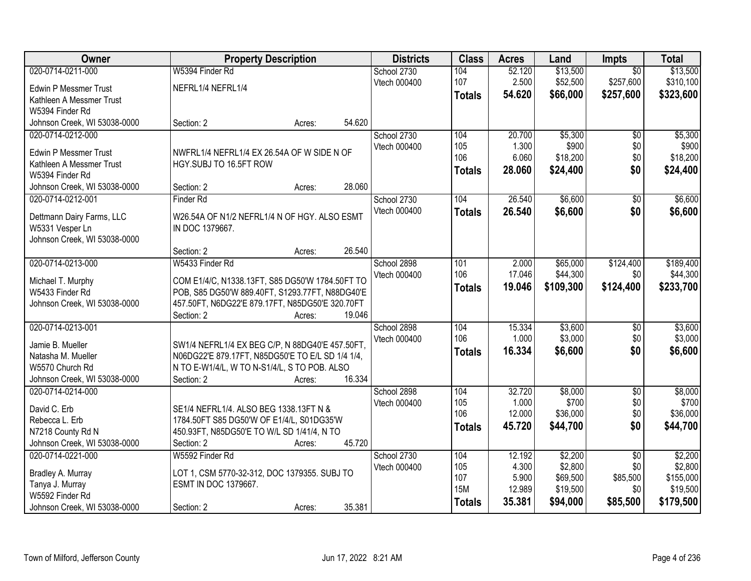| Owner                          | <b>Property Description</b>                                                         |        |        | <b>Districts</b> | <b>Class</b>  | <b>Acres</b> | Land      | <b>Impts</b>    | <b>Total</b> |
|--------------------------------|-------------------------------------------------------------------------------------|--------|--------|------------------|---------------|--------------|-----------|-----------------|--------------|
| 020-0714-0211-000              | W5394 Finder Rd                                                                     |        |        | School 2730      | 104           | 52.120       | \$13,500  | $\overline{50}$ | \$13,500     |
| <b>Edwin P Messmer Trust</b>   | NEFRL1/4 NEFRL1/4                                                                   |        |        | Vtech 000400     | 107           | 2.500        | \$52,500  | \$257,600       | \$310,100    |
| Kathleen A Messmer Trust       |                                                                                     |        |        |                  | <b>Totals</b> | 54.620       | \$66,000  | \$257,600       | \$323,600    |
| W5394 Finder Rd                |                                                                                     |        |        |                  |               |              |           |                 |              |
| Johnson Creek, WI 53038-0000   | Section: 2                                                                          | Acres: | 54.620 |                  |               |              |           |                 |              |
| 020-0714-0212-000              |                                                                                     |        |        | School 2730      | 104           | 20.700       | \$5,300   | $\overline{50}$ | \$5,300      |
| <b>Edwin P Messmer Trust</b>   |                                                                                     |        |        | Vtech 000400     | 105           | 1.300        | \$900     | \$0             | \$900        |
| Kathleen A Messmer Trust       | NWFRL1/4 NEFRL1/4 EX 26.54A OF W SIDE N OF<br>HGY.SUBJ TO 16.5FT ROW                |        |        |                  | 106           | 6.060        | \$18,200  | \$0             | \$18,200     |
| W5394 Finder Rd                |                                                                                     |        |        |                  | <b>Totals</b> | 28.060       | \$24,400  | \$0             | \$24,400     |
| Johnson Creek, WI 53038-0000   | Section: 2                                                                          | Acres: | 28.060 |                  |               |              |           |                 |              |
| 020-0714-0212-001              | <b>Finder Rd</b>                                                                    |        |        | School 2730      | 104           | 26.540       | \$6,600   | $\overline{50}$ | \$6,600      |
|                                |                                                                                     |        |        | Vtech 000400     | <b>Totals</b> | 26.540       | \$6,600   | \$0             | \$6,600      |
| Dettmann Dairy Farms, LLC      | W26.54A OF N1/2 NEFRL1/4 N OF HGY. ALSO ESMT                                        |        |        |                  |               |              |           |                 |              |
| W5331 Vesper Ln                | IN DOC 1379667.                                                                     |        |        |                  |               |              |           |                 |              |
| Johnson Creek, WI 53038-0000   |                                                                                     |        |        |                  |               |              |           |                 |              |
|                                | Section: 2                                                                          | Acres: | 26.540 |                  |               |              |           |                 |              |
| 020-0714-0213-000              | W5433 Finder Rd                                                                     |        |        | School 2898      | 101           | 2.000        | \$65,000  | \$124,400       | \$189,400    |
| Michael T. Murphy              | COM E1/4/C, N1338.13FT, S85 DG50'W 1784.50FT TO                                     |        |        | Vtech 000400     | 106           | 17.046       | \$44,300  | \$0             | \$44,300     |
| W5433 Finder Rd                | POB, S85 DG50'W 889.40FT, S1293.77FT, N88DG40'E                                     |        |        |                  | <b>Totals</b> | 19.046       | \$109,300 | \$124,400       | \$233,700    |
| Johnson Creek, WI 53038-0000   | 457.50FT, N6DG22'E 879.17FT, N85DG50'E 320.70FT                                     |        |        |                  |               |              |           |                 |              |
|                                | Section: 2                                                                          | Acres: | 19.046 |                  |               |              |           |                 |              |
| 020-0714-0213-001              |                                                                                     |        |        | School 2898      | 104           | 15.334       | \$3,600   | $\overline{50}$ | \$3,600      |
| Jamie B. Mueller               | SW1/4 NEFRL1/4 EX BEG C/P, N 88DG40'E 457.50FT,                                     |        |        | Vtech 000400     | 106           | 1.000        | \$3,000   | \$0             | \$3,000      |
| Natasha M. Mueller             | N06DG22'E 879.17FT, N85DG50'E TO E/L SD 1/4 1/4,                                    |        |        |                  | <b>Totals</b> | 16.334       | \$6,600   | \$0             | \$6,600      |
| W5570 Church Rd                | N TO E-W1/4/L, W TO N-S1/4/L, S TO POB. ALSO                                        |        |        |                  |               |              |           |                 |              |
| Johnson Creek, WI 53038-0000   | Section: 2                                                                          | Acres: | 16.334 |                  |               |              |           |                 |              |
| 020-0714-0214-000              |                                                                                     |        |        | School 2898      | 104           | 32.720       | \$8,000   | $\sqrt{6}$      | \$8,000      |
|                                |                                                                                     |        |        | Vtech 000400     | 105           | 1.000        | \$700     | \$0             | \$700        |
| David C. Erb<br>Rebecca L. Erb | SE1/4 NEFRL1/4. ALSO BEG 1338.13FT N &<br>1784.50FT S85 DG50'W OF E1/4/L, S01DG35'W |        |        |                  | 106           | 12.000       | \$36,000  | \$0             | \$36,000     |
| N7218 County Rd N              | 450.93FT, N85DG50'E TO W/L SD 1/41/4, N TO                                          |        |        |                  | <b>Totals</b> | 45.720       | \$44,700  | \$0             | \$44,700     |
| Johnson Creek, WI 53038-0000   | Section: 2                                                                          | Acres: | 45.720 |                  |               |              |           |                 |              |
| 020-0714-0221-000              | W5592 Finder Rd                                                                     |        |        | School 2730      | 104           | 12.192       | \$2,200   | $\overline{30}$ | \$2,200      |
|                                |                                                                                     |        |        | Vtech 000400     | 105           | 4.300        | \$2,800   | \$0             | \$2,800      |
| Bradley A. Murray              | LOT 1, CSM 5770-32-312, DOC 1379355. SUBJ TO                                        |        |        |                  | 107           | 5.900        | \$69,500  | \$85,500        | \$155,000    |
| Tanya J. Murray                | ESMT IN DOC 1379667.                                                                |        |        |                  | <b>15M</b>    | 12.989       | \$19,500  | \$0             | \$19,500     |
| W5592 Finder Rd                |                                                                                     |        |        |                  | <b>Totals</b> | 35.381       | \$94,000  | \$85,500        | \$179,500    |
| Johnson Creek, WI 53038-0000   | Section: 2                                                                          | Acres: | 35.381 |                  |               |              |           |                 |              |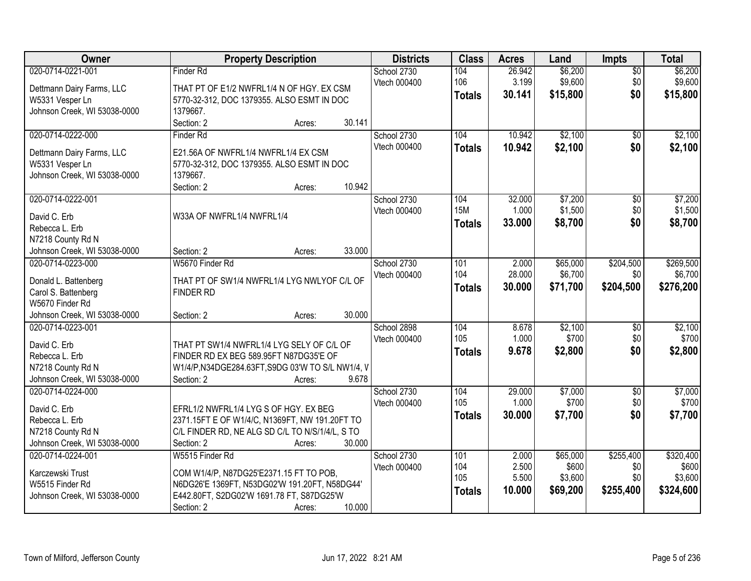| Owner                                                                                                               | <b>Property Description</b>                                                                                                                                                                | <b>Districts</b>                   | <b>Class</b>                       | <b>Acres</b>                      | Land                                     | <b>Impts</b>                         | <b>Total</b>                               |
|---------------------------------------------------------------------------------------------------------------------|--------------------------------------------------------------------------------------------------------------------------------------------------------------------------------------------|------------------------------------|------------------------------------|-----------------------------------|------------------------------------------|--------------------------------------|--------------------------------------------|
| 020-0714-0221-001<br>Dettmann Dairy Farms, LLC<br>W5331 Vesper Ln<br>Johnson Creek, WI 53038-0000                   | Finder Rd<br>THAT PT OF E1/2 NWFRL1/4 N OF HGY. EX CSM<br>5770-32-312, DOC 1379355. ALSO ESMT IN DOC<br>1379667.                                                                           | School 2730<br>Vtech 000400        | 104<br>106<br><b>Totals</b>        | 26.942<br>3.199<br>30.141         | \$6,200<br>\$9,600<br>\$15,800           | $\overline{50}$<br>\$0<br>\$0        | \$6,200<br>\$9,600<br>\$15,800             |
| 020-0714-0222-000<br>Dettmann Dairy Farms, LLC<br>W5331 Vesper Ln<br>Johnson Creek, WI 53038-0000                   | 30.141<br>Section: 2<br>Acres:<br>Finder Rd<br>E21.56A OF NWFRL1/4 NWFRL1/4 EX CSM<br>5770-32-312, DOC 1379355. ALSO ESMT IN DOC<br>1379667.<br>10.942<br>Section: 2<br>Acres:             | School 2730<br>Vtech 000400        | 104<br><b>Totals</b>               | 10.942<br>10.942                  | \$2,100<br>\$2,100                       | $\overline{50}$<br>\$0               | \$2,100<br>\$2,100                         |
| 020-0714-0222-001<br>David C. Erb<br>Rebecca L. Erb<br>N7218 County Rd N<br>Johnson Creek, WI 53038-0000            | W33A OF NWFRL1/4 NWFRL1/4<br>33.000<br>Section: 2<br>Acres:                                                                                                                                | School 2730<br>Vtech 000400        | 104<br><b>15M</b><br><b>Totals</b> | 32.000<br>1.000<br>33.000         | \$7,200<br>\$1,500<br>\$8,700            | $\overline{50}$<br>\$0<br>\$0        | \$7,200<br>\$1,500<br>\$8,700              |
| 020-0714-0223-000<br>Donald L. Battenberg<br>Carol S. Battenberg<br>W5670 Finder Rd<br>Johnson Creek, WI 53038-0000 | W5670 Finder Rd<br>THAT PT OF SW1/4 NWFRL1/4 LYG NWLYOF C/L OF<br><b>FINDER RD</b><br>30.000<br>Section: 2<br>Acres:                                                                       | School 2730<br>Vtech 000400        | 101<br>104<br><b>Totals</b>        | 2.000<br>28.000<br>30.000         | \$65,000<br>\$6,700<br>\$71,700          | \$204,500<br>\$0<br>\$204,500        | \$269,500<br>\$6,700<br>\$276,200          |
| 020-0714-0223-001<br>David C. Erb<br>Rebecca L. Erb<br>N7218 County Rd N<br>Johnson Creek, WI 53038-0000            | THAT PT SW1/4 NWFRL1/4 LYG SELY OF C/L OF<br>FINDER RD EX BEG 589.95FT N87DG35'E OF<br>W1/4/P,N34DGE284.63FT,S9DG 03'W TO S/L NW1/4, V<br>9.678<br>Section: 2<br>Acres:                    | School 2898<br><b>Vtech 000400</b> | 104<br>105<br><b>Totals</b>        | 8.678<br>1.000<br>9.678           | \$2,100<br>\$700<br>\$2,800              | \$0<br>\$0<br>\$0                    | \$2,100<br>\$700<br>\$2,800                |
| 020-0714-0224-000<br>David C. Erb<br>Rebecca L. Erb<br>N7218 County Rd N<br>Johnson Creek, WI 53038-0000            | EFRL1/2 NWFRL1/4 LYG S OF HGY. EX BEG<br>2371.15FT E OF W1/4/C, N1369FT, NW 191.20FT TO<br>C/L FINDER RD, NE ALG SD C/L TO N/S/1/4/L, S TO<br>Section: 2<br>30.000<br>Acres:               | School 2730<br>Vtech 000400        | 104<br>105<br><b>Totals</b>        | 29.000<br>1.000<br>30.000         | \$7,000<br>\$700<br>\$7,700              | $\overline{60}$<br>\$0<br>\$0        | \$7,000<br>\$700<br>\$7,700                |
| 020-0714-0224-001<br>Karczewski Trust<br>W5515 Finder Rd<br>Johnson Creek, WI 53038-0000                            | W5515 Finder Rd<br>COM W1/4/P, N87DG25'E2371.15 FT TO POB,<br>N6DG26'E 1369FT, N53DG02'W 191.20FT, N58DG44'<br>E442.80FT, S2DG02'W 1691.78 FT, S87DG25'W<br>10.000<br>Section: 2<br>Acres: | School 2730<br>Vtech 000400        | 101<br>104<br>105<br><b>Totals</b> | 2.000<br>2.500<br>5.500<br>10.000 | \$65,000<br>\$600<br>\$3,600<br>\$69,200 | \$255,400<br>\$0<br>\$0<br>\$255,400 | \$320,400<br>\$600<br>\$3,600<br>\$324,600 |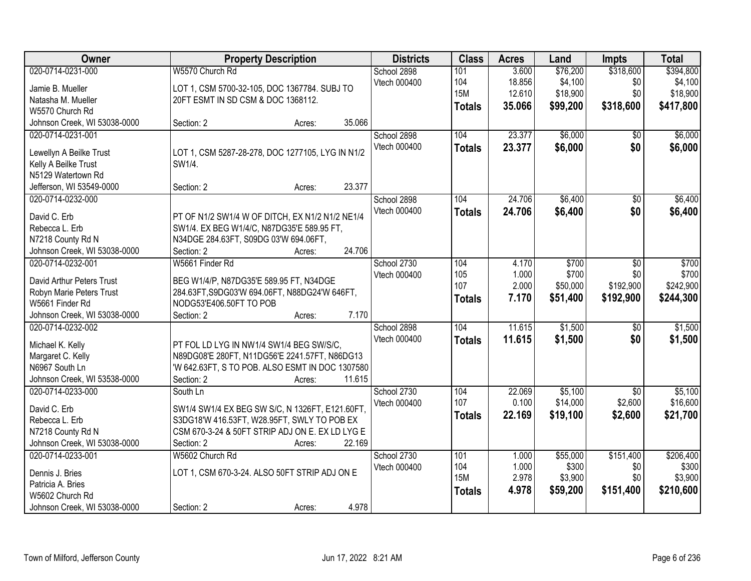| Owner                                       | <b>Property Description</b>                                              | <b>Districts</b> | <b>Class</b>  | <b>Acres</b> | Land     | Impts           | <b>Total</b> |
|---------------------------------------------|--------------------------------------------------------------------------|------------------|---------------|--------------|----------|-----------------|--------------|
| 020-0714-0231-000                           | W5570 Church Rd                                                          | School 2898      | 101           | 3.600        | \$76,200 | \$318,600       | \$394,800    |
| Jamie B. Mueller                            | LOT 1, CSM 5700-32-105, DOC 1367784. SUBJ TO                             | Vtech 000400     | 104           | 18.856       | \$4,100  | \$0             | \$4,100      |
| Natasha M. Mueller                          | 20FT ESMT IN SD CSM & DOC 1368112.                                       |                  | <b>15M</b>    | 12.610       | \$18,900 | \$0             | \$18,900     |
| W5570 Church Rd                             |                                                                          |                  | <b>Totals</b> | 35.066       | \$99,200 | \$318,600       | \$417,800    |
| Johnson Creek, WI 53038-0000                | 35.066<br>Section: 2<br>Acres:                                           |                  |               |              |          |                 |              |
| 020-0714-0231-001                           |                                                                          | School 2898      | 104           | 23.377       | \$6,000  | \$0             | \$6,000      |
|                                             |                                                                          | Vtech 000400     | <b>Totals</b> | 23.377       | \$6,000  | \$0             | \$6,000      |
| Lewellyn A Beilke Trust                     | LOT 1, CSM 5287-28-278, DOC 1277105, LYG IN N1/2                         |                  |               |              |          |                 |              |
| Kelly A Beilke Trust                        | SW1/4.                                                                   |                  |               |              |          |                 |              |
| N5129 Watertown Rd                          |                                                                          |                  |               |              |          |                 |              |
| Jefferson, WI 53549-0000                    | 23.377<br>Section: 2<br>Acres:                                           |                  |               |              |          |                 |              |
| 020-0714-0232-000                           |                                                                          | School 2898      | 104           | 24.706       | \$6,400  | \$0             | \$6,400      |
| David C. Erb                                | PT OF N1/2 SW1/4 W OF DITCH, EX N1/2 N1/2 NE1/4                          | Vtech 000400     | <b>Totals</b> | 24.706       | \$6,400  | \$0             | \$6,400      |
| Rebecca L. Erb                              | SW1/4. EX BEG W1/4/C, N87DG35'E 589.95 FT,                               |                  |               |              |          |                 |              |
| N7218 County Rd N                           | N34DGE 284.63FT, S09DG 03'W 694.06FT,                                    |                  |               |              |          |                 |              |
| Johnson Creek, WI 53038-0000                | 24.706<br>Section: 2<br>Acres:                                           |                  |               |              |          |                 |              |
| 020-0714-0232-001                           | W5661 Finder Rd                                                          | School 2730      | 104           | 4.170        | \$700    | \$0             | \$700        |
|                                             |                                                                          | Vtech 000400     | 105           | 1.000        | \$700    | \$0             | \$700        |
| David Arthur Peters Trust                   | BEG W1/4/P, N87DG35'E 589.95 FT, N34DGE                                  |                  | 107           | 2.000        | \$50,000 | \$192,900       | \$242,900    |
| Robyn Marie Peters Trust<br>W5661 Finder Rd | 284.63FT, S9DG03'W 694.06FT, N88DG24'W 646FT,<br>NODG53'E406.50FT TO POB |                  | <b>Totals</b> | 7.170        | \$51,400 | \$192,900       | \$244,300    |
| Johnson Creek, WI 53038-0000                | 7.170<br>Section: 2                                                      |                  |               |              |          |                 |              |
| 020-0714-0232-002                           | Acres:                                                                   | School 2898      | 104           | 11.615       | \$1,500  | $\overline{50}$ | \$1,500      |
|                                             |                                                                          | Vtech 000400     |               | 11.615       |          |                 |              |
| Michael K. Kelly                            | PT FOL LD LYG IN NW1/4 SW1/4 BEG SW/S/C,                                 |                  | <b>Totals</b> |              | \$1,500  | \$0             | \$1,500      |
| Margaret C. Kelly                           | N89DG08'E 280FT, N11DG56'E 2241.57FT, N86DG13                            |                  |               |              |          |                 |              |
| N6967 South Ln                              | 'W 642.63FT, S TO POB. ALSO ESMT IN DOC 1307580                          |                  |               |              |          |                 |              |
| Johnson Creek, WI 53538-0000                | Section: 2<br>11.615<br>Acres:                                           |                  |               |              |          |                 |              |
| 020-0714-0233-000                           | South Ln                                                                 | School 2730      | 104           | 22.069       | \$5,100  | $\overline{50}$ | \$5,100      |
| David C. Erb                                | SW1/4 SW1/4 EX BEG SW S/C, N 1326FT, E121.60FT,                          | Vtech 000400     | 107           | 0.100        | \$14,000 | \$2,600         | \$16,600     |
| Rebecca L. Erb                              | S3DG18'W 416.53FT, W28.95FT, SWLY TO POB EX                              |                  | <b>Totals</b> | 22.169       | \$19,100 | \$2,600         | \$21,700     |
| N7218 County Rd N                           | CSM 670-3-24 & 50FT STRIP ADJ ON E. EX LD LYG E                          |                  |               |              |          |                 |              |
| Johnson Creek, WI 53038-0000                | 22.169<br>Section: 2<br>Acres:                                           |                  |               |              |          |                 |              |
| 020-0714-0233-001                           | W5602 Church Rd                                                          | School 2730      | 101           | 1.000        | \$55,000 | \$151,400       | \$206,400    |
|                                             |                                                                          | Vtech 000400     | 104           | 1.000        | \$300    | \$0             | \$300        |
| Dennis J. Bries                             | LOT 1, CSM 670-3-24. ALSO 50FT STRIP ADJ ON E                            |                  | <b>15M</b>    | 2.978        | \$3,900  | \$0             | \$3,900      |
| Patricia A. Bries                           |                                                                          |                  | <b>Totals</b> | 4.978        | \$59,200 | \$151,400       | \$210,600    |
| W5602 Church Rd                             |                                                                          |                  |               |              |          |                 |              |
| Johnson Creek, WI 53038-0000                | 4.978<br>Section: 2<br>Acres:                                            |                  |               |              |          |                 |              |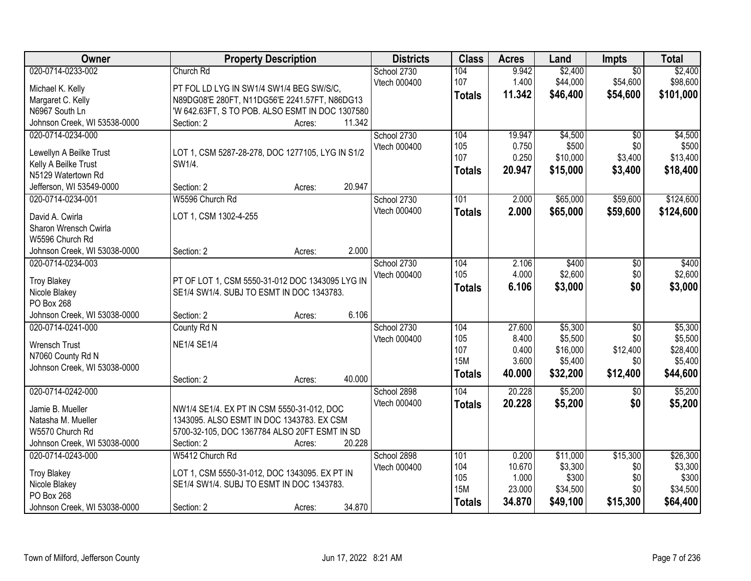| Owner                        | <b>Property Description</b>                      | <b>Districts</b> | <b>Class</b>  | <b>Acres</b> | Land     | Impts           | <b>Total</b> |
|------------------------------|--------------------------------------------------|------------------|---------------|--------------|----------|-----------------|--------------|
| 020-0714-0233-002            | Church Rd                                        | School 2730      | 104           | 9.942        | \$2,400  | $\overline{50}$ | \$2,400      |
| Michael K. Kelly             | PT FOL LD LYG IN SW1/4 SW1/4 BEG SW/S/C,         | Vtech 000400     | 107           | 1.400        | \$44,000 | \$54,600        | \$98,600     |
| Margaret C. Kelly            | N89DG08'E 280FT, N11DG56'E 2241.57FT, N86DG13    |                  | <b>Totals</b> | 11.342       | \$46,400 | \$54,600        | \$101,000    |
| N6967 South Ln               | 'W 642.63FT, S TO POB. ALSO ESMT IN DOC 1307580  |                  |               |              |          |                 |              |
| Johnson Creek, WI 53538-0000 | 11.342<br>Section: 2<br>Acres:                   |                  |               |              |          |                 |              |
| 020-0714-0234-000            |                                                  | School 2730      | 104           | 19.947       | \$4,500  | $\overline{30}$ | \$4,500      |
|                              |                                                  | Vtech 000400     | 105           | 0.750        | \$500    | \$0             | \$500        |
| Lewellyn A Beilke Trust      | LOT 1, CSM 5287-28-278, DOC 1277105, LYG IN S1/2 |                  | 107           | 0.250        | \$10,000 | \$3,400         | \$13,400     |
| Kelly A Beilke Trust         | SW1/4.                                           |                  | <b>Totals</b> | 20.947       | \$15,000 | \$3,400         | \$18,400     |
| N5129 Watertown Rd           |                                                  |                  |               |              |          |                 |              |
| Jefferson, WI 53549-0000     | 20.947<br>Section: 2<br>Acres:                   |                  |               |              |          |                 |              |
| 020-0714-0234-001            | W5596 Church Rd                                  | School 2730      | 101           | 2.000        | \$65,000 | \$59,600        | \$124,600    |
| David A. Cwirla              | LOT 1, CSM 1302-4-255                            | Vtech 000400     | <b>Totals</b> | 2.000        | \$65,000 | \$59,600        | \$124,600    |
| Sharon Wrensch Cwirla        |                                                  |                  |               |              |          |                 |              |
| W5596 Church Rd              |                                                  |                  |               |              |          |                 |              |
| Johnson Creek, WI 53038-0000 | 2.000<br>Section: 2<br>Acres:                    |                  |               |              |          |                 |              |
| 020-0714-0234-003            |                                                  | School 2730      | 104           | 2.106        | \$400    | \$0             | \$400        |
| <b>Troy Blakey</b>           | PT OF LOT 1, CSM 5550-31-012 DOC 1343095 LYG IN  | Vtech 000400     | 105           | 4.000        | \$2,600  | \$0             | \$2,600      |
| Nicole Blakey                | SE1/4 SW1/4. SUBJ TO ESMT IN DOC 1343783.        |                  | <b>Totals</b> | 6.106        | \$3,000  | \$0             | \$3,000      |
| PO Box 268                   |                                                  |                  |               |              |          |                 |              |
| Johnson Creek, WI 53038-0000 | 6.106<br>Section: 2<br>Acres:                    |                  |               |              |          |                 |              |
| 020-0714-0241-000            | County Rd N                                      | School 2730      | 104           | 27.600       | \$5,300  | $\overline{60}$ | \$5,300      |
|                              |                                                  | Vtech 000400     | 105           | 8.400        | \$5,500  | \$0             | \$5,500      |
| <b>Wrensch Trust</b>         | <b>NE1/4 SE1/4</b>                               |                  | 107           | 0.400        | \$16,000 | \$12,400        | \$28,400     |
| N7060 County Rd N            |                                                  |                  | <b>15M</b>    | 3.600        | \$5,400  | \$0             | \$5,400      |
| Johnson Creek, WI 53038-0000 |                                                  |                  | <b>Totals</b> | 40.000       | \$32,200 | \$12,400        | \$44,600     |
|                              | 40.000<br>Section: 2<br>Acres:                   |                  |               |              |          |                 |              |
| 020-0714-0242-000            |                                                  | School 2898      | 104           | 20.228       | \$5,200  | $\sqrt{6}$      | \$5,200      |
| Jamie B. Mueller             | NW1/4 SE1/4. EX PT IN CSM 5550-31-012, DOC       | Vtech 000400     | <b>Totals</b> | 20.228       | \$5,200  | \$0             | \$5,200      |
| Natasha M. Mueller           | 1343095. ALSO ESMT IN DOC 1343783. EX CSM        |                  |               |              |          |                 |              |
| W5570 Church Rd              | 5700-32-105, DOC 1367784 ALSO 20FT ESMT IN SD    |                  |               |              |          |                 |              |
| Johnson Creek, WI 53038-0000 | 20.228<br>Section: 2<br>Acres:                   |                  |               |              |          |                 |              |
| 020-0714-0243-000            | W5412 Church Rd                                  | School 2898      | 101           | 0.200        | \$11,000 | \$15,300        | \$26,300     |
|                              |                                                  | Vtech 000400     | 104           | 10.670       | \$3,300  | \$0             | \$3,300      |
| <b>Troy Blakey</b>           | LOT 1, CSM 5550-31-012, DOC 1343095. EX PT IN    |                  | 105           | 1.000        | \$300    | \$0             | \$300        |
| Nicole Blakey                | SE1/4 SW1/4. SUBJ TO ESMT IN DOC 1343783.        |                  | <b>15M</b>    | 23.000       | \$34,500 | \$0             | \$34,500     |
| PO Box 268                   |                                                  |                  | <b>Totals</b> | 34.870       | \$49,100 | \$15,300        | \$64,400     |
| Johnson Creek, WI 53038-0000 | 34.870<br>Section: 2<br>Acres:                   |                  |               |              |          |                 |              |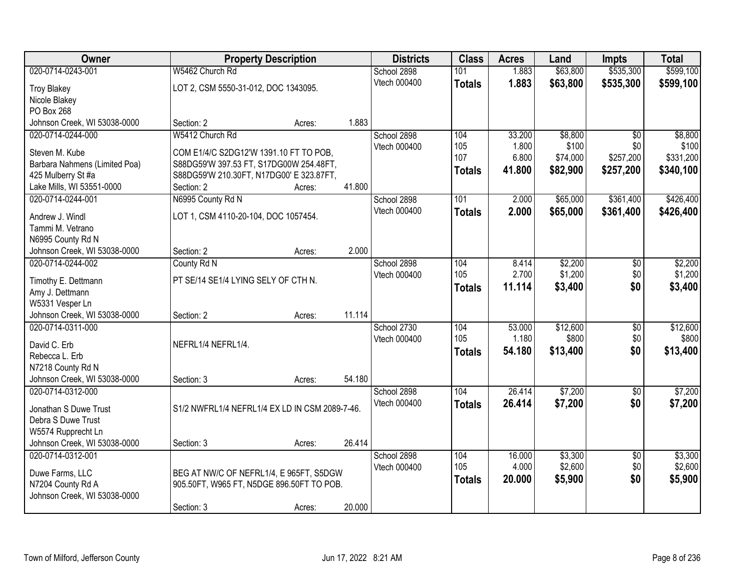| Owner                         | <b>Property Description</b>                    |        |        | <b>Districts</b> | <b>Class</b>  | <b>Acres</b> | Land     | <b>Impts</b>    | <b>Total</b> |
|-------------------------------|------------------------------------------------|--------|--------|------------------|---------------|--------------|----------|-----------------|--------------|
| 020-0714-0243-001             | W5462 Church Rd                                |        |        | School 2898      | 101           | 1.883        | \$63,800 | \$535,300       | \$599,100    |
| <b>Troy Blakey</b>            | LOT 2, CSM 5550-31-012, DOC 1343095.           |        |        | Vtech 000400     | <b>Totals</b> | 1.883        | \$63,800 | \$535,300       | \$599,100    |
| Nicole Blakey                 |                                                |        |        |                  |               |              |          |                 |              |
| PO Box 268                    |                                                |        |        |                  |               |              |          |                 |              |
| Johnson Creek, WI 53038-0000  | Section: 2                                     | Acres: | 1.883  |                  |               |              |          |                 |              |
| 020-0714-0244-000             | W5412 Church Rd                                |        |        | School 2898      | 104           | 33.200       | \$8,800  | $\overline{50}$ | \$8,800      |
| Steven M. Kube                | COM E1/4/C S2DG12'W 1391.10 FT TO POB,         |        |        | Vtech 000400     | 105           | 1.800        | \$100    | \$0             | \$100        |
| Barbara Nahmens (Limited Poa) | S88DG59'W 397.53 FT, S17DG00W 254.48FT,        |        |        |                  | 107           | 6.800        | \$74,000 | \$257,200       | \$331,200    |
| 425 Mulberry St #a            | S88DG59'W 210.30FT, N17DG00' E 323.87FT,       |        |        |                  | <b>Totals</b> | 41.800       | \$82,900 | \$257,200       | \$340,100    |
| Lake Mills, WI 53551-0000     | Section: 2                                     | Acres: | 41.800 |                  |               |              |          |                 |              |
| 020-0714-0244-001             | N6995 County Rd N                              |        |        | School 2898      | 101           | 2.000        | \$65,000 | \$361,400       | \$426,400    |
| Andrew J. Windl               | LOT 1, CSM 4110-20-104, DOC 1057454.           |        |        | Vtech 000400     | <b>Totals</b> | 2.000        | \$65,000 | \$361,400       | \$426,400    |
| Tammi M. Vetrano              |                                                |        |        |                  |               |              |          |                 |              |
| N6995 County Rd N             |                                                |        |        |                  |               |              |          |                 |              |
| Johnson Creek, WI 53038-0000  | Section: 2                                     | Acres: | 2.000  |                  |               |              |          |                 |              |
| 020-0714-0244-002             | County Rd N                                    |        |        | School 2898      | 104           | 8.414        | \$2,200  | \$0             | \$2,200      |
| Timothy E. Dettmann           | PT SE/14 SE1/4 LYING SELY OF CTH N.            |        |        | Vtech 000400     | 105           | 2.700        | \$1,200  | \$0             | \$1,200      |
| Amy J. Dettmann               |                                                |        |        |                  | <b>Totals</b> | 11.114       | \$3,400  | \$0             | \$3,400      |
| W5331 Vesper Ln               |                                                |        |        |                  |               |              |          |                 |              |
| Johnson Creek, WI 53038-0000  | Section: 2                                     | Acres: | 11.114 |                  |               |              |          |                 |              |
| 020-0714-0311-000             |                                                |        |        | School 2730      | 104           | 53.000       | \$12,600 | $\overline{30}$ | \$12,600     |
| David C. Erb                  | NEFRL1/4 NEFRL1/4.                             |        |        | Vtech 000400     | 105           | 1.180        | \$800    | \$0             | \$800        |
| Rebecca L. Erb                |                                                |        |        |                  | <b>Totals</b> | 54.180       | \$13,400 | \$0             | \$13,400     |
| N7218 County Rd N             |                                                |        |        |                  |               |              |          |                 |              |
| Johnson Creek, WI 53038-0000  | Section: 3                                     | Acres: | 54.180 |                  |               |              |          |                 |              |
| 020-0714-0312-000             |                                                |        |        | School 2898      | 104           | 26.414       | \$7,200  | $\sqrt{6}$      | \$7,200      |
| Jonathan S Duwe Trust         | S1/2 NWFRL1/4 NEFRL1/4 EX LD IN CSM 2089-7-46. |        |        | Vtech 000400     | <b>Totals</b> | 26.414       | \$7,200  | \$0             | \$7,200      |
| Debra S Duwe Trust            |                                                |        |        |                  |               |              |          |                 |              |
| W5574 Rupprecht Ln            |                                                |        |        |                  |               |              |          |                 |              |
| Johnson Creek, WI 53038-0000  | Section: 3                                     | Acres: | 26.414 |                  |               |              |          |                 |              |
| 020-0714-0312-001             |                                                |        |        | School 2898      | 104           | 16.000       | \$3,300  | $\overline{50}$ | \$3,300      |
| Duwe Farms, LLC               | BEG AT NW/C OF NEFRL1/4, E 965FT, S5DGW        |        |        | Vtech 000400     | 105           | 4.000        | \$2,600  | \$0             | \$2,600      |
| N7204 County Rd A             | 905.50FT, W965 FT, N5DGE 896.50FT TO POB.      |        |        |                  | <b>Totals</b> | 20.000       | \$5,900  | \$0             | \$5,900      |
| Johnson Creek, WI 53038-0000  |                                                |        |        |                  |               |              |          |                 |              |
|                               | Section: 3                                     | Acres: | 20.000 |                  |               |              |          |                 |              |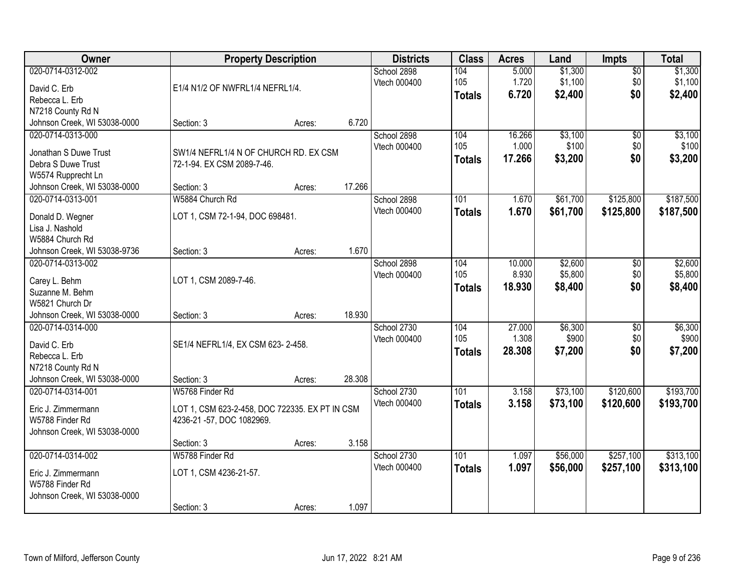| Owner                                             | <b>Property Description</b>                    |        |        | <b>Districts</b>            | <b>Class</b>  | <b>Acres</b>   | Land               | Impts                  | <b>Total</b>       |
|---------------------------------------------------|------------------------------------------------|--------|--------|-----------------------------|---------------|----------------|--------------------|------------------------|--------------------|
| 020-0714-0312-002                                 |                                                |        |        | School 2898<br>Vtech 000400 | 104<br>105    | 5.000<br>1.720 | \$1,300<br>\$1,100 | $\overline{50}$<br>\$0 | \$1,300<br>\$1,100 |
| David C. Erb                                      | E1/4 N1/2 OF NWFRL1/4 NEFRL1/4.                |        |        |                             | <b>Totals</b> | 6.720          | \$2,400            | \$0                    | \$2,400            |
| Rebecca L. Erb                                    |                                                |        |        |                             |               |                |                    |                        |                    |
| N7218 County Rd N                                 |                                                |        |        |                             |               |                |                    |                        |                    |
| Johnson Creek, WI 53038-0000                      | Section: 3                                     | Acres: | 6.720  |                             |               |                |                    |                        |                    |
| 020-0714-0313-000                                 |                                                |        |        | School 2898                 | 104           | 16.266         | \$3,100            | $\overline{50}$        | \$3,100            |
| Jonathan S Duwe Trust                             | SW1/4 NEFRL1/4 N OF CHURCH RD. EX CSM          |        |        | Vtech 000400                | 105           | 1.000          | \$100              | \$0                    | \$100              |
| Debra S Duwe Trust                                | 72-1-94. EX CSM 2089-7-46.                     |        |        |                             | <b>Totals</b> | 17.266         | \$3,200            | \$0                    | \$3,200            |
| W5574 Rupprecht Ln                                |                                                |        |        |                             |               |                |                    |                        |                    |
| Johnson Creek, WI 53038-0000                      | Section: 3                                     | Acres: | 17.266 |                             |               |                |                    |                        |                    |
| 020-0714-0313-001                                 | W5884 Church Rd                                |        |        | School 2898                 | 101           | 1.670          | \$61,700           | \$125,800              | \$187,500          |
|                                                   |                                                |        |        | Vtech 000400                | <b>Totals</b> | 1.670          | \$61,700           | \$125,800              | \$187,500          |
| Donald D. Wegner                                  | LOT 1, CSM 72-1-94, DOC 698481.                |        |        |                             |               |                |                    |                        |                    |
| Lisa J. Nashold<br>W5884 Church Rd                |                                                |        |        |                             |               |                |                    |                        |                    |
|                                                   |                                                |        | 1.670  |                             |               |                |                    |                        |                    |
| Johnson Creek, WI 53038-9736<br>020-0714-0313-002 | Section: 3                                     | Acres: |        | School 2898                 | 104           | 10.000         | \$2,600            |                        | \$2,600            |
|                                                   |                                                |        |        | Vtech 000400                | 105           | 8.930          | \$5,800            | \$0<br>\$0             | \$5,800            |
| Carey L. Behm                                     | LOT 1, CSM 2089-7-46.                          |        |        |                             |               |                |                    | \$0                    |                    |
| Suzanne M. Behm                                   |                                                |        |        |                             | <b>Totals</b> | 18.930         | \$8,400            |                        | \$8,400            |
| W5821 Church Dr                                   |                                                |        |        |                             |               |                |                    |                        |                    |
| Johnson Creek, WI 53038-0000                      | Section: 3                                     | Acres: | 18.930 |                             |               |                |                    |                        |                    |
| 020-0714-0314-000                                 |                                                |        |        | School 2730                 | 104           | 27.000         | \$6,300            | \$0                    | \$6,300            |
| David C. Erb                                      | SE1/4 NEFRL1/4, EX CSM 623-2-458.              |        |        | Vtech 000400                | 105           | 1.308          | \$900              | \$0                    | \$900              |
| Rebecca L. Erb                                    |                                                |        |        |                             | <b>Totals</b> | 28.308         | \$7,200            | \$0                    | \$7,200            |
| N7218 County Rd N                                 |                                                |        |        |                             |               |                |                    |                        |                    |
| Johnson Creek, WI 53038-0000                      | Section: 3                                     | Acres: | 28.308 |                             |               |                |                    |                        |                    |
| 020-0714-0314-001                                 | W5768 Finder Rd                                |        |        | School 2730                 | 101           | 3.158          | \$73,100           | \$120,600              | \$193,700          |
|                                                   |                                                |        |        | Vtech 000400                | <b>Totals</b> | 3.158          | \$73,100           | \$120,600              | \$193,700          |
| Eric J. Zimmermann                                | LOT 1, CSM 623-2-458, DOC 722335. EX PT IN CSM |        |        |                             |               |                |                    |                        |                    |
| W5788 Finder Rd                                   | 4236-21 -57, DOC 1082969.                      |        |        |                             |               |                |                    |                        |                    |
| Johnson Creek, WI 53038-0000                      |                                                |        |        |                             |               |                |                    |                        |                    |
|                                                   | Section: 3                                     | Acres: | 3.158  |                             |               |                |                    |                        |                    |
| 020-0714-0314-002                                 | W5788 Finder Rd                                |        |        | School 2730                 | 101           | 1.097          | \$56,000           | \$257,100              | \$313,100          |
| Eric J. Zimmermann                                | LOT 1, CSM 4236-21-57.                         |        |        | Vtech 000400                | <b>Totals</b> | 1.097          | \$56,000           | \$257,100              | \$313,100          |
| W5788 Finder Rd                                   |                                                |        |        |                             |               |                |                    |                        |                    |
| Johnson Creek, WI 53038-0000                      |                                                |        |        |                             |               |                |                    |                        |                    |
|                                                   | Section: 3                                     | Acres: | 1.097  |                             |               |                |                    |                        |                    |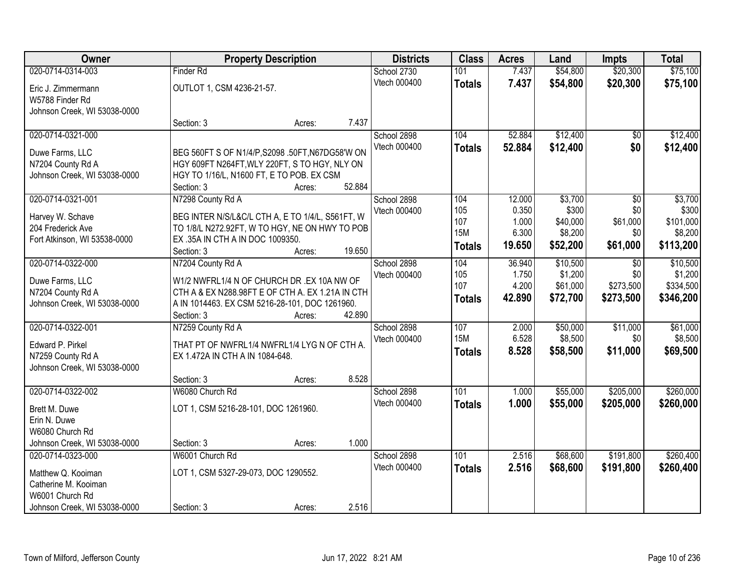| Owner                        | <b>Property Description</b>               | <b>Districts</b>                                 | <b>Class</b> | <b>Acres</b>      | Land           | <b>Impts</b>        | <b>Total</b>    |                      |
|------------------------------|-------------------------------------------|--------------------------------------------------|--------------|-------------------|----------------|---------------------|-----------------|----------------------|
| 020-0714-0314-003            | <b>Finder Rd</b>                          |                                                  | School 2730  | 101               | 7.437          | \$54,800            | \$20,300        | \$75,100             |
| Eric J. Zimmermann           | OUTLOT 1, CSM 4236-21-57.                 |                                                  | Vtech 000400 | <b>Totals</b>     | 7.437          | \$54,800            | \$20,300        | \$75,100             |
| W5788 Finder Rd              |                                           |                                                  |              |                   |                |                     |                 |                      |
| Johnson Creek, WI 53038-0000 |                                           |                                                  |              |                   |                |                     |                 |                      |
|                              | Section: 3                                | Acres:                                           | 7.437        |                   |                |                     |                 |                      |
| 020-0714-0321-000            |                                           |                                                  | School 2898  | 104               | 52.884         | \$12,400            | \$0             | \$12,400             |
| Duwe Farms, LLC              |                                           | BEG 560FT S OF N1/4/P, S2098 .50FT, N67DG58'W ON | Vtech 000400 | <b>Totals</b>     | 52.884         | \$12,400            | \$0             | \$12,400             |
| N7204 County Rd A            |                                           | HGY 609FT N264FT, WLY 220FT, S TO HGY, NLY ON    |              |                   |                |                     |                 |                      |
| Johnson Creek, WI 53038-0000 | HGY TO 1/16/L, N1600 FT, E TO POB. EX CSM |                                                  |              |                   |                |                     |                 |                      |
|                              | Section: 3                                | Acres:                                           | 52.884       |                   |                |                     |                 |                      |
| 020-0714-0321-001            | N7298 County Rd A                         |                                                  | School 2898  | 104               | 12.000         | \$3,700             | \$0             | \$3,700              |
| Harvey W. Schave             |                                           | BEG INTER N/S/L&C/L CTH A, E TO 1/4/L, S561FT, W | Vtech 000400 | 105               | 0.350          | \$300               | \$0             | \$300                |
| 204 Frederick Ave            |                                           | TO 1/8/L N272.92FT, W TO HGY, NE ON HWY TO POB   |              | 107<br><b>15M</b> | 1.000<br>6.300 | \$40,000<br>\$8,200 | \$61,000<br>\$0 | \$101,000<br>\$8,200 |
| Fort Atkinson, WI 53538-0000 | EX .35A IN CTH A IN DOC 1009350.          |                                                  |              | <b>Totals</b>     | 19.650         | \$52,200            | \$61,000        | \$113,200            |
|                              | Section: 3                                | Acres:                                           | 19.650       |                   |                |                     |                 |                      |
| 020-0714-0322-000            | N7204 County Rd A                         |                                                  | School 2898  | 104               | 36.940         | \$10,500            | \$0             | \$10,500             |
| Duwe Farms, LLC              |                                           | W1/2 NWFRL1/4 N OF CHURCH DR .EX 10A NW OF       | Vtech 000400 | 105               | 1.750          | \$1,200             | \$0             | \$1,200              |
| N7204 County Rd A            |                                           | CTH A & EX N288.98FT E OF CTH A. EX 1.21A IN CTH |              | 107               | 4.200          | \$61,000            | \$273,500       | \$334,500            |
| Johnson Creek, WI 53038-0000 |                                           | A IN 1014463. EX CSM 5216-28-101, DOC 1261960.   |              | <b>Totals</b>     | 42.890         | \$72,700            | \$273,500       | \$346,200            |
|                              | Section: 3                                | Acres:                                           | 42.890       |                   |                |                     |                 |                      |
| 020-0714-0322-001            | N7259 County Rd A                         |                                                  | School 2898  | 107               | 2.000          | \$50,000            | \$11,000        | \$61,000             |
| Edward P. Pirkel             |                                           | THAT PT OF NWFRL1/4 NWFRL1/4 LYG N OF CTH A.     | Vtech 000400 | <b>15M</b>        | 6.528          | \$8,500             | \$0             | \$8,500              |
| N7259 County Rd A            | EX 1.472A IN CTH A IN 1084-648.           |                                                  |              | <b>Totals</b>     | 8.528          | \$58,500            | \$11,000        | \$69,500             |
| Johnson Creek, WI 53038-0000 |                                           |                                                  |              |                   |                |                     |                 |                      |
|                              | Section: 3                                | Acres:                                           | 8.528        |                   |                |                     |                 |                      |
| 020-0714-0322-002            | W6080 Church Rd                           |                                                  | School 2898  | 101               | 1.000          | \$55,000            | \$205,000       | \$260,000            |
| Brett M. Duwe                | LOT 1, CSM 5216-28-101, DOC 1261960.      |                                                  | Vtech 000400 | <b>Totals</b>     | 1.000          | \$55,000            | \$205,000       | \$260,000            |
| Erin N. Duwe                 |                                           |                                                  |              |                   |                |                     |                 |                      |
| W6080 Church Rd              |                                           |                                                  |              |                   |                |                     |                 |                      |
| Johnson Creek, WI 53038-0000 | Section: 3                                | Acres:                                           | 1.000        |                   |                |                     |                 |                      |
| 020-0714-0323-000            | W6001 Church Rd                           |                                                  | School 2898  | $\overline{101}$  | 2.516          | \$68,600            | \$191,800       | \$260,400            |
| Matthew Q. Kooiman           | LOT 1, CSM 5327-29-073, DOC 1290552.      |                                                  | Vtech 000400 | <b>Totals</b>     | 2.516          | \$68,600            | \$191,800       | \$260,400            |
| Catherine M. Kooiman         |                                           |                                                  |              |                   |                |                     |                 |                      |
| W6001 Church Rd              |                                           |                                                  |              |                   |                |                     |                 |                      |
| Johnson Creek, WI 53038-0000 | Section: 3                                | Acres:                                           | 2.516        |                   |                |                     |                 |                      |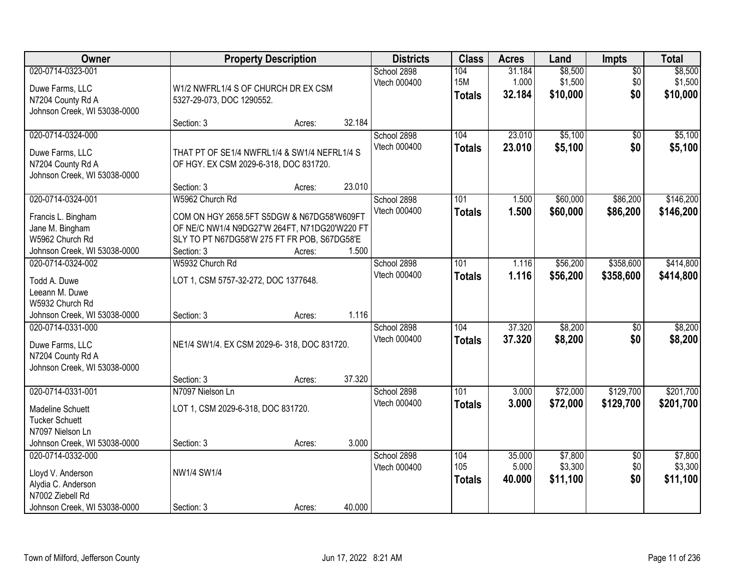| Owner                                                                                       | <b>Property Description</b>                                                                                                                               |        |        | <b>Districts</b>            | <b>Class</b>                       | <b>Acres</b>              | Land                           | <b>Impts</b>              | <b>Total</b>                   |
|---------------------------------------------------------------------------------------------|-----------------------------------------------------------------------------------------------------------------------------------------------------------|--------|--------|-----------------------------|------------------------------------|---------------------------|--------------------------------|---------------------------|--------------------------------|
| 020-0714-0323-001<br>Duwe Farms, LLC<br>N7204 County Rd A<br>Johnson Creek, WI 53038-0000   | W1/2 NWFRL1/4 S OF CHURCH DR EX CSM<br>5327-29-073, DOC 1290552.                                                                                          |        |        | School 2898<br>Vtech 000400 | 104<br><b>15M</b><br><b>Totals</b> | 31.184<br>1.000<br>32.184 | \$8,500<br>\$1,500<br>\$10,000 | $\sqrt{$0}$<br>\$0<br>\$0 | \$8,500<br>\$1,500<br>\$10,000 |
|                                                                                             | Section: 3                                                                                                                                                | Acres: | 32.184 |                             |                                    |                           |                                |                           |                                |
| 020-0714-0324-000<br>Duwe Farms, LLC<br>N7204 County Rd A<br>Johnson Creek, WI 53038-0000   | THAT PT OF SE1/4 NWFRL1/4 & SW1/4 NEFRL1/4 S<br>OF HGY. EX CSM 2029-6-318, DOC 831720.<br>Section: 3                                                      |        | 23.010 | School 2898<br>Vtech 000400 | 104<br><b>Totals</b>               | 23.010<br>23.010          | \$5,100<br>\$5,100             | $\overline{50}$<br>\$0    | \$5,100<br>\$5,100             |
| 020-0714-0324-001                                                                           | W5962 Church Rd                                                                                                                                           | Acres: |        | School 2898                 | 101                                | 1.500                     | \$60,000                       | \$86,200                  | \$146,200                      |
| Francis L. Bingham<br>Jane M. Bingham<br>W5962 Church Rd<br>Johnson Creek, WI 53038-0000    | COM ON HGY 2658.5FT S5DGW & N67DG58'W609FT<br>OF NE/C NW1/4 N9DG27'W 264FT, N71DG20'W220 FT<br>SLY TO PT N67DG58'W 275 FT FR POB, S67DG58'E<br>Section: 3 | Acres: | 1.500  | Vtech 000400                | <b>Totals</b>                      | 1.500                     | \$60,000                       | \$86,200                  | \$146,200                      |
| 020-0714-0324-002<br>Todd A. Duwe<br>Leeann M. Duwe<br>W5932 Church Rd                      | W5932 Church Rd<br>LOT 1, CSM 5757-32-272, DOC 1377648.                                                                                                   |        |        | School 2898<br>Vtech 000400 | 101<br><b>Totals</b>               | 1.116<br>1.116            | \$56,200<br>\$56,200           | \$358,600<br>\$358,600    | \$414,800<br>\$414,800         |
| Johnson Creek, WI 53038-0000                                                                | Section: 3                                                                                                                                                | Acres: | 1.116  |                             |                                    |                           |                                |                           |                                |
| 020-0714-0331-000<br>Duwe Farms, LLC<br>N7204 County Rd A<br>Johnson Creek, WI 53038-0000   | NE1/4 SW1/4. EX CSM 2029-6-318, DOC 831720.<br>Section: 3                                                                                                 | Acres: | 37.320 | School 2898<br>Vtech 000400 | 104<br><b>Totals</b>               | 37.320<br>37.320          | \$8,200<br>\$8,200             | $\overline{50}$<br>\$0    | \$8,200<br>\$8,200             |
| 020-0714-0331-001                                                                           | N7097 Nielson Ln                                                                                                                                          |        |        | School 2898                 | $\overline{101}$                   | 3.000                     | \$72,000                       | \$129,700                 | \$201,700                      |
| Madeline Schuett<br><b>Tucker Schuett</b><br>N7097 Nielson Ln                               | LOT 1, CSM 2029-6-318, DOC 831720.                                                                                                                        |        |        | Vtech 000400                | <b>Totals</b>                      | 3.000                     | \$72,000                       | \$129,700                 | \$201,700                      |
| Johnson Creek, WI 53038-0000<br>020-0714-0332-000                                           | Section: 3                                                                                                                                                | Acres: | 3.000  | School 2898                 | 104                                | 35.000                    | \$7,800                        | $\overline{50}$           | \$7,800                        |
| Lloyd V. Anderson<br>Alydia C. Anderson<br>N7002 Ziebell Rd<br>Johnson Creek, WI 53038-0000 | NW1/4 SW1/4<br>Section: 3                                                                                                                                 | Acres: | 40.000 | Vtech 000400                | 105<br><b>Totals</b>               | 5.000<br>40.000           | \$3,300<br>\$11,100            | \$0<br>\$0                | \$3,300<br>\$11,100            |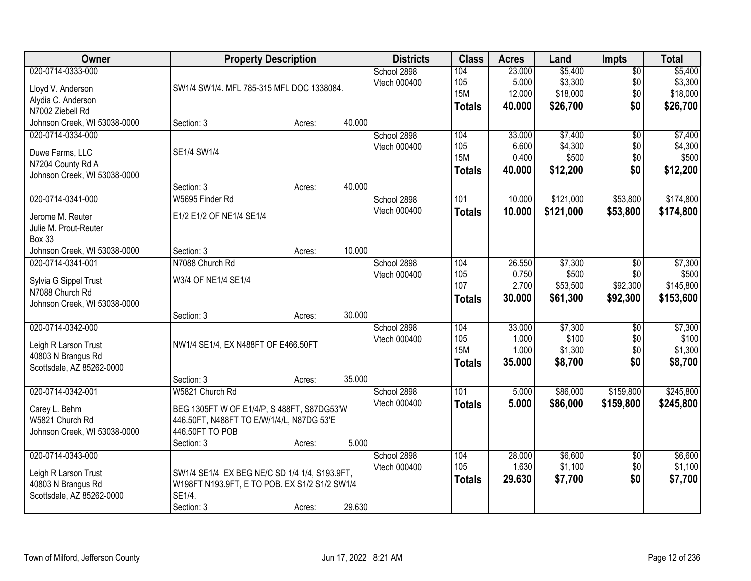| Owner                        | <b>Property Description</b>                   |        | <b>Districts</b> | <b>Class</b> | <b>Acres</b>  | Land   | <b>Impts</b> | <b>Total</b>    |           |
|------------------------------|-----------------------------------------------|--------|------------------|--------------|---------------|--------|--------------|-----------------|-----------|
| 020-0714-0333-000            |                                               |        |                  | School 2898  | 104           | 23.000 | \$5,400      | $\overline{60}$ | \$5,400   |
| Lloyd V. Anderson            | SW1/4 SW1/4. MFL 785-315 MFL DOC 1338084.     |        |                  | Vtech 000400 | 105           | 5.000  | \$3,300      | \$0             | \$3,300   |
| Alydia C. Anderson           |                                               |        |                  |              | <b>15M</b>    | 12.000 | \$18,000     | \$0             | \$18,000  |
| N7002 Ziebell Rd             |                                               |        |                  |              | <b>Totals</b> | 40.000 | \$26,700     | \$0             | \$26,700  |
| Johnson Creek, WI 53038-0000 | Section: 3                                    | Acres: | 40.000           |              |               |        |              |                 |           |
| 020-0714-0334-000            |                                               |        |                  | School 2898  | 104           | 33.000 | \$7,400      | $\overline{50}$ | \$7,400   |
|                              |                                               |        |                  | Vtech 000400 | 105           | 6.600  | \$4,300      | \$0             | \$4,300   |
| Duwe Farms, LLC              | SE1/4 SW1/4                                   |        |                  |              | <b>15M</b>    | 0.400  | \$500        | \$0             | \$500     |
| N7204 County Rd A            |                                               |        |                  |              | <b>Totals</b> | 40.000 | \$12,200     | \$0             | \$12,200  |
| Johnson Creek, WI 53038-0000 |                                               |        |                  |              |               |        |              |                 |           |
|                              | Section: 3                                    | Acres: | 40.000           |              |               |        |              |                 |           |
| 020-0714-0341-000            | W5695 Finder Rd                               |        |                  | School 2898  | 101           | 10.000 | \$121,000    | \$53,800        | \$174,800 |
| Jerome M. Reuter             | E1/2 E1/2 OF NE1/4 SE1/4                      |        |                  | Vtech 000400 | <b>Totals</b> | 10.000 | \$121,000    | \$53,800        | \$174,800 |
| Julie M. Prout-Reuter        |                                               |        |                  |              |               |        |              |                 |           |
| <b>Box 33</b>                |                                               |        |                  |              |               |        |              |                 |           |
| Johnson Creek, WI 53038-0000 | Section: 3                                    | Acres: | 10.000           |              |               |        |              |                 |           |
| 020-0714-0341-001            | N7088 Church Rd                               |        |                  | School 2898  | 104           | 26.550 | \$7,300      | \$0             | \$7,300   |
|                              |                                               |        |                  | Vtech 000400 | 105           | 0.750  | \$500        | \$0             | \$500     |
| Sylvia G Sippel Trust        | W3/4 OF NE1/4 SE1/4                           |        |                  |              | 107           | 2.700  | \$53,500     | \$92,300        | \$145,800 |
| N7088 Church Rd              |                                               |        |                  |              | <b>Totals</b> | 30.000 | \$61,300     | \$92,300        | \$153,600 |
| Johnson Creek, WI 53038-0000 |                                               |        |                  |              |               |        |              |                 |           |
|                              | Section: 3                                    | Acres: | 30.000           |              |               |        |              |                 |           |
| 020-0714-0342-000            |                                               |        |                  | School 2898  | 104           | 33.000 | \$7,300      | $\overline{50}$ | \$7,300   |
| Leigh R Larson Trust         | NW1/4 SE1/4, EX N488FT OF E466.50FT           |        |                  | Vtech 000400 | 105           | 1.000  | \$100        | \$0             | \$100     |
| 40803 N Brangus Rd           |                                               |        |                  |              | <b>15M</b>    | 1.000  | \$1,300      | \$0             | \$1,300   |
| Scottsdale, AZ 85262-0000    |                                               |        |                  |              | <b>Totals</b> | 35.000 | \$8,700      | \$0             | \$8,700   |
|                              | Section: 3                                    | Acres: | 35.000           |              |               |        |              |                 |           |
| 020-0714-0342-001            | W5821 Church Rd                               |        |                  | School 2898  | 101           | 5.000  | \$86,000     | \$159,800       | \$245,800 |
| Carey L. Behm                | BEG 1305FT W OF E1/4/P, S 488FT, S87DG53'W    |        |                  | Vtech 000400 | <b>Totals</b> | 5.000  | \$86,000     | \$159,800       | \$245,800 |
| W5821 Church Rd              | 446.50FT, N488FT TO E/W/1/4/L, N87DG 53'E     |        |                  |              |               |        |              |                 |           |
| Johnson Creek, WI 53038-0000 | 446.50FT TO POB                               |        |                  |              |               |        |              |                 |           |
|                              | Section: 3                                    | Acres: | 5.000            |              |               |        |              |                 |           |
| 020-0714-0343-000            |                                               |        |                  | School 2898  | 104           | 28.000 | \$6,600      | $\overline{30}$ | \$6,600   |
|                              |                                               |        |                  | Vtech 000400 | 105           | 1.630  | \$1,100      | \$0             | \$1,100   |
| Leigh R Larson Trust         | SW1/4 SE1/4 EX BEG NE/C SD 1/4 1/4, S193.9FT, |        |                  |              | <b>Totals</b> | 29.630 | \$7,700      | \$0             | \$7,700   |
| 40803 N Brangus Rd           | W198FT N193.9FT, E TO POB. EX S1/2 S1/2 SW1/4 |        |                  |              |               |        |              |                 |           |
| Scottsdale, AZ 85262-0000    | SE1/4.                                        |        |                  |              |               |        |              |                 |           |
|                              | Section: 3                                    | Acres: | 29.630           |              |               |        |              |                 |           |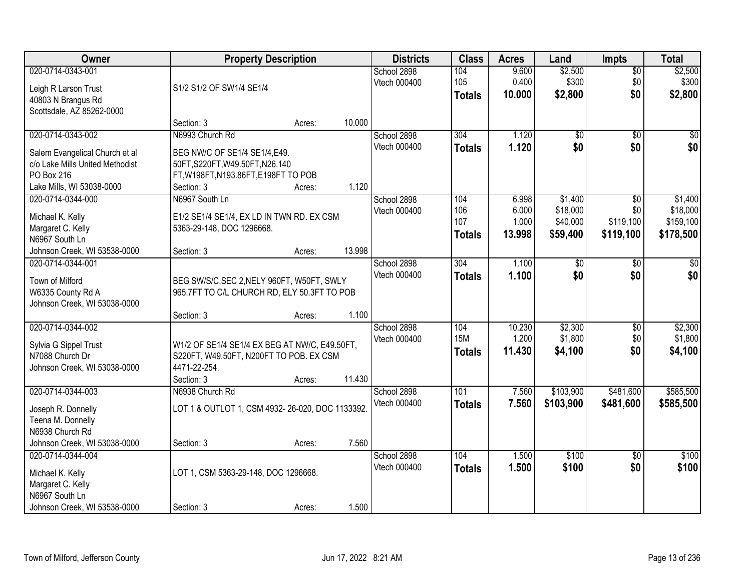| Owner                                                                                                                             | <b>Property Description</b>                                                                                                                         | <b>Districts</b>                      | <b>Class</b>                       | <b>Acres</b>                      | Land                                        | Impts                                            | <b>Total</b>                                  |
|-----------------------------------------------------------------------------------------------------------------------------------|-----------------------------------------------------------------------------------------------------------------------------------------------------|---------------------------------------|------------------------------------|-----------------------------------|---------------------------------------------|--------------------------------------------------|-----------------------------------------------|
| 020-0714-0343-001<br>Leigh R Larson Trust<br>40803 N Brangus Rd<br>Scottsdale, AZ 85262-0000                                      | S1/2 S1/2 OF SW1/4 SE1/4                                                                                                                            | School 2898<br>Vtech 000400           | 104<br>105<br><b>Totals</b>        | 9.600<br>0.400<br>10.000          | \$2,500<br>\$300<br>\$2,800                 | $\overline{50}$<br>\$0<br>\$0                    | \$2,500<br>\$300<br>\$2,800                   |
|                                                                                                                                   | Section: 3<br>Acres:                                                                                                                                | 10.000                                |                                    |                                   |                                             |                                                  |                                               |
| 020-0714-0343-002<br>Salem Evangelical Church et al<br>c/o Lake Mills United Methodist<br>PO Box 216<br>Lake Mills, WI 53038-0000 | N6993 Church Rd<br>BEG NW/C OF SE1/4 SE1/4, E49.<br>50FT, S220FT, W49.50FT, N26.140<br>FT, W198FT, N193.86FT, E198FT TO POB<br>Section: 3<br>Acres: | School 2898<br>Vtech 000400<br>1.120  | 304<br><b>Totals</b>               | 1.120<br>1.120                    | $\overline{60}$<br>\$0                      | $\overline{50}$<br>\$0                           | \$0<br>\$0                                    |
| 020-0714-0344-000<br>Michael K. Kelly<br>Margaret C. Kelly<br>N6967 South Ln<br>Johnson Creek, WI 53538-0000                      | N6967 South Ln<br>E1/2 SE1/4 SE1/4, EX LD IN TWN RD. EX CSM<br>5363-29-148, DOC 1296668.<br>Section: 3<br>Acres:                                    | School 2898<br>Vtech 000400<br>13.998 | 104<br>106<br>107<br><b>Totals</b> | 6.998<br>6.000<br>1.000<br>13.998 | \$1,400<br>\$18,000<br>\$40,000<br>\$59,400 | $\overline{50}$<br>\$0<br>\$119,100<br>\$119,100 | \$1,400<br>\$18,000<br>\$159,100<br>\$178,500 |
| 020-0714-0344-001<br>Town of Milford<br>W6335 County Rd A<br>Johnson Creek, WI 53038-0000                                         | BEG SW/S/C, SEC 2, NELY 960FT, W50FT, SWLY<br>965.7FT TO C/L CHURCH RD, ELY 50.3FT TO POB<br>Section: 3<br>Acres:                                   | School 2898<br>Vtech 000400<br>1.100  | 304<br><b>Totals</b>               | 1.100<br>1.100                    | \$0<br>\$0                                  | \$0<br>\$0                                       | \$0<br>\$0                                    |
| 020-0714-0344-002<br>Sylvia G Sippel Trust<br>N7088 Church Dr<br>Johnson Creek, WI 53038-0000                                     | W1/2 OF SE1/4 SE1/4 EX BEG AT NW/C, E49.50FT,<br>S220FT, W49.50FT, N200FT TO POB. EX CSM<br>4471-22-254.<br>Section: 3<br>Acres:                    | School 2898<br>Vtech 000400<br>11.430 | 104<br><b>15M</b><br><b>Totals</b> | 10.230<br>1.200<br>11.430         | \$2,300<br>\$1,800<br>\$4,100               | $\overline{50}$<br>\$0<br>\$0                    | \$2,300<br>\$1,800<br>\$4,100                 |
| 020-0714-0344-003<br>Joseph R. Donnelly<br>Teena M. Donnelly<br>N6938 Church Rd<br>Johnson Creek, WI 53038-0000                   | N6938 Church Rd<br>LOT 1 & OUTLOT 1, CSM 4932-26-020, DOC 1133392.<br>Section: 3<br>Acres:                                                          | School 2898<br>Vtech 000400<br>7.560  | 101<br><b>Totals</b>               | 7.560<br>7.560                    | \$103,900<br>\$103,900                      | \$481,600<br>\$481,600                           | \$585,500<br>\$585,500                        |
| 020-0714-0344-004<br>Michael K. Kelly<br>Margaret C. Kelly<br>N6967 South Ln<br>Johnson Creek, WI 53538-0000                      | LOT 1, CSM 5363-29-148, DOC 1296668.<br>Section: 3<br>Acres:                                                                                        | School 2898<br>Vtech 000400<br>1.500  | 104<br><b>Totals</b>               | 1.500<br>1.500                    | \$100<br>\$100                              | $\overline{50}$<br>\$0                           | \$100<br>\$100                                |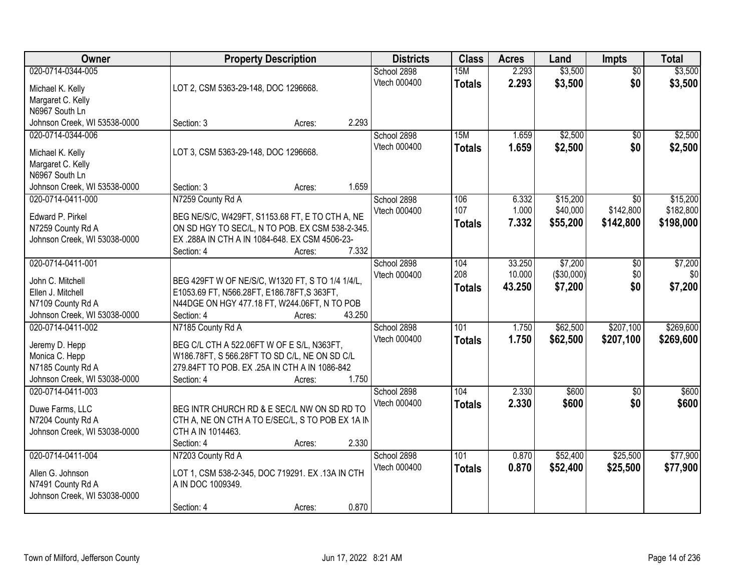| \$3,500<br>020-0714-0344-005<br>2.293<br>School 2898<br>15M<br>$\overline{30}$<br>\$0<br>Vtech 000400<br>2.293<br>\$3,500<br>\$3,500<br><b>Totals</b><br>LOT 2, CSM 5363-29-148, DOC 1296668.<br>Michael K. Kelly<br>Margaret C. Kelly<br>N6967 South Ln<br>2.293<br>Johnson Creek, WI 53538-0000<br>Section: 3<br>Acres:<br>\$2,500<br>020-0714-0344-006<br>School 2898<br>15M<br>1.659<br>$\overline{50}$<br>Vtech 000400<br>1.659<br>\$2,500<br>\$0<br>\$2,500<br><b>Totals</b><br>LOT 3, CSM 5363-29-148, DOC 1296668.<br>Michael K. Kelly<br>Margaret C. Kelly<br>N6967 South Ln<br>1.659<br>Section: 3<br>Johnson Creek, WI 53538-0000<br>Acres:<br>020-0714-0411-000<br>N7259 County Rd A<br>106<br>\$15,200<br>\$0<br>School 2898<br>6.332<br>107<br>\$142,800<br>1.000<br>\$40,000<br>Vtech 000400<br>Edward P. Pirkel<br>BEG NE/S/C, W429FT, S1153.68 FT, E TO CTH A, NE<br>7.332<br>\$55,200<br>\$142,800<br>\$198,000<br><b>Totals</b><br>ON SD HGY TO SEC/L, N TO POB. EX CSM 538-2-345.<br>N7259 County Rd A<br>EX .288A IN CTH A IN 1084-648. EX CSM 4506-23-<br>Johnson Creek, WI 53038-0000<br>7.332<br>Section: 4<br>Acres:<br>020-0714-0411-001<br>33.250<br>\$7,200<br>School 2898<br>104<br>\$0<br>208<br>10.000<br>(\$30,000)<br>Vtech 000400<br>\$0<br>\$0<br>John C. Mitchell<br>BEG 429FT W OF NE/S/C, W1320 FT, S TO 1/4 1/4/L,<br>\$0<br>\$7,200<br>43.250<br>\$7,200<br><b>Totals</b><br>Ellen J. Mitchell<br>E1053.69 FT, N566.28FT, E186.78FT, S363FT,<br>N44DGE ON HGY 477.18 FT, W244.06FT, N TO POB<br>N7109 County Rd A<br>Johnson Creek, WI 53038-0000<br>Section: 4<br>43.250<br>Acres:<br>\$207,100<br>020-0714-0411-002<br>N7185 County Rd A<br>101<br>1.750<br>\$62,500<br>School 2898<br>Vtech 000400<br>1.750<br>\$62,500<br>\$207,100<br>\$269,600<br><b>Totals</b><br>Jeremy D. Hepp<br>BEG C/L CTH A 522.06FT W OF E S/L, N363FT,<br>Monica C. Hepp<br>W186.78FT, S 566.28FT TO SD C/L, NE ON SD C/L<br>N7185 County Rd A<br>279.84FT TO POB. EX .25A IN CTH A IN 1086-842<br>Johnson Creek, WI 53038-0000<br>1.750<br>Section: 4<br>Acres:<br>2.330<br>020-0714-0411-003<br>School 2898<br>104<br>\$600<br>$\overline{50}$<br>Vtech 000400<br>2.330<br>\$600<br>\$0<br>\$600<br><b>Totals</b><br>BEG INTR CHURCH RD & E SEC/L NW ON SD RD TO<br>Duwe Farms, LLC | Owner | <b>Property Description</b> | <b>Districts</b> | <b>Class</b> | <b>Acres</b> | Land | <b>Impts</b> | <b>Total</b> |
|--------------------------------------------------------------------------------------------------------------------------------------------------------------------------------------------------------------------------------------------------------------------------------------------------------------------------------------------------------------------------------------------------------------------------------------------------------------------------------------------------------------------------------------------------------------------------------------------------------------------------------------------------------------------------------------------------------------------------------------------------------------------------------------------------------------------------------------------------------------------------------------------------------------------------------------------------------------------------------------------------------------------------------------------------------------------------------------------------------------------------------------------------------------------------------------------------------------------------------------------------------------------------------------------------------------------------------------------------------------------------------------------------------------------------------------------------------------------------------------------------------------------------------------------------------------------------------------------------------------------------------------------------------------------------------------------------------------------------------------------------------------------------------------------------------------------------------------------------------------------------------------------------------------------------------------------------------------------------------------------------------------------------------------------------------------------------------------------------------------------------------------------------------------------------------------------------------------------------------------------------------------------------------------------------------------|-------|-----------------------------|------------------|--------------|--------------|------|--------------|--------------|
|                                                                                                                                                                                                                                                                                                                                                                                                                                                                                                                                                                                                                                                                                                                                                                                                                                                                                                                                                                                                                                                                                                                                                                                                                                                                                                                                                                                                                                                                                                                                                                                                                                                                                                                                                                                                                                                                                                                                                                                                                                                                                                                                                                                                                                                                                                              |       |                             |                  |              |              |      |              | \$3,500      |
|                                                                                                                                                                                                                                                                                                                                                                                                                                                                                                                                                                                                                                                                                                                                                                                                                                                                                                                                                                                                                                                                                                                                                                                                                                                                                                                                                                                                                                                                                                                                                                                                                                                                                                                                                                                                                                                                                                                                                                                                                                                                                                                                                                                                                                                                                                              |       |                             |                  |              |              |      |              |              |
|                                                                                                                                                                                                                                                                                                                                                                                                                                                                                                                                                                                                                                                                                                                                                                                                                                                                                                                                                                                                                                                                                                                                                                                                                                                                                                                                                                                                                                                                                                                                                                                                                                                                                                                                                                                                                                                                                                                                                                                                                                                                                                                                                                                                                                                                                                              |       |                             |                  |              |              |      |              |              |
|                                                                                                                                                                                                                                                                                                                                                                                                                                                                                                                                                                                                                                                                                                                                                                                                                                                                                                                                                                                                                                                                                                                                                                                                                                                                                                                                                                                                                                                                                                                                                                                                                                                                                                                                                                                                                                                                                                                                                                                                                                                                                                                                                                                                                                                                                                              |       |                             |                  |              |              |      |              |              |
| \$2,500<br>\$15,200<br>\$182,800<br>\$7,200                                                                                                                                                                                                                                                                                                                                                                                                                                                                                                                                                                                                                                                                                                                                                                                                                                                                                                                                                                                                                                                                                                                                                                                                                                                                                                                                                                                                                                                                                                                                                                                                                                                                                                                                                                                                                                                                                                                                                                                                                                                                                                                                                                                                                                                                  |       |                             |                  |              |              |      |              |              |
|                                                                                                                                                                                                                                                                                                                                                                                                                                                                                                                                                                                                                                                                                                                                                                                                                                                                                                                                                                                                                                                                                                                                                                                                                                                                                                                                                                                                                                                                                                                                                                                                                                                                                                                                                                                                                                                                                                                                                                                                                                                                                                                                                                                                                                                                                                              |       |                             |                  |              |              |      |              |              |
|                                                                                                                                                                                                                                                                                                                                                                                                                                                                                                                                                                                                                                                                                                                                                                                                                                                                                                                                                                                                                                                                                                                                                                                                                                                                                                                                                                                                                                                                                                                                                                                                                                                                                                                                                                                                                                                                                                                                                                                                                                                                                                                                                                                                                                                                                                              |       |                             |                  |              |              |      |              |              |
|                                                                                                                                                                                                                                                                                                                                                                                                                                                                                                                                                                                                                                                                                                                                                                                                                                                                                                                                                                                                                                                                                                                                                                                                                                                                                                                                                                                                                                                                                                                                                                                                                                                                                                                                                                                                                                                                                                                                                                                                                                                                                                                                                                                                                                                                                                              |       |                             |                  |              |              |      |              |              |
|                                                                                                                                                                                                                                                                                                                                                                                                                                                                                                                                                                                                                                                                                                                                                                                                                                                                                                                                                                                                                                                                                                                                                                                                                                                                                                                                                                                                                                                                                                                                                                                                                                                                                                                                                                                                                                                                                                                                                                                                                                                                                                                                                                                                                                                                                                              |       |                             |                  |              |              |      |              |              |
|                                                                                                                                                                                                                                                                                                                                                                                                                                                                                                                                                                                                                                                                                                                                                                                                                                                                                                                                                                                                                                                                                                                                                                                                                                                                                                                                                                                                                                                                                                                                                                                                                                                                                                                                                                                                                                                                                                                                                                                                                                                                                                                                                                                                                                                                                                              |       |                             |                  |              |              |      |              |              |
|                                                                                                                                                                                                                                                                                                                                                                                                                                                                                                                                                                                                                                                                                                                                                                                                                                                                                                                                                                                                                                                                                                                                                                                                                                                                                                                                                                                                                                                                                                                                                                                                                                                                                                                                                                                                                                                                                                                                                                                                                                                                                                                                                                                                                                                                                                              |       |                             |                  |              |              |      |              |              |
|                                                                                                                                                                                                                                                                                                                                                                                                                                                                                                                                                                                                                                                                                                                                                                                                                                                                                                                                                                                                                                                                                                                                                                                                                                                                                                                                                                                                                                                                                                                                                                                                                                                                                                                                                                                                                                                                                                                                                                                                                                                                                                                                                                                                                                                                                                              |       |                             |                  |              |              |      |              |              |
|                                                                                                                                                                                                                                                                                                                                                                                                                                                                                                                                                                                                                                                                                                                                                                                                                                                                                                                                                                                                                                                                                                                                                                                                                                                                                                                                                                                                                                                                                                                                                                                                                                                                                                                                                                                                                                                                                                                                                                                                                                                                                                                                                                                                                                                                                                              |       |                             |                  |              |              |      |              |              |
|                                                                                                                                                                                                                                                                                                                                                                                                                                                                                                                                                                                                                                                                                                                                                                                                                                                                                                                                                                                                                                                                                                                                                                                                                                                                                                                                                                                                                                                                                                                                                                                                                                                                                                                                                                                                                                                                                                                                                                                                                                                                                                                                                                                                                                                                                                              |       |                             |                  |              |              |      |              |              |
|                                                                                                                                                                                                                                                                                                                                                                                                                                                                                                                                                                                                                                                                                                                                                                                                                                                                                                                                                                                                                                                                                                                                                                                                                                                                                                                                                                                                                                                                                                                                                                                                                                                                                                                                                                                                                                                                                                                                                                                                                                                                                                                                                                                                                                                                                                              |       |                             |                  |              |              |      |              |              |
|                                                                                                                                                                                                                                                                                                                                                                                                                                                                                                                                                                                                                                                                                                                                                                                                                                                                                                                                                                                                                                                                                                                                                                                                                                                                                                                                                                                                                                                                                                                                                                                                                                                                                                                                                                                                                                                                                                                                                                                                                                                                                                                                                                                                                                                                                                              |       |                             |                  |              |              |      |              |              |
|                                                                                                                                                                                                                                                                                                                                                                                                                                                                                                                                                                                                                                                                                                                                                                                                                                                                                                                                                                                                                                                                                                                                                                                                                                                                                                                                                                                                                                                                                                                                                                                                                                                                                                                                                                                                                                                                                                                                                                                                                                                                                                                                                                                                                                                                                                              |       |                             |                  |              |              |      |              |              |
| \$269,600<br>\$600                                                                                                                                                                                                                                                                                                                                                                                                                                                                                                                                                                                                                                                                                                                                                                                                                                                                                                                                                                                                                                                                                                                                                                                                                                                                                                                                                                                                                                                                                                                                                                                                                                                                                                                                                                                                                                                                                                                                                                                                                                                                                                                                                                                                                                                                                           |       |                             |                  |              |              |      |              |              |
|                                                                                                                                                                                                                                                                                                                                                                                                                                                                                                                                                                                                                                                                                                                                                                                                                                                                                                                                                                                                                                                                                                                                                                                                                                                                                                                                                                                                                                                                                                                                                                                                                                                                                                                                                                                                                                                                                                                                                                                                                                                                                                                                                                                                                                                                                                              |       |                             |                  |              |              |      |              |              |
|                                                                                                                                                                                                                                                                                                                                                                                                                                                                                                                                                                                                                                                                                                                                                                                                                                                                                                                                                                                                                                                                                                                                                                                                                                                                                                                                                                                                                                                                                                                                                                                                                                                                                                                                                                                                                                                                                                                                                                                                                                                                                                                                                                                                                                                                                                              |       |                             |                  |              |              |      |              |              |
|                                                                                                                                                                                                                                                                                                                                                                                                                                                                                                                                                                                                                                                                                                                                                                                                                                                                                                                                                                                                                                                                                                                                                                                                                                                                                                                                                                                                                                                                                                                                                                                                                                                                                                                                                                                                                                                                                                                                                                                                                                                                                                                                                                                                                                                                                                              |       |                             |                  |              |              |      |              |              |
|                                                                                                                                                                                                                                                                                                                                                                                                                                                                                                                                                                                                                                                                                                                                                                                                                                                                                                                                                                                                                                                                                                                                                                                                                                                                                                                                                                                                                                                                                                                                                                                                                                                                                                                                                                                                                                                                                                                                                                                                                                                                                                                                                                                                                                                                                                              |       |                             |                  |              |              |      |              |              |
|                                                                                                                                                                                                                                                                                                                                                                                                                                                                                                                                                                                                                                                                                                                                                                                                                                                                                                                                                                                                                                                                                                                                                                                                                                                                                                                                                                                                                                                                                                                                                                                                                                                                                                                                                                                                                                                                                                                                                                                                                                                                                                                                                                                                                                                                                                              |       |                             |                  |              |              |      |              |              |
|                                                                                                                                                                                                                                                                                                                                                                                                                                                                                                                                                                                                                                                                                                                                                                                                                                                                                                                                                                                                                                                                                                                                                                                                                                                                                                                                                                                                                                                                                                                                                                                                                                                                                                                                                                                                                                                                                                                                                                                                                                                                                                                                                                                                                                                                                                              |       |                             |                  |              |              |      |              |              |
|                                                                                                                                                                                                                                                                                                                                                                                                                                                                                                                                                                                                                                                                                                                                                                                                                                                                                                                                                                                                                                                                                                                                                                                                                                                                                                                                                                                                                                                                                                                                                                                                                                                                                                                                                                                                                                                                                                                                                                                                                                                                                                                                                                                                                                                                                                              |       |                             |                  |              |              |      |              |              |
|                                                                                                                                                                                                                                                                                                                                                                                                                                                                                                                                                                                                                                                                                                                                                                                                                                                                                                                                                                                                                                                                                                                                                                                                                                                                                                                                                                                                                                                                                                                                                                                                                                                                                                                                                                                                                                                                                                                                                                                                                                                                                                                                                                                                                                                                                                              |       |                             |                  |              |              |      |              |              |
|                                                                                                                                                                                                                                                                                                                                                                                                                                                                                                                                                                                                                                                                                                                                                                                                                                                                                                                                                                                                                                                                                                                                                                                                                                                                                                                                                                                                                                                                                                                                                                                                                                                                                                                                                                                                                                                                                                                                                                                                                                                                                                                                                                                                                                                                                                              |       |                             |                  |              |              |      |              |              |
|                                                                                                                                                                                                                                                                                                                                                                                                                                                                                                                                                                                                                                                                                                                                                                                                                                                                                                                                                                                                                                                                                                                                                                                                                                                                                                                                                                                                                                                                                                                                                                                                                                                                                                                                                                                                                                                                                                                                                                                                                                                                                                                                                                                                                                                                                                              |       |                             |                  |              |              |      |              |              |
| CTH A, NE ON CTH A TO E/SEC/L, S TO POB EX 1A IN<br>N7204 County Rd A                                                                                                                                                                                                                                                                                                                                                                                                                                                                                                                                                                                                                                                                                                                                                                                                                                                                                                                                                                                                                                                                                                                                                                                                                                                                                                                                                                                                                                                                                                                                                                                                                                                                                                                                                                                                                                                                                                                                                                                                                                                                                                                                                                                                                                        |       |                             |                  |              |              |      |              |              |
| Johnson Creek, WI 53038-0000<br>CTH A IN 1014463.                                                                                                                                                                                                                                                                                                                                                                                                                                                                                                                                                                                                                                                                                                                                                                                                                                                                                                                                                                                                                                                                                                                                                                                                                                                                                                                                                                                                                                                                                                                                                                                                                                                                                                                                                                                                                                                                                                                                                                                                                                                                                                                                                                                                                                                            |       |                             |                  |              |              |      |              |              |
| 2.330<br>Section: 4<br>Acres:                                                                                                                                                                                                                                                                                                                                                                                                                                                                                                                                                                                                                                                                                                                                                                                                                                                                                                                                                                                                                                                                                                                                                                                                                                                                                                                                                                                                                                                                                                                                                                                                                                                                                                                                                                                                                                                                                                                                                                                                                                                                                                                                                                                                                                                                                |       |                             |                  |              |              |      |              |              |
| 020-0714-0411-004<br>\$52,400<br>\$25,500<br>\$77,900<br>N7203 County Rd A<br>School 2898<br>101<br>0.870                                                                                                                                                                                                                                                                                                                                                                                                                                                                                                                                                                                                                                                                                                                                                                                                                                                                                                                                                                                                                                                                                                                                                                                                                                                                                                                                                                                                                                                                                                                                                                                                                                                                                                                                                                                                                                                                                                                                                                                                                                                                                                                                                                                                    |       |                             |                  |              |              |      |              |              |
| Vtech 000400<br>0.870<br>\$25,500<br>\$52,400<br>\$77,900<br><b>Totals</b>                                                                                                                                                                                                                                                                                                                                                                                                                                                                                                                                                                                                                                                                                                                                                                                                                                                                                                                                                                                                                                                                                                                                                                                                                                                                                                                                                                                                                                                                                                                                                                                                                                                                                                                                                                                                                                                                                                                                                                                                                                                                                                                                                                                                                                   |       |                             |                  |              |              |      |              |              |
| LOT 1, CSM 538-2-345, DOC 719291. EX .13A IN CTH<br>Allen G. Johnson                                                                                                                                                                                                                                                                                                                                                                                                                                                                                                                                                                                                                                                                                                                                                                                                                                                                                                                                                                                                                                                                                                                                                                                                                                                                                                                                                                                                                                                                                                                                                                                                                                                                                                                                                                                                                                                                                                                                                                                                                                                                                                                                                                                                                                         |       |                             |                  |              |              |      |              |              |
| N7491 County Rd A<br>A IN DOC 1009349.<br>Johnson Creek, WI 53038-0000                                                                                                                                                                                                                                                                                                                                                                                                                                                                                                                                                                                                                                                                                                                                                                                                                                                                                                                                                                                                                                                                                                                                                                                                                                                                                                                                                                                                                                                                                                                                                                                                                                                                                                                                                                                                                                                                                                                                                                                                                                                                                                                                                                                                                                       |       |                             |                  |              |              |      |              |              |
| 0.870<br>Section: 4<br>Acres:                                                                                                                                                                                                                                                                                                                                                                                                                                                                                                                                                                                                                                                                                                                                                                                                                                                                                                                                                                                                                                                                                                                                                                                                                                                                                                                                                                                                                                                                                                                                                                                                                                                                                                                                                                                                                                                                                                                                                                                                                                                                                                                                                                                                                                                                                |       |                             |                  |              |              |      |              |              |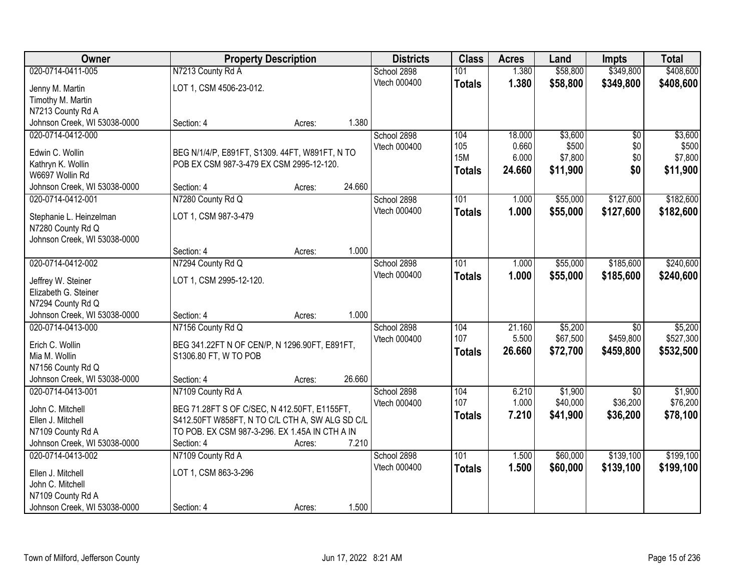| <b>Owner</b>                                      | <b>Property Description</b>                     |        |        | <b>Districts</b>            | <b>Class</b>  | <b>Acres</b> | Land                | <b>Impts</b>    | <b>Total</b> |
|---------------------------------------------------|-------------------------------------------------|--------|--------|-----------------------------|---------------|--------------|---------------------|-----------------|--------------|
| 020-0714-0411-005                                 | N7213 County Rd A                               |        |        | School 2898                 | 101           | 1.380        | \$58,800            | \$349,800       | \$408,600    |
| Jenny M. Martin                                   | LOT 1, CSM 4506-23-012.                         |        |        | Vtech 000400                | <b>Totals</b> | 1.380        | \$58,800            | \$349,800       | \$408,600    |
| Timothy M. Martin                                 |                                                 |        |        |                             |               |              |                     |                 |              |
| N7213 County Rd A                                 |                                                 |        |        |                             |               |              |                     |                 |              |
| Johnson Creek, WI 53038-0000                      | Section: 4                                      | Acres: | 1.380  |                             |               |              |                     |                 |              |
| 020-0714-0412-000                                 |                                                 |        |        | School 2898                 | 104           | 18.000       | \$3,600             | $\overline{50}$ | \$3,600      |
| Edwin C. Wollin                                   | BEG N/1/4/P, E891FT, S1309. 44FT, W891FT, N TO  |        |        | Vtech 000400                | 105           | 0.660        | \$500               | \$0             | \$500        |
| Kathryn K. Wollin                                 | POB EX CSM 987-3-479 EX CSM 2995-12-120.        |        |        |                             | <b>15M</b>    | 6.000        | \$7,800             | \$0             | \$7,800      |
| W6697 Wollin Rd                                   |                                                 |        |        |                             | <b>Totals</b> | 24.660       | \$11,900            | \$0             | \$11,900     |
| Johnson Creek, WI 53038-0000                      | Section: 4                                      | Acres: | 24.660 |                             |               |              |                     |                 |              |
| 020-0714-0412-001                                 | N7280 County Rd Q                               |        |        | School 2898                 | 101           | 1.000        | \$55,000            | \$127,600       | \$182,600    |
|                                                   |                                                 |        |        | Vtech 000400                | <b>Totals</b> | 1.000        | \$55,000            | \$127,600       | \$182,600    |
| Stephanie L. Heinzelman                           | LOT 1, CSM 987-3-479                            |        |        |                             |               |              |                     |                 |              |
| N7280 County Rd Q<br>Johnson Creek, WI 53038-0000 |                                                 |        |        |                             |               |              |                     |                 |              |
|                                                   | Section: 4                                      | Acres: | 1.000  |                             |               |              |                     |                 |              |
| 020-0714-0412-002                                 | N7294 County Rd Q                               |        |        | School 2898                 | 101           | 1.000        | \$55,000            | \$185,600       | \$240,600    |
|                                                   |                                                 |        |        | Vtech 000400                | <b>Totals</b> | 1.000        | \$55,000            | \$185,600       | \$240,600    |
| Jeffrey W. Steiner                                | LOT 1, CSM 2995-12-120.                         |        |        |                             |               |              |                     |                 |              |
| Elizabeth G. Steiner                              |                                                 |        |        |                             |               |              |                     |                 |              |
| N7294 County Rd Q                                 |                                                 |        | 1.000  |                             |               |              |                     |                 |              |
| Johnson Creek, WI 53038-0000<br>020-0714-0413-000 | Section: 4                                      | Acres: |        |                             | 104           | 21.160       |                     | $\overline{50}$ | \$5,200      |
|                                                   | N7156 County Rd Q                               |        |        | School 2898<br>Vtech 000400 | 107           | 5.500        | \$5,200<br>\$67,500 | \$459,800       | \$527,300    |
| Erich C. Wollin                                   | BEG 341.22FT N OF CEN/P, N 1296.90FT, E891FT,   |        |        |                             | <b>Totals</b> | 26.660       | \$72,700            | \$459,800       | \$532,500    |
| Mia M. Wollin                                     | S1306.80 FT, W TO POB                           |        |        |                             |               |              |                     |                 |              |
| N7156 County Rd Q                                 |                                                 |        |        |                             |               |              |                     |                 |              |
| Johnson Creek, WI 53038-0000                      | Section: 4                                      | Acres: | 26.660 |                             |               |              |                     |                 |              |
| 020-0714-0413-001                                 | N7109 County Rd A                               |        |        | School 2898                 | 104           | 6.210        | \$1,900             | \$0             | \$1,900      |
| John C. Mitchell                                  | BEG 71.28FT S OF C/SEC, N 412.50FT, E1155FT,    |        |        | Vtech 000400                | 107           | 1.000        | \$40,000            | \$36,200        | \$76,200     |
| Ellen J. Mitchell                                 | S412.50FT W858FT, N TO C/L CTH A, SW ALG SD C/L |        |        |                             | <b>Totals</b> | 7.210        | \$41,900            | \$36,200        | \$78,100     |
| N7109 County Rd A                                 | TO POB. EX CSM 987-3-296. EX 1.45A IN CTH A IN  |        |        |                             |               |              |                     |                 |              |
| Johnson Creek, WI 53038-0000                      | Section: 4                                      | Acres: | 7.210  |                             |               |              |                     |                 |              |
| 020-0714-0413-002                                 | N7109 County Rd A                               |        |        | School 2898                 | 101           | 1.500        | \$60,000            | \$139,100       | \$199,100    |
| Ellen J. Mitchell                                 | LOT 1, CSM 863-3-296                            |        |        | Vtech 000400                | <b>Totals</b> | 1.500        | \$60,000            | \$139,100       | \$199,100    |
| John C. Mitchell                                  |                                                 |        |        |                             |               |              |                     |                 |              |
| N7109 County Rd A                                 |                                                 |        |        |                             |               |              |                     |                 |              |
| Johnson Creek, WI 53038-0000                      | Section: 4                                      | Acres: | 1.500  |                             |               |              |                     |                 |              |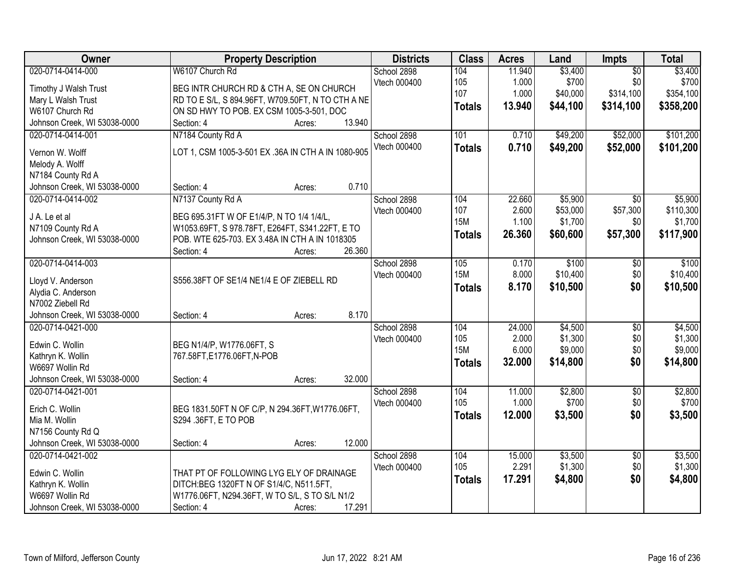| Owner                                | <b>Property Description</b>                                                               | <b>Districts</b> | <b>Class</b>      | <b>Acres</b>   | Land                | Impts           | <b>Total</b>         |
|--------------------------------------|-------------------------------------------------------------------------------------------|------------------|-------------------|----------------|---------------------|-----------------|----------------------|
| 020-0714-0414-000                    | W6107 Church Rd                                                                           | School 2898      | 104               | 11.940         | \$3,400             | $\overline{50}$ | \$3,400              |
| Timothy J Walsh Trust                | BEG INTR CHURCH RD & CTH A, SE ON CHURCH                                                  | Vtech 000400     | 105               | 1.000          | \$700               | \$0             | \$700                |
| Mary L Walsh Trust                   | RD TO E S/L, S 894.96FT, W709.50FT, N TO CTH A NE                                         |                  | 107               | 1.000          | \$40,000            | \$314,100       | \$354,100            |
| W6107 Church Rd                      | ON SD HWY TO POB. EX CSM 1005-3-501, DOC                                                  |                  | <b>Totals</b>     | 13.940         | \$44,100            | \$314,100       | \$358,200            |
| Johnson Creek, WI 53038-0000         | 13.940<br>Section: 4<br>Acres:                                                            |                  |                   |                |                     |                 |                      |
| 020-0714-0414-001                    | N7184 County Rd A                                                                         | School 2898      | 101               | 0.710          | \$49,200            | \$52,000        | \$101,200            |
|                                      |                                                                                           | Vtech 000400     | <b>Totals</b>     | 0.710          | \$49,200            | \$52,000        | \$101,200            |
| Vernon W. Wolff                      | LOT 1, CSM 1005-3-501 EX .36A IN CTH A IN 1080-905                                        |                  |                   |                |                     |                 |                      |
| Melody A. Wolff                      |                                                                                           |                  |                   |                |                     |                 |                      |
| N7184 County Rd A                    |                                                                                           |                  |                   |                |                     |                 |                      |
| Johnson Creek, WI 53038-0000         | 0.710<br>Section: 4<br>Acres:                                                             |                  |                   |                |                     |                 |                      |
| 020-0714-0414-002                    | N7137 County Rd A                                                                         | School 2898      | 104               | 22.660         | \$5,900             | $\overline{50}$ | \$5,900              |
| J A. Le et al                        | BEG 695.31FT W OF E1/4/P, N TO 1/4 1/4/L,                                                 | Vtech 000400     | 107<br><b>15M</b> | 2.600<br>1.100 | \$53,000<br>\$1,700 | \$57,300        | \$110,300<br>\$1,700 |
| N7109 County Rd A                    | W1053.69FT, S 978.78FT, E264FT, S341.22FT, E TO                                           |                  |                   |                |                     | \$0             |                      |
| Johnson Creek, WI 53038-0000         | POB. WTE 625-703. EX 3.48A IN CTH A IN 1018305                                            |                  | <b>Totals</b>     | 26.360         | \$60,600            | \$57,300        | \$117,900            |
|                                      | 26.360<br>Section: 4<br>Acres:                                                            |                  |                   |                |                     |                 |                      |
| 020-0714-0414-003                    |                                                                                           | School 2898      | 105               | 0.170          | \$100               | \$0             | \$100                |
| Lloyd V. Anderson                    | S556.38FT OF SE1/4 NE1/4 E OF ZIEBELL RD                                                  | Vtech 000400     | <b>15M</b>        | 8.000          | \$10,400            | \$0             | \$10,400             |
| Alydia C. Anderson                   |                                                                                           |                  | <b>Totals</b>     | 8.170          | \$10,500            | \$0             | \$10,500             |
| N7002 Ziebell Rd                     |                                                                                           |                  |                   |                |                     |                 |                      |
| Johnson Creek, WI 53038-0000         | 8.170<br>Section: 4<br>Acres:                                                             |                  |                   |                |                     |                 |                      |
| 020-0714-0421-000                    |                                                                                           | School 2898      | 104               | 24.000         | \$4,500             | $\overline{50}$ | \$4,500              |
|                                      |                                                                                           | Vtech 000400     | 105               | 2.000          | \$1,300             | \$0             | \$1,300              |
| Edwin C. Wollin                      | BEG N1/4/P, W1776.06FT, S                                                                 |                  | <b>15M</b>        | 6.000          | \$9,000             | \$0             | \$9,000              |
| Kathryn K. Wollin                    | 767.58FT,E1776.06FT,N-POB                                                                 |                  | <b>Totals</b>     | 32.000         | \$14,800            | \$0             | \$14,800             |
| W6697 Wollin Rd                      |                                                                                           |                  |                   |                |                     |                 |                      |
| Johnson Creek, WI 53038-0000         | 32.000<br>Section: 4<br>Acres:                                                            |                  |                   |                |                     |                 |                      |
| 020-0714-0421-001                    |                                                                                           | School 2898      | 104               | 11.000         | \$2,800             | $\overline{50}$ | \$2,800              |
| Erich C. Wollin                      | BEG 1831.50FT N OF C/P, N 294.36FT, W1776.06FT,                                           | Vtech 000400     | 105               | 1.000          | \$700               | \$0             | \$700                |
| Mia M. Wollin                        | S294 .36FT, E TO POB                                                                      |                  | <b>Totals</b>     | 12.000         | \$3,500             | \$0             | \$3,500              |
| N7156 County Rd Q                    |                                                                                           |                  |                   |                |                     |                 |                      |
| Johnson Creek, WI 53038-0000         | 12.000<br>Section: 4<br>Acres:                                                            |                  |                   |                |                     |                 |                      |
| 020-0714-0421-002                    |                                                                                           | School 2898      | 104               | 15.000         | \$3,500             | $\overline{50}$ | \$3,500              |
|                                      |                                                                                           | Vtech 000400     | 105               | 2.291          | \$1,300             | \$0             | \$1,300              |
| Edwin C. Wollin                      | THAT PT OF FOLLOWING LYG ELY OF DRAINAGE                                                  |                  | <b>Totals</b>     | 17.291         | \$4,800             | \$0             | \$4,800              |
| Kathryn K. Wollin<br>W6697 Wollin Rd | DITCH:BEG 1320FT N OF S1/4/C, N511.5FT,<br>W1776.06FT, N294.36FT, W TO S/L, S TO S/L N1/2 |                  |                   |                |                     |                 |                      |
| Johnson Creek, WI 53038-0000         | 17.291<br>Section: 4                                                                      |                  |                   |                |                     |                 |                      |
|                                      | Acres:                                                                                    |                  |                   |                |                     |                 |                      |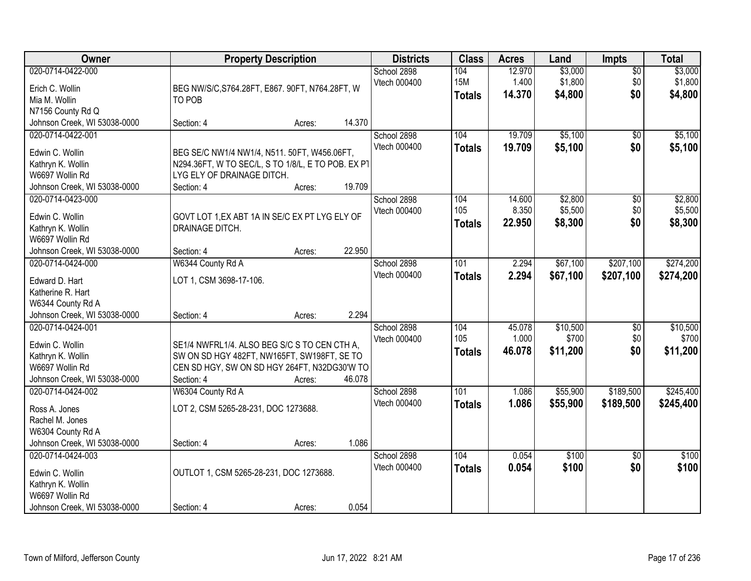| Owner                                                                                                         | <b>Property Description</b>                                                                                                                                                   | <b>Districts</b>            | <b>Class</b>                       | <b>Acres</b>              | Land                          | <b>Impts</b>                  | <b>Total</b>                  |
|---------------------------------------------------------------------------------------------------------------|-------------------------------------------------------------------------------------------------------------------------------------------------------------------------------|-----------------------------|------------------------------------|---------------------------|-------------------------------|-------------------------------|-------------------------------|
| 020-0714-0422-000<br>Erich C. Wollin<br>Mia M. Wollin<br>N7156 County Rd Q                                    | BEG NW/S/C, S764.28FT, E867. 90FT, N764.28FT, W<br>TO POB                                                                                                                     | School 2898<br>Vtech 000400 | 104<br><b>15M</b><br><b>Totals</b> | 12.970<br>1.400<br>14.370 | \$3,000<br>\$1,800<br>\$4,800 | $\overline{50}$<br>\$0<br>\$0 | \$3,000<br>\$1,800<br>\$4,800 |
| Johnson Creek, WI 53038-0000                                                                                  | 14.370<br>Section: 4<br>Acres:                                                                                                                                                |                             |                                    |                           |                               |                               |                               |
| 020-0714-0422-001<br>Edwin C. Wollin<br>Kathryn K. Wollin<br>W6697 Wollin Rd<br>Johnson Creek, WI 53038-0000  | BEG SE/C NW1/4 NW1/4, N511. 50FT, W456.06FT,<br>N294.36FT, W TO SEC/L, S TO 1/8/L, E TO POB. EX PT<br>LYG ELY OF DRAINAGE DITCH.<br>19.709<br>Section: 4<br>Acres:            | School 2898<br>Vtech 000400 | 104<br><b>Totals</b>               | 19.709<br>19.709          | \$5,100<br>\$5,100            | \$0<br>\$0                    | \$5,100<br>\$5,100            |
| 020-0714-0423-000<br>Edwin C. Wollin<br>Kathryn K. Wollin<br>W6697 Wollin Rd<br>Johnson Creek, WI 53038-0000  | GOVT LOT 1, EX ABT 1A IN SE/C EX PT LYG ELY OF<br>DRAINAGE DITCH.<br>22.950<br>Section: 4<br>Acres:                                                                           | School 2898<br>Vtech 000400 | 104<br>105<br><b>Totals</b>        | 14.600<br>8.350<br>22.950 | \$2,800<br>\$5,500<br>\$8,300 | \$0<br>\$0<br>\$0             | \$2,800<br>\$5,500<br>\$8,300 |
| 020-0714-0424-000<br>Edward D. Hart<br>Katherine R. Hart<br>W6344 County Rd A<br>Johnson Creek, WI 53038-0000 | W6344 County Rd A<br>LOT 1, CSM 3698-17-106.<br>2.294<br>Section: 4<br>Acres:                                                                                                 | School 2898<br>Vtech 000400 | 101<br><b>Totals</b>               | 2.294<br>2.294            | \$67,100<br>\$67,100          | \$207,100<br>\$207,100        | \$274,200<br>\$274,200        |
| 020-0714-0424-001<br>Edwin C. Wollin<br>Kathryn K. Wollin<br>W6697 Wollin Rd<br>Johnson Creek, WI 53038-0000  | SE1/4 NWFRL1/4. ALSO BEG S/C S TO CEN CTH A,<br>SW ON SD HGY 482FT, NW165FT, SW198FT, SE TO<br>CEN SD HGY, SW ON SD HGY 264FT, N32DG30'W TO<br>46.078<br>Section: 4<br>Acres: | School 2898<br>Vtech 000400 | 104<br>105<br><b>Totals</b>        | 45.078<br>1.000<br>46.078 | \$10,500<br>\$700<br>\$11,200 | $\overline{50}$<br>\$0<br>\$0 | \$10,500<br>\$700<br>\$11,200 |
| 020-0714-0424-002<br>Ross A. Jones<br>Rachel M. Jones<br>W6304 County Rd A<br>Johnson Creek, WI 53038-0000    | W6304 County Rd A<br>LOT 2, CSM 5265-28-231, DOC 1273688.<br>1.086<br>Section: 4<br>Acres:                                                                                    | School 2898<br>Vtech 000400 | $\overline{101}$<br><b>Totals</b>  | 1.086<br>1.086            | \$55,900<br>\$55,900          | \$189,500<br>\$189,500        | \$245,400<br>\$245,400        |
| 020-0714-0424-003<br>Edwin C. Wollin<br>Kathryn K. Wollin<br>W6697 Wollin Rd<br>Johnson Creek, WI 53038-0000  | OUTLOT 1, CSM 5265-28-231, DOC 1273688.<br>0.054<br>Section: 4<br>Acres:                                                                                                      | School 2898<br>Vtech 000400 | 104<br><b>Totals</b>               | 0.054<br>0.054            | \$100<br>\$100                | $\overline{50}$<br>\$0        | \$100<br>\$100                |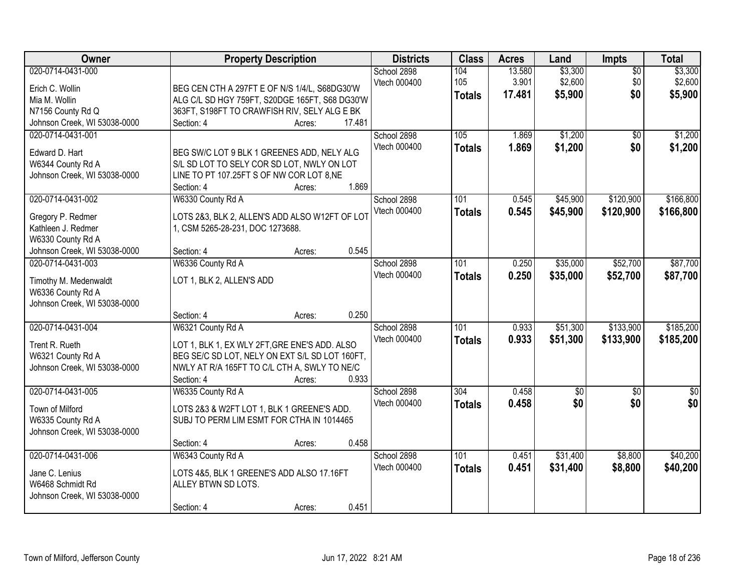| Owner                                                                                                             | <b>Property Description</b>                                                                                                                                                        |                  | <b>Districts</b>            | <b>Class</b>                | <b>Acres</b>              | Land                          | Impts                         | <b>Total</b>                  |
|-------------------------------------------------------------------------------------------------------------------|------------------------------------------------------------------------------------------------------------------------------------------------------------------------------------|------------------|-----------------------------|-----------------------------|---------------------------|-------------------------------|-------------------------------|-------------------------------|
| 020-0714-0431-000<br>Erich C. Wollin<br>Mia M. Wollin<br>N7156 County Rd Q<br>Johnson Creek, WI 53038-0000        | BEG CEN CTH A 297FT E OF N/S 1/4/L, S68DG30'W<br>ALG C/L SD HGY 759FT, S20DGE 165FT, S68 DG30'W<br>363FT, S198FT TO CRAWFISH RIV, SELY ALG E BK<br>Section: 4                      | 17.481<br>Acres: | School 2898<br>Vtech 000400 | 104<br>105<br><b>Totals</b> | 13.580<br>3.901<br>17.481 | \$3,300<br>\$2,600<br>\$5,900 | $\overline{50}$<br>\$0<br>\$0 | \$3,300<br>\$2,600<br>\$5,900 |
| 020-0714-0431-001<br>Edward D. Hart<br>W6344 County Rd A<br>Johnson Creek, WI 53038-0000                          | BEG SW/C LOT 9 BLK 1 GREENES ADD, NELY ALG<br>S/L SD LOT TO SELY COR SD LOT, NWLY ON LOT<br>LINE TO PT 107.25FT S OF NW COR LOT 8, NE<br>Section: 4                                | 1.869<br>Acres:  | School 2898<br>Vtech 000400 | 105<br><b>Totals</b>        | 1.869<br>1.869            | \$1,200<br>\$1,200            | \$0<br>\$0                    | \$1,200<br>\$1,200            |
| 020-0714-0431-002<br>Gregory P. Redmer<br>Kathleen J. Redmer<br>W6330 County Rd A<br>Johnson Creek, WI 53038-0000 | W6330 County Rd A<br>LOTS 2&3, BLK 2, ALLEN'S ADD ALSO W12FT OF LOT<br>1, CSM 5265-28-231, DOC 1273688.<br>Section: 4                                                              | 0.545<br>Acres:  | School 2898<br>Vtech 000400 | 101<br><b>Totals</b>        | 0.545<br>0.545            | \$45,900<br>\$45,900          | \$120,900<br>\$120,900        | \$166,800<br>\$166,800        |
| 020-0714-0431-003<br>Timothy M. Medenwaldt<br>W6336 County Rd A<br>Johnson Creek, WI 53038-0000                   | W6336 County Rd A<br>LOT 1, BLK 2, ALLEN'S ADD<br>Section: 4                                                                                                                       | 0.250<br>Acres:  | School 2898<br>Vtech 000400 | 101<br><b>Totals</b>        | 0.250<br>0.250            | \$35,000<br>\$35,000          | \$52,700<br>\$52,700          | \$87,700<br>\$87,700          |
| 020-0714-0431-004<br>Trent R. Rueth<br>W6321 County Rd A<br>Johnson Creek, WI 53038-0000                          | W6321 County Rd A<br>LOT 1, BLK 1, EX WLY 2FT, GRE ENE'S ADD. ALSO<br>BEG SE/C SD LOT, NELY ON EXT S/L SD LOT 160FT,<br>NWLY AT R/A 165FT TO C/L CTH A, SWLY TO NE/C<br>Section: 4 | 0.933<br>Acres:  | School 2898<br>Vtech 000400 | 101<br><b>Totals</b>        | 0.933<br>0.933            | \$51,300<br>\$51,300          | \$133,900<br>\$133,900        | \$185,200<br>\$185,200        |
| 020-0714-0431-005<br>Town of Milford<br>W6335 County Rd A<br>Johnson Creek, WI 53038-0000                         | W6335 County Rd A<br>LOTS 2&3 & W2FT LOT 1, BLK 1 GREENE'S ADD.<br>SUBJ TO PERM LIM ESMT FOR CTHA IN 1014465<br>Section: 4                                                         | 0.458<br>Acres:  | School 2898<br>Vtech 000400 | 304<br><b>Totals</b>        | 0.458<br>0.458            | $\sqrt{6}$<br>\$0             | $\overline{50}$<br>\$0        | $\frac{6}{3}$<br>\$0          |
| 020-0714-0431-006<br>Jane C. Lenius<br>W6468 Schmidt Rd<br>Johnson Creek, WI 53038-0000                           | W6343 County Rd A<br>LOTS 4&5, BLK 1 GREENE'S ADD ALSO 17.16FT<br>ALLEY BTWN SD LOTS.<br>Section: 4                                                                                | 0.451<br>Acres:  | School 2898<br>Vtech 000400 | 101<br><b>Totals</b>        | 0.451<br>0.451            | \$31,400<br>\$31,400          | \$8,800<br>\$8,800            | \$40,200<br>\$40,200          |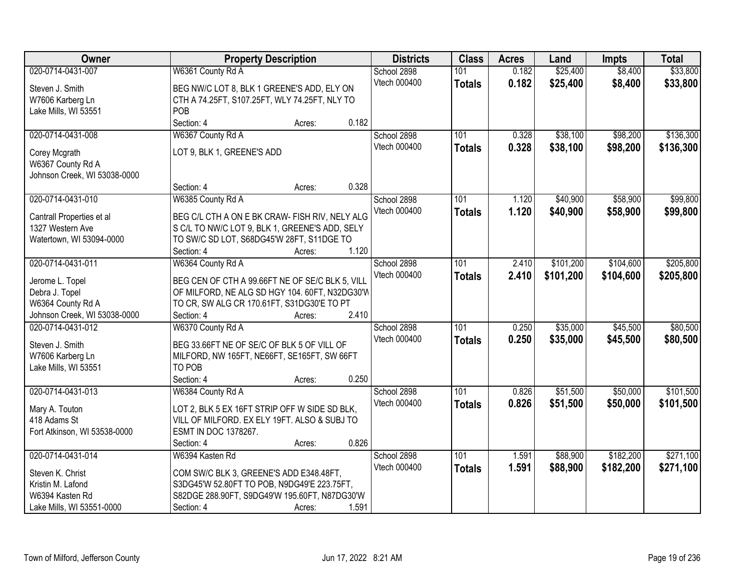| Owner                        | <b>Property Description</b>                           |        | <b>Districts</b> | <b>Class</b>     | <b>Acres</b> | Land      | <b>Impts</b> | <b>Total</b> |
|------------------------------|-------------------------------------------------------|--------|------------------|------------------|--------------|-----------|--------------|--------------|
| 020-0714-0431-007            | W6361 County Rd A                                     |        | School 2898      | 101              | 0.182        | \$25,400  | \$8,400      | \$33,800     |
| Steven J. Smith              | BEG NW/C LOT 8, BLK 1 GREENE'S ADD, ELY ON            |        | Vtech 000400     | <b>Totals</b>    | 0.182        | \$25,400  | \$8,400      | \$33,800     |
| W7606 Karberg Ln             | CTH A 74.25FT, S107.25FT, WLY 74.25FT, NLY TO         |        |                  |                  |              |           |              |              |
| Lake Mills, WI 53551         | POB                                                   |        |                  |                  |              |           |              |              |
|                              | Section: 4                                            | Acres: | 0.182            |                  |              |           |              |              |
| 020-0714-0431-008            | W6367 County Rd A                                     |        | School 2898      | 101              | 0.328        | \$38,100  | \$98,200     | \$136,300    |
|                              |                                                       |        | Vtech 000400     | <b>Totals</b>    | 0.328        | \$38,100  | \$98,200     | \$136,300    |
| Corey Mcgrath                | LOT 9, BLK 1, GREENE'S ADD                            |        |                  |                  |              |           |              |              |
| W6367 County Rd A            |                                                       |        |                  |                  |              |           |              |              |
| Johnson Creek, WI 53038-0000 | Section: 4                                            | Acres: | 0.328            |                  |              |           |              |              |
| 020-0714-0431-010            | W6385 County Rd A                                     |        | School 2898      | 101              | 1.120        | \$40,900  | \$58,900     | \$99,800     |
|                              |                                                       |        | Vtech 000400     |                  | 1.120        | \$40,900  |              | \$99,800     |
| Cantrall Properties et al    | BEG C/L CTH A ON E BK CRAW- FISH RIV, NELY ALG        |        |                  | <b>Totals</b>    |              |           | \$58,900     |              |
| 1327 Western Ave             | S C/L TO NW/C LOT 9, BLK 1, GREENE'S ADD, SELY        |        |                  |                  |              |           |              |              |
| Watertown, WI 53094-0000     | TO SW/C SD LOT, S68DG45'W 28FT, S11DGE TO             |        |                  |                  |              |           |              |              |
|                              | Section: 4                                            | Acres: | 1.120            |                  |              |           |              |              |
| 020-0714-0431-011            | W6364 County Rd A                                     |        | School 2898      | 101              | 2.410        | \$101,200 | \$104,600    | \$205,800    |
| Jerome L. Topel              | BEG CEN OF CTH A 99.66FT NE OF SE/C BLK 5, VILL       |        | Vtech 000400     | <b>Totals</b>    | 2.410        | \$101,200 | \$104,600    | \$205,800    |
| Debra J. Topel               | OF MILFORD, NE ALG SD HGY 104. 60FT, N32DG30'W        |        |                  |                  |              |           |              |              |
| W6364 County Rd A            | TO CR, SW ALG CR 170.61FT, S31DG30'E TO PT            |        |                  |                  |              |           |              |              |
| Johnson Creek, WI 53038-0000 | Section: 4                                            | Acres: | 2.410            |                  |              |           |              |              |
| 020-0714-0431-012            | W6370 County Rd A                                     |        | School 2898      | 101              | 0.250        | \$35,000  | \$45,500     | \$80,500     |
|                              |                                                       |        | Vtech 000400     | <b>Totals</b>    | 0.250        | \$35,000  | \$45,500     | \$80,500     |
| Steven J. Smith              | BEG 33.66FT NE OF SE/C OF BLK 5 OF VILL OF            |        |                  |                  |              |           |              |              |
| W7606 Karberg Ln             | MILFORD, NW 165FT, NE66FT, SE165FT, SW 66FT<br>TO POB |        |                  |                  |              |           |              |              |
| Lake Mills, WI 53551         | Section: 4                                            | Acres: | 0.250            |                  |              |           |              |              |
| 020-0714-0431-013            | W6384 County Rd A                                     |        | School 2898      | $\overline{101}$ | 0.826        | \$51,500  | \$50,000     | \$101,500    |
|                              |                                                       |        | Vtech 000400     | <b>Totals</b>    | 0.826        | \$51,500  | \$50,000     | \$101,500    |
| Mary A. Touton               | LOT 2, BLK 5 EX 16FT STRIP OFF W SIDE SD BLK,         |        |                  |                  |              |           |              |              |
| 418 Adams St                 | VILL OF MILFORD. EX ELY 19FT. ALSO & SUBJ TO          |        |                  |                  |              |           |              |              |
| Fort Atkinson, WI 53538-0000 | ESMT IN DOC 1378267.                                  |        |                  |                  |              |           |              |              |
|                              | Section: 4                                            | Acres: | 0.826            |                  |              |           |              |              |
| 020-0714-0431-014            | W6394 Kasten Rd                                       |        | School 2898      | 101              | 1.591        | \$88,900  | \$182,200    | \$271,100    |
| Steven K. Christ             | COM SW/C BLK 3, GREENE'S ADD E348.48FT,               |        | Vtech 000400     | <b>Totals</b>    | 1.591        | \$88,900  | \$182,200    | \$271,100    |
| Kristin M. Lafond            | S3DG45'W 52.80FT TO POB, N9DG49'E 223.75FT,           |        |                  |                  |              |           |              |              |
| W6394 Kasten Rd              | S82DGE 288.90FT, S9DG49'W 195.60FT, N87DG30'W         |        |                  |                  |              |           |              |              |
| Lake Mills, WI 53551-0000    | Section: 4                                            | Acres: | 1.591            |                  |              |           |              |              |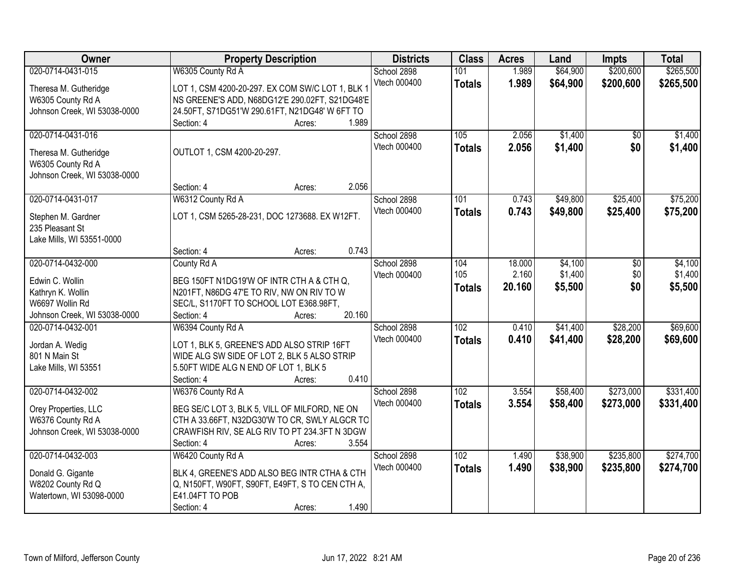| Owner                                         | <b>Property Description</b>                                                                    | <b>Districts</b>    | <b>Class</b>  | <b>Acres</b> | Land     | <b>Impts</b> | <b>Total</b> |
|-----------------------------------------------|------------------------------------------------------------------------------------------------|---------------------|---------------|--------------|----------|--------------|--------------|
| 020-0714-0431-015                             | W6305 County Rd A                                                                              | School 2898         | 101           | 1.989        | \$64,900 | \$200,600    | \$265,500    |
| Theresa M. Gutheridge                         | LOT 1, CSM 4200-20-297. EX COM SW/C LOT 1, BLK 1                                               | Vtech 000400        | <b>Totals</b> | 1.989        | \$64,900 | \$200,600    | \$265,500    |
| W6305 County Rd A                             | NS GREENE'S ADD, N68DG12'E 290.02FT, S21DG48'E                                                 |                     |               |              |          |              |              |
| Johnson Creek, WI 53038-0000                  | 24.50FT, S71DG51'W 290.61FT, N21DG48' W 6FT TO                                                 |                     |               |              |          |              |              |
|                                               | 1.989<br>Section: 4<br>Acres:                                                                  |                     |               |              |          |              |              |
| 020-0714-0431-016                             |                                                                                                | School 2898         | 105           | 2.056        | \$1,400  | \$0          | \$1,400      |
| Theresa M. Gutheridge                         | OUTLOT 1, CSM 4200-20-297.                                                                     | <b>Vtech 000400</b> | <b>Totals</b> | 2.056        | \$1,400  | \$0          | \$1,400      |
| W6305 County Rd A                             |                                                                                                |                     |               |              |          |              |              |
| Johnson Creek, WI 53038-0000                  |                                                                                                |                     |               |              |          |              |              |
|                                               | 2.056<br>Section: 4<br>Acres:                                                                  |                     |               |              |          |              |              |
| 020-0714-0431-017                             | W6312 County Rd A                                                                              | School 2898         | 101           | 0.743        | \$49,800 | \$25,400     | \$75,200     |
| Stephen M. Gardner                            | LOT 1, CSM 5265-28-231, DOC 1273688. EX W12FT.                                                 | Vtech 000400        | <b>Totals</b> | 0.743        | \$49,800 | \$25,400     | \$75,200     |
| 235 Pleasant St                               |                                                                                                |                     |               |              |          |              |              |
| Lake Mills, WI 53551-0000                     |                                                                                                |                     |               |              |          |              |              |
|                                               | 0.743<br>Section: 4<br>Acres:                                                                  |                     |               |              |          |              |              |
| 020-0714-0432-000                             | County Rd A                                                                                    | School 2898         | 104           | 18.000       | \$4,100  | \$0          | \$4,100      |
| Edwin C. Wollin                               | BEG 150FT N1DG19'W OF INTR CTH A & CTH Q,                                                      | Vtech 000400        | 105           | 2.160        | \$1,400  | \$0          | \$1,400      |
| Kathryn K. Wollin                             | N201FT, N86DG 47'E TO RIV, NW ON RIV TO W                                                      |                     | <b>Totals</b> | 20.160       | \$5,500  | \$0          | \$5,500      |
| W6697 Wollin Rd                               | SEC/L, S1170FT TO SCHOOL LOT E368.98FT,                                                        |                     |               |              |          |              |              |
| Johnson Creek, WI 53038-0000                  | 20.160<br>Section: 4<br>Acres:                                                                 |                     |               |              |          |              |              |
| 020-0714-0432-001                             | W6394 County Rd A                                                                              | School 2898         | 102           | 0.410        | \$41,400 | \$28,200     | \$69,600     |
|                                               |                                                                                                | Vtech 000400        | <b>Totals</b> | 0.410        | \$41,400 | \$28,200     | \$69,600     |
| Jordan A. Wedig<br>801 N Main St              | LOT 1, BLK 5, GREENE'S ADD ALSO STRIP 16FT<br>WIDE ALG SW SIDE OF LOT 2, BLK 5 ALSO STRIP      |                     |               |              |          |              |              |
| Lake Mills, WI 53551                          | 5.50FT WIDE ALG N END OF LOT 1, BLK 5                                                          |                     |               |              |          |              |              |
|                                               | 0.410<br>Section: 4<br>Acres:                                                                  |                     |               |              |          |              |              |
| 020-0714-0432-002                             | W6376 County Rd A                                                                              | School 2898         | 102           | 3.554        | \$58,400 | \$273,000    | \$331,400    |
|                                               |                                                                                                | Vtech 000400        | <b>Totals</b> | 3.554        | \$58,400 | \$273,000    | \$331,400    |
| Orey Properties, LLC<br>W6376 County Rd A     | BEG SE/C LOT 3, BLK 5, VILL OF MILFORD, NE ON<br>CTH A 33.66FT, N32DG30'W TO CR, SWLY ALGCR TO |                     |               |              |          |              |              |
| Johnson Creek, WI 53038-0000                  | CRAWFISH RIV, SE ALG RIV TO PT 234.3FT N 3DGW                                                  |                     |               |              |          |              |              |
|                                               | 3.554<br>Section: 4<br>Acres:                                                                  |                     |               |              |          |              |              |
| 020-0714-0432-003                             | W6420 County Rd A                                                                              | School 2898         | 102           | 1.490        | \$38,900 | \$235,800    | \$274,700    |
|                                               |                                                                                                | Vtech 000400        | <b>Totals</b> | 1.490        | \$38,900 | \$235,800    | \$274,700    |
| Donald G. Gigante                             | BLK 4, GREENE'S ADD ALSO BEG INTR CTHA & CTH                                                   |                     |               |              |          |              |              |
| W8202 County Rd Q<br>Watertown, WI 53098-0000 | Q, N150FT, W90FT, S90FT, E49FT, S TO CEN CTH A,<br>E41.04FT TO POB                             |                     |               |              |          |              |              |
|                                               | 1.490<br>Section: 4<br>Acres:                                                                  |                     |               |              |          |              |              |
|                                               |                                                                                                |                     |               |              |          |              |              |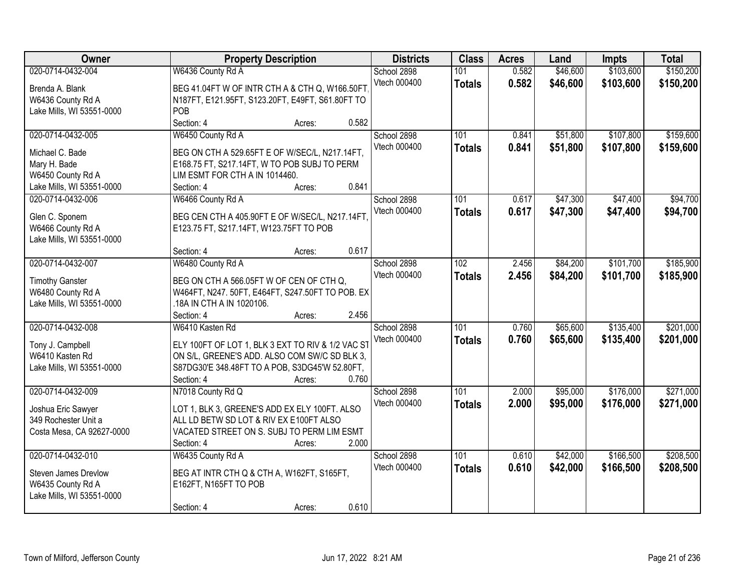| Owner                                | <b>Property Description</b>                             | <b>Districts</b>            | <b>Class</b>         | <b>Acres</b>   | Land                 | Impts                  | <b>Total</b>           |
|--------------------------------------|---------------------------------------------------------|-----------------------------|----------------------|----------------|----------------------|------------------------|------------------------|
| 020-0714-0432-004                    | W6436 County Rd A                                       | School 2898<br>Vtech 000400 | 101<br><b>Totals</b> | 0.582<br>0.582 | \$46,600<br>\$46,600 | \$103,600<br>\$103,600 | \$150,200<br>\$150,200 |
| Brenda A. Blank<br>W6436 County Rd A | BEG 41.04FT W OF INTR CTH A & CTH Q, W166.50FT          |                             |                      |                |                      |                        |                        |
| Lake Mills, WI 53551-0000            | N187FT, E121.95FT, S123.20FT, E49FT, S61.80FT TO<br>POB |                             |                      |                |                      |                        |                        |
|                                      | 0.582<br>Section: 4<br>Acres:                           |                             |                      |                |                      |                        |                        |
| 020-0714-0432-005                    | W6450 County Rd A                                       | School 2898                 | 101                  | 0.841          | \$51,800             | \$107,800              | \$159,600              |
|                                      |                                                         | Vtech 000400                | <b>Totals</b>        | 0.841          | \$51,800             | \$107,800              | \$159,600              |
| Michael C. Bade                      | BEG ON CTH A 529.65FT E OF W/SEC/L, N217.14FT,          |                             |                      |                |                      |                        |                        |
| Mary H. Bade                         | E168.75 FT, S217.14FT, W TO POB SUBJ TO PERM            |                             |                      |                |                      |                        |                        |
| W6450 County Rd A                    | LIM ESMT FOR CTH A IN 1014460.                          |                             |                      |                |                      |                        |                        |
| Lake Mills, WI 53551-0000            | 0.841<br>Section: 4<br>Acres:                           |                             |                      |                |                      |                        |                        |
| 020-0714-0432-006                    | W6466 County Rd A                                       | School 2898                 | 101                  | 0.617          | \$47,300             | \$47,400               | \$94,700               |
| Glen C. Sponem                       | BEG CEN CTH A 405.90FT E OF W/SEC/L, N217.14FT,         | Vtech 000400                | <b>Totals</b>        | 0.617          | \$47,300             | \$47,400               | \$94,700               |
| W6466 County Rd A                    | E123.75 FT, S217.14FT, W123.75FT TO POB                 |                             |                      |                |                      |                        |                        |
| Lake Mills, WI 53551-0000            |                                                         |                             |                      |                |                      |                        |                        |
|                                      | 0.617<br>Section: 4<br>Acres:                           |                             |                      |                |                      |                        |                        |
| 020-0714-0432-007                    | W6480 County Rd A                                       | School 2898                 | 102                  | 2.456          | \$84,200             | \$101,700              | \$185,900              |
| <b>Timothy Ganster</b>               | BEG ON CTH A 566.05FT W OF CEN OF CTH Q,                | Vtech 000400                | <b>Totals</b>        | 2.456          | \$84,200             | \$101,700              | \$185,900              |
| W6480 County Rd A                    | W464FT, N247. 50FT, E464FT, S247.50FT TO POB. EX        |                             |                      |                |                      |                        |                        |
| Lake Mills, WI 53551-0000            | 18A IN CTH A IN 1020106.                                |                             |                      |                |                      |                        |                        |
|                                      | 2.456<br>Section: 4<br>Acres:                           |                             |                      |                |                      |                        |                        |
| 020-0714-0432-008                    | W6410 Kasten Rd                                         | School 2898                 | 101                  | 0.760          | \$65,600             | \$135,400              | \$201,000              |
|                                      |                                                         | Vtech 000400                | <b>Totals</b>        | 0.760          | \$65,600             | \$135,400              | \$201,000              |
| Tony J. Campbell                     | ELY 100FT OF LOT 1, BLK 3 EXT TO RIV & 1/2 VAC ST       |                             |                      |                |                      |                        |                        |
| W6410 Kasten Rd                      | ON S/L, GREENE'S ADD. ALSO COM SW/C SD BLK 3,           |                             |                      |                |                      |                        |                        |
| Lake Mills, WI 53551-0000            | S87DG30'E 348.48FT TO A POB, S3DG45'W 52.80FT,          |                             |                      |                |                      |                        |                        |
|                                      | 0.760<br>Section: 4<br>Acres:                           |                             |                      |                |                      |                        |                        |
| 020-0714-0432-009                    | N7018 County Rd Q                                       | School 2898                 | 101                  | 2.000          | \$95,000             | \$176,000              | \$271,000              |
| Joshua Eric Sawyer                   | LOT 1, BLK 3, GREENE'S ADD EX ELY 100FT. ALSO           | Vtech 000400                | <b>Totals</b>        | 2.000          | \$95,000             | \$176,000              | \$271,000              |
| 349 Rochester Unit a                 | ALL LD BETW SD LOT & RIV EX E100FT ALSO                 |                             |                      |                |                      |                        |                        |
| Costa Mesa, CA 92627-0000            | VACATED STREET ON S. SUBJ TO PERM LIM ESMT              |                             |                      |                |                      |                        |                        |
|                                      | 2.000<br>Section: 4<br>Acres:                           |                             |                      |                |                      |                        |                        |
| 020-0714-0432-010                    | W6435 County Rd A                                       | School 2898                 | 101                  | 0.610          | \$42,000             | \$166,500              | \$208,500              |
|                                      |                                                         | Vtech 000400                | <b>Totals</b>        | 0.610          | \$42,000             | \$166,500              | \$208,500              |
| Steven James Drevlow                 | BEG AT INTR CTH Q & CTH A, W162FT, S165FT,              |                             |                      |                |                      |                        |                        |
| W6435 County Rd A                    | E162FT, N165FT TO POB                                   |                             |                      |                |                      |                        |                        |
| Lake Mills, WI 53551-0000            | 0.610<br>Section: 4<br>Acres:                           |                             |                      |                |                      |                        |                        |
|                                      |                                                         |                             |                      |                |                      |                        |                        |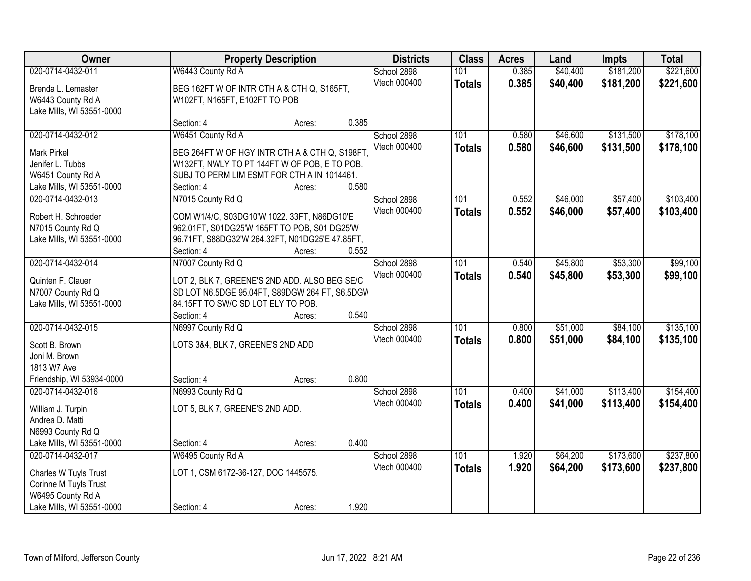| Owner                                    |                                                                                             | <b>Property Description</b> | <b>Districts</b>    | <b>Class</b>  | <b>Acres</b> | Land     | Impts     | <b>Total</b> |
|------------------------------------------|---------------------------------------------------------------------------------------------|-----------------------------|---------------------|---------------|--------------|----------|-----------|--------------|
| 020-0714-0432-011                        | W6443 County Rd A                                                                           |                             | School 2898         | 101           | 0.385        | \$40,400 | \$181,200 | \$221,600    |
| Brenda L. Lemaster                       | BEG 162FT W OF INTR CTH A & CTH Q, S165FT,                                                  |                             | Vtech 000400        | <b>Totals</b> | 0.385        | \$40,400 | \$181,200 | \$221,600    |
| W6443 County Rd A                        | W102FT, N165FT, E102FT TO POB                                                               |                             |                     |               |              |          |           |              |
| Lake Mills, WI 53551-0000                |                                                                                             |                             |                     |               |              |          |           |              |
|                                          | Section: 4                                                                                  | Acres:                      | 0.385               |               |              |          |           |              |
| 020-0714-0432-012                        | W6451 County Rd A                                                                           |                             | School 2898         | 101           | 0.580        | \$46,600 | \$131,500 | \$178,100    |
| <b>Mark Pirkel</b>                       | BEG 264FT W OF HGY INTR CTH A & CTH Q, S198FT.                                              |                             | <b>Vtech 000400</b> | <b>Totals</b> | 0.580        | \$46,600 | \$131,500 | \$178,100    |
| Jenifer L. Tubbs                         | W132FT, NWLY TO PT 144FT W OF POB, E TO POB.                                                |                             |                     |               |              |          |           |              |
| W6451 County Rd A                        | SUBJ TO PERM LIM ESMT FOR CTH A IN 1014461.                                                 |                             |                     |               |              |          |           |              |
| Lake Mills, WI 53551-0000                | Section: 4                                                                                  | Acres:                      | 0.580               |               |              |          |           |              |
| 020-0714-0432-013                        | N7015 County Rd Q                                                                           |                             | School 2898         | 101           | 0.552        | \$46,000 | \$57,400  | \$103,400    |
|                                          |                                                                                             |                             | Vtech 000400        | <b>Totals</b> | 0.552        | \$46,000 | \$57,400  | \$103,400    |
| Robert H. Schroeder<br>N7015 County Rd Q | COM W1/4/C, S03DG10'W 1022. 33FT, N86DG10'E<br>962.01FT, S01DG25'W 165FT TO POB, S01 DG25'W |                             |                     |               |              |          |           |              |
| Lake Mills, WI 53551-0000                | 96.71FT, S88DG32'W 264.32FT, N01DG25'E 47.85FT,                                             |                             |                     |               |              |          |           |              |
|                                          | Section: 4                                                                                  | Acres:                      | 0.552               |               |              |          |           |              |
| 020-0714-0432-014                        | N7007 County Rd Q                                                                           |                             | School 2898         | 101           | 0.540        | \$45,800 | \$53,300  | \$99,100     |
|                                          |                                                                                             |                             | Vtech 000400        | <b>Totals</b> | 0.540        | \$45,800 | \$53,300  | \$99,100     |
| Quinten F. Clauer                        | LOT 2, BLK 7, GREENE'S 2ND ADD. ALSO BEG SE/C                                               |                             |                     |               |              |          |           |              |
| N7007 County Rd Q                        | SD LOT N6.5DGE 95.04FT, S89DGW 264 FT, S6.5DGW                                              |                             |                     |               |              |          |           |              |
| Lake Mills, WI 53551-0000                | 84.15FT TO SW/C SD LOT ELY TO POB.<br>Section: 4                                            |                             | 0.540               |               |              |          |           |              |
| 020-0714-0432-015                        | N6997 County Rd Q                                                                           | Acres:                      | School 2898         | 101           | 0.800        | \$51,000 | \$84,100  | \$135,100    |
|                                          |                                                                                             |                             | Vtech 000400        |               | 0.800        | \$51,000 | \$84,100  |              |
| Scott B. Brown                           | LOTS 3&4, BLK 7, GREENE'S 2ND ADD                                                           |                             |                     | <b>Totals</b> |              |          |           | \$135,100    |
| Joni M. Brown                            |                                                                                             |                             |                     |               |              |          |           |              |
| 1813 W7 Ave                              |                                                                                             |                             |                     |               |              |          |           |              |
| Friendship, WI 53934-0000                | Section: 4                                                                                  | Acres:                      | 0.800               |               |              |          |           |              |
| 020-0714-0432-016                        | N6993 County Rd Q                                                                           |                             | School 2898         | 101           | 0.400        | \$41,000 | \$113,400 | \$154,400    |
| William J. Turpin                        | LOT 5, BLK 7, GREENE'S 2ND ADD.                                                             |                             | Vtech 000400        | <b>Totals</b> | 0.400        | \$41,000 | \$113,400 | \$154,400    |
| Andrea D. Matti                          |                                                                                             |                             |                     |               |              |          |           |              |
| N6993 County Rd Q                        |                                                                                             |                             |                     |               |              |          |           |              |
| Lake Mills, WI 53551-0000                | Section: 4                                                                                  | Acres:                      | 0.400               |               |              |          |           |              |
| 020-0714-0432-017                        | W6495 County Rd A                                                                           |                             | School 2898         | 101           | 1.920        | \$64,200 | \$173,600 | \$237,800    |
| Charles W Tuyls Trust                    | LOT 1, CSM 6172-36-127, DOC 1445575.                                                        |                             | Vtech 000400        | <b>Totals</b> | 1.920        | \$64,200 | \$173,600 | \$237,800    |
| Corinne M Tuyls Trust                    |                                                                                             |                             |                     |               |              |          |           |              |
| W6495 County Rd A                        |                                                                                             |                             |                     |               |              |          |           |              |
| Lake Mills, WI 53551-0000                | Section: 4                                                                                  | Acres:                      | 1.920               |               |              |          |           |              |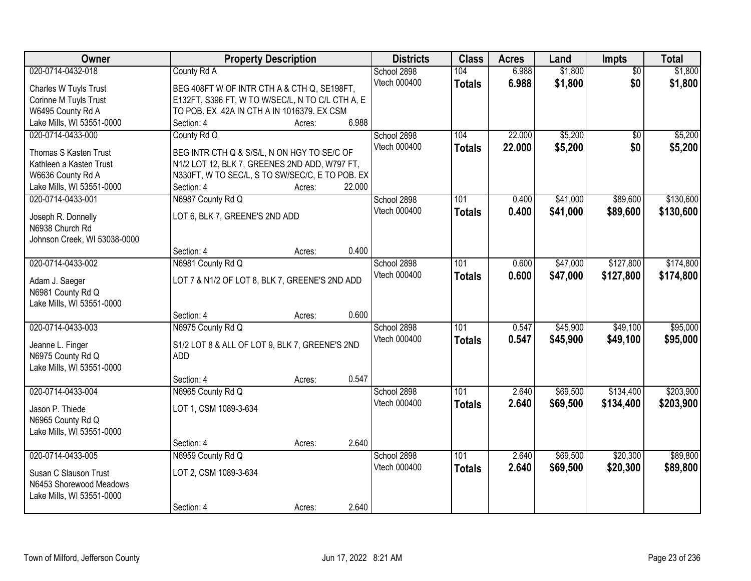| Owner                                 | <b>Property Description</b>                                  |        |        | <b>Districts</b> | <b>Class</b>     | <b>Acres</b> | Land     | <b>Impts</b>    | <b>Total</b> |
|---------------------------------------|--------------------------------------------------------------|--------|--------|------------------|------------------|--------------|----------|-----------------|--------------|
| 020-0714-0432-018                     | County Rd A                                                  |        |        | School 2898      | 104              | 6.988        | \$1,800  | $\overline{50}$ | \$1,800      |
| Charles W Tuyls Trust                 | BEG 408FT W OF INTR CTH A & CTH Q, SE198FT,                  |        |        | Vtech 000400     | <b>Totals</b>    | 6.988        | \$1,800  | \$0             | \$1,800      |
| Corinne M Tuyls Trust                 | E132FT, S396 FT, W TO W/SEC/L, N TO C/L CTH A, E             |        |        |                  |                  |              |          |                 |              |
| W6495 County Rd A                     | TO POB. EX .42A IN CTH A IN 1016379. EX CSM                  |        |        |                  |                  |              |          |                 |              |
| Lake Mills, WI 53551-0000             | Section: 4                                                   | Acres: | 6.988  |                  |                  |              |          |                 |              |
| 020-0714-0433-000                     | County Rd Q                                                  |        |        | School 2898      | 104              | 22.000       | \$5,200  | \$0             | \$5,200      |
| Thomas S Kasten Trust                 | BEG INTR CTH Q & S/S/L, N ON HGY TO SE/C OF                  |        |        | Vtech 000400     | <b>Totals</b>    | 22.000       | \$5,200  | \$0             | \$5,200      |
| Kathleen a Kasten Trust               | N1/2 LOT 12, BLK 7, GREENES 2ND ADD, W797 FT,                |        |        |                  |                  |              |          |                 |              |
| W6636 County Rd A                     | N330FT, W TO SEC/L, S TO SW/SEC/C, E TO POB. EX              |        |        |                  |                  |              |          |                 |              |
| Lake Mills, WI 53551-0000             | Section: 4                                                   | Acres: | 22.000 |                  |                  |              |          |                 |              |
| 020-0714-0433-001                     | N6987 County Rd Q                                            |        |        | School 2898      | 101              | 0.400        | \$41,000 | \$89,600        | \$130,600    |
|                                       |                                                              |        |        | Vtech 000400     | <b>Totals</b>    | 0.400        | \$41,000 | \$89,600        | \$130,600    |
| Joseph R. Donnelly                    | LOT 6, BLK 7, GREENE'S 2ND ADD                               |        |        |                  |                  |              |          |                 |              |
| N6938 Church Rd                       |                                                              |        |        |                  |                  |              |          |                 |              |
| Johnson Creek, WI 53038-0000          |                                                              |        |        |                  |                  |              |          |                 |              |
|                                       | Section: 4                                                   | Acres: | 0.400  |                  |                  |              |          |                 |              |
| 020-0714-0433-002                     | N6981 County Rd Q                                            |        |        | School 2898      | 101              | 0.600        | \$47,000 | \$127,800       | \$174,800    |
| Adam J. Saeger                        | LOT 7 & N1/2 OF LOT 8, BLK 7, GREENE'S 2ND ADD               |        |        | Vtech 000400     | <b>Totals</b>    | 0.600        | \$47,000 | \$127,800       | \$174,800    |
| N6981 County Rd Q                     |                                                              |        |        |                  |                  |              |          |                 |              |
| Lake Mills, WI 53551-0000             |                                                              |        |        |                  |                  |              |          |                 |              |
|                                       | Section: 4                                                   | Acres: | 0.600  |                  |                  |              |          |                 |              |
| 020-0714-0433-003                     | N6975 County Rd Q                                            |        |        | School 2898      | 101              | 0.547        | \$45,900 | \$49,100        | \$95,000     |
|                                       |                                                              |        |        | Vtech 000400     | <b>Totals</b>    | 0.547        | \$45,900 | \$49,100        | \$95,000     |
| Jeanne L. Finger<br>N6975 County Rd Q | S1/2 LOT 8 & ALL OF LOT 9, BLK 7, GREENE'S 2ND<br><b>ADD</b> |        |        |                  |                  |              |          |                 |              |
| Lake Mills, WI 53551-0000             |                                                              |        |        |                  |                  |              |          |                 |              |
|                                       | Section: 4                                                   | Acres: | 0.547  |                  |                  |              |          |                 |              |
| 020-0714-0433-004                     | N6965 County Rd Q                                            |        |        | School 2898      | $\overline{101}$ | 2.640        | \$69,500 | \$134,400       | \$203,900    |
|                                       |                                                              |        |        | Vtech 000400     | <b>Totals</b>    | 2.640        | \$69,500 | \$134,400       | \$203,900    |
| Jason P. Thiede                       | LOT 1, CSM 1089-3-634                                        |        |        |                  |                  |              |          |                 |              |
| N6965 County Rd Q                     |                                                              |        |        |                  |                  |              |          |                 |              |
| Lake Mills, WI 53551-0000             |                                                              |        |        |                  |                  |              |          |                 |              |
|                                       | Section: 4                                                   | Acres: | 2.640  |                  |                  |              |          |                 |              |
| 020-0714-0433-005                     | N6959 County Rd Q                                            |        |        | School 2898      | 101              | 2.640        | \$69,500 | \$20,300        | \$89,800     |
| Susan C Slauson Trust                 | LOT 2, CSM 1089-3-634                                        |        |        | Vtech 000400     | <b>Totals</b>    | 2.640        | \$69,500 | \$20,300        | \$89,800     |
| N6453 Shorewood Meadows               |                                                              |        |        |                  |                  |              |          |                 |              |
| Lake Mills, WI 53551-0000             |                                                              |        |        |                  |                  |              |          |                 |              |
|                                       | Section: 4                                                   | Acres: | 2.640  |                  |                  |              |          |                 |              |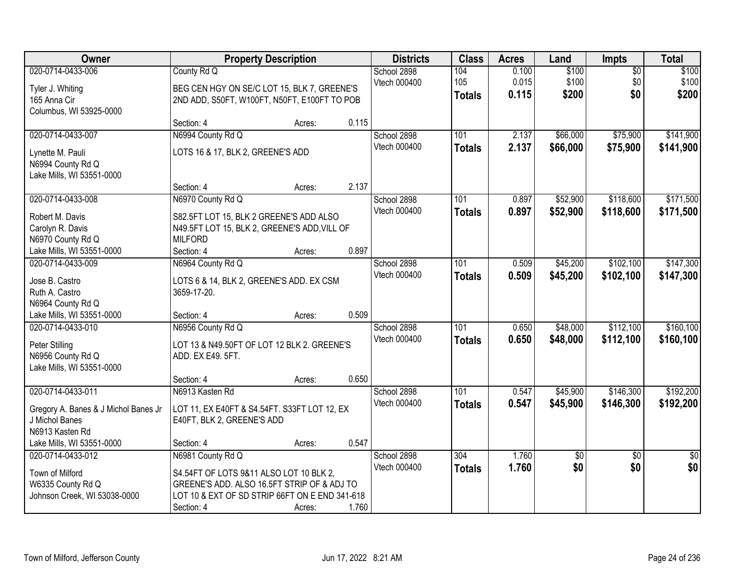| Owner                                                                                     | <b>Property Description</b>                                                                                                                                                 |        |       | <b>Districts</b>                   | <b>Class</b>                      | <b>Acres</b>            | Land                    | <b>Impts</b>                  | <b>Total</b>            |
|-------------------------------------------------------------------------------------------|-----------------------------------------------------------------------------------------------------------------------------------------------------------------------------|--------|-------|------------------------------------|-----------------------------------|-------------------------|-------------------------|-------------------------------|-------------------------|
| 020-0714-0433-006<br>Tyler J. Whiting<br>165 Anna Cir<br>Columbus, WI 53925-0000          | County Rd Q<br>BEG CEN HGY ON SE/C LOT 15, BLK 7, GREENE'S<br>2ND ADD, S50FT, W100FT, N50FT, E100FT TO POB                                                                  |        |       | School 2898<br>Vtech 000400        | 104<br>105<br><b>Totals</b>       | 0.100<br>0.015<br>0.115 | \$100<br>\$100<br>\$200 | $\overline{50}$<br>\$0<br>\$0 | \$100<br>\$100<br>\$200 |
|                                                                                           | Section: 4                                                                                                                                                                  | Acres: | 0.115 |                                    |                                   |                         |                         |                               |                         |
| 020-0714-0433-007<br>Lynette M. Pauli<br>N6994 County Rd Q<br>Lake Mills, WI 53551-0000   | N6994 County Rd Q<br>LOTS 16 & 17, BLK 2, GREENE'S ADD                                                                                                                      |        |       | School 2898<br>Vtech 000400        | 101<br><b>Totals</b>              | 2.137<br>2.137          | \$66,000<br>\$66,000    | \$75,900<br>\$75,900          | \$141,900<br>\$141,900  |
|                                                                                           | Section: 4                                                                                                                                                                  | Acres: | 2.137 |                                    |                                   |                         |                         |                               |                         |
| 020-0714-0433-008<br>Robert M. Davis<br>Carolyn R. Davis<br>N6970 County Rd Q             | N6970 County Rd Q<br>S82.5FT LOT 15, BLK 2 GREENE'S ADD ALSO<br>N49.5FT LOT 15, BLK 2, GREENE'S ADD, VILL OF<br><b>MILFORD</b>                                              |        |       | School 2898<br>Vtech 000400        | 101<br><b>Totals</b>              | 0.897<br>0.897          | \$52,900<br>\$52,900    | \$118,600<br>\$118,600        | \$171,500<br>\$171,500  |
| Lake Mills, WI 53551-0000                                                                 | Section: 4                                                                                                                                                                  | Acres: | 0.897 |                                    |                                   |                         |                         |                               |                         |
| 020-0714-0433-009<br>Jose B. Castro<br>Ruth A. Castro<br>N6964 County Rd Q                | N6964 County Rd Q<br>LOTS 6 & 14, BLK 2, GREENE'S ADD. EX CSM<br>3659-17-20.                                                                                                |        |       | School 2898<br>Vtech 000400        | 101<br><b>Totals</b>              | 0.509<br>0.509          | \$45,200<br>\$45,200    | \$102,100<br>\$102,100        | \$147,300<br>\$147,300  |
| Lake Mills, WI 53551-0000                                                                 | Section: 4                                                                                                                                                                  | Acres: | 0.509 |                                    |                                   |                         |                         |                               |                         |
| 020-0714-0433-010<br>Peter Stilling<br>N6956 County Rd Q<br>Lake Mills, WI 53551-0000     | N6956 County Rd Q<br>LOT 13 & N49.50FT OF LOT 12 BLK 2. GREENE'S<br>ADD. EX E49. 5FT.                                                                                       |        |       | School 2898<br><b>Vtech 000400</b> | $\overline{101}$<br><b>Totals</b> | 0.650<br>0.650          | \$48,000<br>\$48,000    | \$112,100<br>\$112,100        | \$160, 100<br>\$160,100 |
| 020-0714-0433-011                                                                         | Section: 4<br>N6913 Kasten Rd                                                                                                                                               | Acres: | 0.650 | School 2898                        | $\overline{101}$                  | 0.547                   | \$45,900                | \$146,300                     | \$192,200               |
| Gregory A. Banes & J Michol Banes Jr<br>J Michol Banes<br>N6913 Kasten Rd                 | LOT 11, EX E40FT & S4.54FT. S33FT LOT 12, EX<br>E40FT, BLK 2, GREENE'S ADD                                                                                                  |        |       | Vtech 000400                       | <b>Totals</b>                     | 0.547                   | \$45,900                | \$146,300                     | \$192,200               |
| Lake Mills, WI 53551-0000                                                                 | Section: 4                                                                                                                                                                  | Acres: | 0.547 |                                    |                                   |                         |                         |                               |                         |
| 020-0714-0433-012<br>Town of Milford<br>W6335 County Rd Q<br>Johnson Creek, WI 53038-0000 | N6981 County Rd Q<br>S4.54FT OF LOTS 9&11 ALSO LOT 10 BLK 2,<br>GREENE'S ADD. ALSO 16.5FT STRIP OF & ADJ TO<br>LOT 10 & EXT OF SD STRIP 66FT ON E END 341-618<br>Section: 4 | Acres: | 1.760 | School 2898<br>Vtech 000400        | 304<br><b>Totals</b>              | 1.760<br>1.760          | \$0<br>\$0              | $\overline{50}$<br>\$0        | $\overline{50}$<br>\$0  |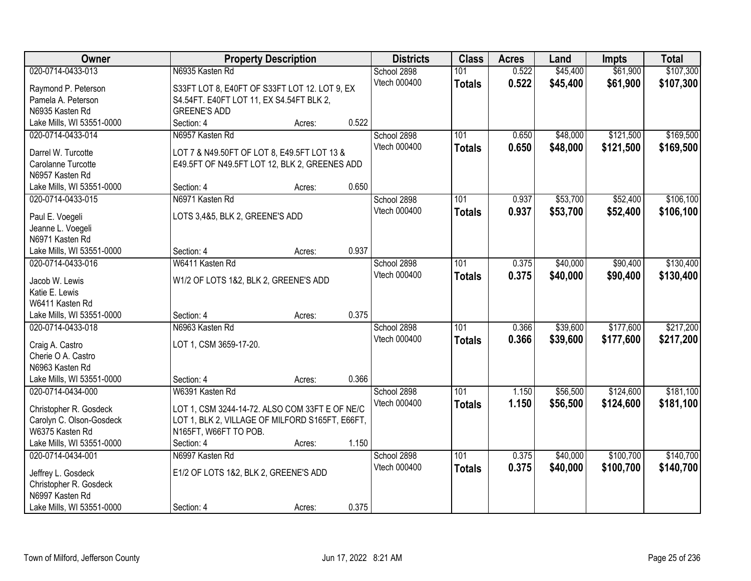| Owner                     | <b>Property Description</b>                     |        |       | <b>Districts</b> | <b>Class</b>  | <b>Acres</b> | Land     | <b>Impts</b> | <b>Total</b> |
|---------------------------|-------------------------------------------------|--------|-------|------------------|---------------|--------------|----------|--------------|--------------|
| 020-0714-0433-013         | N6935 Kasten Rd                                 |        |       | School 2898      | 101           | 0.522        | \$45,400 | \$61,900     | \$107,300    |
| Raymond P. Peterson       | S33FT LOT 8, E40FT OF S33FT LOT 12. LOT 9, EX   |        |       | Vtech 000400     | <b>Totals</b> | 0.522        | \$45,400 | \$61,900     | \$107,300    |
| Pamela A. Peterson        | S4.54FT. E40FT LOT 11, EX S4.54FT BLK 2,        |        |       |                  |               |              |          |              |              |
| N6935 Kasten Rd           | <b>GREENE'S ADD</b>                             |        |       |                  |               |              |          |              |              |
| Lake Mills, WI 53551-0000 | Section: 4                                      | Acres: | 0.522 |                  |               |              |          |              |              |
| 020-0714-0433-014         | N6957 Kasten Rd                                 |        |       | School 2898      | 101           | 0.650        | \$48,000 | \$121,500    | \$169,500    |
|                           |                                                 |        |       | Vtech 000400     | <b>Totals</b> | 0.650        | \$48,000 | \$121,500    | \$169,500    |
| Darrel W. Turcotte        | LOT 7 & N49.50FT OF LOT 8, E49.5FT LOT 13 &     |        |       |                  |               |              |          |              |              |
| Carolanne Turcotte        | E49.5FT OF N49.5FT LOT 12, BLK 2, GREENES ADD   |        |       |                  |               |              |          |              |              |
| N6957 Kasten Rd           |                                                 |        | 0.650 |                  |               |              |          |              |              |
| Lake Mills, WI 53551-0000 | Section: 4                                      | Acres: |       |                  |               |              |          |              |              |
| 020-0714-0433-015         | N6971 Kasten Rd                                 |        |       | School 2898      | 101           | 0.937        | \$53,700 | \$52,400     | \$106,100    |
| Paul E. Voegeli           | LOTS 3,4&5, BLK 2, GREENE'S ADD                 |        |       | Vtech 000400     | <b>Totals</b> | 0.937        | \$53,700 | \$52,400     | \$106,100    |
| Jeanne L. Voegeli         |                                                 |        |       |                  |               |              |          |              |              |
| N6971 Kasten Rd           |                                                 |        |       |                  |               |              |          |              |              |
| Lake Mills, WI 53551-0000 | Section: 4                                      | Acres: | 0.937 |                  |               |              |          |              |              |
| 020-0714-0433-016         | W6411 Kasten Rd                                 |        |       | School 2898      | 101           | 0.375        | \$40,000 | \$90,400     | \$130,400    |
| Jacob W. Lewis            | W1/2 OF LOTS 1&2, BLK 2, GREENE'S ADD           |        |       | Vtech 000400     | <b>Totals</b> | 0.375        | \$40,000 | \$90,400     | \$130,400    |
| Katie E. Lewis            |                                                 |        |       |                  |               |              |          |              |              |
| W6411 Kasten Rd           |                                                 |        |       |                  |               |              |          |              |              |
| Lake Mills, WI 53551-0000 | Section: 4                                      | Acres: | 0.375 |                  |               |              |          |              |              |
| 020-0714-0433-018         | N6963 Kasten Rd                                 |        |       | School 2898      | 101           | 0.366        | \$39,600 | \$177,600    | \$217,200    |
|                           |                                                 |        |       | Vtech 000400     | <b>Totals</b> | 0.366        | \$39,600 | \$177,600    | \$217,200    |
| Craig A. Castro           | LOT 1, CSM 3659-17-20.                          |        |       |                  |               |              |          |              |              |
| Cherie O A. Castro        |                                                 |        |       |                  |               |              |          |              |              |
| N6963 Kasten Rd           |                                                 |        |       |                  |               |              |          |              |              |
| Lake Mills, WI 53551-0000 | Section: 4                                      | Acres: | 0.366 |                  |               |              |          |              |              |
| 020-0714-0434-000         | W6391 Kasten Rd                                 |        |       | School 2898      | 101           | 1.150        | \$56,500 | \$124,600    | \$181,100    |
| Christopher R. Gosdeck    | LOT 1, CSM 3244-14-72. ALSO COM 33FT E OF NE/C  |        |       | Vtech 000400     | <b>Totals</b> | 1.150        | \$56,500 | \$124,600    | \$181,100    |
| Carolyn C. Olson-Gosdeck  | LOT 1, BLK 2, VILLAGE OF MILFORD S165FT, E66FT, |        |       |                  |               |              |          |              |              |
| W6375 Kasten Rd           | N165FT, W66FT TO POB.                           |        |       |                  |               |              |          |              |              |
| Lake Mills, WI 53551-0000 | Section: 4                                      | Acres: | 1.150 |                  |               |              |          |              |              |
| 020-0714-0434-001         | N6997 Kasten Rd                                 |        |       | School 2898      | 101           | 0.375        | \$40,000 | \$100,700    | \$140,700    |
|                           |                                                 |        |       | Vtech 000400     | <b>Totals</b> | 0.375        | \$40,000 | \$100,700    | \$140,700    |
| Jeffrey L. Gosdeck        | E1/2 OF LOTS 1&2, BLK 2, GREENE'S ADD           |        |       |                  |               |              |          |              |              |
| Christopher R. Gosdeck    |                                                 |        |       |                  |               |              |          |              |              |
| N6997 Kasten Rd           |                                                 |        |       |                  |               |              |          |              |              |
| Lake Mills, WI 53551-0000 | Section: 4                                      | Acres: | 0.375 |                  |               |              |          |              |              |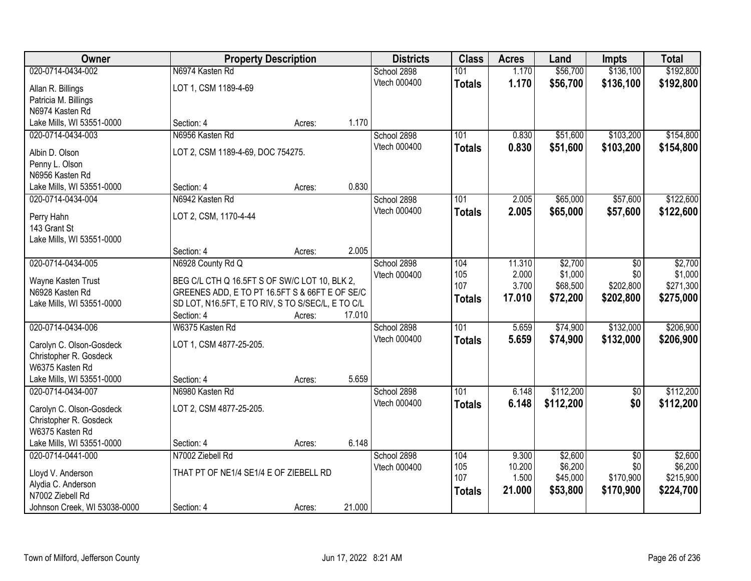| Owner                                        | <b>Property Description</b>                                                                         |        |        | <b>Districts</b> | <b>Class</b>  | <b>Acres</b>    | Land                | <b>Impts</b>     | <b>Total</b>         |
|----------------------------------------------|-----------------------------------------------------------------------------------------------------|--------|--------|------------------|---------------|-----------------|---------------------|------------------|----------------------|
| 020-0714-0434-002                            | N6974 Kasten Rd                                                                                     |        |        | School 2898      | 101           | 1.170           | \$56,700            | \$136,100        | \$192,800            |
| Allan R. Billings                            | LOT 1, CSM 1189-4-69                                                                                |        |        | Vtech 000400     | <b>Totals</b> | 1.170           | \$56,700            | \$136,100        | \$192,800            |
| Patricia M. Billings                         |                                                                                                     |        |        |                  |               |                 |                     |                  |                      |
| N6974 Kasten Rd                              |                                                                                                     |        |        |                  |               |                 |                     |                  |                      |
| Lake Mills, WI 53551-0000                    | Section: 4                                                                                          | Acres: | 1.170  |                  |               |                 |                     |                  |                      |
| 020-0714-0434-003                            | N6956 Kasten Rd                                                                                     |        |        | School 2898      | 101           | 0.830           | \$51,600            | \$103,200        | \$154,800            |
| Albin D. Olson                               | LOT 2, CSM 1189-4-69, DOC 754275.                                                                   |        |        | Vtech 000400     | <b>Totals</b> | 0.830           | \$51,600            | \$103,200        | \$154,800            |
| Penny L. Olson                               |                                                                                                     |        |        |                  |               |                 |                     |                  |                      |
| N6956 Kasten Rd                              |                                                                                                     |        |        |                  |               |                 |                     |                  |                      |
| Lake Mills, WI 53551-0000                    | Section: 4                                                                                          | Acres: | 0.830  |                  |               |                 |                     |                  |                      |
| 020-0714-0434-004                            | N6942 Kasten Rd                                                                                     |        |        | School 2898      | 101           | 2.005           | \$65,000            | \$57,600         | \$122,600            |
|                                              | LOT 2, CSM, 1170-4-44                                                                               |        |        | Vtech 000400     | <b>Totals</b> | 2.005           | \$65,000            | \$57,600         | \$122,600            |
| Perry Hahn<br>143 Grant St                   |                                                                                                     |        |        |                  |               |                 |                     |                  |                      |
| Lake Mills, WI 53551-0000                    |                                                                                                     |        |        |                  |               |                 |                     |                  |                      |
|                                              | Section: 4                                                                                          | Acres: | 2.005  |                  |               |                 |                     |                  |                      |
| 020-0714-0434-005                            | N6928 County Rd Q                                                                                   |        |        | School 2898      | 104           | 11.310          | \$2,700             | \$0              | \$2,700              |
|                                              |                                                                                                     |        |        | Vtech 000400     | 105           | 2.000           | \$1,000             | \$0              | \$1,000              |
| Wayne Kasten Trust<br>N6928 Kasten Rd        | BEG C/L CTH Q 16.5FT S OF SW/C LOT 10, BLK 2,                                                       |        |        |                  | 107           | 3.700           | \$68,500            | \$202,800        | \$271,300            |
| Lake Mills, WI 53551-0000                    | GREENES ADD, E TO PT 16.5FT S & 66FT E OF SE/C<br>SD LOT, N16.5FT, E TO RIV, S TO S/SEC/L, E TO C/L |        |        |                  | <b>Totals</b> | 17.010          | \$72,200            | \$202,800        | \$275,000            |
|                                              | Section: 4                                                                                          | Acres: | 17.010 |                  |               |                 |                     |                  |                      |
| 020-0714-0434-006                            | W6375 Kasten Rd                                                                                     |        |        | School 2898      | 101           | 5.659           | \$74,900            | \$132,000        | \$206,900            |
|                                              |                                                                                                     |        |        | Vtech 000400     | <b>Totals</b> | 5.659           | \$74,900            | \$132,000        | \$206,900            |
| Carolyn C. Olson-Gosdeck                     | LOT 1, CSM 4877-25-205.                                                                             |        |        |                  |               |                 |                     |                  |                      |
| Christopher R. Gosdeck                       |                                                                                                     |        |        |                  |               |                 |                     |                  |                      |
| W6375 Kasten Rd<br>Lake Mills, WI 53551-0000 |                                                                                                     |        | 5.659  |                  |               |                 |                     |                  |                      |
| 020-0714-0434-007                            | Section: 4<br>N6980 Kasten Rd                                                                       | Acres: |        | School 2898      | 101           | 6.148           | \$112,200           | $\sqrt{6}$       | \$112,200            |
|                                              |                                                                                                     |        |        | Vtech 000400     | <b>Totals</b> | 6.148           | \$112,200           | \$0              | \$112,200            |
| Carolyn C. Olson-Gosdeck                     | LOT 2, CSM 4877-25-205.                                                                             |        |        |                  |               |                 |                     |                  |                      |
| Christopher R. Gosdeck                       |                                                                                                     |        |        |                  |               |                 |                     |                  |                      |
| W6375 Kasten Rd                              |                                                                                                     |        |        |                  |               |                 |                     |                  |                      |
| Lake Mills, WI 53551-0000                    | Section: 4                                                                                          | Acres: | 6.148  |                  |               |                 |                     |                  |                      |
| 020-0714-0441-000                            | N7002 Ziebell Rd                                                                                    |        |        | School 2898      | 104           | 9.300           | \$2,600             | $\overline{50}$  | \$2,600              |
| Lloyd V. Anderson                            | THAT PT OF NE1/4 SE1/4 E OF ZIEBELL RD                                                              |        |        | Vtech 000400     | 105<br>107    | 10.200<br>1.500 | \$6,200<br>\$45,000 | \$0<br>\$170,900 | \$6,200<br>\$215,900 |
| Alydia C. Anderson                           |                                                                                                     |        |        |                  | <b>Totals</b> | 21.000          | \$53,800            | \$170,900        | \$224,700            |
| N7002 Ziebell Rd                             |                                                                                                     |        |        |                  |               |                 |                     |                  |                      |
| Johnson Creek, WI 53038-0000                 | Section: 4                                                                                          | Acres: | 21.000 |                  |               |                 |                     |                  |                      |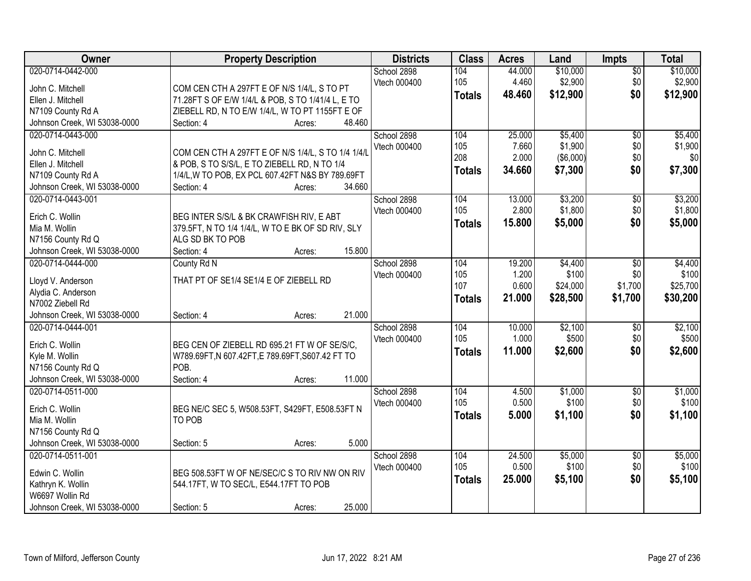| Owner                                             | <b>Property Description</b>                                              | <b>Districts</b> | <b>Class</b>  | <b>Acres</b> | Land      | Impts           | <b>Total</b> |
|---------------------------------------------------|--------------------------------------------------------------------------|------------------|---------------|--------------|-----------|-----------------|--------------|
| 020-0714-0442-000                                 |                                                                          | School 2898      | 104           | 44.000       | \$10,000  | $\overline{50}$ | \$10,000     |
| John C. Mitchell                                  | COM CEN CTH A 297FT E OF N/S 1/4/L, S TO PT                              | Vtech 000400     | 105           | 4.460        | \$2,900   | \$0             | \$2,900      |
| Ellen J. Mitchell                                 | 71.28FT S OF E/W 1/4/L & POB, S TO 1/41/4 L, E TO                        |                  | <b>Totals</b> | 48.460       | \$12,900  | \$0             | \$12,900     |
| N7109 County Rd A                                 | ZIEBELL RD, N TO E/W 1/4/L, W TO PT 1155FT E OF                          |                  |               |              |           |                 |              |
| Johnson Creek, WI 53038-0000                      | 48.460<br>Section: 4<br>Acres:                                           |                  |               |              |           |                 |              |
| 020-0714-0443-000                                 |                                                                          | School 2898      | 104           | 25.000       | \$5,400   | $\overline{50}$ | \$5,400      |
|                                                   |                                                                          | Vtech 000400     | 105           | 7.660        | \$1,900   | \$0             | \$1,900      |
| John C. Mitchell                                  | COM CEN CTH A 297FT E OF N/S 1/4/L, S TO 1/4 1/4/L                       |                  | 208           | 2.000        | (\$6,000) | \$0             | \$0          |
| Ellen J. Mitchell                                 | & POB, S TO S/S/L, E TO ZIEBELL RD, N TO 1/4                             |                  | <b>Totals</b> | 34.660       | \$7,300   | \$0             | \$7,300      |
| N7109 County Rd A<br>Johnson Creek, WI 53038-0000 | 1/4/L, W TO POB, EX PCL 607.42FT N&S BY 789.69FT<br>34.660<br>Section: 4 |                  |               |              |           |                 |              |
| 020-0714-0443-001                                 | Acres:                                                                   |                  | 104           | 13.000       | \$3,200   |                 | \$3,200      |
|                                                   |                                                                          | School 2898      | 105           | 2.800        | \$1,800   | \$0<br>\$0      | \$1,800      |
| Erich C. Wollin                                   | BEG INTER S/S/L & BK CRAWFISH RIV, E ABT                                 | Vtech 000400     |               |              |           | \$0             |              |
| Mia M. Wollin                                     | 379.5FT, N TO 1/4 1/4/L, W TO E BK OF SD RIV, SLY                        |                  | Totals        | 15.800       | \$5,000   |                 | \$5,000      |
| N7156 County Rd Q                                 | ALG SD BK TO POB                                                         |                  |               |              |           |                 |              |
| Johnson Creek, WI 53038-0000                      | 15.800<br>Section: 4<br>Acres:                                           |                  |               |              |           |                 |              |
| 020-0714-0444-000                                 | County Rd N                                                              | School 2898      | 104           | 19.200       | \$4,400   | \$0             | \$4,400      |
| Lloyd V. Anderson                                 | THAT PT OF SE1/4 SE1/4 E OF ZIEBELL RD                                   | Vtech 000400     | 105           | 1.200        | \$100     | \$0             | \$100        |
| Alydia C. Anderson                                |                                                                          |                  | 107           | 0.600        | \$24,000  | \$1,700         | \$25,700     |
| N7002 Ziebell Rd                                  |                                                                          |                  | <b>Totals</b> | 21.000       | \$28,500  | \$1,700         | \$30,200     |
| Johnson Creek, WI 53038-0000                      | 21.000<br>Section: 4<br>Acres:                                           |                  |               |              |           |                 |              |
| 020-0714-0444-001                                 |                                                                          | School 2898      | 104           | 10.000       | \$2,100   | \$0             | \$2,100      |
|                                                   |                                                                          | Vtech 000400     | 105           | 1.000        | \$500     | \$0             | \$500        |
| Erich C. Wollin                                   | BEG CEN OF ZIEBELL RD 695.21 FT W OF SE/S/C.                             |                  | <b>Totals</b> | 11.000       | \$2,600   | \$0             | \$2,600      |
| Kyle M. Wollin                                    | W789.69FT, N 607.42FT, E 789.69FT, S607.42 FT TO                         |                  |               |              |           |                 |              |
| N7156 County Rd Q                                 | POB.                                                                     |                  |               |              |           |                 |              |
| Johnson Creek, WI 53038-0000                      | 11.000<br>Section: 4<br>Acres:                                           |                  |               |              |           |                 |              |
| 020-0714-0511-000                                 |                                                                          | School 2898      | 104           | 4.500        | \$1,000   | $\sqrt{6}$      | \$1,000      |
| Erich C. Wollin                                   | BEG NE/C SEC 5, W508.53FT, S429FT, E508.53FT N                           | Vtech 000400     | 105           | 0.500        | \$100     | \$0             | \$100        |
| Mia M. Wollin                                     | TO POB                                                                   |                  | <b>Totals</b> | 5.000        | \$1,100   | \$0             | \$1,100      |
| N7156 County Rd Q                                 |                                                                          |                  |               |              |           |                 |              |
| Johnson Creek, WI 53038-0000                      | 5.000<br>Section: 5<br>Acres:                                            |                  |               |              |           |                 |              |
| 020-0714-0511-001                                 |                                                                          | School 2898      | 104           | 24.500       | \$5,000   | $\overline{50}$ | \$5,000      |
|                                                   |                                                                          | Vtech 000400     | 105           | 0.500        | \$100     | \$0             | \$100        |
| Edwin C. Wollin                                   | BEG 508.53FT W OF NE/SEC/C S TO RIV NW ON RIV                            |                  | <b>Totals</b> | 25.000       | \$5,100   | \$0             | \$5,100      |
| Kathryn K. Wollin                                 | 544.17FT, W TO SEC/L, E544.17FT TO POB                                   |                  |               |              |           |                 |              |
| W6697 Wollin Rd                                   |                                                                          |                  |               |              |           |                 |              |
| Johnson Creek, WI 53038-0000                      | 25.000<br>Section: 5<br>Acres:                                           |                  |               |              |           |                 |              |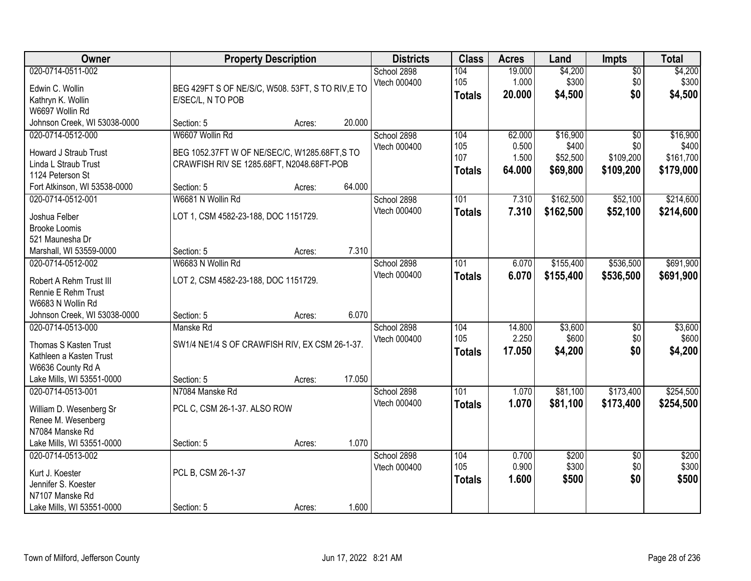| Owner                                                                                                                         | <b>Property Description</b>                                                                                                 |        |        | <b>Districts</b>            | <b>Class</b>                       | <b>Acres</b>                       | Land                                      | <b>Impts</b>                                     | <b>Total</b>                                |
|-------------------------------------------------------------------------------------------------------------------------------|-----------------------------------------------------------------------------------------------------------------------------|--------|--------|-----------------------------|------------------------------------|------------------------------------|-------------------------------------------|--------------------------------------------------|---------------------------------------------|
| 020-0714-0511-002<br>Edwin C. Wollin<br>Kathryn K. Wollin<br>W6697 Wollin Rd                                                  | BEG 429FT S OF NE/S/C, W508. 53FT, S TO RIV, E TO<br>E/SEC/L, N TO POB                                                      |        |        | School 2898<br>Vtech 000400 | 104<br>105<br><b>Totals</b>        | 19.000<br>1.000<br>20.000          | \$4,200<br>\$300<br>\$4,500               | $\overline{50}$<br>\$0<br>\$0                    | \$4,200<br>\$300<br>\$4,500                 |
| Johnson Creek, WI 53038-0000                                                                                                  | Section: 5                                                                                                                  | Acres: | 20.000 |                             |                                    |                                    |                                           |                                                  |                                             |
| 020-0714-0512-000<br><b>Howard J Straub Trust</b><br>Linda L Straub Trust<br>1124 Peterson St<br>Fort Atkinson, WI 53538-0000 | W6607 Wollin Rd<br>BEG 1052.37FT W OF NE/SEC/C, W1285.68FT, S TO<br>CRAWFISH RIV SE 1285.68FT, N2048.68FT-POB<br>Section: 5 | Acres: | 64.000 | School 2898<br>Vtech 000400 | 104<br>105<br>107<br><b>Totals</b> | 62,000<br>0.500<br>1.500<br>64.000 | \$16,900<br>\$400<br>\$52,500<br>\$69,800 | $\overline{50}$<br>\$0<br>\$109,200<br>\$109,200 | \$16,900<br>\$400<br>\$161,700<br>\$179,000 |
| 020-0714-0512-001<br>Joshua Felber<br><b>Brooke Loomis</b><br>521 Maunesha Dr<br>Marshall, WI 53559-0000                      | W6681 N Wollin Rd<br>LOT 1, CSM 4582-23-188, DOC 1151729.<br>Section: 5                                                     | Acres: | 7.310  | School 2898<br>Vtech 000400 | 101<br><b>Totals</b>               | 7.310<br>7.310                     | \$162,500<br>\$162,500                    | \$52,100<br>\$52,100                             | \$214,600<br>\$214,600                      |
| 020-0714-0512-002<br>Robert A Rehm Trust III<br>Rennie E Rehm Trust<br>W6683 N Wollin Rd<br>Johnson Creek, WI 53038-0000      | W6683 N Wollin Rd<br>LOT 2, CSM 4582-23-188, DOC 1151729.<br>Section: 5                                                     | Acres: | 6.070  | School 2898<br>Vtech 000400 | 101<br><b>Totals</b>               | 6.070<br>6.070                     | \$155,400<br>\$155,400                    | \$536,500<br>\$536,500                           | \$691,900<br>\$691,900                      |
| 020-0714-0513-000<br>Thomas S Kasten Trust<br>Kathleen a Kasten Trust<br>W6636 County Rd A<br>Lake Mills, WI 53551-0000       | Manske Rd<br>SW1/4 NE1/4 S OF CRAWFISH RIV, EX CSM 26-1-37.<br>Section: 5                                                   | Acres: | 17.050 | School 2898<br>Vtech 000400 | 104<br>105<br><b>Totals</b>        | 14.800<br>2.250<br>17.050          | \$3,600<br>\$600<br>\$4,200               | $\overline{50}$<br>\$0<br>\$0                    | \$3,600<br>\$600<br>\$4,200                 |
| 020-0714-0513-001<br>William D. Wesenberg Sr<br>Renee M. Wesenberg<br>N7084 Manske Rd<br>Lake Mills, WI 53551-0000            | N7084 Manske Rd<br>PCL C, CSM 26-1-37. ALSO ROW<br>Section: 5                                                               | Acres: | 1.070  | School 2898<br>Vtech 000400 | 101<br><b>Totals</b>               | 1.070<br>1.070                     | \$81,100<br>\$81,100                      | \$173,400<br>\$173,400                           | \$254,500<br>\$254,500                      |
| 020-0714-0513-002<br>Kurt J. Koester<br>Jennifer S. Koester<br>N7107 Manske Rd<br>Lake Mills, WI 53551-0000                   | PCL B, CSM 26-1-37<br>Section: 5                                                                                            | Acres: | 1.600  | School 2898<br>Vtech 000400 | 104<br>105<br><b>Totals</b>        | 0.700<br>0.900<br>1.600            | \$200<br>\$300<br>\$500                   | $\overline{50}$<br>\$0<br>\$0                    | \$200<br>\$300<br>\$500                     |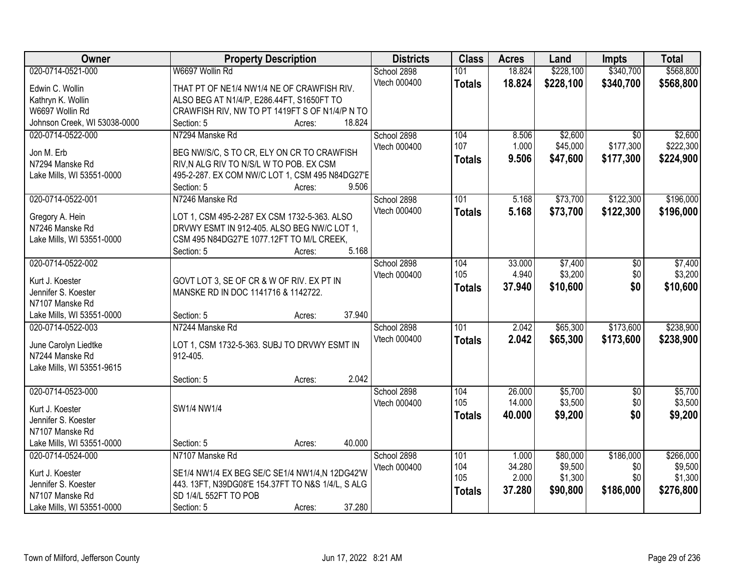| Owner                              | <b>Property Description</b>                                                                 | <b>Districts</b> | <b>Class</b>  | <b>Acres</b> | Land      | <b>Impts</b>    | <b>Total</b> |
|------------------------------------|---------------------------------------------------------------------------------------------|------------------|---------------|--------------|-----------|-----------------|--------------|
| 020-0714-0521-000                  | W6697 Wollin Rd                                                                             | School 2898      | 101           | 18.824       | \$228,100 | \$340,700       | \$568,800    |
| Edwin C. Wollin                    | THAT PT OF NE1/4 NW1/4 NE OF CRAWFISH RIV.                                                  | Vtech 000400     | <b>Totals</b> | 18.824       | \$228,100 | \$340,700       | \$568,800    |
| Kathryn K. Wollin                  | ALSO BEG AT N1/4/P, E286.44FT, S1650FT TO                                                   |                  |               |              |           |                 |              |
| W6697 Wollin Rd                    | CRAWFISH RIV, NW TO PT 1419FT S OF N1/4/P N TO                                              |                  |               |              |           |                 |              |
| Johnson Creek, WI 53038-0000       | 18.824<br>Section: 5<br>Acres:                                                              |                  |               |              |           |                 |              |
| 020-0714-0522-000                  | N7294 Manske Rd                                                                             | School 2898      | 104           | 8.506        | \$2,600   | $\overline{30}$ | \$2,600      |
| Jon M. Erb                         | BEG NW/S/C, S TO CR, ELY ON CR TO CRAWFISH                                                  | Vtech 000400     | 107           | 1.000        | \$45,000  | \$177,300       | \$222,300    |
| N7294 Manske Rd                    | RIV, N ALG RIV TO N/S/L W TO POB. EX CSM                                                    |                  | <b>Totals</b> | 9.506        | \$47,600  | \$177,300       | \$224,900    |
| Lake Mills, WI 53551-0000          | 495-2-287. EX COM NW/C LOT 1, CSM 495 N84DG27'E                                             |                  |               |              |           |                 |              |
|                                    | 9.506<br>Section: 5<br>Acres:                                                               |                  |               |              |           |                 |              |
| 020-0714-0522-001                  | N7246 Manske Rd                                                                             | School 2898      | 101           | 5.168        | \$73,700  | \$122,300       | \$196,000    |
|                                    |                                                                                             | Vtech 000400     | <b>Totals</b> | 5.168        | \$73,700  | \$122,300       | \$196,000    |
| Gregory A. Hein<br>N7246 Manske Rd | LOT 1, CSM 495-2-287 EX CSM 1732-5-363. ALSO<br>DRVWY ESMT IN 912-405. ALSO BEG NW/C LOT 1, |                  |               |              |           |                 |              |
| Lake Mills, WI 53551-0000          | CSM 495 N84DG27'E 1077.12FT TO M/L CREEK,                                                   |                  |               |              |           |                 |              |
|                                    | 5.168<br>Section: 5<br>Acres:                                                               |                  |               |              |           |                 |              |
| 020-0714-0522-002                  |                                                                                             | School 2898      | 104           | 33.000       | \$7,400   | $\sqrt[6]{}$    | \$7,400      |
|                                    |                                                                                             | Vtech 000400     | 105           | 4.940        | \$3,200   | \$0             | \$3,200      |
| Kurt J. Koester                    | GOVT LOT 3, SE OF CR & W OF RIV. EX PT IN                                                   |                  | <b>Totals</b> | 37.940       | \$10,600  | \$0             | \$10,600     |
| Jennifer S. Koester                | MANSKE RD IN DOC 1141716 & 1142722.                                                         |                  |               |              |           |                 |              |
| N7107 Manske Rd                    |                                                                                             |                  |               |              |           |                 |              |
| Lake Mills, WI 53551-0000          | 37.940<br>Section: 5<br>Acres:                                                              |                  | 101           |              |           |                 |              |
| 020-0714-0522-003                  | N7244 Manske Rd                                                                             | School 2898      |               | 2.042        | \$65,300  | \$173,600       | \$238,900    |
| June Carolyn Liedtke               | LOT 1, CSM 1732-5-363. SUBJ TO DRVWY ESMT IN                                                | Vtech 000400     | <b>Totals</b> | 2.042        | \$65,300  | \$173,600       | \$238,900    |
| N7244 Manske Rd                    | 912-405.                                                                                    |                  |               |              |           |                 |              |
| Lake Mills, WI 53551-9615          |                                                                                             |                  |               |              |           |                 |              |
|                                    | 2.042<br>Section: 5<br>Acres:                                                               |                  |               |              |           |                 |              |
| 020-0714-0523-000                  |                                                                                             | School 2898      | 104           | 26.000       | \$5,700   | $\overline{50}$ | \$5,700      |
| Kurt J. Koester                    | SW1/4 NW1/4                                                                                 | Vtech 000400     | 105           | 14.000       | \$3,500   | \$0             | \$3,500      |
| Jennifer S. Koester                |                                                                                             |                  | <b>Totals</b> | 40.000       | \$9,200   | \$0             | \$9,200      |
| N7107 Manske Rd                    |                                                                                             |                  |               |              |           |                 |              |
| Lake Mills, WI 53551-0000          | 40.000<br>Section: 5<br>Acres:                                                              |                  |               |              |           |                 |              |
| 020-0714-0524-000                  | N7107 Manske Rd                                                                             | School 2898      | 101           | 1.000        | \$80,000  | \$186,000       | \$266,000    |
| Kurt J. Koester                    | SE1/4 NW1/4 EX BEG SE/C SE1/4 NW1/4,N 12DG42'W                                              | Vtech 000400     | 104           | 34.280       | \$9,500   | \$0             | \$9,500      |
| Jennifer S. Koester                | 443. 13FT, N39DG08'E 154.37FT TO N&S 1/4/L, S ALG                                           |                  | 105           | 2.000        | \$1,300   | \$0             | \$1,300      |
| N7107 Manske Rd                    | SD 1/4/L 552FT TO POB                                                                       |                  | <b>Totals</b> | 37.280       | \$90,800  | \$186,000       | \$276,800    |
| Lake Mills, WI 53551-0000          | 37.280<br>Section: 5<br>Acres:                                                              |                  |               |              |           |                 |              |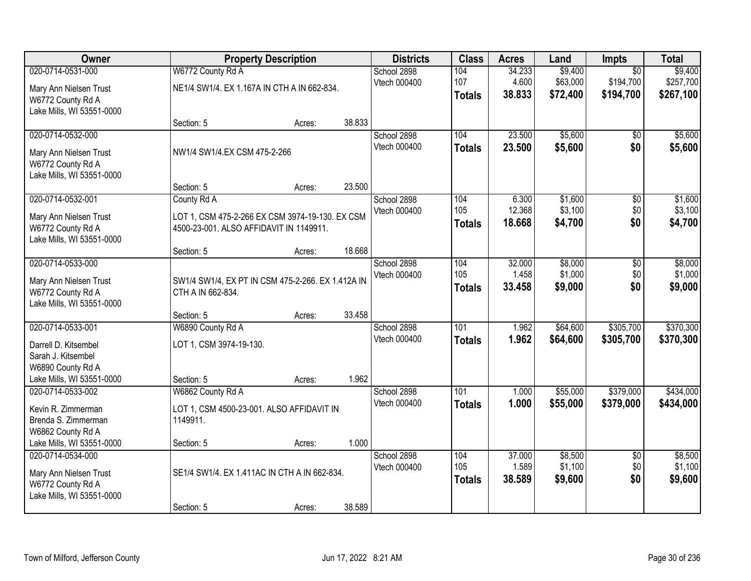| Owner                                          |                                                                        | <b>Property Description</b> |        | <b>Districts</b>            | <b>Class</b>  | <b>Acres</b>     | Land               | <b>Impts</b>           | <b>Total</b>       |
|------------------------------------------------|------------------------------------------------------------------------|-----------------------------|--------|-----------------------------|---------------|------------------|--------------------|------------------------|--------------------|
| 020-0714-0531-000                              | W6772 County Rd A                                                      |                             |        | School 2898                 | 104           | 34.233           | \$9,400            | $\overline{50}$        | \$9,400            |
| Mary Ann Nielsen Trust                         | NE1/4 SW1/4. EX 1.167A IN CTH A IN 662-834.                            |                             |        | Vtech 000400                | 107           | 4.600            | \$63,000           | \$194,700              | \$257,700          |
| W6772 County Rd A                              |                                                                        |                             |        |                             | <b>Totals</b> | 38,833           | \$72,400           | \$194,700              | \$267,100          |
| Lake Mills, WI 53551-0000                      |                                                                        |                             |        |                             |               |                  |                    |                        |                    |
|                                                | Section: 5                                                             | Acres:                      | 38.833 |                             |               |                  |                    |                        |                    |
| 020-0714-0532-000                              |                                                                        |                             |        | School 2898<br>Vtech 000400 | 104           | 23.500<br>23.500 | \$5,600            | $\overline{50}$        | \$5,600            |
| Mary Ann Nielsen Trust                         | NW1/4 SW1/4.EX CSM 475-2-266                                           |                             |        |                             | <b>Totals</b> |                  | \$5,600            | \$0                    | \$5,600            |
| W6772 County Rd A                              |                                                                        |                             |        |                             |               |                  |                    |                        |                    |
| Lake Mills, WI 53551-0000                      | Section: 5                                                             |                             | 23.500 |                             |               |                  |                    |                        |                    |
| 020-0714-0532-001                              | County Rd A                                                            | Acres:                      |        | School 2898                 | 104           | 6.300            | \$1,600            | \$0                    | \$1,600            |
|                                                |                                                                        |                             |        | Vtech 000400                | 105           | 12.368           | \$3,100            | \$0                    | \$3,100            |
| Mary Ann Nielsen Trust                         | LOT 1, CSM 475-2-266 EX CSM 3974-19-130. EX CSM                        |                             |        |                             | <b>Totals</b> | 18.668           | \$4,700            | \$0                    | \$4,700            |
| W6772 County Rd A<br>Lake Mills, WI 53551-0000 | 4500-23-001. ALSO AFFIDAVIT IN 1149911.                                |                             |        |                             |               |                  |                    |                        |                    |
|                                                | Section: 5                                                             | Acres:                      | 18.668 |                             |               |                  |                    |                        |                    |
| 020-0714-0533-000                              |                                                                        |                             |        | School 2898                 | 104           | 32.000           | \$8,000            | \$0                    | \$8,000            |
|                                                |                                                                        |                             |        | Vtech 000400                | 105           | 1.458            | \$1,000            | \$0                    | \$1,000            |
| Mary Ann Nielsen Trust<br>W6772 County Rd A    | SW1/4 SW1/4, EX PT IN CSM 475-2-266. EX 1.412A IN<br>CTH A IN 662-834. |                             |        |                             | <b>Totals</b> | 33.458           | \$9,000            | \$0                    | \$9,000            |
| Lake Mills, WI 53551-0000                      |                                                                        |                             |        |                             |               |                  |                    |                        |                    |
|                                                | Section: 5                                                             | Acres:                      | 33.458 |                             |               |                  |                    |                        |                    |
| 020-0714-0533-001                              | W6890 County Rd A                                                      |                             |        | School 2898                 | 101           | 1.962            | \$64,600           | \$305,700              | \$370,300          |
| Darrell D. Kitsembel                           | LOT 1, CSM 3974-19-130.                                                |                             |        | Vtech 000400                | <b>Totals</b> | 1.962            | \$64,600           | \$305,700              | \$370,300          |
| Sarah J. Kitsembel                             |                                                                        |                             |        |                             |               |                  |                    |                        |                    |
| W6890 County Rd A                              |                                                                        |                             |        |                             |               |                  |                    |                        |                    |
| Lake Mills, WI 53551-0000                      | Section: 5                                                             | Acres:                      | 1.962  |                             |               |                  |                    |                        |                    |
| 020-0714-0533-002                              | W6862 County Rd A                                                      |                             |        | School 2898                 | 101           | 1.000            | \$55,000           | \$379,000              | \$434,000          |
| Kevin R. Zimmerman                             | LOT 1, CSM 4500-23-001. ALSO AFFIDAVIT IN                              |                             |        | Vtech 000400                | <b>Totals</b> | 1.000            | \$55,000           | \$379,000              | \$434,000          |
| Brenda S. Zimmerman                            | 1149911.                                                               |                             |        |                             |               |                  |                    |                        |                    |
| W6862 County Rd A                              |                                                                        |                             |        |                             |               |                  |                    |                        |                    |
| Lake Mills, WI 53551-0000                      | Section: 5                                                             | Acres:                      | 1.000  |                             |               |                  |                    |                        |                    |
| 020-0714-0534-000                              |                                                                        |                             |        | School 2898<br>Vtech 000400 | 104<br>105    | 37.000<br>1.589  | \$8,500<br>\$1,100 | $\overline{50}$<br>\$0 | \$8,500<br>\$1,100 |
| Mary Ann Nielsen Trust                         | SE1/4 SW1/4. EX 1.411AC IN CTH A IN 662-834.                           |                             |        |                             | <b>Totals</b> | 38.589           | \$9,600            | \$0                    | \$9,600            |
| W6772 County Rd A                              |                                                                        |                             |        |                             |               |                  |                    |                        |                    |
| Lake Mills, WI 53551-0000                      |                                                                        |                             |        |                             |               |                  |                    |                        |                    |
|                                                | Section: 5                                                             | Acres:                      | 38.589 |                             |               |                  |                    |                        |                    |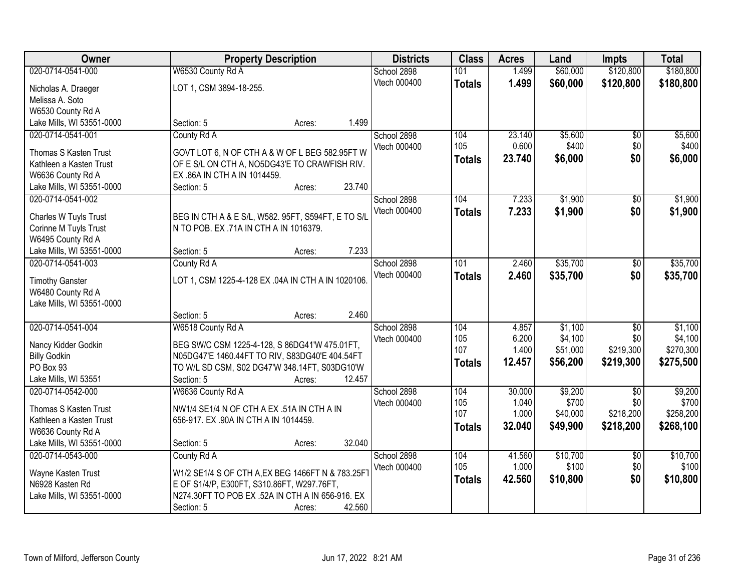| Owner                                          |                                                    | <b>Property Description</b> |        | <b>Districts</b> | <b>Class</b>  | <b>Acres</b> | Land     | <b>Impts</b>    | <b>Total</b> |
|------------------------------------------------|----------------------------------------------------|-----------------------------|--------|------------------|---------------|--------------|----------|-----------------|--------------|
| 020-0714-0541-000                              | W6530 County Rd A                                  |                             |        | School 2898      | 101           | 1.499        | \$60,000 | \$120,800       | \$180,800    |
| Nicholas A. Draeger                            | LOT 1, CSM 3894-18-255.                            |                             |        | Vtech 000400     | <b>Totals</b> | 1.499        | \$60,000 | \$120,800       | \$180,800    |
| Melissa A. Soto                                |                                                    |                             |        |                  |               |              |          |                 |              |
| W6530 County Rd A                              |                                                    |                             |        |                  |               |              |          |                 |              |
| Lake Mills, WI 53551-0000                      | Section: 5                                         | Acres:                      | 1.499  |                  |               |              |          |                 |              |
| 020-0714-0541-001                              | County Rd A                                        |                             |        | School 2898      | 104           | 23.140       | \$5,600  | \$0             | \$5,600      |
|                                                |                                                    |                             |        | Vtech 000400     | 105           | 0.600        | \$400    | \$0             | \$400        |
| Thomas S Kasten Trust                          | GOVT LOT 6, N OF CTH A & W OF L BEG 582.95FT W     |                             |        |                  | <b>Totals</b> | 23.740       | \$6,000  | \$0             | \$6,000      |
| Kathleen a Kasten Trust                        | OF E S/L ON CTH A, NO5DG43'E TO CRAWFISH RIV.      |                             |        |                  |               |              |          |                 |              |
| W6636 County Rd A<br>Lake Mills, WI 53551-0000 | EX .86A IN CTH A IN 1014459.<br>Section: 5         | Acres:                      | 23.740 |                  |               |              |          |                 |              |
| 020-0714-0541-002                              |                                                    |                             |        | School 2898      | 104           | 7.233        | \$1,900  | \$0             | \$1,900      |
|                                                |                                                    |                             |        | Vtech 000400     |               |              |          |                 |              |
| Charles W Tuyls Trust                          | BEG IN CTH A & E S/L, W582. 95FT, S594FT, E TO S/L |                             |        |                  | <b>Totals</b> | 7.233        | \$1,900  | \$0             | \$1,900      |
| Corinne M Tuyls Trust                          | N TO POB. EX .71A IN CTH A IN 1016379.             |                             |        |                  |               |              |          |                 |              |
| W6495 County Rd A                              |                                                    |                             |        |                  |               |              |          |                 |              |
| Lake Mills, WI 53551-0000                      | Section: 5                                         | Acres:                      | 7.233  |                  |               |              |          |                 |              |
| 020-0714-0541-003                              | County Rd A                                        |                             |        | School 2898      | 101           | 2.460        | \$35,700 | $\sqrt[6]{}$    | \$35,700     |
| <b>Timothy Ganster</b>                         | LOT 1, CSM 1225-4-128 EX .04A IN CTH A IN 1020106. |                             |        | Vtech 000400     | <b>Totals</b> | 2.460        | \$35,700 | \$0             | \$35,700     |
| W6480 County Rd A                              |                                                    |                             |        |                  |               |              |          |                 |              |
| Lake Mills, WI 53551-0000                      |                                                    |                             |        |                  |               |              |          |                 |              |
|                                                | Section: 5                                         | Acres:                      | 2.460  |                  |               |              |          |                 |              |
| 020-0714-0541-004                              | W6518 County Rd A                                  |                             |        | School 2898      | 104           | 4.857        | \$1,100  | $\overline{30}$ | \$1,100      |
|                                                |                                                    |                             |        | Vtech 000400     | 105           | 6.200        | \$4,100  | \$0             | \$4,100      |
| Nancy Kidder Godkin                            | BEG SW/C CSM 1225-4-128, S 86DG41'W 475.01FT,      |                             |        |                  | 107           | 1.400        | \$51,000 | \$219,300       | \$270,300    |
| <b>Billy Godkin</b>                            | N05DG47'E 1460.44FT TO RIV, S83DG40'E 404.54FT     |                             |        |                  | <b>Totals</b> | 12.457       | \$56,200 | \$219,300       | \$275,500    |
| PO Box 93                                      | TO W/L SD CSM, S02 DG47'W 348.14FT, S03DG10'W      |                             |        |                  |               |              |          |                 |              |
| Lake Mills, WI 53551                           | Section: 5                                         | Acres:                      | 12.457 |                  |               |              |          |                 |              |
| 020-0714-0542-000                              | W6636 County Rd A                                  |                             |        | School 2898      | 104           | 30.000       | \$9,200  | $\sqrt{6}$      | \$9,200      |
| Thomas S Kasten Trust                          | NW1/4 SE1/4 N OF CTH A EX .51A IN CTH A IN         |                             |        | Vtech 000400     | 105           | 1.040        | \$700    | \$0             | \$700        |
| Kathleen a Kasten Trust                        | 656-917. EX .90A IN CTH A IN 1014459.              |                             |        |                  | 107           | 1.000        | \$40,000 | \$218,200       | \$258,200    |
| W6636 County Rd A                              |                                                    |                             |        |                  | <b>Totals</b> | 32.040       | \$49,900 | \$218,200       | \$268,100    |
| Lake Mills, WI 53551-0000                      | Section: 5                                         | Acres:                      | 32.040 |                  |               |              |          |                 |              |
| 020-0714-0543-000                              | County Rd A                                        |                             |        | School 2898      | 104           | 41.560       | \$10,700 | $\overline{30}$ | \$10,700     |
|                                                |                                                    |                             |        | Vtech 000400     | 105           | 1.000        | \$100    | \$0             | \$100        |
| Wayne Kasten Trust                             | W1/2 SE1/4 S OF CTH A, EX BEG 1466FT N & 783.25F1  |                             |        |                  | <b>Totals</b> | 42.560       | \$10,800 | \$0             | \$10,800     |
| N6928 Kasten Rd                                | E OF S1/4/P, E300FT, S310.86FT, W297.76FT,         |                             |        |                  |               |              |          |                 |              |
| Lake Mills, WI 53551-0000                      | N274.30FT TO POB EX .52A IN CTH A IN 656-916. EX   |                             |        |                  |               |              |          |                 |              |
|                                                | Section: 5                                         | Acres:                      | 42.560 |                  |               |              |          |                 |              |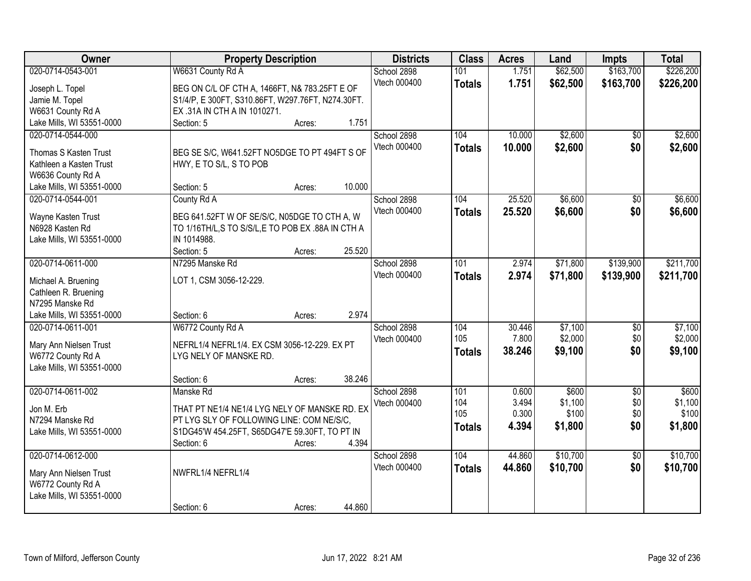| Owner                     | <b>Property Description</b>                      |        |        | <b>Districts</b> | <b>Class</b>  | <b>Acres</b> | Land     | <b>Impts</b>    | <b>Total</b> |
|---------------------------|--------------------------------------------------|--------|--------|------------------|---------------|--------------|----------|-----------------|--------------|
| 020-0714-0543-001         | W6631 County Rd A                                |        |        | School 2898      | 101           | 1.751        | \$62,500 | \$163,700       | \$226,200    |
| Joseph L. Topel           | BEG ON C/L OF CTH A, 1466FT, N& 783.25FT E OF    |        |        | Vtech 000400     | <b>Totals</b> | 1.751        | \$62,500 | \$163,700       | \$226,200    |
| Jamie M. Topel            | S1/4/P, E300FT, S310.86FT, W297.76FT, N274.30FT. |        |        |                  |               |              |          |                 |              |
| W6631 County Rd A         | EX .31A IN CTH A IN 1010271.                     |        |        |                  |               |              |          |                 |              |
| Lake Mills, WI 53551-0000 | Section: 5                                       | Acres: | 1.751  |                  |               |              |          |                 |              |
| 020-0714-0544-000         |                                                  |        |        | School 2898      | 104           | 10.000       | \$2,600  | $\overline{50}$ | \$2,600      |
|                           |                                                  |        |        | Vtech 000400     | <b>Totals</b> | 10.000       | \$2,600  | \$0             | \$2,600      |
| Thomas S Kasten Trust     | BEG SE S/C, W641.52FT NO5DGE TO PT 494FT S OF    |        |        |                  |               |              |          |                 |              |
| Kathleen a Kasten Trust   | HWY, E TO S/L, S TO POB                          |        |        |                  |               |              |          |                 |              |
| W6636 County Rd A         |                                                  |        |        |                  |               |              |          |                 |              |
| Lake Mills, WI 53551-0000 | Section: 5                                       | Acres: | 10.000 |                  |               |              |          |                 |              |
| 020-0714-0544-001         | County Rd A                                      |        |        | School 2898      | 104           | 25.520       | \$6,600  | $\overline{50}$ | \$6,600      |
| Wayne Kasten Trust        | BEG 641.52FT W OF SE/S/C, N05DGE TO CTH A, W     |        |        | Vtech 000400     | <b>Totals</b> | 25.520       | \$6,600  | \$0             | \$6,600      |
| N6928 Kasten Rd           | TO 1/16TH/L,S TO S/S/L,E TO POB EX .88A IN CTH A |        |        |                  |               |              |          |                 |              |
| Lake Mills, WI 53551-0000 | IN 1014988.                                      |        |        |                  |               |              |          |                 |              |
|                           | Section: 5                                       | Acres: | 25.520 |                  |               |              |          |                 |              |
| 020-0714-0611-000         | N7295 Manske Rd                                  |        |        | School 2898      | 101           | 2.974        | \$71,800 | \$139,900       | \$211,700    |
|                           |                                                  |        |        | Vtech 000400     | <b>Totals</b> | 2.974        | \$71,800 | \$139,900       | \$211,700    |
| Michael A. Bruening       | LOT 1, CSM 3056-12-229.                          |        |        |                  |               |              |          |                 |              |
| Cathleen R. Bruening      |                                                  |        |        |                  |               |              |          |                 |              |
| N7295 Manske Rd           |                                                  |        |        |                  |               |              |          |                 |              |
| Lake Mills, WI 53551-0000 | Section: 6                                       | Acres: | 2.974  |                  |               |              |          |                 |              |
| 020-0714-0611-001         | W6772 County Rd A                                |        |        | School 2898      | 104           | 30.446       | \$7,100  | $\overline{50}$ | \$7,100      |
| Mary Ann Nielsen Trust    | NEFRL1/4 NEFRL1/4. EX CSM 3056-12-229. EX PT     |        |        | Vtech 000400     | 105           | 7.800        | \$2,000  | \$0             | \$2,000      |
| W6772 County Rd A         | LYG NELY OF MANSKE RD.                           |        |        |                  | <b>Totals</b> | 38.246       | \$9,100  | \$0             | \$9,100      |
| Lake Mills, WI 53551-0000 |                                                  |        |        |                  |               |              |          |                 |              |
|                           | Section: 6                                       |        | 38.246 |                  |               |              |          |                 |              |
| 020-0714-0611-002         | Manske Rd                                        | Acres: |        | School 2898      | 101           | 0.600        | \$600    | $\overline{50}$ | \$600        |
|                           |                                                  |        |        | Vtech 000400     | 104           | 3.494        | \$1,100  | \$0             | \$1,100      |
| Jon M. Erb                | THAT PT NE1/4 NE1/4 LYG NELY OF MANSKE RD. EX    |        |        |                  | 105           | 0.300        | \$100    | \$0             | \$100        |
| N7294 Manske Rd           | PT LYG SLY OF FOLLOWING LINE: COM NE/S/C,        |        |        |                  |               | 4.394        | \$1,800  | \$0             | \$1,800      |
| Lake Mills, WI 53551-0000 | S1DG45'W 454.25FT, S65DG47'E 59.30FT, TO PT IN   |        |        |                  | <b>Totals</b> |              |          |                 |              |
|                           | Section: 6                                       | Acres: | 4.394  |                  |               |              |          |                 |              |
| 020-0714-0612-000         |                                                  |        |        | School 2898      | 104           | 44.860       | \$10,700 | $\overline{50}$ | \$10,700     |
|                           | NWFRL1/4 NEFRL1/4                                |        |        | Vtech 000400     | <b>Totals</b> | 44.860       | \$10,700 | \$0             | \$10,700     |
| Mary Ann Nielsen Trust    |                                                  |        |        |                  |               |              |          |                 |              |
| W6772 County Rd A         |                                                  |        |        |                  |               |              |          |                 |              |
| Lake Mills, WI 53551-0000 |                                                  |        |        |                  |               |              |          |                 |              |
|                           | Section: 6                                       | Acres: | 44.860 |                  |               |              |          |                 |              |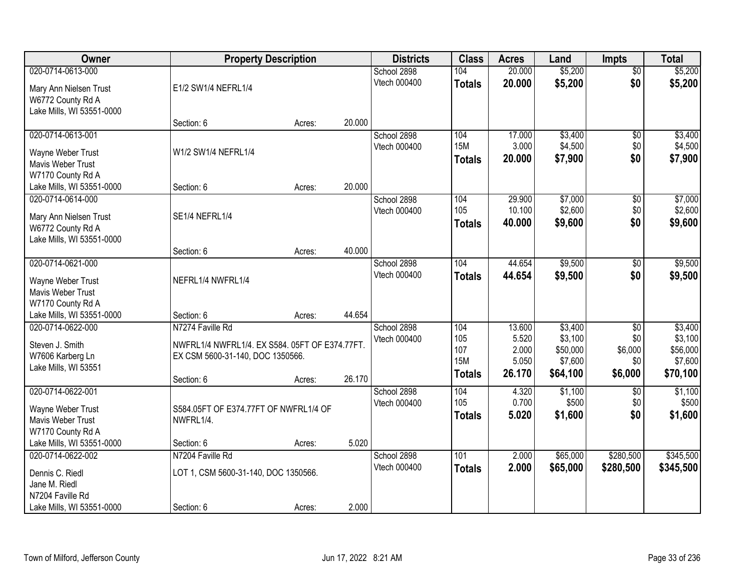| Owner                     | <b>Property Description</b>                    |        |        | <b>Districts</b> | <b>Class</b>  | <b>Acres</b> | Land     | <b>Impts</b>    | <b>Total</b> |
|---------------------------|------------------------------------------------|--------|--------|------------------|---------------|--------------|----------|-----------------|--------------|
| 020-0714-0613-000         |                                                |        |        | School 2898      | 104           | 20.000       | \$5,200  | $\overline{50}$ | \$5,200      |
| Mary Ann Nielsen Trust    | E1/2 SW1/4 NEFRL1/4                            |        |        | Vtech 000400     | <b>Totals</b> | 20.000       | \$5,200  | \$0             | \$5,200      |
| W6772 County Rd A         |                                                |        |        |                  |               |              |          |                 |              |
| Lake Mills, WI 53551-0000 |                                                |        |        |                  |               |              |          |                 |              |
|                           | Section: 6                                     | Acres: | 20.000 |                  |               |              |          |                 |              |
| 020-0714-0613-001         |                                                |        |        | School 2898      | 104           | 17.000       | \$3,400  | \$0             | \$3,400      |
| Wayne Weber Trust         | W1/2 SW1/4 NEFRL1/4                            |        |        | Vtech 000400     | <b>15M</b>    | 3.000        | \$4,500  | \$0             | \$4,500      |
| <b>Mavis Weber Trust</b>  |                                                |        |        |                  | <b>Totals</b> | 20.000       | \$7,900  | \$0             | \$7,900      |
| W7170 County Rd A         |                                                |        |        |                  |               |              |          |                 |              |
| Lake Mills, WI 53551-0000 | Section: 6                                     | Acres: | 20.000 |                  |               |              |          |                 |              |
| 020-0714-0614-000         |                                                |        |        | School 2898      | 104           | 29.900       | \$7,000  | \$0             | \$7,000      |
| Mary Ann Nielsen Trust    | SE1/4 NEFRL1/4                                 |        |        | Vtech 000400     | 105           | 10.100       | \$2,600  | \$0             | \$2,600      |
| W6772 County Rd A         |                                                |        |        |                  | <b>Totals</b> | 40.000       | \$9,600  | \$0             | \$9,600      |
| Lake Mills, WI 53551-0000 |                                                |        |        |                  |               |              |          |                 |              |
|                           | Section: 6                                     | Acres: | 40.000 |                  |               |              |          |                 |              |
| 020-0714-0621-000         |                                                |        |        | School 2898      | 104           | 44.654       | \$9,500  | $\sqrt[6]{3}$   | \$9,500      |
| Wayne Weber Trust         | NEFRL1/4 NWFRL1/4                              |        |        | Vtech 000400     | <b>Totals</b> | 44.654       | \$9,500  | \$0             | \$9,500      |
| Mavis Weber Trust         |                                                |        |        |                  |               |              |          |                 |              |
| W7170 County Rd A         |                                                |        |        |                  |               |              |          |                 |              |
| Lake Mills, WI 53551-0000 | Section: 6                                     | Acres: | 44.654 |                  |               |              |          |                 |              |
| 020-0714-0622-000         | N7274 Faville Rd                               |        |        | School 2898      | 104           | 13.600       | \$3,400  | $\overline{50}$ | \$3,400      |
| Steven J. Smith           | NWFRL1/4 NWFRL1/4. EX S584. 05FT OF E374.77FT. |        |        | Vtech 000400     | 105           | 5.520        | \$3,100  | \$0             | \$3,100      |
| W7606 Karberg Ln          | EX CSM 5600-31-140, DOC 1350566.               |        |        |                  | 107           | 2.000        | \$50,000 | \$6,000         | \$56,000     |
| Lake Mills, WI 53551      |                                                |        |        |                  | <b>15M</b>    | 5.050        | \$7,600  | \$0             | \$7,600      |
|                           | Section: 6                                     | Acres: | 26.170 |                  | <b>Totals</b> | 26.170       | \$64,100 | \$6,000         | \$70,100     |
| 020-0714-0622-001         |                                                |        |        | School 2898      | 104           | 4.320        | \$1,100  | $\overline{50}$ | \$1,100      |
| Wayne Weber Trust         | S584.05FT OF E374.77FT OF NWFRL1/4 OF          |        |        | Vtech 000400     | 105           | 0.700        | \$500    | \$0             | \$500        |
| Mavis Weber Trust         | NWFRL1/4.                                      |        |        |                  | <b>Totals</b> | 5.020        | \$1,600  | \$0             | \$1,600      |
| W7170 County Rd A         |                                                |        |        |                  |               |              |          |                 |              |
| Lake Mills, WI 53551-0000 | Section: 6                                     | Acres: | 5.020  |                  |               |              |          |                 |              |
| 020-0714-0622-002         | N7204 Faville Rd                               |        |        | School 2898      | 101           | 2.000        | \$65,000 | \$280,500       | \$345,500    |
| Dennis C. Riedl           | LOT 1, CSM 5600-31-140, DOC 1350566.           |        |        | Vtech 000400     | <b>Totals</b> | 2.000        | \$65,000 | \$280,500       | \$345,500    |
| Jane M. Riedl             |                                                |        |        |                  |               |              |          |                 |              |
| N7204 Faville Rd          |                                                |        |        |                  |               |              |          |                 |              |
| Lake Mills, WI 53551-0000 | Section: 6                                     | Acres: | 2.000  |                  |               |              |          |                 |              |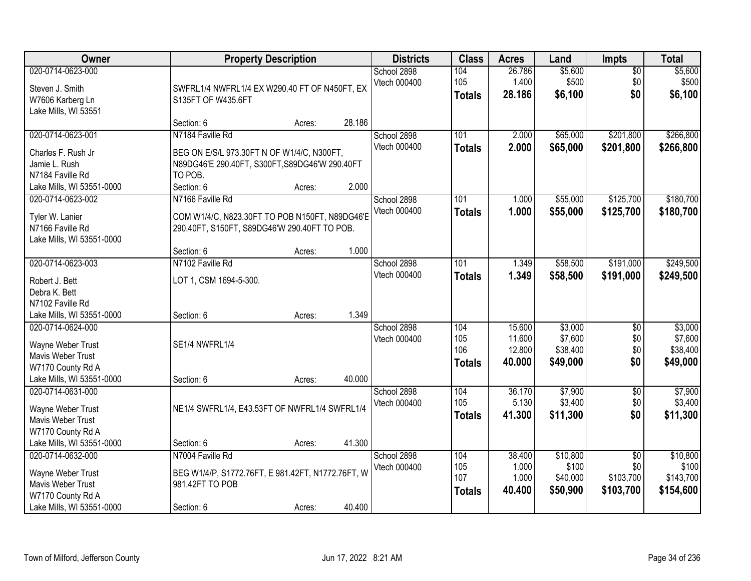| Owner                                                                                                                                      |                                                                                                                                           | <b>Property Description</b> |                 | <b>Districts</b>            | <b>Class</b>                       | <b>Acres</b>                         | Land                                       | Impts                                            | <b>Total</b>                                |
|--------------------------------------------------------------------------------------------------------------------------------------------|-------------------------------------------------------------------------------------------------------------------------------------------|-----------------------------|-----------------|-----------------------------|------------------------------------|--------------------------------------|--------------------------------------------|--------------------------------------------------|---------------------------------------------|
| 020-0714-0623-000<br>Steven J. Smith<br>W7606 Karberg Ln<br>Lake Mills, WI 53551                                                           | SWFRL1/4 NWFRL1/4 EX W290.40 FT OF N450FT, EX<br>S135FT OF W435.6FT                                                                       |                             |                 | School 2898<br>Vtech 000400 | 104<br>105<br><b>Totals</b>        | 26.786<br>1.400<br>28.186            | \$5,600<br>\$500<br>\$6,100                | $\overline{60}$<br>\$0<br>\$0                    | \$5,600<br>\$500<br>\$6,100                 |
|                                                                                                                                            | Section: 6                                                                                                                                | Acres:                      | 28.186          |                             |                                    |                                      |                                            |                                                  |                                             |
| 020-0714-0623-001<br>Charles F. Rush Jr<br>Jamie L. Rush<br>N7184 Faville Rd<br>Lake Mills, WI 53551-0000                                  | N7184 Faville Rd<br>BEG ON E/S/L 973.30FT N OF W1/4/C, N300FT,<br>N89DG46'E 290.40FT, S300FT, S89DG46'W 290.40FT<br>TO POB.<br>Section: 6 | Acres:                      | 2.000           | School 2898<br>Vtech 000400 | 101<br><b>Totals</b>               | 2.000<br>2.000                       | \$65,000<br>\$65,000                       | \$201,800<br>\$201,800                           | \$266,800<br>\$266,800                      |
| 020-0714-0623-002<br>Tyler W. Lanier<br>N7166 Faville Rd<br>Lake Mills, WI 53551-0000                                                      | N7166 Faville Rd<br>COM W1/4/C, N823.30FT TO POB N150FT, N89DG46'E<br>290.40FT, S150FT, S89DG46'W 290.40FT TO POB.                        |                             |                 | School 2898<br>Vtech 000400 | 101<br><b>Totals</b>               | 1.000<br>1.000                       | \$55,000<br>\$55,000                       | \$125,700<br>\$125,700                           | \$180,700<br>\$180,700                      |
|                                                                                                                                            | Section: 6                                                                                                                                | Acres:                      | 1.000           |                             |                                    |                                      |                                            |                                                  |                                             |
| 020-0714-0623-003<br>Robert J. Bett<br>Debra K. Bett<br>N7102 Faville Rd                                                                   | N7102 Faville Rd<br>LOT 1, CSM 1694-5-300.                                                                                                |                             |                 | School 2898<br>Vtech 000400 | 101<br><b>Totals</b>               | 1.349<br>1.349                       | \$58,500<br>\$58,500                       | \$191,000<br>\$191,000                           | \$249,500<br>\$249,500                      |
| Lake Mills, WI 53551-0000<br>020-0714-0624-000<br>Wayne Weber Trust<br>Mavis Weber Trust<br>W7170 County Rd A<br>Lake Mills, WI 53551-0000 | Section: 6<br>SE1/4 NWFRL1/4<br>Section: 6                                                                                                | Acres:<br>Acres:            | 1.349<br>40.000 | School 2898<br>Vtech 000400 | 104<br>105<br>106<br>Totals        | 15.600<br>11.600<br>12.800<br>40.000 | \$3,000<br>\$7,600<br>\$38,400<br>\$49,000 | $\overline{50}$<br>\$0<br>\$0<br>\$0             | \$3,000<br>\$7,600<br>\$38,400<br>\$49,000  |
| 020-0714-0631-000<br>Wayne Weber Trust<br>Mavis Weber Trust<br>W7170 County Rd A<br>Lake Mills, WI 53551-0000                              | NE1/4 SWFRL1/4, E43.53FT OF NWFRL1/4 SWFRL1/4<br>Section: 6                                                                               | Acres:                      | 41.300          | School 2898<br>Vtech 000400 | 104<br>105<br><b>Totals</b>        | 36.170<br>5.130<br>41.300            | \$7,900<br>\$3,400<br>\$11,300             | $\overline{50}$<br>\$0<br>\$0                    | \$7,900<br>\$3,400<br>\$11,300              |
| 020-0714-0632-000<br>Wayne Weber Trust<br>Mavis Weber Trust<br>W7170 County Rd A<br>Lake Mills, WI 53551-0000                              | N7004 Faville Rd<br>BEG W1/4/P, S1772.76FT, E 981.42FT, N1772.76FT, W<br>981.42FT TO POB<br>Section: 6                                    | Acres:                      | 40.400          | School 2898<br>Vtech 000400 | 104<br>105<br>107<br><b>Totals</b> | 38.400<br>1.000<br>1.000<br>40.400   | \$10,800<br>\$100<br>\$40,000<br>\$50,900  | $\overline{50}$<br>\$0<br>\$103,700<br>\$103,700 | \$10,800<br>\$100<br>\$143,700<br>\$154,600 |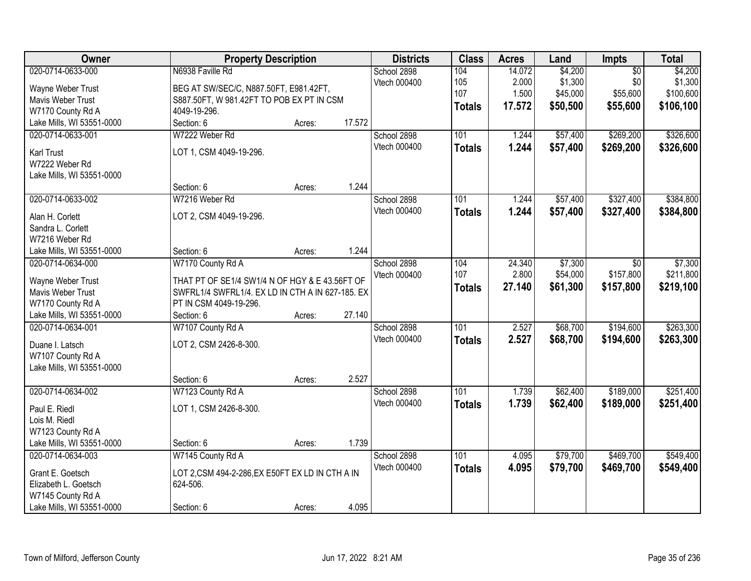| Owner                                          | <b>Property Description</b>                      |        |        | <b>Districts</b> | <b>Class</b>     | <b>Acres</b> | Land     | Impts           | <b>Total</b> |
|------------------------------------------------|--------------------------------------------------|--------|--------|------------------|------------------|--------------|----------|-----------------|--------------|
| 020-0714-0633-000                              | N6938 Faville Rd                                 |        |        | School 2898      | 104              | 14.072       | \$4,200  | $\overline{50}$ | \$4,200      |
| Wayne Weber Trust                              | BEG AT SW/SEC/C, N887.50FT, E981.42FT,           |        |        | Vtech 000400     | 105              | 2.000        | \$1,300  | \$0             | \$1,300      |
| Mavis Weber Trust                              | S887.50FT, W 981.42FT TO POB EX PT IN CSM        |        |        |                  | 107              | 1.500        | \$45,000 | \$55,600        | \$100,600    |
| W7170 County Rd A                              | 4049-19-296.                                     |        |        |                  | <b>Totals</b>    | 17.572       | \$50,500 | \$55,600        | \$106,100    |
| Lake Mills, WI 53551-0000                      | Section: 6                                       | Acres: | 17.572 |                  |                  |              |          |                 |              |
| 020-0714-0633-001                              | W7222 Weber Rd                                   |        |        | School 2898      | 101              | 1.244        | \$57,400 | \$269,200       | \$326,600    |
|                                                |                                                  |        |        | Vtech 000400     | <b>Totals</b>    | 1.244        | \$57,400 | \$269,200       | \$326,600    |
| Karl Trust<br>W7222 Weber Rd                   | LOT 1, CSM 4049-19-296.                          |        |        |                  |                  |              |          |                 |              |
| Lake Mills, WI 53551-0000                      |                                                  |        |        |                  |                  |              |          |                 |              |
|                                                | Section: 6                                       | Acres: | 1.244  |                  |                  |              |          |                 |              |
| 020-0714-0633-002                              | W7216 Weber Rd                                   |        |        | School 2898      | 101              | 1.244        | \$57,400 | \$327,400       | \$384,800    |
|                                                |                                                  |        |        | Vtech 000400     |                  | 1.244        | \$57,400 | \$327,400       | \$384,800    |
| Alan H. Corlett                                | LOT 2, CSM 4049-19-296.                          |        |        |                  | <b>Totals</b>    |              |          |                 |              |
| Sandra L. Corlett                              |                                                  |        |        |                  |                  |              |          |                 |              |
| W7216 Weber Rd                                 |                                                  |        |        |                  |                  |              |          |                 |              |
| Lake Mills, WI 53551-0000                      | Section: 6                                       | Acres: | 1.244  |                  |                  |              |          |                 |              |
| 020-0714-0634-000                              | W7170 County Rd A                                |        |        | School 2898      | 104              | 24.340       | \$7,300  | $\sqrt{6}$      | \$7,300      |
| Wayne Weber Trust                              | THAT PT OF SE1/4 SW1/4 N OF HGY & E 43.56FT OF   |        |        | Vtech 000400     | 107              | 2.800        | \$54,000 | \$157,800       | \$211,800    |
| Mavis Weber Trust                              | SWFRL1/4 SWFRL1/4. EX LD IN CTH A IN 627-185. EX |        |        |                  | <b>Totals</b>    | 27.140       | \$61,300 | \$157,800       | \$219,100    |
| W7170 County Rd A                              | PT IN CSM 4049-19-296.                           |        |        |                  |                  |              |          |                 |              |
| Lake Mills, WI 53551-0000                      | Section: 6                                       | Acres: | 27.140 |                  |                  |              |          |                 |              |
| 020-0714-0634-001                              | W7107 County Rd A                                |        |        | School 2898      | 101              | 2.527        | \$68,700 | \$194,600       | \$263,300    |
|                                                |                                                  |        |        | Vtech 000400     | <b>Totals</b>    | 2.527        | \$68,700 | \$194,600       | \$263,300    |
| Duane I. Latsch                                | LOT 2, CSM 2426-8-300.                           |        |        |                  |                  |              |          |                 |              |
| W7107 County Rd A<br>Lake Mills, WI 53551-0000 |                                                  |        |        |                  |                  |              |          |                 |              |
|                                                | Section: 6                                       | Acres: | 2.527  |                  |                  |              |          |                 |              |
| 020-0714-0634-002                              | W7123 County Rd A                                |        |        | School 2898      | $\overline{101}$ | 1.739        | \$62,400 | \$189,000       | \$251,400    |
|                                                |                                                  |        |        | Vtech 000400     | <b>Totals</b>    | 1.739        | \$62,400 | \$189,000       | \$251,400    |
| Paul E. Riedl                                  | LOT 1, CSM 2426-8-300.                           |        |        |                  |                  |              |          |                 |              |
| Lois M. Riedl                                  |                                                  |        |        |                  |                  |              |          |                 |              |
| W7123 County Rd A                              |                                                  |        |        |                  |                  |              |          |                 |              |
| Lake Mills, WI 53551-0000                      | Section: 6                                       | Acres: | 1.739  |                  |                  |              |          |                 |              |
| 020-0714-0634-003                              | W7145 County Rd A                                |        |        | School 2898      | 101              | 4.095        | \$79,700 | \$469,700       | \$549,400    |
| Grant E. Goetsch                               | LOT 2,CSM 494-2-286,EX E50FT EX LD IN CTH A IN   |        |        | Vtech 000400     | <b>Totals</b>    | 4.095        | \$79,700 | \$469,700       | \$549,400    |
| Elizabeth L. Goetsch                           | 624-506.                                         |        |        |                  |                  |              |          |                 |              |
| W7145 County Rd A                              |                                                  |        |        |                  |                  |              |          |                 |              |
| Lake Mills, WI 53551-0000                      | Section: 6                                       | Acres: | 4.095  |                  |                  |              |          |                 |              |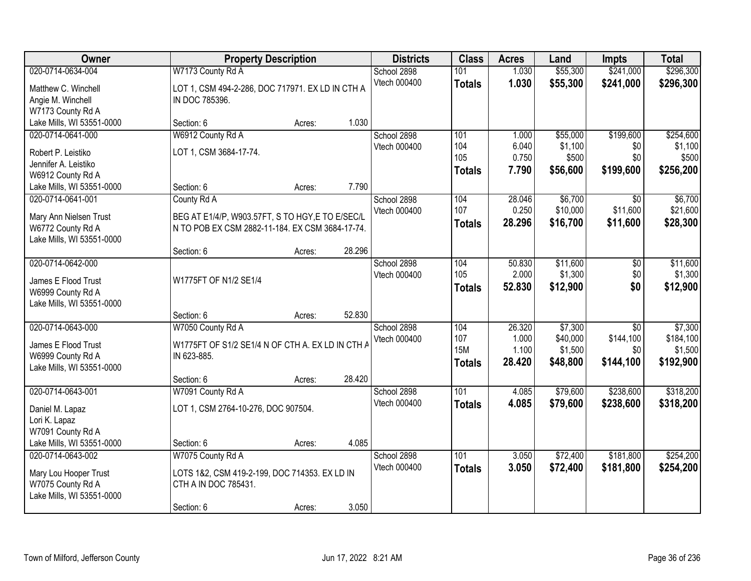| Owner                     | <b>Property Description</b>                      |        |        | <b>Districts</b> | <b>Class</b>  | <b>Acres</b> | Land     | <b>Impts</b>    | <b>Total</b> |
|---------------------------|--------------------------------------------------|--------|--------|------------------|---------------|--------------|----------|-----------------|--------------|
| 020-0714-0634-004         | W7173 County Rd A                                |        |        | School 2898      | 101           | 1.030        | \$55,300 | \$241,000       | \$296,300    |
| Matthew C. Winchell       | LOT 1, CSM 494-2-286, DOC 717971. EX LD IN CTH A |        |        | Vtech 000400     | <b>Totals</b> | 1.030        | \$55,300 | \$241,000       | \$296,300    |
| Angie M. Winchell         | IN DOC 785396.                                   |        |        |                  |               |              |          |                 |              |
| W7173 County Rd A         |                                                  |        |        |                  |               |              |          |                 |              |
| Lake Mills, WI 53551-0000 | Section: 6                                       | Acres: | 1.030  |                  |               |              |          |                 |              |
| 020-0714-0641-000         | W6912 County Rd A                                |        |        | School 2898      | 101           | 1.000        | \$55,000 | \$199,600       | \$254,600    |
| Robert P. Leistiko        | LOT 1, CSM 3684-17-74.                           |        |        | Vtech 000400     | 104           | 6.040        | \$1,100  | \$0             | \$1,100      |
| Jennifer A. Leistiko      |                                                  |        |        |                  | 105           | 0.750        | \$500    | \$0             | \$500        |
| W6912 County Rd A         |                                                  |        |        |                  | <b>Totals</b> | 7.790        | \$56,600 | \$199,600       | \$256,200    |
| Lake Mills, WI 53551-0000 | Section: 6                                       | Acres: | 7.790  |                  |               |              |          |                 |              |
| 020-0714-0641-001         | County Rd A                                      |        |        | School 2898      | 104           | 28.046       | \$6,700  | \$0             | \$6,700      |
| Mary Ann Nielsen Trust    | BEG AT E1/4/P, W903.57FT, S TO HGY, E TO E/SEC/L |        |        | Vtech 000400     | 107           | 0.250        | \$10,000 | \$11,600        | \$21,600     |
| W6772 County Rd A         | N TO POB EX CSM 2882-11-184. EX CSM 3684-17-74.  |        |        |                  | <b>Totals</b> | 28.296       | \$16,700 | \$11,600        | \$28,300     |
| Lake Mills, WI 53551-0000 |                                                  |        |        |                  |               |              |          |                 |              |
|                           | Section: 6                                       | Acres: | 28.296 |                  |               |              |          |                 |              |
| 020-0714-0642-000         |                                                  |        |        | School 2898      | 104           | 50.830       | \$11,600 | \$0             | \$11,600     |
| James E Flood Trust       | W1775FT OF N1/2 SE1/4                            |        |        | Vtech 000400     | 105           | 2.000        | \$1,300  | \$0             | \$1,300      |
| W6999 County Rd A         |                                                  |        |        |                  | <b>Totals</b> | 52.830       | \$12,900 | \$0             | \$12,900     |
| Lake Mills, WI 53551-0000 |                                                  |        |        |                  |               |              |          |                 |              |
|                           | Section: 6                                       | Acres: | 52.830 |                  |               |              |          |                 |              |
| 020-0714-0643-000         | W7050 County Rd A                                |        |        | School 2898      | 104           | 26.320       | \$7,300  | $\overline{30}$ | \$7,300      |
| James E Flood Trust       | W1775FT OF S1/2 SE1/4 N OF CTH A. EX LD IN CTH A |        |        | Vtech 000400     | 107           | 1.000        | \$40,000 | \$144,100       | \$184,100    |
| W6999 County Rd A         | IN 623-885.                                      |        |        |                  | <b>15M</b>    | 1.100        | \$1,500  | \$0             | \$1,500      |
| Lake Mills, WI 53551-0000 |                                                  |        |        |                  | <b>Totals</b> | 28.420       | \$48,800 | \$144,100       | \$192,900    |
|                           | Section: 6                                       | Acres: | 28.420 |                  |               |              |          |                 |              |
| 020-0714-0643-001         | W7091 County Rd A                                |        |        | School 2898      | 101           | 4.085        | \$79,600 | \$238,600       | \$318,200    |
| Daniel M. Lapaz           | LOT 1, CSM 2764-10-276, DOC 907504.              |        |        | Vtech 000400     | <b>Totals</b> | 4.085        | \$79,600 | \$238,600       | \$318,200    |
| Lori K. Lapaz             |                                                  |        |        |                  |               |              |          |                 |              |
| W7091 County Rd A         |                                                  |        |        |                  |               |              |          |                 |              |
| Lake Mills, WI 53551-0000 | Section: 6                                       | Acres: | 4.085  |                  |               |              |          |                 |              |
| 020-0714-0643-002         | W7075 County Rd A                                |        |        | School 2898      | 101           | 3.050        | \$72,400 | \$181,800       | \$254,200    |
| Mary Lou Hooper Trust     | LOTS 1&2, CSM 419-2-199, DOC 714353. EX LD IN    |        |        | Vtech 000400     | <b>Totals</b> | 3.050        | \$72,400 | \$181,800       | \$254,200    |
| W7075 County Rd A         | CTH A IN DOC 785431.                             |        |        |                  |               |              |          |                 |              |
| Lake Mills, WI 53551-0000 |                                                  |        |        |                  |               |              |          |                 |              |
|                           | Section: 6                                       | Acres: | 3.050  |                  |               |              |          |                 |              |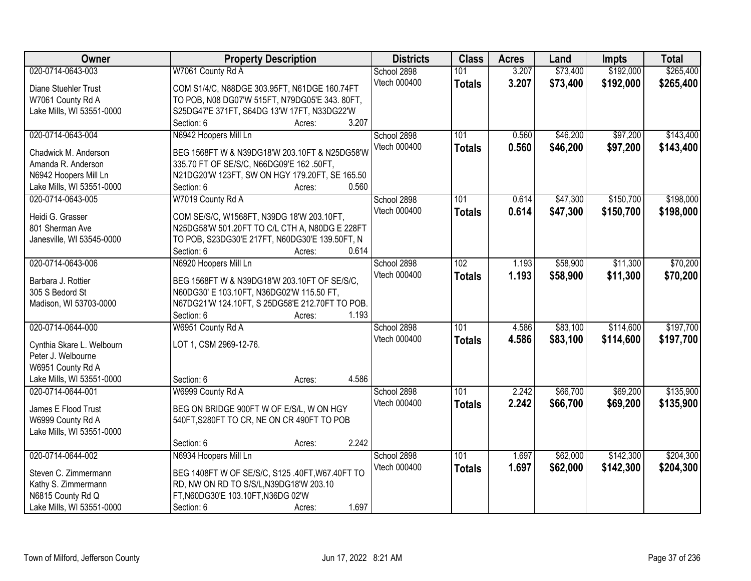| Owner                     | <b>Property Description</b>                     | <b>Districts</b> | <b>Class</b>  | <b>Acres</b> | Land     | <b>Impts</b> | <b>Total</b> |
|---------------------------|-------------------------------------------------|------------------|---------------|--------------|----------|--------------|--------------|
| 020-0714-0643-003         | W7061 County Rd A                               | School 2898      | 101           | 3.207        | \$73,400 | \$192,000    | \$265,400    |
| Diane Stuehler Trust      | COM S1/4/C, N88DGE 303.95FT, N61DGE 160.74FT    | Vtech 000400     | <b>Totals</b> | 3.207        | \$73,400 | \$192,000    | \$265,400    |
| W7061 County Rd A         | TO POB, N08 DG07'W 515FT, N79DG05'E 343. 80FT,  |                  |               |              |          |              |              |
| Lake Mills, WI 53551-0000 | S25DG47'E 371FT, S64DG 13'W 17FT, N33DG22'W     |                  |               |              |          |              |              |
|                           | 3.207<br>Section: 6<br>Acres:                   |                  |               |              |          |              |              |
| 020-0714-0643-004         | N6942 Hoopers Mill Ln                           | School 2898      | 101           | 0.560        | \$46,200 | \$97,200     | \$143,400    |
|                           |                                                 | Vtech 000400     | <b>Totals</b> | 0.560        | \$46,200 | \$97,200     | \$143,400    |
| Chadwick M. Anderson      | BEG 1568FT W & N39DG18'W 203.10FT & N25DG58'W   |                  |               |              |          |              |              |
| Amanda R. Anderson        | 335.70 FT OF SE/S/C, N66DG09'E 162 .50FT,       |                  |               |              |          |              |              |
| N6942 Hoopers Mill Ln     | N21DG20'W 123FT, SW ON HGY 179.20FT, SE 165.50  |                  |               |              |          |              |              |
| Lake Mills, WI 53551-0000 | 0.560<br>Section: 6<br>Acres:                   |                  |               |              |          |              |              |
| 020-0714-0643-005         | W7019 County Rd A                               | School 2898      | 101           | 0.614        | \$47,300 | \$150,700    | \$198,000    |
| Heidi G. Grasser          | COM SE/S/C, W1568FT, N39DG 18'W 203.10FT,       | Vtech 000400     | <b>Totals</b> | 0.614        | \$47,300 | \$150,700    | \$198,000    |
| 801 Sherman Ave           | N25DG58'W 501.20FT TO C/L CTH A, N80DG E 228FT  |                  |               |              |          |              |              |
| Janesville, WI 53545-0000 | TO POB, S23DG30'E 217FT, N60DG30'E 139.50FT, N  |                  |               |              |          |              |              |
|                           | 0.614<br>Section: 6<br>Acres:                   |                  |               |              |          |              |              |
| 020-0714-0643-006         | N6920 Hoopers Mill Ln                           | School 2898      | 102           | 1.193        | \$58,900 | \$11,300     | \$70,200     |
|                           |                                                 | Vtech 000400     | <b>Totals</b> | 1.193        | \$58,900 | \$11,300     | \$70,200     |
| Barbara J. Rottier        | BEG 1568FT W & N39DG18'W 203.10FT OF SE/S/C,    |                  |               |              |          |              |              |
| 305 S Bedord St           | N60DG30' E 103.10FT, N36DG02'W 115.50 FT,       |                  |               |              |          |              |              |
| Madison, WI 53703-0000    | N67DG21'W 124.10FT, S 25DG58'E 212.70FT TO POB. |                  |               |              |          |              |              |
|                           | 1.193<br>Section: 6<br>Acres:                   |                  |               |              |          |              |              |
| 020-0714-0644-000         | W6951 County Rd A                               | School 2898      | 101           | 4.586        | \$83,100 | \$114,600    | \$197,700    |
| Cynthia Skare L. Welbourn | LOT 1, CSM 2969-12-76.                          | Vtech 000400     | <b>Totals</b> | 4.586        | \$83,100 | \$114,600    | \$197,700    |
| Peter J. Welbourne        |                                                 |                  |               |              |          |              |              |
| W6951 County Rd A         |                                                 |                  |               |              |          |              |              |
| Lake Mills, WI 53551-0000 | 4.586<br>Section: 6<br>Acres:                   |                  |               |              |          |              |              |
| 020-0714-0644-001         | W6999 County Rd A                               | School 2898      | 101           | 2.242        | \$66,700 | \$69,200     | \$135,900    |
|                           |                                                 | Vtech 000400     | <b>Totals</b> | 2.242        | \$66,700 | \$69,200     | \$135,900    |
| James E Flood Trust       | BEG ON BRIDGE 900FT W OF E/S/L, W ON HGY        |                  |               |              |          |              |              |
| W6999 County Rd A         | 540FT, S280FT TO CR, NE ON CR 490FT TO POB      |                  |               |              |          |              |              |
| Lake Mills, WI 53551-0000 |                                                 |                  |               |              |          |              |              |
|                           | 2.242<br>Section: 6<br>Acres:                   |                  |               |              |          |              |              |
| 020-0714-0644-002         | N6934 Hoopers Mill Ln                           | School 2898      | 101           | 1.697        | \$62,000 | \$142,300    | \$204,300    |
| Steven C. Zimmermann      | BEG 1408FT W OF SE/S/C, S125 .40FT, W67.40FT TO | Vtech 000400     | <b>Totals</b> | 1.697        | \$62,000 | \$142,300    | \$204,300    |
| Kathy S. Zimmermann       | RD, NW ON RD TO S/S/L, N39DG18'W 203.10         |                  |               |              |          |              |              |
| N6815 County Rd Q         | FT, N60DG30'E 103.10FT, N36DG 02'W              |                  |               |              |          |              |              |
| Lake Mills, WI 53551-0000 | 1.697<br>Section: 6<br>Acres:                   |                  |               |              |          |              |              |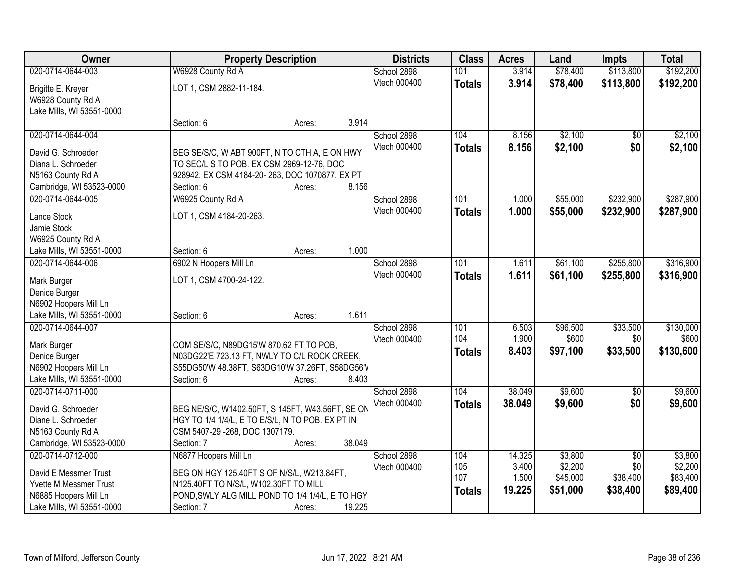| Owner                                         |                                                              | <b>Property Description</b> |        |                     | <b>Class</b>  | <b>Acres</b> | Land     | <b>Impts</b>    | <b>Total</b> |
|-----------------------------------------------|--------------------------------------------------------------|-----------------------------|--------|---------------------|---------------|--------------|----------|-----------------|--------------|
| 020-0714-0644-003                             | W6928 County Rd A                                            |                             |        | School 2898         | 101           | 3.914        | \$78,400 | \$113,800       | \$192,200    |
| Brigitte E. Kreyer                            | LOT 1, CSM 2882-11-184.                                      |                             |        | Vtech 000400        | <b>Totals</b> | 3.914        | \$78,400 | \$113,800       | \$192,200    |
| W6928 County Rd A                             |                                                              |                             |        |                     |               |              |          |                 |              |
| Lake Mills, WI 53551-0000                     |                                                              |                             |        |                     |               |              |          |                 |              |
|                                               | Section: 6                                                   | Acres:                      | 3.914  |                     |               |              |          |                 |              |
| 020-0714-0644-004                             |                                                              |                             |        | School 2898         | 104           | 8.156        | \$2,100  | $\overline{50}$ | \$2,100      |
|                                               |                                                              |                             |        | Vtech 000400        | <b>Totals</b> | 8.156        | \$2,100  | \$0             | \$2,100      |
| David G. Schroeder                            | BEG SE/S/C, W ABT 900FT, N TO CTH A, E ON HWY                |                             |        |                     |               |              |          |                 |              |
| Diana L. Schroeder                            | TO SEC/L S TO POB. EX CSM 2969-12-76, DOC                    |                             |        |                     |               |              |          |                 |              |
| N5163 County Rd A                             | 928942. EX CSM 4184-20-263, DOC 1070877. EX PT<br>Section: 6 |                             | 8.156  |                     |               |              |          |                 |              |
| Cambridge, WI 53523-0000<br>020-0714-0644-005 | W6925 County Rd A                                            | Acres:                      |        | School 2898         | 101           | 1.000        | \$55,000 | \$232,900       | \$287,900    |
|                                               |                                                              |                             |        | Vtech 000400        |               |              |          |                 |              |
| Lance Stock                                   | LOT 1, CSM 4184-20-263.                                      |                             |        |                     | <b>Totals</b> | 1.000        | \$55,000 | \$232,900       | \$287,900    |
| Jamie Stock                                   |                                                              |                             |        |                     |               |              |          |                 |              |
| W6925 County Rd A                             |                                                              |                             |        |                     |               |              |          |                 |              |
| Lake Mills, WI 53551-0000                     | Section: 6                                                   | Acres:                      | 1.000  |                     |               |              |          |                 |              |
| 020-0714-0644-006                             | 6902 N Hoopers Mill Ln                                       |                             |        | School 2898         | 101           | 1.611        | \$61,100 | \$255,800       | \$316,900    |
| Mark Burger                                   | LOT 1, CSM 4700-24-122.                                      |                             |        | Vtech 000400        | <b>Totals</b> | 1.611        | \$61,100 | \$255,800       | \$316,900    |
| Denice Burger                                 |                                                              |                             |        |                     |               |              |          |                 |              |
| N6902 Hoopers Mill Ln                         |                                                              |                             |        |                     |               |              |          |                 |              |
| Lake Mills, WI 53551-0000                     | Section: 6                                                   | Acres:                      | 1.611  |                     |               |              |          |                 |              |
| 020-0714-0644-007                             |                                                              |                             |        | School 2898         | 101           | 6.503        | \$96,500 | \$33,500        | \$130,000    |
|                                               |                                                              |                             |        | <b>Vtech 000400</b> | 104           | 1.900        | \$600    | \$0             | \$600        |
| Mark Burger                                   | COM SE/S/C, N89DG15'W 870.62 FT TO POB,                      |                             |        |                     | <b>Totals</b> | 8.403        | \$97,100 | \$33,500        | \$130,600    |
| Denice Burger                                 | N03DG22'E 723.13 FT, NWLY TO C/L ROCK CREEK,                 |                             |        |                     |               |              |          |                 |              |
| N6902 Hoopers Mill Ln                         | S55DG50'W 48.38FT, S63DG10'W 37.26FT, S58DG56'V              |                             |        |                     |               |              |          |                 |              |
| Lake Mills, WI 53551-0000                     | Section: 6                                                   | Acres:                      | 8.403  |                     |               |              |          |                 |              |
| 020-0714-0711-000                             |                                                              |                             |        | School 2898         | 104           | 38.049       | \$9,600  | $\overline{60}$ | \$9,600      |
| David G. Schroeder                            | BEG NE/S/C, W1402.50FT, S 145FT, W43.56FT, SE ON             |                             |        | Vtech 000400        | <b>Totals</b> | 38.049       | \$9,600  | \$0             | \$9,600      |
| Diane L. Schroeder                            | HGY TO 1/4 1/4/L, E TO E/S/L, N TO POB. EX PT IN             |                             |        |                     |               |              |          |                 |              |
| N5163 County Rd A                             | CSM 5407-29 -268, DOC 1307179.                               |                             |        |                     |               |              |          |                 |              |
| Cambridge, WI 53523-0000                      | Section: 7                                                   | Acres:                      | 38.049 |                     |               |              |          |                 |              |
| 020-0714-0712-000                             | N6877 Hoopers Mill Ln                                        |                             |        | School 2898         | 104           | 14.325       | \$3,800  | $\overline{50}$ | \$3,800      |
|                                               |                                                              |                             |        | Vtech 000400        | 105           | 3.400        | \$2,200  | \$0             | \$2,200      |
| David E Messmer Trust                         | BEG ON HGY 125.40FT S OF N/S/L, W213.84FT,                   |                             |        |                     | 107           | 1.500        | \$45,000 | \$38,400        | \$83,400     |
| <b>Yvette M Messmer Trust</b>                 | N125.40FT TO N/S/L, W102.30FT TO MILL                        |                             |        |                     | <b>Totals</b> | 19.225       | \$51,000 | \$38,400        | \$89,400     |
| N6885 Hoopers Mill Ln                         | POND, SWLY ALG MILL POND TO 1/4 1/4/L, E TO HGY              |                             |        |                     |               |              |          |                 |              |
| Lake Mills, WI 53551-0000                     | Section: 7                                                   | Acres:                      | 19.225 |                     |               |              |          |                 |              |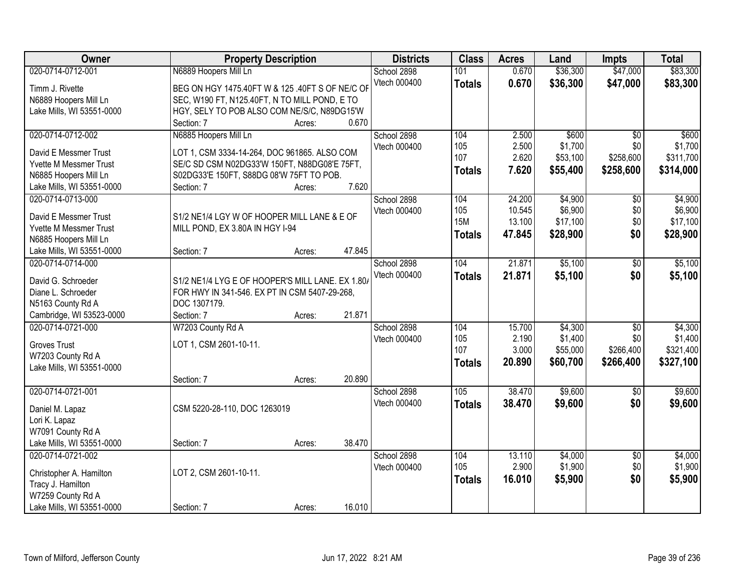| Owner                                                  | <b>Property Description</b>                                                                  |        |        | <b>Districts</b> | <b>Class</b>  | <b>Acres</b> | Land     | <b>Impts</b>    | <b>Total</b> |
|--------------------------------------------------------|----------------------------------------------------------------------------------------------|--------|--------|------------------|---------------|--------------|----------|-----------------|--------------|
| 020-0714-0712-001                                      | N6889 Hoopers Mill Ln                                                                        |        |        | School 2898      | 101           | 0.670        | \$36,300 | \$47,000        | \$83,300     |
| Timm J. Rivette                                        | BEG ON HGY 1475.40FT W & 125 .40FT S OF NE/C OF                                              |        |        | Vtech 000400     | <b>Totals</b> | 0.670        | \$36,300 | \$47,000        | \$83,300     |
| N6889 Hoopers Mill Ln                                  | SEC, W190 FT, N125.40FT, N TO MILL POND, E TO                                                |        |        |                  |               |              |          |                 |              |
| Lake Mills, WI 53551-0000                              | HGY, SELY TO POB ALSO COM NE/S/C, N89DG15'W                                                  |        |        |                  |               |              |          |                 |              |
|                                                        | Section: 7                                                                                   | Acres: | 0.670  |                  |               |              |          |                 |              |
| 020-0714-0712-002                                      | N6885 Hoopers Mill Ln                                                                        |        |        | School 2898      | 104           | 2.500        | \$600    | $\overline{50}$ | \$600        |
|                                                        |                                                                                              |        |        | Vtech 000400     | 105           | 2.500        | \$1,700  | \$0             | \$1,700      |
| David E Messmer Trust<br><b>Yvette M Messmer Trust</b> | LOT 1, CSM 3334-14-264, DOC 961865. ALSO COM<br>SE/C SD CSM N02DG33'W 150FT, N88DG08'E 75FT, |        |        |                  | 107           | 2.620        | \$53,100 | \$258,600       | \$311,700    |
| N6885 Hoopers Mill Ln                                  | S02DG33'E 150FT, S88DG 08'W 75FT TO POB.                                                     |        |        |                  | <b>Totals</b> | 7.620        | \$55,400 | \$258,600       | \$314,000    |
| Lake Mills, WI 53551-0000                              | Section: 7                                                                                   | Acres: | 7.620  |                  |               |              |          |                 |              |
| 020-0714-0713-000                                      |                                                                                              |        |        | School 2898      | 104           | 24.200       | \$4,900  | $\overline{50}$ | \$4,900      |
|                                                        |                                                                                              |        |        | Vtech 000400     | 105           | 10.545       | \$6,900  | \$0             | \$6,900      |
| David E Messmer Trust                                  | S1/2 NE1/4 LGY W OF HOOPER MILL LANE & E OF                                                  |        |        |                  | <b>15M</b>    | 13.100       | \$17,100 | \$0             | \$17,100     |
| Yvette M Messmer Trust                                 | MILL POND, EX 3.80A IN HGY I-94                                                              |        |        |                  |               | 47.845       | \$28,900 | \$0             | \$28,900     |
| N6885 Hoopers Mill Ln                                  |                                                                                              |        |        |                  | <b>Totals</b> |              |          |                 |              |
| Lake Mills, WI 53551-0000                              | Section: 7                                                                                   | Acres: | 47.845 |                  |               |              |          |                 |              |
| 020-0714-0714-000                                      |                                                                                              |        |        | School 2898      | 104           | 21.871       | \$5,100  | \$0             | \$5,100      |
| David G. Schroeder                                     | S1/2 NE1/4 LYG E OF HOOPER'S MILL LANE. EX 1.80/                                             |        |        | Vtech 000400     | <b>Totals</b> | 21.871       | \$5,100  | \$0             | \$5,100      |
| Diane L. Schroeder                                     | FOR HWY IN 341-546. EX PT IN CSM 5407-29-268,                                                |        |        |                  |               |              |          |                 |              |
| N5163 County Rd A                                      | DOC 1307179.                                                                                 |        |        |                  |               |              |          |                 |              |
| Cambridge, WI 53523-0000                               | Section: 7                                                                                   | Acres: | 21.871 |                  |               |              |          |                 |              |
| 020-0714-0721-000                                      | W7203 County Rd A                                                                            |        |        | School 2898      | 104           | 15.700       | \$4,300  | $\overline{30}$ | \$4,300      |
|                                                        |                                                                                              |        |        | Vtech 000400     | 105           | 2.190        | \$1,400  | \$0             | \$1,400      |
| <b>Groves Trust</b>                                    | LOT 1, CSM 2601-10-11.                                                                       |        |        |                  | 107           | 3.000        | \$55,000 | \$266,400       | \$321,400    |
| W7203 County Rd A                                      |                                                                                              |        |        |                  | <b>Totals</b> | 20.890       | \$60,700 | \$266,400       | \$327,100    |
| Lake Mills, WI 53551-0000                              |                                                                                              |        |        |                  |               |              |          |                 |              |
|                                                        | Section: 7                                                                                   | Acres: | 20.890 |                  |               |              |          |                 |              |
| 020-0714-0721-001                                      |                                                                                              |        |        | School 2898      | 105           | 38.470       | \$9,600  | $\overline{50}$ | \$9,600      |
| Daniel M. Lapaz                                        | CSM 5220-28-110, DOC 1263019                                                                 |        |        | Vtech 000400     | <b>Totals</b> | 38.470       | \$9,600  | \$0             | \$9,600      |
| Lori K. Lapaz                                          |                                                                                              |        |        |                  |               |              |          |                 |              |
| W7091 County Rd A                                      |                                                                                              |        |        |                  |               |              |          |                 |              |
| Lake Mills, WI 53551-0000                              | Section: 7                                                                                   | Acres: | 38.470 |                  |               |              |          |                 |              |
| 020-0714-0721-002                                      |                                                                                              |        |        | School 2898      | 104           | 13.110       | \$4,000  | $\overline{50}$ | \$4,000      |
|                                                        |                                                                                              |        |        | Vtech 000400     | 105           | 2.900        | \$1,900  | \$0             | \$1,900      |
| Christopher A. Hamilton                                | LOT 2, CSM 2601-10-11.                                                                       |        |        |                  | <b>Totals</b> | 16.010       | \$5,900  | \$0             | \$5,900      |
| Tracy J. Hamilton                                      |                                                                                              |        |        |                  |               |              |          |                 |              |
| W7259 County Rd A                                      |                                                                                              |        |        |                  |               |              |          |                 |              |
| Lake Mills, WI 53551-0000                              | Section: 7                                                                                   | Acres: | 16.010 |                  |               |              |          |                 |              |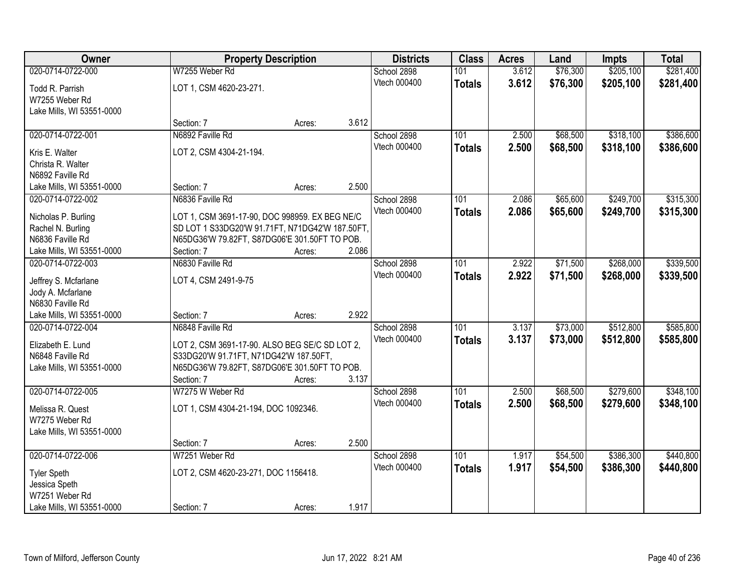| Owner                     |                                                 | <b>Property Description</b> |       |              | <b>Class</b>  | <b>Acres</b> | Land     | <b>Impts</b> | <b>Total</b> |
|---------------------------|-------------------------------------------------|-----------------------------|-------|--------------|---------------|--------------|----------|--------------|--------------|
| 020-0714-0722-000         | W7255 Weber Rd                                  |                             |       | School 2898  | 101           | 3.612        | \$76,300 | \$205,100    | \$281,400    |
| Todd R. Parrish           | LOT 1, CSM 4620-23-271.                         |                             |       | Vtech 000400 | <b>Totals</b> | 3.612        | \$76,300 | \$205,100    | \$281,400    |
| W7255 Weber Rd            |                                                 |                             |       |              |               |              |          |              |              |
| Lake Mills, WI 53551-0000 |                                                 |                             |       |              |               |              |          |              |              |
|                           | Section: 7                                      | Acres:                      | 3.612 |              |               |              |          |              |              |
| 020-0714-0722-001         | N6892 Faville Rd                                |                             |       | School 2898  | 101           | 2.500        | \$68,500 | \$318,100    | \$386,600    |
| Kris E. Walter            | LOT 2, CSM 4304-21-194.                         |                             |       | Vtech 000400 | <b>Totals</b> | 2.500        | \$68,500 | \$318,100    | \$386,600    |
| Christa R. Walter         |                                                 |                             |       |              |               |              |          |              |              |
| N6892 Faville Rd          |                                                 |                             |       |              |               |              |          |              |              |
| Lake Mills, WI 53551-0000 | Section: 7                                      | Acres:                      | 2.500 |              |               |              |          |              |              |
| 020-0714-0722-002         | N6836 Faville Rd                                |                             |       | School 2898  | 101           | 2.086        | \$65,600 | \$249,700    | \$315,300    |
| Nicholas P. Burling       | LOT 1, CSM 3691-17-90, DOC 998959. EX BEG NE/C  |                             |       | Vtech 000400 | <b>Totals</b> | 2.086        | \$65,600 | \$249,700    | \$315,300    |
| Rachel N. Burling         | SD LOT 1 S33DG20'W 91.71FT, N71DG42'W 187.50FT, |                             |       |              |               |              |          |              |              |
| N6836 Faville Rd          | N65DG36'W 79.82FT, S87DG06'E 301.50FT TO POB.   |                             |       |              |               |              |          |              |              |
| Lake Mills, WI 53551-0000 | Section: 7                                      | Acres:                      | 2.086 |              |               |              |          |              |              |
| 020-0714-0722-003         | N6830 Faville Rd                                |                             |       | School 2898  | 101           | 2.922        | \$71,500 | \$268,000    | \$339,500    |
| Jeffrey S. Mcfarlane      | LOT 4, CSM 2491-9-75                            |                             |       | Vtech 000400 | <b>Totals</b> | 2.922        | \$71,500 | \$268,000    | \$339,500    |
| Jody A. Mcfarlane         |                                                 |                             |       |              |               |              |          |              |              |
| N6830 Faville Rd          |                                                 |                             |       |              |               |              |          |              |              |
| Lake Mills, WI 53551-0000 | Section: 7                                      | Acres:                      | 2.922 |              |               |              |          |              |              |
| 020-0714-0722-004         | N6848 Faville Rd                                |                             |       | School 2898  | 101           | 3.137        | \$73,000 | \$512,800    | \$585,800    |
| Elizabeth E. Lund         | LOT 2, CSM 3691-17-90. ALSO BEG SE/C SD LOT 2,  |                             |       | Vtech 000400 | <b>Totals</b> | 3.137        | \$73,000 | \$512,800    | \$585,800    |
| N6848 Faville Rd          | S33DG20'W 91.71FT, N71DG42'W 187.50FT,          |                             |       |              |               |              |          |              |              |
| Lake Mills, WI 53551-0000 | N65DG36'W 79.82FT, S87DG06'E 301.50FT TO POB.   |                             |       |              |               |              |          |              |              |
|                           | Section: 7                                      | Acres:                      | 3.137 |              |               |              |          |              |              |
| 020-0714-0722-005         | W7275 W Weber Rd                                |                             |       | School 2898  | 101           | 2.500        | \$68,500 | \$279,600    | \$348,100    |
| Melissa R. Quest          | LOT 1, CSM 4304-21-194, DOC 1092346.            |                             |       | Vtech 000400 | <b>Totals</b> | 2.500        | \$68,500 | \$279,600    | \$348,100    |
| W7275 Weber Rd            |                                                 |                             |       |              |               |              |          |              |              |
| Lake Mills, WI 53551-0000 |                                                 |                             |       |              |               |              |          |              |              |
|                           | Section: 7                                      | Acres:                      | 2.500 |              |               |              |          |              |              |
| 020-0714-0722-006         | W7251 Weber Rd                                  |                             |       | School 2898  | 101           | 1.917        | \$54,500 | \$386,300    | \$440,800    |
| <b>Tyler Speth</b>        | LOT 2, CSM 4620-23-271, DOC 1156418.            |                             |       | Vtech 000400 | <b>Totals</b> | 1.917        | \$54,500 | \$386,300    | \$440,800    |
| Jessica Speth             |                                                 |                             |       |              |               |              |          |              |              |
| W7251 Weber Rd            |                                                 |                             |       |              |               |              |          |              |              |
| Lake Mills, WI 53551-0000 | Section: 7                                      | Acres:                      | 1.917 |              |               |              |          |              |              |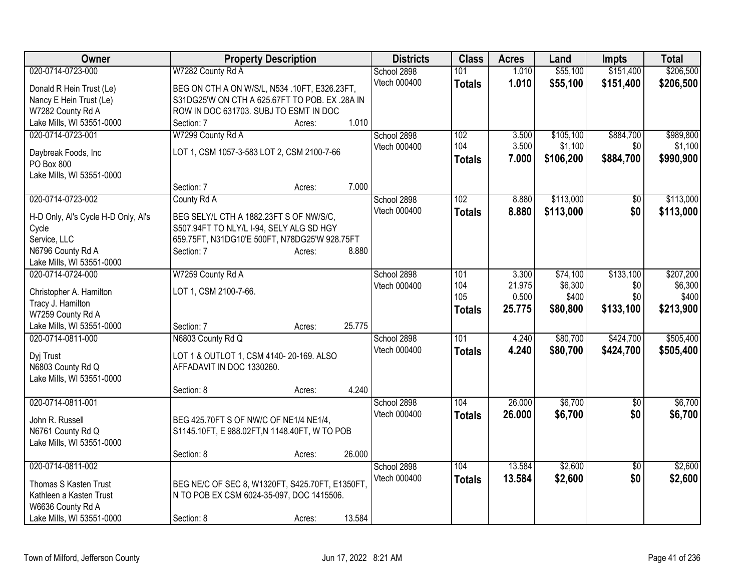| Owner                               | <b>Property Description</b>                     |        |        | <b>Districts</b> | <b>Class</b>  | <b>Acres</b> | Land      | Impts           | <b>Total</b> |
|-------------------------------------|-------------------------------------------------|--------|--------|------------------|---------------|--------------|-----------|-----------------|--------------|
| 020-0714-0723-000                   | W7282 County Rd A                               |        |        | School 2898      | 101           | 1.010        | \$55,100  | \$151,400       | \$206,500    |
| Donald R Hein Trust (Le)            | BEG ON CTH A ON W/S/L, N534 .10FT, E326.23FT,   |        |        | Vtech 000400     | <b>Totals</b> | 1.010        | \$55,100  | \$151,400       | \$206,500    |
| Nancy E Hein Trust (Le)             | S31DG25'W ON CTH A 625.67FT TO POB. EX .28A IN  |        |        |                  |               |              |           |                 |              |
| W7282 County Rd A                   | ROW IN DOC 631703. SUBJ TO ESMT IN DOC          |        |        |                  |               |              |           |                 |              |
| Lake Mills, WI 53551-0000           | Section: 7                                      | Acres: | 1.010  |                  |               |              |           |                 |              |
| 020-0714-0723-001                   | W7299 County Rd A                               |        |        | School 2898      | 102           | 3.500        | \$105,100 | \$884,700       | \$989,800    |
|                                     | LOT 1, CSM 1057-3-583 LOT 2, CSM 2100-7-66      |        |        | Vtech 000400     | 104           | 3.500        | \$1,100   | \$0             | \$1,100      |
| Daybreak Foods, Inc<br>PO Box 800   |                                                 |        |        |                  | <b>Totals</b> | 7.000        | \$106,200 | \$884,700       | \$990,900    |
| Lake Mills, WI 53551-0000           |                                                 |        |        |                  |               |              |           |                 |              |
|                                     | Section: 7                                      | Acres: | 7.000  |                  |               |              |           |                 |              |
| 020-0714-0723-002                   | County Rd A                                     |        |        | School 2898      | 102           | 8.880        | \$113,000 | \$0             | \$113,000    |
|                                     |                                                 |        |        | Vtech 000400     | <b>Totals</b> | 8.880        | \$113,000 | \$0             | \$113,000    |
| H-D Only, Al's Cycle H-D Only, Al's | BEG SELY/L CTH A 1882.23FT S OF NW/S/C,         |        |        |                  |               |              |           |                 |              |
| Cycle                               | S507.94FT TO NLY/L I-94, SELY ALG SD HGY        |        |        |                  |               |              |           |                 |              |
| Service, LLC                        | 659.75FT, N31DG10'E 500FT, N78DG25'W 928.75FT   |        |        |                  |               |              |           |                 |              |
| N6796 County Rd A                   | Section: 7                                      | Acres: | 8.880  |                  |               |              |           |                 |              |
| Lake Mills, WI 53551-0000           |                                                 |        |        |                  |               |              |           |                 |              |
| 020-0714-0724-000                   | W7259 County Rd A                               |        |        | School 2898      | 101           | 3.300        | \$74,100  | \$133,100       | \$207,200    |
| Christopher A. Hamilton             | LOT 1, CSM 2100-7-66.                           |        |        | Vtech 000400     | 104           | 21.975       | \$6,300   | \$0             | \$6,300      |
| Tracy J. Hamilton                   |                                                 |        |        |                  | 105           | 0.500        | \$400     | \$0             | \$400        |
| W7259 County Rd A                   |                                                 |        |        |                  | <b>Totals</b> | 25.775       | \$80,800  | \$133,100       | \$213,900    |
| Lake Mills, WI 53551-0000           | Section: 7                                      | Acres: | 25.775 |                  |               |              |           |                 |              |
| 020-0714-0811-000                   | N6803 County Rd Q                               |        |        | School 2898      | 101           | 4.240        | \$80,700  | \$424,700       | \$505,400    |
|                                     | LOT 1 & OUTLOT 1, CSM 4140-20-169. ALSO         |        |        | Vtech 000400     | <b>Totals</b> | 4.240        | \$80,700  | \$424,700       | \$505,400    |
| Dyj Trust<br>N6803 County Rd Q      | AFFADAVIT IN DOC 1330260.                       |        |        |                  |               |              |           |                 |              |
| Lake Mills, WI 53551-0000           |                                                 |        |        |                  |               |              |           |                 |              |
|                                     | Section: 8                                      | Acres: | 4.240  |                  |               |              |           |                 |              |
| 020-0714-0811-001                   |                                                 |        |        | School 2898      | 104           | 26.000       | \$6,700   | $\sqrt{6}$      | \$6,700      |
|                                     |                                                 |        |        | Vtech 000400     | <b>Totals</b> | 26.000       | \$6,700   | \$0             | \$6,700      |
| John R. Russell                     | BEG 425.70FT S OF NW/C OF NE1/4 NE1/4,          |        |        |                  |               |              |           |                 |              |
| N6761 County Rd Q                   | S1145.10FT, E 988.02FT, N 1148.40FT, W TO POB   |        |        |                  |               |              |           |                 |              |
| Lake Mills, WI 53551-0000           |                                                 |        |        |                  |               |              |           |                 |              |
|                                     | Section: 8                                      | Acres: | 26.000 |                  |               |              |           |                 |              |
| 020-0714-0811-002                   |                                                 |        |        | School 2898      | 104           | 13.584       | \$2,600   | $\overline{30}$ | \$2,600      |
| Thomas S Kasten Trust               | BEG NE/C OF SEC 8, W1320FT, S425.70FT, E1350FT. |        |        | Vtech 000400     | <b>Totals</b> | 13.584       | \$2,600   | \$0             | \$2,600      |
| Kathleen a Kasten Trust             | N TO POB EX CSM 6024-35-097, DOC 1415506.       |        |        |                  |               |              |           |                 |              |
| W6636 County Rd A                   |                                                 |        |        |                  |               |              |           |                 |              |
| Lake Mills, WI 53551-0000           | Section: 8                                      | Acres: | 13.584 |                  |               |              |           |                 |              |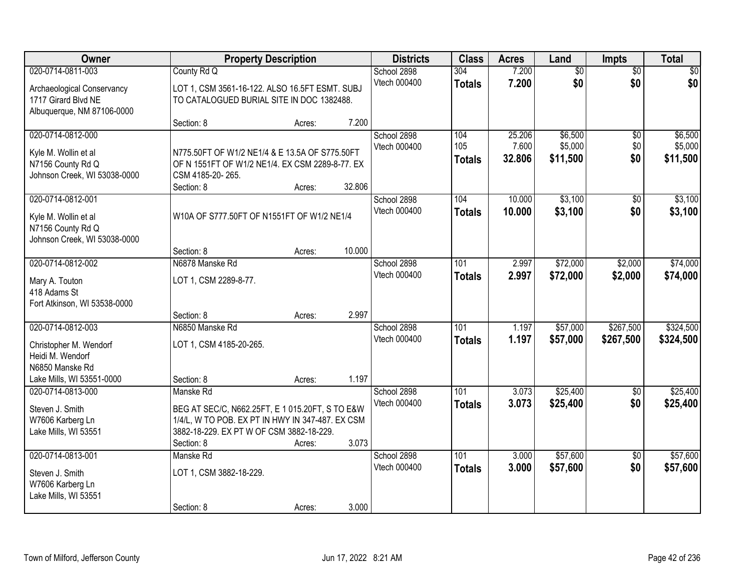| Owner                                                                                                | <b>Property Description</b>                                                                                                                                   |        |        | <b>Districts</b>            | <b>Class</b>                | <b>Acres</b>              | Land                           | Impts                  | <b>Total</b>                   |
|------------------------------------------------------------------------------------------------------|---------------------------------------------------------------------------------------------------------------------------------------------------------------|--------|--------|-----------------------------|-----------------------------|---------------------------|--------------------------------|------------------------|--------------------------------|
| 020-0714-0811-003<br>Archaeological Conservancy<br>1717 Girard Blvd NE<br>Albuquerque, NM 87106-0000 | County Rd Q<br>LOT 1, CSM 3561-16-122. ALSO 16.5FT ESMT. SUBJ<br>TO CATALOGUED BURIAL SITE IN DOC 1382488.                                                    |        |        | School 2898<br>Vtech 000400 | 304<br><b>Totals</b>        | 7.200<br>7.200            | $\overline{60}$<br>\$0         | $\overline{50}$<br>\$0 | \$0<br>\$0                     |
|                                                                                                      | Section: 8                                                                                                                                                    | Acres: | 7.200  |                             |                             |                           |                                |                        |                                |
| 020-0714-0812-000<br>Kyle M. Wollin et al<br>N7156 County Rd Q<br>Johnson Creek, WI 53038-0000       | N775.50FT OF W1/2 NE1/4 & E 13.5A OF S775.50FT<br>OF N 1551FT OF W1/2 NE1/4. EX CSM 2289-8-77. EX<br>CSM 4185-20-265.<br>Section: 8                           | Acres: | 32.806 | School 2898<br>Vtech 000400 | 104<br>105<br><b>Totals</b> | 25.206<br>7.600<br>32.806 | \$6,500<br>\$5,000<br>\$11,500 | \$0<br>\$0<br>\$0      | \$6,500<br>\$5,000<br>\$11,500 |
| 020-0714-0812-001                                                                                    |                                                                                                                                                               |        |        | School 2898                 | 104                         | 10.000                    | \$3,100                        | \$0                    | \$3,100                        |
| Kyle M. Wollin et al<br>N7156 County Rd Q<br>Johnson Creek, WI 53038-0000                            | W10A OF S777.50FT OF N1551FT OF W1/2 NE1/4                                                                                                                    |        |        | Vtech 000400                | <b>Totals</b>               | 10.000                    | \$3,100                        | \$0                    | \$3,100                        |
|                                                                                                      | Section: 8                                                                                                                                                    | Acres: | 10.000 |                             |                             |                           |                                |                        |                                |
| 020-0714-0812-002                                                                                    | N6878 Manske Rd                                                                                                                                               |        |        | School 2898                 | 101                         | 2.997                     | \$72,000                       | \$2,000                | \$74,000                       |
| Mary A. Touton<br>418 Adams St<br>Fort Atkinson, WI 53538-0000                                       | LOT 1, CSM 2289-8-77.                                                                                                                                         |        |        | Vtech 000400                | <b>Totals</b>               | 2.997                     | \$72,000                       | \$2,000                | \$74,000                       |
| 020-0714-0812-003                                                                                    | Section: 8<br>N6850 Manske Rd                                                                                                                                 | Acres: | 2.997  | School 2898                 | 101                         | 1.197                     | \$57,000                       | \$267,500              | \$324,500                      |
| Christopher M. Wendorf<br>Heidi M. Wendorf<br>N6850 Manske Rd<br>Lake Mills, WI 53551-0000           | LOT 1, CSM 4185-20-265.<br>Section: 8                                                                                                                         | Acres: | 1.197  | Vtech 000400                | <b>Totals</b>               | 1.197                     | \$57,000                       | \$267,500              | \$324,500                      |
| 020-0714-0813-000                                                                                    | Manske Rd                                                                                                                                                     |        |        | School 2898                 | 101                         | 3.073                     | \$25,400                       | $\sqrt{6}$             | \$25,400                       |
| Steven J. Smith<br>W7606 Karberg Ln<br>Lake Mills, WI 53551                                          | BEG AT SEC/C, N662.25FT, E 1 015.20FT, S TO E&W<br>1/4/L, W TO POB. EX PT IN HWY IN 347-487. EX CSM<br>3882-18-229. EX PT W OF CSM 3882-18-229.<br>Section: 8 | Acres: | 3.073  | Vtech 000400                | <b>Totals</b>               | 3.073                     | \$25,400                       | \$0                    | \$25,400                       |
| 020-0714-0813-001                                                                                    | Manske Rd                                                                                                                                                     |        |        | School 2898                 | 101                         | 3.000                     | \$57,600                       | $\overline{50}$        | \$57,600                       |
| Steven J. Smith<br>W7606 Karberg Ln<br>Lake Mills, WI 53551                                          | LOT 1, CSM 3882-18-229.<br>Section: 8                                                                                                                         |        | 3.000  | Vtech 000400                | <b>Totals</b>               | 3.000                     | \$57,600                       | \$0                    | \$57,600                       |
|                                                                                                      |                                                                                                                                                               | Acres: |        |                             |                             |                           |                                |                        |                                |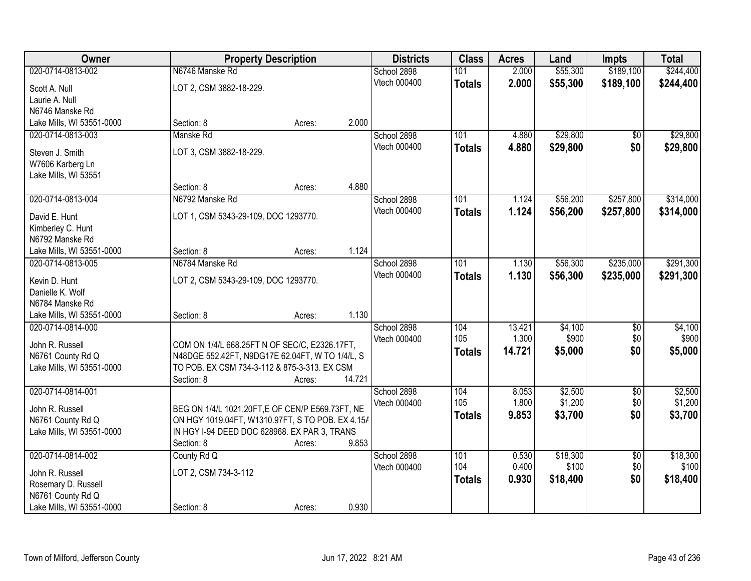| Owner                     |                                      | <b>Property Description</b>                      | <b>Districts</b> | <b>Class</b>  | <b>Acres</b> | Land     | <b>Impts</b>    | <b>Total</b> |
|---------------------------|--------------------------------------|--------------------------------------------------|------------------|---------------|--------------|----------|-----------------|--------------|
| 020-0714-0813-002         | N6746 Manske Rd                      |                                                  | School 2898      | 101           | 2.000        | \$55,300 | \$189,100       | \$244,400    |
| Scott A. Null             | LOT 2, CSM 3882-18-229.              |                                                  | Vtech 000400     | <b>Totals</b> | 2.000        | \$55,300 | \$189,100       | \$244,400    |
| Laurie A. Null            |                                      |                                                  |                  |               |              |          |                 |              |
| N6746 Manske Rd           |                                      |                                                  |                  |               |              |          |                 |              |
| Lake Mills, WI 53551-0000 | Section: 8                           | Acres:                                           | 2.000            |               |              |          |                 |              |
| 020-0714-0813-003         | Manske Rd                            |                                                  | School 2898      | 101           | 4.880        | \$29,800 | \$0             | \$29,800     |
| Steven J. Smith           | LOT 3, CSM 3882-18-229.              |                                                  | Vtech 000400     | <b>Totals</b> | 4.880        | \$29,800 | \$0             | \$29,800     |
| W7606 Karberg Ln          |                                      |                                                  |                  |               |              |          |                 |              |
| Lake Mills, WI 53551      |                                      |                                                  |                  |               |              |          |                 |              |
|                           | Section: 8                           | Acres:                                           | 4.880            |               |              |          |                 |              |
| 020-0714-0813-004         | N6792 Manske Rd                      |                                                  | School 2898      | 101           | 1.124        | \$56,200 | \$257,800       | \$314,000    |
| David E. Hunt             | LOT 1, CSM 5343-29-109, DOC 1293770. |                                                  | Vtech 000400     | <b>Totals</b> | 1.124        | \$56,200 | \$257,800       | \$314,000    |
| Kimberley C. Hunt         |                                      |                                                  |                  |               |              |          |                 |              |
| N6792 Manske Rd           |                                      |                                                  |                  |               |              |          |                 |              |
| Lake Mills, WI 53551-0000 | Section: 8                           | Acres:                                           | 1.124            |               |              |          |                 |              |
| 020-0714-0813-005         | N6784 Manske Rd                      |                                                  | School 2898      | 101           | 1.130        | \$56,300 | \$235,000       | \$291,300    |
| Kevin D. Hunt             | LOT 2, CSM 5343-29-109, DOC 1293770. |                                                  | Vtech 000400     | <b>Totals</b> | 1.130        | \$56,300 | \$235,000       | \$291,300    |
| Danielle K. Wolf          |                                      |                                                  |                  |               |              |          |                 |              |
| N6784 Manske Rd           |                                      |                                                  |                  |               |              |          |                 |              |
| Lake Mills, WI 53551-0000 | Section: 8                           | Acres:                                           | 1.130            |               |              |          |                 |              |
| 020-0714-0814-000         |                                      |                                                  | School 2898      | 104           | 13.421       | \$4,100  | $\overline{50}$ | \$4,100      |
| John R. Russell           |                                      | COM ON 1/4/L 668.25FT N OF SEC/C, E2326.17FT,    | Vtech 000400     | 105           | 1.300        | \$900    | \$0             | \$900        |
| N6761 County Rd Q         |                                      | N48DGE 552.42FT, N9DG17E 62.04FT, W TO 1/4/L, S  |                  | <b>Totals</b> | 14.721       | \$5,000  | \$0             | \$5,000      |
| Lake Mills, WI 53551-0000 |                                      | TO POB. EX CSM 734-3-112 & 875-3-313. EX CSM     |                  |               |              |          |                 |              |
|                           | Section: 8                           | Acres:                                           | 14.721           |               |              |          |                 |              |
| 020-0714-0814-001         |                                      |                                                  | School 2898      | 104           | 8.053        | \$2,500  | $\sqrt{6}$      | \$2,500      |
| John R. Russell           |                                      | BEG ON 1/4/L 1021.20FT,E OF CEN/P E569.73FT, NE  | Vtech 000400     | 105           | 1.800        | \$1,200  | \$0             | \$1,200      |
| N6761 County Rd Q         |                                      | ON HGY 1019.04FT, W1310.97FT, S TO POB. EX 4.15/ |                  | <b>Totals</b> | 9.853        | \$3,700  | \$0             | \$3,700      |
| Lake Mills, WI 53551-0000 |                                      | IN HGY I-94 DEED DOC 628968. EX PAR 3, TRANS     |                  |               |              |          |                 |              |
|                           | Section: 8                           | Acres:                                           | 9.853            |               |              |          |                 |              |
| 020-0714-0814-002         | County Rd Q                          |                                                  | School 2898      | 101           | 0.530        | \$18,300 | $\overline{50}$ | \$18,300     |
| John R. Russell           | LOT 2, CSM 734-3-112                 |                                                  | Vtech 000400     | 104           | 0.400        | \$100    | \$0             | \$100        |
| Rosemary D. Russell       |                                      |                                                  |                  | <b>Totals</b> | 0.930        | \$18,400 | \$0             | \$18,400     |
| N6761 County Rd Q         |                                      |                                                  |                  |               |              |          |                 |              |
| Lake Mills, WI 53551-0000 | Section: 8                           | Acres:                                           | 0.930            |               |              |          |                 |              |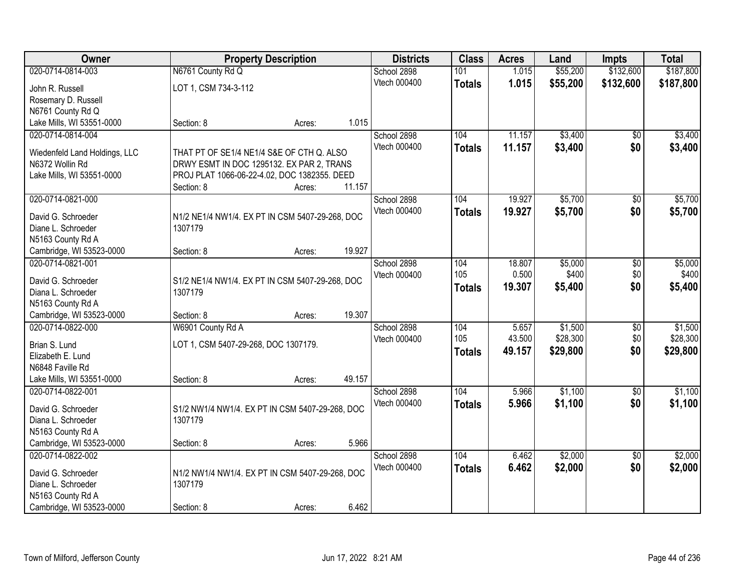| <b>Owner</b>                                     | <b>Property Description</b>                                                               |        |        | <b>Districts</b> | <b>Class</b>  | <b>Acres</b> | Land     | <b>Impts</b>    | <b>Total</b> |
|--------------------------------------------------|-------------------------------------------------------------------------------------------|--------|--------|------------------|---------------|--------------|----------|-----------------|--------------|
| 020-0714-0814-003                                | N6761 County Rd Q                                                                         |        |        | School 2898      | 101           | 1.015        | \$55,200 | \$132,600       | \$187,800    |
| John R. Russell                                  | LOT 1, CSM 734-3-112                                                                      |        |        | Vtech 000400     | <b>Totals</b> | 1.015        | \$55,200 | \$132,600       | \$187,800    |
| Rosemary D. Russell                              |                                                                                           |        |        |                  |               |              |          |                 |              |
| N6761 County Rd Q                                |                                                                                           |        |        |                  |               |              |          |                 |              |
| Lake Mills, WI 53551-0000                        | Section: 8                                                                                | Acres: | 1.015  |                  |               |              |          |                 |              |
| 020-0714-0814-004                                |                                                                                           |        |        | School 2898      | 104           | 11.157       | \$3,400  | $\overline{50}$ | \$3,400      |
|                                                  |                                                                                           |        |        | Vtech 000400     | <b>Totals</b> | 11.157       | \$3,400  | \$0             | \$3,400      |
| Wiedenfeld Land Holdings, LLC<br>N6372 Wollin Rd | THAT PT OF SE1/4 NE1/4 S&E OF CTH Q. ALSO                                                 |        |        |                  |               |              |          |                 |              |
| Lake Mills, WI 53551-0000                        | DRWY ESMT IN DOC 1295132. EX PAR 2, TRANS<br>PROJ PLAT 1066-06-22-4.02, DOC 1382355. DEED |        |        |                  |               |              |          |                 |              |
|                                                  | Section: 8                                                                                | Acres: | 11.157 |                  |               |              |          |                 |              |
| 020-0714-0821-000                                |                                                                                           |        |        | School 2898      | 104           | 19.927       | \$5,700  | \$0             | \$5,700      |
|                                                  |                                                                                           |        |        | Vtech 000400     | <b>Totals</b> | 19.927       | \$5,700  | \$0             | \$5,700      |
| David G. Schroeder                               | N1/2 NE1/4 NW1/4. EX PT IN CSM 5407-29-268, DOC                                           |        |        |                  |               |              |          |                 |              |
| Diane L. Schroeder                               | 1307179                                                                                   |        |        |                  |               |              |          |                 |              |
| N5163 County Rd A                                |                                                                                           |        |        |                  |               |              |          |                 |              |
| Cambridge, WI 53523-0000                         | Section: 8                                                                                | Acres: | 19.927 |                  |               |              |          |                 |              |
| 020-0714-0821-001                                |                                                                                           |        |        | School 2898      | 104           | 18.807       | \$5,000  | \$0             | \$5,000      |
| David G. Schroeder                               | S1/2 NE1/4 NW1/4. EX PT IN CSM 5407-29-268, DOC                                           |        |        | Vtech 000400     | 105           | 0.500        | \$400    | \$0             | \$400        |
| Diana L. Schroeder                               | 1307179                                                                                   |        |        |                  | <b>Totals</b> | 19.307       | \$5,400  | \$0             | \$5,400      |
| N5163 County Rd A                                |                                                                                           |        |        |                  |               |              |          |                 |              |
| Cambridge, WI 53523-0000                         | Section: 8                                                                                | Acres: | 19.307 |                  |               |              |          |                 |              |
| 020-0714-0822-000                                | W6901 County Rd A                                                                         |        |        | School 2898      | 104           | 5.657        | \$1,500  | \$0             | \$1,500      |
| Brian S. Lund                                    | LOT 1, CSM 5407-29-268, DOC 1307179.                                                      |        |        | Vtech 000400     | 105           | 43.500       | \$28,300 | \$0             | \$28,300     |
| Elizabeth E. Lund                                |                                                                                           |        |        |                  | <b>Totals</b> | 49.157       | \$29,800 | \$0             | \$29,800     |
| N6848 Faville Rd                                 |                                                                                           |        |        |                  |               |              |          |                 |              |
| Lake Mills, WI 53551-0000                        | Section: 8                                                                                | Acres: | 49.157 |                  |               |              |          |                 |              |
| 020-0714-0822-001                                |                                                                                           |        |        | School 2898      | 104           | 5.966        | \$1,100  | $\sqrt{6}$      | \$1,100      |
|                                                  |                                                                                           |        |        | Vtech 000400     | <b>Totals</b> | 5.966        | \$1,100  | \$0             | \$1,100      |
| David G. Schroeder                               | S1/2 NW1/4 NW1/4. EX PT IN CSM 5407-29-268, DOC                                           |        |        |                  |               |              |          |                 |              |
| Diana L. Schroeder                               | 1307179                                                                                   |        |        |                  |               |              |          |                 |              |
| N5163 County Rd A                                |                                                                                           |        |        |                  |               |              |          |                 |              |
| Cambridge, WI 53523-0000                         | Section: 8                                                                                | Acres: | 5.966  |                  |               |              |          |                 |              |
| 020-0714-0822-002                                |                                                                                           |        |        | School 2898      | 104           | 6.462        | \$2,000  | $\overline{30}$ | \$2,000      |
| David G. Schroeder                               | N1/2 NW1/4 NW1/4. EX PT IN CSM 5407-29-268, DOC                                           |        |        | Vtech 000400     | <b>Totals</b> | 6.462        | \$2,000  | \$0             | \$2,000      |
| Diane L. Schroeder                               | 1307179                                                                                   |        |        |                  |               |              |          |                 |              |
| N5163 County Rd A                                |                                                                                           |        |        |                  |               |              |          |                 |              |
| Cambridge, WI 53523-0000                         | Section: 8                                                                                | Acres: | 6.462  |                  |               |              |          |                 |              |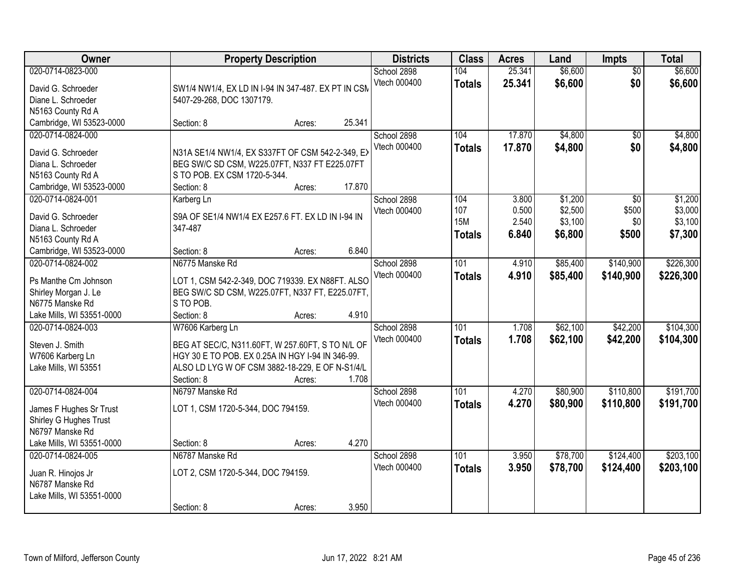| Owner                                                                                                                  | <b>Property Description</b>                                                                                                                                                                                  | <b>Districts</b>            | <b>Class</b>                              | <b>Acres</b>                     | Land                                     | <b>Impts</b>                 | <b>Total</b>                             |
|------------------------------------------------------------------------------------------------------------------------|--------------------------------------------------------------------------------------------------------------------------------------------------------------------------------------------------------------|-----------------------------|-------------------------------------------|----------------------------------|------------------------------------------|------------------------------|------------------------------------------|
| 020-0714-0823-000<br>David G. Schroeder<br>Diane L. Schroeder<br>N5163 County Rd A                                     | SW1/4 NW1/4, EX LD IN I-94 IN 347-487. EX PT IN CSM<br>5407-29-268, DOC 1307179.                                                                                                                             | School 2898<br>Vtech 000400 | 104<br><b>Totals</b>                      | 25.341<br>25.341                 | \$6,600<br>\$6,600                       | $\overline{50}$<br>\$0       | \$6,600<br>\$6,600                       |
| Cambridge, WI 53523-0000                                                                                               | 25.341<br>Section: 8<br>Acres:                                                                                                                                                                               |                             |                                           |                                  |                                          |                              |                                          |
| 020-0714-0824-000<br>David G. Schroeder<br>Diana L. Schroeder<br>N5163 County Rd A<br>Cambridge, WI 53523-0000         | N31A SE1/4 NW1/4, EX S337FT OF CSM 542-2-349, EX<br>BEG SW/C SD CSM, W225.07FT, N337 FT E225.07FT<br>S TO POB. EX CSM 1720-5-344.<br>17.870<br>Section: 8<br>Acres:                                          | School 2898<br>Vtech 000400 | 104<br><b>Totals</b>                      | 17.870<br>17.870                 | \$4,800<br>\$4,800                       | $\overline{50}$<br>\$0       | \$4,800<br>\$4,800                       |
| 020-0714-0824-001<br>David G. Schroeder<br>Diana L. Schroeder<br>N5163 County Rd A<br>Cambridge, WI 53523-0000         | Karberg Ln<br>S9A OF SE1/4 NW1/4 EX E257.6 FT. EX LD IN I-94 IN<br>347-487<br>6.840<br>Section: 8<br>Acres:                                                                                                  | School 2898<br>Vtech 000400 | 104<br>107<br><b>15M</b><br><b>Totals</b> | 3.800<br>0.500<br>2.540<br>6.840 | \$1,200<br>\$2,500<br>\$3,100<br>\$6,800 | \$0<br>\$500<br>\$0<br>\$500 | \$1,200<br>\$3,000<br>\$3,100<br>\$7,300 |
| 020-0714-0824-002<br>Ps Manthe Cm Johnson<br>Shirley Morgan J. Le<br>N6775 Manske Rd<br>Lake Mills, WI 53551-0000      | N6775 Manske Rd<br>LOT 1, CSM 542-2-349, DOC 719339. EX N88FT. ALSO<br>BEG SW/C SD CSM, W225.07FT, N337 FT, E225.07FT,<br>S TO POB.<br>4.910<br>Section: 8<br>Acres:                                         | School 2898<br>Vtech 000400 | 101<br><b>Totals</b>                      | 4.910<br>4.910                   | \$85,400<br>\$85,400                     | \$140,900<br>\$140,900       | \$226,300<br>\$226,300                   |
| 020-0714-0824-003<br>Steven J. Smith<br>W7606 Karberg Ln<br>Lake Mills, WI 53551                                       | W7606 Karberg Ln<br>BEG AT SEC/C, N311.60FT, W 257.60FT, S TO N/L OF<br>HGY 30 E TO POB. EX 0.25A IN HGY I-94 IN 346-99.<br>ALSO LD LYG W OF CSM 3882-18-229, E OF N-S1/4/L<br>Section: 8<br>1.708<br>Acres: | School 2898<br>Vtech 000400 | 101<br><b>Totals</b>                      | 1.708<br>1.708                   | \$62,100<br>\$62,100                     | \$42,200<br>\$42,200         | \$104,300<br>\$104,300                   |
| 020-0714-0824-004<br>James F Hughes Sr Trust<br>Shirley G Hughes Trust<br>N6797 Manske Rd<br>Lake Mills, WI 53551-0000 | N6797 Manske Rd<br>LOT 1, CSM 1720-5-344, DOC 794159.<br>4.270<br>Section: 8<br>Acres:                                                                                                                       | School 2898<br>Vtech 000400 | 101<br><b>Totals</b>                      | 4.270<br>4.270                   | \$80,900<br>\$80,900                     | \$110,800<br>\$110,800       | \$191,700<br>\$191,700                   |
| 020-0714-0824-005<br>Juan R. Hinojos Jr<br>N6787 Manske Rd<br>Lake Mills, WI 53551-0000                                | N6787 Manske Rd<br>LOT 2, CSM 1720-5-344, DOC 794159.<br>3.950<br>Section: 8<br>Acres:                                                                                                                       | School 2898<br>Vtech 000400 | 101<br><b>Totals</b>                      | 3.950<br>3.950                   | \$78,700<br>\$78,700                     | \$124,400<br>\$124,400       | \$203,100<br>\$203,100                   |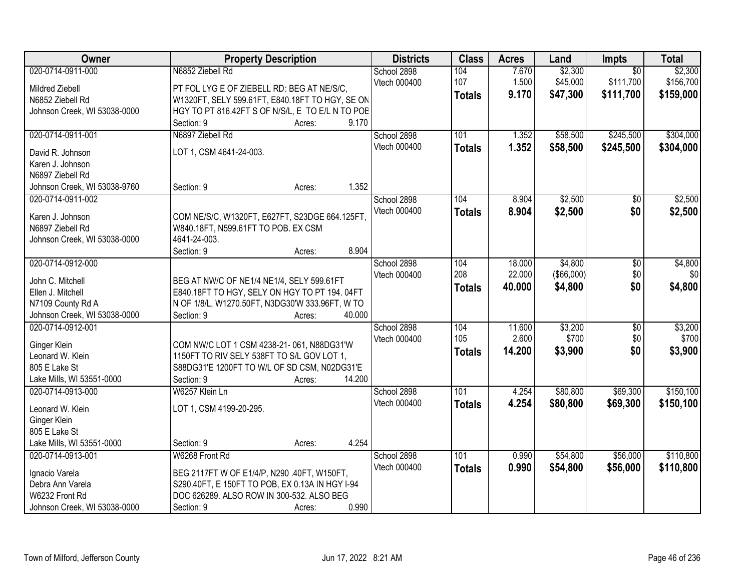| Owner                                 | <b>Property Description</b>                                                               |                  | <b>Districts</b> | <b>Class</b>  | <b>Acres</b> | Land              | Impts           | <b>Total</b> |
|---------------------------------------|-------------------------------------------------------------------------------------------|------------------|------------------|---------------|--------------|-------------------|-----------------|--------------|
| 020-0714-0911-000                     | N6852 Ziebell Rd                                                                          |                  | School 2898      | 104           | 7.670        | \$2,300           | $\overline{50}$ | \$2,300      |
| Mildred Ziebell                       | PT FOL LYG E OF ZIEBELL RD: BEG AT NE/S/C,                                                |                  | Vtech 000400     | 107           | 1.500        | \$45,000          | \$111,700       | \$156,700    |
| N6852 Ziebell Rd                      | W1320FT, SELY 599.61FT, E840.18FT TO HGY, SE ON                                           |                  |                  | <b>Totals</b> | 9.170        | \$47,300          | \$111,700       | \$159,000    |
| Johnson Creek, WI 53038-0000          | HGY TO PT 816.42FT S OF N/S/L, E TO E/L N TO POE                                          |                  |                  |               |              |                   |                 |              |
|                                       | Section: 9                                                                                | 9.170<br>Acres:  |                  |               |              |                   |                 |              |
| 020-0714-0911-001                     | N6897 Ziebell Rd                                                                          |                  | School 2898      | 101           | 1.352        | \$58,500          | \$245,500       | \$304,000    |
|                                       |                                                                                           |                  | Vtech 000400     | <b>Totals</b> | 1.352        | \$58,500          | \$245,500       | \$304,000    |
| David R. Johnson                      | LOT 1, CSM 4641-24-003.                                                                   |                  |                  |               |              |                   |                 |              |
| Karen J. Johnson                      |                                                                                           |                  |                  |               |              |                   |                 |              |
| N6897 Ziebell Rd                      |                                                                                           | 1.352            |                  |               |              |                   |                 |              |
| Johnson Creek, WI 53038-9760          | Section: 9                                                                                | Acres:           |                  |               |              |                   |                 |              |
| 020-0714-0911-002                     |                                                                                           |                  | School 2898      | 104           | 8.904        | \$2,500           | \$0             | \$2,500      |
| Karen J. Johnson                      | COM NE/S/C, W1320FT, E627FT, S23DGE 664.125FT,                                            |                  | Vtech 000400     | <b>Totals</b> | 8.904        | \$2,500           | \$0             | \$2,500      |
| N6897 Ziebell Rd                      | W840.18FT, N599.61FT TO POB. EX CSM                                                       |                  |                  |               |              |                   |                 |              |
| Johnson Creek, WI 53038-0000          | 4641-24-003.                                                                              |                  |                  |               |              |                   |                 |              |
|                                       | Section: 9                                                                                | 8.904<br>Acres:  |                  |               |              |                   |                 |              |
| 020-0714-0912-000                     |                                                                                           |                  | School 2898      | 104           | 18.000       | \$4,800           | \$0             | \$4,800      |
|                                       |                                                                                           |                  | Vtech 000400     | 208           | 22.000       | $($ \$66,000) $ $ | \$0             | \$0          |
| John C. Mitchell<br>Ellen J. Mitchell | BEG AT NW/C OF NE1/4 NE1/4, SELY 599.61FT<br>E840.18FT TO HGY, SELY ON HGY TO PT 194.04FT |                  |                  | <b>Totals</b> | 40.000       | \$4,800           | \$0             | \$4,800      |
| N7109 County Rd A                     | N OF 1/8/L, W1270.50FT, N3DG30'W 333.96FT, W TO                                           |                  |                  |               |              |                   |                 |              |
| Johnson Creek, WI 53038-0000          | Section: 9                                                                                | 40.000<br>Acres: |                  |               |              |                   |                 |              |
| 020-0714-0912-001                     |                                                                                           |                  | School 2898      | 104           | 11.600       | \$3,200           | $\overline{50}$ | \$3,200      |
|                                       |                                                                                           |                  | Vtech 000400     | 105           | 2.600        | \$700             | \$0             | \$700        |
| Ginger Klein                          | COM NW/C LOT 1 CSM 4238-21-061, N88DG31'W                                                 |                  |                  |               | 14.200       | \$3,900           | \$0             | \$3,900      |
| Leonard W. Klein                      | 1150FT TO RIV SELY 538FT TO S/L GOV LOT 1,                                                |                  |                  | <b>Totals</b> |              |                   |                 |              |
| 805 E Lake St                         | S88DG31'E 1200FT TO W/L OF SD CSM, N02DG31'E                                              |                  |                  |               |              |                   |                 |              |
| Lake Mills, WI 53551-0000             | Section: 9                                                                                | 14.200<br>Acres: |                  |               |              |                   |                 |              |
| 020-0714-0913-000                     | W6257 Klein Ln                                                                            |                  | School 2898      | 101           | 4.254        | \$80,800          | \$69,300        | \$150,100    |
| Leonard W. Klein                      | LOT 1, CSM 4199-20-295.                                                                   |                  | Vtech 000400     | <b>Totals</b> | 4.254        | \$80,800          | \$69,300        | \$150,100    |
| Ginger Klein                          |                                                                                           |                  |                  |               |              |                   |                 |              |
| 805 E Lake St                         |                                                                                           |                  |                  |               |              |                   |                 |              |
| Lake Mills, WI 53551-0000             | Section: 9                                                                                | 4.254<br>Acres:  |                  |               |              |                   |                 |              |
| 020-0714-0913-001                     | W6268 Front Rd                                                                            |                  | School 2898      | 101           | 0.990        | \$54,800          | \$56,000        | \$110,800    |
|                                       |                                                                                           |                  | Vtech 000400     | <b>Totals</b> | 0.990        | \$54,800          | \$56,000        | \$110,800    |
| Ignacio Varela                        | BEG 2117FT W OF E1/4/P, N290 .40FT, W150FT,                                               |                  |                  |               |              |                   |                 |              |
| Debra Ann Varela                      | S290.40FT, E 150FT TO POB, EX 0.13A IN HGY I-94                                           |                  |                  |               |              |                   |                 |              |
| W6232 Front Rd                        | DOC 626289. ALSO ROW IN 300-532. ALSO BEG                                                 |                  |                  |               |              |                   |                 |              |
| Johnson Creek, WI 53038-0000          | Section: 9                                                                                | 0.990<br>Acres:  |                  |               |              |                   |                 |              |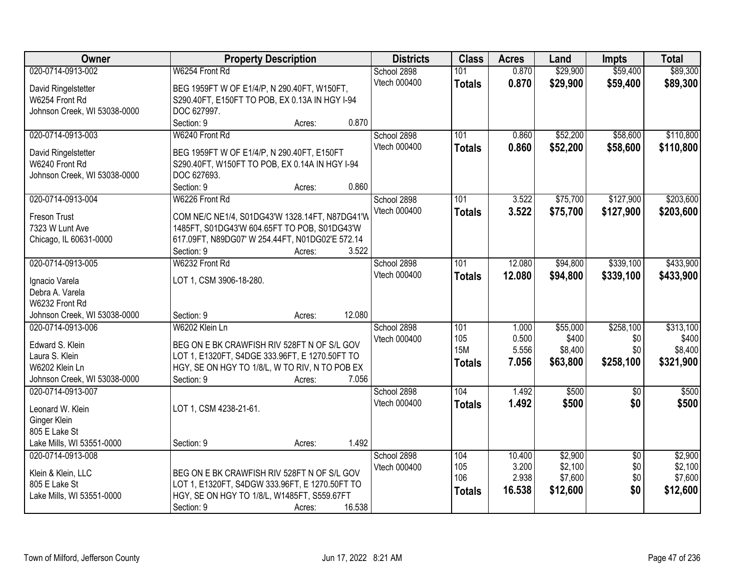| Owner                                 | <b>Property Description</b>                                   | <b>Districts</b> | <b>Class</b>  | <b>Acres</b> | Land     | <b>Impts</b>    | <b>Total</b> |
|---------------------------------------|---------------------------------------------------------------|------------------|---------------|--------------|----------|-----------------|--------------|
| 020-0714-0913-002                     | W6254 Front Rd                                                | School 2898      | 101           | 0.870        | \$29,900 | \$59,400        | \$89,300     |
| David Ringelstetter                   | BEG 1959FT W OF E1/4/P, N 290.40FT, W150FT,                   | Vtech 000400     | <b>Totals</b> | 0.870        | \$29,900 | \$59,400        | \$89,300     |
| W6254 Front Rd                        | S290.40FT, E150FT TO POB, EX 0.13A IN HGY I-94                |                  |               |              |          |                 |              |
| Johnson Creek, WI 53038-0000          | DOC 627997.                                                   |                  |               |              |          |                 |              |
|                                       | Section: 9<br>0.870<br>Acres:                                 |                  |               |              |          |                 |              |
| 020-0714-0913-003                     | W6240 Front Rd                                                | School 2898      | 101           | 0.860        | \$52,200 | \$58,600        | \$110,800    |
|                                       |                                                               | Vtech 000400     | <b>Totals</b> | 0.860        | \$52,200 | \$58,600        | \$110,800    |
| David Ringelstetter<br>W6240 Front Rd | BEG 1959FT W OF E1/4/P, N 290.40FT, E150FT                    |                  |               |              |          |                 |              |
| Johnson Creek, WI 53038-0000          | S290.40FT, W150FT TO POB, EX 0.14A IN HGY I-94<br>DOC 627693. |                  |               |              |          |                 |              |
|                                       | Section: 9<br>0.860<br>Acres:                                 |                  |               |              |          |                 |              |
| 020-0714-0913-004                     | W6226 Front Rd                                                | School 2898      | 101           | 3.522        | \$75,700 | \$127,900       | \$203,600    |
|                                       |                                                               | Vtech 000400     |               | 3.522        |          |                 |              |
| Freson Trust                          | COM NE/C NE1/4, S01DG43'W 1328.14FT, N87DG41'W                |                  | <b>Totals</b> |              | \$75,700 | \$127,900       | \$203,600    |
| 7323 W Lunt Ave                       | 1485FT, S01DG43'W 604.65FT TO POB, S01DG43'W                  |                  |               |              |          |                 |              |
| Chicago, IL 60631-0000                | 617.09FT, N89DG07' W 254.44FT, N01DG02'E 572.14               |                  |               |              |          |                 |              |
|                                       | 3.522<br>Section: 9<br>Acres:                                 |                  |               |              |          |                 |              |
| 020-0714-0913-005                     | W6232 Front Rd                                                | School 2898      | 101           | 12.080       | \$94,800 | \$339,100       | \$433,900    |
| Ignacio Varela                        | LOT 1, CSM 3906-18-280.                                       | Vtech 000400     | <b>Totals</b> | 12.080       | \$94,800 | \$339,100       | \$433,900    |
| Debra A. Varela                       |                                                               |                  |               |              |          |                 |              |
| W6232 Front Rd                        |                                                               |                  |               |              |          |                 |              |
| Johnson Creek, WI 53038-0000          | 12.080<br>Section: 9<br>Acres:                                |                  |               |              |          |                 |              |
| 020-0714-0913-006                     | W6202 Klein Ln                                                | School 2898      | 101           | 1.000        | \$55,000 | \$258,100       | \$313,100    |
|                                       |                                                               | Vtech 000400     | 105           | 0.500        | \$400    | \$0             | \$400        |
| Edward S. Klein                       | BEG ON E BK CRAWFISH RIV 528FT N OF S/L GOV                   |                  | <b>15M</b>    | 5.556        | \$8,400  | \$0             | \$8,400      |
| Laura S. Klein                        | LOT 1, E1320FT, S4DGE 333.96FT, E 1270.50FT TO                |                  | <b>Totals</b> | 7.056        | \$63,800 | \$258,100       | \$321,900    |
| W6202 Klein Ln                        | HGY, SE ON HGY TO 1/8/L, W TO RIV, N TO POB EX                |                  |               |              |          |                 |              |
| Johnson Creek, WI 53038-0000          | 7.056<br>Section: 9<br>Acres:                                 |                  |               |              |          |                 |              |
| 020-0714-0913-007                     |                                                               | School 2898      | 104           | 1.492        | \$500    | $\overline{50}$ | \$500        |
| Leonard W. Klein                      | LOT 1, CSM 4238-21-61.                                        | Vtech 000400     | <b>Totals</b> | 1.492        | \$500    | \$0             | \$500        |
| Ginger Klein                          |                                                               |                  |               |              |          |                 |              |
| 805 E Lake St                         |                                                               |                  |               |              |          |                 |              |
| Lake Mills, WI 53551-0000             | 1.492<br>Section: 9<br>Acres:                                 |                  |               |              |          |                 |              |
| 020-0714-0913-008                     |                                                               | School 2898      | 104           | 10.400       | \$2,900  | $\overline{50}$ | \$2,900      |
| Klein & Klein, LLC                    | BEG ON E BK CRAWFISH RIV 528FT N OF S/L GOV                   | Vtech 000400     | 105           | 3.200        | \$2,100  | \$0             | \$2,100      |
| 805 E Lake St                         | LOT 1, E1320FT, S4DGW 333.96FT, E 1270.50FT TO                |                  | 106           | 2.938        | \$7,600  | \$0             | \$7,600      |
| Lake Mills, WI 53551-0000             | HGY, SE ON HGY TO 1/8/L, W1485FT, S559.67FT                   |                  | <b>Totals</b> | 16.538       | \$12,600 | \$0             | \$12,600     |
|                                       | 16.538<br>Section: 9<br>Acres:                                |                  |               |              |          |                 |              |
|                                       |                                                               |                  |               |              |          |                 |              |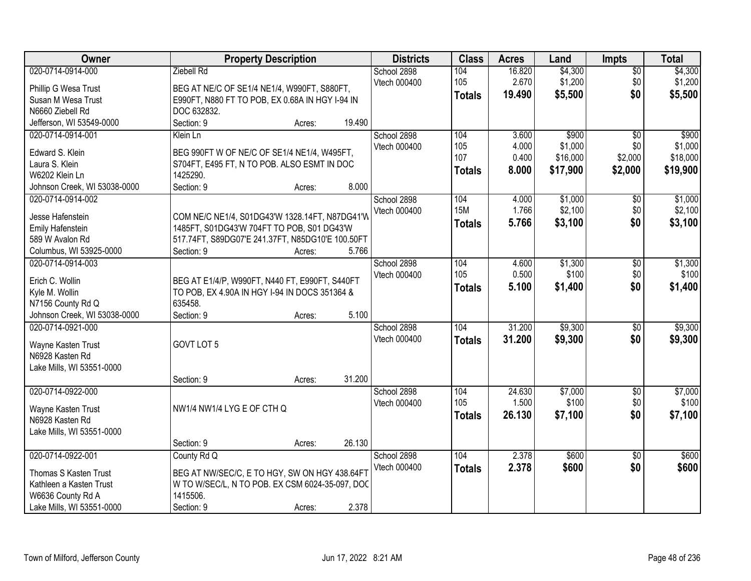| Owner                                      | <b>Property Description</b>                                    | <b>Districts</b> | <b>Class</b> | <b>Acres</b>  | Land   | <b>Impts</b> | <b>Total</b>    |          |
|--------------------------------------------|----------------------------------------------------------------|------------------|--------------|---------------|--------|--------------|-----------------|----------|
| 020-0714-0914-000                          | Ziebell Rd                                                     |                  | School 2898  | 104           | 16.820 | \$4,300      | $\sqrt{$0}$     | \$4,300  |
| Phillip G Wesa Trust                       | BEG AT NE/C OF SE1/4 NE1/4, W990FT, S880FT,                    |                  | Vtech 000400 | 105           | 2.670  | \$1,200      | \$0             | \$1,200  |
| Susan M Wesa Trust                         | E990FT, N880 FT TO POB, EX 0.68A IN HGY I-94 IN                |                  |              | <b>Totals</b> | 19.490 | \$5,500      | \$0             | \$5,500  |
| N6660 Ziebell Rd                           | DOC 632832.                                                    |                  |              |               |        |              |                 |          |
| Jefferson, WI 53549-0000                   | Section: 9<br>Acres:                                           | 19.490           |              |               |        |              |                 |          |
| 020-0714-0914-001                          | Klein Ln                                                       |                  | School 2898  | 104           | 3.600  | \$900        | $\overline{50}$ | \$900    |
| Edward S. Klein                            | BEG 990FT W OF NE/C OF SE1/4 NE1/4, W495FT,                    |                  | Vtech 000400 | 105           | 4.000  | \$1,000      | \$0             | \$1,000  |
| Laura S. Klein                             | S704FT, E495 FT, N TO POB. ALSO ESMT IN DOC                    |                  |              | 107           | 0.400  | \$16,000     | \$2,000         | \$18,000 |
| W6202 Klein Ln                             | 1425290.                                                       |                  |              | <b>Totals</b> | 8.000  | \$17,900     | \$2,000         | \$19,900 |
| Johnson Creek, WI 53038-0000               | Section: 9<br>Acres:                                           | 8.000            |              |               |        |              |                 |          |
| 020-0714-0914-002                          |                                                                |                  | School 2898  | 104           | 4.000  | \$1,000      | $\sqrt[6]{}$    | \$1,000  |
|                                            |                                                                |                  | Vtech 000400 | <b>15M</b>    | 1.766  | \$2,100      | \$0             | \$2,100  |
| Jesse Hafenstein                           | COM NE/C NE1/4, S01DG43'W 1328.14FT, N87DG41'W                 |                  |              | <b>Totals</b> | 5.766  | \$3,100      | \$0             | \$3,100  |
| Emily Hafenstein                           | 1485FT, S01DG43'W 704FT TO POB, S01 DG43'W                     |                  |              |               |        |              |                 |          |
| 589 W Avalon Rd<br>Columbus, WI 53925-0000 | 517.74FT, S89DG07'E 241.37FT, N85DG10'E 100.50FT<br>Section: 9 | 5.766            |              |               |        |              |                 |          |
| 020-0714-0914-003                          | Acres:                                                         |                  | School 2898  | 104           | 4.600  | \$1,300      | \$0             | \$1,300  |
|                                            |                                                                |                  | Vtech 000400 | 105           | 0.500  | \$100        | \$0             | \$100    |
| Erich C. Wollin                            | BEG AT E1/4/P, W990FT, N440 FT, E990FT, S440FT                 |                  |              |               | 5.100  | \$1,400      | \$0             | \$1,400  |
| Kyle M. Wollin                             | TO POB, EX 4.90A IN HGY I-94 IN DOCS 351364 &                  |                  |              | <b>Totals</b> |        |              |                 |          |
| N7156 County Rd Q                          | 635458.                                                        |                  |              |               |        |              |                 |          |
| Johnson Creek, WI 53038-0000               | Section: 9<br>Acres:                                           | 5.100            |              |               |        |              |                 |          |
| 020-0714-0921-000                          |                                                                |                  | School 2898  | 104           | 31.200 | \$9,300      | \$0             | \$9,300  |
| Wayne Kasten Trust                         | GOVT LOT 5                                                     |                  | Vtech 000400 | <b>Totals</b> | 31.200 | \$9,300      | \$0             | \$9,300  |
| N6928 Kasten Rd                            |                                                                |                  |              |               |        |              |                 |          |
| Lake Mills, WI 53551-0000                  |                                                                |                  |              |               |        |              |                 |          |
|                                            | Section: 9<br>Acres:                                           | 31.200           |              |               |        |              |                 |          |
| 020-0714-0922-000                          |                                                                |                  | School 2898  | 104           | 24.630 | \$7,000      | $\overline{$0}$ | \$7,000  |
| Wayne Kasten Trust                         | NW1/4 NW1/4 LYG E OF CTH Q                                     |                  | Vtech 000400 | 105           | 1.500  | \$100        | \$0             | \$100    |
| N6928 Kasten Rd                            |                                                                |                  |              | <b>Totals</b> | 26.130 | \$7,100      | \$0             | \$7,100  |
| Lake Mills, WI 53551-0000                  |                                                                |                  |              |               |        |              |                 |          |
|                                            | Section: 9<br>Acres:                                           | 26.130           |              |               |        |              |                 |          |
| 020-0714-0922-001                          | County Rd Q                                                    |                  | School 2898  | 104           | 2.378  | \$600        | $\overline{30}$ | \$600    |
|                                            |                                                                |                  | Vtech 000400 | <b>Totals</b> | 2.378  | \$600        | \$0             | \$600    |
| Thomas S Kasten Trust                      | BEG AT NW/SEC/C, E TO HGY, SW ON HGY 438.64FT                  |                  |              |               |        |              |                 |          |
| Kathleen a Kasten Trust                    | W TO W/SEC/L, N TO POB. EX CSM 6024-35-097, DOC                |                  |              |               |        |              |                 |          |
| W6636 County Rd A                          | 1415506.                                                       |                  |              |               |        |              |                 |          |
| Lake Mills, WI 53551-0000                  | Section: 9<br>Acres:                                           | 2.378            |              |               |        |              |                 |          |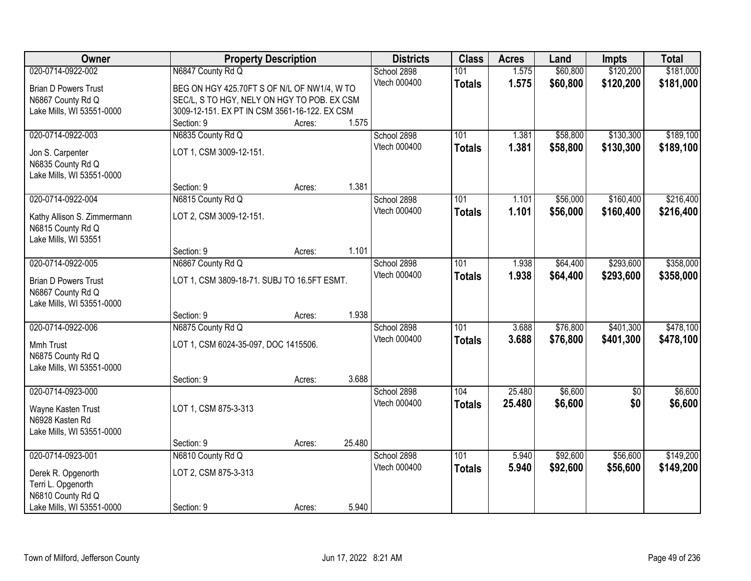| Owner                                                                                                           | <b>Property Description</b>                                                                                     |                             | <b>Districts</b>            | <b>Class</b>                | <b>Acres</b>         | Land                   | <b>Impts</b>           | <b>Total</b>           |                        |
|-----------------------------------------------------------------------------------------------------------------|-----------------------------------------------------------------------------------------------------------------|-----------------------------|-----------------------------|-----------------------------|----------------------|------------------------|------------------------|------------------------|------------------------|
| 020-0714-0922-002<br><b>Brian D Powers Trust</b><br>N6867 County Rd Q                                           | N6847 County Rd Q<br>BEG ON HGY 425.70FT S OF N/L OF NW1/4, W TO<br>SEC/L, S TO HGY, NELY ON HGY TO POB. EX CSM | School 2898<br>Vtech 000400 | 101<br><b>Totals</b>        | 1.575<br>1.575              | \$60,800<br>\$60,800 | \$120,200<br>\$120,200 | \$181,000<br>\$181,000 |                        |                        |
| Lake Mills, WI 53551-0000                                                                                       | 3009-12-151. EX PT IN CSM 3561-16-122. EX CSM<br>Section: 9                                                     | Acres:                      | 1.575                       |                             |                      |                        |                        |                        |                        |
| 020-0714-0922-003<br>Jon S. Carpenter<br>N6835 County Rd Q<br>Lake Mills, WI 53551-0000                         | N6835 County Rd Q<br>LOT 1, CSM 3009-12-151.                                                                    |                             |                             | School 2898<br>Vtech 000400 | 101<br><b>Totals</b> | 1.381<br>1.381         | \$58,800<br>\$58,800   | \$130,300<br>\$130,300 | \$189,100<br>\$189,100 |
| 020-0714-0922-004<br>Kathy Allison S. Zimmermann<br>N6815 County Rd Q<br>Lake Mills, WI 53551                   | Section: 9<br>N6815 County Rd Q<br>LOT 2, CSM 3009-12-151.                                                      | Acres:                      | 1.381                       | School 2898<br>Vtech 000400 | 101<br><b>Totals</b> | 1.101<br>1.101         | \$56,000<br>\$56,000   | \$160,400<br>\$160,400 | \$216,400<br>\$216,400 |
|                                                                                                                 | Section: 9                                                                                                      | Acres:                      | 1.101                       |                             |                      |                        |                        |                        |                        |
| 020-0714-0922-005<br><b>Brian D Powers Trust</b><br>N6867 County Rd Q<br>Lake Mills, WI 53551-0000              | N6867 County Rd Q<br>LOT 1, CSM 3809-18-71. SUBJ TO 16.5FT ESMT.                                                |                             | School 2898<br>Vtech 000400 | 101<br><b>Totals</b>        | 1.938<br>1.938       | \$64,400<br>\$64,400   | \$293,600<br>\$293,600 | \$358,000<br>\$358,000 |                        |
|                                                                                                                 | Section: 9                                                                                                      | Acres:                      | 1.938                       |                             |                      |                        |                        |                        |                        |
| 020-0714-0922-006<br>Mmh Trust<br>N6875 County Rd Q<br>Lake Mills, WI 53551-0000                                | N6875 County Rd Q<br>LOT 1, CSM 6024-35-097, DOC 1415506.<br>Section: 9                                         | Acres:                      | 3.688                       | School 2898<br>Vtech 000400 | 101<br><b>Totals</b> | 3.688<br>3.688         | \$76,800<br>\$76,800   | \$401,300<br>\$401,300 | \$478,100<br>\$478,100 |
| 020-0714-0923-000<br>Wayne Kasten Trust<br>N6928 Kasten Rd<br>Lake Mills, WI 53551-0000                         | LOT 1, CSM 875-3-313                                                                                            |                             |                             | School 2898<br>Vtech 000400 | 104<br><b>Totals</b> | 25.480<br>25.480       | \$6,600<br>\$6,600     | $\overline{50}$<br>\$0 | \$6,600<br>\$6,600     |
|                                                                                                                 | Section: 9                                                                                                      | Acres:                      | 25.480                      |                             |                      |                        |                        |                        |                        |
| 020-0714-0923-001<br>Derek R. Opgenorth<br>Terri L. Opgenorth<br>N6810 County Rd Q<br>Lake Mills, WI 53551-0000 | N6810 County Rd Q<br>LOT 2, CSM 875-3-313<br>Section: 9                                                         | Acres:                      | 5.940                       | School 2898<br>Vtech 000400 | 101<br><b>Totals</b> | 5.940<br>5.940         | \$92,600<br>\$92,600   | \$56,600<br>\$56,600   | \$149,200<br>\$149,200 |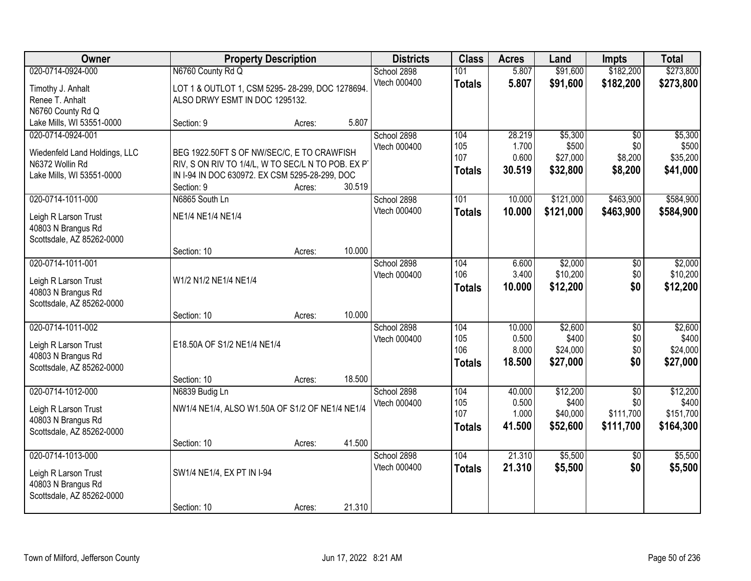| Owner                                                                                              | <b>Property Description</b>                                                                                                                                      |                  | <b>Districts</b> | <b>Class</b>                | <b>Acres</b>                       | Land                               | <b>Impts</b>                              | <b>Total</b>                                     |                                             |
|----------------------------------------------------------------------------------------------------|------------------------------------------------------------------------------------------------------------------------------------------------------------------|------------------|------------------|-----------------------------|------------------------------------|------------------------------------|-------------------------------------------|--------------------------------------------------|---------------------------------------------|
| 020-0714-0924-000<br>Timothy J. Anhalt                                                             | N6760 County Rd Q<br>LOT 1 & OUTLOT 1, CSM 5295-28-299, DOC 1278694.                                                                                             |                  |                  | School 2898<br>Vtech 000400 | 101<br><b>Totals</b>               | 5.807<br>5.807                     | \$91,600<br>\$91,600                      | \$182,200<br>\$182,200                           | \$273,800<br>\$273,800                      |
| Renee T. Anhalt<br>N6760 County Rd Q<br>Lake Mills, WI 53551-0000                                  | ALSO DRWY ESMT IN DOC 1295132.<br>Section: 9                                                                                                                     | Acres:           | 5.807            |                             |                                    |                                    |                                           |                                                  |                                             |
| 020-0714-0924-001<br>Wiedenfeld Land Holdings, LLC<br>N6372 Wollin Rd<br>Lake Mills, WI 53551-0000 | BEG 1922.50FT S OF NW/SEC/C, E TO CRAWFISH<br>RIV, S ON RIV TO 1/4/L, W TO SEC/L N TO POB. EX PT<br>IN I-94 IN DOC 630972. EX CSM 5295-28-299, DOC<br>Section: 9 | Acres:           | 30.519           | School 2898<br>Vtech 000400 | 104<br>105<br>107<br><b>Totals</b> | 28.219<br>1.700<br>0.600<br>30.519 | \$5,300<br>\$500<br>\$27,000<br>\$32,800  | $\overline{50}$<br>\$0<br>\$8,200<br>\$8,200     | \$5,300<br>\$500<br>\$35,200<br>\$41,000    |
| 020-0714-1011-000<br>Leigh R Larson Trust<br>40803 N Brangus Rd<br>Scottsdale, AZ 85262-0000       | N6865 South Ln<br>NE1/4 NE1/4 NE1/4                                                                                                                              |                  |                  | School 2898<br>Vtech 000400 | 101<br><b>Totals</b>               | 10.000<br>10.000                   | \$121,000<br>\$121,000                    | \$463,900<br>\$463,900                           | \$584,900<br>\$584,900                      |
| 020-0714-1011-001<br>Leigh R Larson Trust<br>40803 N Brangus Rd<br>Scottsdale, AZ 85262-0000       | Section: 10<br>W1/2 N1/2 NE1/4 NE1/4                                                                                                                             | Acres:           | 10.000           | School 2898<br>Vtech 000400 | 104<br>106<br><b>Totals</b>        | 6.600<br>3.400<br>10.000           | \$2,000<br>\$10,200<br>\$12,200           | \$0<br>\$0<br>\$0                                | \$2,000<br>\$10,200<br>\$12,200             |
| 020-0714-1011-002<br>Leigh R Larson Trust<br>40803 N Brangus Rd<br>Scottsdale, AZ 85262-0000       | Section: 10<br>E18.50A OF S1/2 NE1/4 NE1/4<br>Section: 10                                                                                                        | Acres:<br>Acres: | 10.000<br>18.500 | School 2898<br>Vtech 000400 | 104<br>105<br>106<br><b>Totals</b> | 10.000<br>0.500<br>8.000<br>18.500 | \$2,600<br>\$400<br>\$24,000<br>\$27,000  | $\overline{50}$<br>\$0<br>\$0<br>\$0             | \$2,600<br>\$400<br>\$24,000<br>\$27,000    |
| 020-0714-1012-000<br>Leigh R Larson Trust<br>40803 N Brangus Rd<br>Scottsdale, AZ 85262-0000       | N6839 Budig Ln<br>NW1/4 NE1/4, ALSO W1.50A OF S1/2 OF NE1/4 NE1/4                                                                                                |                  |                  | School 2898<br>Vtech 000400 | 104<br>105<br>107<br><b>Totals</b> | 40.000<br>0.500<br>1.000<br>41.500 | \$12,200<br>\$400<br>\$40,000<br>\$52,600 | $\overline{50}$<br>\$0<br>\$111,700<br>\$111,700 | \$12,200<br>\$400<br>\$151,700<br>\$164,300 |
| 020-0714-1013-000<br>Leigh R Larson Trust<br>40803 N Brangus Rd<br>Scottsdale, AZ 85262-0000       | Section: 10<br>SW1/4 NE1/4, EX PT IN I-94<br>Section: 10                                                                                                         | Acres:<br>Acres: | 41.500<br>21.310 | School 2898<br>Vtech 000400 | 104<br><b>Totals</b>               | 21.310<br>21.310                   | \$5,500<br>\$5,500                        | $\overline{50}$<br>\$0                           | \$5,500<br>\$5,500                          |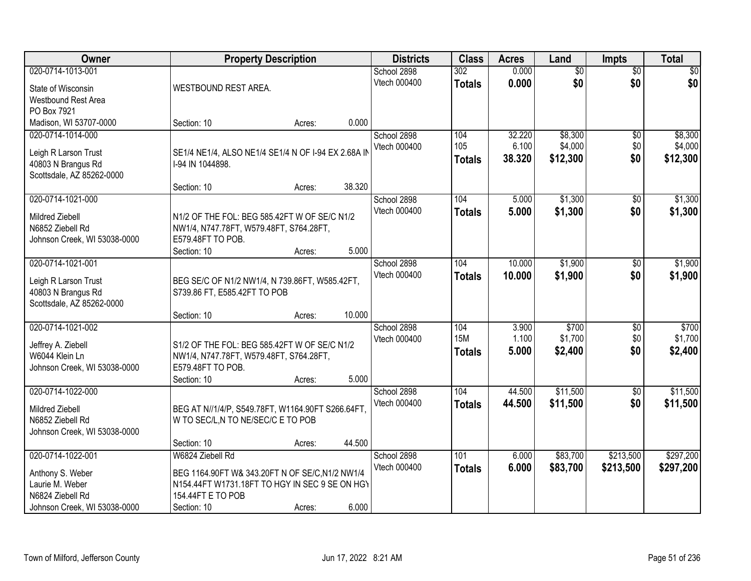| Owner                        |                                                     | <b>Property Description</b> |        | <b>Districts</b> | <b>Class</b>  | <b>Acres</b> | Land            | <b>Impts</b>    | <b>Total</b> |
|------------------------------|-----------------------------------------------------|-----------------------------|--------|------------------|---------------|--------------|-----------------|-----------------|--------------|
| 020-0714-1013-001            |                                                     |                             |        | School 2898      | 302           | 0.000        | $\overline{50}$ | $\overline{50}$ | \$0          |
| State of Wisconsin           | WESTBOUND REST AREA.                                |                             |        | Vtech 000400     | <b>Totals</b> | 0.000        | \$0             | \$0             | \$0          |
| Westbound Rest Area          |                                                     |                             |        |                  |               |              |                 |                 |              |
| PO Box 7921                  |                                                     |                             |        |                  |               |              |                 |                 |              |
| Madison, WI 53707-0000       | Section: 10                                         | Acres:                      | 0.000  |                  |               |              |                 |                 |              |
| 020-0714-1014-000            |                                                     |                             |        | School 2898      | 104           | 32.220       | \$8,300         | \$0             | \$8,300      |
| Leigh R Larson Trust         | SE1/4 NE1/4, ALSO NE1/4 SE1/4 N OF I-94 EX 2.68A IN |                             |        | Vtech 000400     | 105           | 6.100        | \$4,000         | \$0             | \$4,000      |
| 40803 N Brangus Rd           | I-94 IN 1044898.                                    |                             |        |                  | <b>Totals</b> | 38.320       | \$12,300        | \$0             | \$12,300     |
| Scottsdale, AZ 85262-0000    |                                                     |                             |        |                  |               |              |                 |                 |              |
|                              | Section: 10                                         | Acres:                      | 38.320 |                  |               |              |                 |                 |              |
| 020-0714-1021-000            |                                                     |                             |        | School 2898      | 104           | 5.000        | \$1,300         | \$0             | \$1,300      |
| Mildred Ziebell              | N1/2 OF THE FOL: BEG 585.42FT W OF SE/C N1/2        |                             |        | Vtech 000400     | <b>Totals</b> | 5.000        | \$1,300         | \$0             | \$1,300      |
| N6852 Ziebell Rd             | NW1/4, N747.78FT, W579.48FT, S764.28FT,             |                             |        |                  |               |              |                 |                 |              |
| Johnson Creek, WI 53038-0000 | E579.48FT TO POB.                                   |                             |        |                  |               |              |                 |                 |              |
|                              | Section: 10                                         | Acres:                      | 5.000  |                  |               |              |                 |                 |              |
| 020-0714-1021-001            |                                                     |                             |        | School 2898      | 104           | 10.000       | \$1,900         | $\sqrt[6]{}$    | \$1,900      |
| Leigh R Larson Trust         | BEG SE/C OF N1/2 NW1/4, N 739.86FT, W585.42FT,      |                             |        | Vtech 000400     | <b>Totals</b> | 10.000       | \$1,900         | \$0             | \$1,900      |
| 40803 N Brangus Rd           | S739.86 FT, E585.42FT TO POB                        |                             |        |                  |               |              |                 |                 |              |
| Scottsdale, AZ 85262-0000    |                                                     |                             |        |                  |               |              |                 |                 |              |
|                              | Section: 10                                         | Acres:                      | 10.000 |                  |               |              |                 |                 |              |
| 020-0714-1021-002            |                                                     |                             |        | School 2898      | 104           | 3.900        | \$700           | \$0             | \$700        |
| Jeffrey A. Ziebell           | S1/2 OF THE FOL: BEG 585.42FT W OF SE/C N1/2        |                             |        | Vtech 000400     | <b>15M</b>    | 1.100        | \$1,700         | \$0             | \$1,700      |
| W6044 Klein Ln               | NW1/4, N747.78FT, W579.48FT, S764.28FT,             |                             |        |                  | <b>Totals</b> | 5.000        | \$2,400         | \$0             | \$2,400      |
| Johnson Creek, WI 53038-0000 | E579.48FT TO POB.                                   |                             |        |                  |               |              |                 |                 |              |
|                              | Section: 10                                         | Acres:                      | 5.000  |                  |               |              |                 |                 |              |
| 020-0714-1022-000            |                                                     |                             |        | School 2898      | 104           | 44.500       | \$11,500        | \$0             | \$11,500     |
| Mildred Ziebell              | BEG AT N//1/4/P, S549.78FT, W1164.90FT S266.64FT,   |                             |        | Vtech 000400     | <b>Totals</b> | 44.500       | \$11,500        | \$0             | \$11,500     |
| N6852 Ziebell Rd             | W TO SEC/L, N TO NE/SEC/C E TO POB                  |                             |        |                  |               |              |                 |                 |              |
| Johnson Creek, WI 53038-0000 |                                                     |                             |        |                  |               |              |                 |                 |              |
|                              | Section: 10                                         | Acres:                      | 44.500 |                  |               |              |                 |                 |              |
| 020-0714-1022-001            | W6824 Ziebell Rd                                    |                             |        | School 2898      | 101           | 6.000        | \$83,700        | \$213,500       | \$297,200    |
| Anthony S. Weber             | BEG 1164.90FT W& 343.20FT N OF SE/C, N1/2 NW1/4     |                             |        | Vtech 000400     | <b>Totals</b> | 6.000        | \$83,700        | \$213,500       | \$297,200    |
| Laurie M. Weber              | N154.44FT W1731.18FT TO HGY IN SEC 9 SE ON HGY      |                             |        |                  |               |              |                 |                 |              |
| N6824 Ziebell Rd             | 154.44FT E TO POB                                   |                             |        |                  |               |              |                 |                 |              |
| Johnson Creek, WI 53038-0000 | Section: 10                                         | Acres:                      | 6.000  |                  |               |              |                 |                 |              |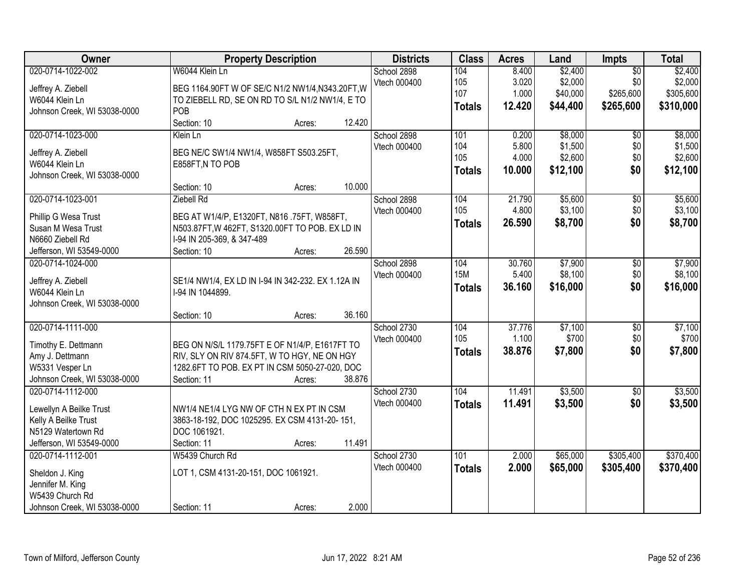| Owner                        | <b>Property Description</b>                        | <b>Districts</b> | <b>Class</b>  | <b>Acres</b> | Land     | Impts           | <b>Total</b> |
|------------------------------|----------------------------------------------------|------------------|---------------|--------------|----------|-----------------|--------------|
| 020-0714-1022-002            | W6044 Klein Ln                                     | School 2898      | 104           | 8.400        | \$2,400  | $\overline{50}$ | \$2,400      |
| Jeffrey A. Ziebell           | BEG 1164.90FT W OF SE/C N1/2 NW1/4, N343.20FT, W   | Vtech 000400     | 105           | 3.020        | \$2,000  | \$0             | \$2,000      |
| W6044 Klein Ln               | TO ZIEBELL RD, SE ON RD TO S/L N1/2 NW1/4, E TO    |                  | 107           | 1.000        | \$40,000 | \$265,600       | \$305,600    |
| Johnson Creek, WI 53038-0000 | POB                                                |                  | <b>Totals</b> | 12.420       | \$44,400 | \$265,600       | \$310,000    |
|                              | Section: 10<br>12.420<br>Acres:                    |                  |               |              |          |                 |              |
| 020-0714-1023-000            | Klein Ln                                           | School 2898      | 101           | 0.200        | \$8,000  | $\overline{50}$ | \$8,000      |
|                              |                                                    | Vtech 000400     | 104           | 5.800        | \$1,500  | \$0             | \$1,500      |
| Jeffrey A. Ziebell           | BEG NE/C SW1/4 NW1/4, W858FT S503.25FT,            |                  | 105           | 4.000        | \$2,600  | \$0             | \$2,600      |
| W6044 Klein Ln               | E858FT, N TO POB                                   |                  | <b>Totals</b> | 10.000       | \$12,100 | \$0             | \$12,100     |
| Johnson Creek, WI 53038-0000 |                                                    |                  |               |              |          |                 |              |
|                              | 10.000<br>Section: 10<br>Acres:                    |                  |               |              |          |                 |              |
| 020-0714-1023-001            | Ziebell Rd                                         | School 2898      | 104           | 21.790       | \$5,600  | $\overline{50}$ | \$5,600      |
| Phillip G Wesa Trust         | BEG AT W1/4/P, E1320FT, N816 .75FT, W858FT,        | Vtech 000400     | 105           | 4.800        | \$3,100  | \$0             | \$3,100      |
| Susan M Wesa Trust           | N503.87FT, W 462FT, S1320.00FT TO POB. EX LD IN    |                  | <b>Totals</b> | 26.590       | \$8,700  | \$0             | \$8,700      |
| N6660 Ziebell Rd             | I-94 IN 205-369, & 347-489                         |                  |               |              |          |                 |              |
| Jefferson, WI 53549-0000     | 26.590<br>Section: 10<br>Acres:                    |                  |               |              |          |                 |              |
| 020-0714-1024-000            |                                                    | School 2898      | 104           | 30.760       | \$7,900  | $\overline{50}$ | \$7,900      |
|                              |                                                    | Vtech 000400     | <b>15M</b>    | 5.400        | \$8,100  | \$0             | \$8,100      |
| Jeffrey A. Ziebell           | SE1/4 NW1/4, EX LD IN I-94 IN 342-232. EX 1.12A IN |                  | <b>Totals</b> | 36.160       | \$16,000 | \$0             | \$16,000     |
| W6044 Klein Ln               | I-94 IN 1044899.                                   |                  |               |              |          |                 |              |
| Johnson Creek, WI 53038-0000 |                                                    |                  |               |              |          |                 |              |
|                              | 36.160<br>Section: 10<br>Acres:                    |                  |               |              |          |                 |              |
| 020-0714-1111-000            |                                                    | School 2730      | 104           | 37.776       | \$7,100  | $\overline{50}$ | \$7,100      |
| Timothy E. Dettmann          | BEG ON N/S/L 1179.75FT E OF N1/4/P, E1617FT TO     | Vtech 000400     | 105           | 1.100        | \$700    | \$0             | \$700        |
| Amy J. Dettmann              | RIV, SLY ON RIV 874.5FT, W TO HGY, NE ON HGY       |                  | <b>Totals</b> | 38.876       | \$7,800  | \$0             | \$7,800      |
| W5331 Vesper Ln              | 1282.6FT TO POB. EX PT IN CSM 5050-27-020, DOC     |                  |               |              |          |                 |              |
| Johnson Creek, WI 53038-0000 | Section: 11<br>38.876<br>Acres:                    |                  |               |              |          |                 |              |
| 020-0714-1112-000            |                                                    | School 2730      | 104           | 11.491       | \$3,500  | $\overline{50}$ | \$3,500      |
|                              |                                                    | Vtech 000400     | <b>Totals</b> | 11.491       | \$3,500  | \$0             | \$3,500      |
| Lewellyn A Beilke Trust      | NW1/4 NE1/4 LYG NW OF CTH N EX PT IN CSM           |                  |               |              |          |                 |              |
| Kelly A Beilke Trust         | 3863-18-192, DOC 1025295. EX CSM 4131-20-151,      |                  |               |              |          |                 |              |
| N5129 Watertown Rd           | DOC 1061921.                                       |                  |               |              |          |                 |              |
| Jefferson, WI 53549-0000     | 11.491<br>Section: 11<br>Acres:                    |                  |               |              |          |                 |              |
| 020-0714-1112-001            | W5439 Church Rd                                    | School 2730      | 101           | 2.000        | \$65,000 | \$305,400       | \$370,400    |
| Sheldon J. King              | LOT 1, CSM 4131-20-151, DOC 1061921.               | Vtech 000400     | <b>Totals</b> | 2.000        | \$65,000 | \$305,400       | \$370,400    |
| Jennifer M. King             |                                                    |                  |               |              |          |                 |              |
| W5439 Church Rd              |                                                    |                  |               |              |          |                 |              |
| Johnson Creek, WI 53038-0000 | 2.000<br>Section: 11<br>Acres:                     |                  |               |              |          |                 |              |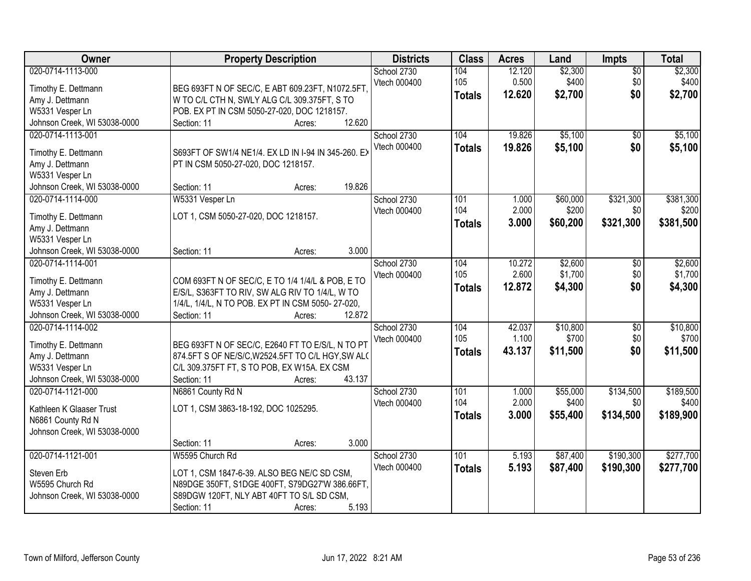| Owner                                                                                                          | <b>Property Description</b>                                                                                                                                                                     | <b>Districts</b>            | <b>Class</b>                | <b>Acres</b>              | Land                          | <b>Impts</b>                  | <b>Total</b>                    |
|----------------------------------------------------------------------------------------------------------------|-------------------------------------------------------------------------------------------------------------------------------------------------------------------------------------------------|-----------------------------|-----------------------------|---------------------------|-------------------------------|-------------------------------|---------------------------------|
| 020-0714-1113-000<br>Timothy E. Dettmann<br>Amy J. Dettmann<br>W5331 Vesper Ln<br>Johnson Creek, WI 53038-0000 | BEG 693FT N OF SEC/C, E ABT 609.23FT, N1072.5FT.<br>W TO C/L CTH N, SWLY ALG C/L 309.375FT, S TO<br>POB. EX PT IN CSM 5050-27-020, DOC 1218157.<br>12.620<br>Section: 11<br>Acres:              | School 2730<br>Vtech 000400 | 104<br>105<br><b>Totals</b> | 12.120<br>0.500<br>12.620 | \$2,300<br>\$400<br>\$2,700   | $\overline{50}$<br>\$0<br>\$0 | \$2,300<br>\$400<br>\$2,700     |
| 020-0714-1113-001<br>Timothy E. Dettmann<br>Amy J. Dettmann<br>W5331 Vesper Ln<br>Johnson Creek, WI 53038-0000 | S693FT OF SW1/4 NE1/4. EX LD IN I-94 IN 345-260. EX<br>PT IN CSM 5050-27-020, DOC 1218157.<br>19.826<br>Section: 11                                                                             | School 2730<br>Vtech 000400 | 104<br><b>Totals</b>        | 19.826<br>19.826          | \$5,100<br>\$5,100            | $\overline{50}$<br>\$0        | \$5,100<br>\$5,100              |
| 020-0714-1114-000<br>Timothy E. Dettmann<br>Amy J. Dettmann<br>W5331 Vesper Ln<br>Johnson Creek, WI 53038-0000 | Acres:<br>W5331 Vesper Ln<br>LOT 1, CSM 5050-27-020, DOC 1218157.<br>3.000<br>Section: 11<br>Acres:                                                                                             | School 2730<br>Vtech 000400 | 101<br>104<br>Totals        | 1.000<br>2.000<br>3.000   | \$60,000<br>\$200<br>\$60,200 | \$321,300<br>\$0<br>\$321,300 | \$381,300<br>\$200<br>\$381,500 |
| 020-0714-1114-001<br>Timothy E. Dettmann<br>Amy J. Dettmann<br>W5331 Vesper Ln<br>Johnson Creek, WI 53038-0000 | COM 693FT N OF SEC/C, E TO 1/4 1/4/L & POB, E TO<br>E/S/L, S363FT TO RIV, SW ALG RIV TO 1/4/L, W TO<br>1/4/L, 1/4/L, N TO POB. EX PT IN CSM 5050-27-020,<br>12.872<br>Section: 11<br>Acres:     | School 2730<br>Vtech 000400 | 104<br>105<br><b>Totals</b> | 10.272<br>2.600<br>12.872 | \$2,600<br>\$1,700<br>\$4,300 | \$0<br>\$0<br>\$0             | \$2,600<br>\$1,700<br>\$4,300   |
| 020-0714-1114-002<br>Timothy E. Dettmann<br>Amy J. Dettmann<br>W5331 Vesper Ln<br>Johnson Creek, WI 53038-0000 | BEG 693FT N OF SEC/C, E2640 FT TO E/S/L, N TO PT<br>874.5FT S OF NE/S/C, W2524.5FT TO C/L HGY, SW ALO<br>C/L 309.375FT FT, S TO POB, EX W15A. EX CSM<br>43.137<br>Section: 11<br>Acres:         | School 2730<br>Vtech 000400 | 104<br>105<br><b>Totals</b> | 42.037<br>1.100<br>43.137 | \$10,800<br>\$700<br>\$11,500 | $\overline{30}$<br>\$0<br>\$0 | \$10,800<br>\$700<br>\$11,500   |
| 020-0714-1121-000<br>Kathleen K Glaaser Trust<br>N6861 County Rd N<br>Johnson Creek, WI 53038-0000             | N6861 County Rd N<br>LOT 1, CSM 3863-18-192, DOC 1025295.<br>3.000<br>Section: 11<br>Acres:                                                                                                     | School 2730<br>Vtech 000400 | 101<br>104<br><b>Totals</b> | 1.000<br>2.000<br>3.000   | \$55,000<br>\$400<br>\$55,400 | \$134,500<br>\$0<br>\$134,500 | \$189,500<br>\$400<br>\$189,900 |
| 020-0714-1121-001<br>Steven Erb<br>W5595 Church Rd<br>Johnson Creek, WI 53038-0000                             | W5595 Church Rd<br>LOT 1, CSM 1847-6-39. ALSO BEG NE/C SD CSM,<br>N89DGE 350FT, S1DGE 400FT, S79DG27'W 386.66FT,<br>S89DGW 120FT, NLY ABT 40FT TO S/L SD CSM,<br>5.193<br>Section: 11<br>Acres: | School 2730<br>Vtech 000400 | 101<br><b>Totals</b>        | 5.193<br>5.193            | \$87,400<br>\$87,400          | \$190,300<br>\$190,300        | \$277,700<br>\$277,700          |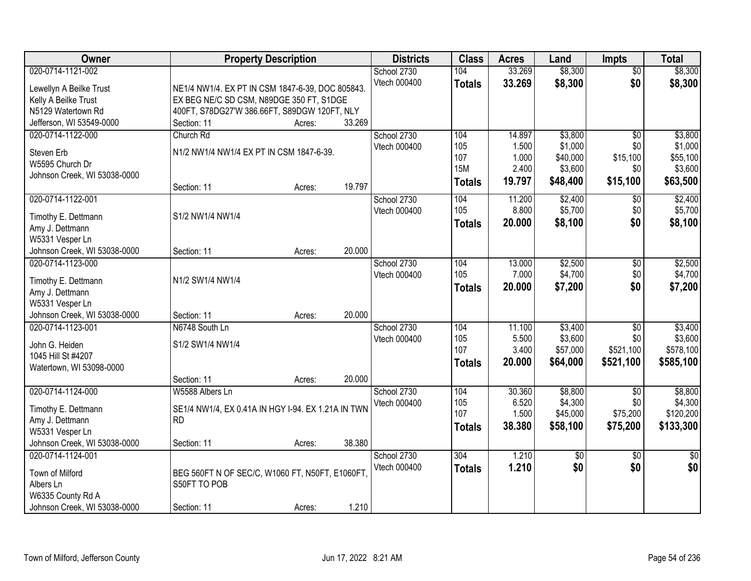| Owner                        | <b>Property Description</b>                        | <b>Districts</b>            | <b>Class</b>  | <b>Acres</b>   | Land                | <b>Impts</b>        | <b>Total</b>         |
|------------------------------|----------------------------------------------------|-----------------------------|---------------|----------------|---------------------|---------------------|----------------------|
| 020-0714-1121-002            |                                                    | School 2730                 | 104           | 33.269         | \$8,300             | $\overline{50}$     | \$8,300              |
| Lewellyn A Beilke Trust      | NE1/4 NW1/4. EX PT IN CSM 1847-6-39, DOC 805843.   | Vtech 000400                | <b>Totals</b> | 33.269         | \$8,300             | \$0                 | \$8,300              |
| Kelly A Beilke Trust         | EX BEG NE/C SD CSM, N89DGE 350 FT, S1DGE           |                             |               |                |                     |                     |                      |
| N5129 Watertown Rd           | 400FT, S78DG27'W 386.66FT, S89DGW 120FT, NLY       |                             |               |                |                     |                     |                      |
| Jefferson, WI 53549-0000     | 33.269<br>Section: 11<br>Acres:                    |                             |               |                |                     |                     |                      |
| 020-0714-1122-000            | Church Rd                                          | School 2730                 | 104           | 14.897         | \$3,800             | $\overline{50}$     | \$3,800              |
|                              |                                                    | Vtech 000400                | 105           | 1.500          | \$1,000             | \$0                 | \$1,000              |
| Steven Erb                   | N1/2 NW1/4 NW1/4 EX PT IN CSM 1847-6-39.           |                             | 107           | 1.000          | \$40,000            | \$15,100            | \$55,100             |
| W5595 Church Dr              |                                                    |                             | <b>15M</b>    | 2.400          | \$3,600             | \$0                 | \$3,600              |
| Johnson Creek, WI 53038-0000 | 19.797                                             |                             | <b>Totals</b> | 19.797         | \$48,400            | \$15,100            | \$63,500             |
| 020-0714-1122-001            | Section: 11<br>Acres:                              |                             | 104           | 11.200         |                     |                     |                      |
|                              |                                                    | School 2730<br>Vtech 000400 | 105           | 8.800          | \$2,400<br>\$5,700  | $\sqrt[6]{}$<br>\$0 | \$2,400<br>\$5,700   |
| Timothy E. Dettmann          | S1/2 NW1/4 NW1/4                                   |                             |               | 20.000         |                     | \$0                 |                      |
| Amy J. Dettmann              |                                                    |                             | <b>Totals</b> |                | \$8,100             |                     | \$8,100              |
| W5331 Vesper Ln              |                                                    |                             |               |                |                     |                     |                      |
| Johnson Creek, WI 53038-0000 | 20.000<br>Section: 11<br>Acres:                    |                             |               |                |                     |                     |                      |
| 020-0714-1123-000            |                                                    | School 2730                 | 104           | 13.000         | \$2,500             | \$0                 | \$2,500              |
| Timothy E. Dettmann          | N1/2 SW1/4 NW1/4                                   | Vtech 000400                | 105           | 7.000          | \$4,700             | \$0                 | \$4,700              |
| Amy J. Dettmann              |                                                    |                             | <b>Totals</b> | 20.000         | \$7,200             | \$0                 | \$7,200              |
| W5331 Vesper Ln              |                                                    |                             |               |                |                     |                     |                      |
| Johnson Creek, WI 53038-0000 | 20.000<br>Section: 11<br>Acres:                    |                             |               |                |                     |                     |                      |
| 020-0714-1123-001            | N6748 South Ln                                     | School 2730                 | 104           | 11.100         | \$3,400             | $\overline{50}$     | \$3,400              |
|                              |                                                    | Vtech 000400                | 105           | 5.500          | \$3,600             | \$0                 | \$3,600              |
| John G. Heiden               | S1/2 SW1/4 NW1/4                                   |                             | 107           | 3.400          | \$57,000            | \$521,100           | \$578,100            |
| 1045 Hill St #4207           |                                                    |                             | <b>Totals</b> | 20.000         | \$64,000            | \$521,100           | \$585,100            |
| Watertown, WI 53098-0000     |                                                    |                             |               |                |                     |                     |                      |
|                              | 20.000<br>Section: 11<br>Acres:                    |                             |               |                |                     |                     |                      |
| 020-0714-1124-000            | W5588 Albers Ln                                    | School 2730                 | 104<br>105    | 30.360         | \$8,800             | $\overline{50}$     | \$8,800              |
| Timothy E. Dettmann          | SE1/4 NW1/4, EX 0.41A IN HGY I-94. EX 1.21A IN TWN | Vtech 000400                | 107           | 6.520<br>1.500 | \$4,300<br>\$45,000 | \$0<br>\$75,200     | \$4,300<br>\$120,200 |
| Amy J. Dettmann              | <b>RD</b>                                          |                             |               | 38.380         |                     | \$75,200            | \$133,300            |
| W5331 Vesper Ln              |                                                    |                             | <b>Totals</b> |                | \$58,100            |                     |                      |
| Johnson Creek, WI 53038-0000 | 38.380<br>Section: 11<br>Acres:                    |                             |               |                |                     |                     |                      |
| 020-0714-1124-001            |                                                    | School 2730                 | 304           | 1.210          | $\overline{50}$     | $\overline{30}$     | $\overline{50}$      |
| Town of Milford              | BEG 560FT N OF SEC/C, W1060 FT, N50FT, E1060FT,    | Vtech 000400                | <b>Totals</b> | 1.210          | \$0                 | \$0                 | \$0                  |
| Albers Ln                    | S50FT TO POB                                       |                             |               |                |                     |                     |                      |
| W6335 County Rd A            |                                                    |                             |               |                |                     |                     |                      |
| Johnson Creek, WI 53038-0000 | 1.210<br>Section: 11<br>Acres:                     |                             |               |                |                     |                     |                      |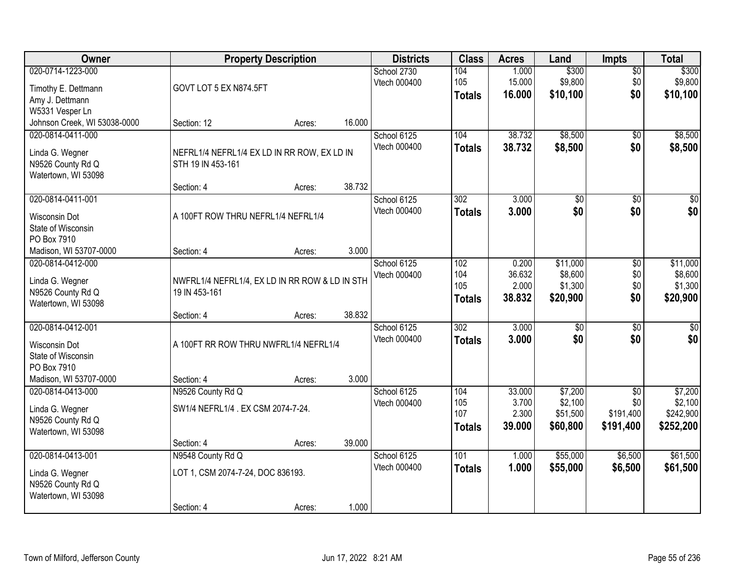| Owner                                                                                                    | <b>Property Description</b>                                          |        | <b>Districts</b> | <b>Class</b>                | <b>Acres</b>                       | Land                               | <b>Impts</b>                               | <b>Total</b>                  |                                            |
|----------------------------------------------------------------------------------------------------------|----------------------------------------------------------------------|--------|------------------|-----------------------------|------------------------------------|------------------------------------|--------------------------------------------|-------------------------------|--------------------------------------------|
| 020-0714-1223-000<br>Timothy E. Dettmann<br>Amy J. Dettmann<br>W5331 Vesper Ln                           | GOVT LOT 5 EX N874.5FT                                               |        |                  | School 2730<br>Vtech 000400 | 104<br>105<br><b>Totals</b>        | 1.000<br>15.000<br>16.000          | \$300<br>\$9,800<br>\$10,100               | \$0<br>\$0<br>\$0             | \$300<br>\$9,800<br>\$10,100               |
| Johnson Creek, WI 53038-0000                                                                             | Section: 12                                                          | Acres: | 16.000           |                             |                                    |                                    |                                            |                               |                                            |
| 020-0814-0411-000<br>Linda G. Wegner<br>N9526 County Rd Q<br>Watertown, WI 53098                         | NEFRL1/4 NEFRL1/4 EX LD IN RR ROW, EX LD IN<br>STH 19 IN 453-161     |        |                  | School 6125<br>Vtech 000400 | 104<br><b>Totals</b>               | 38.732<br>38.732                   | \$8,500<br>\$8,500                         | \$0<br>\$0                    | \$8,500<br>\$8,500                         |
| 020-0814-0411-001                                                                                        | Section: 4                                                           | Acres: | 38.732           | School 6125                 | 302                                | 3.000                              | \$0                                        | \$0                           | $\overline{30}$                            |
| <b>Wisconsin Dot</b><br>State of Wisconsin<br>PO Box 7910                                                | A 100FT ROW THRU NEFRL1/4 NEFRL1/4                                   |        |                  | Vtech 000400                | <b>Totals</b>                      | 3.000                              | \$0                                        | \$0                           | \$0                                        |
| Madison, WI 53707-0000                                                                                   | Section: 4                                                           | Acres: | 3.000            |                             |                                    |                                    |                                            |                               |                                            |
| 020-0814-0412-000<br>Linda G. Wegner<br>N9526 County Rd Q<br>Watertown, WI 53098                         | NWFRL1/4 NEFRL1/4, EX LD IN RR ROW & LD IN STH<br>19 IN 453-161      |        |                  | School 6125<br>Vtech 000400 | 102<br>104<br>105<br><b>Totals</b> | 0.200<br>36.632<br>2.000<br>38.832 | \$11,000<br>\$8,600<br>\$1,300<br>\$20,900 | \$0<br>\$0<br>\$0<br>\$0      | \$11,000<br>\$8,600<br>\$1,300<br>\$20,900 |
|                                                                                                          | Section: 4                                                           | Acres: | 38.832           |                             |                                    |                                    |                                            |                               |                                            |
| 020-0814-0412-001<br><b>Wisconsin Dot</b><br>State of Wisconsin<br>PO Box 7910<br>Madison, WI 53707-0000 | A 100FT RR ROW THRU NWFRL1/4 NEFRL1/4<br>Section: 4                  | Acres: | 3.000            | School 6125<br>Vtech 000400 | $\overline{302}$<br><b>Totals</b>  | 3.000<br>3.000                     | $\overline{50}$<br>\$0                     | $\overline{50}$<br>\$0        | $\overline{50}$<br>\$0                     |
| 020-0814-0413-000                                                                                        | N9526 County Rd Q                                                    |        |                  | School 6125                 | 104                                | 33.000                             | \$7,200                                    | $\overline{50}$               | \$7,200                                    |
| Linda G. Wegner<br>N9526 County Rd Q<br>Watertown, WI 53098                                              | SW1/4 NEFRL1/4 . EX CSM 2074-7-24.                                   |        |                  | Vtech 000400                | 105<br>107<br>Totals               | 3.700<br>2.300<br>39.000           | \$2,100<br>\$51,500<br>\$60,800            | \$0<br>\$191,400<br>\$191,400 | \$2,100<br>\$242,900<br>\$252,200          |
|                                                                                                          | Section: 4                                                           | Acres: | 39.000           |                             |                                    |                                    |                                            |                               |                                            |
| 020-0814-0413-001<br>Linda G. Wegner<br>N9526 County Rd Q<br>Watertown, WI 53098                         | N9548 County Rd Q<br>LOT 1, CSM 2074-7-24, DOC 836193.<br>Section: 4 | Acres: | 1.000            | School 6125<br>Vtech 000400 | 101<br><b>Totals</b>               | 1.000<br>1.000                     | \$55,000<br>\$55,000                       | \$6,500<br>\$6,500            | \$61,500<br>\$61,500                       |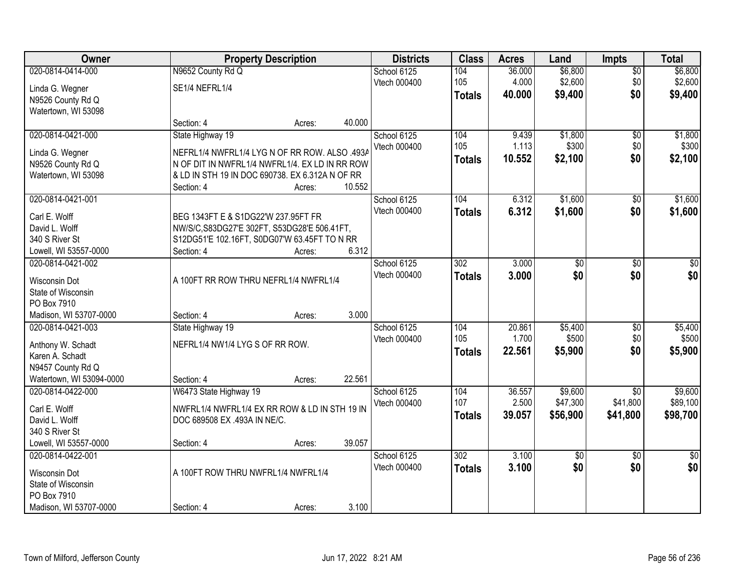| Owner                                |                                                                               | <b>Property Description</b> |        | <b>Districts</b> | <b>Class</b>  | <b>Acres</b> | Land            | <b>Impts</b>    | <b>Total</b>  |
|--------------------------------------|-------------------------------------------------------------------------------|-----------------------------|--------|------------------|---------------|--------------|-----------------|-----------------|---------------|
| 020-0814-0414-000                    | N9652 County Rd Q                                                             |                             |        | School 6125      | 104           | 36.000       | \$6,800         | $\overline{50}$ | \$6,800       |
| Linda G. Wegner                      | SE1/4 NEFRL1/4                                                                |                             |        | Vtech 000400     | 105           | 4.000        | \$2,600         | \$0             | \$2,600       |
| N9526 County Rd Q                    |                                                                               |                             |        |                  | <b>Totals</b> | 40.000       | \$9,400         | \$0             | \$9,400       |
| Watertown, WI 53098                  |                                                                               |                             |        |                  |               |              |                 |                 |               |
|                                      | Section: 4                                                                    | Acres:                      | 40.000 |                  |               |              |                 |                 |               |
| 020-0814-0421-000                    | State Highway 19                                                              |                             |        | School 6125      | 104           | 9.439        | \$1,800         | $\overline{50}$ | \$1,800       |
| Linda G. Wegner                      | NEFRL1/4 NWFRL1/4 LYG N OF RR ROW. ALSO .493A                                 |                             |        | Vtech 000400     | 105           | 1.113        | \$300           | \$0             | \$300         |
| N9526 County Rd Q                    | N OF DIT IN NWFRL1/4 NWFRL1/4. EX LD IN RR ROW                                |                             |        |                  | <b>Totals</b> | 10.552       | \$2,100         | \$0             | \$2,100       |
| Watertown, WI 53098                  | & LD IN STH 19 IN DOC 690738. EX 6.312A N OF RR                               |                             |        |                  |               |              |                 |                 |               |
|                                      | Section: 4                                                                    | Acres:                      | 10.552 |                  |               |              |                 |                 |               |
| 020-0814-0421-001                    |                                                                               |                             |        | School 6125      | 104           | 6.312        | \$1,600         | $\sqrt[6]{30}$  | \$1,600       |
| Carl E. Wolff                        | BEG 1343FT E & S1DG22'W 237.95FT FR                                           |                             |        | Vtech 000400     | <b>Totals</b> | 6.312        | \$1,600         | \$0             | \$1,600       |
| David L. Wolff                       | NW/S/C, S83DG27'E 302FT, S53DG28'E 506.41FT,                                  |                             |        |                  |               |              |                 |                 |               |
| 340 S River St                       | S12DG51'E 102.16FT, S0DG07'W 63.45FT TO N RR                                  |                             |        |                  |               |              |                 |                 |               |
| Lowell, WI 53557-0000                | Section: 4                                                                    | Acres:                      | 6.312  |                  |               |              |                 |                 |               |
| 020-0814-0421-002                    |                                                                               |                             |        | School 6125      | 302           | 3.000        | $\overline{50}$ | \$0             | \$0           |
| Wisconsin Dot                        | A 100FT RR ROW THRU NEFRL1/4 NWFRL1/4                                         |                             |        | Vtech 000400     | <b>Totals</b> | 3.000        | \$0             | \$0             | \$0           |
| State of Wisconsin                   |                                                                               |                             |        |                  |               |              |                 |                 |               |
| PO Box 7910                          |                                                                               |                             |        |                  |               |              |                 |                 |               |
| Madison, WI 53707-0000               | Section: 4                                                                    | Acres:                      | 3.000  |                  |               |              |                 |                 |               |
| 020-0814-0421-003                    | State Highway 19                                                              |                             |        | School 6125      | 104           | 20.861       | \$5,400         | $\overline{30}$ | \$5,400       |
|                                      | NEFRL1/4 NW1/4 LYG S OF RR ROW.                                               |                             |        | Vtech 000400     | 105           | 1.700        | \$500           | \$0             | \$500         |
| Anthony W. Schadt<br>Karen A. Schadt |                                                                               |                             |        |                  | <b>Totals</b> | 22.561       | \$5,900         | \$0             | \$5,900       |
| N9457 County Rd Q                    |                                                                               |                             |        |                  |               |              |                 |                 |               |
| Watertown, WI 53094-0000             | Section: 4                                                                    | Acres:                      | 22.561 |                  |               |              |                 |                 |               |
| 020-0814-0422-000                    | W6473 State Highway 19                                                        |                             |        | School 6125      | 104           | 36.557       | \$9,600         | $\overline{50}$ | \$9,600       |
|                                      |                                                                               |                             |        | Vtech 000400     | 107           | 2.500        | \$47,300        | \$41,800        | \$89,100      |
| Carl E. Wolff<br>David L. Wolff      | NWFRL1/4 NWFRL1/4 EX RR ROW & LD IN STH 19 IN<br>DOC 689508 EX .493A IN NE/C. |                             |        |                  | <b>Totals</b> | 39.057       | \$56,900        | \$41,800        | \$98,700      |
| 340 S River St                       |                                                                               |                             |        |                  |               |              |                 |                 |               |
| Lowell, WI 53557-0000                | Section: 4                                                                    | Acres:                      | 39.057 |                  |               |              |                 |                 |               |
| 020-0814-0422-001                    |                                                                               |                             |        | School 6125      | 302           | 3.100        | $\overline{50}$ | $\overline{50}$ | $\frac{1}{2}$ |
|                                      | A 100FT ROW THRU NWFRL1/4 NWFRL1/4                                            |                             |        | Vtech 000400     | <b>Totals</b> | 3.100        | \$0             | \$0             | \$0           |
| Wisconsin Dot<br>State of Wisconsin  |                                                                               |                             |        |                  |               |              |                 |                 |               |
| PO Box 7910                          |                                                                               |                             |        |                  |               |              |                 |                 |               |
| Madison, WI 53707-0000               | Section: 4                                                                    | Acres:                      | 3.100  |                  |               |              |                 |                 |               |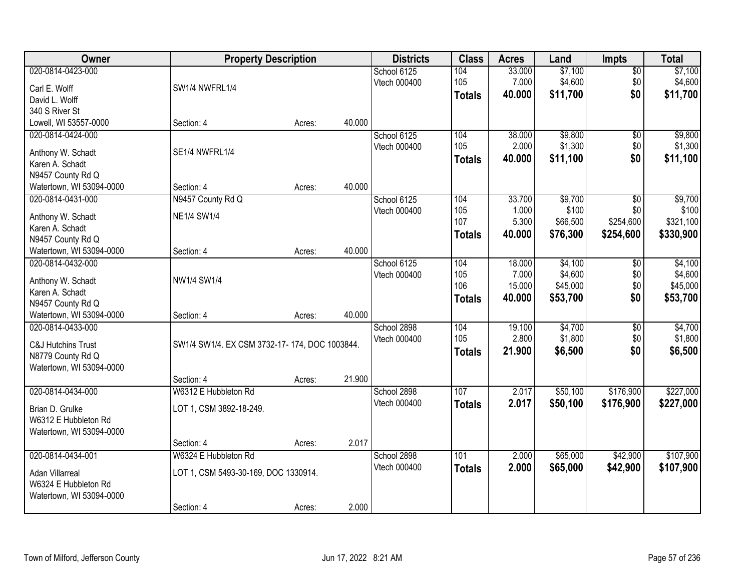| Owner                                | <b>Property Description</b>                   |        |        | <b>Districts</b>            | <b>Class</b>  | <b>Acres</b> | Land     | <b>Impts</b> | <b>Total</b> |
|--------------------------------------|-----------------------------------------------|--------|--------|-----------------------------|---------------|--------------|----------|--------------|--------------|
| 020-0814-0423-000                    |                                               |        |        | School 6125                 | 104           | 33.000       | \$7,100  | \$0          | \$7,100      |
| Carl E. Wolff                        | SW1/4 NWFRL1/4                                |        |        | Vtech 000400                | 105           | 7.000        | \$4,600  | \$0          | \$4,600      |
| David L. Wolff                       |                                               |        |        |                             | <b>Totals</b> | 40.000       | \$11,700 | \$0          | \$11,700     |
| 340 S River St                       |                                               |        |        |                             |               |              |          |              |              |
| Lowell, WI 53557-0000                | Section: 4                                    | Acres: | 40.000 |                             |               |              |          |              |              |
| 020-0814-0424-000                    |                                               |        |        | School 6125                 | 104           | 38.000       | \$9,800  | \$0          | \$9,800      |
| Anthony W. Schadt                    | SE1/4 NWFRL1/4                                |        |        | Vtech 000400                | 105           | 2.000        | \$1,300  | \$0          | \$1,300      |
| Karen A. Schadt                      |                                               |        |        |                             | <b>Totals</b> | 40.000       | \$11,100 | \$0          | \$11,100     |
| N9457 County Rd Q                    |                                               |        |        |                             |               |              |          |              |              |
| Watertown, WI 53094-0000             | Section: 4                                    | Acres: | 40.000 |                             |               |              |          |              |              |
| 020-0814-0431-000                    | N9457 County Rd Q                             |        |        | School 6125                 | 104           | 33.700       | \$9,700  | \$0          | \$9,700      |
|                                      | <b>NE1/4 SW1/4</b>                            |        |        | Vtech 000400                | 105           | 1.000        | \$100    | \$0          | \$100        |
| Anthony W. Schadt<br>Karen A. Schadt |                                               |        |        |                             | 107           | 5.300        | \$66,500 | \$254,600    | \$321,100    |
| N9457 County Rd Q                    |                                               |        |        |                             | Totals        | 40.000       | \$76,300 | \$254,600    | \$330,900    |
| Watertown, WI 53094-0000             | Section: 4                                    | Acres: | 40.000 |                             |               |              |          |              |              |
| 020-0814-0432-000                    |                                               |        |        | School 6125                 | 104           | 18.000       | \$4,100  | \$0          | \$4,100      |
|                                      |                                               |        |        | Vtech 000400                | 105           | 7.000        | \$4,600  | \$0          | \$4,600      |
| Anthony W. Schadt                    | NW1/4 SW1/4                                   |        |        |                             | 106           | 15.000       | \$45,000 | \$0          | \$45,000     |
| Karen A. Schadt<br>N9457 County Rd Q |                                               |        |        |                             | <b>Totals</b> | 40.000       | \$53,700 | \$0          | \$53,700     |
| Watertown, WI 53094-0000             | Section: 4                                    | Acres: | 40.000 |                             |               |              |          |              |              |
| 020-0814-0433-000                    |                                               |        |        | School 2898                 | 104           | 19.100       | \$4,700  | \$0          | \$4,700      |
|                                      |                                               |        |        | Vtech 000400                | 105           | 2.800        | \$1,800  | \$0          | \$1,800      |
| <b>C&amp;J Hutchins Trust</b>        | SW1/4 SW1/4. EX CSM 3732-17-174, DOC 1003844. |        |        |                             | <b>Totals</b> | 21.900       | \$6,500  | \$0          | \$6,500      |
| N8779 County Rd Q                    |                                               |        |        |                             |               |              |          |              |              |
| Watertown, WI 53094-0000             | Section: 4                                    |        | 21.900 |                             |               |              |          |              |              |
| 020-0814-0434-000                    | W6312 E Hubbleton Rd                          | Acres: |        | School 2898                 | 107           | 2.017        | \$50,100 | \$176,900    | \$227,000    |
|                                      |                                               |        |        | Vtech 000400                | <b>Totals</b> | 2.017        | \$50,100 | \$176,900    | \$227,000    |
| Brian D. Grulke                      | LOT 1, CSM 3892-18-249.                       |        |        |                             |               |              |          |              |              |
| W6312 E Hubbleton Rd                 |                                               |        |        |                             |               |              |          |              |              |
| Watertown, WI 53094-0000             |                                               |        |        |                             |               |              |          |              |              |
|                                      | Section: 4                                    | Acres: | 2.017  |                             |               |              |          |              |              |
| 020-0814-0434-001                    | W6324 E Hubbleton Rd                          |        |        | School 2898<br>Vtech 000400 | 101           | 2.000        | \$65,000 | \$42,900     | \$107,900    |
| Adan Villarreal                      | LOT 1, CSM 5493-30-169, DOC 1330914.          |        |        |                             | <b>Totals</b> | 2.000        | \$65,000 | \$42,900     | \$107,900    |
| W6324 E Hubbleton Rd                 |                                               |        |        |                             |               |              |          |              |              |
| Watertown, WI 53094-0000             |                                               |        |        |                             |               |              |          |              |              |
|                                      | Section: 4                                    | Acres: | 2.000  |                             |               |              |          |              |              |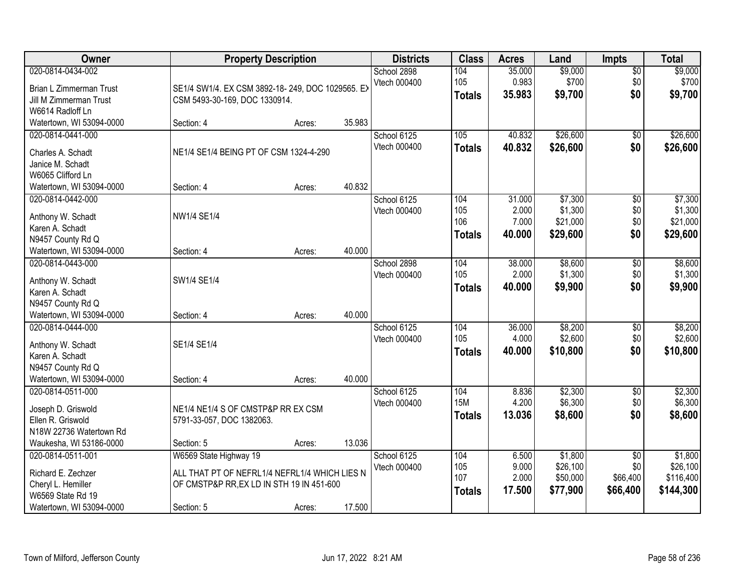| Owner                                                                                                              |                                                                                                                                    | <b>Property Description</b> |        | <b>Districts</b>            | <b>Class</b>                       | <b>Acres</b>                       | Land                                        | <b>Impts</b>                                   | <b>Total</b>                                  |
|--------------------------------------------------------------------------------------------------------------------|------------------------------------------------------------------------------------------------------------------------------------|-----------------------------|--------|-----------------------------|------------------------------------|------------------------------------|---------------------------------------------|------------------------------------------------|-----------------------------------------------|
| 020-0814-0434-002<br>Brian L Zimmerman Trust<br>Jill M Zimmerman Trust<br>W6614 Radloff Ln                         | SE1/4 SW1/4. EX CSM 3892-18-249, DOC 1029565. EX<br>CSM 5493-30-169, DOC 1330914.                                                  |                             |        | School 2898<br>Vtech 000400 | 104<br>105<br><b>Totals</b>        | 35.000<br>0.983<br>35.983          | \$9,000<br>\$700<br>\$9,700                 | \$0<br>\$0<br>\$0                              | \$9,000<br>\$700<br>\$9,700                   |
| Watertown, WI 53094-0000                                                                                           | Section: 4                                                                                                                         | Acres:                      | 35.983 |                             |                                    |                                    |                                             |                                                |                                               |
| 020-0814-0441-000<br>Charles A. Schadt<br>Janice M. Schadt<br>W6065 Clifford Ln                                    | NE1/4 SE1/4 BEING PT OF CSM 1324-4-290                                                                                             |                             |        | School 6125<br>Vtech 000400 | 105<br><b>Totals</b>               | 40.832<br>40.832                   | \$26,600<br>\$26,600                        | \$0<br>\$0                                     | \$26,600<br>\$26,600                          |
| Watertown, WI 53094-0000                                                                                           | Section: 4                                                                                                                         | Acres:                      | 40.832 |                             |                                    |                                    |                                             |                                                |                                               |
| 020-0814-0442-000<br>Anthony W. Schadt<br>Karen A. Schadt<br>N9457 County Rd Q                                     | NW1/4 SE1/4                                                                                                                        |                             |        | School 6125<br>Vtech 000400 | 104<br>105<br>106<br><b>Totals</b> | 31.000<br>2.000<br>7.000<br>40.000 | \$7,300<br>\$1,300<br>\$21,000<br>\$29,600  | $\overline{60}$<br>\$0<br>\$0<br>\$0           | \$7,300<br>\$1,300<br>\$21,000<br>\$29,600    |
| Watertown, WI 53094-0000                                                                                           | Section: 4                                                                                                                         | Acres:                      | 40.000 |                             |                                    |                                    |                                             |                                                |                                               |
| 020-0814-0443-000<br>Anthony W. Schadt<br>Karen A. Schadt<br>N9457 County Rd Q                                     | SW1/4 SE1/4                                                                                                                        |                             |        | School 2898<br>Vtech 000400 | 104<br>105<br><b>Totals</b>        | 38.000<br>2.000<br>40.000          | \$8,600<br>\$1,300<br>\$9,900               | $\sqrt[6]{3}$<br>\$0<br>\$0                    | \$8,600<br>\$1,300<br>\$9,900                 |
| Watertown, WI 53094-0000                                                                                           | Section: 4                                                                                                                         | Acres:                      | 40.000 |                             |                                    |                                    |                                             |                                                |                                               |
| 020-0814-0444-000<br>Anthony W. Schadt<br>Karen A. Schadt<br>N9457 County Rd Q<br>Watertown, WI 53094-0000         | SE1/4 SE1/4<br>Section: 4                                                                                                          | Acres:                      | 40.000 | School 6125<br>Vtech 000400 | 104<br>105<br><b>Totals</b>        | 36.000<br>4.000<br>40.000          | \$8,200<br>\$2,600<br>\$10,800              | $\overline{50}$<br>\$0<br>\$0                  | \$8,200<br>\$2,600<br>\$10,800                |
| 020-0814-0511-000<br>Joseph D. Griswold<br>Ellen R. Griswold<br>N18W 22736 Watertown Rd<br>Waukesha, WI 53186-0000 | NE1/4 NE1/4 S OF CMSTP&P RR EX CSM<br>5791-33-057, DOC 1382063.<br>Section: 5                                                      | Acres:                      | 13.036 | School 6125<br>Vtech 000400 | 104<br><b>15M</b><br><b>Totals</b> | 8.836<br>4.200<br>13.036           | \$2,300<br>\$6,300<br>\$8,600               | $\sqrt{6}$<br>\$0<br>\$0                       | \$2,300<br>\$6,300<br>\$8,600                 |
| 020-0814-0511-001<br>Richard E. Zechzer<br>Cheryl L. Hemiller<br>W6569 State Rd 19<br>Watertown, WI 53094-0000     | W6569 State Highway 19<br>ALL THAT PT OF NEFRL1/4 NEFRL1/4 WHICH LIES N<br>OF CMSTP&P RR, EX LD IN STH 19 IN 451-600<br>Section: 5 | Acres:                      | 17.500 | School 6125<br>Vtech 000400 | 104<br>105<br>107<br><b>Totals</b> | 6.500<br>9.000<br>2.000<br>17.500  | \$1,800<br>\$26,100<br>\$50,000<br>\$77,900 | $\overline{50}$<br>\$0<br>\$66,400<br>\$66,400 | \$1,800<br>\$26,100<br>\$116,400<br>\$144,300 |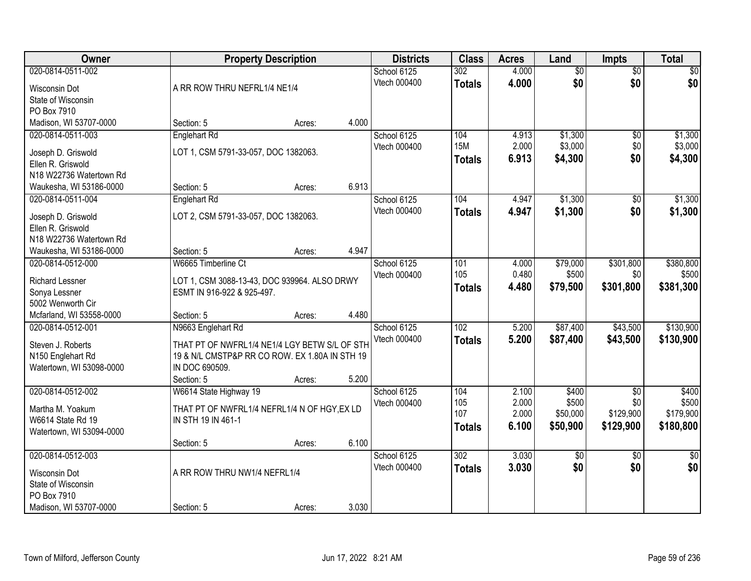| Owner                               |                                                                    | <b>Property Description</b> |       | <b>Districts</b> | <b>Class</b>     | <b>Acres</b> | Land            | Impts           | <b>Total</b>    |
|-------------------------------------|--------------------------------------------------------------------|-----------------------------|-------|------------------|------------------|--------------|-----------------|-----------------|-----------------|
| 020-0814-0511-002                   |                                                                    |                             |       | School 6125      | 302              | 4.000        | $\overline{50}$ | $\overline{50}$ | \$0             |
| Wisconsin Dot                       | A RR ROW THRU NEFRL1/4 NE1/4                                       |                             |       | Vtech 000400     | <b>Totals</b>    | 4.000        | \$0             | \$0             | \$0             |
| State of Wisconsin                  |                                                                    |                             |       |                  |                  |              |                 |                 |                 |
| PO Box 7910                         |                                                                    |                             |       |                  |                  |              |                 |                 |                 |
| Madison, WI 53707-0000              | Section: 5                                                         | Acres:                      | 4.000 |                  |                  |              |                 |                 |                 |
| 020-0814-0511-003                   | <b>Englehart Rd</b>                                                |                             |       | School 6125      | 104              | 4.913        | \$1,300         | $\overline{50}$ | \$1,300         |
| Joseph D. Griswold                  | LOT 1, CSM 5791-33-057, DOC 1382063.                               |                             |       | Vtech 000400     | <b>15M</b>       | 2.000        | \$3,000         | \$0             | \$3,000         |
| Ellen R. Griswold                   |                                                                    |                             |       |                  | <b>Totals</b>    | 6.913        | \$4,300         | \$0             | \$4,300         |
| N18 W22736 Watertown Rd             |                                                                    |                             |       |                  |                  |              |                 |                 |                 |
| Waukesha, WI 53186-0000             | Section: 5                                                         | Acres:                      | 6.913 |                  |                  |              |                 |                 |                 |
| 020-0814-0511-004                   | <b>Englehart Rd</b>                                                |                             |       | School 6125      | 104              | 4.947        | \$1,300         | \$0             | \$1,300         |
| Joseph D. Griswold                  | LOT 2, CSM 5791-33-057, DOC 1382063.                               |                             |       | Vtech 000400     | <b>Totals</b>    | 4.947        | \$1,300         | \$0             | \$1,300         |
| Ellen R. Griswold                   |                                                                    |                             |       |                  |                  |              |                 |                 |                 |
| N18 W22736 Watertown Rd             |                                                                    |                             |       |                  |                  |              |                 |                 |                 |
| Waukesha, WI 53186-0000             | Section: 5                                                         | Acres:                      | 4.947 |                  |                  |              |                 |                 |                 |
| 020-0814-0512-000                   | W6665 Timberline Ct                                                |                             |       | School 6125      | 101              | 4.000        | \$79,000        | \$301,800       | \$380,800       |
| <b>Richard Lessner</b>              | LOT 1, CSM 3088-13-43, DOC 939964. ALSO DRWY                       |                             |       | Vtech 000400     | 105              | 0.480        | \$500           | \$0             | \$500           |
| Sonya Lessner                       | ESMT IN 916-922 & 925-497.                                         |                             |       |                  | <b>Totals</b>    | 4.480        | \$79,500        | \$301,800       | \$381,300       |
| 5002 Wenworth Cir                   |                                                                    |                             |       |                  |                  |              |                 |                 |                 |
| Mcfarland, WI 53558-0000            | Section: 5                                                         | Acres:                      | 4.480 |                  |                  |              |                 |                 |                 |
| 020-0814-0512-001                   | N9663 Englehart Rd                                                 |                             |       | School 6125      | $\overline{102}$ | 5.200        | \$87,400        | \$43,500        | \$130,900       |
| Steven J. Roberts                   | THAT PT OF NWFRL1/4 NE1/4 LGY BETW S/L OF STH                      |                             |       | Vtech 000400     | <b>Totals</b>    | 5.200        | \$87,400        | \$43,500        | \$130,900       |
| N150 Englehart Rd                   | 19 & N/L CMSTP&P RR CO ROW. EX 1.80A IN STH 19                     |                             |       |                  |                  |              |                 |                 |                 |
| Watertown, WI 53098-0000            | IN DOC 690509.                                                     |                             |       |                  |                  |              |                 |                 |                 |
|                                     | Section: 5                                                         | Acres:                      | 5.200 |                  |                  |              |                 |                 |                 |
| 020-0814-0512-002                   | W6614 State Highway 19                                             |                             |       | School 6125      | 104              | 2.100        | \$400           | $\overline{50}$ | \$400           |
| Martha M. Yoakum                    |                                                                    |                             |       | Vtech 000400     | 105              | 2.000        | \$500           | \$0             | \$500           |
| W6614 State Rd 19                   | THAT PT OF NWFRL1/4 NEFRL1/4 N OF HGY, EX LD<br>IN STH 19 IN 461-1 |                             |       |                  | 107              | 2.000        | \$50,000        | \$129,900       | \$179,900       |
| Watertown, WI 53094-0000            |                                                                    |                             |       |                  | <b>Totals</b>    | 6.100        | \$50,900        | \$129,900       | \$180,800       |
|                                     | Section: 5                                                         | Acres:                      | 6.100 |                  |                  |              |                 |                 |                 |
| 020-0814-0512-003                   |                                                                    |                             |       | School 6125      | 302              | 3.030        | $\sqrt{$0}$     | $\overline{50}$ | $\overline{50}$ |
|                                     | A RR ROW THRU NW1/4 NEFRL1/4                                       |                             |       | Vtech 000400     | <b>Totals</b>    | 3.030        | \$0             | \$0             | \$0             |
| Wisconsin Dot<br>State of Wisconsin |                                                                    |                             |       |                  |                  |              |                 |                 |                 |
| PO Box 7910                         |                                                                    |                             |       |                  |                  |              |                 |                 |                 |
| Madison, WI 53707-0000              | Section: 5                                                         | Acres:                      | 3.030 |                  |                  |              |                 |                 |                 |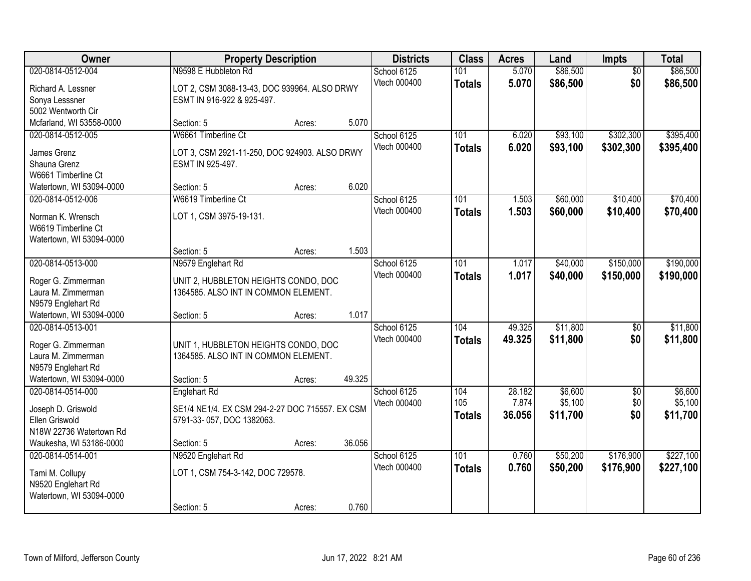| Owner                                                                                                           | <b>Property Description</b>                                                                                | <b>Districts</b> | <b>Class</b> | <b>Acres</b>                | Land                        | <b>Impts</b>              | <b>Total</b>                   |                               |                                |
|-----------------------------------------------------------------------------------------------------------------|------------------------------------------------------------------------------------------------------------|------------------|--------------|-----------------------------|-----------------------------|---------------------------|--------------------------------|-------------------------------|--------------------------------|
| 020-0814-0512-004<br>Richard A. Lessner<br>Sonya Lesssner<br>5002 Wentworth Cir                                 | N9598 E Hubbleton Rd<br>LOT 2, CSM 3088-13-43, DOC 939964. ALSO DRWY<br>ESMT IN 916-922 & 925-497.         |                  |              | School 6125<br>Vtech 000400 | 101<br><b>Totals</b>        | 5.070<br>5.070            | \$86,500<br>\$86,500           | $\overline{50}$<br>\$0        | \$86,500<br>\$86,500           |
| Mcfarland, WI 53558-0000                                                                                        | Section: 5                                                                                                 | Acres:           | 5.070        |                             |                             |                           |                                |                               |                                |
| 020-0814-0512-005<br>James Grenz<br>Shauna Grenz<br>W6661 Timberline Ct                                         | W6661 Timberline Ct<br>LOT 3, CSM 2921-11-250, DOC 924903. ALSO DRWY<br>ESMT IN 925-497.                   |                  |              | School 6125<br>Vtech 000400 | 101<br><b>Totals</b>        | 6.020<br>6.020            | \$93,100<br>\$93,100           | \$302,300<br>\$302,300        | \$395,400<br>\$395,400         |
| Watertown, WI 53094-0000                                                                                        | Section: 5                                                                                                 | Acres:           | 6.020        |                             |                             |                           |                                |                               |                                |
| 020-0814-0512-006<br>Norman K. Wrensch<br>W6619 Timberline Ct<br>Watertown, WI 53094-0000                       | W6619 Timberline Ct<br>LOT 1, CSM 3975-19-131.                                                             |                  |              | School 6125<br>Vtech 000400 | 101<br><b>Totals</b>        | 1.503<br>1.503            | \$60,000<br>\$60,000           | \$10,400<br>\$10,400          | \$70,400<br>\$70,400           |
|                                                                                                                 | Section: 5                                                                                                 | Acres:           | 1.503        |                             |                             |                           |                                |                               |                                |
| 020-0814-0513-000<br>Roger G. Zimmerman<br>Laura M. Zimmerman<br>N9579 Englehart Rd                             | N9579 Englehart Rd<br>UNIT 2, HUBBLETON HEIGHTS CONDO, DOC<br>1364585. ALSO INT IN COMMON ELEMENT.         |                  |              | School 6125<br>Vtech 000400 | 101<br><b>Totals</b>        | 1.017<br>1.017            | \$40,000<br>\$40,000           | \$150,000<br>\$150,000        | \$190,000<br>\$190,000         |
| Watertown, WI 53094-0000                                                                                        | Section: 5                                                                                                 | Acres:           | 1.017        |                             |                             |                           |                                |                               |                                |
| 020-0814-0513-001<br>Roger G. Zimmerman<br>Laura M. Zimmerman<br>N9579 Englehart Rd<br>Watertown, WI 53094-0000 | UNIT 1, HUBBLETON HEIGHTS CONDO, DOC<br>1364585. ALSO INT IN COMMON ELEMENT.<br>Section: 5                 | Acres:           | 49.325       | School 6125<br>Vtech 000400 | 104<br><b>Totals</b>        | 49.325<br>49.325          | \$11,800<br>\$11,800           | \$0<br>\$0                    | \$11,800<br>\$11,800           |
| 020-0814-0514-000<br>Joseph D. Griswold<br>Ellen Griswold<br>N18W 22736 Watertown Rd<br>Waukesha, WI 53186-0000 | Englehart Rd<br>SE1/4 NE1/4. EX CSM 294-2-27 DOC 715557. EX CSM<br>5791-33-057, DOC 1382063.<br>Section: 5 | Acres:           | 36.056       | School 6125<br>Vtech 000400 | 104<br>105<br><b>Totals</b> | 28.182<br>7.874<br>36.056 | \$6,600<br>\$5,100<br>\$11,700 | $\overline{50}$<br>\$0<br>\$0 | \$6,600<br>\$5,100<br>\$11,700 |
| 020-0814-0514-001<br>Tami M. Collupy<br>N9520 Englehart Rd<br>Watertown, WI 53094-0000                          | N9520 Englehart Rd<br>LOT 1, CSM 754-3-142, DOC 729578.<br>Section: 5                                      | Acres:           | 0.760        | School 6125<br>Vtech 000400 | 101<br><b>Totals</b>        | 0.760<br>0.760            | \$50,200<br>\$50,200           | \$176,900<br>\$176,900        | \$227,100<br>\$227,100         |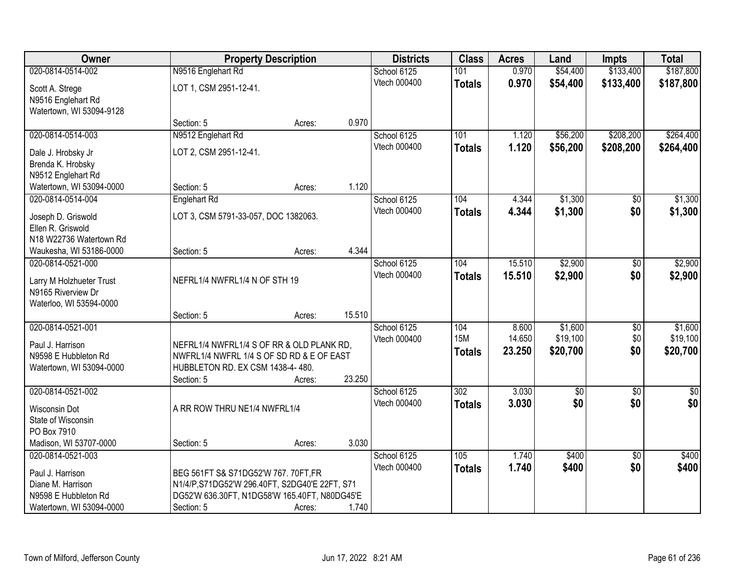| Owner                    | <b>Property Description</b>                    |        |        | <b>Districts</b> | <b>Class</b>     | <b>Acres</b> | Land        | <b>Impts</b>    | <b>Total</b>    |
|--------------------------|------------------------------------------------|--------|--------|------------------|------------------|--------------|-------------|-----------------|-----------------|
| 020-0814-0514-002        | N9516 Englehart Rd                             |        |        | School 6125      | 101              | 0.970        | \$54,400    | \$133,400       | \$187,800       |
| Scott A. Strege          | LOT 1, CSM 2951-12-41.                         |        |        | Vtech 000400     | <b>Totals</b>    | 0.970        | \$54,400    | \$133,400       | \$187,800       |
| N9516 Englehart Rd       |                                                |        |        |                  |                  |              |             |                 |                 |
| Watertown, WI 53094-9128 |                                                |        |        |                  |                  |              |             |                 |                 |
|                          | Section: 5                                     | Acres: | 0.970  |                  |                  |              |             |                 |                 |
| 020-0814-0514-003        | N9512 Englehart Rd                             |        |        | School 6125      | 101              | 1.120        | \$56,200    | \$208,200       | \$264,400       |
| Dale J. Hrobsky Jr       | LOT 2, CSM 2951-12-41.                         |        |        | Vtech 000400     | <b>Totals</b>    | 1.120        | \$56,200    | \$208,200       | \$264,400       |
| Brenda K. Hrobsky        |                                                |        |        |                  |                  |              |             |                 |                 |
| N9512 Englehart Rd       |                                                |        |        |                  |                  |              |             |                 |                 |
| Watertown, WI 53094-0000 | Section: 5                                     | Acres: | 1.120  |                  |                  |              |             |                 |                 |
| 020-0814-0514-004        | <b>Englehart Rd</b>                            |        |        | School 6125      | 104              | 4.344        | \$1,300     | $\overline{50}$ | \$1,300         |
| Joseph D. Griswold       | LOT 3, CSM 5791-33-057, DOC 1382063.           |        |        | Vtech 000400     | <b>Totals</b>    | 4.344        | \$1,300     | \$0             | \$1,300         |
| Ellen R. Griswold        |                                                |        |        |                  |                  |              |             |                 |                 |
| N18 W22736 Watertown Rd  |                                                |        |        |                  |                  |              |             |                 |                 |
| Waukesha, WI 53186-0000  | Section: 5                                     | Acres: | 4.344  |                  |                  |              |             |                 |                 |
| 020-0814-0521-000        |                                                |        |        | School 6125      | 104              | 15.510       | \$2,900     | \$0             | \$2,900         |
| Larry M Holzhueter Trust | NEFRL1/4 NWFRL1/4 N OF STH 19                  |        |        | Vtech 000400     | <b>Totals</b>    | 15.510       | \$2,900     | \$0             | \$2,900         |
| N9165 Riverview Dr       |                                                |        |        |                  |                  |              |             |                 |                 |
| Waterloo, WI 53594-0000  |                                                |        |        |                  |                  |              |             |                 |                 |
|                          | Section: 5                                     | Acres: | 15.510 |                  |                  |              |             |                 |                 |
| 020-0814-0521-001        |                                                |        |        | School 6125      | 104              | 8.600        | \$1,600     | \$0             | \$1,600         |
| Paul J. Harrison         | NEFRL1/4 NWFRL1/4 S OF RR & OLD PLANK RD,      |        |        | Vtech 000400     | <b>15M</b>       | 14.650       | \$19,100    | \$0             | \$19,100        |
| N9598 E Hubbleton Rd     | NWFRL1/4 NWFRL 1/4 S OF SD RD & E OF EAST      |        |        |                  | <b>Totals</b>    | 23.250       | \$20,700    | \$0             | \$20,700        |
| Watertown, WI 53094-0000 | HUBBLETON RD. EX CSM 1438-4-480.               |        |        |                  |                  |              |             |                 |                 |
|                          | Section: 5                                     | Acres: | 23.250 |                  |                  |              |             |                 |                 |
| 020-0814-0521-002        |                                                |        |        | School 6125      | $\overline{302}$ | 3.030        | $\sqrt{50}$ | $\overline{50}$ | $\overline{50}$ |
| <b>Wisconsin Dot</b>     | A RR ROW THRU NE1/4 NWFRL1/4                   |        |        | Vtech 000400     | <b>Totals</b>    | 3.030        | \$0         | \$0             | \$0             |
| State of Wisconsin       |                                                |        |        |                  |                  |              |             |                 |                 |
| PO Box 7910              |                                                |        |        |                  |                  |              |             |                 |                 |
| Madison, WI 53707-0000   | Section: 5                                     | Acres: | 3.030  |                  |                  |              |             |                 |                 |
| 020-0814-0521-003        |                                                |        |        | School 6125      | 105              | 1.740        | \$400       | $\overline{30}$ | \$400           |
| Paul J. Harrison         | BEG 561FT S& S71DG52'W 767. 70FT,FR            |        |        | Vtech 000400     | <b>Totals</b>    | 1.740        | \$400       | \$0             | \$400           |
| Diane M. Harrison        | N1/4/P, S71DG52'W 296.40FT, S2DG40'E 22FT, S71 |        |        |                  |                  |              |             |                 |                 |
| N9598 E Hubbleton Rd     | DG52'W 636.30FT, N1DG58'W 165.40FT, N80DG45'E  |        |        |                  |                  |              |             |                 |                 |
| Watertown, WI 53094-0000 | Section: 5                                     | Acres: | 1.740  |                  |                  |              |             |                 |                 |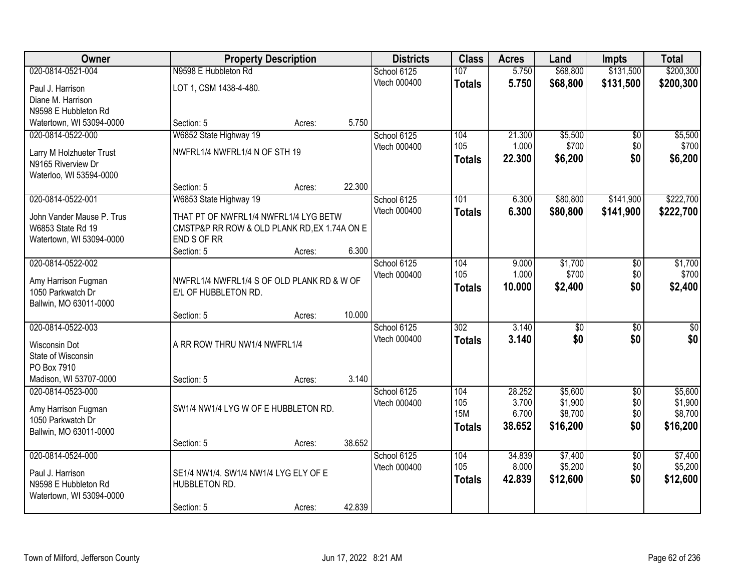| Owner                     |                                              | <b>Property Description</b> |        | <b>Districts</b> | <b>Class</b>     | <b>Acres</b> | Land            | <b>Impts</b>    | <b>Total</b>    |
|---------------------------|----------------------------------------------|-----------------------------|--------|------------------|------------------|--------------|-----------------|-----------------|-----------------|
| 020-0814-0521-004         | N9598 E Hubbleton Rd                         |                             |        | School 6125      | 107              | 5.750        | \$68,800        | \$131,500       | \$200,300       |
| Paul J. Harrison          | LOT 1, CSM 1438-4-480.                       |                             |        | Vtech 000400     | <b>Totals</b>    | 5.750        | \$68,800        | \$131,500       | \$200,300       |
| Diane M. Harrison         |                                              |                             |        |                  |                  |              |                 |                 |                 |
| N9598 E Hubbleton Rd      |                                              |                             |        |                  |                  |              |                 |                 |                 |
| Watertown, WI 53094-0000  | Section: 5                                   | Acres:                      | 5.750  |                  |                  |              |                 |                 |                 |
| 020-0814-0522-000         | W6852 State Highway 19                       |                             |        | School 6125      | 104              | 21.300       | \$5,500         | $\overline{50}$ | \$5,500         |
| Larry M Holzhueter Trust  | NWFRL1/4 NWFRL1/4 N OF STH 19                |                             |        | Vtech 000400     | 105              | 1.000        | \$700           | \$0             | \$700           |
| N9165 Riverview Dr        |                                              |                             |        |                  | <b>Totals</b>    | 22.300       | \$6,200         | \$0             | \$6,200         |
| Waterloo, WI 53594-0000   |                                              |                             |        |                  |                  |              |                 |                 |                 |
|                           | Section: 5                                   | Acres:                      | 22.300 |                  |                  |              |                 |                 |                 |
| 020-0814-0522-001         | W6853 State Highway 19                       |                             |        | School 6125      | 101              | 6.300        | \$80,800        | \$141,900       | \$222,700       |
| John Vander Mause P. Trus | THAT PT OF NWFRL1/4 NWFRL1/4 LYG BETW        |                             |        | Vtech 000400     | <b>Totals</b>    | 6.300        | \$80,800        | \$141,900       | \$222,700       |
| W6853 State Rd 19         | CMSTP&P RR ROW & OLD PLANK RD, EX 1.74A ON E |                             |        |                  |                  |              |                 |                 |                 |
| Watertown, WI 53094-0000  | END S OF RR                                  |                             |        |                  |                  |              |                 |                 |                 |
|                           | Section: 5                                   | Acres:                      | 6.300  |                  |                  |              |                 |                 |                 |
| 020-0814-0522-002         |                                              |                             |        | School 6125      | 104              | 9.000        | \$1,700         | \$0             | \$1,700         |
| Amy Harrison Fugman       | NWFRL1/4 NWFRL1/4 S OF OLD PLANK RD & W OF   |                             |        | Vtech 000400     | 105              | 1.000        | \$700           | \$0             | \$700           |
| 1050 Parkwatch Dr         | E/L OF HUBBLETON RD.                         |                             |        |                  | <b>Totals</b>    | 10.000       | \$2,400         | \$0             | \$2,400         |
| Ballwin, MO 63011-0000    |                                              |                             |        |                  |                  |              |                 |                 |                 |
|                           | Section: 5                                   | Acres:                      | 10.000 |                  |                  |              |                 |                 |                 |
| 020-0814-0522-003         |                                              |                             |        | School 6125      | $\overline{302}$ | 3.140        | $\overline{30}$ | $\overline{30}$ | $\overline{30}$ |
| <b>Wisconsin Dot</b>      | A RR ROW THRU NW1/4 NWFRL1/4                 |                             |        | Vtech 000400     | <b>Totals</b>    | 3.140        | \$0             | \$0             | \$0             |
| State of Wisconsin        |                                              |                             |        |                  |                  |              |                 |                 |                 |
| PO Box 7910               |                                              |                             |        |                  |                  |              |                 |                 |                 |
| Madison, WI 53707-0000    | Section: 5                                   | Acres:                      | 3.140  |                  |                  |              |                 |                 |                 |
| 020-0814-0523-000         |                                              |                             |        | School 6125      | 104              | 28.252       | \$5,600         | $\overline{30}$ | \$5,600         |
| Amy Harrison Fugman       | SW1/4 NW1/4 LYG W OF E HUBBLETON RD.         |                             |        | Vtech 000400     | 105              | 3.700        | \$1,900         | \$0             | \$1,900         |
| 1050 Parkwatch Dr         |                                              |                             |        |                  | <b>15M</b>       | 6.700        | \$8,700         | \$0             | \$8,700         |
| Ballwin, MO 63011-0000    |                                              |                             |        |                  | <b>Totals</b>    | 38.652       | \$16,200        | \$0             | \$16,200        |
|                           | Section: 5                                   | Acres:                      | 38.652 |                  |                  |              |                 |                 |                 |
| 020-0814-0524-000         |                                              |                             |        | School 6125      | 104              | 34.839       | \$7,400         | $\overline{50}$ | \$7,400         |
| Paul J. Harrison          | SE1/4 NW1/4. SW1/4 NW1/4 LYG ELY OF E        |                             |        | Vtech 000400     | 105              | 8.000        | \$5,200         | \$0             | \$5,200         |
| N9598 E Hubbleton Rd      | HUBBLETON RD.                                |                             |        |                  | <b>Totals</b>    | 42.839       | \$12,600        | \$0             | \$12,600        |
| Watertown, WI 53094-0000  |                                              |                             |        |                  |                  |              |                 |                 |                 |
|                           | Section: 5                                   | Acres:                      | 42.839 |                  |                  |              |                 |                 |                 |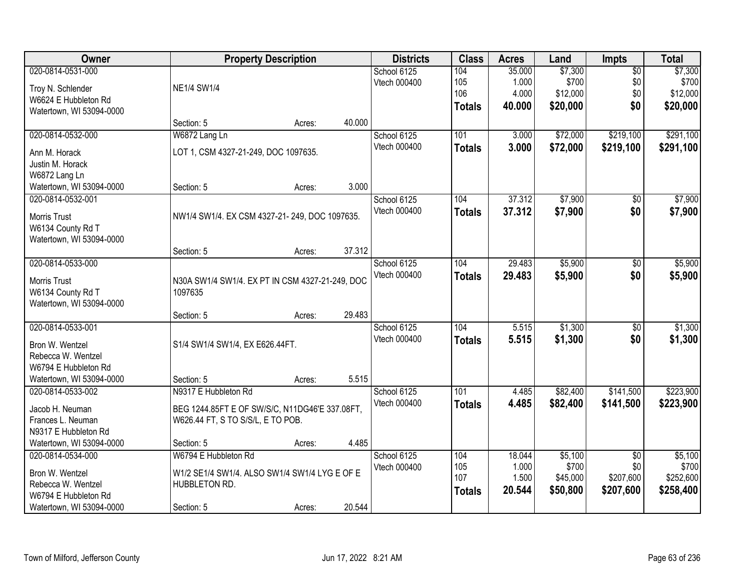| Owner                                 |                                                                                     | <b>Property Description</b> |        | <b>Districts</b> | <b>Class</b>  | <b>Acres</b> | Land     | <b>Impts</b>    | <b>Total</b> |
|---------------------------------------|-------------------------------------------------------------------------------------|-----------------------------|--------|------------------|---------------|--------------|----------|-----------------|--------------|
| 020-0814-0531-000                     |                                                                                     |                             |        | School 6125      | 104           | 35.000       | \$7,300  | $\overline{50}$ | \$7,300      |
| Troy N. Schlender                     | <b>NE1/4 SW1/4</b>                                                                  |                             |        | Vtech 000400     | 105           | 1.000        | \$700    | \$0             | \$700        |
| W6624 E Hubbleton Rd                  |                                                                                     |                             |        |                  | 106           | 4.000        | \$12,000 | \$0             | \$12,000     |
| Watertown, WI 53094-0000              |                                                                                     |                             |        |                  | <b>Totals</b> | 40.000       | \$20,000 | \$0             | \$20,000     |
|                                       | Section: 5                                                                          | Acres:                      | 40.000 |                  |               |              |          |                 |              |
| 020-0814-0532-000                     | W6872 Lang Ln                                                                       |                             |        | School 6125      | 101           | 3.000        | \$72,000 | \$219,100       | \$291,100    |
| Ann M. Horack                         | LOT 1, CSM 4327-21-249, DOC 1097635.                                                |                             |        | Vtech 000400     | <b>Totals</b> | 3.000        | \$72,000 | \$219,100       | \$291,100    |
| Justin M. Horack                      |                                                                                     |                             |        |                  |               |              |          |                 |              |
| W6872 Lang Ln                         |                                                                                     |                             |        |                  |               |              |          |                 |              |
| Watertown, WI 53094-0000              | Section: 5                                                                          | Acres:                      | 3.000  |                  |               |              |          |                 |              |
| 020-0814-0532-001                     |                                                                                     |                             |        | School 6125      | 104           | 37.312       | \$7,900  | \$0             | \$7,900      |
| <b>Morris Trust</b>                   | NW1/4 SW1/4. EX CSM 4327-21-249, DOC 1097635.                                       |                             |        | Vtech 000400     | <b>Totals</b> | 37.312       | \$7,900  | \$0             | \$7,900      |
| W6134 County Rd T                     |                                                                                     |                             |        |                  |               |              |          |                 |              |
| Watertown, WI 53094-0000              |                                                                                     |                             |        |                  |               |              |          |                 |              |
|                                       | Section: 5                                                                          | Acres:                      | 37.312 |                  |               |              |          |                 |              |
| 020-0814-0533-000                     |                                                                                     |                             |        | School 6125      | 104           | 29.483       | \$5,900  | \$0             | \$5,900      |
|                                       |                                                                                     |                             |        | Vtech 000400     | <b>Totals</b> | 29.483       | \$5,900  | \$0             | \$5,900      |
| Morris Trust<br>W6134 County Rd T     | N30A SW1/4 SW1/4. EX PT IN CSM 4327-21-249, DOC<br>1097635                          |                             |        |                  |               |              |          |                 |              |
| Watertown, WI 53094-0000              |                                                                                     |                             |        |                  |               |              |          |                 |              |
|                                       | Section: 5                                                                          | Acres:                      | 29.483 |                  |               |              |          |                 |              |
| 020-0814-0533-001                     |                                                                                     |                             |        | School 6125      | 104           | 5.515        | \$1,300  | $\overline{50}$ | \$1,300      |
|                                       |                                                                                     |                             |        | Vtech 000400     | <b>Totals</b> | 5.515        | \$1,300  | \$0             | \$1,300      |
| Bron W. Wentzel<br>Rebecca W. Wentzel | S1/4 SW1/4 SW1/4, EX E626.44FT.                                                     |                             |        |                  |               |              |          |                 |              |
| W6794 E Hubbleton Rd                  |                                                                                     |                             |        |                  |               |              |          |                 |              |
| Watertown, WI 53094-0000              | Section: 5                                                                          | Acres:                      | 5.515  |                  |               |              |          |                 |              |
| 020-0814-0533-002                     | N9317 E Hubbleton Rd                                                                |                             |        | School 6125      | 101           | 4.485        | \$82,400 | \$141,500       | \$223,900    |
| Jacob H. Neuman                       |                                                                                     |                             |        | Vtech 000400     | <b>Totals</b> | 4.485        | \$82,400 | \$141,500       | \$223,900    |
| Frances L. Neuman                     | BEG 1244.85FT E OF SW/S/C, N11DG46'E 337.08FT,<br>W626.44 FT, S TO S/S/L, E TO POB. |                             |        |                  |               |              |          |                 |              |
| N9317 E Hubbleton Rd                  |                                                                                     |                             |        |                  |               |              |          |                 |              |
| Watertown, WI 53094-0000              | Section: 5                                                                          | Acres:                      | 4.485  |                  |               |              |          |                 |              |
| 020-0814-0534-000                     | W6794 E Hubbleton Rd                                                                |                             |        | School 6125      | 104           | 18.044       | \$5,100  | $\overline{50}$ | \$5,100      |
|                                       |                                                                                     |                             |        | Vtech 000400     | 105           | 1.000        | \$700    | \$0             | \$700        |
| Bron W. Wentzel<br>Rebecca W. Wentzel | W1/2 SE1/4 SW1/4. ALSO SW1/4 SW1/4 LYG E OF E<br>HUBBLETON RD.                      |                             |        |                  | 107           | 1.500        | \$45,000 | \$207,600       | \$252,600    |
| W6794 E Hubbleton Rd                  |                                                                                     |                             |        |                  | <b>Totals</b> | 20.544       | \$50,800 | \$207,600       | \$258,400    |
| Watertown, WI 53094-0000              | Section: 5                                                                          | Acres:                      | 20.544 |                  |               |              |          |                 |              |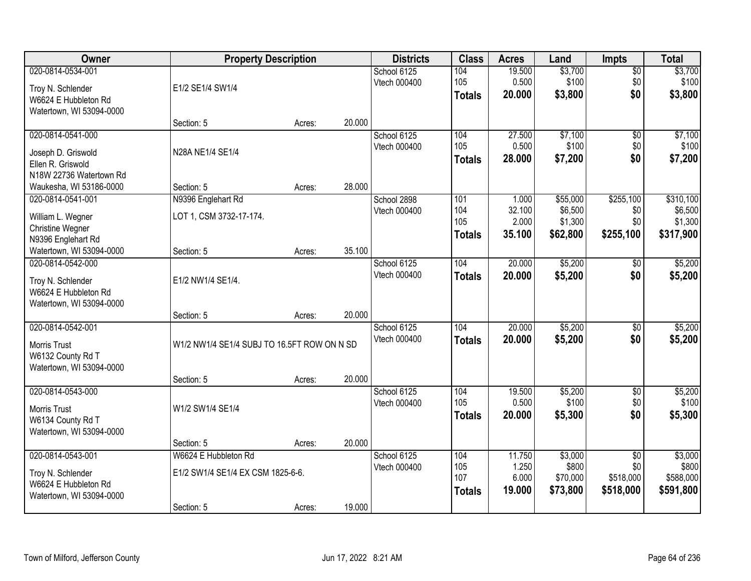| Owner                                                                                      | <b>Property Description</b>                                             |        |        | <b>Districts</b>            | <b>Class</b>                       | <b>Acres</b>                       | Land                                       | <b>Impts</b>                                     | <b>Total</b>                                 |
|--------------------------------------------------------------------------------------------|-------------------------------------------------------------------------|--------|--------|-----------------------------|------------------------------------|------------------------------------|--------------------------------------------|--------------------------------------------------|----------------------------------------------|
| 020-0814-0534-001<br>Troy N. Schlender<br>W6624 E Hubbleton Rd<br>Watertown, WI 53094-0000 | E1/2 SE1/4 SW1/4                                                        |        |        | School 6125<br>Vtech 000400 | 104<br>105<br><b>Totals</b>        | 19.500<br>0.500<br>20.000          | \$3,700<br>\$100<br>\$3,800                | \$0<br>\$0<br>\$0                                | \$3,700<br>\$100<br>\$3,800                  |
|                                                                                            | Section: 5                                                              | Acres: | 20.000 |                             |                                    |                                    |                                            |                                                  |                                              |
| 020-0814-0541-000<br>Joseph D. Griswold<br>Ellen R. Griswold<br>N18W 22736 Watertown Rd    | N28A NE1/4 SE1/4                                                        |        |        | School 6125<br>Vtech 000400 | 104<br>105<br><b>Totals</b>        | 27.500<br>0.500<br>28.000          | \$7,100<br>\$100<br>\$7,200                | \$0<br>\$0<br>\$0                                | \$7,100<br>\$100<br>\$7,200                  |
| Waukesha, WI 53186-0000                                                                    | Section: 5                                                              | Acres: | 28.000 |                             |                                    |                                    |                                            |                                                  |                                              |
| 020-0814-0541-001<br>William L. Wegner<br>Christine Wegner<br>N9396 Englehart Rd           | N9396 Englehart Rd<br>LOT 1, CSM 3732-17-174.                           |        |        | School 2898<br>Vtech 000400 | 101<br>104<br>105<br><b>Totals</b> | 1.000<br>32.100<br>2.000<br>35.100 | \$55,000<br>\$6,500<br>\$1,300<br>\$62,800 | \$255,100<br>\$0<br>\$0<br>\$255,100             | \$310,100<br>\$6,500<br>\$1,300<br>\$317,900 |
| Watertown, WI 53094-0000                                                                   | Section: 5                                                              | Acres: | 35.100 |                             |                                    |                                    |                                            |                                                  |                                              |
| 020-0814-0542-000<br>Troy N. Schlender<br>W6624 E Hubbleton Rd<br>Watertown, WI 53094-0000 | E1/2 NW1/4 SE1/4.                                                       |        |        | School 6125<br>Vtech 000400 | 104<br><b>Totals</b>               | 20.000<br>20.000                   | \$5,200<br>\$5,200                         | $\sqrt[6]{}$<br>\$0                              | \$5,200<br>\$5,200                           |
|                                                                                            | Section: 5                                                              | Acres: | 20.000 |                             |                                    |                                    |                                            |                                                  |                                              |
| 020-0814-0542-001<br><b>Morris Trust</b><br>W6132 County Rd T<br>Watertown, WI 53094-0000  | W1/2 NW1/4 SE1/4 SUBJ TO 16.5FT ROW ON N SD                             |        |        | School 6125<br>Vtech 000400 | 104<br><b>Totals</b>               | 20.000<br>20,000                   | \$5,200<br>\$5,200                         | \$0<br>\$0                                       | \$5,200<br>\$5,200                           |
| 020-0814-0543-000                                                                          | Section: 5                                                              | Acres: | 20.000 | School 6125                 | 104                                | 19.500                             | \$5,200                                    | $\sqrt{$0}$                                      | \$5,200                                      |
| Morris Trust<br>W6134 County Rd T<br>Watertown, WI 53094-0000                              | W1/2 SW1/4 SE1/4                                                        |        |        | Vtech 000400                | 105<br><b>Totals</b>               | 0.500<br>20,000                    | \$100<br>\$5,300                           | \$0<br>\$0                                       | \$100<br>\$5,300                             |
|                                                                                            | Section: 5                                                              | Acres: | 20.000 |                             |                                    |                                    |                                            |                                                  |                                              |
| 020-0814-0543-001<br>Troy N. Schlender<br>W6624 E Hubbleton Rd<br>Watertown, WI 53094-0000 | W6624 E Hubbleton Rd<br>E1/2 SW1/4 SE1/4 EX CSM 1825-6-6.<br>Section: 5 | Acres: | 19.000 | School 6125<br>Vtech 000400 | 104<br>105<br>107<br><b>Totals</b> | 11.750<br>1.250<br>6.000<br>19.000 | \$3,000<br>\$800<br>\$70,000<br>\$73,800   | $\overline{50}$<br>\$0<br>\$518,000<br>\$518,000 | \$3,000<br>\$800<br>\$588,000<br>\$591,800   |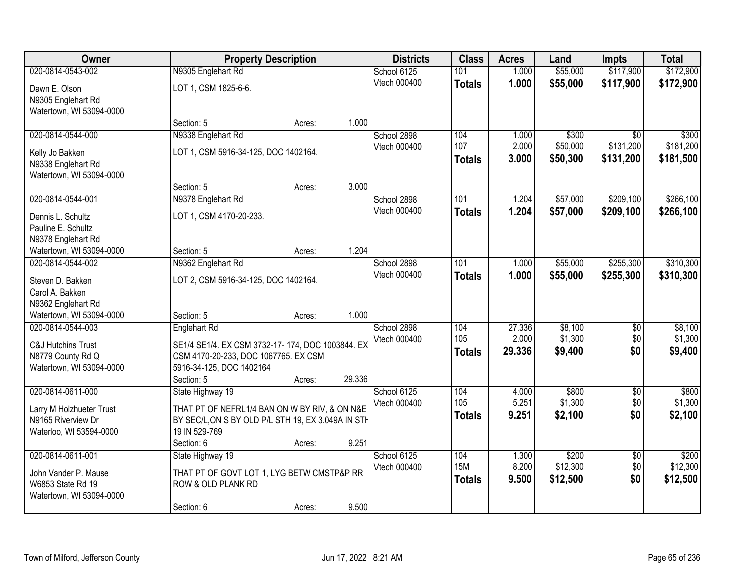| Owner                         |                                                    | <b>Property Description</b> |        | <b>Districts</b>            | <b>Class</b>      | <b>Acres</b>    | Land               | <b>Impts</b>           | <b>Total</b>       |
|-------------------------------|----------------------------------------------------|-----------------------------|--------|-----------------------------|-------------------|-----------------|--------------------|------------------------|--------------------|
| 020-0814-0543-002             | N9305 Englehart Rd                                 |                             |        | School 6125                 | 101               | 1.000           | \$55,000           | \$117,900              | \$172,900          |
| Dawn E. Olson                 | LOT 1, CSM 1825-6-6.                               |                             |        | Vtech 000400                | <b>Totals</b>     | 1.000           | \$55,000           | \$117,900              | \$172,900          |
| N9305 Englehart Rd            |                                                    |                             |        |                             |                   |                 |                    |                        |                    |
| Watertown, WI 53094-0000      |                                                    |                             |        |                             |                   |                 |                    |                        |                    |
|                               | Section: 5                                         | Acres:                      | 1.000  |                             |                   |                 |                    |                        |                    |
| 020-0814-0544-000             | N9338 Englehart Rd                                 |                             |        | School 2898                 | 104               | 1.000           | \$300              | $\overline{30}$        | \$300              |
| Kelly Jo Bakken               | LOT 1, CSM 5916-34-125, DOC 1402164.               |                             |        | Vtech 000400                | 107               | 2.000           | \$50,000           | \$131,200              | \$181,200          |
| N9338 Englehart Rd            |                                                    |                             |        |                             | <b>Totals</b>     | 3.000           | \$50,300           | \$131,200              | \$181,500          |
| Watertown, WI 53094-0000      |                                                    |                             |        |                             |                   |                 |                    |                        |                    |
|                               | Section: 5                                         | Acres:                      | 3.000  |                             |                   |                 |                    |                        |                    |
| 020-0814-0544-001             | N9378 Englehart Rd                                 |                             |        | School 2898                 | 101               | 1.204           | \$57,000           | \$209,100              | \$266,100          |
| Dennis L. Schultz             | LOT 1, CSM 4170-20-233.                            |                             |        | Vtech 000400                | <b>Totals</b>     | 1.204           | \$57,000           | \$209,100              | \$266,100          |
| Pauline E. Schultz            |                                                    |                             |        |                             |                   |                 |                    |                        |                    |
| N9378 Englehart Rd            |                                                    |                             |        |                             |                   |                 |                    |                        |                    |
| Watertown, WI 53094-0000      | Section: 5                                         | Acres:                      | 1.204  |                             |                   |                 |                    |                        |                    |
| 020-0814-0544-002             | N9362 Englehart Rd                                 |                             |        | School 2898                 | 101               | 1.000           | \$55,000           | \$255,300              | \$310,300          |
| Steven D. Bakken              | LOT 2, CSM 5916-34-125, DOC 1402164.               |                             |        | Vtech 000400                | <b>Totals</b>     | 1.000           | \$55,000           | \$255,300              | \$310,300          |
| Carol A. Bakken               |                                                    |                             |        |                             |                   |                 |                    |                        |                    |
| N9362 Englehart Rd            |                                                    |                             |        |                             |                   |                 |                    |                        |                    |
| Watertown, WI 53094-0000      | Section: 5                                         | Acres:                      | 1.000  |                             |                   |                 |                    |                        |                    |
| 020-0814-0544-003             | <b>Englehart Rd</b>                                |                             |        | School 2898                 | 104<br>105        | 27.336<br>2.000 | \$8,100<br>\$1,300 | $\overline{50}$<br>\$0 | \$8,100<br>\$1,300 |
| <b>C&amp;J Hutchins Trust</b> | SE1/4 SE1/4. EX CSM 3732-17-174, DOC 1003844. EX   |                             |        | Vtech 000400                |                   | 29.336          | \$9,400            | \$0                    | \$9,400            |
| N8779 County Rd Q             | CSM 4170-20-233, DOC 1067765. EX CSM               |                             |        |                             | <b>Totals</b>     |                 |                    |                        |                    |
| Watertown, WI 53094-0000      | 5916-34-125, DOC 1402164                           |                             |        |                             |                   |                 |                    |                        |                    |
|                               | Section: 5                                         | Acres:                      | 29.336 |                             |                   |                 |                    |                        |                    |
| 020-0814-0611-000             | State Highway 19                                   |                             |        | School 6125<br>Vtech 000400 | 104<br>105        | 4.000<br>5.251  | \$800<br>\$1,300   | $\overline{50}$<br>\$0 | \$800<br>\$1,300   |
| Larry M Holzhueter Trust      | THAT PT OF NEFRL1/4 BAN ON W BY RIV, & ON N&E      |                             |        |                             | <b>Totals</b>     | 9.251           | \$2,100            | \$0                    | \$2,100            |
| N9165 Riverview Dr            | BY SEC/L, ON S BY OLD P/L STH 19, EX 3.049A IN STH |                             |        |                             |                   |                 |                    |                        |                    |
| Waterloo, WI 53594-0000       | 19 IN 529-769                                      |                             |        |                             |                   |                 |                    |                        |                    |
|                               | Section: 6                                         | Acres:                      | 9.251  |                             |                   |                 |                    |                        |                    |
| 020-0814-0611-001             | State Highway 19                                   |                             |        | School 6125<br>Vtech 000400 | 104<br><b>15M</b> | 1.300<br>8.200  | \$200<br>\$12,300  | $\overline{50}$<br>\$0 | \$200<br>\$12,300  |
| John Vander P. Mause          | THAT PT OF GOVT LOT 1, LYG BETW CMSTP&P RR         |                             |        |                             | <b>Totals</b>     | 9.500           | \$12,500           | \$0                    | \$12,500           |
| W6853 State Rd 19             | ROW & OLD PLANK RD                                 |                             |        |                             |                   |                 |                    |                        |                    |
| Watertown, WI 53094-0000      |                                                    |                             |        |                             |                   |                 |                    |                        |                    |
|                               | Section: 6                                         | Acres:                      | 9.500  |                             |                   |                 |                    |                        |                    |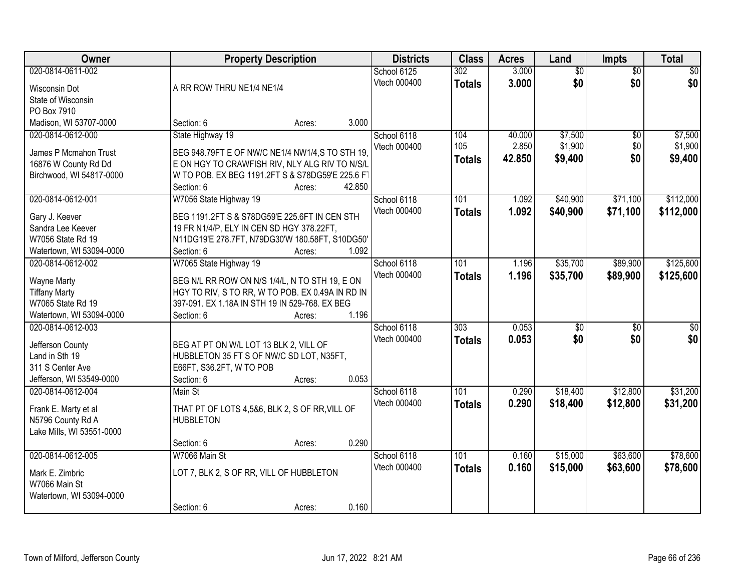| Owner                     |                                        | <b>Property Description</b>                      | <b>Districts</b> | <b>Class</b>     | <b>Acres</b> | Land            | <b>Impts</b>    | <b>Total</b>    |
|---------------------------|----------------------------------------|--------------------------------------------------|------------------|------------------|--------------|-----------------|-----------------|-----------------|
| 020-0814-0611-002         |                                        |                                                  | School 6125      | 302              | 3.000        | $\overline{50}$ | $\overline{50}$ | $\overline{30}$ |
| <b>Wisconsin Dot</b>      | A RR ROW THRU NE1/4 NE1/4              |                                                  | Vtech 000400     | <b>Totals</b>    | 3.000        | \$0             | \$0             | \$0             |
| State of Wisconsin        |                                        |                                                  |                  |                  |              |                 |                 |                 |
| PO Box 7910               |                                        |                                                  |                  |                  |              |                 |                 |                 |
| Madison, WI 53707-0000    | Section: 6                             | Acres:                                           | 3.000            |                  |              |                 |                 |                 |
| 020-0814-0612-000         | State Highway 19                       |                                                  | School 6118      | 104              | 40.000       | \$7,500         | $\overline{50}$ | \$7,500         |
|                           |                                        |                                                  | Vtech 000400     | 105              | 2.850        | \$1,900         | \$0             | \$1,900         |
| James P Mcmahon Trust     |                                        | BEG 948.79FT E OF NW/C NE1/4 NW1/4,S TO STH 19,  |                  | <b>Totals</b>    | 42.850       | \$9,400         | \$0             | \$9,400         |
| 16876 W County Rd Dd      |                                        | E ON HGY TO CRAWFISH RIV, NLY ALG RIV TO N/S/L   |                  |                  |              |                 |                 |                 |
| Birchwood, WI 54817-0000  |                                        | W TO POB. EX BEG 1191.2FT S & S78DG59'E 225.6 FT |                  |                  |              |                 |                 |                 |
|                           | Section: 6                             | Acres:                                           | 42.850           |                  |              |                 |                 |                 |
| 020-0814-0612-001         | W7056 State Highway 19                 |                                                  | School 6118      | 101              | 1.092        | \$40,900        | \$71,100        | \$112,000       |
| Gary J. Keever            |                                        | BEG 1191.2FT S & S78DG59'E 225.6FT IN CEN STH    | Vtech 000400     | <b>Totals</b>    | 1.092        | \$40,900        | \$71,100        | \$112,000       |
| Sandra Lee Keever         |                                        | 19 FR N1/4/P, ELY IN CEN SD HGY 378.22FT,        |                  |                  |              |                 |                 |                 |
| W7056 State Rd 19         |                                        | N11DG19'E 278.7FT, N79DG30'W 180.58FT, S10DG50'  |                  |                  |              |                 |                 |                 |
| Watertown, WI 53094-0000  | Section: 6                             | Acres:                                           | 1.092            |                  |              |                 |                 |                 |
| 020-0814-0612-002         | W7065 State Highway 19                 |                                                  | School 6118      | 101              | 1.196        | \$35,700        | \$89,900        | \$125,600       |
|                           |                                        |                                                  | Vtech 000400     | <b>Totals</b>    | 1.196        | \$35,700        | \$89,900        | \$125,600       |
| <b>Wayne Marty</b>        |                                        | BEG N/L RR ROW ON N/S 1/4/L, N TO STH 19, E ON   |                  |                  |              |                 |                 |                 |
| <b>Tiffany Marty</b>      |                                        | HGY TO RIV, S TO RR, W TO POB. EX 0.49A IN RD IN |                  |                  |              |                 |                 |                 |
| W7065 State Rd 19         |                                        | 397-091. EX 1.18A IN STH 19 IN 529-768. EX BEG   |                  |                  |              |                 |                 |                 |
| Watertown, WI 53094-0000  | Section: 6                             | Acres:                                           | 1.196            |                  |              |                 |                 |                 |
| 020-0814-0612-003         |                                        |                                                  | School 6118      | $\overline{303}$ | 0.053        | $\overline{50}$ | \$0             | $\overline{30}$ |
| Jefferson County          | BEG AT PT ON W/L LOT 13 BLK 2, VILL OF |                                                  | Vtech 000400     | <b>Totals</b>    | 0.053        | \$0             | \$0             | \$0             |
| Land in Sth 19            |                                        | HUBBLETON 35 FT S OF NW/C SD LOT, N35FT,         |                  |                  |              |                 |                 |                 |
| 311 S Center Ave          | E66FT, S36.2FT, W TO POB               |                                                  |                  |                  |              |                 |                 |                 |
| Jefferson, WI 53549-0000  | Section: 6                             | Acres:                                           | 0.053            |                  |              |                 |                 |                 |
| 020-0814-0612-004         | Main St                                |                                                  | School 6118      | 101              | 0.290        | \$18,400        | \$12,800        | \$31,200        |
|                           |                                        |                                                  | Vtech 000400     | <b>Totals</b>    | 0.290        | \$18,400        | \$12,800        | \$31,200        |
| Frank E. Marty et al      |                                        | THAT PT OF LOTS 4,5&6, BLK 2, S OF RR, VILL OF   |                  |                  |              |                 |                 |                 |
| N5796 County Rd A         | <b>HUBBLETON</b>                       |                                                  |                  |                  |              |                 |                 |                 |
| Lake Mills, WI 53551-0000 |                                        |                                                  |                  |                  |              |                 |                 |                 |
|                           | Section: 6                             | Acres:                                           | 0.290            |                  |              |                 |                 |                 |
| 020-0814-0612-005         | W7066 Main St                          |                                                  | School 6118      | 101              | 0.160        | \$15,000        | \$63,600        | \$78,600        |
| Mark E. Zimbric           |                                        | LOT 7, BLK 2, S OF RR, VILL OF HUBBLETON         | Vtech 000400     | <b>Totals</b>    | 0.160        | \$15,000        | \$63,600        | \$78,600        |
| W7066 Main St             |                                        |                                                  |                  |                  |              |                 |                 |                 |
| Watertown, WI 53094-0000  |                                        |                                                  |                  |                  |              |                 |                 |                 |
|                           | Section: 6                             | Acres:                                           | 0.160            |                  |              |                 |                 |                 |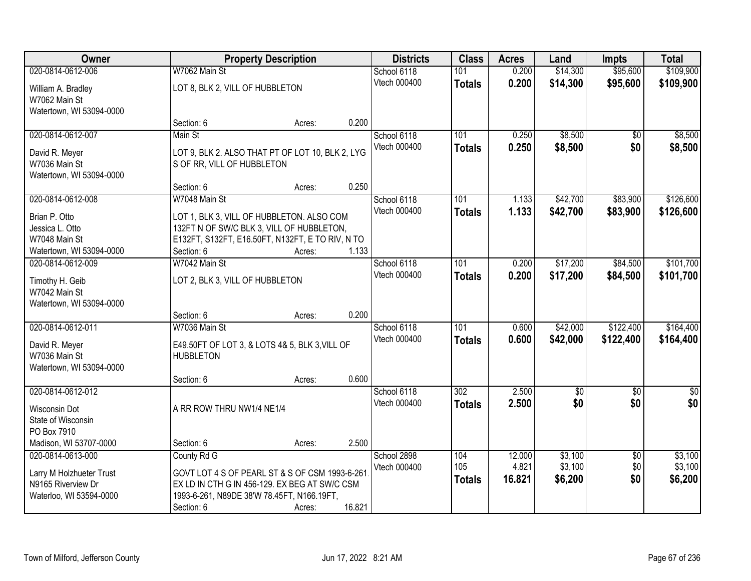| Owner                    |                                                  | <b>Property Description</b> |        | <b>Districts</b> | <b>Class</b>  | <b>Acres</b> | Land        | <b>Impts</b>    | <b>Total</b>    |
|--------------------------|--------------------------------------------------|-----------------------------|--------|------------------|---------------|--------------|-------------|-----------------|-----------------|
| 020-0814-0612-006        | W7062 Main St                                    |                             |        | School 6118      | 101           | 0.200        | \$14,300    | \$95,600        | \$109,900       |
| William A. Bradley       | LOT 8, BLK 2, VILL OF HUBBLETON                  |                             |        | Vtech 000400     | <b>Totals</b> | 0.200        | \$14,300    | \$95,600        | \$109,900       |
| W7062 Main St            |                                                  |                             |        |                  |               |              |             |                 |                 |
| Watertown, WI 53094-0000 |                                                  |                             |        |                  |               |              |             |                 |                 |
|                          | Section: 6                                       | Acres:                      | 0.200  |                  |               |              |             |                 |                 |
| 020-0814-0612-007        | Main St                                          |                             |        | School 6118      | 101           | 0.250        | \$8,500     | \$0             | \$8,500         |
| David R. Meyer           | LOT 9, BLK 2. ALSO THAT PT OF LOT 10, BLK 2, LYG |                             |        | Vtech 000400     | <b>Totals</b> | 0.250        | \$8,500     | \$0             | \$8,500         |
| W7036 Main St            | S OF RR, VILL OF HUBBLETON                       |                             |        |                  |               |              |             |                 |                 |
| Watertown, WI 53094-0000 |                                                  |                             |        |                  |               |              |             |                 |                 |
|                          | Section: 6                                       | Acres:                      | 0.250  |                  |               |              |             |                 |                 |
| 020-0814-0612-008        | W7048 Main St                                    |                             |        | School 6118      | 101           | 1.133        | \$42,700    | \$83,900        | \$126,600       |
| Brian P. Otto            | LOT 1, BLK 3, VILL OF HUBBLETON. ALSO COM        |                             |        | Vtech 000400     | <b>Totals</b> | 1.133        | \$42,700    | \$83,900        | \$126,600       |
| Jessica L. Otto          | 132FT N OF SW/C BLK 3, VILL OF HUBBLETON,        |                             |        |                  |               |              |             |                 |                 |
| W7048 Main St            | E132FT, S132FT, E16.50FT, N132FT, E TO RIV, N TO |                             |        |                  |               |              |             |                 |                 |
| Watertown, WI 53094-0000 | Section: 6                                       | Acres:                      | 1.133  |                  |               |              |             |                 |                 |
| 020-0814-0612-009        | W7042 Main St                                    |                             |        | School 6118      | 101           | 0.200        | \$17,200    | \$84,500        | \$101,700       |
| Timothy H. Geib          | LOT 2, BLK 3, VILL OF HUBBLETON                  |                             |        | Vtech 000400     | <b>Totals</b> | 0.200        | \$17,200    | \$84,500        | \$101,700       |
| W7042 Main St            |                                                  |                             |        |                  |               |              |             |                 |                 |
| Watertown, WI 53094-0000 |                                                  |                             |        |                  |               |              |             |                 |                 |
|                          | Section: 6                                       | Acres:                      | 0.200  |                  |               |              |             |                 |                 |
| 020-0814-0612-011        | W7036 Main St                                    |                             |        | School 6118      | 101           | 0.600        | \$42,000    | \$122,400       | \$164,400       |
| David R. Meyer           | E49.50FT OF LOT 3, & LOTS 4& 5, BLK 3, VILL OF   |                             |        | Vtech 000400     | <b>Totals</b> | 0.600        | \$42,000    | \$122,400       | \$164,400       |
| W7036 Main St            | <b>HUBBLETON</b>                                 |                             |        |                  |               |              |             |                 |                 |
| Watertown, WI 53094-0000 |                                                  |                             |        |                  |               |              |             |                 |                 |
|                          | Section: 6                                       | Acres:                      | 0.600  |                  |               |              |             |                 |                 |
| 020-0814-0612-012        |                                                  |                             |        | School 6118      | 302           | 2.500        | $\sqrt{30}$ | $\overline{60}$ | $\overline{50}$ |
| Wisconsin Dot            | A RR ROW THRU NW1/4 NE1/4                        |                             |        | Vtech 000400     | <b>Totals</b> | 2.500        | \$0         | \$0             | \$0             |
| State of Wisconsin       |                                                  |                             |        |                  |               |              |             |                 |                 |
| PO Box 7910              |                                                  |                             |        |                  |               |              |             |                 |                 |
| Madison, WI 53707-0000   | Section: 6                                       | Acres:                      | 2.500  |                  |               |              |             |                 |                 |
| 020-0814-0613-000        | County Rd G                                      |                             |        | School 2898      | 104           | 12.000       | \$3,100     | $\overline{50}$ | \$3,100         |
| Larry M Holzhueter Trust | GOVT LOT 4 S OF PEARL ST & S OF CSM 1993-6-261   |                             |        | Vtech 000400     | 105           | 4.821        | \$3,100     | \$0<br>\$0      | \$3,100         |
| N9165 Riverview Dr       | EX LD IN CTH G IN 456-129. EX BEG AT SW/C CSM    |                             |        |                  | <b>Totals</b> | 16.821       | \$6,200     |                 | \$6,200         |
| Waterloo, WI 53594-0000  | 1993-6-261, N89DE 38'W 78.45FT, N166.19FT,       |                             |        |                  |               |              |             |                 |                 |
|                          | Section: 6                                       | Acres:                      | 16.821 |                  |               |              |             |                 |                 |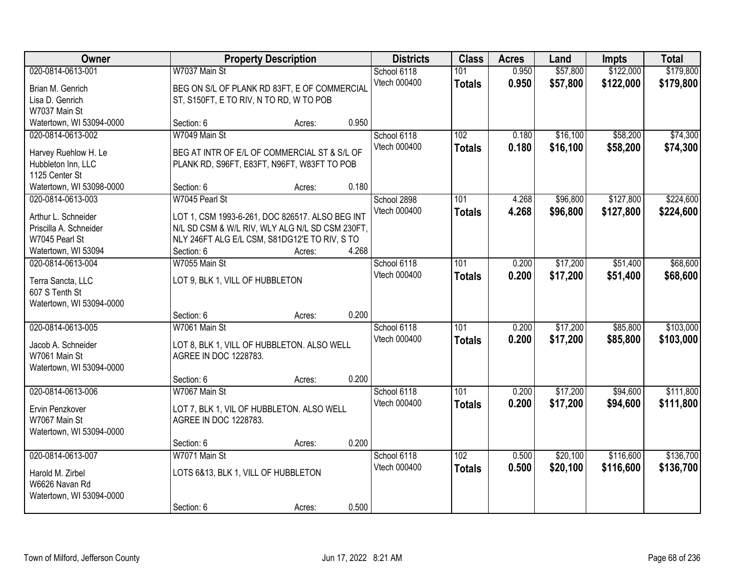| Owner                    |                                         | <b>Property Description</b>                     |       | <b>Districts</b>            | <b>Class</b>         | <b>Acres</b>   | Land                 | <b>Impts</b>           | <b>Total</b>           |
|--------------------------|-----------------------------------------|-------------------------------------------------|-------|-----------------------------|----------------------|----------------|----------------------|------------------------|------------------------|
| 020-0814-0613-001        | W7037 Main St                           |                                                 |       | School 6118<br>Vtech 000400 | 101                  | 0.950<br>0.950 | \$57,800<br>\$57,800 | \$122,000<br>\$122,000 | \$179,800<br>\$179,800 |
| Brian M. Genrich         |                                         | BEG ON S/L OF PLANK RD 83FT, E OF COMMERCIAL    |       |                             | <b>Totals</b>        |                |                      |                        |                        |
| Lisa D. Genrich          | ST, S150FT, E TO RIV, N TO RD, W TO POB |                                                 |       |                             |                      |                |                      |                        |                        |
| W7037 Main St            |                                         |                                                 |       |                             |                      |                |                      |                        |                        |
| Watertown, WI 53094-0000 | Section: 6                              | Acres:                                          | 0.950 |                             |                      |                |                      |                        |                        |
| 020-0814-0613-002        | W7049 Main St                           |                                                 |       | School 6118<br>Vtech 000400 | 102<br><b>Totals</b> | 0.180<br>0.180 | \$16,100<br>\$16,100 | \$58,200<br>\$58,200   | \$74,300<br>\$74,300   |
| Harvey Ruehlow H. Le     |                                         | BEG AT INTR OF E/L OF COMMERCIAL ST & S/L OF    |       |                             |                      |                |                      |                        |                        |
| Hubbleton Inn, LLC       |                                         | PLANK RD, S96FT, E83FT, N96FT, W83FT TO POB     |       |                             |                      |                |                      |                        |                        |
| 1125 Center St           |                                         |                                                 |       |                             |                      |                |                      |                        |                        |
| Watertown, WI 53098-0000 | Section: 6                              | Acres:                                          | 0.180 |                             |                      |                |                      |                        |                        |
| 020-0814-0613-003        | W7045 Pearl St                          |                                                 |       | School 2898                 | 101                  | 4.268          | \$96,800             | \$127,800              | \$224,600              |
| Arthur L. Schneider      |                                         | LOT 1, CSM 1993-6-261, DOC 826517. ALSO BEG INT |       | Vtech 000400                | <b>Totals</b>        | 4.268          | \$96,800             | \$127,800              | \$224,600              |
| Priscilla A. Schneider   |                                         | N/L SD CSM & W/L RIV, WLY ALG N/L SD CSM 230FT, |       |                             |                      |                |                      |                        |                        |
| W7045 Pearl St           |                                         | NLY 246FT ALG E/L CSM, S81DG12'E TO RIV, S TO   |       |                             |                      |                |                      |                        |                        |
| Watertown, WI 53094      | Section: 6                              | Acres:                                          | 4.268 |                             |                      |                |                      |                        |                        |
| 020-0814-0613-004        | W7055 Main St                           |                                                 |       | School 6118                 | 101                  | 0.200          | \$17,200             | \$51,400               | \$68,600               |
|                          |                                         |                                                 |       | Vtech 000400                | <b>Totals</b>        | 0.200          | \$17,200             | \$51,400               | \$68,600               |
| Terra Sancta, LLC        | LOT 9, BLK 1, VILL OF HUBBLETON         |                                                 |       |                             |                      |                |                      |                        |                        |
| 607 S Tenth St           |                                         |                                                 |       |                             |                      |                |                      |                        |                        |
| Watertown, WI 53094-0000 |                                         |                                                 |       |                             |                      |                |                      |                        |                        |
|                          | Section: 6                              | Acres:                                          | 0.200 |                             |                      |                |                      |                        |                        |
| 020-0814-0613-005        | W7061 Main St                           |                                                 |       | School 6118                 | 101                  | 0.200          | \$17,200             | \$85,800               | \$103,000              |
| Jacob A. Schneider       |                                         | LOT 8, BLK 1, VILL OF HUBBLETON. ALSO WELL      |       | Vtech 000400                | <b>Totals</b>        | 0.200          | \$17,200             | \$85,800               | \$103,000              |
| W7061 Main St            | AGREE IN DOC 1228783.                   |                                                 |       |                             |                      |                |                      |                        |                        |
| Watertown, WI 53094-0000 |                                         |                                                 |       |                             |                      |                |                      |                        |                        |
|                          | Section: 6                              | Acres:                                          | 0.200 |                             |                      |                |                      |                        |                        |
| 020-0814-0613-006        | W7067 Main St                           |                                                 |       | School 6118                 | 101                  | 0.200          | \$17,200             | \$94,600               | \$111,800              |
| Ervin Penzkover          |                                         | LOT 7, BLK 1, VIL OF HUBBLETON. ALSO WELL       |       | Vtech 000400                | <b>Totals</b>        | 0.200          | \$17,200             | \$94,600               | \$111,800              |
| W7067 Main St            | AGREE IN DOC 1228783.                   |                                                 |       |                             |                      |                |                      |                        |                        |
| Watertown, WI 53094-0000 |                                         |                                                 |       |                             |                      |                |                      |                        |                        |
|                          | Section: 6                              | Acres:                                          | 0.200 |                             |                      |                |                      |                        |                        |
| 020-0814-0613-007        | W7071 Main St                           |                                                 |       | School 6118                 | 102                  | 0.500          | \$20,100             | \$116,600              | \$136,700              |
|                          |                                         |                                                 |       | Vtech 000400                | <b>Totals</b>        | 0.500          | \$20,100             | \$116,600              | \$136,700              |
| Harold M. Zirbel         | LOTS 6&13, BLK 1, VILL OF HUBBLETON     |                                                 |       |                             |                      |                |                      |                        |                        |
| W6626 Navan Rd           |                                         |                                                 |       |                             |                      |                |                      |                        |                        |
| Watertown, WI 53094-0000 |                                         |                                                 |       |                             |                      |                |                      |                        |                        |
|                          | Section: 6                              | Acres:                                          | 0.500 |                             |                      |                |                      |                        |                        |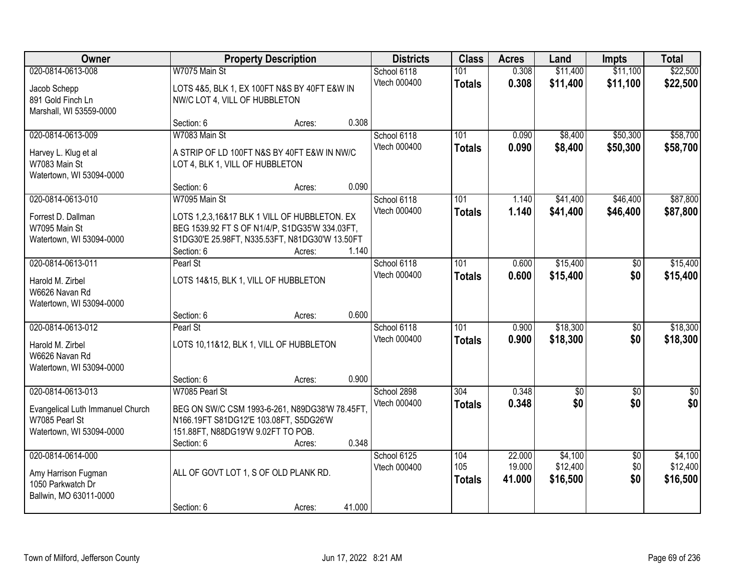| Owner                                                                                   |                                                                                                                                                                                 | <b>Property Description</b> |        | <b>Districts</b>            | <b>Class</b>                | <b>Acres</b>               | Land                            | <b>Impts</b>                  | <b>Total</b>                    |
|-----------------------------------------------------------------------------------------|---------------------------------------------------------------------------------------------------------------------------------------------------------------------------------|-----------------------------|--------|-----------------------------|-----------------------------|----------------------------|---------------------------------|-------------------------------|---------------------------------|
| 020-0814-0613-008<br>Jacob Schepp<br>891 Gold Finch Ln<br>Marshall, WI 53559-0000       | W7075 Main St<br>LOTS 4&5, BLK 1, EX 100FT N&S BY 40FT E&W IN<br>NW/C LOT 4, VILL OF HUBBLETON                                                                                  |                             |        | School 6118<br>Vtech 000400 | 101<br><b>Totals</b>        | 0.308<br>0.308             | \$11,400<br>\$11,400            | \$11,100<br>\$11,100          | \$22,500<br>\$22,500            |
|                                                                                         | Section: 6                                                                                                                                                                      | Acres:                      | 0.308  |                             |                             |                            |                                 |                               |                                 |
| 020-0814-0613-009<br>Harvey L. Klug et al<br>W7083 Main St<br>Watertown, WI 53094-0000  | W7083 Main St<br>A STRIP OF LD 100FT N&S BY 40FT E&W IN NW/C<br>LOT 4, BLK 1, VILL OF HUBBLETON                                                                                 |                             |        | School 6118<br>Vtech 000400 | 101<br><b>Totals</b>        | 0.090<br>0.090             | \$8,400<br>\$8,400              | \$50,300<br>\$50,300          | \$58,700<br>\$58,700            |
|                                                                                         | Section: 6                                                                                                                                                                      | Acres:                      | 0.090  |                             |                             |                            |                                 |                               |                                 |
| 020-0814-0613-010<br>Forrest D. Dallman<br>W7095 Main St<br>Watertown, WI 53094-0000    | W7095 Main St<br>LOTS 1,2,3,16&17 BLK 1 VILL OF HUBBLETON. EX<br>BEG 1539.92 FT S OF N1/4/P, S1DG35'W 334.03FT,<br>S1DG30'E 25.98FT, N335.53FT, N81DG30'W 13.50FT<br>Section: 6 | Acres:                      | 1.140  | School 6118<br>Vtech 000400 | 101<br><b>Totals</b>        | 1.140<br>1.140             | \$41,400<br>\$41,400            | \$46,400<br>\$46,400          | \$87,800<br>\$87,800            |
| 020-0814-0613-011                                                                       | Pearl St                                                                                                                                                                        |                             |        | School 6118                 | 101                         | 0.600                      | \$15,400                        | \$0                           | \$15,400                        |
| Harold M. Zirbel<br>W6626 Navan Rd<br>Watertown, WI 53094-0000                          | LOTS 14&15, BLK 1, VILL OF HUBBLETON                                                                                                                                            |                             |        | Vtech 000400                | <b>Totals</b>               | 0.600                      | \$15,400                        | \$0                           | \$15,400                        |
|                                                                                         | Section: 6                                                                                                                                                                      | Acres:                      | 0.600  |                             |                             |                            |                                 |                               |                                 |
| 020-0814-0613-012<br>Harold M. Zirbel<br>W6626 Navan Rd<br>Watertown, WI 53094-0000     | Pearl St<br>LOTS 10,11&12, BLK 1, VILL OF HUBBLETON<br>Section: 6                                                                                                               | Acres:                      | 0.900  | School 6118<br>Vtech 000400 | 101<br><b>Totals</b>        | 0.900<br>0.900             | \$18,300<br>\$18,300            | $\overline{50}$<br>\$0        | \$18,300<br>\$18,300            |
| 020-0814-0613-013                                                                       | W7085 Pearl St                                                                                                                                                                  |                             |        | School 2898                 | 304                         | 0.348                      | \$0                             | $\sqrt{6}$                    | $\frac{1}{6}$                   |
| Evangelical Luth Immanuel Church<br>W7085 Pearl St<br>Watertown, WI 53094-0000          | BEG ON SW/C CSM 1993-6-261, N89DG38'W 78.45FT,<br>N166.19FT S81DG12'E 103.08FT, S5DG26'W<br>151.88FT, N88DG19'W 9.02FT TO POB.<br>Section: 6                                    | Acres:                      | 0.348  | Vtech 000400                | <b>Totals</b>               | 0.348                      | \$0                             | \$0                           | \$0                             |
| 020-0814-0614-000<br>Amy Harrison Fugman<br>1050 Parkwatch Dr<br>Ballwin, MO 63011-0000 | ALL OF GOVT LOT 1, S OF OLD PLANK RD.<br>Section: 6                                                                                                                             | Acres:                      | 41.000 | School 6125<br>Vtech 000400 | 104<br>105<br><b>Totals</b> | 22.000<br>19.000<br>41.000 | \$4,100<br>\$12,400<br>\$16,500 | $\overline{50}$<br>\$0<br>\$0 | \$4,100<br>\$12,400<br>\$16,500 |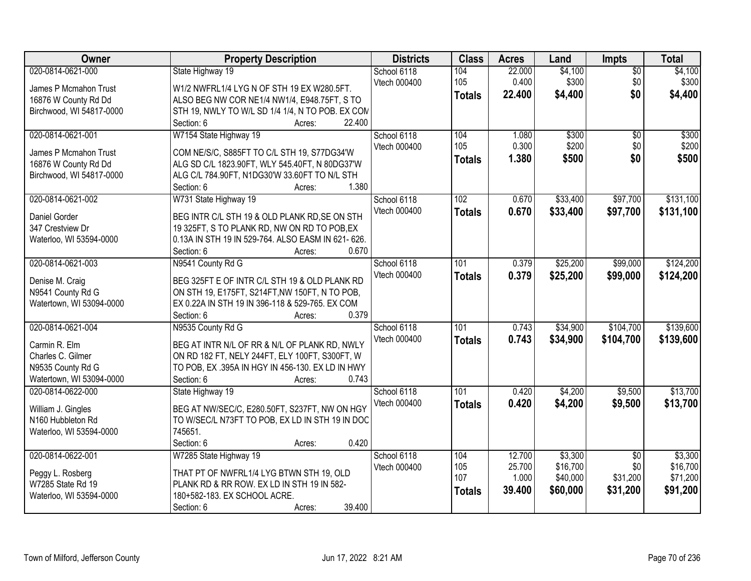| <b>Districts</b><br>Owner<br><b>Property Description</b>                                                   | <b>Class</b>  | <b>Acres</b> | Land     | Impts           | <b>Total</b> |
|------------------------------------------------------------------------------------------------------------|---------------|--------------|----------|-----------------|--------------|
| 020-0814-0621-000<br>State Highway 19<br>School 6118<br>104                                                |               | 22.000       | \$4,100  | $\overline{50}$ | \$4,100      |
| 105<br>Vtech 000400<br>W1/2 NWFRL1/4 LYG N OF STH 19 EX W280.5FT.<br>James P Mcmahon Trust                 |               | 0.400        | \$300    | \$0             | \$300        |
| ALSO BEG NW COR NE1/4 NW1/4, E948.75FT, S TO<br>16876 W County Rd Dd                                       | <b>Totals</b> | 22.400       | \$4,400  | \$0             | \$4,400      |
| Birchwood, WI 54817-0000<br>STH 19, NWLY TO W/L SD 1/4 1/4, N TO POB. EX CON                               |               |              |          |                 |              |
| 22.400<br>Section: 6<br>Acres:                                                                             |               |              |          |                 |              |
| 020-0814-0621-001<br>W7154 State Highway 19<br>School 6118<br>104                                          |               | 1.080        | \$300    | $\overline{30}$ | \$300        |
| 105<br>Vtech 000400                                                                                        |               | 0.300        | \$200    | \$0             | \$200        |
| COM NE/S/C, S885FT TO C/L STH 19, S77DG34'W<br>James P Mcmahon Trust                                       | <b>Totals</b> | 1.380        | \$500    | \$0             | \$500        |
| ALG SD C/L 1823.90FT, WLY 545.40FT, N 80DG37'W<br>16876 W County Rd Dd                                     |               |              |          |                 |              |
| Birchwood, WI 54817-0000<br>ALG C/L 784.90FT, N1DG30'W 33.60FT TO N/L STH<br>1.380<br>Section: 6<br>Acres: |               |              |          |                 |              |
| 020-0814-0621-002<br>W731 State Highway 19<br>School 6118<br>102                                           |               | 0.670        | \$33,400 | \$97,700        | \$131,100    |
| Vtech 000400                                                                                               |               |              |          |                 |              |
| BEG INTR C/L STH 19 & OLD PLANK RD, SE ON STH<br>Daniel Gorder                                             | <b>Totals</b> | 0.670        | \$33,400 | \$97,700        | \$131,100    |
| 347 Crestview Dr<br>19 325FT, S TO PLANK RD, NW ON RD TO POB, EX                                           |               |              |          |                 |              |
| 0.13A IN STH 19 IN 529-764. ALSO EASM IN 621-626.<br>Waterloo, WI 53594-0000                               |               |              |          |                 |              |
| 0.670<br>Section: 6<br>Acres:                                                                              |               |              |          |                 |              |
| 020-0814-0621-003<br>N9541 County Rd G<br>School 6118<br>101                                               |               | 0.379        | \$25,200 | \$99,000        | \$124,200    |
| Vtech 000400<br>Denise M. Craig<br>BEG 325FT E OF INTR C/L STH 19 & OLD PLANK RD                           | <b>Totals</b> | 0.379        | \$25,200 | \$99,000        | \$124,200    |
| N9541 County Rd G<br>ON STH 19, E175FT, S214FT, NW 150FT, N TO POB,                                        |               |              |          |                 |              |
| Watertown, WI 53094-0000<br>EX 0.22A IN STH 19 IN 396-118 & 529-765. EX COM                                |               |              |          |                 |              |
| 0.379<br>Section: 6<br>Acres:                                                                              |               |              |          |                 |              |
| 020-0814-0621-004<br>101<br>N9535 County Rd G<br>School 6118                                               |               | 0.743        | \$34,900 | \$104,700       | \$139,600    |
| Vtech 000400                                                                                               | <b>Totals</b> | 0.743        | \$34,900 | \$104,700       | \$139,600    |
| Carmin R. Elm<br>BEG AT INTR N/L OF RR & N/L OF PLANK RD, NWLY                                             |               |              |          |                 |              |
| ON RD 182 FT, NELY 244FT, ELY 100FT, S300FT, W<br>Charles C. Gilmer                                        |               |              |          |                 |              |
| N9535 County Rd G<br>TO POB, EX .395A IN HGY IN 456-130. EX LD IN HWY                                      |               |              |          |                 |              |
| 0.743<br>Watertown, WI 53094-0000<br>Section: 6<br>Acres:                                                  |               |              |          |                 |              |
| 020-0814-0622-000<br>101<br>State Highway 19<br>School 6118                                                |               | 0.420        | \$4,200  | \$9,500         | \$13,700     |
| Vtech 000400<br>BEG AT NW/SEC/C, E280.50FT, S237FT, NW ON HGY<br>William J. Gingles                        | <b>Totals</b> | 0.420        | \$4,200  | \$9,500         | \$13,700     |
| TO W/SEC/L N73FT TO POB, EX LD IN STH 19 IN DOC<br>N160 Hubbleton Rd                                       |               |              |          |                 |              |
| 745651.<br>Waterloo, WI 53594-0000                                                                         |               |              |          |                 |              |
| 0.420<br>Section: 6<br>Acres:                                                                              |               |              |          |                 |              |
| 020-0814-0622-001<br>W7285 State Highway 19<br>School 6118<br>104                                          |               | 12.700       | \$3,300  | $\overline{50}$ | \$3,300      |
| 105<br>Vtech 000400<br>Peggy L. Rosberg<br>THAT PT OF NWFRL1/4 LYG BTWN STH 19, OLD                        |               | 25.700       | \$16,700 | \$0             | \$16,700     |
| 107<br>W7285 State Rd 19<br>PLANK RD & RR ROW. EX LD IN STH 19 IN 582-                                     |               | 1.000        | \$40,000 | \$31,200        | \$71,200     |
| 180+582-183. EX SCHOOL ACRE.<br>Waterloo, WI 53594-0000                                                    | <b>Totals</b> | 39.400       | \$60,000 | \$31,200        | \$91,200     |
| 39.400<br>Section: 6<br>Acres:                                                                             |               |              |          |                 |              |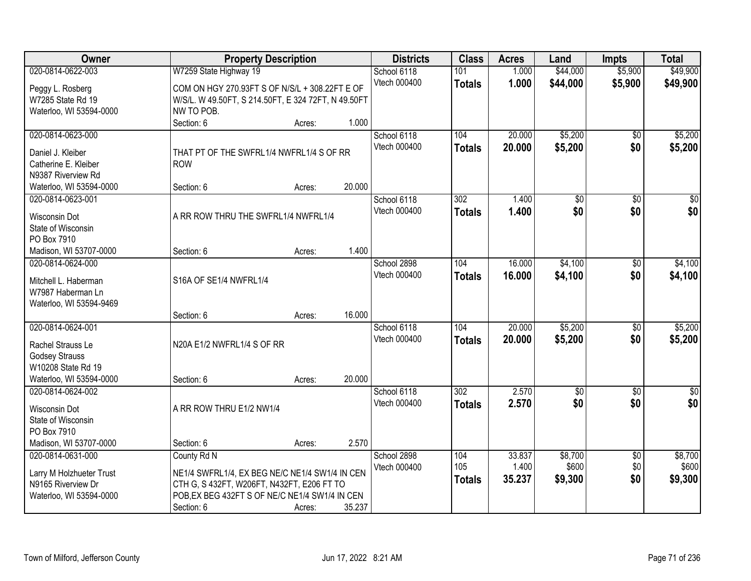| Owner                                      |                                                     | <b>Property Description</b> |        | <b>Districts</b> | <b>Class</b>     | <b>Acres</b> | Land            | <b>Impts</b>    | <b>Total</b>     |
|--------------------------------------------|-----------------------------------------------------|-----------------------------|--------|------------------|------------------|--------------|-----------------|-----------------|------------------|
| 020-0814-0622-003                          | W7259 State Highway 19                              |                             |        | School 6118      | 101              | 1.000        | \$44,000        | \$5,900         | \$49,900         |
| Peggy L. Rosberg                           | COM ON HGY 270.93FT S OF N/S/L + 308.22FT E OF      |                             |        | Vtech 000400     | <b>Totals</b>    | 1.000        | \$44,000        | \$5,900         | \$49,900         |
| W7285 State Rd 19                          | W/S/L. W 49.50FT, S 214.50FT, E 324 72FT, N 49.50FT |                             |        |                  |                  |              |                 |                 |                  |
| Waterloo, WI 53594-0000                    | NW TO POB.                                          |                             |        |                  |                  |              |                 |                 |                  |
|                                            | Section: 6                                          | Acres:                      | 1.000  |                  |                  |              |                 |                 |                  |
| 020-0814-0623-000                          |                                                     |                             |        | School 6118      | 104              | 20.000       | \$5,200         | \$0             | \$5,200          |
| Daniel J. Kleiber                          | THAT PT OF THE SWFRL1/4 NWFRL1/4 S OF RR            |                             |        | Vtech 000400     | <b>Totals</b>    | 20.000       | \$5,200         | \$0             | \$5,200          |
| Catherine E. Kleiber                       | <b>ROW</b>                                          |                             |        |                  |                  |              |                 |                 |                  |
| N9387 Riverview Rd                         |                                                     |                             |        |                  |                  |              |                 |                 |                  |
| Waterloo, WI 53594-0000                    | Section: 6                                          | Acres:                      | 20.000 |                  |                  |              |                 |                 |                  |
| 020-0814-0623-001                          |                                                     |                             |        | School 6118      | 302              | 1.400        | $\overline{50}$ | $\overline{50}$ | $\overline{30}$  |
|                                            | A RR ROW THRU THE SWFRL1/4 NWFRL1/4                 |                             |        | Vtech 000400     | <b>Totals</b>    | 1.400        | \$0             | \$0             | \$0              |
| <b>Wisconsin Dot</b><br>State of Wisconsin |                                                     |                             |        |                  |                  |              |                 |                 |                  |
| PO Box 7910                                |                                                     |                             |        |                  |                  |              |                 |                 |                  |
| Madison, WI 53707-0000                     | Section: 6                                          | Acres:                      | 1.400  |                  |                  |              |                 |                 |                  |
| 020-0814-0624-000                          |                                                     |                             |        | School 2898      | 104              | 16.000       | \$4,100         | $\sqrt[6]{}$    | \$4,100          |
|                                            |                                                     |                             |        | Vtech 000400     | <b>Totals</b>    | 16.000       | \$4,100         | \$0             | \$4,100          |
| Mitchell L. Haberman                       | S16A OF SE1/4 NWFRL1/4                              |                             |        |                  |                  |              |                 |                 |                  |
| W7987 Haberman Ln                          |                                                     |                             |        |                  |                  |              |                 |                 |                  |
| Waterloo, WI 53594-9469                    | Section: 6                                          | Acres:                      | 16.000 |                  |                  |              |                 |                 |                  |
| 020-0814-0624-001                          |                                                     |                             |        | School 6118      | 104              | 20,000       | \$5,200         | \$0             | \$5,200          |
|                                            |                                                     |                             |        | Vtech 000400     | <b>Totals</b>    | 20,000       | \$5,200         | \$0             | \$5,200          |
| Rachel Strauss Le                          | N20A E1/2 NWFRL1/4 S OF RR                          |                             |        |                  |                  |              |                 |                 |                  |
| <b>Godsey Strauss</b>                      |                                                     |                             |        |                  |                  |              |                 |                 |                  |
| W10208 State Rd 19                         |                                                     |                             |        |                  |                  |              |                 |                 |                  |
| Waterloo, WI 53594-0000                    | Section: 6                                          | Acres:                      | 20.000 |                  |                  |              |                 |                 |                  |
| 020-0814-0624-002                          |                                                     |                             |        | School 6118      | $\overline{302}$ | 2.570        | $\overline{50}$ | $\overline{50}$ | $\overline{\$0}$ |
| <b>Wisconsin Dot</b>                       | A RR ROW THRU E1/2 NW1/4                            |                             |        | Vtech 000400     | <b>Totals</b>    | 2.570        | \$0             | \$0             | \$0              |
| State of Wisconsin                         |                                                     |                             |        |                  |                  |              |                 |                 |                  |
| PO Box 7910                                |                                                     |                             |        |                  |                  |              |                 |                 |                  |
| Madison, WI 53707-0000                     | Section: 6                                          | Acres:                      | 2.570  |                  |                  |              |                 |                 |                  |
| 020-0814-0631-000                          | County Rd N                                         |                             |        | School 2898      | 104              | 33.837       | \$8,700         | $\overline{50}$ | \$8,700          |
| Larry M Holzhueter Trust                   | NE1/4 SWFRL1/4, EX BEG NE/C NE1/4 SW1/4 IN CEN      |                             |        | Vtech 000400     | 105              | 1.400        | \$600           | \$0             | \$600            |
| N9165 Riverview Dr                         | CTH G, S 432FT, W206FT, N432FT, E206 FT TO          |                             |        |                  | <b>Totals</b>    | 35.237       | \$9,300         | \$0             | \$9,300          |
| Waterloo, WI 53594-0000                    | POB, EX BEG 432FT S OF NE/C NE1/4 SW1/4 IN CEN      |                             |        |                  |                  |              |                 |                 |                  |
|                                            | Section: 6                                          | Acres:                      | 35.237 |                  |                  |              |                 |                 |                  |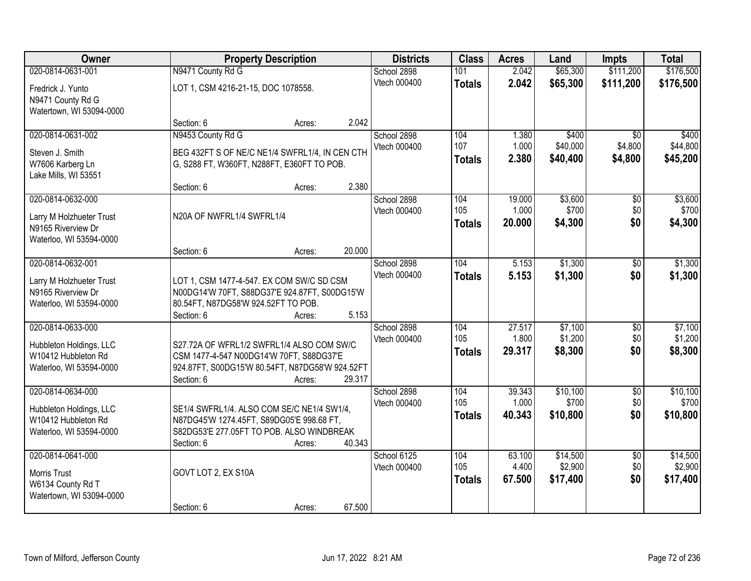| Owner                                                                                          |                                                                                                                                                        | <b>Property Description</b> |        | <b>Districts</b>            | <b>Class</b>                | <b>Acres</b>              | Land                            | <b>Impts</b>                          | <b>Total</b>                    |
|------------------------------------------------------------------------------------------------|--------------------------------------------------------------------------------------------------------------------------------------------------------|-----------------------------|--------|-----------------------------|-----------------------------|---------------------------|---------------------------------|---------------------------------------|---------------------------------|
| 020-0814-0631-001                                                                              | N9471 County Rd G                                                                                                                                      |                             |        | School 2898                 | 101                         | 2.042                     | \$65,300                        | \$111,200                             | \$176,500                       |
| Fredrick J. Yunto<br>N9471 County Rd G<br>Watertown, WI 53094-0000                             | LOT 1, CSM 4216-21-15, DOC 1078558.                                                                                                                    |                             |        | Vtech 000400                | <b>Totals</b>               | 2.042                     | \$65,300                        | \$111,200                             | \$176,500                       |
|                                                                                                | Section: 6                                                                                                                                             | Acres:                      | 2.042  |                             |                             |                           |                                 |                                       |                                 |
| 020-0814-0631-002<br>Steven J. Smith<br>W7606 Karberg Ln<br>Lake Mills, WI 53551               | N9453 County Rd G<br>BEG 432FT S OF NE/C NE1/4 SWFRL1/4, IN CEN CTH<br>G, S288 FT, W360FT, N288FT, E360FT TO POB.                                      |                             |        | School 2898<br>Vtech 000400 | 104<br>107<br><b>Totals</b> | 1.380<br>1.000<br>2.380   | \$400<br>\$40,000<br>\$40,400   | $\overline{50}$<br>\$4,800<br>\$4,800 | \$400<br>\$44,800<br>\$45,200   |
|                                                                                                | Section: 6                                                                                                                                             | Acres:                      | 2.380  |                             |                             |                           |                                 |                                       |                                 |
| 020-0814-0632-000<br>Larry M Holzhueter Trust<br>N9165 Riverview Dr<br>Waterloo, WI 53594-0000 | N20A OF NWFRL1/4 SWFRL1/4                                                                                                                              |                             |        | School 2898<br>Vtech 000400 | 104<br>105<br><b>Totals</b> | 19.000<br>1.000<br>20.000 | \$3,600<br>\$700<br>\$4,300     | \$0<br>\$0<br>\$0                     | \$3,600<br>\$700<br>\$4,300     |
|                                                                                                | Section: 6                                                                                                                                             | Acres:                      | 20.000 |                             |                             |                           |                                 |                                       |                                 |
| 020-0814-0632-001<br>Larry M Holzhueter Trust<br>N9165 Riverview Dr<br>Waterloo, WI 53594-0000 | LOT 1, CSM 1477-4-547. EX COM SW/C SD CSM<br>N00DG14'W 70FT, S88DG37'E 924.87FT, S00DG15'W<br>80.54FT, N87DG58'W 924.52FT TO POB.                      |                             |        | School 2898<br>Vtech 000400 | 104<br><b>Totals</b>        | 5.153<br>5.153            | \$1,300<br>\$1,300              | \$0<br>\$0                            | \$1,300<br>\$1,300              |
|                                                                                                | Section: 6                                                                                                                                             | Acres:                      | 5.153  |                             |                             |                           |                                 |                                       |                                 |
| 020-0814-0633-000<br>Hubbleton Holdings, LLC<br>W10412 Hubbleton Rd<br>Waterloo, WI 53594-0000 | S27.72A OF WFRL1/2 SWFRL1/4 ALSO COM SW/C<br>CSM 1477-4-547 N00DG14'W 70FT, S88DG37'E<br>924.87FT, S00DG15'W 80.54FT, N87DG58'W 924.52FT<br>Section: 6 | Acres:                      | 29.317 | School 2898<br>Vtech 000400 | 104<br>105<br><b>Totals</b> | 27.517<br>1.800<br>29.317 | \$7,100<br>\$1,200<br>\$8,300   | $\overline{50}$<br>\$0<br>\$0         | \$7,100<br>\$1,200<br>\$8,300   |
| 020-0814-0634-000<br>Hubbleton Holdings, LLC<br>W10412 Hubbleton Rd<br>Waterloo, WI 53594-0000 | SE1/4 SWFRL1/4. ALSO COM SE/C NE1/4 SW1/4,<br>N87DG45'W 1274.45FT, S89DG05'E 998.68 FT,<br>S82DG53'E 277.05FT TO POB. ALSO WINDBREAK<br>Section: 6     | Acres:                      | 40.343 | School 2898<br>Vtech 000400 | 104<br>105<br><b>Totals</b> | 39.343<br>1.000<br>40.343 | \$10,100<br>\$700<br>\$10,800   | $\sqrt{6}$<br>\$0<br>\$0              | \$10,100<br>\$700<br>\$10,800   |
| 020-0814-0641-000<br>Morris Trust<br>W6134 County Rd T<br>Watertown, WI 53094-0000             | GOVT LOT 2, EX S10A<br>Section: 6                                                                                                                      | Acres:                      | 67.500 | School 6125<br>Vtech 000400 | 104<br>105<br><b>Totals</b> | 63.100<br>4.400<br>67.500 | \$14,500<br>\$2,900<br>\$17,400 | $\overline{50}$<br>\$0<br>\$0         | \$14,500<br>\$2,900<br>\$17,400 |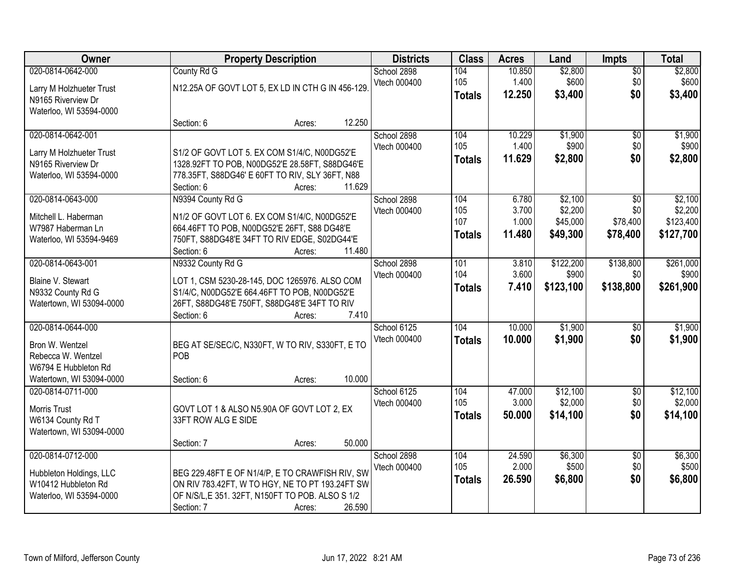| Owner                    | <b>Property Description</b>                       |                  | <b>Districts</b> | <b>Class</b>  | <b>Acres</b> | Land      | <b>Impts</b>    | <b>Total</b> |
|--------------------------|---------------------------------------------------|------------------|------------------|---------------|--------------|-----------|-----------------|--------------|
| 020-0814-0642-000        | County Rd G                                       |                  | School 2898      | 104           | 10.850       | \$2,800   | $\overline{60}$ | \$2,800      |
| Larry M Holzhueter Trust | N12.25A OF GOVT LOT 5, EX LD IN CTH G IN 456-129. |                  | Vtech 000400     | 105           | 1.400        | \$600     | \$0             | \$600        |
| N9165 Riverview Dr       |                                                   |                  |                  | <b>Totals</b> | 12.250       | \$3,400   | \$0             | \$3,400      |
| Waterloo, WI 53594-0000  |                                                   |                  |                  |               |              |           |                 |              |
|                          | Section: 6                                        | 12.250<br>Acres: |                  |               |              |           |                 |              |
| 020-0814-0642-001        |                                                   |                  | School 2898      | 104           | 10.229       | \$1,900   | $\overline{50}$ | \$1,900      |
| Larry M Holzhueter Trust | S1/2 OF GOVT LOT 5. EX COM S1/4/C, N00DG52'E      |                  | Vtech 000400     | 105           | 1.400        | \$900     | \$0             | \$900        |
| N9165 Riverview Dr       | 1328.92FT TO POB, N00DG52'E 28.58FT, S88DG46'E    |                  |                  | <b>Totals</b> | 11.629       | \$2,800   | \$0             | \$2,800      |
| Waterloo, WI 53594-0000  | 778.35FT, S88DG46' E 60FT TO RIV, SLY 36FT, N88   |                  |                  |               |              |           |                 |              |
|                          | Section: 6                                        | 11.629<br>Acres: |                  |               |              |           |                 |              |
| 020-0814-0643-000        | N9394 County Rd G                                 |                  | School 2898      | 104           | 6.780        | \$2,100   | $\overline{50}$ | \$2,100      |
| Mitchell L. Haberman     | N1/2 OF GOVT LOT 6. EX COM S1/4/C, N00DG52'E      |                  | Vtech 000400     | 105           | 3.700        | \$2,200   | \$0             | \$2,200      |
| W7987 Haberman Ln        | 664.46FT TO POB, N00DG52'E 26FT, S88 DG48'E       |                  |                  | 107           | 1.000        | \$45,000  | \$78,400        | \$123,400    |
| Waterloo, WI 53594-9469  | 750FT, S88DG48'E 34FT TO RIV EDGE, S02DG44'E      |                  |                  | <b>Totals</b> | 11.480       | \$49,300  | \$78,400        | \$127,700    |
|                          | Section: 6                                        | 11.480<br>Acres: |                  |               |              |           |                 |              |
| 020-0814-0643-001        | N9332 County Rd G                                 |                  | School 2898      | 101           | 3.810        | \$122,200 | \$138,800       | \$261,000    |
| Blaine V. Stewart        | LOT 1, CSM 5230-28-145, DOC 1265976. ALSO COM     |                  | Vtech 000400     | 104           | 3.600        | \$900     | \$0             | \$900        |
| N9332 County Rd G        | S1/4/C, N00DG52'E 664.46FT TO POB, N00DG52'E      |                  |                  | <b>Totals</b> | 7.410        | \$123,100 | \$138,800       | \$261,900    |
| Watertown, WI 53094-0000 | 26FT, S88DG48'E 750FT, S88DG48'E 34FT TO RIV      |                  |                  |               |              |           |                 |              |
|                          | Section: 6                                        | 7.410<br>Acres:  |                  |               |              |           |                 |              |
| 020-0814-0644-000        |                                                   |                  | School 6125      | 104           | 10.000       | \$1,900   | $\overline{50}$ | \$1,900      |
| Bron W. Wentzel          | BEG AT SE/SEC/C, N330FT, W TO RIV, S330FT, E TO   |                  | Vtech 000400     | <b>Totals</b> | 10.000       | \$1,900   | \$0             | \$1,900      |
| Rebecca W. Wentzel       | POB                                               |                  |                  |               |              |           |                 |              |
| W6794 E Hubbleton Rd     |                                                   |                  |                  |               |              |           |                 |              |
| Watertown, WI 53094-0000 | Section: 6                                        | 10.000<br>Acres: |                  |               |              |           |                 |              |
| 020-0814-0711-000        |                                                   |                  | School 6125      | 104           | 47.000       | \$12,100  | $\overline{60}$ | \$12,100     |
| Morris Trust             | GOVT LOT 1 & ALSO N5.90A OF GOVT LOT 2, EX        |                  | Vtech 000400     | 105           | 3.000        | \$2,000   | \$0             | \$2,000      |
| W6134 County Rd T        | 33FT ROW ALG E SIDE                               |                  |                  | <b>Totals</b> | 50.000       | \$14,100  | \$0             | \$14,100     |
| Watertown, WI 53094-0000 |                                                   |                  |                  |               |              |           |                 |              |
|                          | Section: 7                                        | 50.000<br>Acres: |                  |               |              |           |                 |              |
| 020-0814-0712-000        |                                                   |                  | School 2898      | 104           | 24.590       | \$6,300   | $\overline{30}$ | \$6,300      |
| Hubbleton Holdings, LLC  | BEG 229.48FT E OF N1/4/P, E TO CRAWFISH RIV, SW   |                  | Vtech 000400     | 105           | 2.000        | \$500     | \$0             | \$500        |
| W10412 Hubbleton Rd      | ON RIV 783.42FT, W TO HGY, NE TO PT 193.24FT SW   |                  |                  | <b>Totals</b> | 26.590       | \$6,800   | \$0             | \$6,800      |
| Waterloo, WI 53594-0000  | OF N/S/L, E 351. 32FT, N150FT TO POB. ALSO S 1/2  |                  |                  |               |              |           |                 |              |
|                          | Section: 7                                        | 26.590<br>Acres: |                  |               |              |           |                 |              |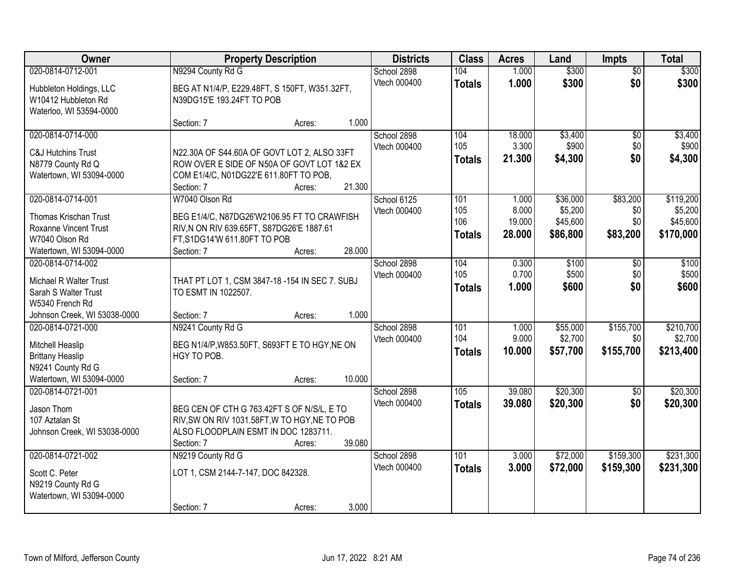| Owner                                          |                                                                                       | <b>Property Description</b> |        |              | <b>Class</b>  | <b>Acres</b> | Land     | <b>Impts</b>    | <b>Total</b> |
|------------------------------------------------|---------------------------------------------------------------------------------------|-----------------------------|--------|--------------|---------------|--------------|----------|-----------------|--------------|
| 020-0814-0712-001                              | N9294 County Rd G                                                                     |                             |        | School 2898  | 104           | 1.000        | \$300    | $\overline{50}$ | \$300        |
| Hubbleton Holdings, LLC                        | BEG AT N1/4/P, E229.48FT, S 150FT, W351.32FT,                                         |                             |        | Vtech 000400 | <b>Totals</b> | 1.000        | \$300    | \$0             | \$300        |
| W10412 Hubbleton Rd                            | N39DG15'E 193.24FT TO POB                                                             |                             |        |              |               |              |          |                 |              |
| Waterloo, WI 53594-0000                        |                                                                                       |                             |        |              |               |              |          |                 |              |
|                                                | Section: 7                                                                            | Acres:                      | 1.000  |              |               |              |          |                 |              |
| 020-0814-0714-000                              |                                                                                       |                             |        | School 2898  | 104           | 18.000       | \$3,400  | $\overline{50}$ | \$3,400      |
| <b>C&amp;J Hutchins Trust</b>                  | N22.30A OF S44.60A OF GOVT LOT 2, ALSO 33FT                                           |                             |        | Vtech 000400 | 105           | 3.300        | \$900    | \$0             | \$900        |
| N8779 County Rd Q                              | ROW OVER E SIDE OF N50A OF GOVT LOT 1&2 EX                                            |                             |        |              | Totals        | 21.300       | \$4,300  | \$0             | \$4,300      |
| Watertown, WI 53094-0000                       | COM E1/4/C, N01DG22'E 611.80FT TO POB,                                                |                             |        |              |               |              |          |                 |              |
|                                                | Section: 7                                                                            | Acres:                      | 21.300 |              |               |              |          |                 |              |
| 020-0814-0714-001                              | W7040 Olson Rd                                                                        |                             |        | School 6125  | 101           | 1.000        | \$36,000 | \$83,200        | \$119,200    |
| Thomas Krischan Trust                          | BEG E1/4/C, N87DG26'W2106.95 FT TO CRAWFISH                                           |                             |        | Vtech 000400 | 105           | 8.000        | \$5,200  | \$0             | \$5,200      |
| Roxanne Vincent Trust                          | RIV, N ON RIV 639.65FT, S87DG26'E 1887.61                                             |                             |        |              | 106           | 19.000       | \$45,600 | \$0             | \$45,600     |
| W7040 Olson Rd                                 | FT, S1DG14'W 611.80FT TO POB                                                          |                             |        |              | <b>Totals</b> | 28,000       | \$86,800 | \$83,200        | \$170,000    |
| Watertown, WI 53094-0000                       | Section: 7                                                                            | Acres:                      | 28.000 |              |               |              |          |                 |              |
| 020-0814-0714-002                              |                                                                                       |                             |        | School 2898  | 104           | 0.300        | \$100    | \$0             | \$100        |
| Michael R Walter Trust                         | THAT PT LOT 1, CSM 3847-18-154 IN SEC 7. SUBJ                                         |                             |        | Vtech 000400 | 105           | 0.700        | \$500    | \$0             | \$500        |
| Sarah S Walter Trust                           | TO ESMT IN 1022507.                                                                   |                             |        |              | <b>Totals</b> | 1.000        | \$600    | \$0             | \$600        |
| W5340 French Rd                                |                                                                                       |                             |        |              |               |              |          |                 |              |
| Johnson Creek, WI 53038-0000                   | Section: 7                                                                            | Acres:                      | 1.000  |              |               |              |          |                 |              |
| 020-0814-0721-000                              | N9241 County Rd G                                                                     |                             |        | School 2898  | 101           | 1.000        | \$55,000 | \$155,700       | \$210,700    |
|                                                |                                                                                       |                             |        | Vtech 000400 | 104           | 9.000        | \$2,700  | \$0             | \$2,700      |
| Mitchell Heaslip<br><b>Brittany Heaslip</b>    | BEG N1/4/P, W853.50FT, S693FT E TO HGY, NE ON<br>HGY TO POB.                          |                             |        |              | <b>Totals</b> | 10.000       | \$57,700 | \$155,700       | \$213,400    |
| N9241 County Rd G                              |                                                                                       |                             |        |              |               |              |          |                 |              |
| Watertown, WI 53094-0000                       | Section: 7                                                                            | Acres:                      | 10.000 |              |               |              |          |                 |              |
| 020-0814-0721-001                              |                                                                                       |                             |        | School 2898  | 105           | 39.080       | \$20,300 | \$0             | \$20,300     |
|                                                |                                                                                       |                             |        | Vtech 000400 | <b>Totals</b> | 39.080       | \$20,300 | \$0             | \$20,300     |
| Jason Thom                                     | BEG CEN OF CTH G 763.42FT S OF N/S/L, E TO                                            |                             |        |              |               |              |          |                 |              |
| 107 Aztalan St<br>Johnson Creek, WI 53038-0000 | RIV, SW ON RIV 1031.58FT, W TO HGY, NE TO POB<br>ALSO FLOODPLAIN ESMT IN DOC 1283711. |                             |        |              |               |              |          |                 |              |
|                                                | Section: 7                                                                            | Acres:                      | 39.080 |              |               |              |          |                 |              |
| 020-0814-0721-002                              | N9219 County Rd G                                                                     |                             |        | School 2898  | 101           | 3.000        | \$72,000 | \$159,300       | \$231,300    |
|                                                |                                                                                       |                             |        | Vtech 000400 | <b>Totals</b> | 3.000        | \$72,000 | \$159,300       | \$231,300    |
| Scott C. Peter                                 | LOT 1, CSM 2144-7-147, DOC 842328.                                                    |                             |        |              |               |              |          |                 |              |
| N9219 County Rd G                              |                                                                                       |                             |        |              |               |              |          |                 |              |
| Watertown, WI 53094-0000                       |                                                                                       |                             | 3.000  |              |               |              |          |                 |              |
|                                                | Section: 7                                                                            | Acres:                      |        |              |               |              |          |                 |              |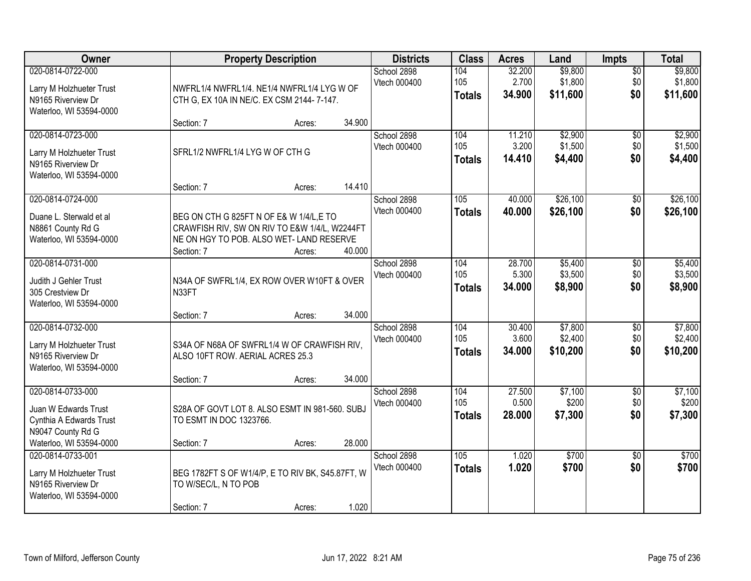| Owner                                                                                          | <b>Property Description</b>                                                                                                                        |        |        | <b>Districts</b>            | <b>Class</b>                | <b>Acres</b>              | Land                           | <b>Impts</b>                  | <b>Total</b>                   |
|------------------------------------------------------------------------------------------------|----------------------------------------------------------------------------------------------------------------------------------------------------|--------|--------|-----------------------------|-----------------------------|---------------------------|--------------------------------|-------------------------------|--------------------------------|
| 020-0814-0722-000<br>Larry M Holzhueter Trust<br>N9165 Riverview Dr<br>Waterloo, WI 53594-0000 | NWFRL1/4 NWFRL1/4. NE1/4 NWFRL1/4 LYG W OF<br>CTH G, EX 10A IN NE/C. EX CSM 2144-7-147.                                                            |        |        | School 2898<br>Vtech 000400 | 104<br>105<br><b>Totals</b> | 32.200<br>2.700<br>34.900 | \$9,800<br>\$1,800<br>\$11,600 | $\overline{50}$<br>\$0<br>\$0 | \$9,800<br>\$1,800<br>\$11,600 |
|                                                                                                | Section: 7                                                                                                                                         | Acres: | 34.900 |                             |                             |                           |                                |                               |                                |
| 020-0814-0723-000<br>Larry M Holzhueter Trust<br>N9165 Riverview Dr<br>Waterloo, WI 53594-0000 | SFRL1/2 NWFRL1/4 LYG W OF CTH G                                                                                                                    |        |        | School 2898<br>Vtech 000400 | 104<br>105<br><b>Totals</b> | 11.210<br>3.200<br>14.410 | \$2,900<br>\$1,500<br>\$4,400  | $\overline{50}$<br>\$0<br>\$0 | \$2,900<br>\$1,500<br>\$4,400  |
| 020-0814-0724-000                                                                              | Section: 7                                                                                                                                         | Acres: | 14.410 | School 2898                 | 105                         | 40.000                    | \$26,100                       | \$0                           | \$26,100                       |
| Duane L. Sterwald et al<br>N8861 County Rd G<br>Waterloo, WI 53594-0000                        | BEG ON CTH G 825FT N OF E& W 1/4/L, E TO<br>CRAWFISH RIV, SW ON RIV TO E&W 1/4/L, W2244FT<br>NE ON HGY TO POB. ALSO WET-LAND RESERVE<br>Section: 7 | Acres: | 40.000 | Vtech 000400                | <b>Totals</b>               | 40.000                    | \$26,100                       | \$0                           | \$26,100                       |
| 020-0814-0731-000<br>Judith J Gehler Trust<br>305 Crestview Dr<br>Waterloo, WI 53594-0000      | N34A OF SWFRL1/4, EX ROW OVER W10FT & OVER<br>N33FT                                                                                                |        |        | School 2898<br>Vtech 000400 | 104<br>105<br><b>Totals</b> | 28.700<br>5.300<br>34.000 | \$5,400<br>\$3,500<br>\$8,900  | \$0<br>\$0<br>\$0             | \$5,400<br>\$3,500<br>\$8,900  |
|                                                                                                | Section: 7                                                                                                                                         | Acres: | 34.000 |                             |                             |                           |                                |                               |                                |
| 020-0814-0732-000<br>Larry M Holzhueter Trust<br>N9165 Riverview Dr<br>Waterloo, WI 53594-0000 | S34A OF N68A OF SWFRL1/4 W OF CRAWFISH RIV,<br>ALSO 10FT ROW. AERIAL ACRES 25.3                                                                    |        |        | School 2898<br>Vtech 000400 | 104<br>105<br><b>Totals</b> | 30.400<br>3.600<br>34.000 | \$7,800<br>\$2,400<br>\$10,200 | $\overline{50}$<br>\$0<br>\$0 | \$7,800<br>\$2,400<br>\$10,200 |
| 020-0814-0733-000                                                                              | Section: 7                                                                                                                                         | Acres: | 34.000 | School 2898                 | 104                         | 27.500                    | \$7,100                        | $\overline{50}$               | \$7,100                        |
| Juan W Edwards Trust<br>Cynthia A Edwards Trust<br>N9047 County Rd G                           | S28A OF GOVT LOT 8. ALSO ESMT IN 981-560. SUBJ<br>TO ESMT IN DOC 1323766.                                                                          |        |        | Vtech 000400                | 105<br><b>Totals</b>        | 0.500<br>28,000           | \$200<br>\$7,300               | \$0<br>\$0                    | \$200<br>\$7,300               |
| Waterloo, WI 53594-0000                                                                        | Section: 7                                                                                                                                         | Acres: | 28.000 |                             |                             |                           |                                |                               |                                |
| 020-0814-0733-001<br>Larry M Holzhueter Trust<br>N9165 Riverview Dr<br>Waterloo, WI 53594-0000 | BEG 1782FT S OF W1/4/P, E TO RIV BK, S45.87FT, W<br>TO W/SEC/L, N TO POB<br>Section: 7                                                             | Acres: | 1.020  | School 2898<br>Vtech 000400 | 105<br><b>Totals</b>        | 1.020<br>1.020            | \$700<br>\$700                 | $\overline{50}$<br>\$0        | \$700<br>\$700                 |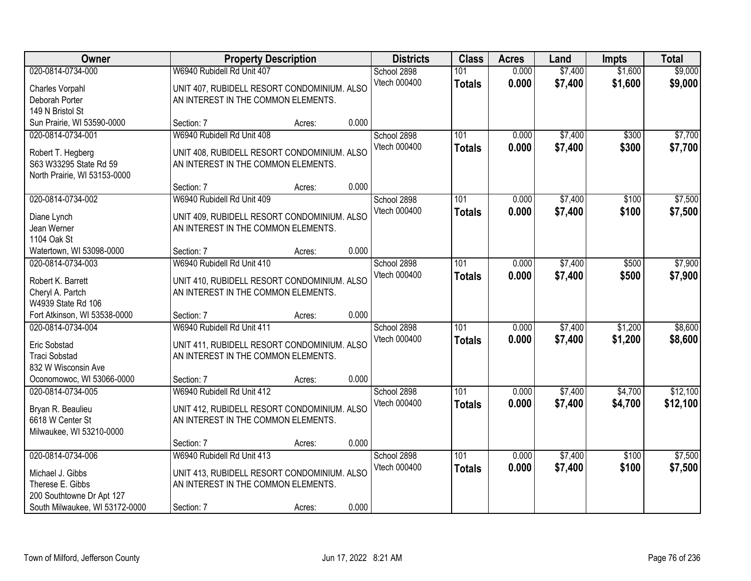| Owner                                          | <b>Property Description</b>                                                        |        |       | <b>Districts</b>            | <b>Class</b>         | <b>Acres</b>   | Land               | <b>Impts</b>       | <b>Total</b>       |
|------------------------------------------------|------------------------------------------------------------------------------------|--------|-------|-----------------------------|----------------------|----------------|--------------------|--------------------|--------------------|
| 020-0814-0734-000                              | W6940 Rubidell Rd Unit 407                                                         |        |       | School 2898<br>Vtech 000400 | 101<br><b>Totals</b> | 0.000<br>0.000 | \$7,400<br>\$7,400 | \$1,600<br>\$1,600 | \$9,000<br>\$9,000 |
| Charles Vorpahl                                | UNIT 407, RUBIDELL RESORT CONDOMINIUM. ALSO                                        |        |       |                             |                      |                |                    |                    |                    |
| Deborah Porter                                 | AN INTEREST IN THE COMMON ELEMENTS.                                                |        |       |                             |                      |                |                    |                    |                    |
| 149 N Bristol St<br>Sun Prairie, WI 53590-0000 | Section: 7                                                                         | Acres: | 0.000 |                             |                      |                |                    |                    |                    |
| 020-0814-0734-001                              | W6940 Rubidell Rd Unit 408                                                         |        |       | School 2898                 | 101                  | 0.000          | \$7,400            | \$300              | \$7,700            |
|                                                |                                                                                    |        |       | Vtech 000400                |                      | 0.000          | \$7,400            | \$300              | \$7,700            |
| Robert T. Hegberg                              | UNIT 408, RUBIDELL RESORT CONDOMINIUM. ALSO                                        |        |       |                             | <b>Totals</b>        |                |                    |                    |                    |
| S63 W33295 State Rd 59                         | AN INTEREST IN THE COMMON ELEMENTS.                                                |        |       |                             |                      |                |                    |                    |                    |
| North Prairie, WI 53153-0000                   |                                                                                    |        |       |                             |                      |                |                    |                    |                    |
|                                                | Section: 7                                                                         | Acres: | 0.000 |                             |                      |                |                    |                    |                    |
| 020-0814-0734-002                              | W6940 Rubidell Rd Unit 409                                                         |        |       | School 2898                 | 101                  | 0.000          | \$7,400            | \$100              | \$7,500            |
| Diane Lynch                                    | UNIT 409, RUBIDELL RESORT CONDOMINIUM. ALSO                                        |        |       | Vtech 000400                | <b>Totals</b>        | 0.000          | \$7,400            | \$100              | \$7,500            |
| Jean Werner                                    | AN INTEREST IN THE COMMON ELEMENTS.                                                |        |       |                             |                      |                |                    |                    |                    |
| 1104 Oak St                                    |                                                                                    |        |       |                             |                      |                |                    |                    |                    |
| Watertown, WI 53098-0000                       | Section: 7                                                                         | Acres: | 0.000 |                             |                      |                |                    |                    |                    |
| 020-0814-0734-003                              | W6940 Rubidell Rd Unit 410                                                         |        |       | School 2898                 | 101                  | 0.000          | \$7,400            | \$500              | \$7,900            |
| Robert K. Barrett                              | UNIT 410, RUBIDELL RESORT CONDOMINIUM. ALSO                                        |        |       | Vtech 000400                | <b>Totals</b>        | 0.000          | \$7,400            | \$500              | \$7,900            |
| Cheryl A. Partch                               | AN INTEREST IN THE COMMON ELEMENTS.                                                |        |       |                             |                      |                |                    |                    |                    |
| W4939 State Rd 106                             |                                                                                    |        |       |                             |                      |                |                    |                    |                    |
| Fort Atkinson, WI 53538-0000                   | Section: 7                                                                         | Acres: | 0.000 |                             |                      |                |                    |                    |                    |
| 020-0814-0734-004                              | W6940 Rubidell Rd Unit 411                                                         |        |       | School 2898                 | 101                  | 0.000          | \$7,400            | \$1,200            | \$8,600            |
| Eric Sobstad                                   | UNIT 411, RUBIDELL RESORT CONDOMINIUM. ALSO                                        |        |       | Vtech 000400                | <b>Totals</b>        | 0.000          | \$7,400            | \$1,200            | \$8,600            |
| <b>Traci Sobstad</b>                           | AN INTEREST IN THE COMMON ELEMENTS.                                                |        |       |                             |                      |                |                    |                    |                    |
| 832 W Wisconsin Ave                            |                                                                                    |        |       |                             |                      |                |                    |                    |                    |
| Oconomowoc, WI 53066-0000                      | Section: 7                                                                         | Acres: | 0.000 |                             |                      |                |                    |                    |                    |
| 020-0814-0734-005                              | W6940 Rubidell Rd Unit 412                                                         |        |       | School 2898                 | 101                  | 0.000          | \$7,400            | \$4,700            | \$12,100           |
|                                                |                                                                                    |        |       | Vtech 000400                | <b>Totals</b>        | 0.000          | \$7,400            | \$4,700            | \$12,100           |
| Bryan R. Beaulieu<br>6618 W Center St          | UNIT 412, RUBIDELL RESORT CONDOMINIUM. ALSO<br>AN INTEREST IN THE COMMON ELEMENTS. |        |       |                             |                      |                |                    |                    |                    |
| Milwaukee, WI 53210-0000                       |                                                                                    |        |       |                             |                      |                |                    |                    |                    |
|                                                | Section: 7                                                                         | Acres: | 0.000 |                             |                      |                |                    |                    |                    |
| 020-0814-0734-006                              | W6940 Rubidell Rd Unit 413                                                         |        |       | School 2898                 | 101                  | 0.000          | \$7,400            | \$100              | \$7,500            |
|                                                |                                                                                    |        |       | Vtech 000400                | <b>Totals</b>        | 0.000          | \$7,400            | \$100              | \$7,500            |
| Michael J. Gibbs                               | UNIT 413, RUBIDELL RESORT CONDOMINIUM. ALSO                                        |        |       |                             |                      |                |                    |                    |                    |
| Therese E. Gibbs                               | AN INTEREST IN THE COMMON ELEMENTS.                                                |        |       |                             |                      |                |                    |                    |                    |
| 200 Southtowne Dr Apt 127                      |                                                                                    |        |       |                             |                      |                |                    |                    |                    |
| South Milwaukee, WI 53172-0000                 | Section: 7                                                                         | Acres: | 0.000 |                             |                      |                |                    |                    |                    |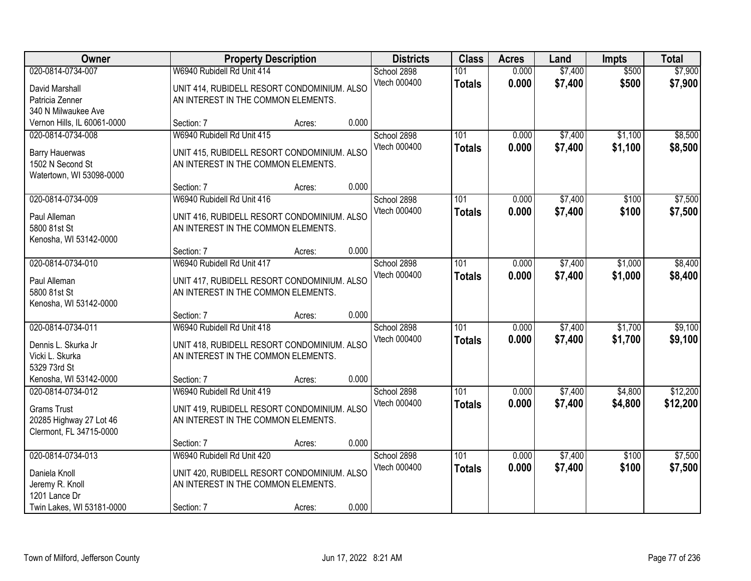| Owner                                                                                         | <b>Property Description</b>                                                                                      |        |       | <b>Districts</b>            | <b>Class</b>         | <b>Acres</b>   | Land               | Impts              | <b>Total</b>         |
|-----------------------------------------------------------------------------------------------|------------------------------------------------------------------------------------------------------------------|--------|-------|-----------------------------|----------------------|----------------|--------------------|--------------------|----------------------|
| 020-0814-0734-007<br>David Marshall<br>Patricia Zenner<br>340 N Milwaukee Ave                 | W6940 Rubidell Rd Unit 414<br>UNIT 414, RUBIDELL RESORT CONDOMINIUM. ALSO<br>AN INTEREST IN THE COMMON ELEMENTS. |        |       | School 2898<br>Vtech 000400 | 101<br><b>Totals</b> | 0.000<br>0.000 | \$7,400<br>\$7,400 | \$500<br>\$500     | \$7,900<br>\$7,900   |
| Vernon Hills, IL 60061-0000                                                                   | Section: 7                                                                                                       | Acres: | 0.000 |                             |                      |                |                    |                    |                      |
| 020-0814-0734-008<br><b>Barry Hauerwas</b><br>1502 N Second St<br>Watertown, WI 53098-0000    | W6940 Rubidell Rd Unit 415<br>UNIT 415, RUBIDELL RESORT CONDOMINIUM. ALSO<br>AN INTEREST IN THE COMMON ELEMENTS. |        |       | School 2898<br>Vtech 000400 | 101<br><b>Totals</b> | 0.000<br>0.000 | \$7,400<br>\$7,400 | \$1,100<br>\$1,100 | \$8,500<br>\$8,500   |
|                                                                                               | Section: 7                                                                                                       | Acres: | 0.000 |                             |                      |                |                    |                    |                      |
| 020-0814-0734-009<br>Paul Alleman<br>5800 81st St<br>Kenosha, WI 53142-0000                   | W6940 Rubidell Rd Unit 416<br>UNIT 416, RUBIDELL RESORT CONDOMINIUM. ALSO<br>AN INTEREST IN THE COMMON ELEMENTS. |        |       | School 2898<br>Vtech 000400 | 101<br><b>Totals</b> | 0.000<br>0.000 | \$7,400<br>\$7,400 | \$100<br>\$100     | \$7,500<br>\$7,500   |
|                                                                                               | Section: 7                                                                                                       | Acres: | 0.000 |                             |                      |                |                    |                    |                      |
| 020-0814-0734-010<br>Paul Alleman<br>5800 81st St<br>Kenosha, WI 53142-0000                   | W6940 Rubidell Rd Unit 417<br>UNIT 417, RUBIDELL RESORT CONDOMINIUM. ALSO<br>AN INTEREST IN THE COMMON ELEMENTS. |        |       | School 2898<br>Vtech 000400 | 101<br><b>Totals</b> | 0.000<br>0.000 | \$7,400<br>\$7,400 | \$1,000<br>\$1,000 | \$8,400<br>\$8,400   |
|                                                                                               | Section: 7                                                                                                       | Acres: | 0.000 |                             |                      |                |                    |                    |                      |
| 020-0814-0734-011<br>Dennis L. Skurka Jr<br>Vicki L. Skurka<br>5329 73rd St                   | W6940 Rubidell Rd Unit 418<br>UNIT 418, RUBIDELL RESORT CONDOMINIUM. ALSO<br>AN INTEREST IN THE COMMON ELEMENTS. |        |       | School 2898<br>Vtech 000400 | 101<br><b>Totals</b> | 0.000<br>0.000 | \$7,400<br>\$7,400 | \$1,700<br>\$1,700 | \$9,100<br>\$9,100   |
| Kenosha, WI 53142-0000                                                                        | Section: 7                                                                                                       | Acres: | 0.000 |                             |                      |                |                    |                    |                      |
| 020-0814-0734-012<br><b>Grams Trust</b><br>20285 Highway 27 Lot 46<br>Clermont, FL 34715-0000 | W6940 Rubidell Rd Unit 419<br>UNIT 419, RUBIDELL RESORT CONDOMINIUM. ALSO<br>AN INTEREST IN THE COMMON ELEMENTS. |        |       | School 2898<br>Vtech 000400 | 101<br><b>Totals</b> | 0.000<br>0.000 | \$7,400<br>\$7,400 | \$4,800<br>\$4,800 | \$12,200<br>\$12,200 |
|                                                                                               | Section: 7                                                                                                       | Acres: | 0.000 |                             |                      |                |                    |                    |                      |
| 020-0814-0734-013<br>Daniela Knoll<br>Jeremy R. Knoll<br>1201 Lance Dr                        | W6940 Rubidell Rd Unit 420<br>UNIT 420, RUBIDELL RESORT CONDOMINIUM. ALSO<br>AN INTEREST IN THE COMMON ELEMENTS. |        |       | School 2898<br>Vtech 000400 | 101<br><b>Totals</b> | 0.000<br>0.000 | \$7,400<br>\$7,400 | \$100<br>\$100     | \$7,500<br>\$7,500   |
| Twin Lakes, WI 53181-0000                                                                     | Section: 7                                                                                                       | Acres: | 0.000 |                             |                      |                |                    |                    |                      |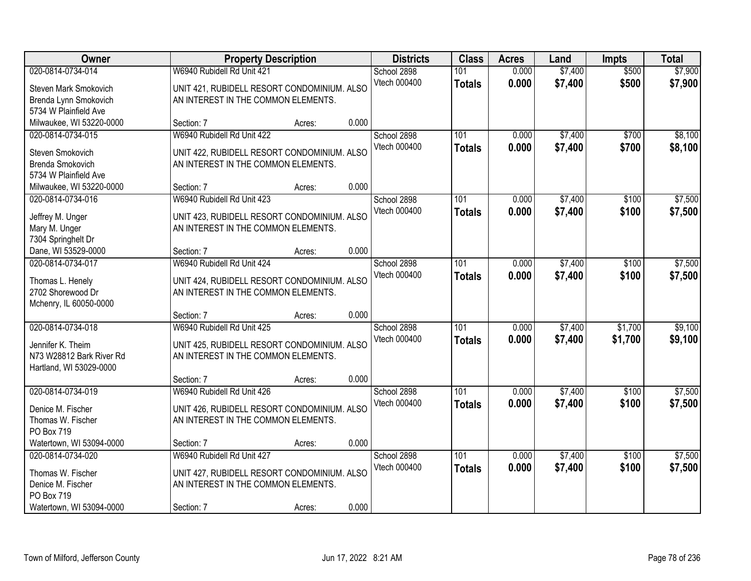| 020-0814-0734-014<br>W6940 Rubidell Rd Unit 421<br>0.000<br>\$7,400<br>\$500<br>School 2898<br>101                                                               |                    |
|------------------------------------------------------------------------------------------------------------------------------------------------------------------|--------------------|
|                                                                                                                                                                  | \$7,900            |
| \$500<br>Vtech 000400<br>0.000<br>\$7,400<br><b>Totals</b><br>UNIT 421, RUBIDELL RESORT CONDOMINIUM. ALSO<br>Steven Mark Smokovich                               | \$7,900            |
| Brenda Lynn Smokovich<br>AN INTEREST IN THE COMMON ELEMENTS.                                                                                                     |                    |
| 5734 W Plainfield Ave                                                                                                                                            |                    |
| 0.000<br>Milwaukee, WI 53220-0000<br>Section: 7<br>Acres:                                                                                                        |                    |
| W6940 Rubidell Rd Unit 422<br>101<br>\$7,400<br>020-0814-0734-015<br>School 2898<br>0.000<br>\$700<br>Vtech 000400<br>0.000<br>\$7,400<br>\$700<br><b>Totals</b> | \$8,100<br>\$8,100 |
| UNIT 422, RUBIDELL RESORT CONDOMINIUM. ALSO<br>Steven Smokovich                                                                                                  |                    |
| AN INTEREST IN THE COMMON ELEMENTS.<br>Brenda Smokovich                                                                                                          |                    |
| 5734 W Plainfield Ave                                                                                                                                            |                    |
| 0.000<br>Milwaukee, WI 53220-0000<br>Section: 7<br>Acres:                                                                                                        |                    |
| \$7,400<br>020-0814-0734-016<br>W6940 Rubidell Rd Unit 423<br>School 2898<br>101<br>0.000<br>\$100                                                               | \$7,500            |
| Vtech 000400<br>\$7,400<br>\$100<br>0.000<br><b>Totals</b><br>UNIT 423, RUBIDELL RESORT CONDOMINIUM. ALSO<br>Jeffrey M. Unger                                    | \$7,500            |
| AN INTEREST IN THE COMMON ELEMENTS.<br>Mary M. Unger                                                                                                             |                    |
| 7304 Springhelt Dr                                                                                                                                               |                    |
| 0.000<br>Dane, WI 53529-0000<br>Section: 7<br>Acres:                                                                                                             |                    |
| W6940 Rubidell Rd Unit 424<br>\$7,400<br>020-0814-0734-017<br>School 2898<br>101<br>0.000<br>\$100                                                               | \$7,500            |
| Vtech 000400<br>0.000<br>\$100<br>\$7,400<br><b>Totals</b>                                                                                                       | \$7,500            |
| UNIT 424, RUBIDELL RESORT CONDOMINIUM. ALSO<br>Thomas L. Henely                                                                                                  |                    |
| 2702 Shorewood Dr<br>AN INTEREST IN THE COMMON ELEMENTS.                                                                                                         |                    |
| Mchenry, IL 60050-0000<br>0.000                                                                                                                                  |                    |
| Section: 7<br>Acres:                                                                                                                                             |                    |
| \$7,400<br>\$1,700<br>020-0814-0734-018<br>W6940 Rubidell Rd Unit 425<br>101<br>0.000<br>School 2898                                                             | \$9,100            |
| Vtech 000400<br>0.000<br>\$7,400<br>\$1,700<br><b>Totals</b><br>Jennifer K. Theim<br>UNIT 425, RUBIDELL RESORT CONDOMINIUM. ALSO                                 | \$9,100            |
| AN INTEREST IN THE COMMON ELEMENTS.<br>N73 W28812 Bark River Rd                                                                                                  |                    |
| Hartland, WI 53029-0000                                                                                                                                          |                    |
| 0.000<br>Section: 7<br>Acres:                                                                                                                                    |                    |
| W6940 Rubidell Rd Unit 426<br>\$7,400<br>020-0814-0734-019<br>School 2898<br>101<br>0.000<br>\$100                                                               | \$7,500            |
| Vtech 000400<br>0.000<br>\$7,400<br>\$100<br><b>Totals</b><br>UNIT 426, RUBIDELL RESORT CONDOMINIUM. ALSO<br>Denice M. Fischer                                   | \$7,500            |
| AN INTEREST IN THE COMMON ELEMENTS.<br>Thomas W. Fischer                                                                                                         |                    |
| PO Box 719                                                                                                                                                       |                    |
| 0.000<br>Watertown, WI 53094-0000<br>Section: 7<br>Acres:                                                                                                        |                    |
| W6940 Rubidell Rd Unit 427<br>\$7,400<br>020-0814-0734-020<br>School 2898<br>101<br>0.000<br>\$100                                                               | \$7,500            |
| Vtech 000400<br>0.000<br>\$100<br>\$7,400<br><b>Totals</b><br>UNIT 427, RUBIDELL RESORT CONDOMINIUM. ALSO<br>Thomas W. Fischer                                   | \$7,500            |
| Denice M. Fischer<br>AN INTEREST IN THE COMMON ELEMENTS.                                                                                                         |                    |
| PO Box 719                                                                                                                                                       |                    |
| 0.000<br>Watertown, WI 53094-0000<br>Section: 7<br>Acres:                                                                                                        |                    |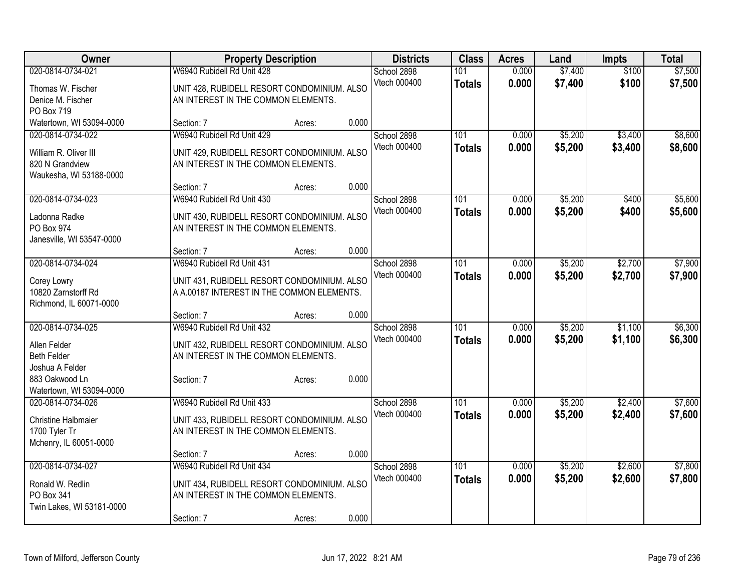| Owner                      | <b>Property Description</b>                 |        |       | <b>Districts</b> | <b>Class</b>     | <b>Acres</b> | Land    | <b>Impts</b> | <b>Total</b> |
|----------------------------|---------------------------------------------|--------|-------|------------------|------------------|--------------|---------|--------------|--------------|
| 020-0814-0734-021          | W6940 Rubidell Rd Unit 428                  |        |       | School 2898      | 101              | 0.000        | \$7,400 | \$100        | \$7,500      |
| Thomas W. Fischer          | UNIT 428, RUBIDELL RESORT CONDOMINIUM. ALSO |        |       | Vtech 000400     | <b>Totals</b>    | 0.000        | \$7,400 | \$100        | \$7,500      |
| Denice M. Fischer          | AN INTEREST IN THE COMMON ELEMENTS.         |        |       |                  |                  |              |         |              |              |
| PO Box 719                 |                                             |        |       |                  |                  |              |         |              |              |
| Watertown, WI 53094-0000   | Section: 7                                  | Acres: | 0.000 |                  |                  |              |         |              |              |
| 020-0814-0734-022          | W6940 Rubidell Rd Unit 429                  |        |       | School 2898      | 101              | 0.000        | \$5,200 | \$3,400      | \$8,600      |
| William R. Oliver III      | UNIT 429, RUBIDELL RESORT CONDOMINIUM. ALSO |        |       | Vtech 000400     | <b>Totals</b>    | 0.000        | \$5,200 | \$3,400      | \$8,600      |
| 820 N Grandview            | AN INTEREST IN THE COMMON ELEMENTS.         |        |       |                  |                  |              |         |              |              |
| Waukesha, WI 53188-0000    |                                             |        |       |                  |                  |              |         |              |              |
|                            | Section: 7                                  | Acres: | 0.000 |                  |                  |              |         |              |              |
| 020-0814-0734-023          | W6940 Rubidell Rd Unit 430                  |        |       | School 2898      | 101              | 0.000        | \$5,200 | \$400        | \$5,600      |
| Ladonna Radke              | UNIT 430, RUBIDELL RESORT CONDOMINIUM. ALSO |        |       | Vtech 000400     | <b>Totals</b>    | 0.000        | \$5,200 | \$400        | \$5,600      |
| PO Box 974                 | AN INTEREST IN THE COMMON ELEMENTS.         |        |       |                  |                  |              |         |              |              |
| Janesville, WI 53547-0000  |                                             |        |       |                  |                  |              |         |              |              |
|                            | Section: 7                                  | Acres: | 0.000 |                  |                  |              |         |              |              |
| 020-0814-0734-024          | W6940 Rubidell Rd Unit 431                  |        |       | School 2898      | 101              | 0.000        | \$5,200 | \$2,700      | \$7,900      |
| Corey Lowry                | UNIT 431, RUBIDELL RESORT CONDOMINIUM. ALSO |        |       | Vtech 000400     | <b>Totals</b>    | 0.000        | \$5,200 | \$2,700      | \$7,900      |
| 10820 Zarnstorff Rd        | A A.00187 INTEREST IN THE COMMON ELEMENTS.  |        |       |                  |                  |              |         |              |              |
| Richmond, IL 60071-0000    |                                             |        |       |                  |                  |              |         |              |              |
|                            | Section: 7                                  | Acres: | 0.000 |                  |                  |              |         |              |              |
| 020-0814-0734-025          | W6940 Rubidell Rd Unit 432                  |        |       | School 2898      | $\overline{101}$ | 0.000        | \$5,200 | \$1,100      | \$6,300      |
| Allen Felder               | UNIT 432, RUBIDELL RESORT CONDOMINIUM. ALSO |        |       | Vtech 000400     | <b>Totals</b>    | 0.000        | \$5,200 | \$1,100      | \$6,300      |
| <b>Beth Felder</b>         | AN INTEREST IN THE COMMON ELEMENTS.         |        |       |                  |                  |              |         |              |              |
| Joshua A Felder            |                                             |        |       |                  |                  |              |         |              |              |
| 883 Oakwood Ln             | Section: 7                                  | Acres: | 0.000 |                  |                  |              |         |              |              |
| Watertown, WI 53094-0000   |                                             |        |       |                  |                  |              |         |              |              |
| 020-0814-0734-026          | W6940 Rubidell Rd Unit 433                  |        |       | School 2898      | 101              | 0.000        | \$5,200 | \$2,400      | \$7,600      |
| <b>Christine Halbmaier</b> | UNIT 433, RUBIDELL RESORT CONDOMINIUM. ALSO |        |       | Vtech 000400     | <b>Totals</b>    | 0.000        | \$5,200 | \$2,400      | \$7,600      |
| 1700 Tyler Tr              | AN INTEREST IN THE COMMON ELEMENTS.         |        |       |                  |                  |              |         |              |              |
| Mchenry, IL 60051-0000     |                                             |        |       |                  |                  |              |         |              |              |
|                            | Section: 7                                  | Acres: | 0.000 |                  |                  |              |         |              |              |
| 020-0814-0734-027          | W6940 Rubidell Rd Unit 434                  |        |       | School 2898      | $\overline{101}$ | 0.000        | \$5,200 | \$2,600      | \$7,800      |
| Ronald W. Redlin           | UNIT 434, RUBIDELL RESORT CONDOMINIUM. ALSO |        |       | Vtech 000400     | <b>Totals</b>    | 0.000        | \$5,200 | \$2,600      | \$7,800      |
| PO Box 341                 | AN INTEREST IN THE COMMON ELEMENTS.         |        |       |                  |                  |              |         |              |              |
| Twin Lakes, WI 53181-0000  |                                             |        |       |                  |                  |              |         |              |              |
|                            | Section: 7                                  | Acres: | 0.000 |                  |                  |              |         |              |              |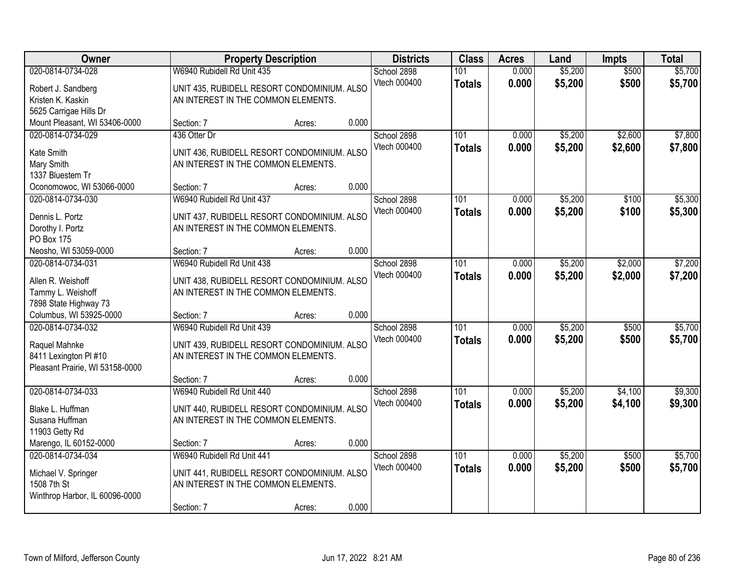| 020-0814-0734-028<br>W6940 Rubidell Rd Unit 435<br>\$5,200<br>\$500<br>School 2898<br>101<br>0.000<br>\$500<br>Vtech 000400<br>0.000<br>\$5,200<br><b>Totals</b><br>UNIT 435, RUBIDELL RESORT CONDOMINIUM. ALSO<br>Robert J. Sandberg<br>Kristen K. Kaskin<br>AN INTEREST IN THE COMMON ELEMENTS.<br>5625 Carrigae Hills Dr<br>0.000<br>Mount Pleasant, WI 53406-0000<br>Section: 7<br>Acres:<br>\$5,200<br>\$2,600<br>020-0814-0734-029<br>436 Otter Dr<br>School 2898<br>101<br>0.000<br>Vtech 000400<br>0.000<br>\$5,200<br>\$2,600<br><b>Totals</b><br>UNIT 436, RUBIDELL RESORT CONDOMINIUM. ALSO<br>Kate Smith<br>Mary Smith<br>AN INTEREST IN THE COMMON ELEMENTS.<br>1337 Bluestem Tr<br>0.000<br>Oconomowoc, WI 53066-0000<br>Section: 7<br>Acres:<br>020-0814-0734-030<br>101<br>\$5,200<br>\$100<br>W6940 Rubidell Rd Unit 437<br>School 2898<br>0.000<br>Vtech 000400<br>0.000<br>\$5,200<br>\$100<br><b>Totals</b><br>Dennis L. Portz<br>UNIT 437, RUBIDELL RESORT CONDOMINIUM. ALSO<br>AN INTEREST IN THE COMMON ELEMENTS.<br>Dorothy I. Portz<br><b>PO Box 175</b><br>0.000<br>Neosho, WI 53059-0000<br>Section: 7<br>Acres:<br>\$2,000<br>W6940 Rubidell Rd Unit 438<br>101<br>\$5,200<br>020-0814-0734-031<br>School 2898<br>0.000<br>Vtech 000400<br>0.000<br>\$5,200<br>\$2,000<br><b>Totals</b><br>Allen R. Weishoff<br>UNIT 438, RUBIDELL RESORT CONDOMINIUM. ALSO<br>Tammy L. Weishoff<br>AN INTEREST IN THE COMMON ELEMENTS.<br>7898 State Highway 73<br>0.000<br>Columbus, WI 53925-0000<br>Section: 7<br>Acres:<br>W6940 Rubidell Rd Unit 439<br>020-0814-0734-032<br>101<br>0.000<br>\$5,200<br>\$500<br>School 2898<br>Vtech 000400<br>0.000<br>\$5,200<br>\$500<br><b>Totals</b><br>Raquel Mahnke<br>UNIT 439, RUBIDELL RESORT CONDOMINIUM. ALSO<br>AN INTEREST IN THE COMMON ELEMENTS.<br>8411 Lexington PI #10<br>Pleasant Prairie, WI 53158-0000<br>0.000<br>Section: 7<br>Acres:<br>W6940 Rubidell Rd Unit 440<br>020-0814-0734-033<br>School 2898<br>101<br>\$5,200<br>\$4,100<br>0.000<br>Vtech 000400<br>0.000<br>\$5,200<br>\$4,100<br><b>Totals</b><br>Blake L. Huffman<br>UNIT 440, RUBIDELL RESORT CONDOMINIUM. ALSO<br>Susana Huffman<br>AN INTEREST IN THE COMMON ELEMENTS.<br>11903 Getty Rd<br>Marengo, IL 60152-0000<br>0.000<br>Section: 7<br>Acres:<br>\$5,200<br>020-0814-0734-034<br>W6940 Rubidell Rd Unit 441<br>School 2898<br>101<br>0.000<br>\$500<br>Vtech 000400<br>0.000<br>\$500<br>\$5,200<br><b>Totals</b><br>Michael V. Springer<br>UNIT 441, RUBIDELL RESORT CONDOMINIUM. ALSO | Owner       | <b>Property Description</b> |  |  | <b>Districts</b> | <b>Class</b> | <b>Acres</b> | Land | Impts | <b>Total</b>       |
|---------------------------------------------------------------------------------------------------------------------------------------------------------------------------------------------------------------------------------------------------------------------------------------------------------------------------------------------------------------------------------------------------------------------------------------------------------------------------------------------------------------------------------------------------------------------------------------------------------------------------------------------------------------------------------------------------------------------------------------------------------------------------------------------------------------------------------------------------------------------------------------------------------------------------------------------------------------------------------------------------------------------------------------------------------------------------------------------------------------------------------------------------------------------------------------------------------------------------------------------------------------------------------------------------------------------------------------------------------------------------------------------------------------------------------------------------------------------------------------------------------------------------------------------------------------------------------------------------------------------------------------------------------------------------------------------------------------------------------------------------------------------------------------------------------------------------------------------------------------------------------------------------------------------------------------------------------------------------------------------------------------------------------------------------------------------------------------------------------------------------------------------------------------------------------------------------------------------------------------------------------------------------------------------------------------------------------------------------------------------------------------------------------------------------------------------------------------------------------------------------------------------------------------------|-------------|-----------------------------|--|--|------------------|--------------|--------------|------|-------|--------------------|
|                                                                                                                                                                                                                                                                                                                                                                                                                                                                                                                                                                                                                                                                                                                                                                                                                                                                                                                                                                                                                                                                                                                                                                                                                                                                                                                                                                                                                                                                                                                                                                                                                                                                                                                                                                                                                                                                                                                                                                                                                                                                                                                                                                                                                                                                                                                                                                                                                                                                                                                                             |             |                             |  |  |                  |              |              |      |       | \$5,700<br>\$5,700 |
|                                                                                                                                                                                                                                                                                                                                                                                                                                                                                                                                                                                                                                                                                                                                                                                                                                                                                                                                                                                                                                                                                                                                                                                                                                                                                                                                                                                                                                                                                                                                                                                                                                                                                                                                                                                                                                                                                                                                                                                                                                                                                                                                                                                                                                                                                                                                                                                                                                                                                                                                             |             |                             |  |  |                  |              |              |      |       |                    |
|                                                                                                                                                                                                                                                                                                                                                                                                                                                                                                                                                                                                                                                                                                                                                                                                                                                                                                                                                                                                                                                                                                                                                                                                                                                                                                                                                                                                                                                                                                                                                                                                                                                                                                                                                                                                                                                                                                                                                                                                                                                                                                                                                                                                                                                                                                                                                                                                                                                                                                                                             |             |                             |  |  |                  |              |              |      |       | \$7,800<br>\$7,800 |
|                                                                                                                                                                                                                                                                                                                                                                                                                                                                                                                                                                                                                                                                                                                                                                                                                                                                                                                                                                                                                                                                                                                                                                                                                                                                                                                                                                                                                                                                                                                                                                                                                                                                                                                                                                                                                                                                                                                                                                                                                                                                                                                                                                                                                                                                                                                                                                                                                                                                                                                                             |             |                             |  |  |                  |              |              |      |       |                    |
|                                                                                                                                                                                                                                                                                                                                                                                                                                                                                                                                                                                                                                                                                                                                                                                                                                                                                                                                                                                                                                                                                                                                                                                                                                                                                                                                                                                                                                                                                                                                                                                                                                                                                                                                                                                                                                                                                                                                                                                                                                                                                                                                                                                                                                                                                                                                                                                                                                                                                                                                             |             |                             |  |  |                  |              |              |      |       | \$5,300<br>\$5,300 |
|                                                                                                                                                                                                                                                                                                                                                                                                                                                                                                                                                                                                                                                                                                                                                                                                                                                                                                                                                                                                                                                                                                                                                                                                                                                                                                                                                                                                                                                                                                                                                                                                                                                                                                                                                                                                                                                                                                                                                                                                                                                                                                                                                                                                                                                                                                                                                                                                                                                                                                                                             |             |                             |  |  |                  |              |              |      |       |                    |
|                                                                                                                                                                                                                                                                                                                                                                                                                                                                                                                                                                                                                                                                                                                                                                                                                                                                                                                                                                                                                                                                                                                                                                                                                                                                                                                                                                                                                                                                                                                                                                                                                                                                                                                                                                                                                                                                                                                                                                                                                                                                                                                                                                                                                                                                                                                                                                                                                                                                                                                                             |             |                             |  |  |                  |              |              |      |       | \$7,200<br>\$7,200 |
|                                                                                                                                                                                                                                                                                                                                                                                                                                                                                                                                                                                                                                                                                                                                                                                                                                                                                                                                                                                                                                                                                                                                                                                                                                                                                                                                                                                                                                                                                                                                                                                                                                                                                                                                                                                                                                                                                                                                                                                                                                                                                                                                                                                                                                                                                                                                                                                                                                                                                                                                             |             |                             |  |  |                  |              |              |      |       |                    |
|                                                                                                                                                                                                                                                                                                                                                                                                                                                                                                                                                                                                                                                                                                                                                                                                                                                                                                                                                                                                                                                                                                                                                                                                                                                                                                                                                                                                                                                                                                                                                                                                                                                                                                                                                                                                                                                                                                                                                                                                                                                                                                                                                                                                                                                                                                                                                                                                                                                                                                                                             |             |                             |  |  |                  |              |              |      |       | \$5,700<br>\$5,700 |
|                                                                                                                                                                                                                                                                                                                                                                                                                                                                                                                                                                                                                                                                                                                                                                                                                                                                                                                                                                                                                                                                                                                                                                                                                                                                                                                                                                                                                                                                                                                                                                                                                                                                                                                                                                                                                                                                                                                                                                                                                                                                                                                                                                                                                                                                                                                                                                                                                                                                                                                                             |             |                             |  |  |                  |              |              |      |       |                    |
|                                                                                                                                                                                                                                                                                                                                                                                                                                                                                                                                                                                                                                                                                                                                                                                                                                                                                                                                                                                                                                                                                                                                                                                                                                                                                                                                                                                                                                                                                                                                                                                                                                                                                                                                                                                                                                                                                                                                                                                                                                                                                                                                                                                                                                                                                                                                                                                                                                                                                                                                             |             |                             |  |  |                  |              |              |      |       | \$9,300<br>\$9,300 |
|                                                                                                                                                                                                                                                                                                                                                                                                                                                                                                                                                                                                                                                                                                                                                                                                                                                                                                                                                                                                                                                                                                                                                                                                                                                                                                                                                                                                                                                                                                                                                                                                                                                                                                                                                                                                                                                                                                                                                                                                                                                                                                                                                                                                                                                                                                                                                                                                                                                                                                                                             |             |                             |  |  |                  |              |              |      |       |                    |
| AN INTEREST IN THE COMMON ELEMENTS.<br>Winthrop Harbor, IL 60096-0000<br>0.000<br>Section: 7<br>Acres:                                                                                                                                                                                                                                                                                                                                                                                                                                                                                                                                                                                                                                                                                                                                                                                                                                                                                                                                                                                                                                                                                                                                                                                                                                                                                                                                                                                                                                                                                                                                                                                                                                                                                                                                                                                                                                                                                                                                                                                                                                                                                                                                                                                                                                                                                                                                                                                                                                      | 1508 7th St |                             |  |  |                  |              |              |      |       | \$5,700<br>\$5,700 |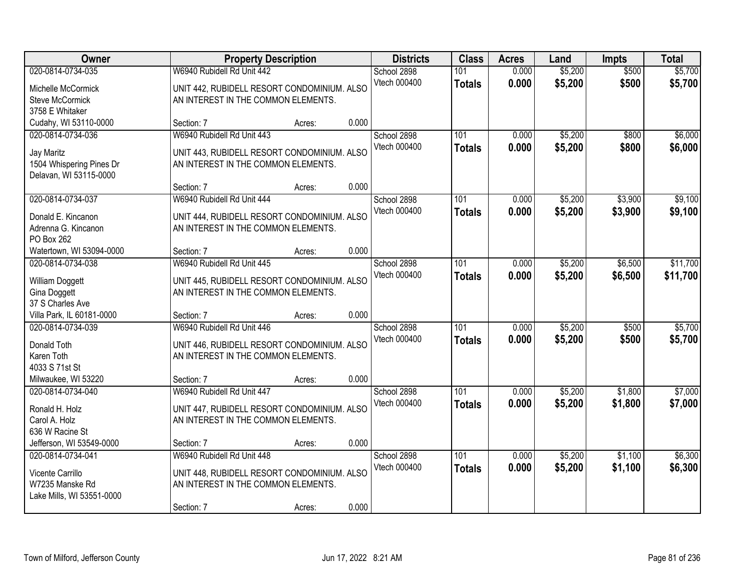| Owner                                                                                 |                                                                                                                                | <b>Property Description</b> |       |                             | <b>Class</b>         | <b>Acres</b>   | Land               | <b>Impts</b>       | <b>Total</b>         |
|---------------------------------------------------------------------------------------|--------------------------------------------------------------------------------------------------------------------------------|-----------------------------|-------|-----------------------------|----------------------|----------------|--------------------|--------------------|----------------------|
| 020-0814-0734-035<br>Michelle McCormick<br><b>Steve McCormick</b>                     | W6940 Rubidell Rd Unit 442<br>UNIT 442, RUBIDELL RESORT CONDOMINIUM. ALSO<br>AN INTEREST IN THE COMMON ELEMENTS.               |                             |       | School 2898<br>Vtech 000400 | 101<br><b>Totals</b> | 0.000<br>0.000 | \$5,200<br>\$5,200 | \$500<br>\$500     | \$5,700<br>\$5,700   |
| 3758 E Whitaker<br>Cudahy, WI 53110-0000                                              | Section: 7                                                                                                                     | Acres:                      | 0.000 |                             |                      |                |                    |                    |                      |
| 020-0814-0734-036<br>Jay Maritz<br>1504 Whispering Pines Dr<br>Delavan, WI 53115-0000 | W6940 Rubidell Rd Unit 443<br>UNIT 443, RUBIDELL RESORT CONDOMINIUM. ALSO<br>AN INTEREST IN THE COMMON ELEMENTS.               |                             |       | School 2898<br>Vtech 000400 | 101<br><b>Totals</b> | 0.000<br>0.000 | \$5,200<br>\$5,200 | \$800<br>\$800     | \$6,000<br>\$6,000   |
|                                                                                       | Section: 7                                                                                                                     | Acres:                      | 0.000 |                             |                      |                |                    |                    |                      |
| 020-0814-0734-037<br>Donald E. Kincanon<br>Adrenna G. Kincanon<br>PO Box 262          | W6940 Rubidell Rd Unit 444<br>UNIT 444, RUBIDELL RESORT CONDOMINIUM. ALSO<br>AN INTEREST IN THE COMMON ELEMENTS.               |                             |       | School 2898<br>Vtech 000400 | 101<br><b>Totals</b> | 0.000<br>0.000 | \$5,200<br>\$5,200 | \$3,900<br>\$3,900 | \$9,100<br>\$9,100   |
| Watertown, WI 53094-0000                                                              | Section: 7                                                                                                                     | Acres:                      | 0.000 |                             |                      |                |                    |                    |                      |
| 020-0814-0734-038<br>William Doggett<br>Gina Doggett<br>37 S Charles Ave              | W6940 Rubidell Rd Unit 445<br>UNIT 445, RUBIDELL RESORT CONDOMINIUM. ALSO<br>AN INTEREST IN THE COMMON ELEMENTS.               |                             |       | School 2898<br>Vtech 000400 | 101<br><b>Totals</b> | 0.000<br>0.000 | \$5,200<br>\$5,200 | \$6,500<br>\$6,500 | \$11,700<br>\$11,700 |
| Villa Park, IL 60181-0000                                                             | Section: 7                                                                                                                     | Acres:                      | 0.000 |                             |                      |                |                    |                    |                      |
| 020-0814-0734-039<br>Donald Toth<br>Karen Toth<br>4033 S 71st St                      | W6940 Rubidell Rd Unit 446<br>UNIT 446, RUBIDELL RESORT CONDOMINIUM. ALSO<br>AN INTEREST IN THE COMMON ELEMENTS.               |                             |       | School 2898<br>Vtech 000400 | 101<br><b>Totals</b> | 0.000<br>0.000 | \$5,200<br>\$5,200 | \$500<br>\$500     | \$5,700<br>\$5,700   |
| Milwaukee, WI 53220                                                                   | Section: 7                                                                                                                     | Acres:                      | 0.000 |                             |                      |                |                    |                    |                      |
| 020-0814-0734-040<br>Ronald H. Holz<br>Carol A. Holz<br>636 W Racine St               | W6940 Rubidell Rd Unit 447<br>UNIT 447, RUBIDELL RESORT CONDOMINIUM. ALSO<br>AN INTEREST IN THE COMMON ELEMENTS.               |                             |       | School 2898<br>Vtech 000400 | 101<br><b>Totals</b> | 0.000<br>0.000 | \$5,200<br>\$5,200 | \$1,800<br>\$1,800 | \$7,000<br>\$7,000   |
| Jefferson, WI 53549-0000                                                              | Section: 7                                                                                                                     | Acres:                      | 0.000 |                             |                      |                |                    |                    |                      |
| 020-0814-0734-041<br>Vicente Carrillo<br>W7235 Manske Rd<br>Lake Mills, WI 53551-0000 | W6940 Rubidell Rd Unit 448<br>UNIT 448, RUBIDELL RESORT CONDOMINIUM. ALSO<br>AN INTEREST IN THE COMMON ELEMENTS.<br>Section: 7 | Acres:                      | 0.000 | School 2898<br>Vtech 000400 | 101<br><b>Totals</b> | 0.000<br>0.000 | \$5,200<br>\$5,200 | \$1,100<br>\$1,100 | \$6,300<br>\$6,300   |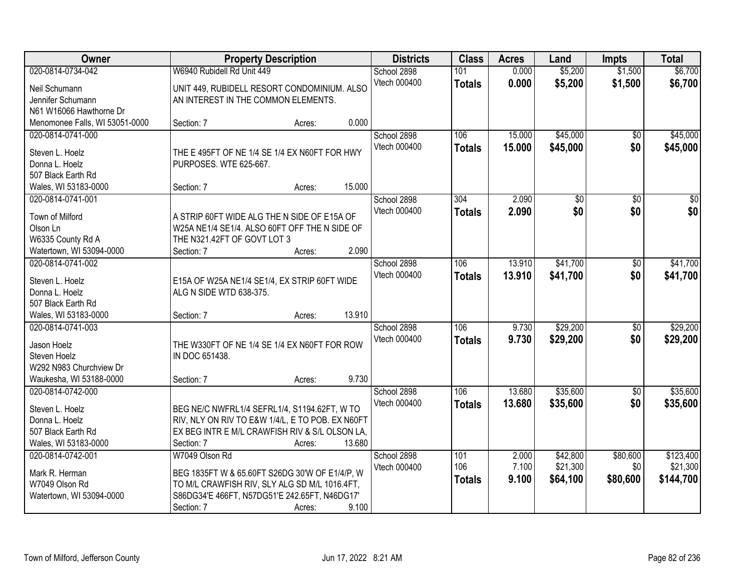| Owner                          | <b>Property Description</b>                      |        |        | <b>Districts</b> | <b>Class</b>  | <b>Acres</b> | Land     | <b>Impts</b>    | <b>Total</b> |
|--------------------------------|--------------------------------------------------|--------|--------|------------------|---------------|--------------|----------|-----------------|--------------|
| 020-0814-0734-042              | W6940 Rubidell Rd Unit 449                       |        |        | School 2898      | 101           | 0.000        | \$5,200  | \$1,500         | \$6,700      |
| Neil Schumann                  | UNIT 449, RUBIDELL RESORT CONDOMINIUM. ALSO      |        |        | Vtech 000400     | <b>Totals</b> | 0.000        | \$5,200  | \$1,500         | \$6,700      |
| Jennifer Schumann              | AN INTEREST IN THE COMMON ELEMENTS.              |        |        |                  |               |              |          |                 |              |
| N61 W16066 Hawthorne Dr        |                                                  |        |        |                  |               |              |          |                 |              |
| Menomonee Falls, WI 53051-0000 | Section: 7                                       | Acres: | 0.000  |                  |               |              |          |                 |              |
| 020-0814-0741-000              |                                                  |        |        | School 2898      | 106           | 15.000       | \$45,000 | $\overline{50}$ | \$45,000     |
|                                |                                                  |        |        | Vtech 000400     | <b>Totals</b> | 15.000       | \$45,000 | \$0             | \$45,000     |
| Steven L. Hoelz                | THE E 495FT OF NE 1/4 SE 1/4 EX N60FT FOR HWY    |        |        |                  |               |              |          |                 |              |
| Donna L. Hoelz                 | PURPOSES. WTE 625-667.                           |        |        |                  |               |              |          |                 |              |
| 507 Black Earth Rd             |                                                  |        |        |                  |               |              |          |                 |              |
| Wales, WI 53183-0000           | Section: 7                                       | Acres: | 15.000 |                  |               |              |          |                 |              |
| 020-0814-0741-001              |                                                  |        |        | School 2898      | 304           | 2.090        | \$0      | \$0             | $\sqrt{50}$  |
| Town of Milford                | A STRIP 60FT WIDE ALG THE N SIDE OF E15A OF      |        |        | Vtech 000400     | <b>Totals</b> | 2.090        | \$0      | \$0             | \$0          |
| Olson Ln                       | W25A NE1/4 SE1/4. ALSO 60FT OFF THE N SIDE OF    |        |        |                  |               |              |          |                 |              |
| W6335 County Rd A              | THE N321.42FT OF GOVT LOT 3                      |        |        |                  |               |              |          |                 |              |
| Watertown, WI 53094-0000       | Section: 7                                       | Acres: | 2.090  |                  |               |              |          |                 |              |
| 020-0814-0741-002              |                                                  |        |        | School 2898      | 106           | 13.910       | \$41,700 |                 | \$41,700     |
|                                |                                                  |        |        |                  |               |              |          | \$0             |              |
| Steven L. Hoelz                | E15A OF W25A NE1/4 SE1/4, EX STRIP 60FT WIDE     |        |        | Vtech 000400     | <b>Totals</b> | 13.910       | \$41,700 | \$0             | \$41,700     |
| Donna L. Hoelz                 | ALG N SIDE WTD 638-375.                          |        |        |                  |               |              |          |                 |              |
| 507 Black Earth Rd             |                                                  |        |        |                  |               |              |          |                 |              |
| Wales, WI 53183-0000           | Section: 7                                       | Acres: | 13.910 |                  |               |              |          |                 |              |
| 020-0814-0741-003              |                                                  |        |        | School 2898      | 106           | 9.730        | \$29,200 | \$0             | \$29,200     |
|                                |                                                  |        |        | Vtech 000400     | <b>Totals</b> | 9.730        | \$29,200 | \$0             | \$29,200     |
| Jason Hoelz                    | THE W330FT OF NE 1/4 SE 1/4 EX N60FT FOR ROW     |        |        |                  |               |              |          |                 |              |
| Steven Hoelz                   | IN DOC 651438.                                   |        |        |                  |               |              |          |                 |              |
| W292 N983 Churchview Dr        |                                                  |        |        |                  |               |              |          |                 |              |
| Waukesha, WI 53188-0000        | Section: 7                                       | Acres: | 9.730  |                  |               |              |          |                 |              |
| 020-0814-0742-000              |                                                  |        |        | School 2898      | 106           | 13.680       | \$35,600 | $\sqrt{$0}$     | \$35,600     |
| Steven L. Hoelz                | BEG NE/C NWFRL1/4 SEFRL1/4, S1194.62FT, W TO     |        |        | Vtech 000400     | <b>Totals</b> | 13.680       | \$35,600 | \$0             | \$35,600     |
| Donna L. Hoelz                 | RIV, NLY ON RIV TO E&W 1/4/L, E TO POB. EX N60FT |        |        |                  |               |              |          |                 |              |
| 507 Black Earth Rd             | EX BEG INTR E M/L CRAWFISH RIV & S/L OLSON LA,   |        |        |                  |               |              |          |                 |              |
| Wales, WI 53183-0000           | Section: 7                                       | Acres: | 13.680 |                  |               |              |          |                 |              |
| 020-0814-0742-001              | W7049 Olson Rd                                   |        |        | School 2898      | 101           | 2.000        | \$42,800 | \$80,600        | \$123,400    |
|                                |                                                  |        |        | Vtech 000400     | 106           | 7.100        | \$21,300 | \$0             | \$21,300     |
| Mark R. Herman                 | BEG 1835FT W & 65.60FT S26DG 30'W OF E1/4/P, W   |        |        |                  |               |              | \$64,100 |                 |              |
| W7049 Olson Rd                 | TO M/L CRAWFISH RIV, SLY ALG SD M/L 1016.4FT,    |        |        |                  | <b>Totals</b> | 9.100        |          | \$80,600        | \$144,700    |
| Watertown, WI 53094-0000       | S86DG34'E 466FT, N57DG51'E 242.65FT, N46DG17'    |        |        |                  |               |              |          |                 |              |
|                                | Section: 7                                       | Acres: | 9.100  |                  |               |              |          |                 |              |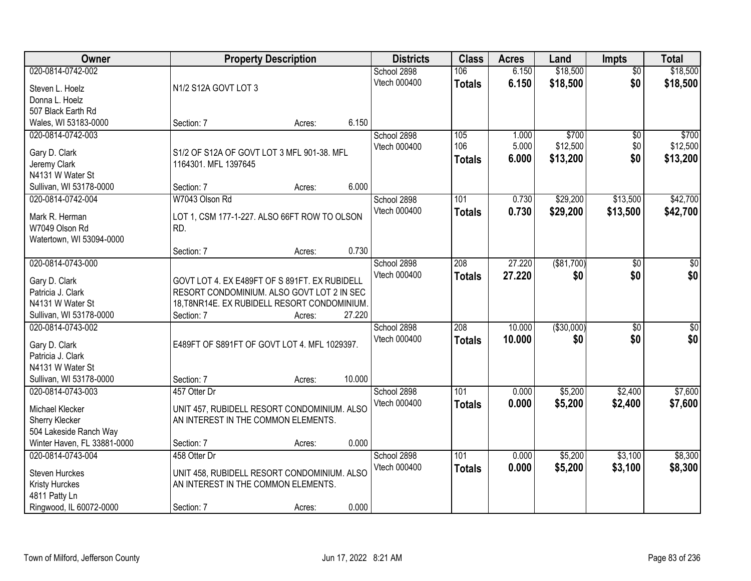| Owner                       |                                               | <b>Property Description</b> |        | <b>Districts</b> | <b>Class</b>     | <b>Acres</b> | Land        | <b>Impts</b>    | <b>Total</b>    |
|-----------------------------|-----------------------------------------------|-----------------------------|--------|------------------|------------------|--------------|-------------|-----------------|-----------------|
| 020-0814-0742-002           |                                               |                             |        | School 2898      | 106              | 6.150        | \$18,500    | $\overline{50}$ | \$18,500        |
| Steven L. Hoelz             | N1/2 S12A GOVT LOT 3                          |                             |        | Vtech 000400     | <b>Totals</b>    | 6.150        | \$18,500    | \$0             | \$18,500        |
| Donna L. Hoelz              |                                               |                             |        |                  |                  |              |             |                 |                 |
| 507 Black Earth Rd          |                                               |                             |        |                  |                  |              |             |                 |                 |
| Wales, WI 53183-0000        | Section: 7                                    | Acres:                      | 6.150  |                  |                  |              |             |                 |                 |
| 020-0814-0742-003           |                                               |                             |        | School 2898      | 105              | 1.000        | \$700       | \$0             | \$700           |
| Gary D. Clark               | S1/2 OF S12A OF GOVT LOT 3 MFL 901-38. MFL    |                             |        | Vtech 000400     | 106              | 5.000        | \$12,500    | \$0             | \$12,500        |
| Jeremy Clark                | 1164301. MFL 1397645                          |                             |        |                  | <b>Totals</b>    | 6.000        | \$13,200    | \$0             | \$13,200        |
| N4131 W Water St            |                                               |                             |        |                  |                  |              |             |                 |                 |
| Sullivan, WI 53178-0000     | Section: 7                                    | Acres:                      | 6.000  |                  |                  |              |             |                 |                 |
| 020-0814-0742-004           | W7043 Olson Rd                                |                             |        | School 2898      | 101              | 0.730        | \$29,200    | \$13,500        | \$42,700        |
|                             |                                               |                             |        | Vtech 000400     | <b>Totals</b>    | 0.730        | \$29,200    | \$13,500        | \$42,700        |
| Mark R. Herman              | LOT 1, CSM 177-1-227. ALSO 66FT ROW TO OLSON  |                             |        |                  |                  |              |             |                 |                 |
| W7049 Olson Rd              | RD.                                           |                             |        |                  |                  |              |             |                 |                 |
| Watertown, WI 53094-0000    | Section: 7                                    | Acres:                      | 0.730  |                  |                  |              |             |                 |                 |
| 020-0814-0743-000           |                                               |                             |        | School 2898      | 208              | 27.220       | ( \$81,700) | $\sqrt[6]{3}$   | $\sqrt{50}$     |
|                             |                                               |                             |        | Vtech 000400     |                  | 27.220       | \$0         | \$0             | \$0             |
| Gary D. Clark               | GOVT LOT 4. EX E489FT OF S 891FT. EX RUBIDELL |                             |        |                  | <b>Totals</b>    |              |             |                 |                 |
| Patricia J. Clark           | RESORT CONDOMINIUM. ALSO GOVT LOT 2 IN SEC    |                             |        |                  |                  |              |             |                 |                 |
| N4131 W Water St            | 18, T8NR14E. EX RUBIDELL RESORT CONDOMINIUM.  |                             |        |                  |                  |              |             |                 |                 |
| Sullivan, WI 53178-0000     | Section: 7                                    | Acres:                      | 27.220 |                  |                  |              |             |                 |                 |
| 020-0814-0743-002           |                                               |                             |        | School 2898      | $\overline{208}$ | 10.000       | ( \$30,000) | $\overline{50}$ | $\overline{50}$ |
| Gary D. Clark               | E489FT OF S891FT OF GOVT LOT 4. MFL 1029397.  |                             |        | Vtech 000400     | <b>Totals</b>    | 10,000       | \$0         | \$0             | \$0             |
| Patricia J. Clark           |                                               |                             |        |                  |                  |              |             |                 |                 |
| N4131 W Water St            |                                               |                             |        |                  |                  |              |             |                 |                 |
| Sullivan, WI 53178-0000     | Section: 7                                    | Acres:                      | 10.000 |                  |                  |              |             |                 |                 |
| 020-0814-0743-003           | 457 Otter Dr                                  |                             |        | School 2898      | 101              | 0.000        | \$5,200     | \$2,400         | \$7,600         |
| Michael Klecker             | UNIT 457, RUBIDELL RESORT CONDOMINIUM. ALSO   |                             |        | Vtech 000400     | <b>Totals</b>    | 0.000        | \$5,200     | \$2,400         | \$7,600         |
| Sherry Klecker              | AN INTEREST IN THE COMMON ELEMENTS.           |                             |        |                  |                  |              |             |                 |                 |
| 504 Lakeside Ranch Way      |                                               |                             |        |                  |                  |              |             |                 |                 |
| Winter Haven, FL 33881-0000 | Section: 7                                    | Acres:                      | 0.000  |                  |                  |              |             |                 |                 |
| 020-0814-0743-004           | 458 Otter Dr                                  |                             |        | School 2898      | 101              | 0.000        | \$5,200     | \$3,100         | \$8,300         |
| <b>Steven Hurckes</b>       | UNIT 458, RUBIDELL RESORT CONDOMINIUM. ALSO   |                             |        | Vtech 000400     | <b>Totals</b>    | 0.000        | \$5,200     | \$3,100         | \$8,300         |
| Kristy Hurckes              | AN INTEREST IN THE COMMON ELEMENTS.           |                             |        |                  |                  |              |             |                 |                 |
| 4811 Patty Ln               |                                               |                             |        |                  |                  |              |             |                 |                 |
| Ringwood, IL 60072-0000     | Section: 7                                    | Acres:                      | 0.000  |                  |                  |              |             |                 |                 |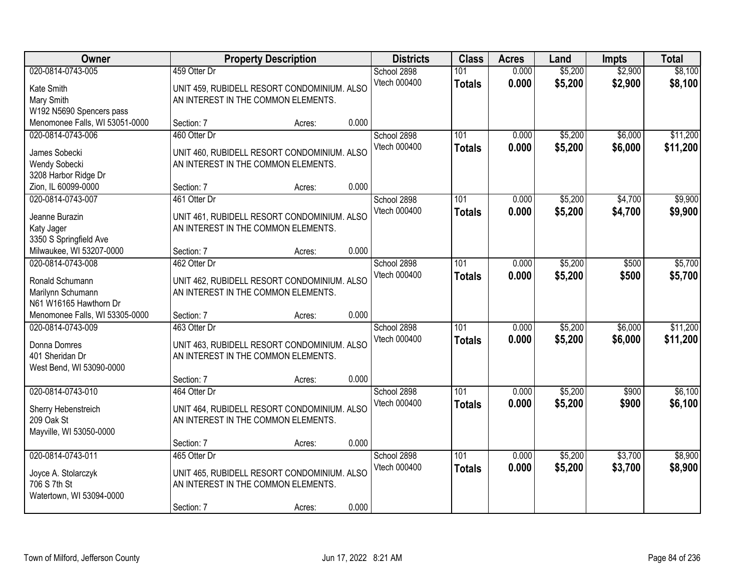| Owner                                                                                | <b>Property Description</b>                                       |                                                       |       | <b>Districts</b>            | <b>Class</b>         | <b>Acres</b>   | Land               | <b>Impts</b>       | <b>Total</b>         |
|--------------------------------------------------------------------------------------|-------------------------------------------------------------------|-------------------------------------------------------|-------|-----------------------------|----------------------|----------------|--------------------|--------------------|----------------------|
| 020-0814-0743-005<br>Kate Smith<br>Mary Smith<br>W192 N5690 Spencers pass            | 459 Otter Dr<br>AN INTEREST IN THE COMMON ELEMENTS.               | UNIT 459, RUBIDELL RESORT CONDOMINIUM. ALSO           |       | School 2898<br>Vtech 000400 | 101<br><b>Totals</b> | 0.000<br>0.000 | \$5,200<br>\$5,200 | \$2,900<br>\$2,900 | \$8,100<br>\$8,100   |
| Menomonee Falls, WI 53051-0000                                                       | Section: 7                                                        | Acres:                                                | 0.000 |                             |                      |                |                    |                    |                      |
| 020-0814-0743-006<br>James Sobecki<br>Wendy Sobecki<br>3208 Harbor Ridge Dr          | 460 Otter Dr<br>AN INTEREST IN THE COMMON ELEMENTS.               | UNIT 460, RUBIDELL RESORT CONDOMINIUM. ALSO           |       | School 2898<br>Vtech 000400 | 101<br><b>Totals</b> | 0.000<br>0.000 | \$5,200<br>\$5,200 | \$6,000<br>\$6,000 | \$11,200<br>\$11,200 |
| Zion, IL 60099-0000                                                                  | Section: 7                                                        | Acres:                                                | 0.000 |                             |                      |                |                    |                    |                      |
| 020-0814-0743-007<br>Jeanne Burazin<br>Katy Jager<br>3350 S Springfield Ave          | 461 Otter Dr<br>AN INTEREST IN THE COMMON ELEMENTS.               | UNIT 461, RUBIDELL RESORT CONDOMINIUM. ALSO           |       | School 2898<br>Vtech 000400 | 101<br><b>Totals</b> | 0.000<br>0.000 | \$5,200<br>\$5,200 | \$4,700<br>\$4,700 | \$9,900<br>\$9,900   |
| Milwaukee, WI 53207-0000                                                             | Section: 7                                                        | Acres:                                                | 0.000 |                             |                      |                |                    |                    |                      |
| 020-0814-0743-008<br>Ronald Schumann<br>Marilynn Schumann<br>N61 W16165 Hawthorn Dr  | 462 Otter Dr<br>AN INTEREST IN THE COMMON ELEMENTS.               | UNIT 462, RUBIDELL RESORT CONDOMINIUM. ALSO           |       | School 2898<br>Vtech 000400 | 101<br><b>Totals</b> | 0.000<br>0.000 | \$5,200<br>\$5,200 | \$500<br>\$500     | \$5,700<br>\$5,700   |
| Menomonee Falls, WI 53305-0000                                                       | Section: 7                                                        | Acres:                                                | 0.000 |                             |                      |                |                    |                    |                      |
| 020-0814-0743-009<br>Donna Domres<br>401 Sheridan Dr<br>West Bend, WI 53090-0000     | 463 Otter Dr<br>AN INTEREST IN THE COMMON ELEMENTS.               | UNIT 463, RUBIDELL RESORT CONDOMINIUM. ALSO           |       | School 2898<br>Vtech 000400 | 101<br><b>Totals</b> | 0.000<br>0.000 | \$5,200<br>\$5,200 | \$6,000<br>\$6,000 | \$11,200<br>\$11,200 |
|                                                                                      | Section: 7                                                        | Acres:                                                | 0.000 |                             |                      |                |                    |                    |                      |
| 020-0814-0743-010<br>Sherry Hebenstreich<br>209 Oak St<br>Mayville, WI 53050-0000    | 464 Otter Dr<br>AN INTEREST IN THE COMMON ELEMENTS.               | UNIT 464, RUBIDELL RESORT CONDOMINIUM. ALSO           |       | School 2898<br>Vtech 000400 | 101<br><b>Totals</b> | 0.000<br>0.000 | \$5,200<br>\$5,200 | \$900<br>\$900     | \$6,100<br>\$6,100   |
|                                                                                      | Section: 7                                                        | Acres:                                                | 0.000 |                             |                      |                |                    |                    |                      |
| 020-0814-0743-011<br>Joyce A. Stolarczyk<br>706 S 7th St<br>Watertown, WI 53094-0000 | 465 Otter Dr<br>AN INTEREST IN THE COMMON ELEMENTS.<br>Section: 7 | UNIT 465, RUBIDELL RESORT CONDOMINIUM. ALSO<br>Acres: | 0.000 | School 2898<br>Vtech 000400 | 101<br><b>Totals</b> | 0.000<br>0.000 | \$5,200<br>\$5,200 | \$3,700<br>\$3,700 | \$8,900<br>\$8,900   |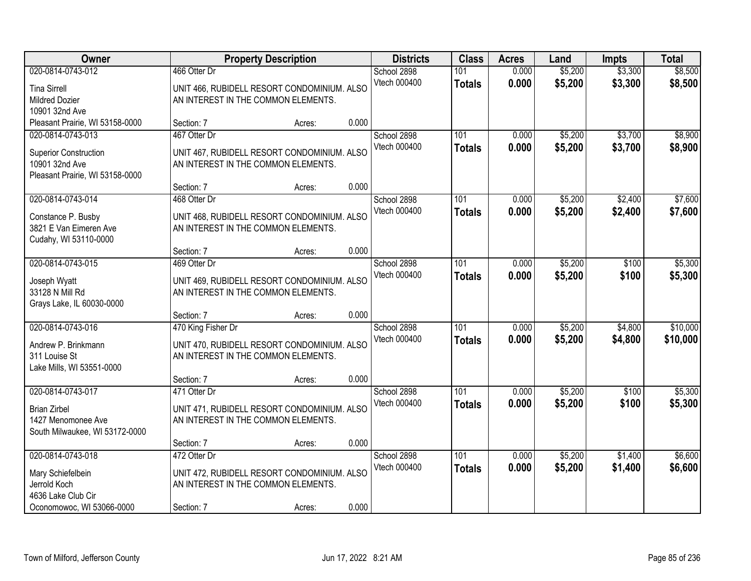| Owner                                                                                                  |                                                           | <b>Property Description</b>                 |       | <b>Districts</b>            | <b>Class</b>         | <b>Acres</b>   | Land               | <b>Impts</b>       | <b>Total</b>         |
|--------------------------------------------------------------------------------------------------------|-----------------------------------------------------------|---------------------------------------------|-------|-----------------------------|----------------------|----------------|--------------------|--------------------|----------------------|
| 020-0814-0743-012<br><b>Tina Sirrell</b><br><b>Mildred Dozier</b><br>10901 32nd Ave                    | 466 Otter Dr<br>AN INTEREST IN THE COMMON ELEMENTS.       | UNIT 466, RUBIDELL RESORT CONDOMINIUM. ALSO |       | School 2898<br>Vtech 000400 | 101<br><b>Totals</b> | 0.000<br>0.000 | \$5,200<br>\$5,200 | \$3,300<br>\$3,300 | \$8,500<br>\$8,500   |
| Pleasant Prairie, WI 53158-0000                                                                        | Section: 7                                                | Acres:                                      | 0.000 |                             |                      |                |                    |                    |                      |
| 020-0814-0743-013<br><b>Superior Construction</b><br>10901 32nd Ave<br>Pleasant Prairie, WI 53158-0000 | 467 Otter Dr<br>AN INTEREST IN THE COMMON ELEMENTS.       | UNIT 467, RUBIDELL RESORT CONDOMINIUM. ALSO |       | School 2898<br>Vtech 000400 | 101<br><b>Totals</b> | 0.000<br>0.000 | \$5,200<br>\$5,200 | \$3,700<br>\$3,700 | \$8,900<br>\$8,900   |
|                                                                                                        | Section: 7                                                | Acres:                                      | 0.000 |                             |                      |                |                    |                    |                      |
| 020-0814-0743-014<br>Constance P. Busby<br>3821 E Van Eimeren Ave<br>Cudahy, WI 53110-0000             | 468 Otter Dr<br>AN INTEREST IN THE COMMON ELEMENTS.       | UNIT 468, RUBIDELL RESORT CONDOMINIUM. ALSO |       | School 2898<br>Vtech 000400 | 101<br><b>Totals</b> | 0.000<br>0.000 | \$5,200<br>\$5,200 | \$2,400<br>\$2,400 | \$7,600<br>\$7,600   |
|                                                                                                        | Section: 7                                                | Acres:                                      | 0.000 |                             |                      |                |                    |                    |                      |
| 020-0814-0743-015<br>Joseph Wyatt<br>33128 N Mill Rd<br>Grays Lake, IL 60030-0000                      | 469 Otter Dr<br>AN INTEREST IN THE COMMON ELEMENTS.       | UNIT 469, RUBIDELL RESORT CONDOMINIUM. ALSO |       | School 2898<br>Vtech 000400 | 101<br><b>Totals</b> | 0.000<br>0.000 | \$5,200<br>\$5,200 | \$100<br>\$100     | \$5,300<br>\$5,300   |
|                                                                                                        | Section: 7                                                | Acres:                                      | 0.000 |                             |                      |                |                    |                    |                      |
| 020-0814-0743-016<br>Andrew P. Brinkmann<br>311 Louise St<br>Lake Mills, WI 53551-0000                 | 470 King Fisher Dr<br>AN INTEREST IN THE COMMON ELEMENTS. | UNIT 470, RUBIDELL RESORT CONDOMINIUM. ALSO |       | School 2898<br>Vtech 000400 | 101<br><b>Totals</b> | 0.000<br>0.000 | \$5,200<br>\$5,200 | \$4,800<br>\$4,800 | \$10,000<br>\$10,000 |
|                                                                                                        | Section: 7                                                | Acres:                                      | 0.000 |                             |                      |                |                    |                    |                      |
| 020-0814-0743-017<br><b>Brian Zirbel</b><br>1427 Menomonee Ave<br>South Milwaukee, WI 53172-0000       | 471 Otter Dr<br>AN INTEREST IN THE COMMON ELEMENTS.       | UNIT 471, RUBIDELL RESORT CONDOMINIUM. ALSO |       | School 2898<br>Vtech 000400 | 101<br><b>Totals</b> | 0.000<br>0.000 | \$5,200<br>\$5,200 | \$100<br>\$100     | \$5,300<br>\$5,300   |
|                                                                                                        | Section: 7                                                | Acres:                                      | 0.000 |                             |                      |                |                    |                    |                      |
| 020-0814-0743-018<br>Mary Schiefelbein<br>Jerrold Koch<br>4636 Lake Club Cir                           | 472 Otter Dr<br>AN INTEREST IN THE COMMON ELEMENTS.       | UNIT 472, RUBIDELL RESORT CONDOMINIUM. ALSO | 0.000 | School 2898<br>Vtech 000400 | 101<br><b>Totals</b> | 0.000<br>0.000 | \$5,200<br>\$5,200 | \$1,400<br>\$1,400 | \$6,600<br>\$6,600   |
| Oconomowoc, WI 53066-0000                                                                              | Section: 7                                                | Acres:                                      |       |                             |                      |                |                    |                    |                      |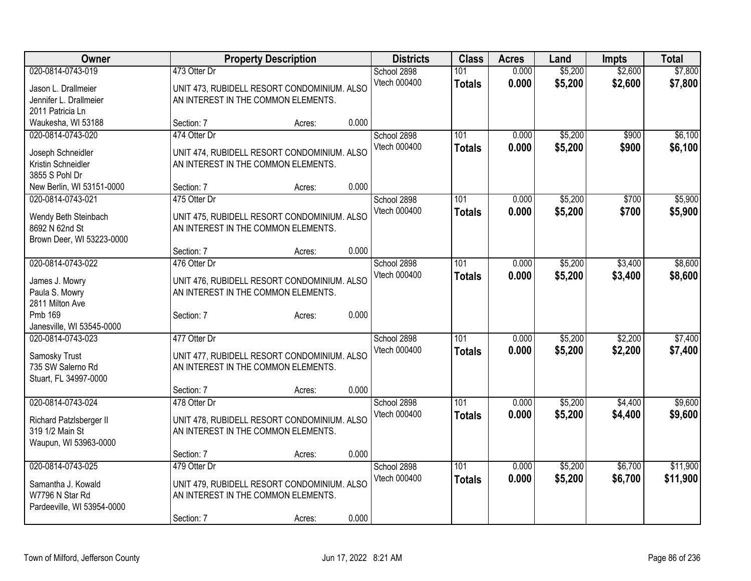| 020-0814-0743-019<br>473 Otter Dr<br>School 2898<br>0.000<br>101<br>Vtech 000400<br>0.000<br>\$5,200<br>\$2,600<br>\$7,800<br><b>Totals</b><br>UNIT 473, RUBIDELL RESORT CONDOMINIUM. ALSO<br>Jason L. Drallmeier<br>AN INTEREST IN THE COMMON ELEMENTS.<br>Jennifer L. Drallmeier<br>2011 Patricia Ln<br>0.000<br>Waukesha, WI 53188<br>Section: 7<br>Acres:<br>474 Otter Dr<br>\$5,200<br>020-0814-0743-020<br>School 2898<br>101<br>0.000<br>\$900<br>\$900<br>Vtech 000400<br>0.000<br>\$5,200<br>\$6,100<br><b>Totals</b><br>UNIT 474, RUBIDELL RESORT CONDOMINIUM. ALSO<br>Joseph Schneidler<br>Kristin Schneidler<br>AN INTEREST IN THE COMMON ELEMENTS.<br>3855 S Pohl Dr<br>0.000<br>New Berlin, WI 53151-0000<br>Section: 7<br>Acres:<br>475 Otter Dr<br>101<br>\$5,200<br>\$700<br>020-0814-0743-021<br>School 2898<br>0.000<br>Vtech 000400<br>0.000<br>\$5,200<br>\$700<br>\$5,900<br><b>Totals</b><br>UNIT 475, RUBIDELL RESORT CONDOMINIUM. ALSO<br>Wendy Beth Steinbach<br>8692 N 62nd St<br>AN INTEREST IN THE COMMON ELEMENTS.<br>Brown Deer, WI 53223-0000<br>0.000<br>Section: 7<br>Acres:<br>\$3,400<br>020-0814-0743-022<br>476 Otter Dr<br>101<br>0.000<br>\$5,200<br>School 2898<br>Vtech 000400<br>0.000<br>\$5,200<br><b>Totals</b><br>\$3,400<br>UNIT 476, RUBIDELL RESORT CONDOMINIUM. ALSO<br>James J. Mowry<br>Paula S. Mowry<br>AN INTEREST IN THE COMMON ELEMENTS.<br>2811 Milton Ave<br>0.000<br>Pmb 169<br>Section: 7<br>Acres:<br>Janesville, WI 53545-0000<br>\$5,200<br>\$2,200<br>020-0814-0743-023<br>477 Otter Dr<br>School 2898<br>101<br>0.000<br>Vtech 000400<br>0.000<br>\$5,200<br>\$2,200<br>\$7,400<br><b>Totals</b><br>UNIT 477, RUBIDELL RESORT CONDOMINIUM. ALSO<br>Samosky Trust<br>735 SW Salerno Rd<br>AN INTEREST IN THE COMMON ELEMENTS.<br>Stuart, FL 34997-0000<br>0.000<br>Section: 7<br>Acres:<br>020-0814-0743-024<br>101<br>0.000<br>\$5,200<br>\$4,400<br>478 Otter Dr<br>School 2898 | Owner | <b>Property Description</b> | <b>Districts</b> | <b>Class</b>  | <b>Acres</b> | Land    | <b>Impts</b> | <b>Total</b> |
|-----------------------------------------------------------------------------------------------------------------------------------------------------------------------------------------------------------------------------------------------------------------------------------------------------------------------------------------------------------------------------------------------------------------------------------------------------------------------------------------------------------------------------------------------------------------------------------------------------------------------------------------------------------------------------------------------------------------------------------------------------------------------------------------------------------------------------------------------------------------------------------------------------------------------------------------------------------------------------------------------------------------------------------------------------------------------------------------------------------------------------------------------------------------------------------------------------------------------------------------------------------------------------------------------------------------------------------------------------------------------------------------------------------------------------------------------------------------------------------------------------------------------------------------------------------------------------------------------------------------------------------------------------------------------------------------------------------------------------------------------------------------------------------------------------------------------------------------------------------------------------------------------------------------------------------------------------|-------|-----------------------------|------------------|---------------|--------------|---------|--------------|--------------|
| \$8,600                                                                                                                                                                                                                                                                                                                                                                                                                                                                                                                                                                                                                                                                                                                                                                                                                                                                                                                                                                                                                                                                                                                                                                                                                                                                                                                                                                                                                                                                                                                                                                                                                                                                                                                                                                                                                                                                                                                                             |       |                             |                  |               |              | \$5,200 | \$2,600      | \$7,800      |
|                                                                                                                                                                                                                                                                                                                                                                                                                                                                                                                                                                                                                                                                                                                                                                                                                                                                                                                                                                                                                                                                                                                                                                                                                                                                                                                                                                                                                                                                                                                                                                                                                                                                                                                                                                                                                                                                                                                                                     |       |                             |                  |               |              |         |              |              |
|                                                                                                                                                                                                                                                                                                                                                                                                                                                                                                                                                                                                                                                                                                                                                                                                                                                                                                                                                                                                                                                                                                                                                                                                                                                                                                                                                                                                                                                                                                                                                                                                                                                                                                                                                                                                                                                                                                                                                     |       |                             |                  |               |              |         |              |              |
| \$6,100<br>\$5,900<br>\$8,600                                                                                                                                                                                                                                                                                                                                                                                                                                                                                                                                                                                                                                                                                                                                                                                                                                                                                                                                                                                                                                                                                                                                                                                                                                                                                                                                                                                                                                                                                                                                                                                                                                                                                                                                                                                                                                                                                                                       |       |                             |                  |               |              |         |              |              |
|                                                                                                                                                                                                                                                                                                                                                                                                                                                                                                                                                                                                                                                                                                                                                                                                                                                                                                                                                                                                                                                                                                                                                                                                                                                                                                                                                                                                                                                                                                                                                                                                                                                                                                                                                                                                                                                                                                                                                     |       |                             |                  |               |              |         |              |              |
|                                                                                                                                                                                                                                                                                                                                                                                                                                                                                                                                                                                                                                                                                                                                                                                                                                                                                                                                                                                                                                                                                                                                                                                                                                                                                                                                                                                                                                                                                                                                                                                                                                                                                                                                                                                                                                                                                                                                                     |       |                             |                  |               |              |         |              |              |
|                                                                                                                                                                                                                                                                                                                                                                                                                                                                                                                                                                                                                                                                                                                                                                                                                                                                                                                                                                                                                                                                                                                                                                                                                                                                                                                                                                                                                                                                                                                                                                                                                                                                                                                                                                                                                                                                                                                                                     |       |                             |                  |               |              |         |              |              |
|                                                                                                                                                                                                                                                                                                                                                                                                                                                                                                                                                                                                                                                                                                                                                                                                                                                                                                                                                                                                                                                                                                                                                                                                                                                                                                                                                                                                                                                                                                                                                                                                                                                                                                                                                                                                                                                                                                                                                     |       |                             |                  |               |              |         |              |              |
|                                                                                                                                                                                                                                                                                                                                                                                                                                                                                                                                                                                                                                                                                                                                                                                                                                                                                                                                                                                                                                                                                                                                                                                                                                                                                                                                                                                                                                                                                                                                                                                                                                                                                                                                                                                                                                                                                                                                                     |       |                             |                  |               |              |         |              |              |
|                                                                                                                                                                                                                                                                                                                                                                                                                                                                                                                                                                                                                                                                                                                                                                                                                                                                                                                                                                                                                                                                                                                                                                                                                                                                                                                                                                                                                                                                                                                                                                                                                                                                                                                                                                                                                                                                                                                                                     |       |                             |                  |               |              |         |              |              |
|                                                                                                                                                                                                                                                                                                                                                                                                                                                                                                                                                                                                                                                                                                                                                                                                                                                                                                                                                                                                                                                                                                                                                                                                                                                                                                                                                                                                                                                                                                                                                                                                                                                                                                                                                                                                                                                                                                                                                     |       |                             |                  |               |              |         |              |              |
|                                                                                                                                                                                                                                                                                                                                                                                                                                                                                                                                                                                                                                                                                                                                                                                                                                                                                                                                                                                                                                                                                                                                                                                                                                                                                                                                                                                                                                                                                                                                                                                                                                                                                                                                                                                                                                                                                                                                                     |       |                             |                  |               |              |         |              |              |
|                                                                                                                                                                                                                                                                                                                                                                                                                                                                                                                                                                                                                                                                                                                                                                                                                                                                                                                                                                                                                                                                                                                                                                                                                                                                                                                                                                                                                                                                                                                                                                                                                                                                                                                                                                                                                                                                                                                                                     |       |                             |                  |               |              |         |              |              |
|                                                                                                                                                                                                                                                                                                                                                                                                                                                                                                                                                                                                                                                                                                                                                                                                                                                                                                                                                                                                                                                                                                                                                                                                                                                                                                                                                                                                                                                                                                                                                                                                                                                                                                                                                                                                                                                                                                                                                     |       |                             |                  |               |              |         |              |              |
|                                                                                                                                                                                                                                                                                                                                                                                                                                                                                                                                                                                                                                                                                                                                                                                                                                                                                                                                                                                                                                                                                                                                                                                                                                                                                                                                                                                                                                                                                                                                                                                                                                                                                                                                                                                                                                                                                                                                                     |       |                             |                  |               |              |         |              |              |
|                                                                                                                                                                                                                                                                                                                                                                                                                                                                                                                                                                                                                                                                                                                                                                                                                                                                                                                                                                                                                                                                                                                                                                                                                                                                                                                                                                                                                                                                                                                                                                                                                                                                                                                                                                                                                                                                                                                                                     |       |                             |                  |               |              |         |              |              |
|                                                                                                                                                                                                                                                                                                                                                                                                                                                                                                                                                                                                                                                                                                                                                                                                                                                                                                                                                                                                                                                                                                                                                                                                                                                                                                                                                                                                                                                                                                                                                                                                                                                                                                                                                                                                                                                                                                                                                     |       |                             |                  |               |              |         |              |              |
|                                                                                                                                                                                                                                                                                                                                                                                                                                                                                                                                                                                                                                                                                                                                                                                                                                                                                                                                                                                                                                                                                                                                                                                                                                                                                                                                                                                                                                                                                                                                                                                                                                                                                                                                                                                                                                                                                                                                                     |       |                             |                  |               |              |         |              |              |
| \$7,400<br>\$9,600                                                                                                                                                                                                                                                                                                                                                                                                                                                                                                                                                                                                                                                                                                                                                                                                                                                                                                                                                                                                                                                                                                                                                                                                                                                                                                                                                                                                                                                                                                                                                                                                                                                                                                                                                                                                                                                                                                                                  |       |                             |                  |               |              |         |              |              |
|                                                                                                                                                                                                                                                                                                                                                                                                                                                                                                                                                                                                                                                                                                                                                                                                                                                                                                                                                                                                                                                                                                                                                                                                                                                                                                                                                                                                                                                                                                                                                                                                                                                                                                                                                                                                                                                                                                                                                     |       |                             |                  |               |              |         |              |              |
|                                                                                                                                                                                                                                                                                                                                                                                                                                                                                                                                                                                                                                                                                                                                                                                                                                                                                                                                                                                                                                                                                                                                                                                                                                                                                                                                                                                                                                                                                                                                                                                                                                                                                                                                                                                                                                                                                                                                                     |       |                             |                  |               |              |         |              |              |
|                                                                                                                                                                                                                                                                                                                                                                                                                                                                                                                                                                                                                                                                                                                                                                                                                                                                                                                                                                                                                                                                                                                                                                                                                                                                                                                                                                                                                                                                                                                                                                                                                                                                                                                                                                                                                                                                                                                                                     |       |                             |                  |               |              |         |              |              |
|                                                                                                                                                                                                                                                                                                                                                                                                                                                                                                                                                                                                                                                                                                                                                                                                                                                                                                                                                                                                                                                                                                                                                                                                                                                                                                                                                                                                                                                                                                                                                                                                                                                                                                                                                                                                                                                                                                                                                     |       |                             |                  |               |              |         |              |              |
|                                                                                                                                                                                                                                                                                                                                                                                                                                                                                                                                                                                                                                                                                                                                                                                                                                                                                                                                                                                                                                                                                                                                                                                                                                                                                                                                                                                                                                                                                                                                                                                                                                                                                                                                                                                                                                                                                                                                                     |       |                             |                  |               |              |         |              |              |
|                                                                                                                                                                                                                                                                                                                                                                                                                                                                                                                                                                                                                                                                                                                                                                                                                                                                                                                                                                                                                                                                                                                                                                                                                                                                                                                                                                                                                                                                                                                                                                                                                                                                                                                                                                                                                                                                                                                                                     |       |                             |                  |               |              |         |              |              |
|                                                                                                                                                                                                                                                                                                                                                                                                                                                                                                                                                                                                                                                                                                                                                                                                                                                                                                                                                                                                                                                                                                                                                                                                                                                                                                                                                                                                                                                                                                                                                                                                                                                                                                                                                                                                                                                                                                                                                     |       |                             |                  |               |              |         |              |              |
|                                                                                                                                                                                                                                                                                                                                                                                                                                                                                                                                                                                                                                                                                                                                                                                                                                                                                                                                                                                                                                                                                                                                                                                                                                                                                                                                                                                                                                                                                                                                                                                                                                                                                                                                                                                                                                                                                                                                                     |       |                             |                  |               |              |         |              |              |
|                                                                                                                                                                                                                                                                                                                                                                                                                                                                                                                                                                                                                                                                                                                                                                                                                                                                                                                                                                                                                                                                                                                                                                                                                                                                                                                                                                                                                                                                                                                                                                                                                                                                                                                                                                                                                                                                                                                                                     |       |                             |                  |               |              |         |              |              |
| UNIT 478, RUBIDELL RESORT CONDOMINIUM. ALSO<br>Richard Patzlsberger II                                                                                                                                                                                                                                                                                                                                                                                                                                                                                                                                                                                                                                                                                                                                                                                                                                                                                                                                                                                                                                                                                                                                                                                                                                                                                                                                                                                                                                                                                                                                                                                                                                                                                                                                                                                                                                                                              |       |                             | Vtech 000400     | <b>Totals</b> | 0.000        | \$5,200 | \$4,400      | \$9,600      |
| 319 1/2 Main St<br>AN INTEREST IN THE COMMON ELEMENTS.                                                                                                                                                                                                                                                                                                                                                                                                                                                                                                                                                                                                                                                                                                                                                                                                                                                                                                                                                                                                                                                                                                                                                                                                                                                                                                                                                                                                                                                                                                                                                                                                                                                                                                                                                                                                                                                                                              |       |                             |                  |               |              |         |              |              |
| Waupun, WI 53963-0000                                                                                                                                                                                                                                                                                                                                                                                                                                                                                                                                                                                                                                                                                                                                                                                                                                                                                                                                                                                                                                                                                                                                                                                                                                                                                                                                                                                                                                                                                                                                                                                                                                                                                                                                                                                                                                                                                                                               |       |                             |                  |               |              |         |              |              |
| 0.000<br>Section: 7<br>Acres:                                                                                                                                                                                                                                                                                                                                                                                                                                                                                                                                                                                                                                                                                                                                                                                                                                                                                                                                                                                                                                                                                                                                                                                                                                                                                                                                                                                                                                                                                                                                                                                                                                                                                                                                                                                                                                                                                                                       |       |                             |                  |               |              |         |              |              |
| 020-0814-0743-025<br>$\overline{101}$<br>\$5,200<br>\$6,700<br>\$11,900<br>479 Otter Dr<br>School 2898<br>0.000                                                                                                                                                                                                                                                                                                                                                                                                                                                                                                                                                                                                                                                                                                                                                                                                                                                                                                                                                                                                                                                                                                                                                                                                                                                                                                                                                                                                                                                                                                                                                                                                                                                                                                                                                                                                                                     |       |                             |                  |               |              |         |              |              |
| Vtech 000400<br>0.000<br>\$5,200<br>\$6,700<br>\$11,900<br><b>Totals</b><br>UNIT 479, RUBIDELL RESORT CONDOMINIUM. ALSO<br>Samantha J. Kowald                                                                                                                                                                                                                                                                                                                                                                                                                                                                                                                                                                                                                                                                                                                                                                                                                                                                                                                                                                                                                                                                                                                                                                                                                                                                                                                                                                                                                                                                                                                                                                                                                                                                                                                                                                                                       |       |                             |                  |               |              |         |              |              |
| W7796 N Star Rd<br>AN INTEREST IN THE COMMON ELEMENTS.                                                                                                                                                                                                                                                                                                                                                                                                                                                                                                                                                                                                                                                                                                                                                                                                                                                                                                                                                                                                                                                                                                                                                                                                                                                                                                                                                                                                                                                                                                                                                                                                                                                                                                                                                                                                                                                                                              |       |                             |                  |               |              |         |              |              |
| Pardeeville, WI 53954-0000                                                                                                                                                                                                                                                                                                                                                                                                                                                                                                                                                                                                                                                                                                                                                                                                                                                                                                                                                                                                                                                                                                                                                                                                                                                                                                                                                                                                                                                                                                                                                                                                                                                                                                                                                                                                                                                                                                                          |       |                             |                  |               |              |         |              |              |
| 0.000<br>Section: 7<br>Acres:                                                                                                                                                                                                                                                                                                                                                                                                                                                                                                                                                                                                                                                                                                                                                                                                                                                                                                                                                                                                                                                                                                                                                                                                                                                                                                                                                                                                                                                                                                                                                                                                                                                                                                                                                                                                                                                                                                                       |       |                             |                  |               |              |         |              |              |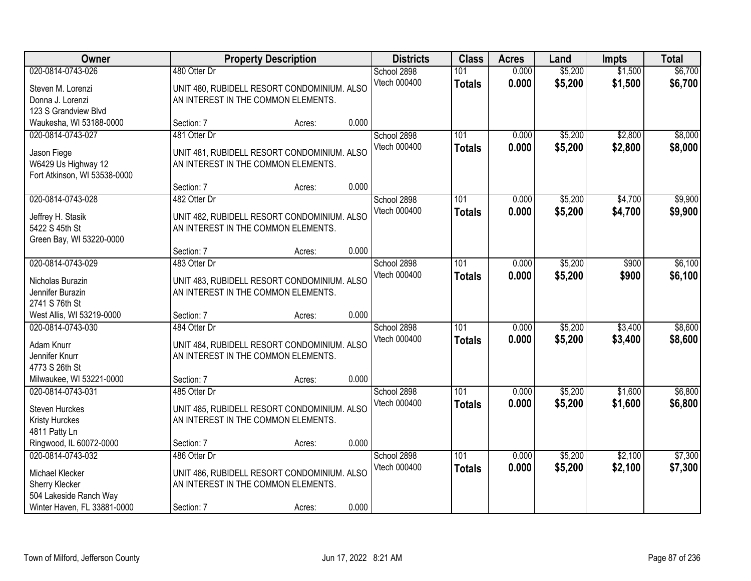| Owner                        |                                     | <b>Property Description</b>                 |       | <b>Districts</b> | <b>Class</b>     | <b>Acres</b> | Land    | <b>Impts</b> | <b>Total</b> |
|------------------------------|-------------------------------------|---------------------------------------------|-------|------------------|------------------|--------------|---------|--------------|--------------|
| 020-0814-0743-026            | 480 Otter Dr                        |                                             |       | School 2898      | 101              | 0.000        | \$5,200 | \$1,500      | \$6,700      |
| Steven M. Lorenzi            |                                     | UNIT 480, RUBIDELL RESORT CONDOMINIUM. ALSO |       | Vtech 000400     | <b>Totals</b>    | 0.000        | \$5,200 | \$1,500      | \$6,700      |
| Donna J. Lorenzi             | AN INTEREST IN THE COMMON ELEMENTS. |                                             |       |                  |                  |              |         |              |              |
| 123 S Grandview Blvd         |                                     |                                             |       |                  |                  |              |         |              |              |
| Waukesha, WI 53188-0000      | Section: 7                          | Acres:                                      | 0.000 |                  |                  |              |         |              |              |
| 020-0814-0743-027            | 481 Otter Dr                        |                                             |       | School 2898      | 101              | 0.000        | \$5,200 | \$2,800      | \$8,000      |
| Jason Fiege                  |                                     | UNIT 481, RUBIDELL RESORT CONDOMINIUM. ALSO |       | Vtech 000400     | <b>Totals</b>    | 0.000        | \$5,200 | \$2,800      | \$8,000      |
| W6429 Us Highway 12          | AN INTEREST IN THE COMMON ELEMENTS. |                                             |       |                  |                  |              |         |              |              |
| Fort Atkinson, WI 53538-0000 |                                     |                                             |       |                  |                  |              |         |              |              |
|                              | Section: 7                          | Acres:                                      | 0.000 |                  |                  |              |         |              |              |
| 020-0814-0743-028            | 482 Otter Dr                        |                                             |       | School 2898      | 101              | 0.000        | \$5,200 | \$4,700      | \$9,900      |
|                              |                                     |                                             |       | Vtech 000400     | <b>Totals</b>    | 0.000        | \$5,200 | \$4,700      | \$9,900      |
| Jeffrey H. Stasik            |                                     | UNIT 482, RUBIDELL RESORT CONDOMINIUM. ALSO |       |                  |                  |              |         |              |              |
| 5422 S 45th St               | AN INTEREST IN THE COMMON ELEMENTS. |                                             |       |                  |                  |              |         |              |              |
| Green Bay, WI 53220-0000     |                                     |                                             | 0.000 |                  |                  |              |         |              |              |
| 020-0814-0743-029            | Section: 7<br>483 Otter Dr          | Acres:                                      |       | School 2898      | 101              | 0.000        | \$5,200 | \$900        | \$6,100      |
|                              |                                     |                                             |       | Vtech 000400     |                  |              |         |              |              |
| Nicholas Burazin             |                                     | UNIT 483, RUBIDELL RESORT CONDOMINIUM. ALSO |       |                  | <b>Totals</b>    | 0.000        | \$5,200 | \$900        | \$6,100      |
| Jennifer Burazin             | AN INTEREST IN THE COMMON ELEMENTS. |                                             |       |                  |                  |              |         |              |              |
| 2741 S 76th St               |                                     |                                             |       |                  |                  |              |         |              |              |
| West Allis, WI 53219-0000    | Section: 7                          | Acres:                                      | 0.000 |                  |                  |              |         |              |              |
| 020-0814-0743-030            | 484 Otter Dr                        |                                             |       | School 2898      | $\overline{101}$ | 0.000        | \$5,200 | \$3,400      | \$8,600      |
| Adam Knurr                   |                                     | UNIT 484, RUBIDELL RESORT CONDOMINIUM. ALSO |       | Vtech 000400     | <b>Totals</b>    | 0.000        | \$5,200 | \$3,400      | \$8,600      |
| Jennifer Knurr               | AN INTEREST IN THE COMMON ELEMENTS. |                                             |       |                  |                  |              |         |              |              |
| 4773 S 26th St               |                                     |                                             |       |                  |                  |              |         |              |              |
| Milwaukee, WI 53221-0000     | Section: 7                          | Acres:                                      | 0.000 |                  |                  |              |         |              |              |
| 020-0814-0743-031            | 485 Otter Dr                        |                                             |       | School 2898      | 101              | 0.000        | \$5,200 | \$1,600      | \$6,800      |
| <b>Steven Hurckes</b>        |                                     | UNIT 485, RUBIDELL RESORT CONDOMINIUM. ALSO |       | Vtech 000400     | <b>Totals</b>    | 0.000        | \$5,200 | \$1,600      | \$6,800      |
| Kristy Hurckes               | AN INTEREST IN THE COMMON ELEMENTS. |                                             |       |                  |                  |              |         |              |              |
| 4811 Patty Ln                |                                     |                                             |       |                  |                  |              |         |              |              |
| Ringwood, IL 60072-0000      | Section: 7                          | Acres:                                      | 0.000 |                  |                  |              |         |              |              |
| 020-0814-0743-032            | 486 Otter Dr                        |                                             |       | School 2898      | 101              | 0.000        | \$5,200 | \$2,100      | \$7,300      |
|                              |                                     |                                             |       | Vtech 000400     | <b>Totals</b>    | 0.000        | \$5,200 | \$2,100      | \$7,300      |
| Michael Klecker              |                                     | UNIT 486, RUBIDELL RESORT CONDOMINIUM. ALSO |       |                  |                  |              |         |              |              |
| Sherry Klecker               | AN INTEREST IN THE COMMON ELEMENTS. |                                             |       |                  |                  |              |         |              |              |
| 504 Lakeside Ranch Way       |                                     |                                             | 0.000 |                  |                  |              |         |              |              |
| Winter Haven, FL 33881-0000  | Section: 7                          | Acres:                                      |       |                  |                  |              |         |              |              |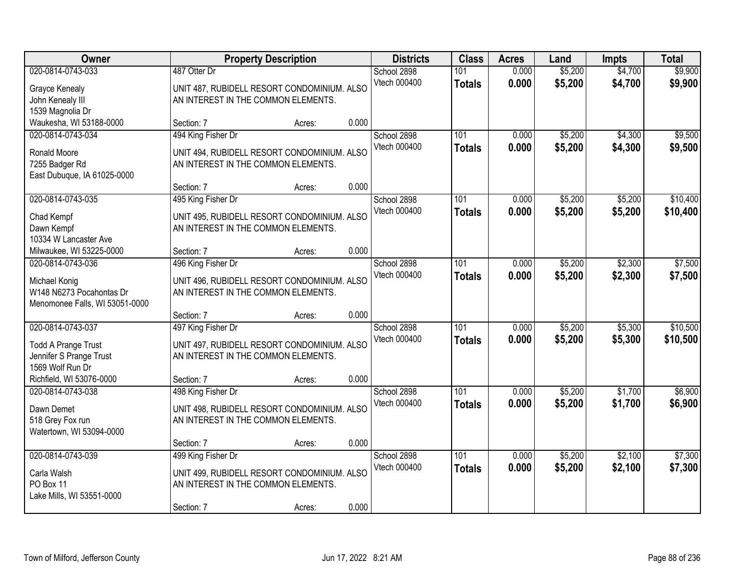| Owner                                                                                            |                                                                                                                        | <b>Property Description</b> |       | <b>Districts</b>            | <b>Class</b>         | <b>Acres</b>   | Land               | <b>Impts</b>       | <b>Total</b>         |
|--------------------------------------------------------------------------------------------------|------------------------------------------------------------------------------------------------------------------------|-----------------------------|-------|-----------------------------|----------------------|----------------|--------------------|--------------------|----------------------|
| 020-0814-0743-033<br>Grayce Kenealy<br>John Kenealy III<br>1539 Magnolia Dr                      | 487 Otter Dr<br>UNIT 487, RUBIDELL RESORT CONDOMINIUM. ALSO<br>AN INTEREST IN THE COMMON ELEMENTS.                     |                             |       | School 2898<br>Vtech 000400 | 101<br><b>Totals</b> | 0.000<br>0.000 | \$5,200<br>\$5,200 | \$4,700<br>\$4,700 | \$9,900<br>\$9,900   |
| Waukesha, WI 53188-0000                                                                          | Section: 7                                                                                                             | Acres:                      | 0.000 |                             |                      |                |                    |                    |                      |
| 020-0814-0743-034<br>Ronald Moore<br>7255 Badger Rd<br>East Dubuque, IA 61025-0000               | 494 King Fisher Dr<br>UNIT 494, RUBIDELL RESORT CONDOMINIUM. ALSO<br>AN INTEREST IN THE COMMON ELEMENTS.               |                             |       | School 2898<br>Vtech 000400 | 101<br><b>Totals</b> | 0.000<br>0.000 | \$5,200<br>\$5,200 | \$4,300<br>\$4,300 | \$9,500<br>\$9,500   |
|                                                                                                  | Section: 7                                                                                                             | Acres:                      | 0.000 |                             |                      |                |                    |                    |                      |
| 020-0814-0743-035<br>Chad Kempf<br>Dawn Kempf<br>10334 W Lancaster Ave                           | 495 King Fisher Dr<br>UNIT 495, RUBIDELL RESORT CONDOMINIUM. ALSO<br>AN INTEREST IN THE COMMON ELEMENTS.               |                             |       | School 2898<br>Vtech 000400 | 101<br><b>Totals</b> | 0.000<br>0.000 | \$5,200<br>\$5,200 | \$5,200<br>\$5,200 | \$10,400<br>\$10,400 |
| Milwaukee, WI 53225-0000                                                                         | Section: 7                                                                                                             | Acres:                      | 0.000 |                             |                      |                |                    |                    |                      |
| 020-0814-0743-036<br>Michael Konig<br>W148 N6273 Pocahontas Dr<br>Menomonee Falls, WI 53051-0000 | 496 King Fisher Dr<br>UNIT 496, RUBIDELL RESORT CONDOMINIUM. ALSO<br>AN INTEREST IN THE COMMON ELEMENTS.               |                             |       | School 2898<br>Vtech 000400 | 101<br><b>Totals</b> | 0.000<br>0.000 | \$5,200<br>\$5,200 | \$2,300<br>\$2,300 | \$7,500<br>\$7,500   |
|                                                                                                  | Section: 7                                                                                                             | Acres:                      | 0.000 |                             |                      |                |                    |                    |                      |
| 020-0814-0743-037<br><b>Todd A Prange Trust</b><br>Jennifer S Prange Trust<br>1569 Wolf Run Dr   | 497 King Fisher Dr<br>UNIT 497, RUBIDELL RESORT CONDOMINIUM. ALSO<br>AN INTEREST IN THE COMMON ELEMENTS.               |                             |       | School 2898<br>Vtech 000400 | 101<br><b>Totals</b> | 0.000<br>0.000 | \$5,200<br>\$5,200 | \$5,300<br>\$5,300 | \$10,500<br>\$10,500 |
| Richfield, WI 53076-0000                                                                         | Section: 7                                                                                                             | Acres:                      | 0.000 |                             |                      |                |                    |                    |                      |
| 020-0814-0743-038<br>Dawn Demet<br>518 Grey Fox run<br>Watertown, WI 53094-0000                  | 498 King Fisher Dr<br>UNIT 498, RUBIDELL RESORT CONDOMINIUM. ALSO<br>AN INTEREST IN THE COMMON ELEMENTS.               |                             |       | School 2898<br>Vtech 000400 | 101<br><b>Totals</b> | 0.000<br>0.000 | \$5,200<br>\$5,200 | \$1,700<br>\$1,700 | \$6,900<br>\$6,900   |
|                                                                                                  | Section: 7                                                                                                             | Acres:                      | 0.000 |                             |                      |                |                    |                    |                      |
| 020-0814-0743-039<br>Carla Walsh<br>PO Box 11<br>Lake Mills, WI 53551-0000                       | 499 King Fisher Dr<br>UNIT 499, RUBIDELL RESORT CONDOMINIUM. ALSO<br>AN INTEREST IN THE COMMON ELEMENTS.<br>Section: 7 | Acres:                      | 0.000 | School 2898<br>Vtech 000400 | 101<br><b>Totals</b> | 0.000<br>0.000 | \$5,200<br>\$5,200 | \$2,100<br>\$2,100 | \$7,300<br>\$7,300   |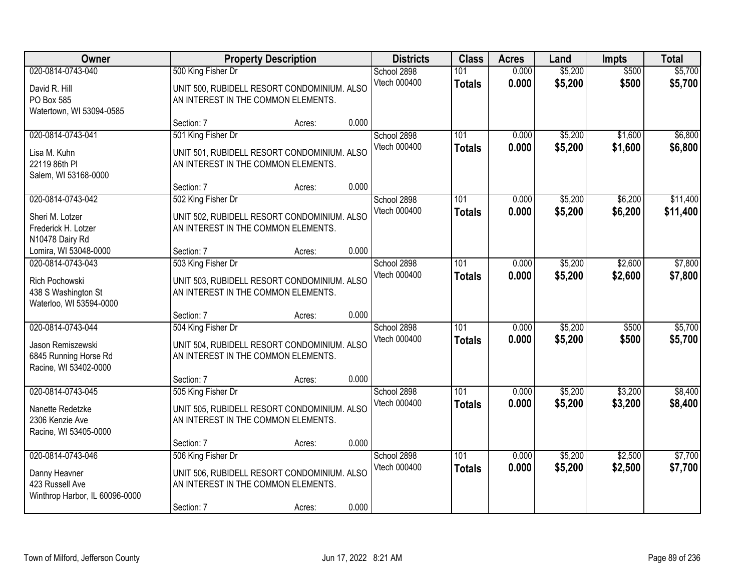| Owner                                                                                    |                                                                                                                        | <b>Property Description</b> |       | <b>Districts</b>            | <b>Class</b>         | <b>Acres</b>   | Land               | <b>Impts</b>       | <b>Total</b>         |
|------------------------------------------------------------------------------------------|------------------------------------------------------------------------------------------------------------------------|-----------------------------|-------|-----------------------------|----------------------|----------------|--------------------|--------------------|----------------------|
| 020-0814-0743-040<br>David R. Hill<br>PO Box 585<br>Watertown, WI 53094-0585             | 500 King Fisher Dr<br>UNIT 500, RUBIDELL RESORT CONDOMINIUM. ALSO<br>AN INTEREST IN THE COMMON ELEMENTS.               |                             |       | School 2898<br>Vtech 000400 | 101<br><b>Totals</b> | 0.000<br>0.000 | \$5,200<br>\$5,200 | \$500<br>\$500     | \$5,700<br>\$5,700   |
|                                                                                          | Section: 7                                                                                                             | Acres:                      | 0.000 |                             |                      |                |                    |                    |                      |
| 020-0814-0743-041<br>Lisa M. Kuhn<br>22119 86th PI<br>Salem, WI 53168-0000               | 501 King Fisher Dr<br>UNIT 501, RUBIDELL RESORT CONDOMINIUM. ALSO<br>AN INTEREST IN THE COMMON ELEMENTS.               |                             |       | School 2898<br>Vtech 000400 | 101<br><b>Totals</b> | 0.000<br>0.000 | \$5,200<br>\$5,200 | \$1,600<br>\$1,600 | \$6,800<br>\$6,800   |
|                                                                                          | Section: 7                                                                                                             | Acres:                      | 0.000 |                             |                      |                |                    |                    |                      |
| 020-0814-0743-042<br>Sheri M. Lotzer<br>Frederick H. Lotzer<br>N10478 Dairy Rd           | 502 King Fisher Dr<br>UNIT 502, RUBIDELL RESORT CONDOMINIUM. ALSO<br>AN INTEREST IN THE COMMON ELEMENTS.               |                             |       | School 2898<br>Vtech 000400 | 101<br><b>Totals</b> | 0.000<br>0.000 | \$5,200<br>\$5,200 | \$6,200<br>\$6,200 | \$11,400<br>\$11,400 |
| Lomira, WI 53048-0000                                                                    | Section: 7                                                                                                             | Acres:                      | 0.000 |                             |                      |                |                    |                    |                      |
| 020-0814-0743-043<br>Rich Pochowski<br>438 S Washington St<br>Waterloo, WI 53594-0000    | 503 King Fisher Dr<br>UNIT 503, RUBIDELL RESORT CONDOMINIUM. ALSO<br>AN INTEREST IN THE COMMON ELEMENTS.               |                             |       | School 2898<br>Vtech 000400 | 101<br><b>Totals</b> | 0.000<br>0.000 | \$5,200<br>\$5,200 | \$2,600<br>\$2,600 | \$7,800<br>\$7,800   |
|                                                                                          | Section: 7                                                                                                             | Acres:                      | 0.000 |                             |                      |                |                    |                    |                      |
| 020-0814-0743-044<br>Jason Remiszewski<br>6845 Running Horse Rd<br>Racine, WI 53402-0000 | 504 King Fisher Dr<br>UNIT 504, RUBIDELL RESORT CONDOMINIUM. ALSO<br>AN INTEREST IN THE COMMON ELEMENTS.               |                             |       | School 2898<br>Vtech 000400 | 101<br><b>Totals</b> | 0.000<br>0.000 | \$5,200<br>\$5,200 | \$500<br>\$500     | \$5,700<br>\$5,700   |
|                                                                                          | Section: 7                                                                                                             | Acres:                      | 0.000 |                             |                      |                |                    |                    |                      |
| 020-0814-0743-045<br>Nanette Redetzke<br>2306 Kenzie Ave<br>Racine, WI 53405-0000        | 505 King Fisher Dr<br>UNIT 505, RUBIDELL RESORT CONDOMINIUM. ALSO<br>AN INTEREST IN THE COMMON ELEMENTS.               |                             |       | School 2898<br>Vtech 000400 | 101<br><b>Totals</b> | 0.000<br>0.000 | \$5,200<br>\$5,200 | \$3,200<br>\$3,200 | \$8,400<br>\$8,400   |
|                                                                                          | Section: 7                                                                                                             | Acres:                      | 0.000 |                             |                      |                |                    |                    |                      |
| 020-0814-0743-046<br>Danny Heavner<br>423 Russell Ave<br>Winthrop Harbor, IL 60096-0000  | 506 King Fisher Dr<br>UNIT 506, RUBIDELL RESORT CONDOMINIUM. ALSO<br>AN INTEREST IN THE COMMON ELEMENTS.<br>Section: 7 | Acres:                      | 0.000 | School 2898<br>Vtech 000400 | 101<br><b>Totals</b> | 0.000<br>0.000 | \$5,200<br>\$5,200 | \$2,500<br>\$2,500 | \$7,700<br>\$7,700   |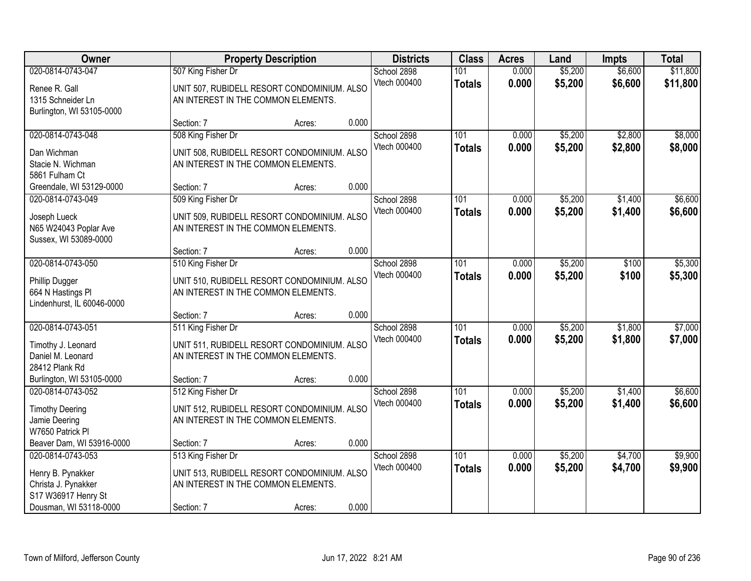| Owner                                                                                  |                                                           | <b>Property Description</b>                 |       | <b>Districts</b>            | <b>Class</b>                      | <b>Acres</b>   | Land               | <b>Impts</b>       | <b>Total</b>         |
|----------------------------------------------------------------------------------------|-----------------------------------------------------------|---------------------------------------------|-------|-----------------------------|-----------------------------------|----------------|--------------------|--------------------|----------------------|
| 020-0814-0743-047<br>Renee R. Gall<br>1315 Schneider Ln<br>Burlington, WI 53105-0000   | 507 King Fisher Dr<br>AN INTEREST IN THE COMMON ELEMENTS. | UNIT 507, RUBIDELL RESORT CONDOMINIUM. ALSO |       | School 2898<br>Vtech 000400 | 101<br><b>Totals</b>              | 0.000<br>0.000 | \$5,200<br>\$5,200 | \$6,600<br>\$6,600 | \$11,800<br>\$11,800 |
|                                                                                        | Section: 7                                                | Acres:                                      | 0.000 |                             |                                   |                |                    |                    |                      |
| 020-0814-0743-048<br>Dan Wichman<br>Stacie N. Wichman<br>5861 Fulham Ct                | 508 King Fisher Dr<br>AN INTEREST IN THE COMMON ELEMENTS. | UNIT 508, RUBIDELL RESORT CONDOMINIUM. ALSO |       | School 2898<br>Vtech 000400 | 101<br><b>Totals</b>              | 0.000<br>0.000 | \$5,200<br>\$5,200 | \$2,800<br>\$2,800 | \$8,000<br>\$8,000   |
| Greendale, WI 53129-0000                                                               | Section: 7                                                | Acres:                                      | 0.000 |                             |                                   |                |                    |                    |                      |
| 020-0814-0743-049<br>Joseph Lueck<br>N65 W24043 Poplar Ave<br>Sussex, WI 53089-0000    | 509 King Fisher Dr<br>AN INTEREST IN THE COMMON ELEMENTS. | UNIT 509, RUBIDELL RESORT CONDOMINIUM. ALSO |       | School 2898<br>Vtech 000400 | 101<br><b>Totals</b>              | 0.000<br>0.000 | \$5,200<br>\$5,200 | \$1,400<br>\$1,400 | \$6,600<br>\$6,600   |
|                                                                                        | Section: 7                                                | Acres:                                      | 0.000 |                             |                                   |                |                    |                    |                      |
| 020-0814-0743-050<br>Phillip Dugger<br>664 N Hastings PI<br>Lindenhurst, IL 60046-0000 | 510 King Fisher Dr<br>AN INTEREST IN THE COMMON ELEMENTS. | UNIT 510, RUBIDELL RESORT CONDOMINIUM. ALSO |       | School 2898<br>Vtech 000400 | 101<br><b>Totals</b>              | 0.000<br>0.000 | \$5,200<br>\$5,200 | \$100<br>\$100     | \$5,300<br>\$5,300   |
|                                                                                        | Section: 7                                                | Acres:                                      | 0.000 |                             |                                   |                |                    |                    |                      |
| 020-0814-0743-051<br>Timothy J. Leonard<br>Daniel M. Leonard<br>28412 Plank Rd         | 511 King Fisher Dr<br>AN INTEREST IN THE COMMON ELEMENTS. | UNIT 511, RUBIDELL RESORT CONDOMINIUM. ALSO |       | School 2898<br>Vtech 000400 | 101<br><b>Totals</b>              | 0.000<br>0.000 | \$5,200<br>\$5,200 | \$1,800<br>\$1,800 | \$7,000<br>\$7,000   |
| Burlington, WI 53105-0000                                                              | Section: 7                                                | Acres:                                      | 0.000 |                             |                                   |                |                    |                    |                      |
| 020-0814-0743-052<br><b>Timothy Deering</b><br>Jamie Deering<br>W7650 Patrick PI       | 512 King Fisher Dr<br>AN INTEREST IN THE COMMON ELEMENTS. | UNIT 512, RUBIDELL RESORT CONDOMINIUM. ALSO |       | School 2898<br>Vtech 000400 | $\overline{101}$<br><b>Totals</b> | 0.000<br>0.000 | \$5,200<br>\$5,200 | \$1,400<br>\$1,400 | \$6,600<br>\$6,600   |
| Beaver Dam, WI 53916-0000                                                              | Section: 7                                                | Acres:                                      | 0.000 |                             |                                   |                |                    |                    |                      |
| 020-0814-0743-053<br>Henry B. Pynakker<br>Christa J. Pynakker<br>S17 W36917 Henry St   | 513 King Fisher Dr<br>AN INTEREST IN THE COMMON ELEMENTS. | UNIT 513, RUBIDELL RESORT CONDOMINIUM. ALSO |       | School 2898<br>Vtech 000400 | 101<br><b>Totals</b>              | 0.000<br>0.000 | \$5,200<br>\$5,200 | \$4,700<br>\$4,700 | \$9,900<br>\$9,900   |
| Dousman, WI 53118-0000                                                                 | Section: 7                                                | Acres:                                      | 0.000 |                             |                                   |                |                    |                    |                      |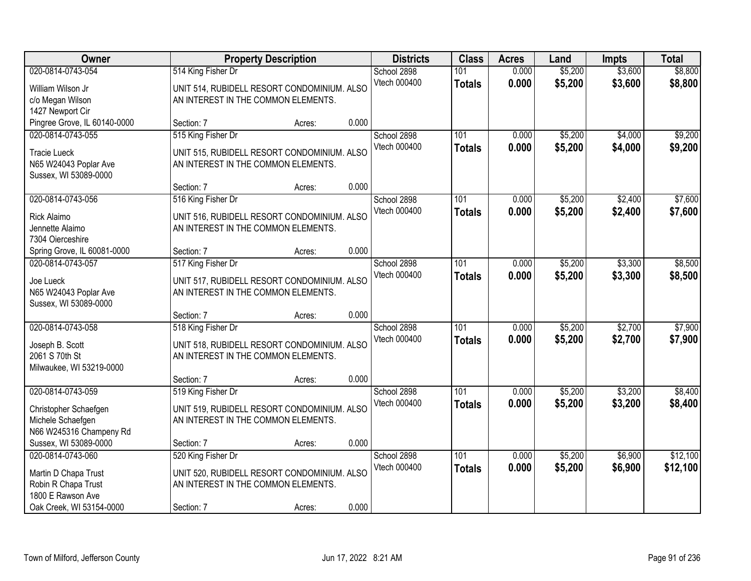| Owner                                                                                                             |                                                                                                          | <b>Property Description</b>                 | <b>Districts</b>                     | <b>Class</b>                      | <b>Acres</b>   | Land               | <b>Impts</b>       | <b>Total</b>         |
|-------------------------------------------------------------------------------------------------------------------|----------------------------------------------------------------------------------------------------------|---------------------------------------------|--------------------------------------|-----------------------------------|----------------|--------------------|--------------------|----------------------|
| 020-0814-0743-054<br>William Wilson Jr<br>c/o Megan Wilson<br>1427 Newport Cir                                    | 514 King Fisher Dr<br>UNIT 514, RUBIDELL RESORT CONDOMINIUM. ALSO<br>AN INTEREST IN THE COMMON ELEMENTS. |                                             | School 2898<br>Vtech 000400          | 101<br><b>Totals</b>              | 0.000<br>0.000 | \$5,200<br>\$5,200 | \$3,600<br>\$3,600 | \$8,800<br>\$8,800   |
| Pingree Grove, IL 60140-0000                                                                                      | Section: 7                                                                                               | Acres:                                      | 0.000                                |                                   |                |                    |                    |                      |
| 020-0814-0743-055<br><b>Tracie Lueck</b><br>N65 W24043 Poplar Ave<br>Sussex, WI 53089-0000                        | 515 King Fisher Dr<br>UNIT 515, RUBIDELL RESORT CONDOMINIUM. ALSO<br>AN INTEREST IN THE COMMON ELEMENTS. |                                             | School 2898<br>Vtech 000400          | 101<br><b>Totals</b>              | 0.000<br>0.000 | \$5,200<br>\$5,200 | \$4,000<br>\$4,000 | \$9,200<br>\$9,200   |
|                                                                                                                   | Section: 7                                                                                               | Acres:                                      | 0.000                                |                                   |                |                    |                    |                      |
| 020-0814-0743-056<br><b>Rick Alaimo</b><br>Jennette Alaimo<br>7304 Oierceshire                                    | 516 King Fisher Dr<br>UNIT 516, RUBIDELL RESORT CONDOMINIUM. ALSO<br>AN INTEREST IN THE COMMON ELEMENTS. |                                             | School 2898<br>Vtech 000400          | 101<br><b>Totals</b>              | 0.000<br>0.000 | \$5,200<br>\$5,200 | \$2,400<br>\$2,400 | \$7,600<br>\$7,600   |
| Spring Grove, IL 60081-0000                                                                                       | Section: 7                                                                                               | Acres:                                      | 0.000                                |                                   |                |                    |                    |                      |
| 020-0814-0743-057<br>Joe Lueck<br>N65 W24043 Poplar Ave<br>Sussex, WI 53089-0000                                  | 517 King Fisher Dr<br>AN INTEREST IN THE COMMON ELEMENTS.                                                | UNIT 517, RUBIDELL RESORT CONDOMINIUM. ALSO | School 2898<br>Vtech 000400          | 101<br><b>Totals</b>              | 0.000<br>0.000 | \$5,200<br>\$5,200 | \$3,300<br>\$3,300 | \$8,500<br>\$8,500   |
|                                                                                                                   | Section: 7                                                                                               | Acres:                                      | 0.000                                |                                   |                |                    |                    |                      |
| 020-0814-0743-058<br>Joseph B. Scott<br>2061 S 70th St<br>Milwaukee, WI 53219-0000                                | 518 King Fisher Dr<br>AN INTEREST IN THE COMMON ELEMENTS.                                                | UNIT 518, RUBIDELL RESORT CONDOMINIUM. ALSO | School 2898<br>Vtech 000400          | $\overline{101}$<br><b>Totals</b> | 0.000<br>0.000 | \$5,200<br>\$5,200 | \$2,700<br>\$2,700 | \$7,900<br>\$7,900   |
|                                                                                                                   | Section: 7                                                                                               | Acres:                                      | 0.000                                |                                   |                |                    |                    |                      |
| 020-0814-0743-059<br>Christopher Schaefgen<br>Michele Schaefgen<br>N66 W245316 Champeny Rd                        | 519 King Fisher Dr<br>UNIT 519, RUBIDELL RESORT CONDOMINIUM. ALSO<br>AN INTEREST IN THE COMMON ELEMENTS. |                                             | School 2898<br>Vtech 000400          | 101<br><b>Totals</b>              | 0.000<br>0.000 | \$5,200<br>\$5,200 | \$3,200<br>\$3,200 | \$8,400<br>\$8,400   |
| Sussex, WI 53089-0000                                                                                             | Section: 7                                                                                               | Acres:                                      | 0.000                                |                                   |                |                    |                    |                      |
| 020-0814-0743-060<br>Martin D Chapa Trust<br>Robin R Chapa Trust<br>1800 E Rawson Ave<br>Oak Creek, WI 53154-0000 | 520 King Fisher Dr<br>UNIT 520, RUBIDELL RESORT CONDOMINIUM. ALSO<br>AN INTEREST IN THE COMMON ELEMENTS. |                                             | School 2898<br>Vtech 000400<br>0.000 | 101<br><b>Totals</b>              | 0.000<br>0.000 | \$5,200<br>\$5,200 | \$6,900<br>\$6,900 | \$12,100<br>\$12,100 |
|                                                                                                                   | Section: 7                                                                                               | Acres:                                      |                                      |                                   |                |                    |                    |                      |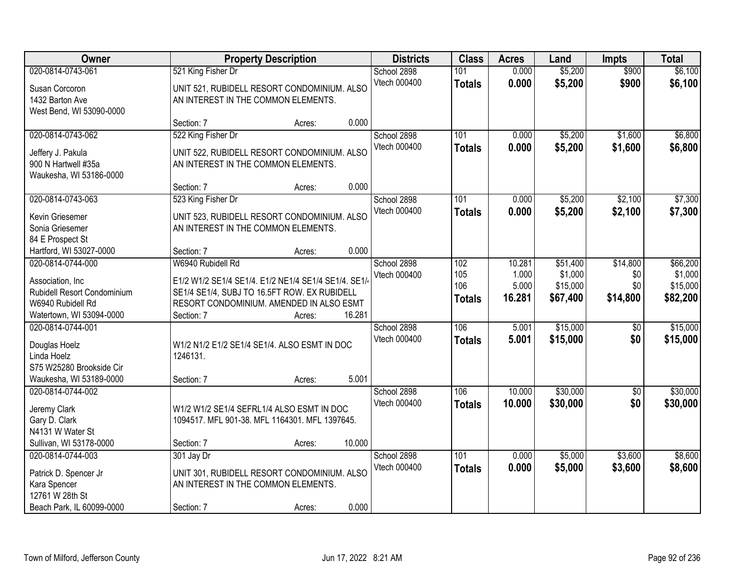| Owner                                                                                                                 |                                  | <b>Property Description</b>                                                                                                                                |        | <b>Districts</b>            | <b>Class</b>                       | <b>Acres</b>                       | Land                                        | <b>Impts</b>                       | <b>Total</b>                                |
|-----------------------------------------------------------------------------------------------------------------------|----------------------------------|------------------------------------------------------------------------------------------------------------------------------------------------------------|--------|-----------------------------|------------------------------------|------------------------------------|---------------------------------------------|------------------------------------|---------------------------------------------|
| 020-0814-0743-061<br>Susan Corcoron<br>1432 Barton Ave<br>West Bend, WI 53090-0000                                    | 521 King Fisher Dr               | UNIT 521, RUBIDELL RESORT CONDOMINIUM. ALSO<br>AN INTEREST IN THE COMMON ELEMENTS.                                                                         |        | School 2898<br>Vtech 000400 | 101<br><b>Totals</b>               | 0.000<br>0.000                     | \$5,200<br>\$5,200                          | \$900<br>\$900                     | \$6,100<br>\$6,100                          |
|                                                                                                                       | Section: 7                       | Acres:                                                                                                                                                     | 0.000  |                             |                                    |                                    |                                             |                                    |                                             |
| 020-0814-0743-062<br>Jeffery J. Pakula<br>900 N Hartwell #35a<br>Waukesha, WI 53186-0000                              | 522 King Fisher Dr<br>Section: 7 | UNIT 522, RUBIDELL RESORT CONDOMINIUM. ALSO<br>AN INTEREST IN THE COMMON ELEMENTS.<br>Acres:                                                               | 0.000  | School 2898<br>Vtech 000400 | 101<br><b>Totals</b>               | 0.000<br>0.000                     | \$5,200<br>\$5,200                          | \$1,600<br>\$1,600                 | \$6,800<br>\$6,800                          |
| 020-0814-0743-063                                                                                                     | 523 King Fisher Dr               |                                                                                                                                                            |        | School 2898                 | 101                                | 0.000                              | \$5,200                                     | \$2,100                            | \$7,300                                     |
| Kevin Griesemer<br>Sonia Griesemer<br>84 E Prospect St<br>Hartford, WI 53027-0000                                     | Section: 7                       | UNIT 523, RUBIDELL RESORT CONDOMINIUM. ALSO<br>AN INTEREST IN THE COMMON ELEMENTS.<br>Acres:                                                               | 0.000  | Vtech 000400                | <b>Totals</b>                      | 0.000                              | \$5,200                                     | \$2,100                            | \$7,300                                     |
| 020-0814-0744-000<br>Association, Inc<br>Rubidell Resort Condominium<br>W6940 Rubidell Rd<br>Watertown, WI 53094-0000 | W6940 Rubidell Rd<br>Section: 7  | E1/2 W1/2 SE1/4 SE1/4. E1/2 NE1/4 SE1/4 SE1/4. SE1/-<br>SE1/4 SE1/4, SUBJ TO 16.5FT ROW. EX RUBIDELL<br>RESORT CONDOMINIUM. AMENDED IN ALSO ESMT<br>Acres: | 16.281 | School 2898<br>Vtech 000400 | 102<br>105<br>106<br><b>Totals</b> | 10.281<br>1.000<br>5.000<br>16.281 | \$51,400<br>\$1,000<br>\$15,000<br>\$67,400 | \$14,800<br>\$0<br>\$0<br>\$14,800 | \$66,200<br>\$1,000<br>\$15,000<br>\$82,200 |
| 020-0814-0744-001<br>Douglas Hoelz<br>Linda Hoelz<br>S75 W25280 Brookside Cir<br>Waukesha, WI 53189-0000              | 1246131.<br>Section: 7           | W1/2 N1/2 E1/2 SE1/4 SE1/4. ALSO ESMT IN DOC<br>Acres:                                                                                                     | 5.001  | School 2898<br>Vtech 000400 | 106<br><b>Totals</b>               | 5.001<br>5.001                     | \$15,000<br>\$15,000                        | \$0<br>\$0                         | \$15,000<br>\$15,000                        |
| 020-0814-0744-002<br>Jeremy Clark<br>Gary D. Clark<br>N4131 W Water St<br>Sullivan, WI 53178-0000                     | Section: 7                       | W1/2 W1/2 SE1/4 SEFRL1/4 ALSO ESMT IN DOC<br>1094517. MFL 901-38. MFL 1164301. MFL 1397645.<br>Acres:                                                      | 10.000 | School 2898<br>Vtech 000400 | 106<br><b>Totals</b>               | 10.000<br>10.000                   | \$30,000<br>\$30,000                        | $\sqrt{$0}$<br>\$0                 | \$30,000<br>\$30,000                        |
| 020-0814-0744-003<br>Patrick D. Spencer Jr<br>Kara Spencer<br>12761 W 28th St<br>Beach Park, IL 60099-0000            | 301 Jay Dr<br>Section: 7         | UNIT 301, RUBIDELL RESORT CONDOMINIUM. ALSO<br>AN INTEREST IN THE COMMON ELEMENTS.<br>Acres:                                                               | 0.000  | School 2898<br>Vtech 000400 | 101<br><b>Totals</b>               | 0.000<br>0.000                     | \$5,000<br>\$5,000                          | \$3,600<br>\$3,600                 | \$8,600<br>\$8,600                          |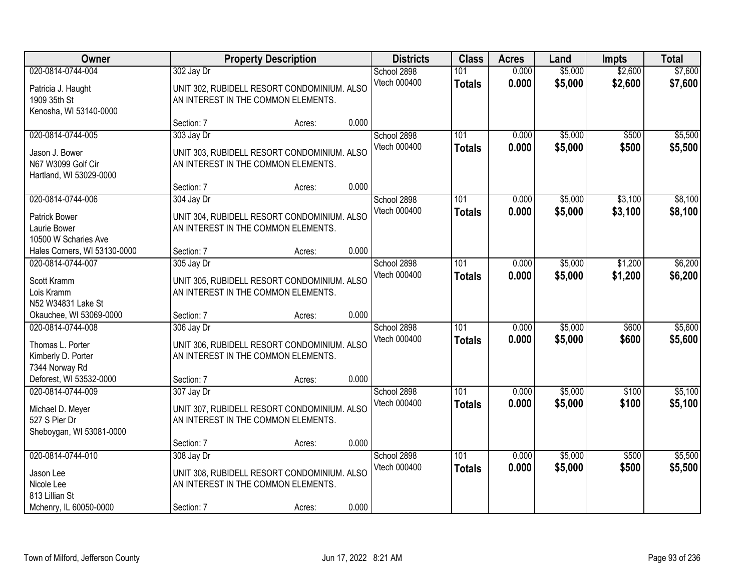| Owner                                                                                |            | <b>Property Description</b>                                                        |       | <b>Districts</b>            | <b>Class</b>         | <b>Acres</b>   | Land               | <b>Impts</b>       | <b>Total</b>       |
|--------------------------------------------------------------------------------------|------------|------------------------------------------------------------------------------------|-------|-----------------------------|----------------------|----------------|--------------------|--------------------|--------------------|
| 020-0814-0744-004<br>Patricia J. Haught<br>1909 35th St<br>Kenosha, WI 53140-0000    | 302 Jay Dr | UNIT 302, RUBIDELL RESORT CONDOMINIUM. ALSO<br>AN INTEREST IN THE COMMON ELEMENTS. |       | School 2898<br>Vtech 000400 | 101<br><b>Totals</b> | 0.000<br>0.000 | \$5,000<br>\$5,000 | \$2,600<br>\$2,600 | \$7,600<br>\$7,600 |
|                                                                                      | Section: 7 | Acres:                                                                             | 0.000 |                             |                      |                |                    |                    |                    |
| 020-0814-0744-005<br>Jason J. Bower<br>N67 W3099 Golf Cir<br>Hartland, WI 53029-0000 | 303 Jay Dr | UNIT 303, RUBIDELL RESORT CONDOMINIUM. ALSO<br>AN INTEREST IN THE COMMON ELEMENTS. |       | School 2898<br>Vtech 000400 | 101<br><b>Totals</b> | 0.000<br>0.000 | \$5,000<br>\$5,000 | \$500<br>\$500     | \$5,500<br>\$5,500 |
|                                                                                      | Section: 7 | Acres:                                                                             | 0.000 |                             |                      |                |                    |                    |                    |
| 020-0814-0744-006<br><b>Patrick Bower</b><br>Laurie Bower<br>10500 W Scharies Ave    | 304 Jay Dr | UNIT 304, RUBIDELL RESORT CONDOMINIUM. ALSO<br>AN INTEREST IN THE COMMON ELEMENTS. |       | School 2898<br>Vtech 000400 | 101<br><b>Totals</b> | 0.000<br>0.000 | \$5,000<br>\$5,000 | \$3,100<br>\$3,100 | \$8,100<br>\$8,100 |
| Hales Corners, WI 53130-0000                                                         | Section: 7 | Acres:                                                                             | 0.000 |                             |                      |                |                    |                    |                    |
| 020-0814-0744-007<br>Scott Kramm<br>Lois Kramm<br>N52 W34831 Lake St                 | 305 Jay Dr | UNIT 305, RUBIDELL RESORT CONDOMINIUM. ALSO<br>AN INTEREST IN THE COMMON ELEMENTS. |       | School 2898<br>Vtech 000400 | 101<br><b>Totals</b> | 0.000<br>0.000 | \$5,000<br>\$5,000 | \$1,200<br>\$1,200 | \$6,200<br>\$6,200 |
| Okauchee, WI 53069-0000                                                              | Section: 7 | Acres:                                                                             | 0.000 |                             |                      |                |                    |                    |                    |
| 020-0814-0744-008<br>Thomas L. Porter<br>Kimberly D. Porter<br>7344 Norway Rd        | 306 Jay Dr | UNIT 306, RUBIDELL RESORT CONDOMINIUM. ALSO<br>AN INTEREST IN THE COMMON ELEMENTS. |       | School 2898<br>Vtech 000400 | 101<br><b>Totals</b> | 0.000<br>0.000 | \$5,000<br>\$5,000 | \$600<br>\$600     | \$5,600<br>\$5,600 |
| Deforest, WI 53532-0000                                                              | Section: 7 | Acres:                                                                             | 0.000 |                             |                      |                |                    |                    |                    |
| 020-0814-0744-009<br>Michael D. Meyer<br>527 S Pier Dr<br>Sheboygan, WI 53081-0000   | 307 Jay Dr | UNIT 307, RUBIDELL RESORT CONDOMINIUM. ALSO<br>AN INTEREST IN THE COMMON ELEMENTS. |       | School 2898<br>Vtech 000400 | 101<br><b>Totals</b> | 0.000<br>0.000 | \$5,000<br>\$5,000 | \$100<br>\$100     | \$5,100<br>\$5,100 |
|                                                                                      | Section: 7 | Acres:                                                                             | 0.000 |                             |                      |                |                    |                    |                    |
| 020-0814-0744-010<br>Jason Lee<br>Nicole Lee<br>813 Lillian St                       | 308 Jay Dr | UNIT 308, RUBIDELL RESORT CONDOMINIUM. ALSO<br>AN INTEREST IN THE COMMON ELEMENTS. |       | School 2898<br>Vtech 000400 | 101<br><b>Totals</b> | 0.000<br>0.000 | \$5,000<br>\$5,000 | \$500<br>\$500     | \$5,500<br>\$5,500 |
| Mchenry, IL 60050-0000                                                               | Section: 7 | Acres:                                                                             | 0.000 |                             |                      |                |                    |                    |                    |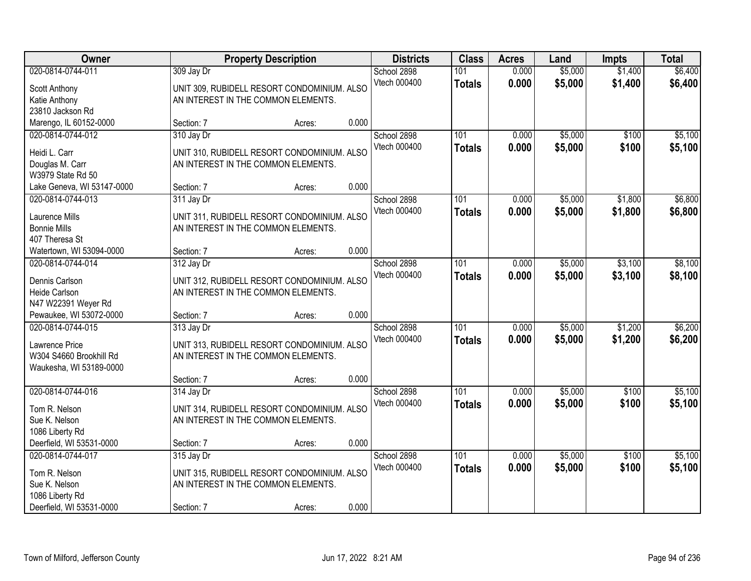| Owner                                 |                                     | <b>Property Description</b>                 |       | <b>Districts</b> | <b>Class</b>     | <b>Acres</b> | Land    | <b>Impts</b> | <b>Total</b> |
|---------------------------------------|-------------------------------------|---------------------------------------------|-------|------------------|------------------|--------------|---------|--------------|--------------|
| 020-0814-0744-011                     | 309 Jay Dr                          |                                             |       | School 2898      | 101              | 0.000        | \$5,000 | \$1,400      | \$6,400      |
| Scott Anthony                         |                                     | UNIT 309, RUBIDELL RESORT CONDOMINIUM. ALSO |       | Vtech 000400     | <b>Totals</b>    | 0.000        | \$5,000 | \$1,400      | \$6,400      |
| Katie Anthony                         | AN INTEREST IN THE COMMON ELEMENTS. |                                             |       |                  |                  |              |         |              |              |
| 23810 Jackson Rd                      |                                     |                                             |       |                  |                  |              |         |              |              |
| Marengo, IL 60152-0000                | Section: 7                          | Acres:                                      | 0.000 |                  |                  |              |         |              |              |
| 020-0814-0744-012                     | 310 Jay Dr                          |                                             |       | School 2898      | 101              | 0.000        | \$5,000 | \$100        | \$5,100      |
| Heidi L. Carr                         |                                     | UNIT 310, RUBIDELL RESORT CONDOMINIUM. ALSO |       | Vtech 000400     | <b>Totals</b>    | 0.000        | \$5,000 | \$100        | \$5,100      |
| Douglas M. Carr                       | AN INTEREST IN THE COMMON ELEMENTS. |                                             |       |                  |                  |              |         |              |              |
| W3979 State Rd 50                     |                                     |                                             |       |                  |                  |              |         |              |              |
| Lake Geneva, WI 53147-0000            | Section: 7                          | Acres:                                      | 0.000 |                  |                  |              |         |              |              |
| 020-0814-0744-013                     | 311 Jay Dr                          |                                             |       | School 2898      | 101              | 0.000        | \$5,000 | \$1,800      | \$6,800      |
|                                       |                                     |                                             |       | Vtech 000400     | <b>Totals</b>    | 0.000        | \$5,000 | \$1,800      | \$6,800      |
| Laurence Mills<br><b>Bonnie Mills</b> | AN INTEREST IN THE COMMON ELEMENTS. | UNIT 311, RUBIDELL RESORT CONDOMINIUM. ALSO |       |                  |                  |              |         |              |              |
| 407 Theresa St                        |                                     |                                             |       |                  |                  |              |         |              |              |
| Watertown, WI 53094-0000              | Section: 7                          | Acres:                                      | 0.000 |                  |                  |              |         |              |              |
| 020-0814-0744-014                     | 312 Jay Dr                          |                                             |       | School 2898      | 101              | 0.000        | \$5,000 | \$3,100      | \$8,100      |
|                                       |                                     |                                             |       | Vtech 000400     | <b>Totals</b>    | 0.000        | \$5,000 | \$3,100      | \$8,100      |
| Dennis Carlson                        |                                     | UNIT 312, RUBIDELL RESORT CONDOMINIUM. ALSO |       |                  |                  |              |         |              |              |
| Heide Carlson                         | AN INTEREST IN THE COMMON ELEMENTS. |                                             |       |                  |                  |              |         |              |              |
| N47 W22391 Weyer Rd                   |                                     |                                             |       |                  |                  |              |         |              |              |
| Pewaukee, WI 53072-0000               | Section: 7                          | Acres:                                      | 0.000 |                  | 101              |              |         |              |              |
| 020-0814-0744-015                     | 313 Jay Dr                          |                                             |       | School 2898      |                  | 0.000        | \$5,000 | \$1,200      | \$6,200      |
| Lawrence Price                        |                                     | UNIT 313, RUBIDELL RESORT CONDOMINIUM. ALSO |       | Vtech 000400     | <b>Totals</b>    | 0.000        | \$5,000 | \$1,200      | \$6,200      |
| W304 S4660 Brookhill Rd               | AN INTEREST IN THE COMMON ELEMENTS. |                                             |       |                  |                  |              |         |              |              |
| Waukesha, WI 53189-0000               |                                     |                                             |       |                  |                  |              |         |              |              |
|                                       | Section: 7                          | Acres:                                      | 0.000 |                  |                  |              |         |              |              |
| 020-0814-0744-016                     | 314 Jay Dr                          |                                             |       | School 2898      | $\overline{101}$ | 0.000        | \$5,000 | \$100        | \$5,100      |
| Tom R. Nelson                         |                                     | UNIT 314, RUBIDELL RESORT CONDOMINIUM. ALSO |       | Vtech 000400     | <b>Totals</b>    | 0.000        | \$5,000 | \$100        | \$5,100      |
| Sue K. Nelson                         | AN INTEREST IN THE COMMON ELEMENTS. |                                             |       |                  |                  |              |         |              |              |
| 1086 Liberty Rd                       |                                     |                                             |       |                  |                  |              |         |              |              |
| Deerfield, WI 53531-0000              | Section: 7                          | Acres:                                      | 0.000 |                  |                  |              |         |              |              |
| 020-0814-0744-017                     | 315 Jay Dr                          |                                             |       | School 2898      | 101              | 0.000        | \$5,000 | \$100        | \$5,100      |
| Tom R. Nelson                         |                                     | UNIT 315, RUBIDELL RESORT CONDOMINIUM. ALSO |       | Vtech 000400     | <b>Totals</b>    | 0.000        | \$5,000 | \$100        | \$5,100      |
| Sue K. Nelson                         | AN INTEREST IN THE COMMON ELEMENTS. |                                             |       |                  |                  |              |         |              |              |
| 1086 Liberty Rd                       |                                     |                                             |       |                  |                  |              |         |              |              |
| Deerfield, WI 53531-0000              | Section: 7                          | Acres:                                      | 0.000 |                  |                  |              |         |              |              |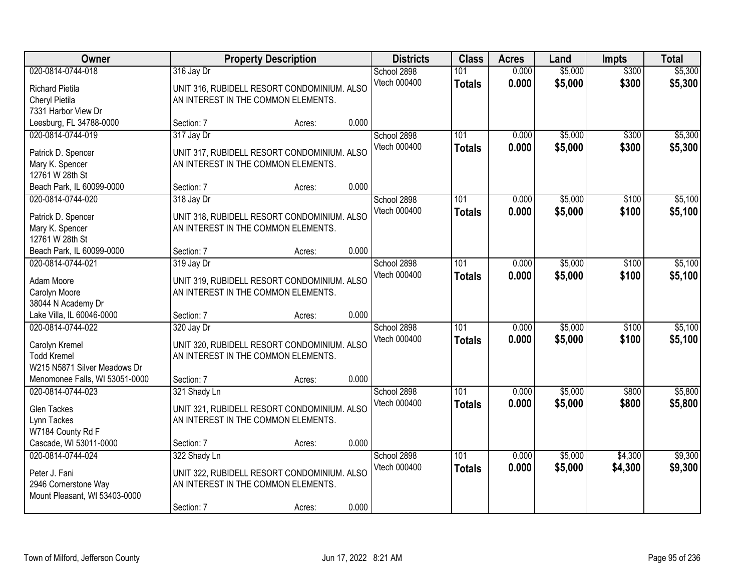| Owner                          |                                     | <b>Property Description</b>                 |       | <b>Districts</b> | <b>Class</b>  | <b>Acres</b> | Land    | <b>Impts</b> | <b>Total</b> |
|--------------------------------|-------------------------------------|---------------------------------------------|-------|------------------|---------------|--------------|---------|--------------|--------------|
| 020-0814-0744-018              | 316 Jay Dr                          |                                             |       | School 2898      | 101           | 0.000        | \$5,000 | \$300        | \$5,300      |
| <b>Richard Pietila</b>         |                                     | UNIT 316, RUBIDELL RESORT CONDOMINIUM. ALSO |       | Vtech 000400     | <b>Totals</b> | 0.000        | \$5,000 | \$300        | \$5,300      |
| Cheryl Pietila                 | AN INTEREST IN THE COMMON ELEMENTS. |                                             |       |                  |               |              |         |              |              |
| 7331 Harbor View Dr            |                                     |                                             |       |                  |               |              |         |              |              |
| Leesburg, FL 34788-0000        | Section: 7                          | Acres:                                      | 0.000 |                  |               |              |         |              |              |
| 020-0814-0744-019              | 317 Jay Dr                          |                                             |       | School 2898      | 101           | 0.000        | \$5,000 | \$300        | \$5,300      |
| Patrick D. Spencer             |                                     | UNIT 317, RUBIDELL RESORT CONDOMINIUM. ALSO |       | Vtech 000400     | <b>Totals</b> | 0.000        | \$5,000 | \$300        | \$5,300      |
| Mary K. Spencer                | AN INTEREST IN THE COMMON ELEMENTS. |                                             |       |                  |               |              |         |              |              |
| 12761 W 28th St                |                                     |                                             |       |                  |               |              |         |              |              |
| Beach Park, IL 60099-0000      | Section: 7                          | Acres:                                      | 0.000 |                  |               |              |         |              |              |
| 020-0814-0744-020              | 318 Jay Dr                          |                                             |       | School 2898      | 101           | 0.000        | \$5,000 | \$100        | \$5,100      |
| Patrick D. Spencer             |                                     | UNIT 318, RUBIDELL RESORT CONDOMINIUM. ALSO |       | Vtech 000400     | <b>Totals</b> | 0.000        | \$5,000 | \$100        | \$5,100      |
| Mary K. Spencer                | AN INTEREST IN THE COMMON ELEMENTS. |                                             |       |                  |               |              |         |              |              |
| 12761 W 28th St                |                                     |                                             |       |                  |               |              |         |              |              |
| Beach Park, IL 60099-0000      | Section: 7                          | Acres:                                      | 0.000 |                  |               |              |         |              |              |
| 020-0814-0744-021              | 319 Jay Dr                          |                                             |       | School 2898      | 101           | 0.000        | \$5,000 | \$100        | \$5,100      |
| Adam Moore                     |                                     | UNIT 319, RUBIDELL RESORT CONDOMINIUM. ALSO |       | Vtech 000400     | <b>Totals</b> | 0.000        | \$5,000 | \$100        | \$5,100      |
| Carolyn Moore                  | AN INTEREST IN THE COMMON ELEMENTS. |                                             |       |                  |               |              |         |              |              |
| 38044 N Academy Dr             |                                     |                                             |       |                  |               |              |         |              |              |
| Lake Villa, IL 60046-0000      | Section: 7                          | Acres:                                      | 0.000 |                  |               |              |         |              |              |
| 020-0814-0744-022              | 320 Jay Dr                          |                                             |       | School 2898      | 101           | 0.000        | \$5,000 | \$100        | \$5,100      |
| Carolyn Kremel                 |                                     | UNIT 320, RUBIDELL RESORT CONDOMINIUM. ALSO |       | Vtech 000400     | <b>Totals</b> | 0.000        | \$5,000 | \$100        | \$5,100      |
| <b>Todd Kremel</b>             | AN INTEREST IN THE COMMON ELEMENTS. |                                             |       |                  |               |              |         |              |              |
| W215 N5871 Silver Meadows Dr   |                                     |                                             |       |                  |               |              |         |              |              |
| Menomonee Falls, WI 53051-0000 | Section: 7                          | Acres:                                      | 0.000 |                  |               |              |         |              |              |
| 020-0814-0744-023              | 321 Shady Ln                        |                                             |       | School 2898      | 101           | 0.000        | \$5,000 | \$800        | \$5,800      |
| <b>Glen Tackes</b>             |                                     | UNIT 321, RUBIDELL RESORT CONDOMINIUM. ALSO |       | Vtech 000400     | <b>Totals</b> | 0.000        | \$5,000 | \$800        | \$5,800      |
| Lynn Tackes                    | AN INTEREST IN THE COMMON ELEMENTS. |                                             |       |                  |               |              |         |              |              |
| W7184 County Rd F              |                                     |                                             |       |                  |               |              |         |              |              |
| Cascade, WI 53011-0000         | Section: 7                          | Acres:                                      | 0.000 |                  |               |              |         |              |              |
| 020-0814-0744-024              | 322 Shady Ln                        |                                             |       | School 2898      | 101           | 0.000        | \$5,000 | \$4,300      | \$9,300      |
| Peter J. Fani                  |                                     | UNIT 322, RUBIDELL RESORT CONDOMINIUM. ALSO |       | Vtech 000400     | <b>Totals</b> | 0.000        | \$5,000 | \$4,300      | \$9,300      |
| 2946 Cornerstone Way           | AN INTEREST IN THE COMMON ELEMENTS. |                                             |       |                  |               |              |         |              |              |
| Mount Pleasant, WI 53403-0000  |                                     |                                             |       |                  |               |              |         |              |              |
|                                | Section: 7                          | Acres:                                      | 0.000 |                  |               |              |         |              |              |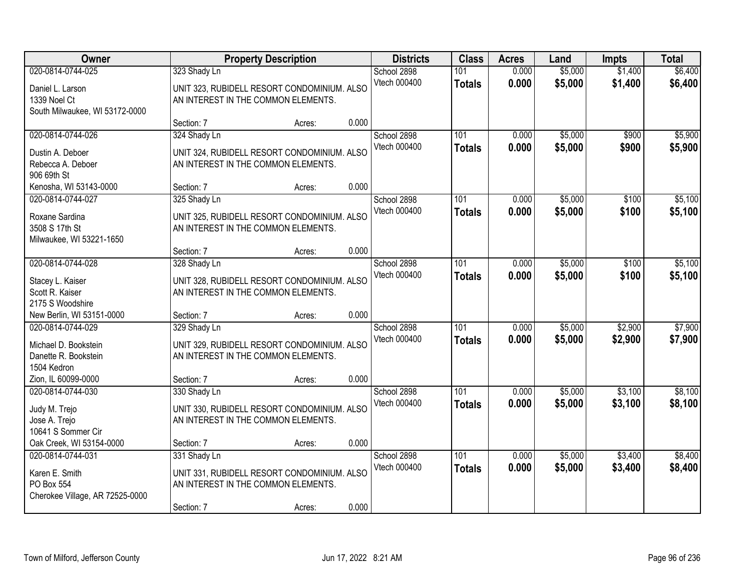| Owner                                                                                   |                                                                   | <b>Property Description</b>                           |       | <b>Districts</b>            | <b>Class</b>         | <b>Acres</b>   | Land               | <b>Impts</b>       | <b>Total</b>       |
|-----------------------------------------------------------------------------------------|-------------------------------------------------------------------|-------------------------------------------------------|-------|-----------------------------|----------------------|----------------|--------------------|--------------------|--------------------|
| 020-0814-0744-025<br>Daniel L. Larson<br>1339 Noel Ct<br>South Milwaukee, WI 53172-0000 | 323 Shady Ln<br>AN INTEREST IN THE COMMON ELEMENTS.               | UNIT 323, RUBIDELL RESORT CONDOMINIUM. ALSO           |       | School 2898<br>Vtech 000400 | 101<br><b>Totals</b> | 0.000<br>0.000 | \$5,000<br>\$5,000 | \$1,400<br>\$1,400 | \$6,400<br>\$6,400 |
|                                                                                         | Section: 7                                                        | Acres:                                                | 0.000 |                             |                      |                |                    |                    |                    |
| 020-0814-0744-026<br>Dustin A. Deboer<br>Rebecca A. Deboer<br>906 69th St               | 324 Shady Ln<br>AN INTEREST IN THE COMMON ELEMENTS.               | UNIT 324, RUBIDELL RESORT CONDOMINIUM. ALSO           |       | School 2898<br>Vtech 000400 | 101<br><b>Totals</b> | 0.000<br>0.000 | \$5,000<br>\$5,000 | \$900<br>\$900     | \$5,900<br>\$5,900 |
| Kenosha, WI 53143-0000                                                                  | Section: 7                                                        | Acres:                                                | 0.000 |                             |                      |                |                    |                    |                    |
| 020-0814-0744-027<br>Roxane Sardina<br>3508 S 17th St<br>Milwaukee, WI 53221-1650       | 325 Shady Ln<br>AN INTEREST IN THE COMMON ELEMENTS.               | UNIT 325, RUBIDELL RESORT CONDOMINIUM. ALSO           |       | School 2898<br>Vtech 000400 | 101<br><b>Totals</b> | 0.000<br>0.000 | \$5,000<br>\$5,000 | \$100<br>\$100     | \$5,100<br>\$5,100 |
|                                                                                         | Section: 7                                                        | Acres:                                                | 0.000 |                             |                      |                |                    |                    |                    |
| 020-0814-0744-028<br>Stacey L. Kaiser<br>Scott R. Kaiser<br>2175 S Woodshire            | 328 Shady Ln<br>AN INTEREST IN THE COMMON ELEMENTS.               | UNIT 328, RUBIDELL RESORT CONDOMINIUM. ALSO           |       | School 2898<br>Vtech 000400 | 101<br><b>Totals</b> | 0.000<br>0.000 | \$5,000<br>\$5,000 | \$100<br>\$100     | \$5,100<br>\$5,100 |
| New Berlin, WI 53151-0000                                                               | Section: 7                                                        | Acres:                                                | 0.000 |                             |                      |                |                    |                    |                    |
| 020-0814-0744-029<br>Michael D. Bookstein<br>Danette R. Bookstein<br>1504 Kedron        | 329 Shady Ln<br>AN INTEREST IN THE COMMON ELEMENTS.               | UNIT 329, RUBIDELL RESORT CONDOMINIUM. ALSO           |       | School 2898<br>Vtech 000400 | 101<br><b>Totals</b> | 0.000<br>0.000 | \$5,000<br>\$5,000 | \$2,900<br>\$2,900 | \$7,900<br>\$7,900 |
| Zion, IL 60099-0000                                                                     | Section: 7                                                        | Acres:                                                | 0.000 |                             |                      |                |                    |                    |                    |
| 020-0814-0744-030<br>Judy M. Trejo<br>Jose A. Trejo<br>10641 S Sommer Cir               | 330 Shady Ln<br>AN INTEREST IN THE COMMON ELEMENTS.               | UNIT 330, RUBIDELL RESORT CONDOMINIUM. ALSO           |       | School 2898<br>Vtech 000400 | 101<br><b>Totals</b> | 0.000<br>0.000 | \$5,000<br>\$5,000 | \$3,100<br>\$3,100 | \$8,100<br>\$8,100 |
| Oak Creek, WI 53154-0000                                                                | Section: 7                                                        | Acres:                                                | 0.000 |                             |                      |                |                    |                    |                    |
| 020-0814-0744-031<br>Karen E. Smith<br>PO Box 554<br>Cherokee Village, AR 72525-0000    | 331 Shady Ln<br>AN INTEREST IN THE COMMON ELEMENTS.<br>Section: 7 | UNIT 331, RUBIDELL RESORT CONDOMINIUM. ALSO<br>Acres: | 0.000 | School 2898<br>Vtech 000400 | 101<br><b>Totals</b> | 0.000<br>0.000 | \$5,000<br>\$5,000 | \$3,400<br>\$3,400 | \$8,400<br>\$8,400 |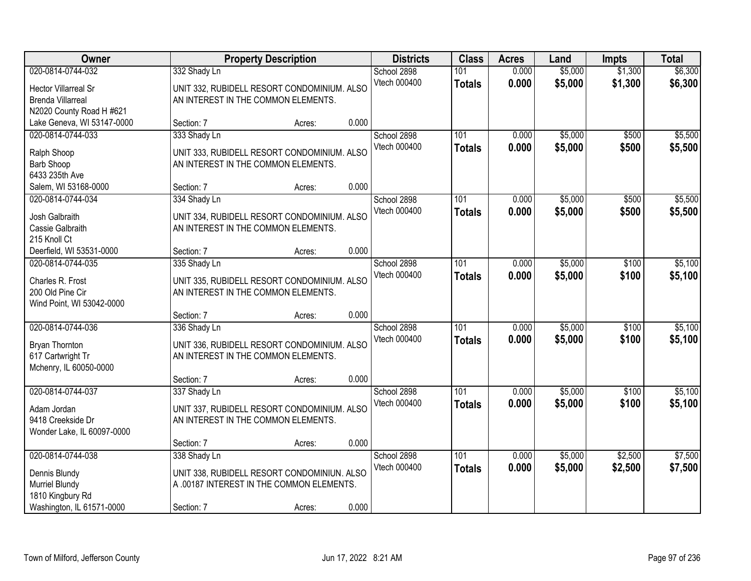| Owner                                                                                                    |                            | <b>Property Description</b>                                                                        |       | <b>Districts</b>            | <b>Class</b>               | <b>Acres</b>   | Land               | <b>Impts</b>       | <b>Total</b>       |
|----------------------------------------------------------------------------------------------------------|----------------------------|----------------------------------------------------------------------------------------------------|-------|-----------------------------|----------------------------|----------------|--------------------|--------------------|--------------------|
| 020-0814-0744-032<br><b>Hector Villarreal Sr</b><br><b>Brenda Villarreal</b><br>N2020 County Road H #621 | 332 Shady Ln               | UNIT 332, RUBIDELL RESORT CONDOMINIUM. ALSO<br>AN INTEREST IN THE COMMON ELEMENTS.                 |       | School 2898<br>Vtech 000400 | 101<br><b>Totals</b>       | 0.000<br>0.000 | \$5,000<br>\$5,000 | \$1,300<br>\$1,300 | \$6,300<br>\$6,300 |
| Lake Geneva, WI 53147-0000                                                                               | Section: 7                 | Acres:                                                                                             | 0.000 |                             |                            |                |                    |                    |                    |
| 020-0814-0744-033<br>Ralph Shoop<br>Barb Shoop<br>6433 235th Ave                                         | 333 Shady Ln               | UNIT 333, RUBIDELL RESORT CONDOMINIUM. ALSO<br>AN INTEREST IN THE COMMON ELEMENTS.                 |       | School 2898<br>Vtech 000400 | 101<br><b>Totals</b>       | 0.000<br>0.000 | \$5,000<br>\$5,000 | \$500<br>\$500     | \$5,500<br>\$5,500 |
| Salem, WI 53168-0000                                                                                     | Section: 7                 | Acres:                                                                                             | 0.000 |                             |                            |                |                    |                    |                    |
| 020-0814-0744-034<br>Josh Galbraith<br>Cassie Galbraith<br>215 Knoll Ct                                  | 334 Shady Ln               | UNIT 334, RUBIDELL RESORT CONDOMINIUM. ALSO<br>AN INTEREST IN THE COMMON ELEMENTS.                 |       | School 2898<br>Vtech 000400 | 101<br><b>Totals</b>       | 0.000<br>0.000 | \$5,000<br>\$5,000 | \$500<br>\$500     | \$5,500<br>\$5,500 |
| Deerfield, WI 53531-0000                                                                                 | Section: 7                 | Acres:                                                                                             | 0.000 |                             |                            |                |                    |                    |                    |
| 020-0814-0744-035<br>Charles R. Frost<br>200 Old Pine Cir<br>Wind Point, WI 53042-0000                   | 335 Shady Ln               | UNIT 335, RUBIDELL RESORT CONDOMINIUM. ALSO<br>AN INTEREST IN THE COMMON ELEMENTS.                 |       | School 2898<br>Vtech 000400 | 101<br><b>Totals</b>       | 0.000<br>0.000 | \$5,000<br>\$5,000 | \$100<br>\$100     | \$5,100<br>\$5,100 |
|                                                                                                          | Section: 7                 | Acres:                                                                                             | 0.000 |                             |                            |                |                    |                    |                    |
| 020-0814-0744-036<br>Bryan Thornton<br>617 Cartwright Tr<br>Mchenry, IL 60050-0000                       | 336 Shady Ln               | UNIT 336, RUBIDELL RESORT CONDOMINIUM. ALSO<br>AN INTEREST IN THE COMMON ELEMENTS.                 |       | School 2898<br>Vtech 000400 | $\overline{101}$<br>Totals | 0.000<br>0.000 | \$5,000<br>\$5,000 | \$100<br>\$100     | \$5,100<br>\$5,100 |
|                                                                                                          | Section: 7                 | Acres:                                                                                             | 0.000 |                             |                            |                |                    |                    |                    |
| 020-0814-0744-037<br>Adam Jordan<br>9418 Creekside Dr<br>Wonder Lake, IL 60097-0000                      | 337 Shady Ln               | UNIT 337, RUBIDELL RESORT CONDOMINIUM. ALSO<br>AN INTEREST IN THE COMMON ELEMENTS.                 |       | School 2898<br>Vtech 000400 | 101<br><b>Totals</b>       | 0.000<br>0.000 | \$5,000<br>\$5,000 | \$100<br>\$100     | \$5,100<br>\$5,100 |
|                                                                                                          | Section: 7                 | Acres:                                                                                             | 0.000 |                             |                            |                |                    |                    |                    |
| 020-0814-0744-038<br>Dennis Blundy<br>Murriel Blundy<br>1810 Kingbury Rd<br>Washington, IL 61571-0000    | 338 Shady Ln<br>Section: 7 | UNIT 338, RUBIDELL RESORT CONDOMINIUN. ALSO<br>A .00187 INTEREST IN THE COMMON ELEMENTS.<br>Acres: | 0.000 | School 2898<br>Vtech 000400 | 101<br><b>Totals</b>       | 0.000<br>0.000 | \$5,000<br>\$5,000 | \$2,500<br>\$2,500 | \$7,500<br>\$7,500 |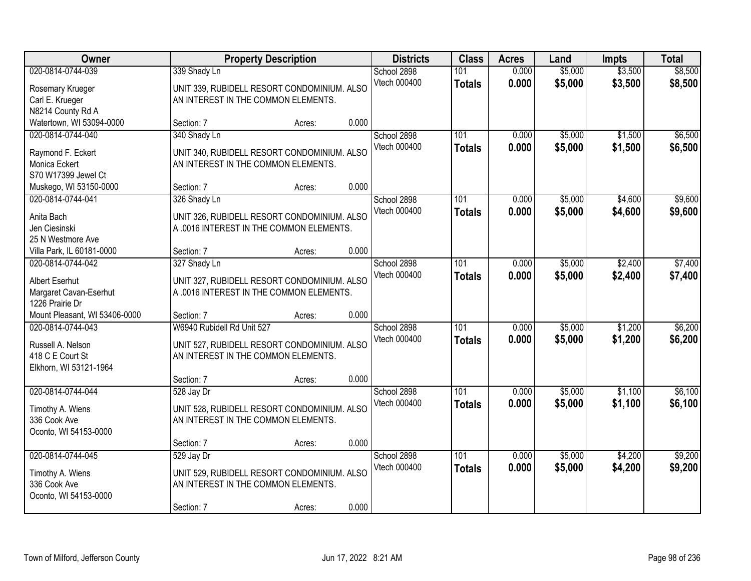| Owner                                                                                |                            | <b>Property Description</b>                                                                  |       | <b>Districts</b>            | <b>Class</b>         | <b>Acres</b>   | Land               | <b>Impts</b>       | <b>Total</b>       |
|--------------------------------------------------------------------------------------|----------------------------|----------------------------------------------------------------------------------------------|-------|-----------------------------|----------------------|----------------|--------------------|--------------------|--------------------|
| 020-0814-0744-039<br>Rosemary Krueger<br>Carl E. Krueger                             | 339 Shady Ln               | UNIT 339, RUBIDELL RESORT CONDOMINIUM. ALSO<br>AN INTEREST IN THE COMMON ELEMENTS.           |       | School 2898<br>Vtech 000400 | 101<br><b>Totals</b> | 0.000<br>0.000 | \$5,000<br>\$5,000 | \$3,500<br>\$3,500 | \$8,500<br>\$8,500 |
| N8214 County Rd A<br>Watertown, WI 53094-0000                                        | Section: 7                 | Acres:                                                                                       | 0.000 |                             |                      |                |                    |                    |                    |
| 020-0814-0744-040<br>Raymond F. Eckert<br>Monica Eckert<br>S70 W17399 Jewel Ct       | 340 Shady Ln               | UNIT 340, RUBIDELL RESORT CONDOMINIUM. ALSO<br>AN INTEREST IN THE COMMON ELEMENTS.           |       | School 2898<br>Vtech 000400 | 101<br><b>Totals</b> | 0.000<br>0.000 | \$5,000<br>\$5,000 | \$1,500<br>\$1,500 | \$6,500<br>\$6,500 |
| Muskego, WI 53150-0000                                                               | Section: 7                 | Acres:                                                                                       | 0.000 |                             |                      |                |                    |                    |                    |
| 020-0814-0744-041<br>Anita Bach<br>Jen Ciesinski<br>25 N Westmore Ave                | 326 Shady Ln               | UNIT 326, RUBIDELL RESORT CONDOMINIUM. ALSO<br>A .0016 INTEREST IN THE COMMON ELEMENTS.      |       | School 2898<br>Vtech 000400 | 101<br><b>Totals</b> | 0.000<br>0.000 | \$5,000<br>\$5,000 | \$4,600<br>\$4,600 | \$9,600<br>\$9,600 |
| Villa Park, IL 60181-0000                                                            | Section: 7                 | Acres:                                                                                       | 0.000 |                             |                      |                |                    |                    |                    |
| 020-0814-0744-042<br>Albert Eserhut<br>Margaret Cavan-Eserhut<br>1226 Prairie Dr     | 327 Shady Ln               | UNIT 327, RUBIDELL RESORT CONDOMINIUM. ALSO<br>A .0016 INTEREST IN THE COMMON ELEMENTS.      |       | School 2898<br>Vtech 000400 | 101<br><b>Totals</b> | 0.000<br>0.000 | \$5,000<br>\$5,000 | \$2,400<br>\$2,400 | \$7,400<br>\$7,400 |
| Mount Pleasant, WI 53406-0000                                                        | Section: 7                 | Acres:                                                                                       | 0.000 |                             |                      |                |                    |                    |                    |
| 020-0814-0744-043<br>Russell A. Nelson<br>418 C E Court St<br>Elkhorn, WI 53121-1964 | W6940 Rubidell Rd Unit 527 | UNIT 527, RUBIDELL RESORT CONDOMINIUM. ALSO<br>AN INTEREST IN THE COMMON ELEMENTS.           |       | School 2898<br>Vtech 000400 | 101<br><b>Totals</b> | 0.000<br>0.000 | \$5,000<br>\$5,000 | \$1,200<br>\$1,200 | \$6,200<br>\$6,200 |
|                                                                                      | Section: 7                 | Acres:                                                                                       | 0.000 |                             |                      |                |                    |                    |                    |
| 020-0814-0744-044<br>Timothy A. Wiens<br>336 Cook Ave<br>Oconto, WI 54153-0000       | 528 Jay Dr                 | UNIT 528, RUBIDELL RESORT CONDOMINIUM. ALSO<br>AN INTEREST IN THE COMMON ELEMENTS.           |       | School 2898<br>Vtech 000400 | 101<br><b>Totals</b> | 0.000<br>0.000 | \$5,000<br>\$5,000 | \$1,100<br>\$1,100 | \$6,100<br>\$6,100 |
|                                                                                      | Section: 7                 | Acres:                                                                                       | 0.000 |                             |                      |                |                    |                    |                    |
| 020-0814-0744-045<br>Timothy A. Wiens<br>336 Cook Ave<br>Oconto, WI 54153-0000       | 529 Jay Dr<br>Section: 7   | UNIT 529, RUBIDELL RESORT CONDOMINIUM. ALSO<br>AN INTEREST IN THE COMMON ELEMENTS.<br>Acres: | 0.000 | School 2898<br>Vtech 000400 | 101<br><b>Totals</b> | 0.000<br>0.000 | \$5,000<br>\$5,000 | \$4,200<br>\$4,200 | \$9,200<br>\$9,200 |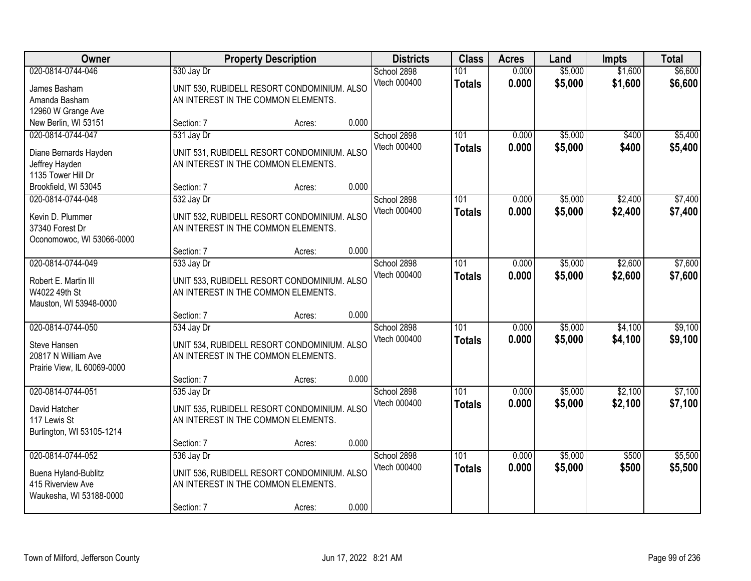| Owner                                                                                     |                          | <b>Property Description</b>                                                                  |       | <b>Districts</b>            | <b>Class</b>         | <b>Acres</b>   | Land               | <b>Impts</b>       | <b>Total</b>       |
|-------------------------------------------------------------------------------------------|--------------------------|----------------------------------------------------------------------------------------------|-------|-----------------------------|----------------------|----------------|--------------------|--------------------|--------------------|
| 020-0814-0744-046<br>James Basham<br>Amanda Basham<br>12960 W Grange Ave                  | 530 Jay Dr               | UNIT 530, RUBIDELL RESORT CONDOMINIUM. ALSO<br>AN INTEREST IN THE COMMON ELEMENTS.           |       | School 2898<br>Vtech 000400 | 101<br><b>Totals</b> | 0.000<br>0.000 | \$5,000<br>\$5,000 | \$1,600<br>\$1,600 | \$6,600<br>\$6,600 |
| New Berlin, WI 53151                                                                      | Section: 7               | Acres:                                                                                       | 0.000 |                             |                      |                |                    |                    |                    |
| 020-0814-0744-047<br>Diane Bernards Hayden<br>Jeffrey Hayden<br>1135 Tower Hill Dr        | 531 Jay Dr               | UNIT 531, RUBIDELL RESORT CONDOMINIUM. ALSO<br>AN INTEREST IN THE COMMON ELEMENTS.           |       | School 2898<br>Vtech 000400 | 101<br><b>Totals</b> | 0.000<br>0.000 | \$5,000<br>\$5,000 | \$400<br>\$400     | \$5,400<br>\$5,400 |
| Brookfield, WI 53045                                                                      | Section: 7               | Acres:                                                                                       | 0.000 |                             |                      |                |                    |                    |                    |
| 020-0814-0744-048<br>Kevin D. Plummer<br>37340 Forest Dr<br>Oconomowoc, WI 53066-0000     | 532 Jay Dr               | UNIT 532, RUBIDELL RESORT CONDOMINIUM. ALSO<br>AN INTEREST IN THE COMMON ELEMENTS.           |       | School 2898<br>Vtech 000400 | 101<br><b>Totals</b> | 0.000<br>0.000 | \$5,000<br>\$5,000 | \$2,400<br>\$2,400 | \$7,400<br>\$7,400 |
|                                                                                           | Section: 7               | Acres:                                                                                       | 0.000 |                             |                      |                |                    |                    |                    |
| 020-0814-0744-049<br>Robert E. Martin III<br>W4022 49th St<br>Mauston, WI 53948-0000      | 533 Jay Dr               | UNIT 533, RUBIDELL RESORT CONDOMINIUM. ALSO<br>AN INTEREST IN THE COMMON ELEMENTS.           |       | School 2898<br>Vtech 000400 | 101<br><b>Totals</b> | 0.000<br>0.000 | \$5,000<br>\$5,000 | \$2,600<br>\$2,600 | \$7,600<br>\$7,600 |
|                                                                                           | Section: 7               | Acres:                                                                                       | 0.000 |                             |                      |                |                    |                    |                    |
| 020-0814-0744-050<br>Steve Hansen<br>20817 N William Ave<br>Prairie View, IL 60069-0000   | 534 Jay Dr               | UNIT 534, RUBIDELL RESORT CONDOMINIUM. ALSO<br>AN INTEREST IN THE COMMON ELEMENTS.           |       | School 2898<br>Vtech 000400 | 101<br><b>Totals</b> | 0.000<br>0.000 | \$5,000<br>\$5,000 | \$4,100<br>\$4,100 | \$9,100<br>\$9,100 |
|                                                                                           | Section: 7               | Acres:                                                                                       | 0.000 |                             |                      |                |                    |                    |                    |
| 020-0814-0744-051<br>David Hatcher<br>117 Lewis St<br>Burlington, WI 53105-1214           | 535 Jay Dr               | UNIT 535, RUBIDELL RESORT CONDOMINIUM. ALSO<br>AN INTEREST IN THE COMMON ELEMENTS.           |       | School 2898<br>Vtech 000400 | 101<br><b>Totals</b> | 0.000<br>0.000 | \$5,000<br>\$5,000 | \$2,100<br>\$2,100 | \$7,100<br>\$7,100 |
|                                                                                           | Section: 7               | Acres:                                                                                       | 0.000 |                             |                      |                |                    |                    |                    |
| 020-0814-0744-052<br>Buena Hyland-Bublitz<br>415 Riverview Ave<br>Waukesha, WI 53188-0000 | 536 Jay Dr<br>Section: 7 | UNIT 536, RUBIDELL RESORT CONDOMINIUM. ALSO<br>AN INTEREST IN THE COMMON ELEMENTS.<br>Acres: | 0.000 | School 2898<br>Vtech 000400 | 101<br><b>Totals</b> | 0.000<br>0.000 | \$5,000<br>\$5,000 | \$500<br>\$500     | \$5,500<br>\$5,500 |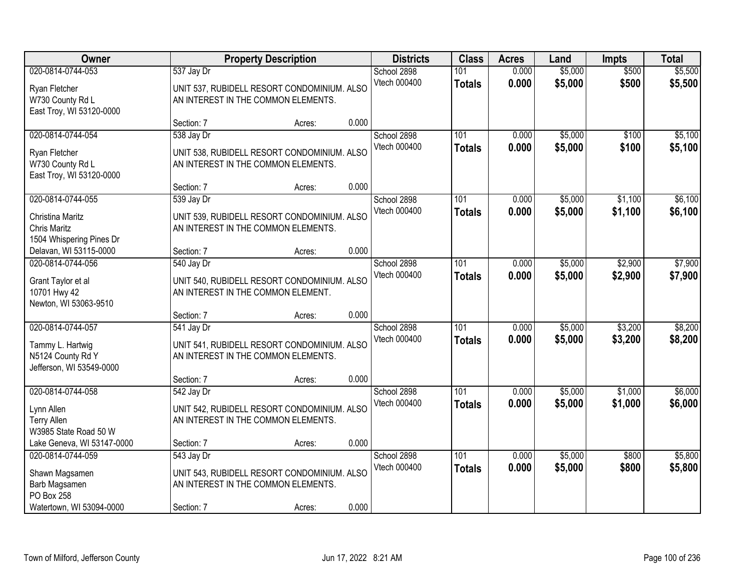| Owner                                                                          |                                                   | <b>Property Description</b>                 |       | <b>Districts</b>            | <b>Class</b>                      | <b>Acres</b>   | Land               | <b>Impts</b>       | <b>Total</b>       |
|--------------------------------------------------------------------------------|---------------------------------------------------|---------------------------------------------|-------|-----------------------------|-----------------------------------|----------------|--------------------|--------------------|--------------------|
| 020-0814-0744-053                                                              | 537 Jay Dr                                        |                                             |       | School 2898<br>Vtech 000400 | 101<br><b>Totals</b>              | 0.000<br>0.000 | \$5,000<br>\$5,000 | \$500<br>\$500     | \$5,500<br>\$5,500 |
| Ryan Fletcher<br>W730 County Rd L<br>East Troy, WI 53120-0000                  | AN INTEREST IN THE COMMON ELEMENTS.               | UNIT 537, RUBIDELL RESORT CONDOMINIUM. ALSO |       |                             |                                   |                |                    |                    |                    |
|                                                                                | Section: 7                                        | Acres:                                      | 0.000 |                             |                                   |                |                    |                    |                    |
| 020-0814-0744-054<br>Ryan Fletcher<br>W730 County Rd L                         | 538 Jay Dr<br>AN INTEREST IN THE COMMON ELEMENTS. | UNIT 538, RUBIDELL RESORT CONDOMINIUM. ALSO |       | School 2898<br>Vtech 000400 | 101<br><b>Totals</b>              | 0.000<br>0.000 | \$5,000<br>\$5,000 | \$100<br>\$100     | \$5,100<br>\$5,100 |
| East Troy, WI 53120-0000                                                       | Section: 7                                        | Acres:                                      | 0.000 |                             |                                   |                |                    |                    |                    |
| 020-0814-0744-055                                                              | 539 Jay Dr                                        |                                             |       | School 2898                 | 101                               | 0.000          | \$5,000            | \$1,100            | \$6,100            |
| Christina Maritz<br><b>Chris Maritz</b><br>1504 Whispering Pines Dr            | AN INTEREST IN THE COMMON ELEMENTS.               | UNIT 539, RUBIDELL RESORT CONDOMINIUM. ALSO |       | Vtech 000400                | <b>Totals</b>                     | 0.000          | \$5,000            | \$1,100            | \$6,100            |
| Delavan, WI 53115-0000                                                         | Section: 7                                        | Acres:                                      | 0.000 |                             |                                   |                |                    |                    |                    |
| 020-0814-0744-056<br>Grant Taylor et al                                        | 540 Jay Dr                                        | UNIT 540, RUBIDELL RESORT CONDOMINIUM. ALSO |       | School 2898<br>Vtech 000400 | 101<br><b>Totals</b>              | 0.000<br>0.000 | \$5,000<br>\$5,000 | \$2,900<br>\$2,900 | \$7,900<br>\$7,900 |
| 10701 Hwy 42<br>Newton, WI 53063-9510                                          | AN INTEREST IN THE COMMON ELEMENT.<br>Section: 7  | Acres:                                      | 0.000 |                             |                                   |                |                    |                    |                    |
| 020-0814-0744-057                                                              | 541 Jay Dr                                        |                                             |       | School 2898                 | 101                               | 0.000          | \$5,000            | \$3,200            | \$8,200            |
| Tammy L. Hartwig<br>N5124 County Rd Y<br>Jefferson, WI 53549-0000              | AN INTEREST IN THE COMMON ELEMENTS.               | UNIT 541, RUBIDELL RESORT CONDOMINIUM. ALSO |       | Vtech 000400                | <b>Totals</b>                     | 0.000          | \$5,000            | \$3,200            | \$8,200            |
|                                                                                | Section: 7                                        | Acres:                                      | 0.000 |                             |                                   |                |                    |                    |                    |
| 020-0814-0744-058<br>Lynn Allen<br><b>Terry Allen</b><br>W3985 State Road 50 W | 542 Jay Dr<br>AN INTEREST IN THE COMMON ELEMENTS. | UNIT 542, RUBIDELL RESORT CONDOMINIUM. ALSO |       | School 2898<br>Vtech 000400 | $\overline{101}$<br><b>Totals</b> | 0.000<br>0.000 | \$5,000<br>\$5,000 | \$1,000<br>\$1,000 | \$6,000<br>\$6,000 |
| Lake Geneva, WI 53147-0000                                                     | Section: 7                                        | Acres:                                      | 0.000 |                             |                                   |                |                    |                    |                    |
| 020-0814-0744-059<br>Shawn Magsamen<br>Barb Magsamen<br>PO Box 258             | 543 Jay Dr<br>AN INTEREST IN THE COMMON ELEMENTS. | UNIT 543, RUBIDELL RESORT CONDOMINIUM. ALSO |       | School 2898<br>Vtech 000400 | 101<br><b>Totals</b>              | 0.000<br>0.000 | \$5,000<br>\$5,000 | \$800<br>\$800     | \$5,800<br>\$5,800 |
| Watertown, WI 53094-0000                                                       | Section: 7                                        | Acres:                                      | 0.000 |                             |                                   |                |                    |                    |                    |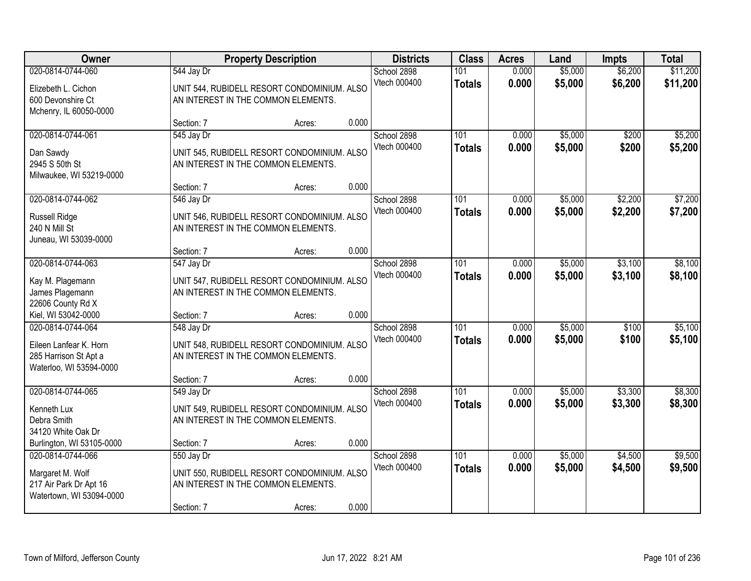| Owner<br><b>Property Description</b><br>020-0814-0744-060<br>544 Jay Dr<br>UNIT 544, RUBIDELL RESORT CONDOMINIUM. ALSO<br>Elizebeth L. Cichon<br>600 Devonshire Ct<br>AN INTEREST IN THE COMMON ELEMENTS.<br>Mchenry, IL 60050-0000 |                          | <b>Districts</b>                                                                             | <b>Class</b> | <b>Acres</b>                | Land                 | <b>Impts</b>   | <b>Total</b>       |                    |                      |
|-------------------------------------------------------------------------------------------------------------------------------------------------------------------------------------------------------------------------------------|--------------------------|----------------------------------------------------------------------------------------------|--------------|-----------------------------|----------------------|----------------|--------------------|--------------------|----------------------|
|                                                                                                                                                                                                                                     |                          |                                                                                              |              | School 2898<br>Vtech 000400 | 101<br><b>Totals</b> | 0.000<br>0.000 | \$5,000<br>\$5,000 | \$6,200<br>\$6,200 | \$11,200<br>\$11,200 |
|                                                                                                                                                                                                                                     | Section: 7               | Acres:                                                                                       | 0.000        |                             |                      |                |                    |                    |                      |
| 020-0814-0744-061<br>Dan Sawdy<br>2945 S 50th St<br>Milwaukee, WI 53219-0000                                                                                                                                                        | 545 Jay Dr               | UNIT 545, RUBIDELL RESORT CONDOMINIUM. ALSO<br>AN INTEREST IN THE COMMON ELEMENTS.           |              | School 2898<br>Vtech 000400 | 101<br><b>Totals</b> | 0.000<br>0.000 | \$5,000<br>\$5,000 | \$200<br>\$200     | \$5,200<br>\$5,200   |
|                                                                                                                                                                                                                                     | Section: 7               | Acres:                                                                                       | 0.000        |                             |                      |                |                    |                    |                      |
| 020-0814-0744-062<br>Russell Ridge<br>240 N Mill St<br>Juneau, WI 53039-0000                                                                                                                                                        | 546 Jay Dr               | UNIT 546, RUBIDELL RESORT CONDOMINIUM. ALSO<br>AN INTEREST IN THE COMMON ELEMENTS.           |              | School 2898<br>Vtech 000400 | 101<br><b>Totals</b> | 0.000<br>0.000 | \$5,000<br>\$5,000 | \$2,200<br>\$2,200 | \$7,200<br>\$7,200   |
|                                                                                                                                                                                                                                     | Section: 7               | Acres:                                                                                       | 0.000        |                             |                      |                |                    |                    |                      |
| 020-0814-0744-063<br>Kay M. Plagemann<br>James Plagemann<br>22606 County Rd X                                                                                                                                                       | 547 Jay Dr               | UNIT 547, RUBIDELL RESORT CONDOMINIUM. ALSO<br>AN INTEREST IN THE COMMON ELEMENTS.           |              | School 2898<br>Vtech 000400 | 101<br><b>Totals</b> | 0.000<br>0.000 | \$5,000<br>\$5,000 | \$3,100<br>\$3,100 | \$8,100<br>\$8,100   |
| Kiel, WI 53042-0000                                                                                                                                                                                                                 | Section: 7               | Acres:                                                                                       | 0.000        |                             |                      |                |                    |                    |                      |
| 020-0814-0744-064<br>Eileen Lanfear K. Horn<br>285 Harrison St Apt a<br>Waterloo, WI 53594-0000                                                                                                                                     | 548 Jay Dr               | UNIT 548, RUBIDELL RESORT CONDOMINIUM. ALSO<br>AN INTEREST IN THE COMMON ELEMENTS.           |              | School 2898<br>Vtech 000400 | 101<br><b>Totals</b> | 0.000<br>0.000 | \$5,000<br>\$5,000 | \$100<br>\$100     | \$5,100<br>\$5,100   |
|                                                                                                                                                                                                                                     | Section: 7               | Acres:                                                                                       | 0.000        |                             |                      |                |                    |                    |                      |
| 020-0814-0744-065<br>Kenneth Lux<br>Debra Smith<br>34120 White Oak Dr                                                                                                                                                               | 549 Jay Dr               | UNIT 549, RUBIDELL RESORT CONDOMINIUM. ALSO<br>AN INTEREST IN THE COMMON ELEMENTS.           |              | School 2898<br>Vtech 000400 | 101<br><b>Totals</b> | 0.000<br>0.000 | \$5,000<br>\$5,000 | \$3,300<br>\$3,300 | \$8,300<br>\$8,300   |
| Burlington, WI 53105-0000                                                                                                                                                                                                           | Section: 7               | Acres:                                                                                       | 0.000        |                             |                      |                |                    |                    |                      |
| 020-0814-0744-066<br>Margaret M. Wolf<br>217 Air Park Dr Apt 16<br>Watertown, WI 53094-0000                                                                                                                                         | 550 Jay Dr<br>Section: 7 | UNIT 550, RUBIDELL RESORT CONDOMINIUM. ALSO<br>AN INTEREST IN THE COMMON ELEMENTS.<br>Acres: | 0.000        | School 2898<br>Vtech 000400 | 101<br><b>Totals</b> | 0.000<br>0.000 | \$5,000<br>\$5,000 | \$4,500<br>\$4,500 | \$9,500<br>\$9,500   |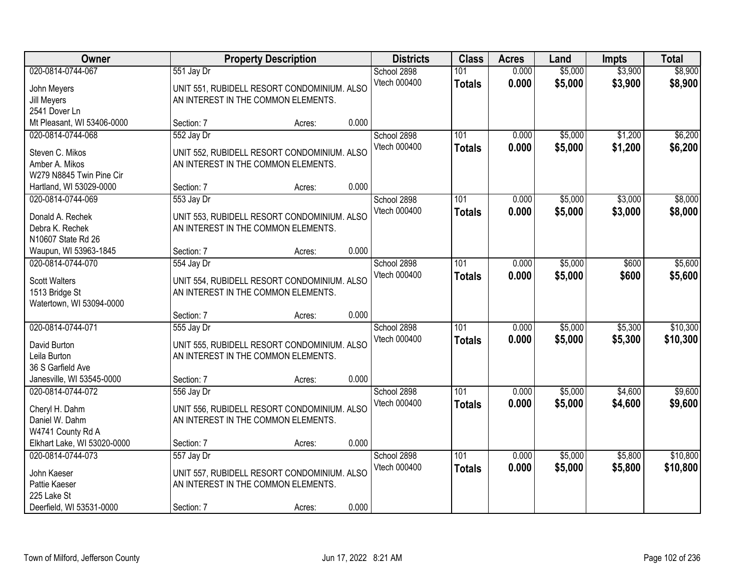| Owner                                 |            | <b>Property Description</b>                                                        |       | <b>Districts</b>            | <b>Class</b>         | <b>Acres</b>   | Land               | <b>Impts</b>       | <b>Total</b>       |
|---------------------------------------|------------|------------------------------------------------------------------------------------|-------|-----------------------------|----------------------|----------------|--------------------|--------------------|--------------------|
| 020-0814-0744-067<br>John Meyers      | 551 Jay Dr | UNIT 551, RUBIDELL RESORT CONDOMINIUM. ALSO                                        |       | School 2898<br>Vtech 000400 | 101<br><b>Totals</b> | 0.000<br>0.000 | \$5,000<br>\$5,000 | \$3,900<br>\$3,900 | \$8,900<br>\$8,900 |
| Jill Meyers                           |            | AN INTEREST IN THE COMMON ELEMENTS.                                                |       |                             |                      |                |                    |                    |                    |
| 2541 Dover Ln                         |            |                                                                                    |       |                             |                      |                |                    |                    |                    |
| Mt Pleasant, WI 53406-0000            | Section: 7 | Acres:                                                                             | 0.000 |                             |                      |                |                    |                    |                    |
| 020-0814-0744-068                     | 552 Jay Dr |                                                                                    |       | School 2898                 | 101                  | 0.000          | \$5,000            | \$1,200            | \$6,200            |
| Steven C. Mikos                       |            | UNIT 552, RUBIDELL RESORT CONDOMINIUM. ALSO                                        |       | Vtech 000400                | <b>Totals</b>        | 0.000          | \$5,000            | \$1,200            | \$6,200            |
| Amber A. Mikos                        |            | AN INTEREST IN THE COMMON ELEMENTS.                                                |       |                             |                      |                |                    |                    |                    |
| W279 N8845 Twin Pine Cir              |            |                                                                                    |       |                             |                      |                |                    |                    |                    |
| Hartland, WI 53029-0000               | Section: 7 | Acres:                                                                             | 0.000 |                             |                      |                |                    |                    |                    |
| 020-0814-0744-069                     | 553 Jay Dr |                                                                                    |       | School 2898                 | 101                  | 0.000          | \$5,000            | \$3,000            | \$8,000            |
|                                       |            |                                                                                    |       | Vtech 000400                | <b>Totals</b>        | 0.000          | \$5,000            | \$3,000            | \$8,000            |
| Donald A. Rechek                      |            | UNIT 553, RUBIDELL RESORT CONDOMINIUM. ALSO<br>AN INTEREST IN THE COMMON ELEMENTS. |       |                             |                      |                |                    |                    |                    |
| Debra K. Rechek<br>N10607 State Rd 26 |            |                                                                                    |       |                             |                      |                |                    |                    |                    |
| Waupun, WI 53963-1845                 | Section: 7 | Acres:                                                                             | 0.000 |                             |                      |                |                    |                    |                    |
| 020-0814-0744-070                     | 554 Jay Dr |                                                                                    |       | School 2898                 | 101                  | 0.000          | \$5,000            | \$600              | \$5,600            |
|                                       |            |                                                                                    |       | Vtech 000400                | <b>Totals</b>        | 0.000          | \$5,000            | \$600              | \$5,600            |
| <b>Scott Walters</b>                  |            | UNIT 554, RUBIDELL RESORT CONDOMINIUM. ALSO                                        |       |                             |                      |                |                    |                    |                    |
| 1513 Bridge St                        |            | AN INTEREST IN THE COMMON ELEMENTS.                                                |       |                             |                      |                |                    |                    |                    |
| Watertown, WI 53094-0000              |            |                                                                                    |       |                             |                      |                |                    |                    |                    |
|                                       | Section: 7 | Acres:                                                                             | 0.000 |                             |                      |                |                    |                    |                    |
| 020-0814-0744-071                     | 555 Jay Dr |                                                                                    |       | School 2898                 | $\overline{101}$     | 0.000          | \$5,000            | \$5,300            | \$10,300           |
| David Burton                          |            | UNIT 555, RUBIDELL RESORT CONDOMINIUM. ALSO                                        |       | Vtech 000400                | <b>Totals</b>        | 0.000          | \$5,000            | \$5,300            | \$10,300           |
| Leila Burton                          |            | AN INTEREST IN THE COMMON ELEMENTS.                                                |       |                             |                      |                |                    |                    |                    |
| 36 S Garfield Ave                     |            |                                                                                    |       |                             |                      |                |                    |                    |                    |
| Janesville, WI 53545-0000             | Section: 7 | Acres:                                                                             | 0.000 |                             |                      |                |                    |                    |                    |
| 020-0814-0744-072                     | 556 Jay Dr |                                                                                    |       | School 2898                 | 101                  | 0.000          | \$5,000            | \$4,600            | \$9,600            |
| Cheryl H. Dahm                        |            | UNIT 556, RUBIDELL RESORT CONDOMINIUM. ALSO                                        |       | Vtech 000400                | <b>Totals</b>        | 0.000          | \$5,000            | \$4,600            | \$9,600            |
| Daniel W. Dahm                        |            | AN INTEREST IN THE COMMON ELEMENTS.                                                |       |                             |                      |                |                    |                    |                    |
| W4741 County Rd A                     |            |                                                                                    |       |                             |                      |                |                    |                    |                    |
| Elkhart Lake, WI 53020-0000           | Section: 7 | Acres:                                                                             | 0.000 |                             |                      |                |                    |                    |                    |
| 020-0814-0744-073                     | 557 Jay Dr |                                                                                    |       | School 2898                 | 101                  | 0.000          | \$5,000            | \$5,800            | \$10,800           |
|                                       |            |                                                                                    |       | Vtech 000400                | <b>Totals</b>        | 0.000          | \$5,000            | \$5,800            | \$10,800           |
| John Kaeser                           |            | UNIT 557, RUBIDELL RESORT CONDOMINIUM. ALSO                                        |       |                             |                      |                |                    |                    |                    |
| Pattie Kaeser                         |            | AN INTEREST IN THE COMMON ELEMENTS.                                                |       |                             |                      |                |                    |                    |                    |
| 225 Lake St                           |            |                                                                                    |       |                             |                      |                |                    |                    |                    |
| Deerfield, WI 53531-0000              | Section: 7 | Acres:                                                                             | 0.000 |                             |                      |                |                    |                    |                    |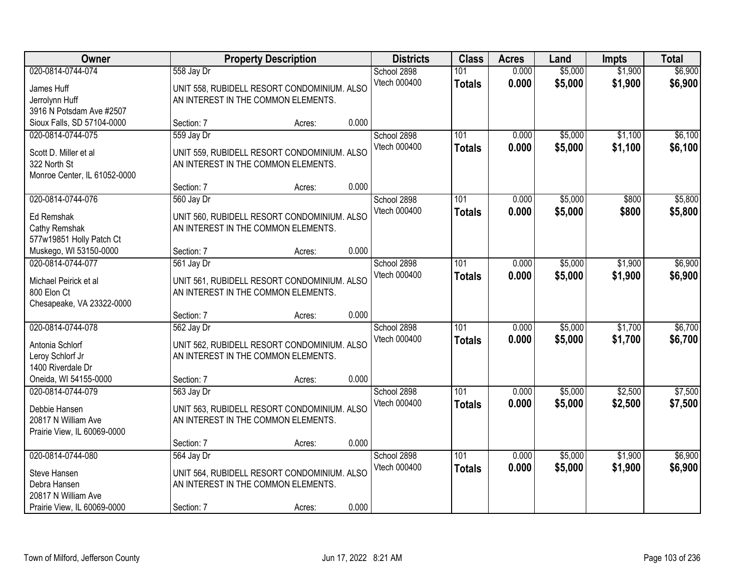| Owner                                                                                                   |                                                                                                  | <b>Property Description</b> | <b>Districts</b>                     |                      | <b>Class</b> | <b>Acres</b>   | Land               | <b>Impts</b>       | <b>Total</b>       |
|---------------------------------------------------------------------------------------------------------|--------------------------------------------------------------------------------------------------|-----------------------------|--------------------------------------|----------------------|--------------|----------------|--------------------|--------------------|--------------------|
| 020-0814-0744-074<br>James Huff<br>Jerrolynn Huff<br>3916 N Potsdam Ave #2507                           | 558 Jay Dr<br>UNIT 558, RUBIDELL RESORT CONDOMINIUM. ALSO<br>AN INTEREST IN THE COMMON ELEMENTS. |                             | School 2898<br>Vtech 000400          | 101<br><b>Totals</b> |              | 0.000<br>0.000 | \$5,000<br>\$5,000 | \$1,900<br>\$1,900 | \$6,900<br>\$6,900 |
| Sioux Falls, SD 57104-0000                                                                              | Section: 7                                                                                       | Acres:                      | 0.000                                |                      |              |                |                    |                    |                    |
| 020-0814-0744-075<br>Scott D. Miller et al<br>322 North St<br>Monroe Center, IL 61052-0000              | 559 Jay Dr<br>UNIT 559, RUBIDELL RESORT CONDOMINIUM. ALSO<br>AN INTEREST IN THE COMMON ELEMENTS. |                             | School 2898<br>Vtech 000400          | 101<br><b>Totals</b> |              | 0.000<br>0.000 | \$5,000<br>\$5,000 | \$1,100<br>\$1,100 | \$6,100<br>\$6,100 |
|                                                                                                         | Section: 7                                                                                       | Acres:                      | 0.000                                |                      |              |                |                    |                    |                    |
| 020-0814-0744-076<br>Ed Remshak<br>Cathy Remshak<br>577w19851 Holly Patch Ct                            | 560 Jay Dr<br>UNIT 560, RUBIDELL RESORT CONDOMINIUM. ALSO<br>AN INTEREST IN THE COMMON ELEMENTS. |                             | School 2898<br>Vtech 000400          | 101<br><b>Totals</b> |              | 0.000<br>0.000 | \$5,000<br>\$5,000 | \$800<br>\$800     | \$5,800<br>\$5,800 |
| Muskego, WI 53150-0000                                                                                  | Section: 7                                                                                       | Acres:                      | 0.000                                |                      |              |                |                    |                    |                    |
| 020-0814-0744-077<br>Michael Peirick et al<br>800 Elon Ct<br>Chesapeake, VA 23322-0000                  | 561 Jay Dr<br>UNIT 561, RUBIDELL RESORT CONDOMINIUM. ALSO<br>AN INTEREST IN THE COMMON ELEMENTS. |                             | School 2898<br>Vtech 000400          | 101<br><b>Totals</b> |              | 0.000<br>0.000 | \$5,000<br>\$5,000 | \$1,900<br>\$1,900 | \$6,900<br>\$6,900 |
|                                                                                                         | Section: 7                                                                                       | Acres:                      | 0.000                                |                      |              |                |                    |                    |                    |
| 020-0814-0744-078<br>Antonia Schlorf<br>Leroy Schlorf Jr<br>1400 Riverdale Dr                           | 562 Jay Dr<br>UNIT 562, RUBIDELL RESORT CONDOMINIUM. ALSO<br>AN INTEREST IN THE COMMON ELEMENTS. |                             | School 2898<br>Vtech 000400          | 101<br><b>Totals</b> |              | 0.000<br>0.000 | \$5,000<br>\$5,000 | \$1,700<br>\$1,700 | \$6,700<br>\$6,700 |
| Oneida, WI 54155-0000                                                                                   | Section: 7                                                                                       | Acres:                      | 0.000                                |                      |              |                |                    |                    |                    |
| 020-0814-0744-079<br>Debbie Hansen<br>20817 N William Ave<br>Prairie View, IL 60069-0000                | 563 Jay Dr<br>UNIT 563, RUBIDELL RESORT CONDOMINIUM. ALSO<br>AN INTEREST IN THE COMMON ELEMENTS. |                             | School 2898<br>Vtech 000400          | 101<br><b>Totals</b> |              | 0.000<br>0.000 | \$5,000<br>\$5,000 | \$2,500<br>\$2,500 | \$7,500<br>\$7,500 |
|                                                                                                         | Section: 7                                                                                       | Acres:                      | 0.000                                |                      |              |                |                    |                    |                    |
| 020-0814-0744-080<br>Steve Hansen<br>Debra Hansen<br>20817 N William Ave<br>Prairie View, IL 60069-0000 | 564 Jay Dr<br>UNIT 564, RUBIDELL RESORT CONDOMINIUM. ALSO<br>AN INTEREST IN THE COMMON ELEMENTS. |                             | School 2898<br>Vtech 000400<br>0.000 | 101<br><b>Totals</b> |              | 0.000<br>0.000 | \$5,000<br>\$5,000 | \$1,900<br>\$1,900 | \$6,900<br>\$6,900 |
|                                                                                                         | Section: 7                                                                                       | Acres:                      |                                      |                      |              |                |                    |                    |                    |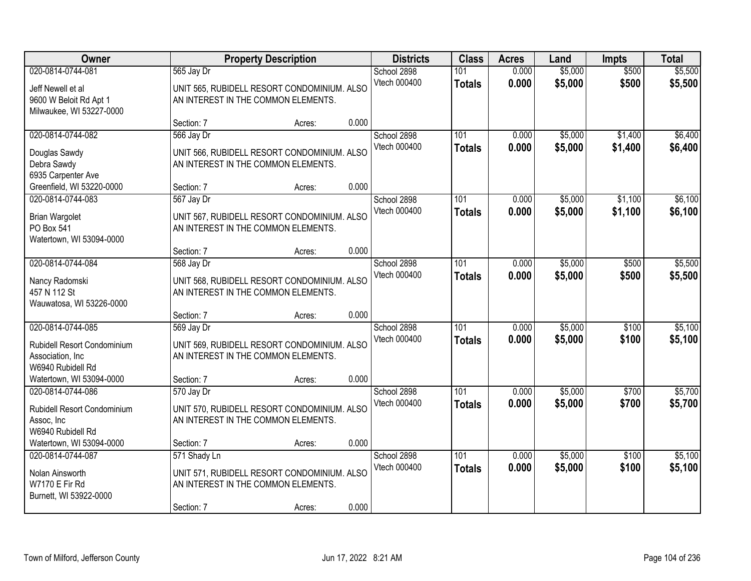| Owner                                                                                        |                                                                   | <b>Property Description</b>                           |       | <b>Districts</b>            | <b>Class</b>         | <b>Acres</b>   | Land               | <b>Impts</b>       | <b>Total</b>       |
|----------------------------------------------------------------------------------------------|-------------------------------------------------------------------|-------------------------------------------------------|-------|-----------------------------|----------------------|----------------|--------------------|--------------------|--------------------|
| 020-0814-0744-081<br>Jeff Newell et al<br>9600 W Beloit Rd Apt 1<br>Milwaukee, WI 53227-0000 | 565 Jay Dr<br>AN INTEREST IN THE COMMON ELEMENTS.                 | UNIT 565, RUBIDELL RESORT CONDOMINIUM. ALSO           |       | School 2898<br>Vtech 000400 | 101<br><b>Totals</b> | 0.000<br>0.000 | \$5,000<br>\$5,000 | \$500<br>\$500     | \$5,500<br>\$5,500 |
|                                                                                              | Section: 7                                                        | Acres:                                                | 0.000 |                             |                      |                |                    |                    |                    |
| 020-0814-0744-082<br>Douglas Sawdy<br>Debra Sawdy<br>6935 Carpenter Ave                      | 566 Jay Dr<br>AN INTEREST IN THE COMMON ELEMENTS.                 | UNIT 566, RUBIDELL RESORT CONDOMINIUM. ALSO           |       | School 2898<br>Vtech 000400 | 101<br><b>Totals</b> | 0.000<br>0.000 | \$5,000<br>\$5,000 | \$1,400<br>\$1,400 | \$6,400<br>\$6,400 |
| Greenfield, WI 53220-0000                                                                    | Section: 7                                                        | Acres:                                                | 0.000 |                             |                      |                |                    |                    |                    |
| 020-0814-0744-083<br><b>Brian Wargolet</b><br>PO Box 541<br>Watertown, WI 53094-0000         | 567 Jay Dr<br>AN INTEREST IN THE COMMON ELEMENTS.                 | UNIT 567, RUBIDELL RESORT CONDOMINIUM. ALSO           |       | School 2898<br>Vtech 000400 | 101<br><b>Totals</b> | 0.000<br>0.000 | \$5,000<br>\$5,000 | \$1,100<br>\$1,100 | \$6,100<br>\$6,100 |
|                                                                                              | Section: 7                                                        | Acres:                                                | 0.000 |                             |                      |                |                    |                    |                    |
| 020-0814-0744-084<br>Nancy Radomski<br>457 N 112 St<br>Wauwatosa, WI 53226-0000              | 568 Jay Dr<br>AN INTEREST IN THE COMMON ELEMENTS.                 | UNIT 568, RUBIDELL RESORT CONDOMINIUM. ALSO           |       | School 2898<br>Vtech 000400 | 101<br><b>Totals</b> | 0.000<br>0.000 | \$5,000<br>\$5,000 | \$500<br>\$500     | \$5,500<br>\$5,500 |
|                                                                                              | Section: 7                                                        | Acres:                                                | 0.000 |                             |                      |                |                    |                    |                    |
| 020-0814-0744-085<br>Rubidell Resort Condominium<br>Association, Inc.<br>W6940 Rubidell Rd   | 569 Jay Dr<br>AN INTEREST IN THE COMMON ELEMENTS.                 | UNIT 569, RUBIDELL RESORT CONDOMINIUM. ALSO           |       | School 2898<br>Vtech 000400 | 101<br><b>Totals</b> | 0.000<br>0.000 | \$5,000<br>\$5,000 | \$100<br>\$100     | \$5,100<br>\$5,100 |
| Watertown, WI 53094-0000                                                                     | Section: 7                                                        | Acres:                                                | 0.000 |                             |                      |                |                    |                    |                    |
| 020-0814-0744-086<br>Rubidell Resort Condominium<br>Assoc, Inc<br>W6940 Rubidell Rd          | 570 Jay Dr<br>AN INTEREST IN THE COMMON ELEMENTS.                 | UNIT 570, RUBIDELL RESORT CONDOMINIUM. ALSO           |       | School 2898<br>Vtech 000400 | 101<br><b>Totals</b> | 0.000<br>0.000 | \$5,000<br>\$5,000 | \$700<br>\$700     | \$5,700<br>\$5,700 |
| Watertown, WI 53094-0000                                                                     | Section: 7                                                        | Acres:                                                | 0.000 |                             |                      |                |                    |                    |                    |
| 020-0814-0744-087<br>Nolan Ainsworth<br><b>W7170 E Fir Rd</b><br>Burnett, WI 53922-0000      | 571 Shady Ln<br>AN INTEREST IN THE COMMON ELEMENTS.<br>Section: 7 | UNIT 571, RUBIDELL RESORT CONDOMINIUM. ALSO<br>Acres: | 0.000 | School 2898<br>Vtech 000400 | 101<br><b>Totals</b> | 0.000<br>0.000 | \$5,000<br>\$5,000 | \$100<br>\$100     | \$5,100<br>\$5,100 |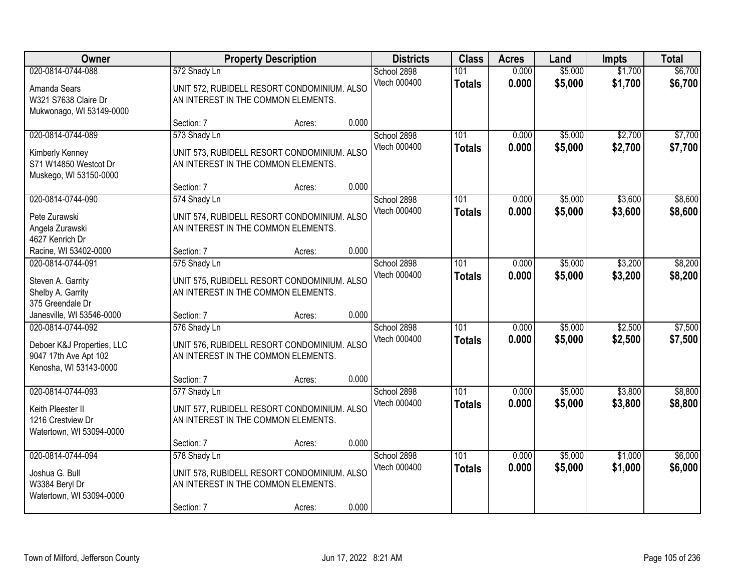| Owner                                                                                              |                                                                   | <b>Property Description</b>                           |       | <b>Districts</b>            | <b>Class</b>         | <b>Acres</b>   | Land               | <b>Impts</b>       | <b>Total</b>       |
|----------------------------------------------------------------------------------------------------|-------------------------------------------------------------------|-------------------------------------------------------|-------|-----------------------------|----------------------|----------------|--------------------|--------------------|--------------------|
| 020-0814-0744-088<br>Amanda Sears<br>W321 S7638 Claire Dr<br>Mukwonago, WI 53149-0000              | 572 Shady Ln<br>AN INTEREST IN THE COMMON ELEMENTS.               | UNIT 572, RUBIDELL RESORT CONDOMINIUM. ALSO           |       | School 2898<br>Vtech 000400 | 101<br><b>Totals</b> | 0.000<br>0.000 | \$5,000<br>\$5,000 | \$1,700<br>\$1,700 | \$6,700<br>\$6,700 |
|                                                                                                    | Section: 7                                                        | Acres:                                                | 0.000 |                             |                      |                |                    |                    |                    |
| 020-0814-0744-089<br>Kimberly Kenney<br>S71 W14850 Westcot Dr<br>Muskego, WI 53150-0000            | 573 Shady Ln<br>AN INTEREST IN THE COMMON ELEMENTS.               | UNIT 573, RUBIDELL RESORT CONDOMINIUM. ALSO           |       | School 2898<br>Vtech 000400 | 101<br><b>Totals</b> | 0.000<br>0.000 | \$5,000<br>\$5,000 | \$2,700<br>\$2,700 | \$7,700<br>\$7,700 |
|                                                                                                    | Section: 7                                                        | Acres:                                                | 0.000 |                             |                      |                |                    |                    |                    |
| 020-0814-0744-090<br>Pete Zurawski<br>Angela Zurawski<br>4627 Kenrich Dr                           | 574 Shady Ln<br>AN INTEREST IN THE COMMON ELEMENTS.               | UNIT 574, RUBIDELL RESORT CONDOMINIUM. ALSO           |       | School 2898<br>Vtech 000400 | 101<br><b>Totals</b> | 0.000<br>0.000 | \$5,000<br>\$5,000 | \$3,600<br>\$3,600 | \$8,600<br>\$8,600 |
| Racine, WI 53402-0000                                                                              | Section: 7                                                        | Acres:                                                | 0.000 |                             |                      |                |                    |                    |                    |
| 020-0814-0744-091<br>Steven A. Garrity<br>Shelby A. Garrity<br>375 Greendale Dr                    | 575 Shady Ln<br>AN INTEREST IN THE COMMON ELEMENTS.               | UNIT 575, RUBIDELL RESORT CONDOMINIUM. ALSO           |       | School 2898<br>Vtech 000400 | 101<br><b>Totals</b> | 0.000<br>0.000 | \$5,000<br>\$5,000 | \$3,200<br>\$3,200 | \$8,200<br>\$8,200 |
| Janesville, WI 53546-0000                                                                          | Section: 7                                                        | Acres:                                                | 0.000 |                             |                      |                |                    |                    |                    |
| 020-0814-0744-092<br>Deboer K&J Properties, LLC<br>9047 17th Ave Apt 102<br>Kenosha, WI 53143-0000 | 576 Shady Ln<br>AN INTEREST IN THE COMMON ELEMENTS.               | UNIT 576, RUBIDELL RESORT CONDOMINIUM. ALSO           |       | School 2898<br>Vtech 000400 | 101<br><b>Totals</b> | 0.000<br>0.000 | \$5,000<br>\$5,000 | \$2,500<br>\$2,500 | \$7,500<br>\$7,500 |
|                                                                                                    | Section: 7                                                        | Acres:                                                | 0.000 |                             |                      |                |                    |                    |                    |
| 020-0814-0744-093<br>Keith Pleester II<br>1216 Crestview Dr<br>Watertown, WI 53094-0000            | 577 Shady Ln<br>AN INTEREST IN THE COMMON ELEMENTS.               | UNIT 577, RUBIDELL RESORT CONDOMINIUM. ALSO           |       | School 2898<br>Vtech 000400 | 101<br><b>Totals</b> | 0.000<br>0.000 | \$5,000<br>\$5,000 | \$3,800<br>\$3,800 | \$8,800<br>\$8,800 |
|                                                                                                    | Section: 7                                                        | Acres:                                                | 0.000 |                             |                      |                |                    |                    |                    |
| 020-0814-0744-094<br>Joshua G. Bull<br>W3384 Beryl Dr<br>Watertown, WI 53094-0000                  | 578 Shady Ln<br>AN INTEREST IN THE COMMON ELEMENTS.<br>Section: 7 | UNIT 578, RUBIDELL RESORT CONDOMINIUM. ALSO<br>Acres: | 0.000 | School 2898<br>Vtech 000400 | 101<br><b>Totals</b> | 0.000<br>0.000 | \$5,000<br>\$5,000 | \$1,000<br>\$1,000 | \$6,000<br>\$6,000 |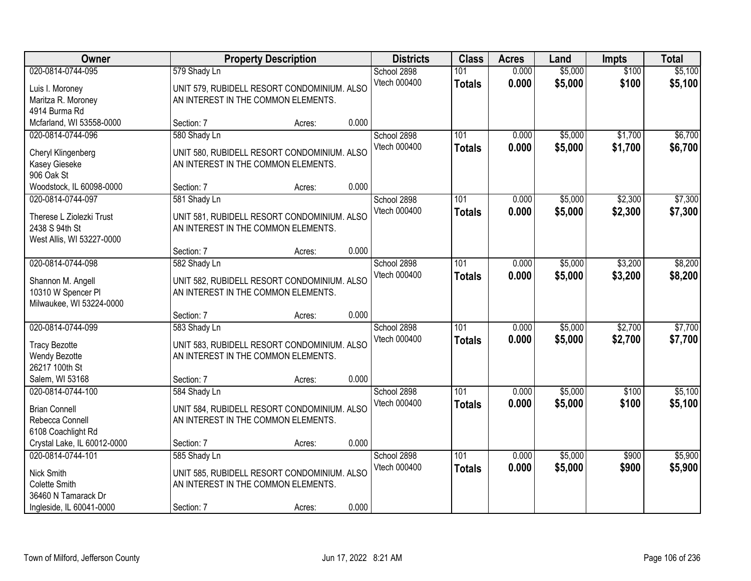| Owner                                                                                               | <b>Property Description</b>                                                                                      |        | <b>Districts</b>                     | <b>Class</b>         | <b>Acres</b>   | Land               | Impts              | <b>Total</b>       |
|-----------------------------------------------------------------------------------------------------|------------------------------------------------------------------------------------------------------------------|--------|--------------------------------------|----------------------|----------------|--------------------|--------------------|--------------------|
| 020-0814-0744-095<br>Luis I. Moroney<br>Maritza R. Moroney<br>4914 Burma Rd                         | 579 Shady Ln<br>UNIT 579, RUBIDELL RESORT CONDOMINIUM. ALSO<br>AN INTEREST IN THE COMMON ELEMENTS.               |        | School 2898<br>Vtech 000400          | 101<br><b>Totals</b> | 0.000<br>0.000 | \$5,000<br>\$5,000 | \$100<br>\$100     | \$5,100<br>\$5,100 |
| Mcfarland, WI 53558-0000                                                                            | Section: 7                                                                                                       | Acres: | 0.000                                |                      |                |                    |                    |                    |
| 020-0814-0744-096<br>Cheryl Klingenberg<br>Kasey Gieseke<br>906 Oak St                              | 580 Shady Ln<br>UNIT 580, RUBIDELL RESORT CONDOMINIUM. ALSO<br>AN INTEREST IN THE COMMON ELEMENTS.               |        | School 2898<br>Vtech 000400          | 101<br><b>Totals</b> | 0.000<br>0.000 | \$5,000<br>\$5,000 | \$1,700<br>\$1,700 | \$6,700<br>\$6,700 |
| Woodstock, IL 60098-0000                                                                            | Section: 7                                                                                                       | Acres: | 0.000                                |                      |                |                    |                    |                    |
| 020-0814-0744-097<br>Therese L Ziolezki Trust<br>2438 S 94th St<br>West Allis, WI 53227-0000        | 581 Shady Ln<br>UNIT 581, RUBIDELL RESORT CONDOMINIUM. ALSO<br>AN INTEREST IN THE COMMON ELEMENTS.               |        | School 2898<br>Vtech 000400          | 101<br><b>Totals</b> | 0.000<br>0.000 | \$5,000<br>\$5,000 | \$2,300<br>\$2,300 | \$7,300<br>\$7,300 |
|                                                                                                     | Section: 7                                                                                                       | Acres: | 0.000                                |                      |                |                    |                    |                    |
| 020-0814-0744-098<br>Shannon M. Angell<br>10310 W Spencer PI<br>Milwaukee, WI 53224-0000            | 582 Shady Ln<br>UNIT 582, RUBIDELL RESORT CONDOMINIUM. ALSO<br>AN INTEREST IN THE COMMON ELEMENTS.               |        | School 2898<br>Vtech 000400          | 101<br><b>Totals</b> | 0.000<br>0.000 | \$5,000<br>\$5,000 | \$3,200<br>\$3,200 | \$8,200<br>\$8,200 |
|                                                                                                     | Section: 7                                                                                                       | Acres: | 0.000                                |                      |                |                    |                    |                    |
| 020-0814-0744-099<br><b>Tracy Bezotte</b><br><b>Wendy Bezotte</b><br>26217 100th St                 | 583 Shady Ln<br>UNIT 583, RUBIDELL RESORT CONDOMINIUM. ALSO<br>AN INTEREST IN THE COMMON ELEMENTS.               |        | School 2898<br>Vtech 000400          | 101<br><b>Totals</b> | 0.000<br>0.000 | \$5,000<br>\$5,000 | \$2,700<br>\$2,700 | \$7,700<br>\$7,700 |
| Salem, WI 53168                                                                                     | Section: 7                                                                                                       | Acres: | 0.000                                |                      |                |                    |                    |                    |
| 020-0814-0744-100<br><b>Brian Connell</b><br>Rebecca Connell<br>6108 Coachlight Rd                  | 584 Shady Ln<br>UNIT 584, RUBIDELL RESORT CONDOMINIUM. ALSO<br>AN INTEREST IN THE COMMON ELEMENTS.               |        | School 2898<br>Vtech 000400          | 101<br><b>Totals</b> | 0.000<br>0.000 | \$5,000<br>\$5,000 | \$100<br>\$100     | \$5,100<br>\$5,100 |
| Crystal Lake, IL 60012-0000                                                                         | Section: 7                                                                                                       | Acres: | 0.000                                |                      |                |                    |                    |                    |
| 020-0814-0744-101<br>Nick Smith<br>Colette Smith<br>36460 N Tamarack Dr<br>Ingleside, IL 60041-0000 | 585 Shady Ln<br>UNIT 585, RUBIDELL RESORT CONDOMINIUM. ALSO<br>AN INTEREST IN THE COMMON ELEMENTS.<br>Section: 7 | Acres: | School 2898<br>Vtech 000400<br>0.000 | 101<br><b>Totals</b> | 0.000<br>0.000 | \$5,000<br>\$5,000 | \$900<br>\$900     | \$5,900<br>\$5,900 |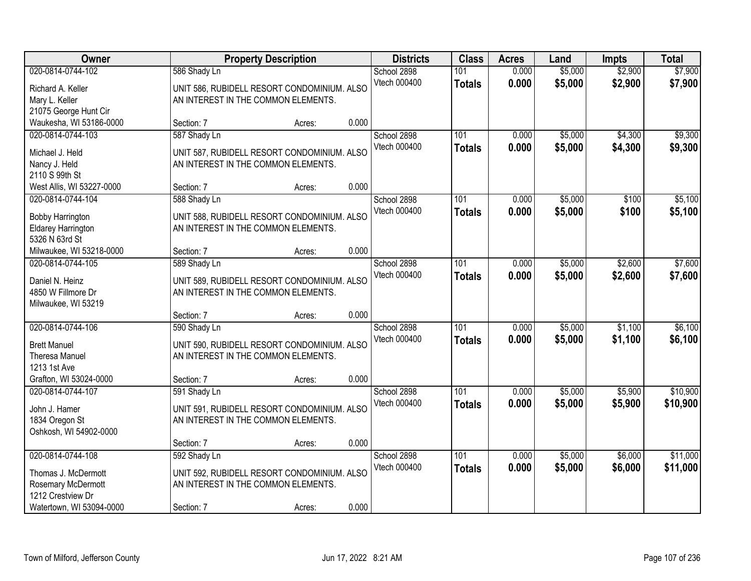| <b>Owner</b>                                                                                                    | <b>Property Description</b>                                                                                      |        | <b>Districts</b>                     | <b>Class</b>         | <b>Acres</b>   | Land               | <b>Impts</b>       | <b>Total</b>         |
|-----------------------------------------------------------------------------------------------------------------|------------------------------------------------------------------------------------------------------------------|--------|--------------------------------------|----------------------|----------------|--------------------|--------------------|----------------------|
| 020-0814-0744-102<br>Richard A. Keller<br>Mary L. Keller<br>21075 George Hunt Cir                               | 586 Shady Ln<br>UNIT 586, RUBIDELL RESORT CONDOMINIUM. ALSO<br>AN INTEREST IN THE COMMON ELEMENTS.               |        | School 2898<br>Vtech 000400          | 101<br><b>Totals</b> | 0.000<br>0.000 | \$5,000<br>\$5,000 | \$2,900<br>\$2,900 | \$7,900<br>\$7,900   |
| Waukesha, WI 53186-0000                                                                                         | Section: 7                                                                                                       | Acres: | 0.000                                |                      |                |                    |                    |                      |
| 020-0814-0744-103<br>Michael J. Held<br>Nancy J. Held<br>2110 S 99th St                                         | 587 Shady Ln<br>UNIT 587, RUBIDELL RESORT CONDOMINIUM. ALSO<br>AN INTEREST IN THE COMMON ELEMENTS.               |        | School 2898<br>Vtech 000400          | 101<br><b>Totals</b> | 0.000<br>0.000 | \$5,000<br>\$5,000 | \$4,300<br>\$4,300 | \$9,300<br>\$9,300   |
| West Allis, WI 53227-0000                                                                                       | Section: 7                                                                                                       | Acres: | 0.000                                |                      |                |                    |                    |                      |
| 020-0814-0744-104<br><b>Bobby Harrington</b><br><b>Eldarey Harrington</b><br>5326 N 63rd St                     | 588 Shady Ln<br>UNIT 588, RUBIDELL RESORT CONDOMINIUM. ALSO<br>AN INTEREST IN THE COMMON ELEMENTS.               |        | School 2898<br>Vtech 000400          | 101<br><b>Totals</b> | 0.000<br>0.000 | \$5,000<br>\$5,000 | \$100<br>\$100     | \$5,100<br>\$5,100   |
| Milwaukee, WI 53218-0000                                                                                        | Section: 7                                                                                                       | Acres: | 0.000                                |                      |                |                    |                    |                      |
| 020-0814-0744-105<br>Daniel N. Heinz<br>4850 W Fillmore Dr<br>Milwaukee, WI 53219                               | 589 Shady Ln<br>UNIT 589, RUBIDELL RESORT CONDOMINIUM. ALSO<br>AN INTEREST IN THE COMMON ELEMENTS.               |        | School 2898<br>Vtech 000400          | 101<br><b>Totals</b> | 0.000<br>0.000 | \$5,000<br>\$5,000 | \$2,600<br>\$2,600 | \$7,600<br>\$7,600   |
|                                                                                                                 | Section: 7                                                                                                       | Acres: | 0.000                                |                      |                |                    |                    |                      |
| 020-0814-0744-106<br><b>Brett Manuel</b><br><b>Theresa Manuel</b><br>1213 1st Ave                               | 590 Shady Ln<br>UNIT 590, RUBIDELL RESORT CONDOMINIUM. ALSO<br>AN INTEREST IN THE COMMON ELEMENTS.               |        | School 2898<br>Vtech 000400          | 101<br><b>Totals</b> | 0.000<br>0.000 | \$5,000<br>\$5,000 | \$1,100<br>\$1,100 | \$6,100<br>\$6,100   |
| Grafton, WI 53024-0000                                                                                          | Section: 7                                                                                                       | Acres: | 0.000                                |                      |                |                    |                    |                      |
| 020-0814-0744-107<br>John J. Hamer<br>1834 Oregon St<br>Oshkosh, WI 54902-0000                                  | 591 Shady Ln<br>UNIT 591, RUBIDELL RESORT CONDOMINIUM. ALSO<br>AN INTEREST IN THE COMMON ELEMENTS.               |        | School 2898<br>Vtech 000400          | 101<br><b>Totals</b> | 0.000<br>0.000 | \$5,000<br>\$5,000 | \$5,900<br>\$5,900 | \$10,900<br>\$10,900 |
|                                                                                                                 | Section: 7                                                                                                       | Acres: | 0.000                                |                      |                |                    |                    |                      |
| 020-0814-0744-108<br>Thomas J. McDermott<br>Rosemary McDermott<br>1212 Crestview Dr<br>Watertown, WI 53094-0000 | 592 Shady Ln<br>UNIT 592, RUBIDELL RESORT CONDOMINIUM. ALSO<br>AN INTEREST IN THE COMMON ELEMENTS.<br>Section: 7 | Acres: | School 2898<br>Vtech 000400<br>0.000 | 101<br><b>Totals</b> | 0.000<br>0.000 | \$5,000<br>\$5,000 | \$6,000<br>\$6,000 | \$11,000<br>\$11,000 |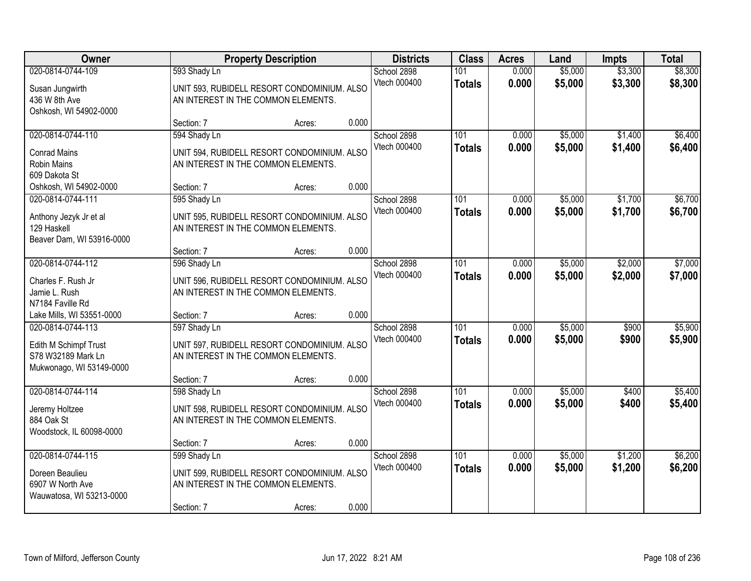| <b>Owner</b>                                                                                 |                                                                                                                  | <b>Property Description</b> | <b>Districts</b>                     | <b>Class</b>         | <b>Acres</b>   | Land               | <b>Impts</b>       | <b>Total</b>       |
|----------------------------------------------------------------------------------------------|------------------------------------------------------------------------------------------------------------------|-----------------------------|--------------------------------------|----------------------|----------------|--------------------|--------------------|--------------------|
| 020-0814-0744-109<br>Susan Jungwirth<br>436 W 8th Ave<br>Oshkosh, WI 54902-0000              | 593 Shady Ln<br>UNIT 593, RUBIDELL RESORT CONDOMINIUM. ALSO<br>AN INTEREST IN THE COMMON ELEMENTS.               |                             | School 2898<br>Vtech 000400          | 101<br><b>Totals</b> | 0.000<br>0.000 | \$5,000<br>\$5,000 | \$3,300<br>\$3,300 | \$8,300<br>\$8,300 |
|                                                                                              | Section: 7                                                                                                       | Acres:                      | 0.000                                |                      |                |                    |                    |                    |
| 020-0814-0744-110<br><b>Conrad Mains</b><br>Robin Mains<br>609 Dakota St                     | 594 Shady Ln<br>UNIT 594, RUBIDELL RESORT CONDOMINIUM. ALSO<br>AN INTEREST IN THE COMMON ELEMENTS.               |                             | School 2898<br>Vtech 000400          | 101<br><b>Totals</b> | 0.000<br>0.000 | \$5,000<br>\$5,000 | \$1,400<br>\$1,400 | \$6,400<br>\$6,400 |
| Oshkosh, WI 54902-0000                                                                       | Section: 7                                                                                                       | Acres:                      | 0.000                                |                      |                |                    |                    |                    |
| 020-0814-0744-111<br>Anthony Jezyk Jr et al<br>129 Haskell<br>Beaver Dam, WI 53916-0000      | 595 Shady Ln<br>UNIT 595, RUBIDELL RESORT CONDOMINIUM. ALSO<br>AN INTEREST IN THE COMMON ELEMENTS.               |                             | School 2898<br>Vtech 000400          | 101<br><b>Totals</b> | 0.000<br>0.000 | \$5,000<br>\$5,000 | \$1,700<br>\$1,700 | \$6,700<br>\$6,700 |
|                                                                                              | Section: 7                                                                                                       | Acres:                      | 0.000                                |                      |                |                    |                    |                    |
| 020-0814-0744-112<br>Charles F. Rush Jr<br>Jamie L. Rush<br>N7184 Faville Rd                 | 596 Shady Ln<br>UNIT 596, RUBIDELL RESORT CONDOMINIUM. ALSO<br>AN INTEREST IN THE COMMON ELEMENTS.               |                             | School 2898<br>Vtech 000400          | 101<br><b>Totals</b> | 0.000<br>0.000 | \$5,000<br>\$5,000 | \$2,000<br>\$2,000 | \$7,000<br>\$7,000 |
| Lake Mills, WI 53551-0000                                                                    | Section: 7                                                                                                       | Acres:                      | 0.000                                |                      |                |                    |                    |                    |
| 020-0814-0744-113<br>Edith M Schimpf Trust<br>S78 W32189 Mark Ln<br>Mukwonago, WI 53149-0000 | 597 Shady Ln<br>UNIT 597, RUBIDELL RESORT CONDOMINIUM. ALSO<br>AN INTEREST IN THE COMMON ELEMENTS.               |                             | School 2898<br>Vtech 000400          | 101<br><b>Totals</b> | 0.000<br>0.000 | \$5,000<br>\$5,000 | \$900<br>\$900     | \$5,900<br>\$5,900 |
|                                                                                              | Section: 7                                                                                                       | Acres:                      | 0.000                                |                      |                |                    |                    |                    |
| 020-0814-0744-114<br>Jeremy Holtzee<br>884 Oak St<br>Woodstock, IL 60098-0000                | 598 Shady Ln<br>UNIT 598, RUBIDELL RESORT CONDOMINIUM. ALSO<br>AN INTEREST IN THE COMMON ELEMENTS.               |                             | School 2898<br>Vtech 000400          | 101<br><b>Totals</b> | 0.000<br>0.000 | \$5,000<br>\$5,000 | \$400<br>\$400     | \$5,400<br>\$5,400 |
|                                                                                              | Section: 7                                                                                                       | Acres:                      | 0.000                                |                      |                |                    |                    |                    |
| 020-0814-0744-115<br>Doreen Beaulieu<br>6907 W North Ave<br>Wauwatosa, WI 53213-0000         | 599 Shady Ln<br>UNIT 599, RUBIDELL RESORT CONDOMINIUM. ALSO<br>AN INTEREST IN THE COMMON ELEMENTS.<br>Section: 7 | Acres:                      | School 2898<br>Vtech 000400<br>0.000 | 101<br><b>Totals</b> | 0.000<br>0.000 | \$5,000<br>\$5,000 | \$1,200<br>\$1,200 | \$6,200<br>\$6,200 |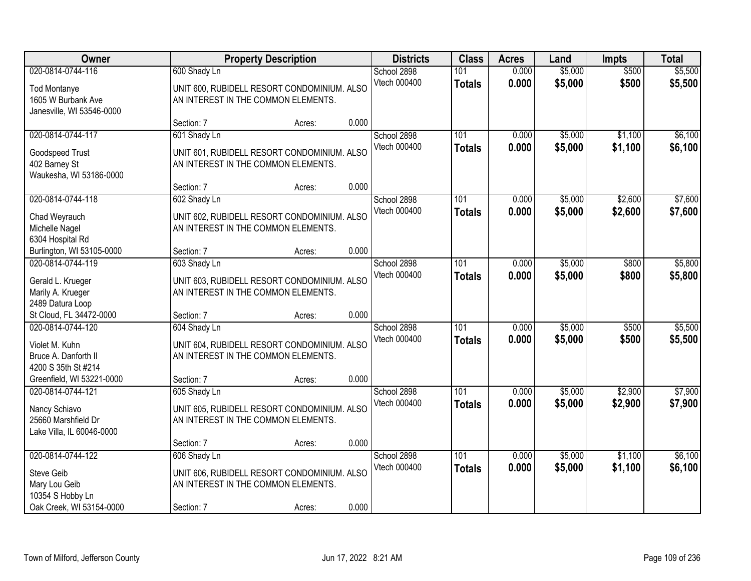| Owner                                                                                            |                            | <b>Property Description</b>                                                                  |       | <b>Districts</b>            | <b>Class</b>                      | <b>Acres</b>   | Land               | <b>Impts</b>       | <b>Total</b>       |
|--------------------------------------------------------------------------------------------------|----------------------------|----------------------------------------------------------------------------------------------|-------|-----------------------------|-----------------------------------|----------------|--------------------|--------------------|--------------------|
| 020-0814-0744-116<br><b>Tod Montanye</b><br>1605 W Burbank Ave<br>Janesville, WI 53546-0000      | 600 Shady Ln               | UNIT 600, RUBIDELL RESORT CONDOMINIUM. ALSO<br>AN INTEREST IN THE COMMON ELEMENTS.           |       | School 2898<br>Vtech 000400 | 101<br><b>Totals</b>              | 0.000<br>0.000 | \$5,000<br>\$5,000 | \$500<br>\$500     | \$5,500<br>\$5,500 |
|                                                                                                  | Section: 7                 | Acres:                                                                                       | 0.000 |                             |                                   |                |                    |                    |                    |
| 020-0814-0744-117<br>Goodspeed Trust<br>402 Barney St<br>Waukesha, WI 53186-0000                 | 601 Shady Ln               | UNIT 601, RUBIDELL RESORT CONDOMINIUM. ALSO<br>AN INTEREST IN THE COMMON ELEMENTS.           |       | School 2898<br>Vtech 000400 | 101<br><b>Totals</b>              | 0.000<br>0.000 | \$5,000<br>\$5,000 | \$1,100<br>\$1,100 | \$6,100<br>\$6,100 |
|                                                                                                  | Section: 7                 | Acres:                                                                                       | 0.000 |                             |                                   |                |                    |                    |                    |
| 020-0814-0744-118<br>Chad Weyrauch<br>Michelle Nagel<br>6304 Hospital Rd                         | 602 Shady Ln               | UNIT 602, RUBIDELL RESORT CONDOMINIUM. ALSO<br>AN INTEREST IN THE COMMON ELEMENTS.           |       | School 2898<br>Vtech 000400 | 101<br><b>Totals</b>              | 0.000<br>0.000 | \$5,000<br>\$5,000 | \$2,600<br>\$2,600 | \$7,600<br>\$7,600 |
| Burlington, WI 53105-0000                                                                        | Section: 7                 | Acres:                                                                                       | 0.000 |                             |                                   |                |                    |                    |                    |
| 020-0814-0744-119<br>Gerald L. Krueger<br>Marily A. Krueger<br>2489 Datura Loop                  | 603 Shady Ln               | UNIT 603, RUBIDELL RESORT CONDOMINIUM. ALSO<br>AN INTEREST IN THE COMMON ELEMENTS.           |       | School 2898<br>Vtech 000400 | 101<br><b>Totals</b>              | 0.000<br>0.000 | \$5,000<br>\$5,000 | \$800<br>\$800     | \$5,800<br>\$5,800 |
| St Cloud, FL 34472-0000                                                                          | Section: 7                 | Acres:                                                                                       | 0.000 |                             |                                   |                |                    |                    |                    |
| 020-0814-0744-120<br>Violet M. Kuhn<br>Bruce A. Danforth II<br>4200 S 35th St #214               | 604 Shady Ln               | UNIT 604, RUBIDELL RESORT CONDOMINIUM. ALSO<br>AN INTEREST IN THE COMMON ELEMENTS.           |       | School 2898<br>Vtech 000400 | $\overline{101}$<br><b>Totals</b> | 0.000<br>0.000 | \$5,000<br>\$5,000 | \$500<br>\$500     | \$5,500<br>\$5,500 |
| Greenfield, WI 53221-0000                                                                        | Section: 7                 | Acres:                                                                                       | 0.000 |                             |                                   |                |                    |                    |                    |
| 020-0814-0744-121<br>Nancy Schiavo<br>25660 Marshfield Dr<br>Lake Villa, IL 60046-0000           | 605 Shady Ln               | UNIT 605, RUBIDELL RESORT CONDOMINIUM. ALSO<br>AN INTEREST IN THE COMMON ELEMENTS.           |       | School 2898<br>Vtech 000400 | 101<br><b>Totals</b>              | 0.000<br>0.000 | \$5,000<br>\$5,000 | \$2,900<br>\$2,900 | \$7,900<br>\$7,900 |
|                                                                                                  | Section: 7                 | Acres:                                                                                       | 0.000 |                             |                                   |                |                    |                    |                    |
| 020-0814-0744-122<br>Steve Geib<br>Mary Lou Geib<br>10354 S Hobby Ln<br>Oak Creek, WI 53154-0000 | 606 Shady Ln<br>Section: 7 | UNIT 606, RUBIDELL RESORT CONDOMINIUM. ALSO<br>AN INTEREST IN THE COMMON ELEMENTS.<br>Acres: | 0.000 | School 2898<br>Vtech 000400 | 101<br><b>Totals</b>              | 0.000<br>0.000 | \$5,000<br>\$5,000 | \$1,100<br>\$1,100 | \$6,100<br>\$6,100 |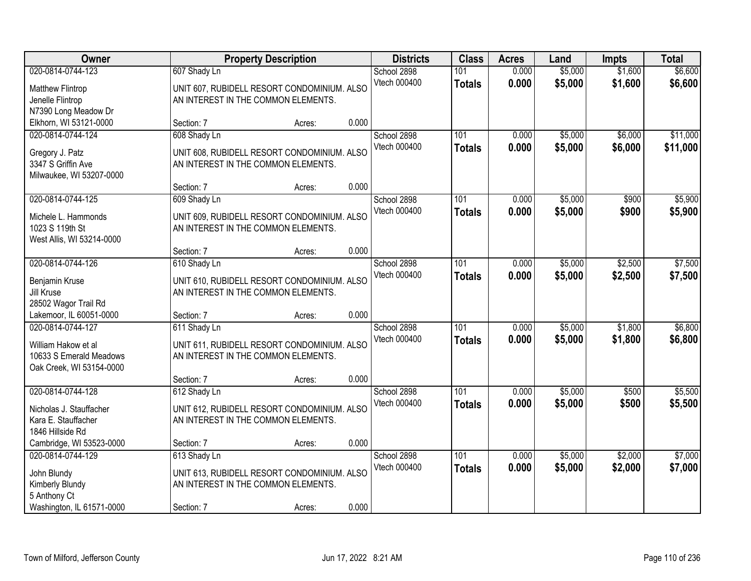| Owner                        |                                     | <b>Property Description</b>                 |       | <b>Districts</b> | <b>Class</b>     | <b>Acres</b> | Land    | <b>Impts</b> | <b>Total</b> |
|------------------------------|-------------------------------------|---------------------------------------------|-------|------------------|------------------|--------------|---------|--------------|--------------|
| 020-0814-0744-123            | 607 Shady Ln                        |                                             |       | School 2898      | 101              | 0.000        | \$5,000 | \$1,600      | \$6,600      |
| <b>Matthew Flintrop</b>      |                                     | UNIT 607, RUBIDELL RESORT CONDOMINIUM. ALSO |       | Vtech 000400     | <b>Totals</b>    | 0.000        | \$5,000 | \$1,600      | \$6,600      |
| Jenelle Flintrop             | AN INTEREST IN THE COMMON ELEMENTS. |                                             |       |                  |                  |              |         |              |              |
| N7390 Long Meadow Dr         |                                     |                                             |       |                  |                  |              |         |              |              |
| Elkhorn, WI 53121-0000       | Section: 7                          | Acres:                                      | 0.000 |                  |                  |              |         |              |              |
| 020-0814-0744-124            | 608 Shady Ln                        |                                             |       | School 2898      | 101              | 0.000        | \$5,000 | \$6,000      | \$11,000     |
| Gregory J. Patz              |                                     | UNIT 608, RUBIDELL RESORT CONDOMINIUM. ALSO |       | Vtech 000400     | <b>Totals</b>    | 0.000        | \$5,000 | \$6,000      | \$11,000     |
| 3347 S Griffin Ave           | AN INTEREST IN THE COMMON ELEMENTS. |                                             |       |                  |                  |              |         |              |              |
| Milwaukee, WI 53207-0000     |                                     |                                             |       |                  |                  |              |         |              |              |
|                              | Section: 7                          | Acres:                                      | 0.000 |                  |                  |              |         |              |              |
| 020-0814-0744-125            | 609 Shady Ln                        |                                             |       | School 2898      | 101              | 0.000        | \$5,000 | \$900        | \$5,900      |
| Michele L. Hammonds          |                                     | UNIT 609, RUBIDELL RESORT CONDOMINIUM. ALSO |       | Vtech 000400     | <b>Totals</b>    | 0.000        | \$5,000 | \$900        | \$5,900      |
| 1023 S 119th St              | AN INTEREST IN THE COMMON ELEMENTS. |                                             |       |                  |                  |              |         |              |              |
| West Allis, WI 53214-0000    |                                     |                                             |       |                  |                  |              |         |              |              |
|                              | Section: 7                          | Acres:                                      | 0.000 |                  |                  |              |         |              |              |
| 020-0814-0744-126            | 610 Shady Ln                        |                                             |       | School 2898      | 101              | 0.000        | \$5,000 | \$2,500      | \$7,500      |
|                              |                                     |                                             |       | Vtech 000400     | <b>Totals</b>    | 0.000        | \$5,000 | \$2,500      | \$7,500      |
| Benjamin Kruse<br>Jill Kruse | AN INTEREST IN THE COMMON ELEMENTS. | UNIT 610, RUBIDELL RESORT CONDOMINIUM. ALSO |       |                  |                  |              |         |              |              |
| 28502 Wagor Trail Rd         |                                     |                                             |       |                  |                  |              |         |              |              |
| Lakemoor, IL 60051-0000      | Section: 7                          | Acres:                                      | 0.000 |                  |                  |              |         |              |              |
| 020-0814-0744-127            | 611 Shady Ln                        |                                             |       | School 2898      | 101              | 0.000        | \$5,000 | \$1,800      | \$6,800      |
|                              |                                     |                                             |       | Vtech 000400     | <b>Totals</b>    | 0.000        | \$5,000 | \$1,800      | \$6,800      |
| William Hakow et al          |                                     | UNIT 611, RUBIDELL RESORT CONDOMINIUM. ALSO |       |                  |                  |              |         |              |              |
| 10633 S Emerald Meadows      | AN INTEREST IN THE COMMON ELEMENTS. |                                             |       |                  |                  |              |         |              |              |
| Oak Creek, WI 53154-0000     | Section: 7                          |                                             | 0.000 |                  |                  |              |         |              |              |
| 020-0814-0744-128            | 612 Shady Ln                        | Acres:                                      |       | School 2898      | $\overline{101}$ | 0.000        | \$5,000 | \$500        | \$5,500      |
|                              |                                     |                                             |       | Vtech 000400     | <b>Totals</b>    | 0.000        | \$5,000 | \$500        | \$5,500      |
| Nicholas J. Stauffacher      |                                     | UNIT 612, RUBIDELL RESORT CONDOMINIUM. ALSO |       |                  |                  |              |         |              |              |
| Kara E. Stauffacher          | AN INTEREST IN THE COMMON ELEMENTS. |                                             |       |                  |                  |              |         |              |              |
| 1846 Hillside Rd             |                                     |                                             |       |                  |                  |              |         |              |              |
| Cambridge, WI 53523-0000     | Section: 7                          | Acres:                                      | 0.000 |                  |                  |              |         |              |              |
| 020-0814-0744-129            | 613 Shady Ln                        |                                             |       | School 2898      | 101              | 0.000        | \$5,000 | \$2,000      | \$7,000      |
| John Blundy                  |                                     | UNIT 613, RUBIDELL RESORT CONDOMINIUM. ALSO |       | Vtech 000400     | <b>Totals</b>    | 0.000        | \$5,000 | \$2,000      | \$7,000      |
| Kimberly Blundy              | AN INTEREST IN THE COMMON ELEMENTS. |                                             |       |                  |                  |              |         |              |              |
| 5 Anthony Ct                 |                                     |                                             |       |                  |                  |              |         |              |              |
| Washington, IL 61571-0000    | Section: 7                          | Acres:                                      | 0.000 |                  |                  |              |         |              |              |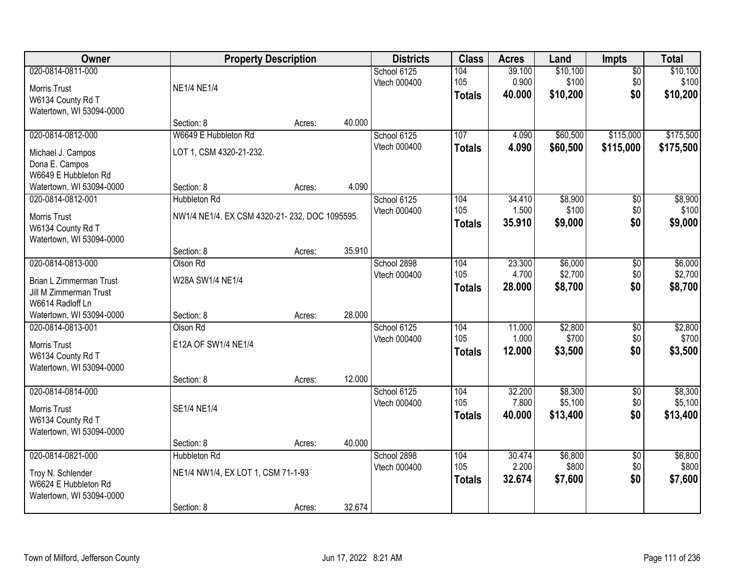| Owner                                                                                             | <b>Property Description</b>                                             |        |        | <b>Districts</b>            | <b>Class</b>                | <b>Acres</b>              | Land                           | <b>Impts</b>                  | <b>Total</b>                   |
|---------------------------------------------------------------------------------------------------|-------------------------------------------------------------------------|--------|--------|-----------------------------|-----------------------------|---------------------------|--------------------------------|-------------------------------|--------------------------------|
| 020-0814-0811-000<br>Morris Trust<br>W6134 County Rd T<br>Watertown, WI 53094-0000                | <b>NE1/4 NE1/4</b>                                                      |        |        | School 6125<br>Vtech 000400 | 104<br>105<br><b>Totals</b> | 39.100<br>0.900<br>40.000 | \$10,100<br>\$100<br>\$10,200  | \$0<br>\$0<br>\$0             | \$10,100<br>\$100<br>\$10,200  |
|                                                                                                   | Section: 8                                                              | Acres: | 40.000 |                             |                             |                           |                                |                               |                                |
| 020-0814-0812-000<br>Michael J. Campos<br>Dona E. Campos<br>W6649 E Hubbleton Rd                  | W6649 E Hubbleton Rd<br>LOT 1, CSM 4320-21-232.                         |        |        | School 6125<br>Vtech 000400 | 107<br><b>Totals</b>        | 4.090<br>4.090            | \$60,500<br>\$60,500           | \$115,000<br>\$115,000        | \$175,500<br>\$175,500         |
| Watertown, WI 53094-0000<br>020-0814-0812-001                                                     | Section: 8<br><b>Hubbleton Rd</b>                                       | Acres: | 4.090  |                             | 104                         | 34.410                    | \$8,900                        |                               | \$8,900                        |
| Morris Trust<br>W6134 County Rd T<br>Watertown, WI 53094-0000                                     | NW1/4 NE1/4. EX CSM 4320-21-232, DOC 1095595.                           |        |        | School 6125<br>Vtech 000400 | 105<br><b>Totals</b>        | 1.500<br>35.910           | \$100<br>\$9,000               | \$0<br>\$0<br>\$0             | \$100<br>\$9,000               |
|                                                                                                   | Section: 8                                                              | Acres: | 35.910 |                             |                             |                           |                                |                               |                                |
| 020-0814-0813-000<br>Brian L Zimmerman Trust<br><b>Jill M Zimmerman Trust</b><br>W6614 Radloff Ln | Olson Rd<br>W28A SW1/4 NE1/4                                            |        |        | School 2898<br>Vtech 000400 | 104<br>105<br><b>Totals</b> | 23.300<br>4.700<br>28.000 | \$6,000<br>\$2,700<br>\$8,700  | \$0<br>\$0<br>\$0             | \$6,000<br>\$2,700<br>\$8,700  |
| Watertown, WI 53094-0000                                                                          | Section: 8                                                              | Acres: | 28.000 |                             |                             |                           |                                |                               |                                |
| 020-0814-0813-001<br>Morris Trust<br>W6134 County Rd T<br>Watertown, WI 53094-0000                | Olson Rd<br>E12A OF SW1/4 NE1/4<br>Section: 8                           | Acres: | 12.000 | School 6125<br>Vtech 000400 | 104<br>105<br><b>Totals</b> | 11.000<br>1.000<br>12.000 | \$2,800<br>\$700<br>\$3,500    | $\overline{50}$<br>\$0<br>\$0 | \$2,800<br>\$700<br>\$3,500    |
| 020-0814-0814-000<br>Morris Trust<br>W6134 County Rd T<br>Watertown, WI 53094-0000                | SE1/4 NE1/4                                                             |        |        | School 6125<br>Vtech 000400 | 104<br>105<br><b>Totals</b> | 32.200<br>7.800<br>40,000 | \$8,300<br>\$5,100<br>\$13,400 | $\overline{$0}$<br>\$0<br>\$0 | \$8,300<br>\$5,100<br>\$13,400 |
|                                                                                                   | Section: 8                                                              | Acres: | 40.000 |                             |                             |                           |                                |                               |                                |
| 020-0814-0821-000<br>Troy N. Schlender<br>W6624 E Hubbleton Rd<br>Watertown, WI 53094-0000        | <b>Hubbleton Rd</b><br>NE1/4 NW1/4, EX LOT 1, CSM 71-1-93<br>Section: 8 | Acres: | 32.674 | School 2898<br>Vtech 000400 | 104<br>105<br><b>Totals</b> | 30.474<br>2.200<br>32.674 | \$6,800<br>\$800<br>\$7,600    | $\overline{50}$<br>\$0<br>\$0 | \$6,800<br>\$800<br>\$7,600    |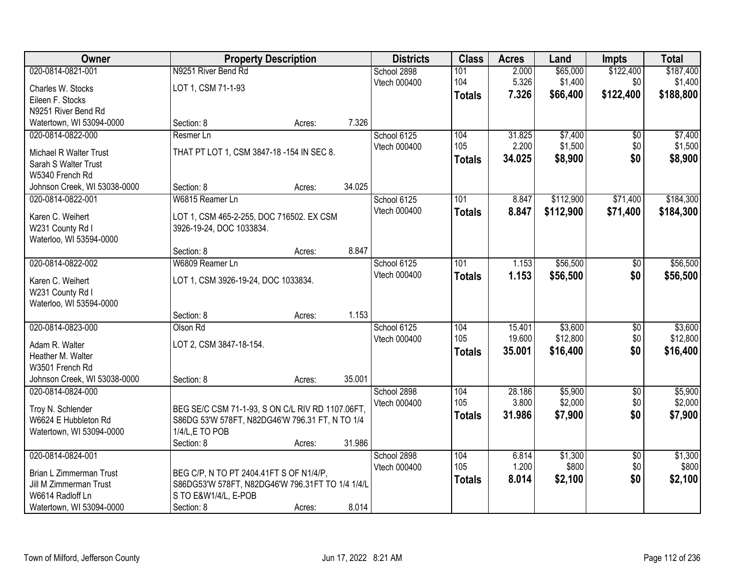| Owner                                       | <b>Property Description</b>                      |        |        | <b>Districts</b> | <b>Class</b>  | <b>Acres</b> | Land      | <b>Impts</b>    | <b>Total</b> |
|---------------------------------------------|--------------------------------------------------|--------|--------|------------------|---------------|--------------|-----------|-----------------|--------------|
| 020-0814-0821-001                           | N9251 River Bend Rd                              |        |        | School 2898      | 101           | 2.000        | \$65,000  | \$122,400       | \$187,400    |
| Charles W. Stocks                           | LOT 1, CSM 71-1-93                               |        |        | Vtech 000400     | 104           | 5.326        | \$1,400   | \$0             | \$1,400      |
| Eileen F. Stocks                            |                                                  |        |        |                  | <b>Totals</b> | 7.326        | \$66,400  | \$122,400       | \$188,800    |
| N9251 River Bend Rd                         |                                                  |        |        |                  |               |              |           |                 |              |
| Watertown, WI 53094-0000                    | Section: 8                                       | Acres: | 7.326  |                  |               |              |           |                 |              |
| 020-0814-0822-000                           | Resmer Ln                                        |        |        | School 6125      | 104           | 31.825       | \$7,400   | \$0             | \$7,400      |
| Michael R Walter Trust                      | THAT PT LOT 1, CSM 3847-18-154 IN SEC 8.         |        |        | Vtech 000400     | 105           | 2.200        | \$1,500   | \$0             | \$1,500      |
| Sarah S Walter Trust                        |                                                  |        |        |                  | <b>Totals</b> | 34.025       | \$8,900   | \$0             | \$8,900      |
| W5340 French Rd                             |                                                  |        |        |                  |               |              |           |                 |              |
| Johnson Creek, WI 53038-0000                | Section: 8                                       | Acres: | 34.025 |                  |               |              |           |                 |              |
| 020-0814-0822-001                           | W6815 Reamer Ln                                  |        |        | School 6125      | 101           | 8.847        | \$112,900 | \$71,400        | \$184,300    |
|                                             |                                                  |        |        | Vtech 000400     | <b>Totals</b> | 8.847        | \$112,900 | \$71,400        | \$184,300    |
| Karen C. Weihert                            | LOT 1, CSM 465-2-255, DOC 716502. EX CSM         |        |        |                  |               |              |           |                 |              |
| W231 County Rd I<br>Waterloo, WI 53594-0000 | 3926-19-24, DOC 1033834.                         |        |        |                  |               |              |           |                 |              |
|                                             | Section: 8                                       | Acres: | 8.847  |                  |               |              |           |                 |              |
| 020-0814-0822-002                           | W6809 Reamer Ln                                  |        |        | School 6125      | 101           | 1.153        | \$56,500  | \$0             | \$56,500     |
|                                             |                                                  |        |        | Vtech 000400     | <b>Totals</b> | 1.153        | \$56,500  | \$0             | \$56,500     |
| Karen C. Weihert                            | LOT 1, CSM 3926-19-24, DOC 1033834.              |        |        |                  |               |              |           |                 |              |
| W231 County Rd I                            |                                                  |        |        |                  |               |              |           |                 |              |
| Waterloo, WI 53594-0000                     | Section: 8                                       |        | 1.153  |                  |               |              |           |                 |              |
| 020-0814-0823-000                           | Olson Rd                                         | Acres: |        | School 6125      | 104           | 15.401       | \$3,600   | $\overline{50}$ | \$3,600      |
|                                             |                                                  |        |        | Vtech 000400     | 105           | 19.600       | \$12,800  | \$0             | \$12,800     |
| Adam R. Walter                              | LOT 2, CSM 3847-18-154.                          |        |        |                  | <b>Totals</b> | 35.001       | \$16,400  | \$0             | \$16,400     |
| Heather M. Walter                           |                                                  |        |        |                  |               |              |           |                 |              |
| W3501 French Rd                             |                                                  |        |        |                  |               |              |           |                 |              |
| Johnson Creek, WI 53038-0000                | Section: 8                                       | Acres: | 35.001 |                  |               |              |           |                 |              |
| 020-0814-0824-000                           |                                                  |        |        | School 2898      | 104           | 28.186       | \$5,900   | $\overline{60}$ | \$5,900      |
| Troy N. Schlender                           | BEG SE/C CSM 71-1-93, S ON C/L RIV RD 1107.06FT, |        |        | Vtech 000400     | 105           | 3.800        | \$2,000   | \$0             | \$2,000      |
| W6624 E Hubbleton Rd                        | S86DG 53'W 578FT, N82DG46'W 796.31 FT, N TO 1/4  |        |        |                  | <b>Totals</b> | 31.986       | \$7,900   | \$0             | \$7,900      |
| Watertown, WI 53094-0000                    | 1/4/L,E TO POB                                   |        |        |                  |               |              |           |                 |              |
|                                             | Section: 8                                       | Acres: | 31.986 |                  |               |              |           |                 |              |
| 020-0814-0824-001                           |                                                  |        |        | School 2898      | 104           | 6.814        | \$1,300   | $\overline{50}$ | \$1,300      |
| Brian L Zimmerman Trust                     | BEG C/P, N TO PT 2404.41FT S OF N1/4/P,          |        |        | Vtech 000400     | 105           | 1.200        | \$800     | \$0             | \$800        |
| Jill M Zimmerman Trust                      | S86DG53'W 578FT, N82DG46'W 796.31FT TO 1/4 1/4/L |        |        |                  | <b>Totals</b> | 8.014        | \$2,100   | \$0             | \$2,100      |
| W6614 Radloff Ln                            | S TO E&W1/4/L, E-POB                             |        |        |                  |               |              |           |                 |              |
| Watertown, WI 53094-0000                    | Section: 8                                       | Acres: | 8.014  |                  |               |              |           |                 |              |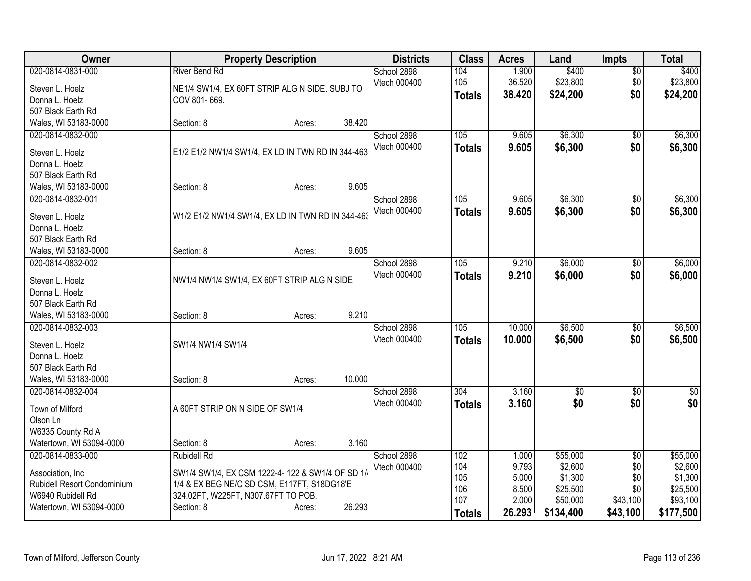| Owner                       |                                                   | <b>Property Description</b> |        | <b>Districts</b>            | <b>Class</b>  | <b>Acres</b>   | Land                | <b>Impts</b>           | <b>Total</b>        |
|-----------------------------|---------------------------------------------------|-----------------------------|--------|-----------------------------|---------------|----------------|---------------------|------------------------|---------------------|
| 020-0814-0831-000           | <b>River Bend Rd</b>                              |                             |        | School 2898                 | 104           | 1.900          | \$400               | $\overline{50}$        | \$400               |
| Steven L. Hoelz             | NE1/4 SW1/4, EX 60FT STRIP ALG N SIDE. SUBJ TO    |                             |        | Vtech 000400                | 105           | 36.520         | \$23,800            | \$0                    | \$23,800            |
| Donna L. Hoelz              | COV 801-669.                                      |                             |        |                             | <b>Totals</b> | 38.420         | \$24,200            | \$0                    | \$24,200            |
| 507 Black Earth Rd          |                                                   |                             |        |                             |               |                |                     |                        |                     |
| Wales, WI 53183-0000        | Section: 8                                        | Acres:                      | 38.420 |                             |               |                |                     |                        |                     |
| 020-0814-0832-000           |                                                   |                             |        | School 2898                 | 105           | 9.605          | \$6,300             | \$0                    | \$6,300             |
| Steven L. Hoelz             | E1/2 E1/2 NW1/4 SW1/4, EX LD IN TWN RD IN 344-463 |                             |        | Vtech 000400                | <b>Totals</b> | 9.605          | \$6,300             | \$0                    | \$6,300             |
| Donna L. Hoelz              |                                                   |                             |        |                             |               |                |                     |                        |                     |
| 507 Black Earth Rd          |                                                   |                             |        |                             |               |                |                     |                        |                     |
| Wales, WI 53183-0000        | Section: 8                                        | Acres:                      | 9.605  |                             |               |                |                     |                        |                     |
| 020-0814-0832-001           |                                                   |                             |        | School 2898                 | 105           | 9.605          | \$6,300             | \$0                    | \$6,300             |
|                             |                                                   |                             |        | Vtech 000400                | <b>Totals</b> | 9.605          | \$6,300             | \$0                    | \$6,300             |
| Steven L. Hoelz             | W1/2 E1/2 NW1/4 SW1/4, EX LD IN TWN RD IN 344-463 |                             |        |                             |               |                |                     |                        |                     |
| Donna L. Hoelz              |                                                   |                             |        |                             |               |                |                     |                        |                     |
| 507 Black Earth Rd          |                                                   |                             |        |                             |               |                |                     |                        |                     |
| Wales, WI 53183-0000        | Section: 8                                        | Acres:                      | 9.605  |                             |               |                |                     |                        |                     |
| 020-0814-0832-002           |                                                   |                             |        | School 2898                 | 105           | 9.210          | \$6,000             | \$0                    | \$6,000             |
| Steven L. Hoelz             | NW1/4 NW1/4 SW1/4, EX 60FT STRIP ALG N SIDE       |                             |        | Vtech 000400                | <b>Totals</b> | 9.210          | \$6,000             | \$0                    | \$6,000             |
| Donna L. Hoelz              |                                                   |                             |        |                             |               |                |                     |                        |                     |
| 507 Black Earth Rd          |                                                   |                             |        |                             |               |                |                     |                        |                     |
| Wales, WI 53183-0000        | Section: 8                                        | Acres:                      | 9.210  |                             |               |                |                     |                        |                     |
| 020-0814-0832-003           |                                                   |                             |        | School 2898                 | 105           | 10.000         | \$6,500             | \$0                    | \$6,500             |
| Steven L. Hoelz             | SW1/4 NW1/4 SW1/4                                 |                             |        | Vtech 000400                | <b>Totals</b> | 10.000         | \$6,500             | \$0                    | \$6,500             |
| Donna L. Hoelz              |                                                   |                             |        |                             |               |                |                     |                        |                     |
| 507 Black Earth Rd          |                                                   |                             |        |                             |               |                |                     |                        |                     |
| Wales, WI 53183-0000        | Section: 8                                        | Acres:                      | 10.000 |                             |               |                |                     |                        |                     |
| 020-0814-0832-004           |                                                   |                             |        | School 2898                 | 304           | 3.160          | $\overline{50}$     | $\overline{50}$        | $\overline{50}$     |
|                             |                                                   |                             |        | Vtech 000400                | <b>Totals</b> | 3.160          | \$0                 | \$0                    | \$0                 |
| Town of Milford             | A 60FT STRIP ON N SIDE OF SW1/4                   |                             |        |                             |               |                |                     |                        |                     |
| Olson Ln                    |                                                   |                             |        |                             |               |                |                     |                        |                     |
| W6335 County Rd A           |                                                   |                             |        |                             |               |                |                     |                        |                     |
| Watertown, WI 53094-0000    | Section: 8                                        | Acres:                      | 3.160  |                             |               |                |                     |                        |                     |
| 020-0814-0833-000           | <b>Rubidell Rd</b>                                |                             |        | School 2898<br>Vtech 000400 | 102<br>104    | 1.000<br>9.793 | \$55,000<br>\$2,600 | $\overline{30}$<br>\$0 | \$55,000<br>\$2,600 |
| Association, Inc            | SW1/4 SW1/4, EX CSM 1222-4-122 & SW1/4 OF SD 1/4  |                             |        |                             | 105           | 5.000          | \$1,300             | \$0                    | \$1,300             |
| Rubidell Resort Condominium | 1/4 & EX BEG NE/C SD CSM, E117FT, S18DG18'E       |                             |        |                             | 106           | 8.500          | \$25,500            | \$0                    | \$25,500            |
| W6940 Rubidell Rd           | 324.02FT, W225FT, N307.67FT TO POB.               |                             |        |                             | 107           | 2.000          | \$50,000            | \$43,100               | \$93,100            |
| Watertown, WI 53094-0000    | Section: 8                                        | Acres:                      | 26.293 |                             | <b>Totals</b> | 26.293         | \$134,400           | \$43,100               | \$177,500           |
|                             |                                                   |                             |        |                             |               |                |                     |                        |                     |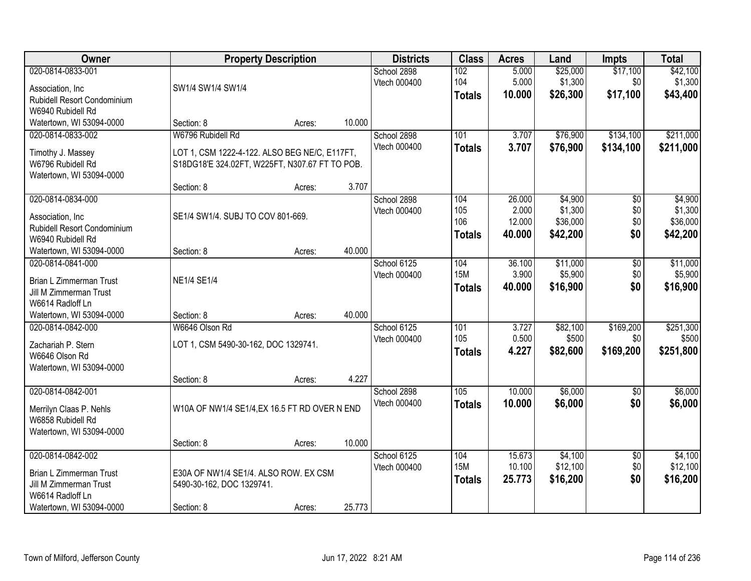| Owner                                                                                                                  |                                                                                                                      | <b>Property Description</b> |        | <b>Districts</b>            | <b>Class</b>                       | <b>Acres</b>               | Land                            | <b>Impts</b>                  | <b>Total</b>                    |
|------------------------------------------------------------------------------------------------------------------------|----------------------------------------------------------------------------------------------------------------------|-----------------------------|--------|-----------------------------|------------------------------------|----------------------------|---------------------------------|-------------------------------|---------------------------------|
| 020-0814-0833-001<br>Association, Inc.<br>Rubidell Resort Condominium<br>W6940 Rubidell Rd                             | SW1/4 SW1/4 SW1/4                                                                                                    |                             |        | School 2898<br>Vtech 000400 | 102<br>104<br><b>Totals</b>        | 5.000<br>5.000<br>10.000   | \$25,000<br>\$1,300<br>\$26,300 | \$17,100<br>\$0<br>\$17,100   | \$42,100<br>\$1,300<br>\$43,400 |
| Watertown, WI 53094-0000                                                                                               | Section: 8                                                                                                           | Acres:                      | 10.000 |                             |                                    |                            |                                 |                               |                                 |
| 020-0814-0833-002<br>Timothy J. Massey<br>W6796 Rubidell Rd<br>Watertown, WI 53094-0000                                | W6796 Rubidell Rd<br>LOT 1, CSM 1222-4-122. ALSO BEG NE/C, E117FT,<br>S18DG18'E 324.02FT, W225FT, N307.67 FT TO POB. |                             |        | School 2898<br>Vtech 000400 | 101<br><b>Totals</b>               | 3.707<br>3.707             | \$76,900<br>\$76,900            | \$134,100<br>\$134,100        | \$211,000<br>\$211,000          |
| 020-0814-0834-000                                                                                                      | Section: 8                                                                                                           | Acres:                      | 3.707  | School 2898                 | 104                                | 26.000                     | \$4,900                         | $\overline{50}$               | \$4,900                         |
| Association, Inc.<br>Rubidell Resort Condominium<br>W6940 Rubidell Rd                                                  | SE1/4 SW1/4. SUBJ TO COV 801-669.                                                                                    |                             |        | Vtech 000400                | 105<br>106<br><b>Totals</b>        | 2.000<br>12.000<br>40.000  | \$1,300<br>\$36,000<br>\$42,200 | \$0<br>\$0<br>\$0             | \$1,300<br>\$36,000<br>\$42,200 |
| Watertown, WI 53094-0000                                                                                               | Section: 8                                                                                                           | Acres:                      | 40.000 |                             |                                    |                            |                                 |                               |                                 |
| 020-0814-0841-000<br><b>Brian L Zimmerman Trust</b><br>Jill M Zimmerman Trust<br>W6614 Radloff Ln                      | <b>NE1/4 SE1/4</b>                                                                                                   |                             |        | School 6125<br>Vtech 000400 | 104<br><b>15M</b><br><b>Totals</b> | 36.100<br>3.900<br>40.000  | \$11,000<br>\$5,900<br>\$16,900 | \$0<br>\$0<br>\$0             | \$11,000<br>\$5,900<br>\$16,900 |
| Watertown, WI 53094-0000                                                                                               | Section: 8                                                                                                           | Acres:                      | 40.000 |                             |                                    |                            |                                 |                               |                                 |
| 020-0814-0842-000<br>Zachariah P. Stern<br>W6646 Olson Rd<br>Watertown, WI 53094-0000                                  | W6646 Olson Rd<br>LOT 1, CSM 5490-30-162, DOC 1329741.<br>Section: 8                                                 | Acres:                      | 4.227  | School 6125<br>Vtech 000400 | 101<br>105<br><b>Totals</b>        | 3.727<br>0.500<br>4.227    | \$82,100<br>\$500<br>\$82,600   | \$169,200<br>\$0<br>\$169,200 | \$251,300<br>\$500<br>\$251,800 |
| 020-0814-0842-001                                                                                                      |                                                                                                                      |                             |        | School 2898                 | 105                                | 10.000                     | \$6,000                         | \$0                           | \$6,000                         |
| Merrilyn Claas P. Nehls<br>W6858 Rubidell Rd<br>Watertown, WI 53094-0000                                               | W10A OF NW1/4 SE1/4, EX 16.5 FT RD OVER N END                                                                        |                             |        | Vtech 000400                | <b>Totals</b>                      | 10.000                     | \$6,000                         | \$0                           | \$6,000                         |
|                                                                                                                        | Section: 8                                                                                                           | Acres:                      | 10.000 |                             |                                    |                            |                                 |                               |                                 |
| 020-0814-0842-002<br>Brian L Zimmerman Trust<br>Jill M Zimmerman Trust<br>W6614 Radloff Ln<br>Watertown, WI 53094-0000 | E30A OF NW1/4 SE1/4. ALSO ROW. EX CSM<br>5490-30-162, DOC 1329741.<br>Section: 8                                     | Acres:                      | 25.773 | School 6125<br>Vtech 000400 | 104<br><b>15M</b><br><b>Totals</b> | 15.673<br>10.100<br>25.773 | \$4,100<br>\$12,100<br>\$16,200 | $\overline{30}$<br>\$0<br>\$0 | \$4,100<br>\$12,100<br>\$16,200 |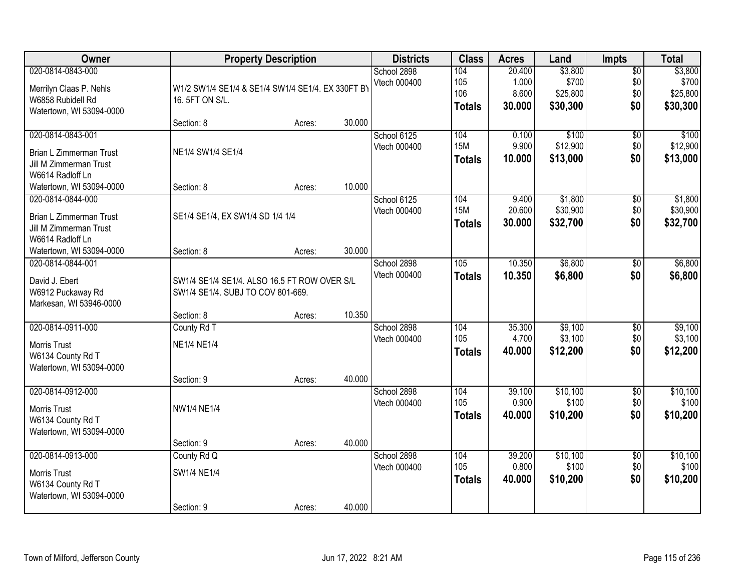| Owner                                                                                             |                                                                                   | <b>Property Description</b> |        | <b>Districts</b>            | <b>Class</b>                       | <b>Acres</b>                       | Land                                     | Impts                                | <b>Total</b>                             |
|---------------------------------------------------------------------------------------------------|-----------------------------------------------------------------------------------|-----------------------------|--------|-----------------------------|------------------------------------|------------------------------------|------------------------------------------|--------------------------------------|------------------------------------------|
| 020-0814-0843-000<br>Merrilyn Claas P. Nehls<br>W6858 Rubidell Rd<br>Watertown, WI 53094-0000     | W1/2 SW1/4 SE1/4 & SE1/4 SW1/4 SE1/4. EX 330FT BY<br>16. 5FT ON S/L.              |                             |        | School 2898<br>Vtech 000400 | 104<br>105<br>106<br><b>Totals</b> | 20.400<br>1.000<br>8.600<br>30.000 | \$3,800<br>\$700<br>\$25,800<br>\$30,300 | $\overline{50}$<br>\$0<br>\$0<br>\$0 | \$3,800<br>\$700<br>\$25,800<br>\$30,300 |
|                                                                                                   | Section: 8                                                                        | Acres:                      | 30.000 |                             |                                    |                                    |                                          |                                      |                                          |
| 020-0814-0843-001<br><b>Brian L Zimmerman Trust</b><br>Jill M Zimmerman Trust<br>W6614 Radloff Ln | NE1/4 SW1/4 SE1/4                                                                 |                             |        | School 6125<br>Vtech 000400 | 104<br><b>15M</b><br><b>Totals</b> | 0.100<br>9.900<br>10.000           | \$100<br>\$12,900<br>\$13,000            | $\overline{50}$<br>\$0<br>\$0        | \$100<br>\$12,900<br>\$13,000            |
| Watertown, WI 53094-0000                                                                          | Section: 8                                                                        | Acres:                      | 10.000 |                             |                                    |                                    |                                          |                                      |                                          |
| 020-0814-0844-000<br><b>Brian L Zimmerman Trust</b><br>Jill M Zimmerman Trust<br>W6614 Radloff Ln | SE1/4 SE1/4, EX SW1/4 SD 1/4 1/4                                                  |                             |        | School 6125<br>Vtech 000400 | 104<br><b>15M</b><br><b>Totals</b> | 9.400<br>20.600<br>30.000          | \$1,800<br>\$30,900<br>\$32,700          | \$0<br>\$0<br>\$0                    | \$1,800<br>\$30,900<br>\$32,700          |
| Watertown, WI 53094-0000                                                                          | Section: 8                                                                        | Acres:                      | 30.000 |                             |                                    |                                    |                                          |                                      |                                          |
| 020-0814-0844-001<br>David J. Ebert<br>W6912 Puckaway Rd<br>Markesan, WI 53946-0000               | SW1/4 SE1/4 SE1/4. ALSO 16.5 FT ROW OVER S/L<br>SW1/4 SE1/4. SUBJ TO COV 801-669. |                             |        | School 2898<br>Vtech 000400 | 105<br><b>Totals</b>               | 10.350<br>10.350                   | \$6,800<br>\$6,800                       | \$0<br>\$0                           | \$6,800<br>\$6,800                       |
|                                                                                                   | Section: 8                                                                        | Acres:                      | 10.350 |                             |                                    |                                    |                                          |                                      |                                          |
| 020-0814-0911-000<br><b>Morris Trust</b><br>W6134 County Rd T<br>Watertown, WI 53094-0000         | County Rd T<br><b>NE1/4 NE1/4</b><br>Section: 9                                   | Acres:                      | 40.000 | School 2898<br>Vtech 000400 | 104<br>105<br><b>Totals</b>        | 35.300<br>4.700<br>40.000          | \$9,100<br>\$3,100<br>\$12,200           | $\overline{50}$<br>\$0<br>\$0        | \$9,100<br>\$3,100<br>\$12,200           |
| 020-0814-0912-000<br>Morris Trust<br>W6134 County Rd T<br>Watertown, WI 53094-0000                | <b>NW1/4 NE1/4</b>                                                                |                             |        | School 2898<br>Vtech 000400 | 104<br>105<br><b>Totals</b>        | 39.100<br>0.900<br>40.000          | \$10,100<br>\$100<br>\$10,200            | $\overline{50}$<br>\$0<br>\$0        | \$10,100<br>\$100<br>\$10,200            |
|                                                                                                   | Section: 9                                                                        | Acres:                      | 40.000 |                             |                                    |                                    |                                          |                                      |                                          |
| 020-0814-0913-000<br><b>Morris Trust</b><br>W6134 County Rd T<br>Watertown, WI 53094-0000         | County Rd Q<br>SW1/4 NE1/4<br>Section: 9                                          | Acres:                      | 40.000 | School 2898<br>Vtech 000400 | 104<br>105<br><b>Totals</b>        | 39.200<br>0.800<br>40.000          | \$10,100<br>\$100<br>\$10,200            | $\overline{50}$<br>\$0<br>\$0        | \$10,100<br>\$100<br>\$10,200            |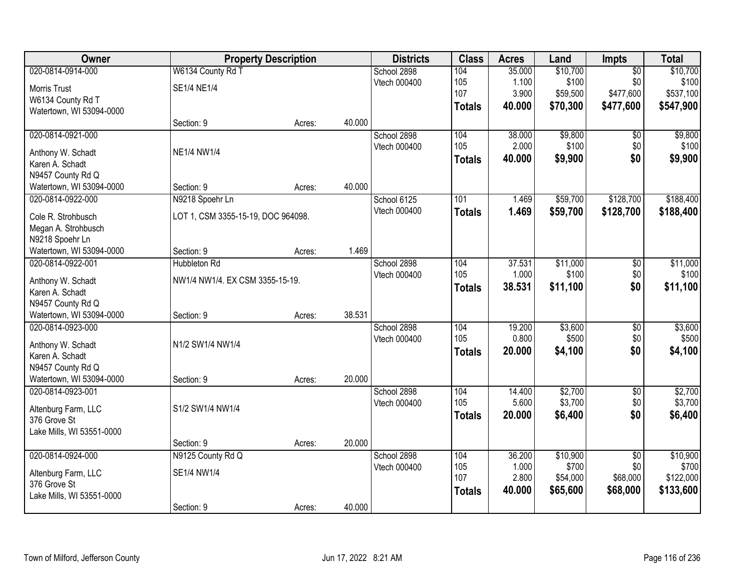| Owner                                       |                                    | <b>Property Description</b> |        | <b>Districts</b> | <b>Class</b>  | <b>Acres</b> | Land     | Impts           | <b>Total</b> |
|---------------------------------------------|------------------------------------|-----------------------------|--------|------------------|---------------|--------------|----------|-----------------|--------------|
| 020-0814-0914-000                           | W6134 County Rd T                  |                             |        | School 2898      | 104           | 35.000       | \$10,700 | $\overline{50}$ | \$10,700     |
| Morris Trust                                | SE1/4 NE1/4                        |                             |        | Vtech 000400     | 105           | 1.100        | \$100    | \$0             | \$100        |
| W6134 County Rd T                           |                                    |                             |        |                  | 107           | 3.900        | \$59,500 | \$477,600       | \$537,100    |
| Watertown, WI 53094-0000                    |                                    |                             |        |                  | <b>Totals</b> | 40.000       | \$70,300 | \$477,600       | \$547,900    |
|                                             | Section: 9                         | Acres:                      | 40.000 |                  |               |              |          |                 |              |
| 020-0814-0921-000                           |                                    |                             |        | School 2898      | 104           | 38.000       | \$9,800  | $\overline{50}$ | \$9,800      |
| Anthony W. Schadt                           | <b>NE1/4 NW1/4</b>                 |                             |        | Vtech 000400     | 105           | 2.000        | \$100    | \$0             | \$100        |
| Karen A. Schadt                             |                                    |                             |        |                  | <b>Totals</b> | 40.000       | \$9,900  | \$0             | \$9,900      |
| N9457 County Rd Q                           |                                    |                             |        |                  |               |              |          |                 |              |
| Watertown, WI 53094-0000                    | Section: 9                         | Acres:                      | 40.000 |                  |               |              |          |                 |              |
| 020-0814-0922-000                           | N9218 Spoehr Ln                    |                             |        | School 6125      | 101           | 1.469        | \$59,700 | \$128,700       | \$188,400    |
|                                             |                                    |                             |        | Vtech 000400     | <b>Totals</b> | 1.469        | \$59,700 | \$128,700       | \$188,400    |
| Cole R. Strohbusch                          | LOT 1, CSM 3355-15-19, DOC 964098. |                             |        |                  |               |              |          |                 |              |
| Megan A. Strohbusch                         |                                    |                             |        |                  |               |              |          |                 |              |
| N9218 Spoehr Ln<br>Watertown, WI 53094-0000 | Section: 9                         | Acres:                      | 1.469  |                  |               |              |          |                 |              |
| 020-0814-0922-001                           | <b>Hubbleton Rd</b>                |                             |        | School 2898      | 104           | 37.531       | \$11,000 | \$0             | \$11,000     |
|                                             |                                    |                             |        | Vtech 000400     | 105           | 1.000        | \$100    | \$0             | \$100        |
| Anthony W. Schadt                           | NW1/4 NW1/4. EX CSM 3355-15-19.    |                             |        |                  | <b>Totals</b> | 38.531       | \$11,100 | \$0             | \$11,100     |
| Karen A. Schadt                             |                                    |                             |        |                  |               |              |          |                 |              |
| N9457 County Rd Q                           |                                    |                             |        |                  |               |              |          |                 |              |
| Watertown, WI 53094-0000                    | Section: 9                         | Acres:                      | 38.531 |                  |               |              |          |                 |              |
| 020-0814-0923-000                           |                                    |                             |        | School 2898      | 104           | 19.200       | \$3,600  | $\overline{50}$ | \$3,600      |
| Anthony W. Schadt                           | N1/2 SW1/4 NW1/4                   |                             |        | Vtech 000400     | 105           | 0.800        | \$500    | \$0             | \$500        |
| Karen A. Schadt                             |                                    |                             |        |                  | <b>Totals</b> | 20.000       | \$4,100  | \$0             | \$4,100      |
| N9457 County Rd Q                           |                                    |                             |        |                  |               |              |          |                 |              |
| Watertown, WI 53094-0000                    | Section: 9                         | Acres:                      | 20.000 |                  |               |              |          |                 |              |
| 020-0814-0923-001                           |                                    |                             |        | School 2898      | 104           | 14.400       | \$2,700  | $\overline{50}$ | \$2,700      |
| Altenburg Farm, LLC                         | S1/2 SW1/4 NW1/4                   |                             |        | Vtech 000400     | 105           | 5.600        | \$3,700  | \$0             | \$3,700      |
| 376 Grove St                                |                                    |                             |        |                  | <b>Totals</b> | 20.000       | \$6,400  | \$0             | \$6,400      |
| Lake Mills, WI 53551-0000                   |                                    |                             |        |                  |               |              |          |                 |              |
|                                             | Section: 9                         | Acres:                      | 20.000 |                  |               |              |          |                 |              |
| 020-0814-0924-000                           | N9125 County Rd Q                  |                             |        | School 2898      | 104           | 36.200       | \$10,900 | $\overline{50}$ | \$10,900     |
| Altenburg Farm, LLC                         | SE1/4 NW1/4                        |                             |        | Vtech 000400     | 105           | 1.000        | \$700    | \$0             | \$700        |
| 376 Grove St                                |                                    |                             |        |                  | 107           | 2.800        | \$54,000 | \$68,000        | \$122,000    |
| Lake Mills, WI 53551-0000                   |                                    |                             |        |                  | <b>Totals</b> | 40.000       | \$65,600 | \$68,000        | \$133,600    |
|                                             | Section: 9                         | Acres:                      | 40.000 |                  |               |              |          |                 |              |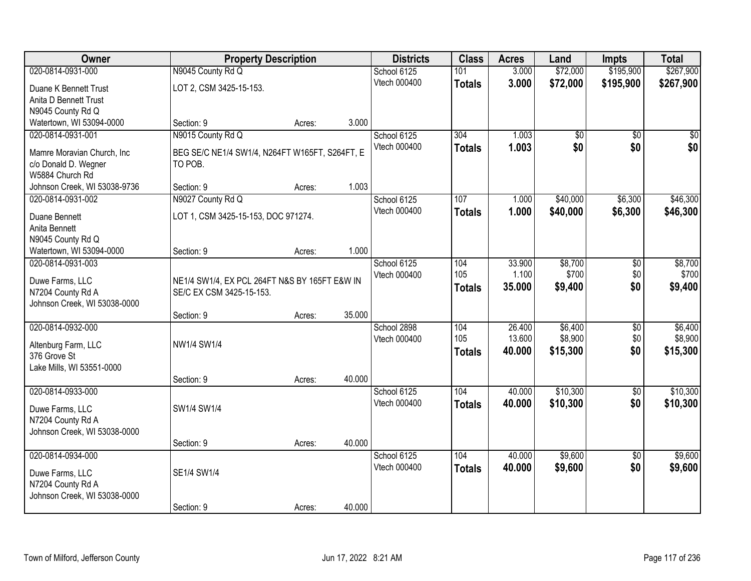| Owner                                             | <b>Property Description</b>                                               |        |        | <b>Districts</b> | <b>Class</b>  | <b>Acres</b> | Land            | <b>Impts</b>    | <b>Total</b>    |
|---------------------------------------------------|---------------------------------------------------------------------------|--------|--------|------------------|---------------|--------------|-----------------|-----------------|-----------------|
| 020-0814-0931-000                                 | N9045 County Rd Q                                                         |        |        | School 6125      | 101           | 3.000        | \$72,000        | \$195,900       | \$267,900       |
| Duane K Bennett Trust                             | LOT 2, CSM 3425-15-153.                                                   |        |        | Vtech 000400     | <b>Totals</b> | 3.000        | \$72,000        | \$195,900       | \$267,900       |
| Anita D Bennett Trust                             |                                                                           |        |        |                  |               |              |                 |                 |                 |
| N9045 County Rd Q                                 |                                                                           |        |        |                  |               |              |                 |                 |                 |
| Watertown, WI 53094-0000                          | Section: 9                                                                | Acres: | 3.000  |                  |               |              |                 |                 |                 |
| 020-0814-0931-001                                 | N9015 County Rd Q                                                         |        |        | School 6125      | 304           | 1.003        | $\overline{50}$ | $\overline{50}$ | $\overline{50}$ |
| Mamre Moravian Church, Inc.                       | BEG SE/C NE1/4 SW1/4, N264FT W165FT, S264FT, E                            |        |        | Vtech 000400     | <b>Totals</b> | 1.003        | \$0             | \$0             | \$0             |
| c/o Donald D. Wegner                              | TO POB.                                                                   |        |        |                  |               |              |                 |                 |                 |
| W5884 Church Rd                                   |                                                                           |        |        |                  |               |              |                 |                 |                 |
| Johnson Creek, WI 53038-9736                      | Section: 9                                                                | Acres: | 1.003  |                  |               |              |                 |                 |                 |
| 020-0814-0931-002                                 | N9027 County Rd Q                                                         |        |        | School 6125      | 107           | 1.000        | \$40,000        | \$6,300         | \$46,300        |
| Duane Bennett                                     | LOT 1, CSM 3425-15-153, DOC 971274.                                       |        |        | Vtech 000400     | <b>Totals</b> | 1.000        | \$40,000        | \$6,300         | \$46,300        |
| Anita Bennett                                     |                                                                           |        |        |                  |               |              |                 |                 |                 |
| N9045 County Rd Q                                 |                                                                           |        |        |                  |               |              |                 |                 |                 |
| Watertown, WI 53094-0000                          | Section: 9                                                                | Acres: | 1.000  |                  |               |              |                 |                 |                 |
| 020-0814-0931-003                                 |                                                                           |        |        | School 6125      | 104           | 33.900       | \$8,700         | \$0             | \$8,700         |
|                                                   |                                                                           |        |        | Vtech 000400     | 105           | 1.100        | \$700           | \$0             | \$700           |
| Duwe Farms, LLC<br>N7204 County Rd A              | NE1/4 SW1/4, EX PCL 264FT N&S BY 165FT E&W IN<br>SE/C EX CSM 3425-15-153. |        |        |                  | <b>Totals</b> | 35.000       | \$9,400         | \$0             | \$9,400         |
| Johnson Creek, WI 53038-0000                      |                                                                           |        |        |                  |               |              |                 |                 |                 |
|                                                   | Section: 9                                                                | Acres: | 35.000 |                  |               |              |                 |                 |                 |
| 020-0814-0932-000                                 |                                                                           |        |        | School 2898      | 104           | 26.400       | \$6,400         | $\overline{50}$ | \$6,400         |
|                                                   |                                                                           |        |        | Vtech 000400     | 105           | 13.600       | \$8,900         | \$0             | \$8,900         |
| Altenburg Farm, LLC<br>376 Grove St               | NW1/4 SW1/4                                                               |        |        |                  | <b>Totals</b> | 40.000       | \$15,300        | \$0             | \$15,300        |
| Lake Mills, WI 53551-0000                         |                                                                           |        |        |                  |               |              |                 |                 |                 |
|                                                   | Section: 9                                                                | Acres: | 40.000 |                  |               |              |                 |                 |                 |
| 020-0814-0933-000                                 |                                                                           |        |        | School 6125      | 104           | 40.000       | \$10,300        | $\overline{50}$ | \$10,300        |
|                                                   |                                                                           |        |        | Vtech 000400     | <b>Totals</b> | 40.000       | \$10,300        | \$0             | \$10,300        |
| Duwe Farms, LLC                                   | SW1/4 SW1/4                                                               |        |        |                  |               |              |                 |                 |                 |
| N7204 County Rd A<br>Johnson Creek, WI 53038-0000 |                                                                           |        |        |                  |               |              |                 |                 |                 |
|                                                   | Section: 9                                                                | Acres: | 40.000 |                  |               |              |                 |                 |                 |
| 020-0814-0934-000                                 |                                                                           |        |        | School 6125      | 104           | 40.000       | \$9,600         | $\overline{50}$ | \$9,600         |
|                                                   |                                                                           |        |        | Vtech 000400     | <b>Totals</b> | 40.000       | \$9,600         | \$0             | \$9,600         |
| Duwe Farms, LLC                                   | SE1/4 SW1/4                                                               |        |        |                  |               |              |                 |                 |                 |
| N7204 County Rd A                                 |                                                                           |        |        |                  |               |              |                 |                 |                 |
| Johnson Creek, WI 53038-0000                      |                                                                           |        |        |                  |               |              |                 |                 |                 |
|                                                   | Section: 9                                                                | Acres: | 40.000 |                  |               |              |                 |                 |                 |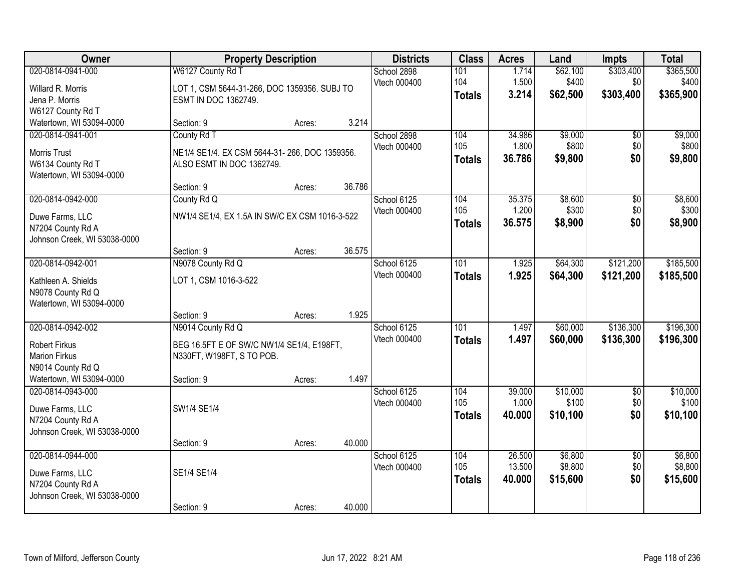| Owner                                                                                                                 |                                                                                                           | <b>Property Description</b> |                 | <b>Districts</b>            | <b>Class</b>                | <b>Acres</b>               | Land                           | <b>Impts</b>                  | <b>Total</b>                    |
|-----------------------------------------------------------------------------------------------------------------------|-----------------------------------------------------------------------------------------------------------|-----------------------------|-----------------|-----------------------------|-----------------------------|----------------------------|--------------------------------|-------------------------------|---------------------------------|
| 020-0814-0941-000<br>Willard R. Morris<br>Jena P. Morris<br>W6127 County Rd T                                         | W6127 County Rd T<br>LOT 1, CSM 5644-31-266, DOC 1359356. SUBJ TO<br>ESMT IN DOC 1362749.                 |                             |                 | School 2898<br>Vtech 000400 | 101<br>104<br><b>Totals</b> | 1.714<br>1.500<br>3.214    | \$62,100<br>\$400<br>\$62,500  | \$303,400<br>\$0<br>\$303,400 | \$365,500<br>\$400<br>\$365,900 |
| Watertown, WI 53094-0000                                                                                              | Section: 9                                                                                                | Acres:                      | 3.214           |                             |                             |                            |                                |                               |                                 |
| 020-0814-0941-001<br><b>Morris Trust</b><br>W6134 County Rd T<br>Watertown, WI 53094-0000                             | County Rd T<br>NE1/4 SE1/4. EX CSM 5644-31-266, DOC 1359356.<br>ALSO ESMT IN DOC 1362749.                 |                             | 36.786          | School 2898<br>Vtech 000400 | 104<br>105<br><b>Totals</b> | 34.986<br>1.800<br>36.786  | \$9,000<br>\$800<br>\$9,800    | \$0<br>\$0<br>\$0             | \$9,000<br>\$800<br>\$9,800     |
| 020-0814-0942-000<br>Duwe Farms, LLC<br>N7204 County Rd A<br>Johnson Creek, WI 53038-0000                             | Section: 9<br>County Rd Q<br>NW1/4 SE1/4, EX 1.5A IN SW/C EX CSM 1016-3-522                               | Acres:                      |                 | School 6125<br>Vtech 000400 | 104<br>105<br><b>Totals</b> | 35.375<br>1.200<br>36.575  | \$8,600<br>\$300<br>\$8,900    | $\overline{50}$<br>\$0<br>\$0 | \$8,600<br>\$300<br>\$8,900     |
| 020-0814-0942-001<br>Kathleen A. Shields<br>N9078 County Rd Q                                                         | Section: 9<br>N9078 County Rd Q<br>LOT 1, CSM 1016-3-522                                                  | Acres:                      | 36.575          | School 6125<br>Vtech 000400 | 101<br><b>Totals</b>        | 1.925<br>1.925             | \$64,300<br>\$64,300           | \$121,200<br>\$121,200        | \$185,500<br>\$185,500          |
| Watertown, WI 53094-0000<br>020-0814-0942-002<br><b>Robert Firkus</b><br><b>Marion Firkus</b><br>N9014 County Rd Q    | Section: 9<br>N9014 County Rd Q<br>BEG 16.5FT E OF SW/C NW1/4 SE1/4, E198FT,<br>N330FT, W198FT, S TO POB. | Acres:                      | 1.925           | School 6125<br>Vtech 000400 | 101<br><b>Totals</b>        | 1.497<br>1.497             | \$60,000<br>\$60,000           | \$136,300<br>\$136,300        | \$196,300<br>\$196,300          |
| Watertown, WI 53094-0000<br>020-0814-0943-000<br>Duwe Farms, LLC<br>N7204 County Rd A<br>Johnson Creek, WI 53038-0000 | Section: 9<br>SW1/4 SE1/4<br>Section: 9                                                                   | Acres:<br>Acres:            | 1.497<br>40.000 | School 6125<br>Vtech 000400 | 104<br>105<br><b>Totals</b> | 39.000<br>1.000<br>40.000  | \$10,000<br>\$100<br>\$10,100  | $\overline{50}$<br>\$0<br>\$0 | \$10,000<br>\$100<br>\$10,100   |
| 020-0814-0944-000<br>Duwe Farms, LLC<br>N7204 County Rd A<br>Johnson Creek, WI 53038-0000                             | SE1/4 SE1/4<br>Section: 9                                                                                 | Acres:                      | 40.000          | School 6125<br>Vtech 000400 | 104<br>105<br><b>Totals</b> | 26.500<br>13.500<br>40.000 | \$6,800<br>\$8,800<br>\$15,600 | $\overline{50}$<br>\$0<br>\$0 | \$6,800<br>\$8,800<br>\$15,600  |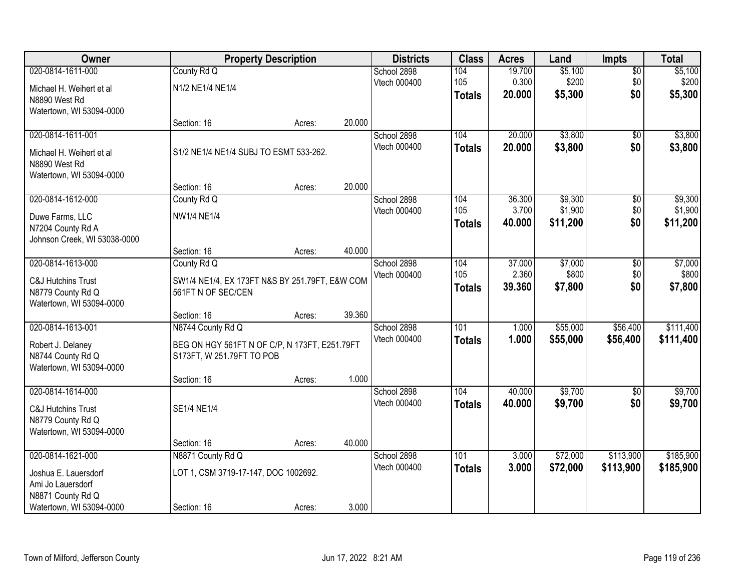| Owner                                         |                                                                      | <b>Property Description</b> |        | <b>Districts</b>            | <b>Class</b>  | <b>Acres</b> | Land     | Impts           | <b>Total</b> |
|-----------------------------------------------|----------------------------------------------------------------------|-----------------------------|--------|-----------------------------|---------------|--------------|----------|-----------------|--------------|
| 020-0814-1611-000                             | County Rd Q                                                          |                             |        | School 2898                 | 104           | 19.700       | \$5,100  | $\overline{50}$ | \$5,100      |
| Michael H. Weihert et al                      | N1/2 NE1/4 NE1/4                                                     |                             |        | Vtech 000400                | 105           | 0.300        | \$200    | \$0             | \$200        |
| N8890 West Rd                                 |                                                                      |                             |        |                             | <b>Totals</b> | 20.000       | \$5,300  | \$0             | \$5,300      |
| Watertown, WI 53094-0000                      |                                                                      |                             |        |                             |               |              |          |                 |              |
|                                               | Section: 16                                                          | Acres:                      | 20.000 |                             |               |              |          |                 |              |
| 020-0814-1611-001                             |                                                                      |                             |        | School 2898<br>Vtech 000400 | 104           | 20.000       | \$3,800  | $\overline{50}$ | \$3,800      |
| Michael H. Weihert et al                      | S1/2 NE1/4 NE1/4 SUBJ TO ESMT 533-262.                               |                             |        |                             | <b>Totals</b> | 20.000       | \$3,800  | \$0             | \$3,800      |
| N8890 West Rd                                 |                                                                      |                             |        |                             |               |              |          |                 |              |
| Watertown, WI 53094-0000                      |                                                                      |                             | 20.000 |                             |               |              |          |                 |              |
| 020-0814-1612-000                             | Section: 16<br>County Rd Q                                           | Acres:                      |        | School 2898                 | 104           | 36.300       | \$9,300  | \$0             | \$9,300      |
|                                               |                                                                      |                             |        | Vtech 000400                | 105           | 3.700        | \$1,900  | \$0             | \$1,900      |
| Duwe Farms, LLC                               | <b>NW1/4 NE1/4</b>                                                   |                             |        |                             | <b>Totals</b> | 40.000       | \$11,200 | \$0             | \$11,200     |
| N7204 County Rd A                             |                                                                      |                             |        |                             |               |              |          |                 |              |
| Johnson Creek, WI 53038-0000                  | Section: 16                                                          | Acres:                      | 40.000 |                             |               |              |          |                 |              |
| 020-0814-1613-000                             | County Rd Q                                                          |                             |        | School 2898                 | 104           | 37.000       | \$7,000  | \$0             | \$7,000      |
|                                               |                                                                      |                             |        | Vtech 000400                | 105           | 2.360        | \$800    | \$0             | \$800        |
| <b>C&amp;J Hutchins Trust</b>                 | SW1/4 NE1/4, EX 173FT N&S BY 251.79FT, E&W COM<br>561FT N OF SEC/CEN |                             |        |                             | <b>Totals</b> | 39.360       | \$7,800  | \$0             | \$7,800      |
| N8779 County Rd Q<br>Watertown, WI 53094-0000 |                                                                      |                             |        |                             |               |              |          |                 |              |
|                                               | Section: 16                                                          | Acres:                      | 39.360 |                             |               |              |          |                 |              |
| 020-0814-1613-001                             | N8744 County Rd Q                                                    |                             |        | School 2898                 | 101           | 1.000        | \$55,000 | \$56,400        | \$111,400    |
| Robert J. Delaney                             | BEG ON HGY 561FT N OF C/P, N 173FT, E251.79FT                        |                             |        | Vtech 000400                | <b>Totals</b> | 1.000        | \$55,000 | \$56,400        | \$111,400    |
| N8744 County Rd Q                             | S173FT, W 251.79FT TO POB                                            |                             |        |                             |               |              |          |                 |              |
| Watertown, WI 53094-0000                      |                                                                      |                             |        |                             |               |              |          |                 |              |
|                                               | Section: 16                                                          | Acres:                      | 1.000  |                             |               |              |          |                 |              |
| 020-0814-1614-000                             |                                                                      |                             |        | School 2898                 | 104           | 40.000       | \$9,700  | $\overline{50}$ | \$9,700      |
| <b>C&amp;J Hutchins Trust</b>                 | SE1/4 NE1/4                                                          |                             |        | Vtech 000400                | <b>Totals</b> | 40.000       | \$9,700  | \$0             | \$9,700      |
| N8779 County Rd Q                             |                                                                      |                             |        |                             |               |              |          |                 |              |
| Watertown, WI 53094-0000                      |                                                                      |                             |        |                             |               |              |          |                 |              |
|                                               | Section: 16                                                          | Acres:                      | 40.000 |                             |               |              |          |                 |              |
| 020-0814-1621-000                             | N8871 County Rd Q                                                    |                             |        | School 2898                 | 101           | 3.000        | \$72,000 | \$113,900       | \$185,900    |
| Joshua E. Lauersdorf                          | LOT 1, CSM 3719-17-147, DOC 1002692.                                 |                             |        | Vtech 000400                | <b>Totals</b> | 3.000        | \$72,000 | \$113,900       | \$185,900    |
| Ami Jo Lauersdorf                             |                                                                      |                             |        |                             |               |              |          |                 |              |
| N8871 County Rd Q                             |                                                                      |                             |        |                             |               |              |          |                 |              |
| Watertown, WI 53094-0000                      | Section: 16                                                          | Acres:                      | 3.000  |                             |               |              |          |                 |              |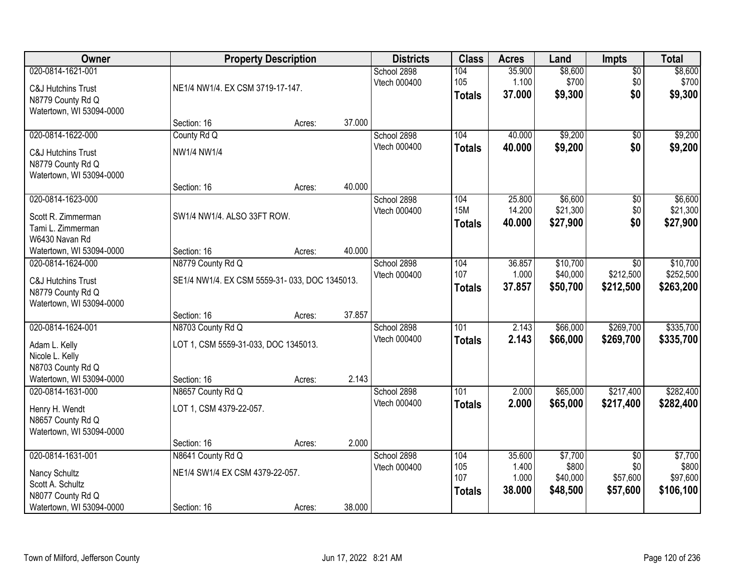| Owner                                                                                                   |                                                                          | <b>Property Description</b> |        | <b>Districts</b>            | <b>Class</b>                       | <b>Acres</b>                       | Land                                     | Impts                                          | <b>Total</b>                              |
|---------------------------------------------------------------------------------------------------------|--------------------------------------------------------------------------|-----------------------------|--------|-----------------------------|------------------------------------|------------------------------------|------------------------------------------|------------------------------------------------|-------------------------------------------|
| 020-0814-1621-001<br><b>C&amp;J Hutchins Trust</b><br>N8779 County Rd Q<br>Watertown, WI 53094-0000     | NE1/4 NW1/4. EX CSM 3719-17-147.                                         |                             |        | School 2898<br>Vtech 000400 | 104<br>105<br><b>Totals</b>        | 35.900<br>1.100<br>37.000          | \$8,600<br>\$700<br>\$9,300              | $\overline{50}$<br>\$0<br>\$0                  | \$8,600<br>\$700<br>\$9,300               |
|                                                                                                         | Section: 16                                                              | Acres:                      | 37.000 |                             |                                    |                                    |                                          |                                                |                                           |
| 020-0814-1622-000<br><b>C&amp;J Hutchins Trust</b><br>N8779 County Rd Q<br>Watertown, WI 53094-0000     | County Rd Q<br>NW1/4 NW1/4                                               |                             |        | School 2898<br>Vtech 000400 | 104<br><b>Totals</b>               | 40.000<br>40.000                   | \$9,200<br>\$9,200                       | $\overline{50}$<br>\$0                         | \$9,200<br>\$9,200                        |
|                                                                                                         | Section: 16                                                              | Acres:                      | 40.000 |                             |                                    |                                    |                                          |                                                |                                           |
| 020-0814-1623-000<br>Scott R. Zimmerman<br>Tami L. Zimmerman<br>W6430 Navan Rd                          | SW1/4 NW1/4. ALSO 33FT ROW.                                              |                             |        | School 2898<br>Vtech 000400 | 104<br><b>15M</b><br><b>Totals</b> | 25.800<br>14.200<br>40.000         | \$6,600<br>\$21,300<br>\$27,900          | $\overline{50}$<br>\$0<br>\$0                  | \$6,600<br>\$21,300<br>\$27,900           |
| Watertown, WI 53094-0000                                                                                | Section: 16                                                              | Acres:                      | 40.000 |                             |                                    |                                    |                                          |                                                |                                           |
| 020-0814-1624-000<br>C&J Hutchins Trust<br>N8779 County Rd Q<br>Watertown, WI 53094-0000                | N8779 County Rd Q<br>SE1/4 NW1/4. EX CSM 5559-31-033, DOC 1345013.       |                             |        | School 2898<br>Vtech 000400 | 104<br>107<br><b>Totals</b>        | 36.857<br>1.000<br>37.857          | \$10,700<br>\$40,000<br>\$50,700         | \$0<br>\$212,500<br>\$212,500                  | \$10,700<br>\$252,500<br>\$263,200        |
|                                                                                                         | Section: 16                                                              | Acres:                      | 37.857 |                             |                                    |                                    |                                          |                                                |                                           |
| 020-0814-1624-001<br>Adam L. Kelly<br>Nicole L. Kelly<br>N8703 County Rd Q<br>Watertown, WI 53094-0000  | N8703 County Rd Q<br>LOT 1, CSM 5559-31-033, DOC 1345013.<br>Section: 16 | Acres:                      | 2.143  | School 2898<br>Vtech 000400 | 101<br><b>Totals</b>               | 2.143<br>2.143                     | \$66,000<br>\$66,000                     | \$269,700<br>\$269,700                         | \$335,700<br>\$335,700                    |
| 020-0814-1631-000<br>Henry H. Wendt<br>N8657 County Rd Q<br>Watertown, WI 53094-0000                    | N8657 County Rd Q<br>LOT 1, CSM 4379-22-057.<br>Section: 16              | Acres:                      | 2.000  | School 2898<br>Vtech 000400 | 101<br><b>Totals</b>               | 2.000<br>2.000                     | \$65,000<br>\$65,000                     | \$217,400<br>\$217,400                         | \$282,400<br>\$282,400                    |
| 020-0814-1631-001<br>Nancy Schultz<br>Scott A. Schultz<br>N8077 County Rd Q<br>Watertown, WI 53094-0000 | N8641 County Rd Q<br>NE1/4 SW1/4 EX CSM 4379-22-057.<br>Section: 16      | Acres:                      | 38.000 | School 2898<br>Vtech 000400 | 104<br>105<br>107<br><b>Totals</b> | 35.600<br>1.400<br>1.000<br>38.000 | \$7,700<br>\$800<br>\$40,000<br>\$48,500 | $\overline{50}$<br>\$0<br>\$57,600<br>\$57,600 | \$7,700<br>\$800<br>\$97,600<br>\$106,100 |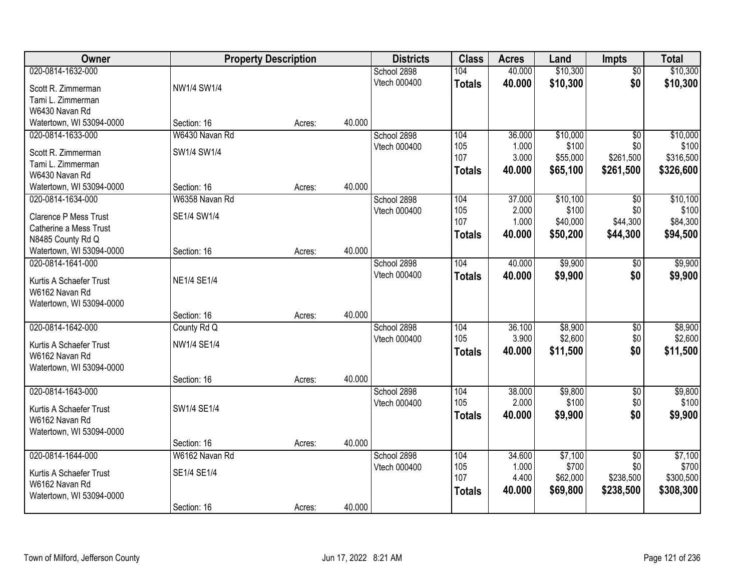| Owner                                      |                    | <b>Property Description</b> |        | <b>Districts</b> | <b>Class</b>  | <b>Acres</b> | Land     | <b>Impts</b>    | <b>Total</b> |
|--------------------------------------------|--------------------|-----------------------------|--------|------------------|---------------|--------------|----------|-----------------|--------------|
| 020-0814-1632-000                          |                    |                             |        | School 2898      | 104           | 40.000       | \$10,300 | $\overline{30}$ | \$10,300     |
| Scott R. Zimmerman                         | NW1/4 SW1/4        |                             |        | Vtech 000400     | <b>Totals</b> | 40.000       | \$10,300 | \$0             | \$10,300     |
| Tami L. Zimmerman                          |                    |                             |        |                  |               |              |          |                 |              |
| W6430 Navan Rd                             |                    |                             |        |                  |               |              |          |                 |              |
| Watertown, WI 53094-0000                   | Section: 16        | Acres:                      | 40.000 |                  |               |              |          |                 |              |
| 020-0814-1633-000                          | W6430 Navan Rd     |                             |        | School 2898      | 104           | 36.000       | \$10,000 | $\overline{30}$ | \$10,000     |
| Scott R. Zimmerman                         | SW1/4 SW1/4        |                             |        | Vtech 000400     | 105           | 1.000        | \$100    | \$0             | \$100        |
| Tami L. Zimmerman                          |                    |                             |        |                  | 107           | 3.000        | \$55,000 | \$261,500       | \$316,500    |
| W6430 Navan Rd                             |                    |                             |        |                  | <b>Totals</b> | 40.000       | \$65,100 | \$261,500       | \$326,600    |
| Watertown, WI 53094-0000                   | Section: 16        | Acres:                      | 40.000 |                  |               |              |          |                 |              |
| 020-0814-1634-000                          | W6358 Navan Rd     |                             |        | School 2898      | 104           | 37.000       | \$10,100 | $\overline{50}$ | \$10,100     |
| <b>Clarence P Mess Trust</b>               | SE1/4 SW1/4        |                             |        | Vtech 000400     | 105           | 2.000        | \$100    | \$0             | \$100        |
| Catherine a Mess Trust                     |                    |                             |        |                  | 107           | 1.000        | \$40,000 | \$44,300        | \$84,300     |
| N8485 County Rd Q                          |                    |                             |        |                  | <b>Totals</b> | 40.000       | \$50,200 | \$44,300        | \$94,500     |
| Watertown, WI 53094-0000                   | Section: 16        | Acres:                      | 40.000 |                  |               |              |          |                 |              |
| 020-0814-1641-000                          |                    |                             |        | School 2898      | 104           | 40.000       | \$9,900  | \$0             | \$9,900      |
| Kurtis A Schaefer Trust                    | <b>NE1/4 SE1/4</b> |                             |        | Vtech 000400     | <b>Totals</b> | 40.000       | \$9,900  | \$0             | \$9,900      |
| W6162 Navan Rd                             |                    |                             |        |                  |               |              |          |                 |              |
| Watertown, WI 53094-0000                   |                    |                             |        |                  |               |              |          |                 |              |
|                                            | Section: 16        | Acres:                      | 40.000 |                  |               |              |          |                 |              |
| 020-0814-1642-000                          | County Rd Q        |                             |        | School 2898      | 104           | 36.100       | \$8,900  | \$0             | \$8,900      |
|                                            | <b>NW1/4 SE1/4</b> |                             |        | Vtech 000400     | 105           | 3.900        | \$2,600  | \$0             | \$2,600      |
| Kurtis A Schaefer Trust<br>W6162 Navan Rd  |                    |                             |        |                  | <b>Totals</b> | 40.000       | \$11,500 | \$0             | \$11,500     |
| Watertown, WI 53094-0000                   |                    |                             |        |                  |               |              |          |                 |              |
|                                            | Section: 16        | Acres:                      | 40.000 |                  |               |              |          |                 |              |
| 020-0814-1643-000                          |                    |                             |        | School 2898      | 104           | 38.000       | \$9,800  | $\overline{60}$ | \$9,800      |
|                                            | SW1/4 SE1/4        |                             |        | Vtech 000400     | 105           | 2.000        | \$100    | \$0             | \$100        |
| Kurtis A Schaefer Trust<br>W6162 Navan Rd  |                    |                             |        |                  | <b>Totals</b> | 40.000       | \$9,900  | \$0             | \$9,900      |
| Watertown, WI 53094-0000                   |                    |                             |        |                  |               |              |          |                 |              |
|                                            | Section: 16        | Acres:                      | 40.000 |                  |               |              |          |                 |              |
| 020-0814-1644-000                          | W6162 Navan Rd     |                             |        | School 2898      | 104           | 34.600       | \$7,100  | $\overline{30}$ | \$7,100      |
|                                            |                    |                             |        | Vtech 000400     | 105           | 1.000        | \$700    | \$0             | \$700        |
| Kurtis A Schaefer Trust                    | SE1/4 SE1/4        |                             |        |                  | 107           | 4.400        | \$62,000 | \$238,500       | \$300,500    |
| W6162 Navan Rd<br>Watertown, WI 53094-0000 |                    |                             |        |                  | <b>Totals</b> | 40.000       | \$69,800 | \$238,500       | \$308,300    |
|                                            | Section: 16        | Acres:                      | 40.000 |                  |               |              |          |                 |              |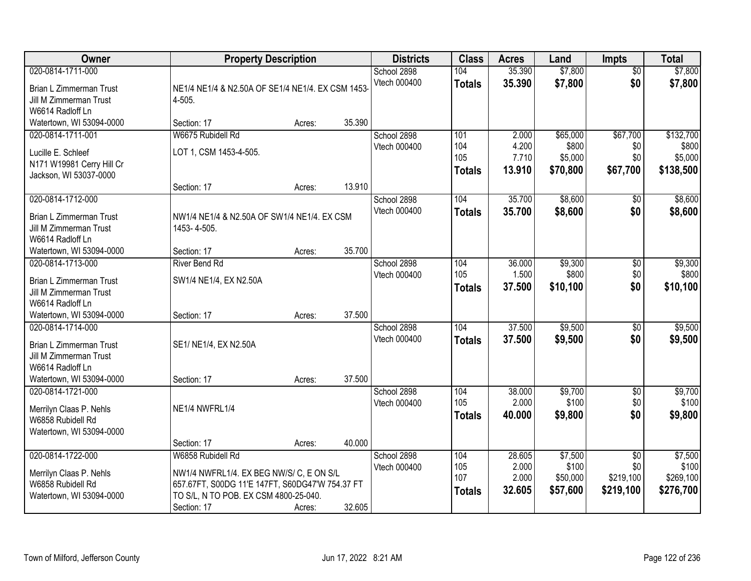| Owner                                                                                                                  | <b>Property Description</b>                                                                                                                                              |        |        | <b>Districts</b>            | <b>Class</b>                       | <b>Acres</b>                       | Land                                     | <b>Impts</b>                                     | <b>Total</b>                               |
|------------------------------------------------------------------------------------------------------------------------|--------------------------------------------------------------------------------------------------------------------------------------------------------------------------|--------|--------|-----------------------------|------------------------------------|------------------------------------|------------------------------------------|--------------------------------------------------|--------------------------------------------|
| 020-0814-1711-000<br>Brian L Zimmerman Trust<br>Jill M Zimmerman Trust<br>W6614 Radloff Ln                             | NE1/4 NE1/4 & N2.50A OF SE1/4 NE1/4. EX CSM 1453-<br>4-505.                                                                                                              |        |        | School 2898<br>Vtech 000400 | 104<br><b>Totals</b>               | 35.390<br>35.390                   | \$7,800<br>\$7,800                       | $\overline{50}$<br>\$0                           | \$7,800<br>\$7,800                         |
| Watertown, WI 53094-0000                                                                                               | Section: 17                                                                                                                                                              | Acres: | 35.390 |                             |                                    |                                    |                                          |                                                  |                                            |
| 020-0814-1711-001<br>Lucille E. Schleef<br>N171 W19981 Cerry Hill Cr<br>Jackson, WI 53037-0000                         | W6675 Rubidell Rd<br>LOT 1, CSM 1453-4-505.<br>Section: 17                                                                                                               | Acres: | 13.910 | School 2898<br>Vtech 000400 | 101<br>104<br>105<br><b>Totals</b> | 2.000<br>4.200<br>7.710<br>13.910  | \$65,000<br>\$800<br>\$5,000<br>\$70,800 | \$67,700<br>\$0<br>\$0<br>\$67,700               | \$132,700<br>\$800<br>\$5,000<br>\$138,500 |
| 020-0814-1712-000                                                                                                      |                                                                                                                                                                          |        |        | School 2898                 | 104                                | 35.700                             | \$8,600                                  | $\sqrt[6]{}$                                     | \$8,600                                    |
| <b>Brian L Zimmerman Trust</b><br>Jill M Zimmerman Trust<br>W6614 Radloff Ln<br>Watertown, WI 53094-0000               | NW1/4 NE1/4 & N2.50A OF SW1/4 NE1/4. EX CSM<br>1453-4-505.<br>Section: 17                                                                                                | Acres: | 35.700 | Vtech 000400                | <b>Totals</b>                      | 35.700                             | \$8,600                                  | \$0                                              | \$8,600                                    |
| 020-0814-1713-000                                                                                                      | <b>River Bend Rd</b>                                                                                                                                                     |        |        | School 2898                 | 104                                | 36.000                             | \$9,300                                  | \$0                                              | \$9,300                                    |
| Brian L Zimmerman Trust<br>Jill M Zimmerman Trust<br>W6614 Radloff Ln                                                  | SW1/4 NE1/4, EX N2.50A                                                                                                                                                   |        |        | Vtech 000400                | 105<br><b>Totals</b>               | 1.500<br>37.500                    | \$800<br>\$10,100                        | \$0<br>\$0                                       | \$800<br>\$10,100                          |
| Watertown, WI 53094-0000                                                                                               | Section: 17                                                                                                                                                              | Acres: | 37.500 |                             |                                    |                                    |                                          |                                                  |                                            |
| 020-0814-1714-000<br>Brian L Zimmerman Trust<br>Jill M Zimmerman Trust<br>W6614 Radloff Ln<br>Watertown, WI 53094-0000 | SE1/ NE1/4, EX N2.50A<br>Section: 17                                                                                                                                     | Acres: | 37.500 | School 2898<br>Vtech 000400 | 104<br><b>Totals</b>               | 37.500<br>37,500                   | \$9,500<br>\$9,500                       | \$0<br>\$0                                       | \$9,500<br>\$9,500                         |
| 020-0814-1721-000<br>Merrilyn Claas P. Nehls<br>W6858 Rubidell Rd<br>Watertown, WI 53094-0000                          | NE1/4 NWFRL1/4                                                                                                                                                           |        |        | School 2898<br>Vtech 000400 | 104<br>105<br><b>Totals</b>        | 38.000<br>2.000<br>40.000          | \$9,700<br>\$100<br>\$9,800              | $\overline{$0}$<br>\$0<br>\$0                    | \$9,700<br>\$100<br>\$9,800                |
|                                                                                                                        | Section: 17                                                                                                                                                              | Acres: | 40.000 |                             |                                    |                                    |                                          |                                                  |                                            |
| 020-0814-1722-000<br>Merrilyn Claas P. Nehls<br>W6858 Rubidell Rd<br>Watertown, WI 53094-0000                          | W6858 Rubidell Rd<br>NW1/4 NWFRL1/4. EX BEG NW/S/ C, E ON S/L<br>657.67FT, S00DG 11'E 147FT, S60DG47'W 754.37 FT<br>TO S/L, N TO POB. EX CSM 4800-25-040.<br>Section: 17 | Acres: | 32.605 | School 2898<br>Vtech 000400 | 104<br>105<br>107<br><b>Totals</b> | 28.605<br>2.000<br>2.000<br>32.605 | \$7,500<br>\$100<br>\$50,000<br>\$57,600 | $\overline{60}$<br>\$0<br>\$219,100<br>\$219,100 | \$7,500<br>\$100<br>\$269,100<br>\$276,700 |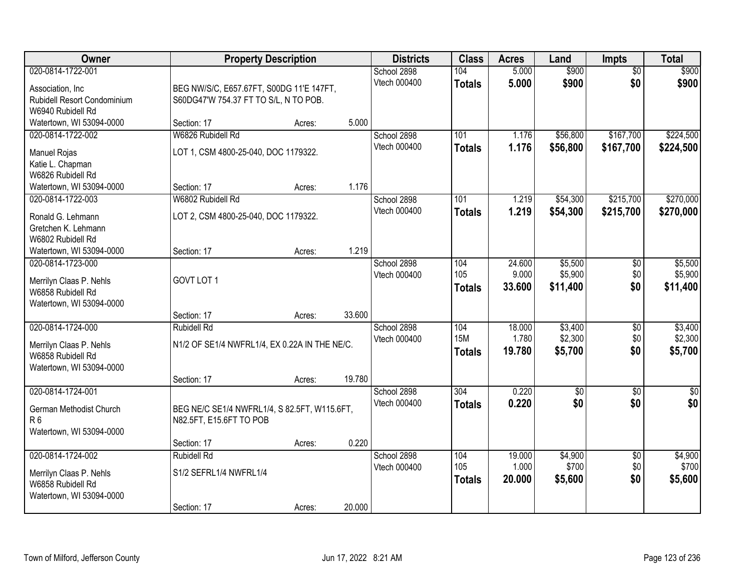| Owner                       | <b>Property Description</b>                   |        |        | <b>Districts</b>            | <b>Class</b>      | <b>Acres</b>    | Land               | <b>Impts</b>           | <b>Total</b>       |
|-----------------------------|-----------------------------------------------|--------|--------|-----------------------------|-------------------|-----------------|--------------------|------------------------|--------------------|
| 020-0814-1722-001           |                                               |        |        | School 2898                 | 104               | 5.000           | \$900              | $\overline{50}$        | \$900              |
| Association, Inc            | BEG NW/S/C, E657.67FT, S00DG 11'E 147FT,      |        |        | Vtech 000400                | <b>Totals</b>     | 5.000           | \$900              | \$0                    | \$900              |
| Rubidell Resort Condominium | S60DG47'W 754.37 FT TO S/L, N TO POB.         |        |        |                             |                   |                 |                    |                        |                    |
| W6940 Rubidell Rd           |                                               |        |        |                             |                   |                 |                    |                        |                    |
| Watertown, WI 53094-0000    | Section: 17                                   | Acres: | 5.000  |                             |                   |                 |                    |                        |                    |
| 020-0814-1722-002           | W6826 Rubidell Rd                             |        |        | School 2898<br>Vtech 000400 | 101               | 1.176           | \$56,800           | \$167,700              | \$224,500          |
| Manuel Rojas                | LOT 1, CSM 4800-25-040, DOC 1179322.          |        |        |                             | <b>Totals</b>     | 1.176           | \$56,800           | \$167,700              | \$224,500          |
| Katie L. Chapman            |                                               |        |        |                             |                   |                 |                    |                        |                    |
| W6826 Rubidell Rd           |                                               |        |        |                             |                   |                 |                    |                        |                    |
| Watertown, WI 53094-0000    | Section: 17                                   | Acres: | 1.176  |                             |                   |                 |                    |                        |                    |
| 020-0814-1722-003           | W6802 Rubidell Rd                             |        |        | School 2898<br>Vtech 000400 | 101               | 1.219           | \$54,300           | \$215,700              | \$270,000          |
| Ronald G. Lehmann           | LOT 2, CSM 4800-25-040, DOC 1179322.          |        |        |                             | <b>Totals</b>     | 1.219           | \$54,300           | \$215,700              | \$270,000          |
| Gretchen K. Lehmann         |                                               |        |        |                             |                   |                 |                    |                        |                    |
| W6802 Rubidell Rd           |                                               |        |        |                             |                   |                 |                    |                        |                    |
| Watertown, WI 53094-0000    | Section: 17                                   | Acres: | 1.219  |                             |                   |                 |                    |                        |                    |
| 020-0814-1723-000           |                                               |        |        | School 2898<br>Vtech 000400 | 104<br>105        | 24.600<br>9.000 | \$5,500<br>\$5,900 | \$0<br>\$0             | \$5,500<br>\$5,900 |
| Merrilyn Claas P. Nehls     | GOVT LOT 1                                    |        |        |                             | <b>Totals</b>     | 33.600          | \$11,400           | \$0                    | \$11,400           |
| W6858 Rubidell Rd           |                                               |        |        |                             |                   |                 |                    |                        |                    |
| Watertown, WI 53094-0000    |                                               |        |        |                             |                   |                 |                    |                        |                    |
|                             | Section: 17                                   | Acres: | 33.600 |                             |                   |                 |                    |                        |                    |
| 020-0814-1724-000           | <b>Rubidell Rd</b>                            |        |        | School 2898<br>Vtech 000400 | 104<br><b>15M</b> | 18.000<br>1.780 | \$3,400<br>\$2,300 | \$0<br>\$0             | \$3,400<br>\$2,300 |
| Merrilyn Claas P. Nehls     | N1/2 OF SE1/4 NWFRL1/4, EX 0.22A IN THE NE/C. |        |        |                             | <b>Totals</b>     | 19.780          | \$5,700            | \$0                    | \$5,700            |
| W6858 Rubidell Rd           |                                               |        |        |                             |                   |                 |                    |                        |                    |
| Watertown, WI 53094-0000    |                                               |        |        |                             |                   |                 |                    |                        |                    |
| 020-0814-1724-001           | Section: 17                                   | Acres: | 19.780 |                             |                   |                 |                    |                        |                    |
|                             |                                               |        |        | School 2898<br>Vtech 000400 | 304               | 0.220<br>0.220  | $\sqrt{$0}$<br>\$0 | \$0<br>\$0             | $\sqrt{30}$<br>\$0 |
| German Methodist Church     | BEG NE/C SE1/4 NWFRL1/4, S 82.5FT, W115.6FT,  |        |        |                             | <b>Totals</b>     |                 |                    |                        |                    |
| R <sub>6</sub>              | N82.5FT, E15.6FT TO POB                       |        |        |                             |                   |                 |                    |                        |                    |
| Watertown, WI 53094-0000    |                                               |        |        |                             |                   |                 |                    |                        |                    |
|                             | Section: 17                                   | Acres: | 0.220  |                             |                   |                 |                    |                        |                    |
| 020-0814-1724-002           | <b>Rubidell Rd</b>                            |        |        | School 2898<br>Vtech 000400 | 104<br>105        | 19.000<br>1.000 | \$4,900<br>\$700   | $\overline{50}$<br>\$0 | \$4,900<br>\$700   |
| Merrilyn Claas P. Nehls     | S1/2 SEFRL1/4 NWFRL1/4                        |        |        |                             | <b>Totals</b>     | 20.000          | \$5,600            | \$0                    | \$5,600            |
| W6858 Rubidell Rd           |                                               |        |        |                             |                   |                 |                    |                        |                    |
| Watertown, WI 53094-0000    |                                               |        |        |                             |                   |                 |                    |                        |                    |
|                             | Section: 17                                   | Acres: | 20.000 |                             |                   |                 |                    |                        |                    |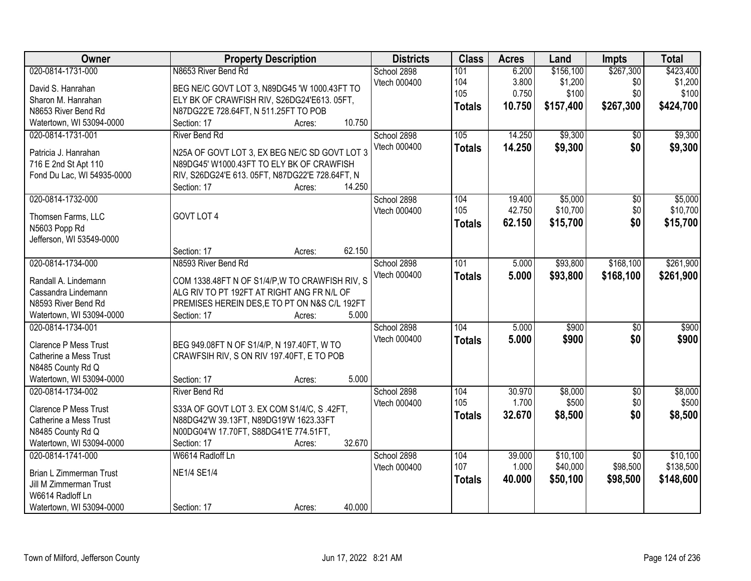| Owner                        | <b>Property Description</b>                     | <b>Districts</b> | <b>Class</b>  | <b>Acres</b> | Land      | <b>Impts</b>    | <b>Total</b> |
|------------------------------|-------------------------------------------------|------------------|---------------|--------------|-----------|-----------------|--------------|
| 020-0814-1731-000            | N8653 River Bend Rd                             | School 2898      | 101           | 6.200        | \$156,100 | \$267,300       | \$423,400    |
| David S. Hanrahan            | BEG NE/C GOVT LOT 3, N89DG45 'W 1000.43FT TO    | Vtech 000400     | 104           | 3.800        | \$1,200   | \$0             | \$1,200      |
| Sharon M. Hanrahan           | ELY BK OF CRAWFISH RIV, S26DG24'E613. 05FT,     |                  | 105           | 0.750        | \$100     | \$0             | \$100        |
| N8653 River Bend Rd          | N87DG22'E 728.64FT, N 511.25FT TO POB           |                  | <b>Totals</b> | 10.750       | \$157,400 | \$267,300       | \$424,700    |
| Watertown, WI 53094-0000     | 10.750<br>Section: 17<br>Acres:                 |                  |               |              |           |                 |              |
| 020-0814-1731-001            | <b>River Bend Rd</b>                            | School 2898      | 105           | 14.250       | \$9,300   | $\overline{50}$ | \$9,300      |
|                              |                                                 | Vtech 000400     | <b>Totals</b> | 14.250       | \$9,300   | \$0             | \$9,300      |
| Patricia J. Hanrahan         | N25A OF GOVT LOT 3, EX BEG NE/C SD GOVT LOT 3   |                  |               |              |           |                 |              |
| 716 E 2nd St Apt 110         | N89DG45' W1000.43FT TO ELY BK OF CRAWFISH       |                  |               |              |           |                 |              |
| Fond Du Lac, WI 54935-0000   | RIV, S26DG24'E 613. 05FT, N87DG22'E 728.64FT, N |                  |               |              |           |                 |              |
|                              | 14.250<br>Section: 17<br>Acres:                 |                  |               |              |           |                 |              |
| 020-0814-1732-000            |                                                 | School 2898      | 104           | 19.400       | \$5,000   | \$0             | \$5,000      |
| Thomsen Farms, LLC           | GOVT LOT 4                                      | Vtech 000400     | 105           | 42.750       | \$10,700  | \$0             | \$10,700     |
| N5603 Popp Rd                |                                                 |                  | <b>Totals</b> | 62.150       | \$15,700  | \$0             | \$15,700     |
| Jefferson, WI 53549-0000     |                                                 |                  |               |              |           |                 |              |
|                              | 62.150<br>Section: 17<br>Acres:                 |                  |               |              |           |                 |              |
| 020-0814-1734-000            | N8593 River Bend Rd                             | School 2898      | 101           | 5.000        | \$93,800  | \$168,100       | \$261,900    |
|                              |                                                 | Vtech 000400     | <b>Totals</b> | 5.000        | \$93,800  | \$168,100       | \$261,900    |
| Randall A. Lindemann         | COM 1338.48FT N OF S1/4/P, W TO CRAWFISH RIV, S |                  |               |              |           |                 |              |
| Cassandra Lindemann          | ALG RIV TO PT 192FT AT RIGHT ANG FR N/L OF      |                  |               |              |           |                 |              |
| N8593 River Bend Rd          | PREMISES HEREIN DES, E TO PT ON N&S C/L 192FT   |                  |               |              |           |                 |              |
| Watertown, WI 53094-0000     | 5.000<br>Section: 17<br>Acres:                  |                  |               |              |           |                 |              |
| 020-0814-1734-001            |                                                 | School 2898      | 104           | 5.000        | \$900     | $\overline{50}$ | \$900        |
| <b>Clarence P Mess Trust</b> | BEG 949.08FT N OF S1/4/P, N 197.40FT, W TO      | Vtech 000400     | <b>Totals</b> | 5.000        | \$900     | \$0             | \$900        |
| Catherine a Mess Trust       | CRAWFSIH RIV, S ON RIV 197.40FT, E TO POB       |                  |               |              |           |                 |              |
| N8485 County Rd Q            |                                                 |                  |               |              |           |                 |              |
| Watertown, WI 53094-0000     | 5.000<br>Section: 17<br>Acres:                  |                  |               |              |           |                 |              |
| 020-0814-1734-002            | <b>River Bend Rd</b>                            | School 2898      | 104           | 30.970       | \$8,000   | $\overline{50}$ | \$8,000      |
| Clarence P Mess Trust        | S33A OF GOVT LOT 3. EX COM S1/4/C, S.42FT,      | Vtech 000400     | 105           | 1.700        | \$500     | \$0             | \$500        |
| Catherine a Mess Trust       | N88DG42'W 39.13FT, N89DG19'W 1623.33FT          |                  | <b>Totals</b> | 32.670       | \$8,500   | \$0             | \$8,500      |
| N8485 County Rd Q            | N00DG04'W 17.70FT, S88DG41'E 774.51FT,          |                  |               |              |           |                 |              |
| Watertown, WI 53094-0000     | 32.670<br>Section: 17<br>Acres:                 |                  |               |              |           |                 |              |
| 020-0814-1741-000            | W6614 Radloff Ln                                | School 2898      | 104           | 39.000       | \$10,100  | $\overline{30}$ | \$10,100     |
|                              |                                                 | Vtech 000400     | 107           | 1.000        | \$40,000  | \$98,500        | \$138,500    |
| Brian L Zimmerman Trust      | <b>NE1/4 SE1/4</b>                              |                  |               |              |           |                 |              |
| Jill M Zimmerman Trust       |                                                 |                  | <b>Totals</b> | 40.000       | \$50,100  | \$98,500        | \$148,600    |
| W6614 Radloff Ln             |                                                 |                  |               |              |           |                 |              |
| Watertown, WI 53094-0000     | 40.000<br>Section: 17<br>Acres:                 |                  |               |              |           |                 |              |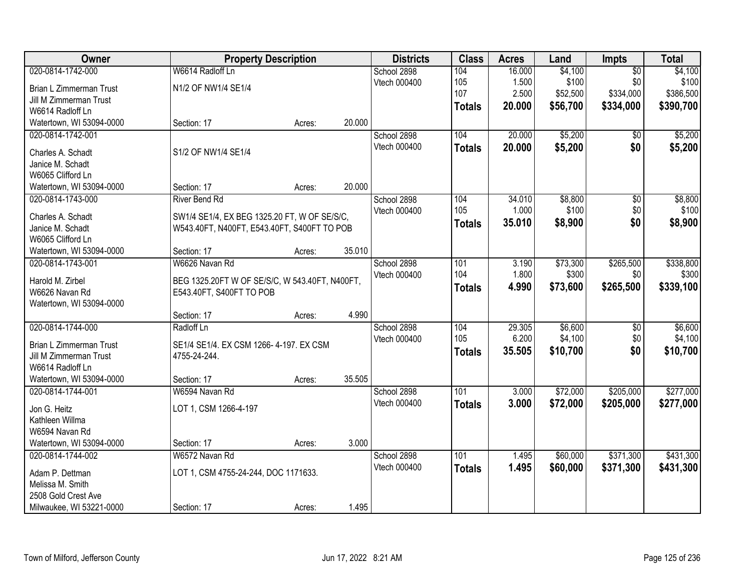| Owner                                 |                                                | <b>Property Description</b> |        | <b>Districts</b>            | <b>Class</b>  | <b>Acres</b> | Land     | <b>Impts</b>    | <b>Total</b> |
|---------------------------------------|------------------------------------------------|-----------------------------|--------|-----------------------------|---------------|--------------|----------|-----------------|--------------|
| 020-0814-1742-000                     | W6614 Radloff Ln                               |                             |        | School 2898                 | 104           | 16.000       | \$4,100  | $\overline{50}$ | \$4,100      |
| Brian L Zimmerman Trust               | N1/2 OF NW1/4 SE1/4                            |                             |        | Vtech 000400                | 105           | 1.500        | \$100    | \$0             | \$100        |
| Jill M Zimmerman Trust                |                                                |                             |        |                             | 107           | 2.500        | \$52,500 | \$334,000       | \$386,500    |
| W6614 Radloff Ln                      |                                                |                             |        |                             | <b>Totals</b> | 20.000       | \$56,700 | \$334,000       | \$390,700    |
| Watertown, WI 53094-0000              | Section: 17                                    | Acres:                      | 20.000 |                             |               |              |          |                 |              |
| 020-0814-1742-001                     |                                                |                             |        | School 2898                 | 104           | 20.000       | \$5,200  | \$0             | \$5,200      |
| Charles A. Schadt                     | S1/2 OF NW1/4 SE1/4                            |                             |        | Vtech 000400                | <b>Totals</b> | 20.000       | \$5,200  | \$0             | \$5,200      |
| Janice M. Schadt                      |                                                |                             |        |                             |               |              |          |                 |              |
| W6065 Clifford Ln                     |                                                |                             |        |                             |               |              |          |                 |              |
| Watertown, WI 53094-0000              | Section: 17                                    | Acres:                      | 20.000 |                             |               |              |          |                 |              |
| 020-0814-1743-000                     | <b>River Bend Rd</b>                           |                             |        | School 2898                 | 104           | 34.010       | \$8,800  | $\overline{50}$ | \$8,800      |
|                                       |                                                |                             |        | Vtech 000400                | 105           | 1.000        | \$100    | \$0             | \$100        |
| Charles A. Schadt<br>Janice M. Schadt | SW1/4 SE1/4, EX BEG 1325.20 FT, W OF SE/S/C,   |                             |        |                             | <b>Totals</b> | 35.010       | \$8,900  | \$0             | \$8,900      |
| W6065 Clifford Ln                     | W543.40FT, N400FT, E543.40FT, S400FT TO POB    |                             |        |                             |               |              |          |                 |              |
| Watertown, WI 53094-0000              | Section: 17                                    | Acres:                      | 35.010 |                             |               |              |          |                 |              |
| 020-0814-1743-001                     | W6626 Navan Rd                                 |                             |        | School 2898                 | 101           | 3.190        | \$73,300 | \$265,500       | \$338,800    |
|                                       |                                                |                             |        | Vtech 000400                | 104           | 1.800        | \$300    | \$0             | \$300        |
| Harold M. Zirbel                      | BEG 1325.20FT W OF SE/S/C, W 543.40FT, N400FT, |                             |        |                             | <b>Totals</b> | 4.990        | \$73,600 | \$265,500       | \$339,100    |
| W6626 Navan Rd                        | E543.40FT, S400FT TO POB                       |                             |        |                             |               |              |          |                 |              |
| Watertown, WI 53094-0000              |                                                |                             | 4.990  |                             |               |              |          |                 |              |
| 020-0814-1744-000                     | Section: 17<br>Radloff Ln                      | Acres:                      |        |                             | 104           | 29.305       | \$6,600  | $\overline{60}$ | \$6,600      |
|                                       |                                                |                             |        | School 2898<br>Vtech 000400 | 105           | 6.200        | \$4,100  | \$0             | \$4,100      |
| Brian L Zimmerman Trust               | SE1/4 SE1/4. EX CSM 1266-4-197. EX CSM         |                             |        |                             |               | 35.505       | \$10,700 | \$0             | \$10,700     |
| Jill M Zimmerman Trust                | 4755-24-244.                                   |                             |        |                             | <b>Totals</b> |              |          |                 |              |
| W6614 Radloff Ln                      |                                                |                             |        |                             |               |              |          |                 |              |
| Watertown, WI 53094-0000              | Section: 17                                    | Acres:                      | 35.505 |                             |               |              |          |                 |              |
| 020-0814-1744-001                     | W6594 Navan Rd                                 |                             |        | School 2898                 | 101           | 3.000        | \$72,000 | \$205,000       | \$277,000    |
| Jon G. Heitz                          | LOT 1, CSM 1266-4-197                          |                             |        | Vtech 000400                | <b>Totals</b> | 3.000        | \$72,000 | \$205,000       | \$277,000    |
| Kathleen Willma                       |                                                |                             |        |                             |               |              |          |                 |              |
| W6594 Navan Rd                        |                                                |                             |        |                             |               |              |          |                 |              |
| Watertown, WI 53094-0000              | Section: 17                                    | Acres:                      | 3.000  |                             |               |              |          |                 |              |
| 020-0814-1744-002                     | W6572 Navan Rd                                 |                             |        | School 2898                 | 101           | 1.495        | \$60,000 | \$371,300       | \$431,300    |
| Adam P. Dettman                       | LOT 1, CSM 4755-24-244, DOC 1171633.           |                             |        | Vtech 000400                | <b>Totals</b> | 1.495        | \$60,000 | \$371,300       | \$431,300    |
| Melissa M. Smith                      |                                                |                             |        |                             |               |              |          |                 |              |
| 2508 Gold Crest Ave                   |                                                |                             |        |                             |               |              |          |                 |              |
| Milwaukee, WI 53221-0000              | Section: 17                                    | Acres:                      | 1.495  |                             |               |              |          |                 |              |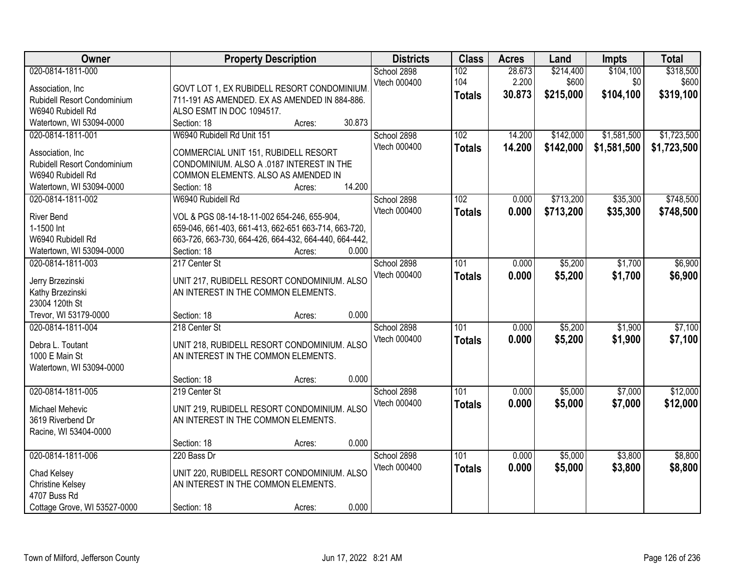| Owner                              | <b>Property Description</b>                           | <b>Districts</b> | <b>Class</b>     | <b>Acres</b> | Land      | <b>Impts</b> | <b>Total</b> |
|------------------------------------|-------------------------------------------------------|------------------|------------------|--------------|-----------|--------------|--------------|
| 020-0814-1811-000                  |                                                       | School 2898      | 102              | 28.673       | \$214,400 | \$104,100    | \$318,500    |
| Association, Inc.                  | GOVT LOT 1, EX RUBIDELL RESORT CONDOMINIUM            | Vtech 000400     | 104              | 2.200        | \$600     | \$0          | \$600        |
| Rubidell Resort Condominium        | 711-191 AS AMENDED. EX AS AMENDED IN 884-886.         |                  | <b>Totals</b>    | 30.873       | \$215,000 | \$104,100    | \$319,100    |
| W6940 Rubidell Rd                  | ALSO ESMT IN DOC 1094517.                             |                  |                  |              |           |              |              |
| Watertown, WI 53094-0000           | 30.873<br>Section: 18<br>Acres:                       |                  |                  |              |           |              |              |
| 020-0814-1811-001                  | W6940 Rubidell Rd Unit 151                            | School 2898      | 102              | 14.200       | \$142,000 | \$1,581,500  | \$1,723,500  |
|                                    |                                                       | Vtech 000400     | <b>Totals</b>    | 14.200       | \$142,000 | \$1,581,500  | \$1,723,500  |
| Association, Inc.                  | COMMERCIAL UNIT 151, RUBIDELL RESORT                  |                  |                  |              |           |              |              |
| <b>Rubidell Resort Condominium</b> | CONDOMINIUM. ALSO A .0187 INTEREST IN THE             |                  |                  |              |           |              |              |
| W6940 Rubidell Rd                  | COMMON ELEMENTS. ALSO AS AMENDED IN                   |                  |                  |              |           |              |              |
| Watertown, WI 53094-0000           | 14.200<br>Section: 18<br>Acres:                       |                  |                  |              |           |              |              |
| 020-0814-1811-002                  | W6940 Rubidell Rd                                     | School 2898      | 102              | 0.000        | \$713,200 | \$35,300     | \$748,500    |
| <b>River Bend</b>                  | VOL & PGS 08-14-18-11-002 654-246, 655-904,           | Vtech 000400     | <b>Totals</b>    | 0.000        | \$713,200 | \$35,300     | \$748,500    |
| 1-1500 Int                         | 659-046, 661-403, 661-413, 662-651 663-714, 663-720,  |                  |                  |              |           |              |              |
| W6940 Rubidell Rd                  | 663-726, 663-730, 664-426, 664-432, 664-440, 664-442, |                  |                  |              |           |              |              |
| Watertown, WI 53094-0000           | Section: 18<br>0.000<br>Acres:                        |                  |                  |              |           |              |              |
| 020-0814-1811-003                  | 217 Center St                                         | School 2898      | 101              | 0.000        | \$5,200   | \$1,700      | \$6,900      |
|                                    |                                                       | Vtech 000400     | <b>Totals</b>    | 0.000        | \$5,200   | \$1,700      | \$6,900      |
| Jerry Brzezinski                   | UNIT 217, RUBIDELL RESORT CONDOMINIUM. ALSO           |                  |                  |              |           |              |              |
| Kathy Brzezinski                   | AN INTEREST IN THE COMMON ELEMENTS.                   |                  |                  |              |           |              |              |
| 23004 120th St                     |                                                       |                  |                  |              |           |              |              |
| Trevor, WI 53179-0000              | 0.000<br>Section: 18<br>Acres:<br>218 Center St       |                  | $\overline{101}$ |              |           |              |              |
| 020-0814-1811-004                  |                                                       | School 2898      |                  | 0.000        | \$5,200   | \$1,900      | \$7,100      |
| Debra L. Toutant                   | UNIT 218, RUBIDELL RESORT CONDOMINIUM. ALSO           | Vtech 000400     | <b>Totals</b>    | 0.000        | \$5,200   | \$1,900      | \$7,100      |
| 1000 E Main St                     | AN INTEREST IN THE COMMON ELEMENTS.                   |                  |                  |              |           |              |              |
| Watertown, WI 53094-0000           |                                                       |                  |                  |              |           |              |              |
|                                    | 0.000<br>Section: 18<br>Acres:                        |                  |                  |              |           |              |              |
| 020-0814-1811-005                  | 219 Center St                                         | School 2898      | 101              | 0.000        | \$5,000   | \$7,000      | \$12,000     |
| Michael Mehevic                    | UNIT 219, RUBIDELL RESORT CONDOMINIUM. ALSO           | Vtech 000400     | <b>Totals</b>    | 0.000        | \$5,000   | \$7,000      | \$12,000     |
| 3619 Riverbend Dr                  | AN INTEREST IN THE COMMON ELEMENTS.                   |                  |                  |              |           |              |              |
| Racine, WI 53404-0000              |                                                       |                  |                  |              |           |              |              |
|                                    | 0.000<br>Section: 18<br>Acres:                        |                  |                  |              |           |              |              |
| 020-0814-1811-006                  | 220 Bass Dr                                           | School 2898      | 101              | 0.000        | \$5,000   | \$3,800      | \$8,800      |
|                                    |                                                       | Vtech 000400     |                  | 0.000        | \$5,000   | \$3,800      | \$8,800      |
| Chad Kelsey                        | UNIT 220, RUBIDELL RESORT CONDOMINIUM. ALSO           |                  | <b>Totals</b>    |              |           |              |              |
| <b>Christine Kelsey</b>            | AN INTEREST IN THE COMMON ELEMENTS.                   |                  |                  |              |           |              |              |
| 4707 Buss Rd                       |                                                       |                  |                  |              |           |              |              |
| Cottage Grove, WI 53527-0000       | 0.000<br>Section: 18<br>Acres:                        |                  |                  |              |           |              |              |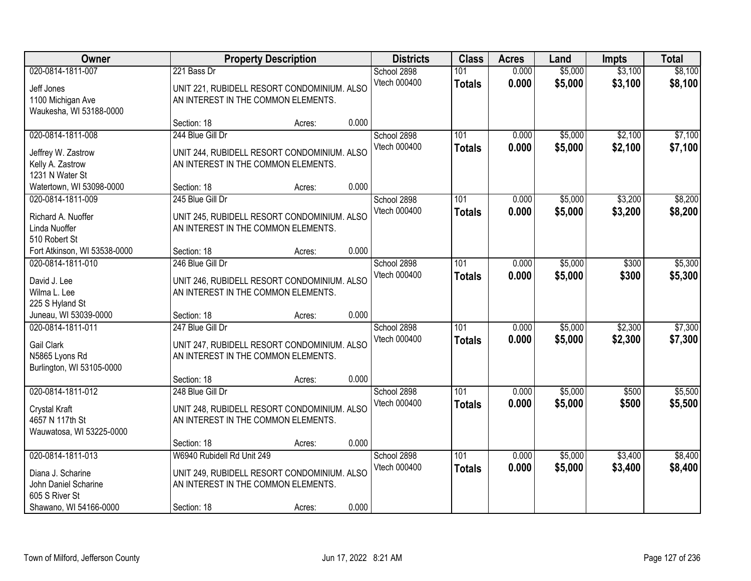| Owner                                                                                    |                                                                                                                  | <b>Property Description</b> |       | <b>Districts</b>            | <b>Class</b>                      | <b>Acres</b>   | Land               | <b>Impts</b>       | <b>Total</b>       |
|------------------------------------------------------------------------------------------|------------------------------------------------------------------------------------------------------------------|-----------------------------|-------|-----------------------------|-----------------------------------|----------------|--------------------|--------------------|--------------------|
| 020-0814-1811-007<br>Jeff Jones<br>1100 Michigan Ave                                     | 221 Bass Dr<br>UNIT 221, RUBIDELL RESORT CONDOMINIUM. ALSO<br>AN INTEREST IN THE COMMON ELEMENTS.                |                             |       | School 2898<br>Vtech 000400 | 101<br><b>Totals</b>              | 0.000<br>0.000 | \$5,000<br>\$5,000 | \$3,100<br>\$3,100 | \$8,100<br>\$8,100 |
| Waukesha, WI 53188-0000                                                                  | Section: 18                                                                                                      | Acres:                      | 0.000 |                             |                                   |                |                    |                    |                    |
| 020-0814-1811-008<br>Jeffrey W. Zastrow<br>Kelly A. Zastrow<br>1231 N Water St           | 244 Blue Gill Dr<br>UNIT 244, RUBIDELL RESORT CONDOMINIUM. ALSO<br>AN INTEREST IN THE COMMON ELEMENTS.           |                             |       | School 2898<br>Vtech 000400 | 101<br><b>Totals</b>              | 0.000<br>0.000 | \$5,000<br>\$5,000 | \$2,100<br>\$2,100 | \$7,100<br>\$7,100 |
| Watertown, WI 53098-0000                                                                 | Section: 18                                                                                                      | Acres:                      | 0.000 |                             |                                   |                |                    |                    |                    |
| 020-0814-1811-009<br>Richard A. Nuoffer<br>Linda Nuoffer                                 | 245 Blue Gill Dr<br>UNIT 245, RUBIDELL RESORT CONDOMINIUM. ALSO<br>AN INTEREST IN THE COMMON ELEMENTS.           |                             |       | School 2898<br>Vtech 000400 | 101<br><b>Totals</b>              | 0.000<br>0.000 | \$5,000<br>\$5,000 | \$3,200<br>\$3,200 | \$8,200<br>\$8,200 |
| 510 Robert St<br>Fort Atkinson, WI 53538-0000                                            | Section: 18                                                                                                      | Acres:                      | 0.000 |                             |                                   |                |                    |                    |                    |
| 020-0814-1811-010<br>David J. Lee<br>Wilma L. Lee                                        | 246 Blue Gill Dr<br>UNIT 246, RUBIDELL RESORT CONDOMINIUM. ALSO<br>AN INTEREST IN THE COMMON ELEMENTS.           |                             |       | School 2898<br>Vtech 000400 | 101<br><b>Totals</b>              | 0.000<br>0.000 | \$5,000<br>\$5,000 | \$300<br>\$300     | \$5,300<br>\$5,300 |
| 225 S Hyland St<br>Juneau, WI 53039-0000                                                 | Section: 18                                                                                                      | Acres:                      | 0.000 |                             |                                   |                |                    |                    |                    |
| 020-0814-1811-011<br><b>Gail Clark</b><br>N5865 Lyons Rd<br>Burlington, WI 53105-0000    | 247 Blue Gill Dr<br>UNIT 247, RUBIDELL RESORT CONDOMINIUM. ALSO<br>AN INTEREST IN THE COMMON ELEMENTS.           |                             |       | School 2898<br>Vtech 000400 | 101<br><b>Totals</b>              | 0.000<br>0.000 | \$5,000<br>\$5,000 | \$2,300<br>\$2,300 | \$7,300<br>\$7,300 |
|                                                                                          | Section: 18                                                                                                      | Acres:                      | 0.000 |                             |                                   |                |                    |                    |                    |
| 020-0814-1811-012<br><b>Crystal Kraft</b><br>4657 N 117th St<br>Wauwatosa, WI 53225-0000 | 248 Blue Gill Dr<br>UNIT 248, RUBIDELL RESORT CONDOMINIUM. ALSO<br>AN INTEREST IN THE COMMON ELEMENTS.           |                             |       | School 2898<br>Vtech 000400 | $\overline{101}$<br><b>Totals</b> | 0.000<br>0.000 | \$5,000<br>\$5,000 | \$500<br>\$500     | \$5,500<br>\$5,500 |
|                                                                                          | Section: 18                                                                                                      | Acres:                      | 0.000 |                             |                                   |                |                    |                    |                    |
| 020-0814-1811-013<br>Diana J. Scharine<br>John Daniel Scharine<br>605 S River St         | W6940 Rubidell Rd Unit 249<br>UNIT 249, RUBIDELL RESORT CONDOMINIUM. ALSO<br>AN INTEREST IN THE COMMON ELEMENTS. |                             |       | School 2898<br>Vtech 000400 | 101<br><b>Totals</b>              | 0.000<br>0.000 | \$5,000<br>\$5,000 | \$3,400<br>\$3,400 | \$8,400<br>\$8,400 |
| Shawano, WI 54166-0000                                                                   | Section: 18                                                                                                      | Acres:                      | 0.000 |                             |                                   |                |                    |                    |                    |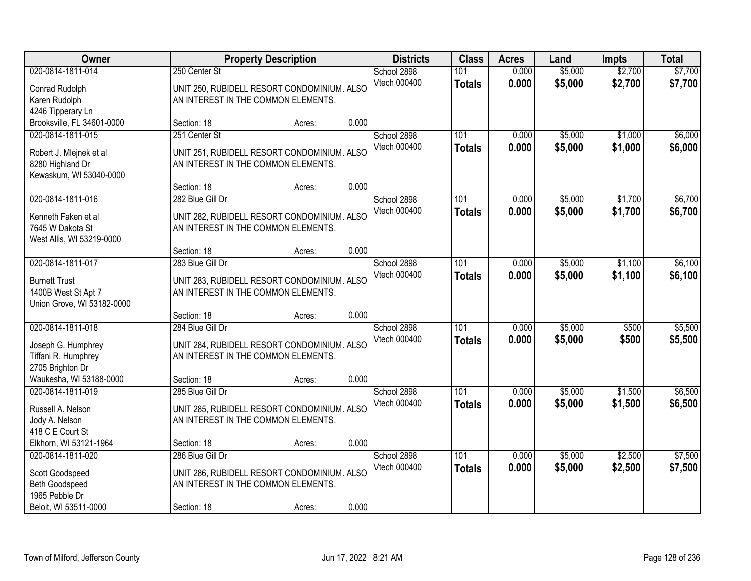| Owner                                        |                                     | <b>Property Description</b>                 |       | <b>Districts</b>            | <b>Class</b>         | <b>Acres</b>   | Land               | <b>Impts</b>       | <b>Total</b>       |
|----------------------------------------------|-------------------------------------|---------------------------------------------|-------|-----------------------------|----------------------|----------------|--------------------|--------------------|--------------------|
| 020-0814-1811-014<br>Conrad Rudolph          | 250 Center St                       | UNIT 250, RUBIDELL RESORT CONDOMINIUM. ALSO |       | School 2898<br>Vtech 000400 | 101<br><b>Totals</b> | 0.000<br>0.000 | \$5,000<br>\$5,000 | \$2,700<br>\$2,700 | \$7,700<br>\$7,700 |
| Karen Rudolph                                | AN INTEREST IN THE COMMON ELEMENTS. |                                             |       |                             |                      |                |                    |                    |                    |
| 4246 Tipperary Ln                            |                                     |                                             |       |                             |                      |                |                    |                    |                    |
| Brooksville, FL 34601-0000                   | Section: 18                         | Acres:                                      | 0.000 |                             |                      |                |                    |                    |                    |
| 020-0814-1811-015                            | 251 Center St                       |                                             |       | School 2898                 | 101                  | 0.000          | \$5,000            | \$1,000            | \$6,000            |
| Robert J. Mlejnek et al                      |                                     | UNIT 251, RUBIDELL RESORT CONDOMINIUM. ALSO |       | Vtech 000400                | <b>Totals</b>        | 0.000          | \$5,000            | \$1,000            | \$6,000            |
| 8280 Highland Dr                             | AN INTEREST IN THE COMMON ELEMENTS. |                                             |       |                             |                      |                |                    |                    |                    |
| Kewaskum, WI 53040-0000                      |                                     |                                             |       |                             |                      |                |                    |                    |                    |
|                                              | Section: 18                         | Acres:                                      | 0.000 |                             |                      |                |                    |                    |                    |
| 020-0814-1811-016                            | 282 Blue Gill Dr                    |                                             |       | School 2898                 | 101                  | 0.000          | \$5,000            | \$1,700            | \$6,700            |
| Kenneth Faken et al                          |                                     | UNIT 282, RUBIDELL RESORT CONDOMINIUM. ALSO |       | Vtech 000400                | <b>Totals</b>        | 0.000          | \$5,000            | \$1,700            | \$6,700            |
| 7645 W Dakota St                             | AN INTEREST IN THE COMMON ELEMENTS. |                                             |       |                             |                      |                |                    |                    |                    |
| West Allis, WI 53219-0000                    |                                     |                                             |       |                             |                      |                |                    |                    |                    |
|                                              | Section: 18                         | Acres:                                      | 0.000 |                             |                      |                |                    |                    |                    |
| 020-0814-1811-017                            | 283 Blue Gill Dr                    |                                             |       | School 2898                 | 101                  | 0.000          | \$5,000            | \$1,100            | \$6,100            |
| <b>Burnett Trust</b>                         |                                     | UNIT 283, RUBIDELL RESORT CONDOMINIUM. ALSO |       | Vtech 000400                | <b>Totals</b>        | 0.000          | \$5,000            | \$1,100            | \$6,100            |
| 1400B West St Apt 7                          | AN INTEREST IN THE COMMON ELEMENTS. |                                             |       |                             |                      |                |                    |                    |                    |
| Union Grove, WI 53182-0000                   |                                     |                                             |       |                             |                      |                |                    |                    |                    |
|                                              | Section: 18                         | Acres:                                      | 0.000 |                             |                      |                |                    |                    |                    |
| 020-0814-1811-018                            | 284 Blue Gill Dr                    |                                             |       | School 2898                 | $\overline{101}$     | 0.000          | \$5,000            | \$500              | \$5,500            |
|                                              |                                     |                                             |       | Vtech 000400                | <b>Totals</b>        | 0.000          | \$5,000            | \$500              | \$5,500            |
| Joseph G. Humphrey                           |                                     | UNIT 284, RUBIDELL RESORT CONDOMINIUM. ALSO |       |                             |                      |                |                    |                    |                    |
| Tiffani R. Humphrey                          | AN INTEREST IN THE COMMON ELEMENTS. |                                             |       |                             |                      |                |                    |                    |                    |
| 2705 Brighton Dr                             |                                     |                                             |       |                             |                      |                |                    |                    |                    |
| Waukesha, WI 53188-0000<br>020-0814-1811-019 | Section: 18                         | Acres:                                      | 0.000 |                             | 101                  |                |                    | \$1,500            |                    |
|                                              | 285 Blue Gill Dr                    |                                             |       | School 2898<br>Vtech 000400 |                      | 0.000          | \$5,000            |                    | \$6,500            |
| Russell A. Nelson                            |                                     | UNIT 285, RUBIDELL RESORT CONDOMINIUM. ALSO |       |                             | <b>Totals</b>        | 0.000          | \$5,000            | \$1,500            | \$6,500            |
| Jody A. Nelson                               | AN INTEREST IN THE COMMON ELEMENTS. |                                             |       |                             |                      |                |                    |                    |                    |
| 418 C E Court St                             |                                     |                                             |       |                             |                      |                |                    |                    |                    |
| Elkhorn, WI 53121-1964                       | Section: 18                         | Acres:                                      | 0.000 |                             |                      |                |                    |                    |                    |
| 020-0814-1811-020                            | 286 Blue Gill Dr                    |                                             |       | School 2898                 | 101                  | 0.000          | \$5,000            | \$2,500            | \$7,500            |
| Scott Goodspeed                              |                                     | UNIT 286, RUBIDELL RESORT CONDOMINIUM. ALSO |       | Vtech 000400                | <b>Totals</b>        | 0.000          | \$5,000            | \$2,500            | \$7,500            |
| Beth Goodspeed                               | AN INTEREST IN THE COMMON ELEMENTS. |                                             |       |                             |                      |                |                    |                    |                    |
| 1965 Pebble Dr                               |                                     |                                             |       |                             |                      |                |                    |                    |                    |
| Beloit, WI 53511-0000                        | Section: 18                         | Acres:                                      | 0.000 |                             |                      |                |                    |                    |                    |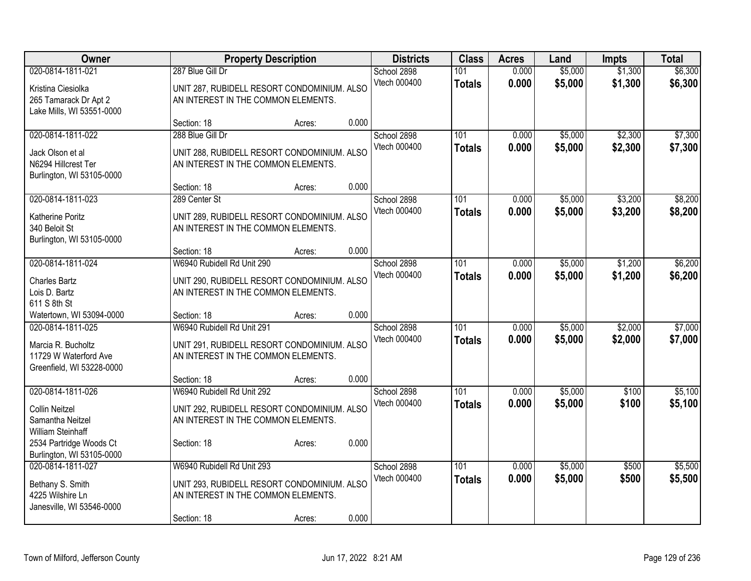| <b>Owner</b>                                                                                  |                                                                                                                                 | <b>Property Description</b> |       | <b>Districts</b>            | <b>Class</b>                      | <b>Acres</b>   | Land               | Impts              | <b>Total</b>       |
|-----------------------------------------------------------------------------------------------|---------------------------------------------------------------------------------------------------------------------------------|-----------------------------|-------|-----------------------------|-----------------------------------|----------------|--------------------|--------------------|--------------------|
| 020-0814-1811-021<br>Kristina Ciesiolka<br>265 Tamarack Dr Apt 2<br>Lake Mills, WI 53551-0000 | 287 Blue Gill Dr<br>UNIT 287, RUBIDELL RESORT CONDOMINIUM. ALSO<br>AN INTEREST IN THE COMMON ELEMENTS.                          |                             |       | School 2898<br>Vtech 000400 | 101<br><b>Totals</b>              | 0.000<br>0.000 | \$5,000<br>\$5,000 | \$1,300<br>\$1,300 | \$6,300<br>\$6,300 |
|                                                                                               | Section: 18                                                                                                                     | Acres:                      | 0.000 |                             |                                   |                |                    |                    |                    |
| 020-0814-1811-022<br>Jack Olson et al<br>N6294 Hillcrest Ter<br>Burlington, WI 53105-0000     | 288 Blue Gill Dr<br>UNIT 288, RUBIDELL RESORT CONDOMINIUM. ALSO<br>AN INTEREST IN THE COMMON ELEMENTS.                          |                             |       | School 2898<br>Vtech 000400 | 101<br><b>Totals</b>              | 0.000<br>0.000 | \$5,000<br>\$5,000 | \$2,300<br>\$2,300 | \$7,300<br>\$7,300 |
|                                                                                               | Section: 18                                                                                                                     | Acres:                      | 0.000 |                             |                                   |                |                    |                    |                    |
| 020-0814-1811-023<br>Katherine Poritz<br>340 Beloit St<br>Burlington, WI 53105-0000           | 289 Center St<br>UNIT 289, RUBIDELL RESORT CONDOMINIUM. ALSO<br>AN INTEREST IN THE COMMON ELEMENTS.                             |                             |       | School 2898<br>Vtech 000400 | 101<br><b>Totals</b>              | 0.000<br>0.000 | \$5,000<br>\$5,000 | \$3,200<br>\$3,200 | \$8,200<br>\$8,200 |
|                                                                                               | Section: 18                                                                                                                     | Acres:                      | 0.000 |                             |                                   |                |                    |                    |                    |
| 020-0814-1811-024<br><b>Charles Bartz</b><br>Lois D. Bartz<br>611 S 8th St                    | W6940 Rubidell Rd Unit 290<br>UNIT 290, RUBIDELL RESORT CONDOMINIUM. ALSO<br>AN INTEREST IN THE COMMON ELEMENTS.                |                             |       | School 2898<br>Vtech 000400 | 101<br><b>Totals</b>              | 0.000<br>0.000 | \$5,000<br>\$5,000 | \$1,200<br>\$1,200 | \$6,200<br>\$6,200 |
| Watertown, WI 53094-0000                                                                      | Section: 18                                                                                                                     | Acres:                      | 0.000 |                             |                                   |                |                    |                    |                    |
| 020-0814-1811-025<br>Marcia R. Bucholtz<br>11729 W Waterford Ave<br>Greenfield, WI 53228-0000 | W6940 Rubidell Rd Unit 291<br>UNIT 291, RUBIDELL RESORT CONDOMINIUM. ALSO<br>AN INTEREST IN THE COMMON ELEMENTS.                |                             |       | School 2898<br>Vtech 000400 | $\overline{101}$<br><b>Totals</b> | 0.000<br>0.000 | \$5,000<br>\$5,000 | \$2,000<br>\$2,000 | \$7,000<br>\$7,000 |
|                                                                                               | Section: 18                                                                                                                     | Acres:                      | 0.000 |                             |                                   |                |                    |                    |                    |
| 020-0814-1811-026<br><b>Collin Neitzel</b><br>Samantha Neitzel<br>William Steinhaff           | W6940 Rubidell Rd Unit 292<br>UNIT 292, RUBIDELL RESORT CONDOMINIUM. ALSO<br>AN INTEREST IN THE COMMON ELEMENTS.                |                             |       | School 2898<br>Vtech 000400 | 101<br><b>Totals</b>              | 0.000<br>0.000 | \$5,000<br>\$5,000 | \$100<br>\$100     | \$5,100<br>\$5,100 |
| 2534 Partridge Woods Ct<br>Burlington, WI 53105-0000                                          | Section: 18                                                                                                                     | Acres:                      | 0.000 |                             |                                   |                |                    |                    |                    |
| 020-0814-1811-027<br>Bethany S. Smith<br>4225 Wilshire Ln<br>Janesville, WI 53546-0000        | W6940 Rubidell Rd Unit 293<br>UNIT 293, RUBIDELL RESORT CONDOMINIUM. ALSO<br>AN INTEREST IN THE COMMON ELEMENTS.<br>Section: 18 | Acres:                      | 0.000 | School 2898<br>Vtech 000400 | 101<br><b>Totals</b>              | 0.000<br>0.000 | \$5,000<br>\$5,000 | \$500<br>\$500     | \$5,500<br>\$5,500 |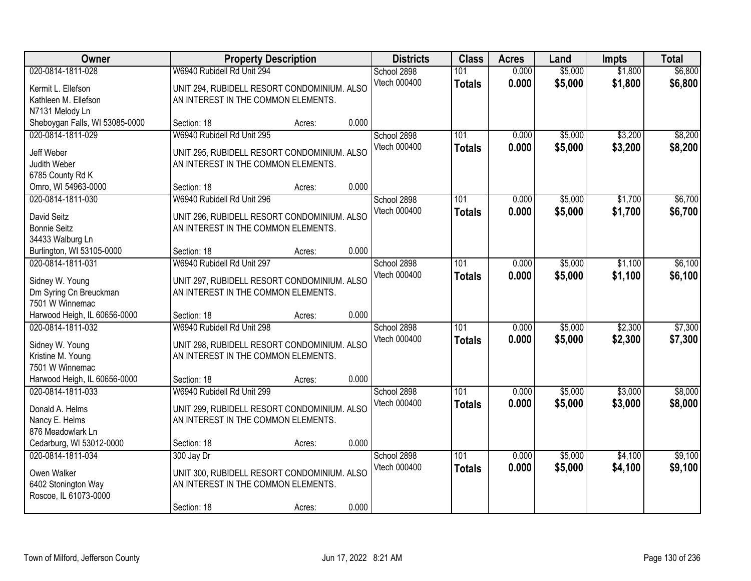| Owner                                | <b>Property Description</b>                 |        |       | <b>Districts</b> | <b>Class</b>  | <b>Acres</b> | Land    | <b>Impts</b> | <b>Total</b> |
|--------------------------------------|---------------------------------------------|--------|-------|------------------|---------------|--------------|---------|--------------|--------------|
| 020-0814-1811-028                    | W6940 Rubidell Rd Unit 294                  |        |       | School 2898      | 101           | 0.000        | \$5,000 | \$1,800      | \$6,800      |
| Kermit L. Ellefson                   | UNIT 294, RUBIDELL RESORT CONDOMINIUM. ALSO |        |       | Vtech 000400     | <b>Totals</b> | 0.000        | \$5,000 | \$1,800      | \$6,800      |
| Kathleen M. Ellefson                 | AN INTEREST IN THE COMMON ELEMENTS.         |        |       |                  |               |              |         |              |              |
| N7131 Melody Ln                      |                                             |        |       |                  |               |              |         |              |              |
| Sheboygan Falls, WI 53085-0000       | Section: 18                                 | Acres: | 0.000 |                  |               |              |         |              |              |
| 020-0814-1811-029                    | W6940 Rubidell Rd Unit 295                  |        |       | School 2898      | 101           | 0.000        | \$5,000 | \$3,200      | \$8,200      |
| Jeff Weber                           | UNIT 295, RUBIDELL RESORT CONDOMINIUM. ALSO |        |       | Vtech 000400     | <b>Totals</b> | 0.000        | \$5,000 | \$3,200      | \$8,200      |
| Judith Weber                         | AN INTEREST IN THE COMMON ELEMENTS.         |        |       |                  |               |              |         |              |              |
| 6785 County Rd K                     |                                             |        |       |                  |               |              |         |              |              |
| Omro, WI 54963-0000                  | Section: 18                                 | Acres: | 0.000 |                  |               |              |         |              |              |
| 020-0814-1811-030                    | W6940 Rubidell Rd Unit 296                  |        |       | School 2898      | 101           | 0.000        | \$5,000 | \$1,700      | \$6,700      |
| David Seitz                          | UNIT 296, RUBIDELL RESORT CONDOMINIUM. ALSO |        |       | Vtech 000400     | <b>Totals</b> | 0.000        | \$5,000 | \$1,700      | \$6,700      |
| <b>Bonnie Seitz</b>                  | AN INTEREST IN THE COMMON ELEMENTS.         |        |       |                  |               |              |         |              |              |
| 34433 Walburg Ln                     |                                             |        |       |                  |               |              |         |              |              |
| Burlington, WI 53105-0000            | Section: 18                                 | Acres: | 0.000 |                  |               |              |         |              |              |
| 020-0814-1811-031                    | W6940 Rubidell Rd Unit 297                  |        |       | School 2898      | 101           | 0.000        | \$5,000 | \$1,100      | \$6,100      |
| Sidney W. Young                      | UNIT 297, RUBIDELL RESORT CONDOMINIUM. ALSO |        |       | Vtech 000400     | <b>Totals</b> | 0.000        | \$5,000 | \$1,100      | \$6,100      |
| Dm Syring Cn Breuckman               | AN INTEREST IN THE COMMON ELEMENTS.         |        |       |                  |               |              |         |              |              |
| 7501 W Winnemac                      |                                             |        |       |                  |               |              |         |              |              |
| Harwood Heigh, IL 60656-0000         | Section: 18                                 | Acres: | 0.000 |                  |               |              |         |              |              |
| 020-0814-1811-032                    | W6940 Rubidell Rd Unit 298                  |        |       | School 2898      | 101           | 0.000        | \$5,000 | \$2,300      | \$7,300      |
|                                      | UNIT 298, RUBIDELL RESORT CONDOMINIUM. ALSO |        |       | Vtech 000400     | <b>Totals</b> | 0.000        | \$5,000 | \$2,300      | \$7,300      |
| Sidney W. Young<br>Kristine M. Young | AN INTEREST IN THE COMMON ELEMENTS.         |        |       |                  |               |              |         |              |              |
| 7501 W Winnemac                      |                                             |        |       |                  |               |              |         |              |              |
| Harwood Heigh, IL 60656-0000         | Section: 18                                 | Acres: | 0.000 |                  |               |              |         |              |              |
| 020-0814-1811-033                    | W6940 Rubidell Rd Unit 299                  |        |       | School 2898      | 101           | 0.000        | \$5,000 | \$3,000      | \$8,000      |
|                                      |                                             |        |       | Vtech 000400     | <b>Totals</b> | 0.000        | \$5,000 | \$3,000      | \$8,000      |
| Donald A. Helms                      | UNIT 299, RUBIDELL RESORT CONDOMINIUM. ALSO |        |       |                  |               |              |         |              |              |
| Nancy E. Helms<br>876 Meadowlark Ln  | AN INTEREST IN THE COMMON ELEMENTS.         |        |       |                  |               |              |         |              |              |
| Cedarburg, WI 53012-0000             | Section: 18                                 | Acres: | 0.000 |                  |               |              |         |              |              |
| 020-0814-1811-034                    | 300 Jay Dr                                  |        |       | School 2898      | 101           | 0.000        | \$5,000 | \$4,100      | \$9,100      |
|                                      |                                             |        |       | Vtech 000400     | <b>Totals</b> | 0.000        | \$5,000 | \$4,100      | \$9,100      |
| Owen Walker                          | UNIT 300, RUBIDELL RESORT CONDOMINIUM. ALSO |        |       |                  |               |              |         |              |              |
| 6402 Stonington Way                  | AN INTEREST IN THE COMMON ELEMENTS.         |        |       |                  |               |              |         |              |              |
| Roscoe, IL 61073-0000                |                                             |        |       |                  |               |              |         |              |              |
|                                      | Section: 18                                 | Acres: | 0.000 |                  |               |              |         |              |              |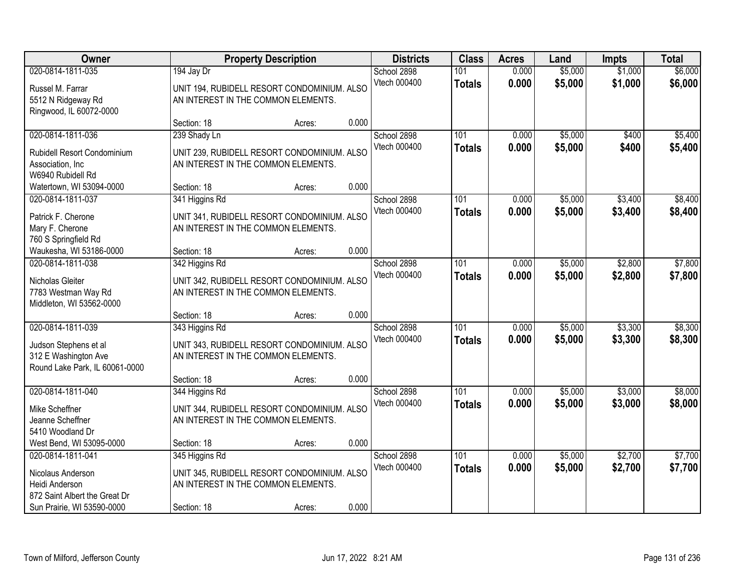| Owner                                           |                                     | <b>Property Description</b>                 |       | <b>Districts</b> | <b>Class</b>     | <b>Acres</b> | Land    | <b>Impts</b> | <b>Total</b> |
|-------------------------------------------------|-------------------------------------|---------------------------------------------|-------|------------------|------------------|--------------|---------|--------------|--------------|
| 020-0814-1811-035                               | 194 Jay Dr                          |                                             |       | School 2898      | 101              | 0.000        | \$5,000 | \$1,000      | \$6,000      |
| Russel M. Farrar                                |                                     | UNIT 194, RUBIDELL RESORT CONDOMINIUM. ALSO |       | Vtech 000400     | <b>Totals</b>    | 0.000        | \$5,000 | \$1,000      | \$6,000      |
| 5512 N Ridgeway Rd                              | AN INTEREST IN THE COMMON ELEMENTS. |                                             |       |                  |                  |              |         |              |              |
| Ringwood, IL 60072-0000                         | Section: 18                         | Acres:                                      | 0.000 |                  |                  |              |         |              |              |
| 020-0814-1811-036                               | 239 Shady Ln                        |                                             |       | School 2898      | 101              | 0.000        | \$5,000 | \$400        | \$5,400      |
| Rubidell Resort Condominium                     |                                     | UNIT 239, RUBIDELL RESORT CONDOMINIUM. ALSO |       | Vtech 000400     | <b>Totals</b>    | 0.000        | \$5,000 | \$400        | \$5,400      |
| Association, Inc                                | AN INTEREST IN THE COMMON ELEMENTS. |                                             |       |                  |                  |              |         |              |              |
| W6940 Rubidell Rd                               |                                     |                                             |       |                  |                  |              |         |              |              |
| Watertown, WI 53094-0000                        | Section: 18                         | Acres:                                      | 0.000 |                  |                  |              |         |              |              |
| 020-0814-1811-037                               | 341 Higgins Rd                      |                                             |       | School 2898      | 101              | 0.000        | \$5,000 | \$3,400      | \$8,400      |
| Patrick F. Cherone                              |                                     | UNIT 341, RUBIDELL RESORT CONDOMINIUM. ALSO |       | Vtech 000400     | <b>Totals</b>    | 0.000        | \$5,000 | \$3,400      | \$8,400      |
| Mary F. Cherone                                 | AN INTEREST IN THE COMMON ELEMENTS. |                                             |       |                  |                  |              |         |              |              |
| 760 S Springfield Rd                            |                                     |                                             |       |                  |                  |              |         |              |              |
| Waukesha, WI 53186-0000<br>020-0814-1811-038    | Section: 18                         | Acres:                                      | 0.000 | School 2898      | 101              | 0.000        | \$5,000 | \$2,800      | \$7,800      |
|                                                 | 342 Higgins Rd                      |                                             |       | Vtech 000400     | <b>Totals</b>    | 0.000        | \$5,000 | \$2,800      | \$7,800      |
| Nicholas Gleiter                                |                                     | UNIT 342, RUBIDELL RESORT CONDOMINIUM. ALSO |       |                  |                  |              |         |              |              |
| 7783 Westman Way Rd<br>Middleton, WI 53562-0000 | AN INTEREST IN THE COMMON ELEMENTS. |                                             |       |                  |                  |              |         |              |              |
|                                                 | Section: 18                         | Acres:                                      | 0.000 |                  |                  |              |         |              |              |
| 020-0814-1811-039                               | 343 Higgins Rd                      |                                             |       | School 2898      | 101              | 0.000        | \$5,000 | \$3,300      | \$8,300      |
| Judson Stephens et al                           |                                     | UNIT 343, RUBIDELL RESORT CONDOMINIUM. ALSO |       | Vtech 000400     | <b>Totals</b>    | 0.000        | \$5,000 | \$3,300      | \$8,300      |
| 312 E Washington Ave                            | AN INTEREST IN THE COMMON ELEMENTS. |                                             |       |                  |                  |              |         |              |              |
| Round Lake Park, IL 60061-0000                  |                                     |                                             |       |                  |                  |              |         |              |              |
|                                                 | Section: 18                         | Acres:                                      | 0.000 |                  |                  |              |         |              |              |
| 020-0814-1811-040                               | 344 Higgins Rd                      |                                             |       | School 2898      | $\overline{101}$ | 0.000        | \$5,000 | \$3,000      | \$8,000      |
| Mike Scheffner                                  |                                     | UNIT 344, RUBIDELL RESORT CONDOMINIUM. ALSO |       | Vtech 000400     | <b>Totals</b>    | 0.000        | \$5,000 | \$3,000      | \$8,000      |
| Jeanne Scheffner                                | AN INTEREST IN THE COMMON ELEMENTS. |                                             |       |                  |                  |              |         |              |              |
| 5410 Woodland Dr                                |                                     |                                             |       |                  |                  |              |         |              |              |
| West Bend, WI 53095-0000<br>020-0814-1811-041   | Section: 18                         | Acres:                                      | 0.000 | School 2898      | 101              | 0.000        | \$5,000 | \$2,700      | \$7,700      |
|                                                 | 345 Higgins Rd                      |                                             |       | Vtech 000400     | <b>Totals</b>    | 0.000        | \$5,000 | \$2,700      | \$7,700      |
| Nicolaus Anderson                               |                                     | UNIT 345, RUBIDELL RESORT CONDOMINIUM. ALSO |       |                  |                  |              |         |              |              |
| Heidi Anderson<br>872 Saint Albert the Great Dr | AN INTEREST IN THE COMMON ELEMENTS. |                                             |       |                  |                  |              |         |              |              |
| Sun Prairie, WI 53590-0000                      | Section: 18                         | Acres:                                      | 0.000 |                  |                  |              |         |              |              |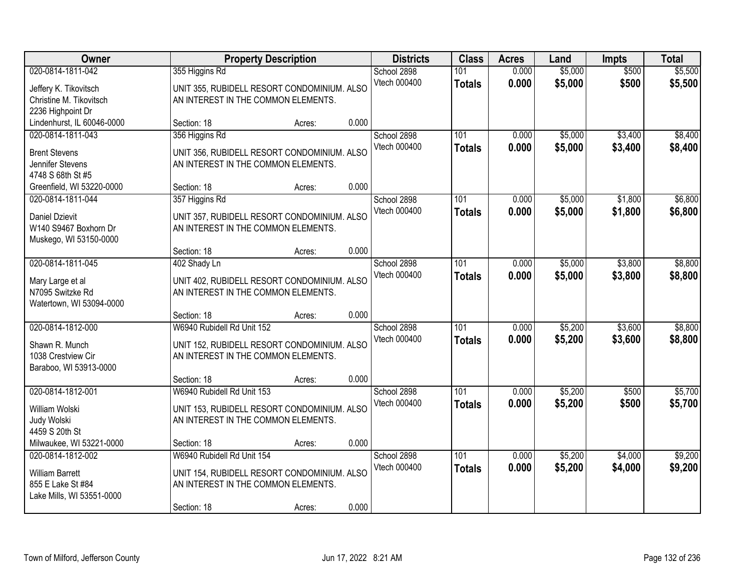| Owner                                                                                         |                                                                                                                  | <b>Property Description</b> |       | <b>Districts</b>            | <b>Class</b>         | <b>Acres</b>   | Land               | <b>Impts</b>       | <b>Total</b>       |
|-----------------------------------------------------------------------------------------------|------------------------------------------------------------------------------------------------------------------|-----------------------------|-------|-----------------------------|----------------------|----------------|--------------------|--------------------|--------------------|
| 020-0814-1811-042                                                                             | 355 Higgins Rd<br>UNIT 355, RUBIDELL RESORT CONDOMINIUM. ALSO                                                    |                             |       | School 2898<br>Vtech 000400 | 101<br><b>Totals</b> | 0.000<br>0.000 | \$5,000<br>\$5,000 | \$500<br>\$500     | \$5,500<br>\$5,500 |
| Jeffery K. Tikovitsch<br>Christine M. Tikovitsch                                              | AN INTEREST IN THE COMMON ELEMENTS.                                                                              |                             |       |                             |                      |                |                    |                    |                    |
| 2236 Highpoint Dr<br>Lindenhurst, IL 60046-0000                                               | Section: 18                                                                                                      | Acres:                      | 0.000 |                             |                      |                |                    |                    |                    |
| 020-0814-1811-043                                                                             | 356 Higgins Rd                                                                                                   |                             |       | School 2898                 | 101                  | 0.000          | \$5,000            | \$3,400            | \$8,400            |
| <b>Brent Stevens</b><br>Jennifer Stevens<br>4748 S 68th St #5                                 | UNIT 356, RUBIDELL RESORT CONDOMINIUM. ALSO<br>AN INTEREST IN THE COMMON ELEMENTS.                               |                             |       | Vtech 000400                | <b>Totals</b>        | 0.000          | \$5,000            | \$3,400            | \$8,400            |
| Greenfield, WI 53220-0000                                                                     | Section: 18                                                                                                      | Acres:                      | 0.000 |                             |                      |                |                    |                    |                    |
| 020-0814-1811-044                                                                             | 357 Higgins Rd                                                                                                   |                             |       | School 2898                 | 101                  | 0.000          | \$5,000            | \$1,800            | \$6,800            |
| <b>Daniel Dzievit</b><br>W140 S9467 Boxhorn Dr<br>Muskego, WI 53150-0000                      | UNIT 357, RUBIDELL RESORT CONDOMINIUM. ALSO<br>AN INTEREST IN THE COMMON ELEMENTS.                               |                             |       | Vtech 000400                | <b>Totals</b>        | 0.000          | \$5,000            | \$1,800            | \$6,800            |
|                                                                                               | Section: 18                                                                                                      | Acres:                      | 0.000 |                             |                      |                |                    |                    |                    |
| 020-0814-1811-045                                                                             | 402 Shady Ln                                                                                                     |                             |       | School 2898                 | 101                  | 0.000          | \$5,000            | \$3,800            | \$8,800            |
| Mary Large et al<br>N7095 Switzke Rd<br>Watertown, WI 53094-0000                              | UNIT 402, RUBIDELL RESORT CONDOMINIUM. ALSO<br>AN INTEREST IN THE COMMON ELEMENTS.                               |                             |       | Vtech 000400                | <b>Totals</b>        | 0.000          | \$5,000            | \$3,800            | \$8,800            |
|                                                                                               | Section: 18                                                                                                      | Acres:                      | 0.000 |                             |                      |                |                    |                    |                    |
| 020-0814-1812-000<br>Shawn R. Munch<br>1038 Crestview Cir<br>Baraboo, WI 53913-0000           | W6940 Rubidell Rd Unit 152<br>UNIT 152, RUBIDELL RESORT CONDOMINIUM. ALSO<br>AN INTEREST IN THE COMMON ELEMENTS. |                             |       | School 2898<br>Vtech 000400 | 101<br><b>Totals</b> | 0.000<br>0.000 | \$5,200<br>\$5,200 | \$3,600<br>\$3,600 | \$8,800<br>\$8,800 |
|                                                                                               | Section: 18                                                                                                      | Acres:                      | 0.000 |                             |                      |                |                    |                    |                    |
| 020-0814-1812-001<br>William Wolski<br>Judy Wolski<br>4459 S 20th St                          | W6940 Rubidell Rd Unit 153<br>UNIT 153, RUBIDELL RESORT CONDOMINIUM. ALSO<br>AN INTEREST IN THE COMMON ELEMENTS. |                             |       | School 2898<br>Vtech 000400 | 101<br><b>Totals</b> | 0.000<br>0.000 | \$5,200<br>\$5,200 | \$500<br>\$500     | \$5,700<br>\$5,700 |
| Milwaukee, WI 53221-0000                                                                      | Section: 18                                                                                                      | Acres:                      | 0.000 |                             |                      |                |                    |                    |                    |
| 020-0814-1812-002<br><b>William Barrett</b><br>855 E Lake St #84<br>Lake Mills, WI 53551-0000 | W6940 Rubidell Rd Unit 154<br>UNIT 154, RUBIDELL RESORT CONDOMINIUM. ALSO<br>AN INTEREST IN THE COMMON ELEMENTS. |                             |       | School 2898<br>Vtech 000400 | 101<br><b>Totals</b> | 0.000<br>0.000 | \$5,200<br>\$5,200 | \$4,000<br>\$4,000 | \$9,200<br>\$9,200 |
|                                                                                               | Section: 18                                                                                                      | Acres:                      | 0.000 |                             |                      |                |                    |                    |                    |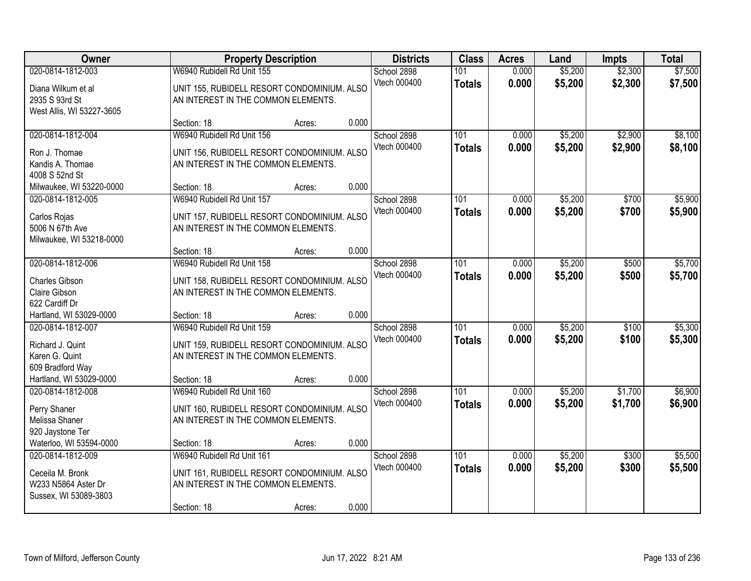| Owner                                                                                  |                                                                                                                                 | <b>Property Description</b> |       | <b>Districts</b>            | <b>Class</b>         | <b>Acres</b>   | Land               | <b>Impts</b>       | <b>Total</b>       |
|----------------------------------------------------------------------------------------|---------------------------------------------------------------------------------------------------------------------------------|-----------------------------|-------|-----------------------------|----------------------|----------------|--------------------|--------------------|--------------------|
| 020-0814-1812-003<br>Diana Wilkum et al<br>2935 S 93rd St<br>West Allis, WI 53227-3605 | W6940 Rubidell Rd Unit 155<br>UNIT 155, RUBIDELL RESORT CONDOMINIUM. ALSO<br>AN INTEREST IN THE COMMON ELEMENTS.                |                             |       | School 2898<br>Vtech 000400 | 101<br><b>Totals</b> | 0.000<br>0.000 | \$5,200<br>\$5,200 | \$2,300<br>\$2,300 | \$7,500<br>\$7,500 |
|                                                                                        | Section: 18                                                                                                                     | Acres:                      | 0.000 |                             |                      |                |                    |                    |                    |
| 020-0814-1812-004<br>Ron J. Thomae<br>Kandis A. Thomae<br>4008 S 52nd St               | W6940 Rubidell Rd Unit 156<br>UNIT 156, RUBIDELL RESORT CONDOMINIUM. ALSO<br>AN INTEREST IN THE COMMON ELEMENTS.                |                             |       | School 2898<br>Vtech 000400 | 101<br><b>Totals</b> | 0.000<br>0.000 | \$5,200<br>\$5,200 | \$2,900<br>\$2,900 | \$8,100<br>\$8,100 |
| Milwaukee, WI 53220-0000                                                               | Section: 18                                                                                                                     | Acres:                      | 0.000 |                             |                      |                |                    |                    |                    |
| 020-0814-1812-005<br>Carlos Rojas<br>5006 N 67th Ave<br>Milwaukee, WI 53218-0000       | W6940 Rubidell Rd Unit 157<br>UNIT 157, RUBIDELL RESORT CONDOMINIUM. ALSO<br>AN INTEREST IN THE COMMON ELEMENTS.                |                             |       | School 2898<br>Vtech 000400 | 101<br><b>Totals</b> | 0.000<br>0.000 | \$5,200<br>\$5,200 | \$700<br>\$700     | \$5,900<br>\$5,900 |
|                                                                                        | Section: 18                                                                                                                     | Acres:                      | 0.000 |                             |                      |                |                    |                    |                    |
| 020-0814-1812-006<br>Charles Gibson<br>Claire Gibson<br>622 Cardiff Dr                 | W6940 Rubidell Rd Unit 158<br>UNIT 158, RUBIDELL RESORT CONDOMINIUM. ALSO<br>AN INTEREST IN THE COMMON ELEMENTS.                |                             |       | School 2898<br>Vtech 000400 | 101<br><b>Totals</b> | 0.000<br>0.000 | \$5,200<br>\$5,200 | \$500<br>\$500     | \$5,700<br>\$5,700 |
| Hartland, WI 53029-0000                                                                | Section: 18                                                                                                                     | Acres:                      | 0.000 |                             |                      |                |                    |                    |                    |
| 020-0814-1812-007<br>Richard J. Quint<br>Karen G. Quint<br>609 Bradford Way            | W6940 Rubidell Rd Unit 159<br>UNIT 159, RUBIDELL RESORT CONDOMINIUM. ALSO<br>AN INTEREST IN THE COMMON ELEMENTS.                |                             |       | School 2898<br>Vtech 000400 | 101<br><b>Totals</b> | 0.000<br>0.000 | \$5,200<br>\$5,200 | \$100<br>\$100     | \$5,300<br>\$5,300 |
| Hartland, WI 53029-0000                                                                | Section: 18                                                                                                                     | Acres:                      | 0.000 |                             |                      |                |                    |                    |                    |
| 020-0814-1812-008<br>Perry Shaner<br>Melissa Shaner<br>920 Jaystone Ter                | W6940 Rubidell Rd Unit 160<br>UNIT 160, RUBIDELL RESORT CONDOMINIUM. ALSO<br>AN INTEREST IN THE COMMON ELEMENTS.                |                             |       | School 2898<br>Vtech 000400 | 101<br><b>Totals</b> | 0.000<br>0.000 | \$5,200<br>\$5,200 | \$1,700<br>\$1,700 | \$6,900<br>\$6,900 |
| Waterloo, WI 53594-0000                                                                | Section: 18                                                                                                                     | Acres:                      | 0.000 |                             |                      |                |                    |                    |                    |
| 020-0814-1812-009<br>Ceceila M. Bronk<br>W233 N5864 Aster Dr<br>Sussex, WI 53089-3803  | W6940 Rubidell Rd Unit 161<br>UNIT 161, RUBIDELL RESORT CONDOMINIUM. ALSO<br>AN INTEREST IN THE COMMON ELEMENTS.<br>Section: 18 | Acres:                      | 0.000 | School 2898<br>Vtech 000400 | 101<br><b>Totals</b> | 0.000<br>0.000 | \$5,200<br>\$5,200 | \$300<br>\$300     | \$5,500<br>\$5,500 |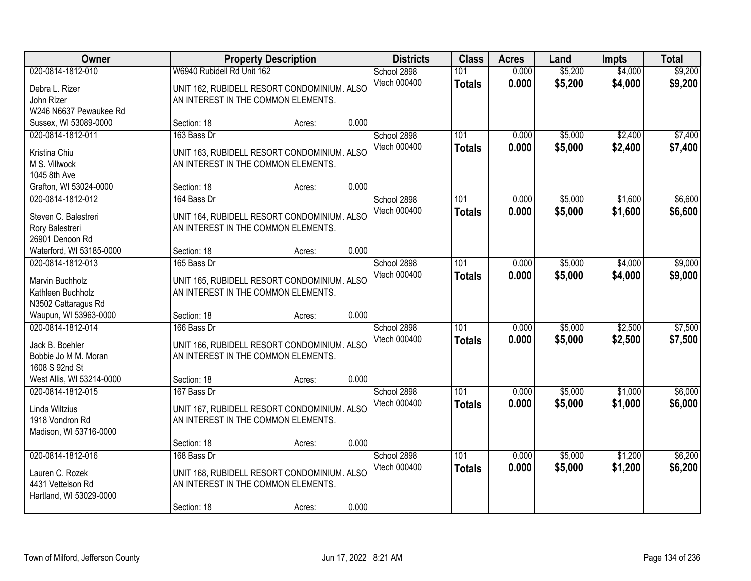| Owner                                                                                |                            | <b>Property Description</b>                                                                  |       | <b>Districts</b>            | <b>Class</b>         | <b>Acres</b>   | Land               | <b>Impts</b>       | <b>Total</b>       |
|--------------------------------------------------------------------------------------|----------------------------|----------------------------------------------------------------------------------------------|-------|-----------------------------|----------------------|----------------|--------------------|--------------------|--------------------|
| 020-0814-1812-010<br>Debra L. Rizer<br>John Rizer                                    | W6940 Rubidell Rd Unit 162 | UNIT 162, RUBIDELL RESORT CONDOMINIUM. ALSO<br>AN INTEREST IN THE COMMON ELEMENTS.           |       | School 2898<br>Vtech 000400 | 101<br><b>Totals</b> | 0.000<br>0.000 | \$5,200<br>\$5,200 | \$4,000<br>\$4,000 | \$9,200<br>\$9,200 |
| W246 N6637 Pewaukee Rd<br>Sussex, WI 53089-0000                                      | Section: 18                | Acres:                                                                                       | 0.000 |                             |                      |                |                    |                    |                    |
| 020-0814-1812-011<br>Kristina Chiu<br>M S. Villwock<br>1045 8th Ave                  | 163 Bass Dr                | UNIT 163, RUBIDELL RESORT CONDOMINIUM. ALSO<br>AN INTEREST IN THE COMMON ELEMENTS.           |       | School 2898<br>Vtech 000400 | 101<br><b>Totals</b> | 0.000<br>0.000 | \$5,000<br>\$5,000 | \$2,400<br>\$2,400 | \$7,400<br>\$7,400 |
| Grafton, WI 53024-0000                                                               | Section: 18                | Acres:                                                                                       | 0.000 |                             |                      |                |                    |                    |                    |
| 020-0814-1812-012<br>Steven C. Balestreri<br>Rory Balestreri<br>26901 Denoon Rd      | 164 Bass Dr                | UNIT 164, RUBIDELL RESORT CONDOMINIUM. ALSO<br>AN INTEREST IN THE COMMON ELEMENTS.           |       | School 2898<br>Vtech 000400 | 101<br><b>Totals</b> | 0.000<br>0.000 | \$5,000<br>\$5,000 | \$1,600<br>\$1,600 | \$6,600<br>\$6,600 |
| Waterford, WI 53185-0000                                                             | Section: 18                | Acres:                                                                                       | 0.000 |                             |                      |                |                    |                    |                    |
| 020-0814-1812-013<br>Marvin Buchholz<br>Kathleen Buchholz<br>N3502 Cattaragus Rd     | 165 Bass Dr                | UNIT 165, RUBIDELL RESORT CONDOMINIUM. ALSO<br>AN INTEREST IN THE COMMON ELEMENTS.           |       | School 2898<br>Vtech 000400 | 101<br><b>Totals</b> | 0.000<br>0.000 | \$5,000<br>\$5,000 | \$4,000<br>\$4,000 | \$9,000<br>\$9,000 |
| Waupun, WI 53963-0000                                                                | Section: 18                | Acres:                                                                                       | 0.000 |                             |                      |                |                    |                    |                    |
| 020-0814-1812-014<br>Jack B. Boehler<br>Bobbie Jo M M. Moran<br>1608 S 92nd St       | 166 Bass Dr                | UNIT 166, RUBIDELL RESORT CONDOMINIUM. ALSO<br>AN INTEREST IN THE COMMON ELEMENTS.           |       | School 2898<br>Vtech 000400 | 101<br><b>Totals</b> | 0.000<br>0.000 | \$5,000<br>\$5,000 | \$2,500<br>\$2,500 | \$7,500<br>\$7,500 |
| West Allis, WI 53214-0000                                                            | Section: 18                | Acres:                                                                                       | 0.000 |                             |                      |                |                    |                    |                    |
| 020-0814-1812-015<br>Linda Wiltzius<br>1918 Vondron Rd<br>Madison, WI 53716-0000     | 167 Bass Dr                | UNIT 167, RUBIDELL RESORT CONDOMINIUM. ALSO<br>AN INTEREST IN THE COMMON ELEMENTS.           |       | School 2898<br>Vtech 000400 | 101<br><b>Totals</b> | 0.000<br>0.000 | \$5,000<br>\$5,000 | \$1,000<br>\$1,000 | \$6,000<br>\$6,000 |
|                                                                                      | Section: 18                | Acres:                                                                                       | 0.000 |                             |                      |                |                    |                    |                    |
| 020-0814-1812-016<br>Lauren C. Rozek<br>4431 Vettelson Rd<br>Hartland, WI 53029-0000 | 168 Bass Dr<br>Section: 18 | UNIT 168, RUBIDELL RESORT CONDOMINIUM. ALSO<br>AN INTEREST IN THE COMMON ELEMENTS.<br>Acres: | 0.000 | School 2898<br>Vtech 000400 | 101<br><b>Totals</b> | 0.000<br>0.000 | \$5,000<br>\$5,000 | \$1,200<br>\$1,200 | \$6,200<br>\$6,200 |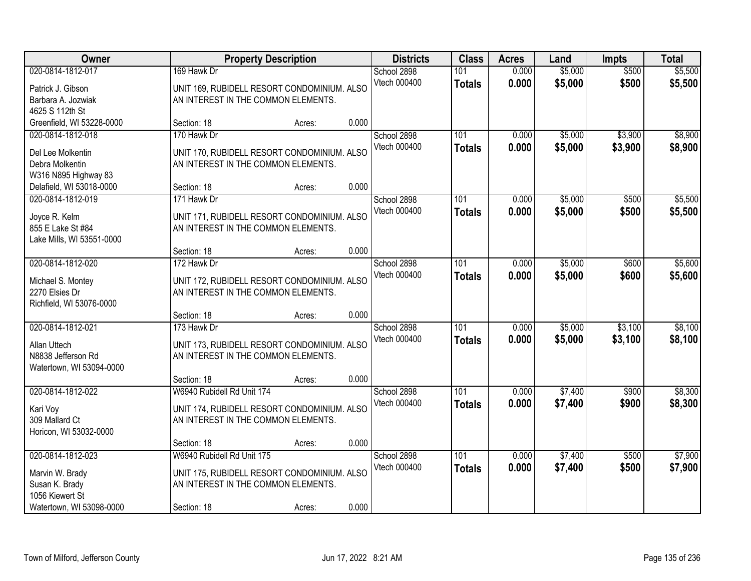| Owner                                                                                                         |                                                                                                                  | <b>Property Description</b> |       | <b>Districts</b>            | <b>Class</b>         | <b>Acres</b>   | Land               | <b>Impts</b>       | <b>Total</b>       |
|---------------------------------------------------------------------------------------------------------------|------------------------------------------------------------------------------------------------------------------|-----------------------------|-------|-----------------------------|----------------------|----------------|--------------------|--------------------|--------------------|
| 020-0814-1812-017<br>Patrick J. Gibson<br>Barbara A. Jozwiak<br>4625 S 112th St                               | 169 Hawk Dr<br>UNIT 169, RUBIDELL RESORT CONDOMINIUM. ALSO<br>AN INTEREST IN THE COMMON ELEMENTS.                |                             |       | School 2898<br>Vtech 000400 | 101<br><b>Totals</b> | 0.000<br>0.000 | \$5,000<br>\$5,000 | \$500<br>\$500     | \$5,500<br>\$5,500 |
| Greenfield, WI 53228-0000                                                                                     | Section: 18                                                                                                      | Acres:                      | 0.000 |                             |                      |                |                    |                    |                    |
| 020-0814-1812-018<br>Del Lee Molkentin<br>Debra Molkentin<br>W316 N895 Highway 83<br>Delafield, WI 53018-0000 | 170 Hawk Dr<br>UNIT 170, RUBIDELL RESORT CONDOMINIUM. ALSO<br>AN INTEREST IN THE COMMON ELEMENTS.<br>Section: 18 | Acres:                      | 0.000 | School 2898<br>Vtech 000400 | 101<br><b>Totals</b> | 0.000<br>0.000 | \$5,000<br>\$5,000 | \$3,900<br>\$3,900 | \$8,900<br>\$8,900 |
| 020-0814-1812-019                                                                                             | 171 Hawk Dr                                                                                                      |                             |       | School 2898                 | 101                  | 0.000          | \$5,000            | \$500              | \$5,500            |
| Joyce R. Kelm<br>855 E Lake St #84<br>Lake Mills, WI 53551-0000                                               | UNIT 171, RUBIDELL RESORT CONDOMINIUM. ALSO<br>AN INTEREST IN THE COMMON ELEMENTS.                               |                             |       | Vtech 000400                | <b>Totals</b>        | 0.000          | \$5,000            | \$500              | \$5,500            |
|                                                                                                               | Section: 18                                                                                                      | Acres:                      | 0.000 |                             |                      |                |                    |                    |                    |
| 020-0814-1812-020<br>Michael S. Montey<br>2270 Elsies Dr<br>Richfield, WI 53076-0000                          | 172 Hawk Dr<br>UNIT 172, RUBIDELL RESORT CONDOMINIUM. ALSO<br>AN INTEREST IN THE COMMON ELEMENTS.                |                             |       | School 2898<br>Vtech 000400 | 101<br><b>Totals</b> | 0.000<br>0.000 | \$5,000<br>\$5,000 | \$600<br>\$600     | \$5,600<br>\$5,600 |
|                                                                                                               | Section: 18                                                                                                      | Acres:                      | 0.000 |                             |                      |                |                    |                    |                    |
| 020-0814-1812-021<br>Allan Uttech<br>N8838 Jefferson Rd<br>Watertown, WI 53094-0000                           | 173 Hawk Dr<br>UNIT 173, RUBIDELL RESORT CONDOMINIUM. ALSO<br>AN INTEREST IN THE COMMON ELEMENTS.                |                             |       | School 2898<br>Vtech 000400 | 101<br><b>Totals</b> | 0.000<br>0.000 | \$5,000<br>\$5,000 | \$3,100<br>\$3,100 | \$8,100<br>\$8,100 |
|                                                                                                               | Section: 18                                                                                                      | Acres:                      | 0.000 |                             |                      |                |                    |                    |                    |
| 020-0814-1812-022<br>Kari Voy<br>309 Mallard Ct<br>Horicon, WI 53032-0000                                     | W6940 Rubidell Rd Unit 174<br>UNIT 174, RUBIDELL RESORT CONDOMINIUM. ALSO<br>AN INTEREST IN THE COMMON ELEMENTS. |                             |       | School 2898<br>Vtech 000400 | 101<br><b>Totals</b> | 0.000<br>0.000 | \$7,400<br>\$7,400 | \$900<br>\$900     | \$8,300<br>\$8,300 |
|                                                                                                               | Section: 18                                                                                                      | Acres:                      | 0.000 |                             |                      |                |                    |                    |                    |
| 020-0814-1812-023<br>Marvin W. Brady<br>Susan K. Brady<br>1056 Kiewert St                                     | W6940 Rubidell Rd Unit 175<br>UNIT 175, RUBIDELL RESORT CONDOMINIUM. ALSO<br>AN INTEREST IN THE COMMON ELEMENTS. |                             |       | School 2898<br>Vtech 000400 | 101<br><b>Totals</b> | 0.000<br>0.000 | \$7,400<br>\$7,400 | \$500<br>\$500     | \$7,900<br>\$7,900 |
| Watertown, WI 53098-0000                                                                                      | Section: 18                                                                                                      | Acres:                      | 0.000 |                             |                      |                |                    |                    |                    |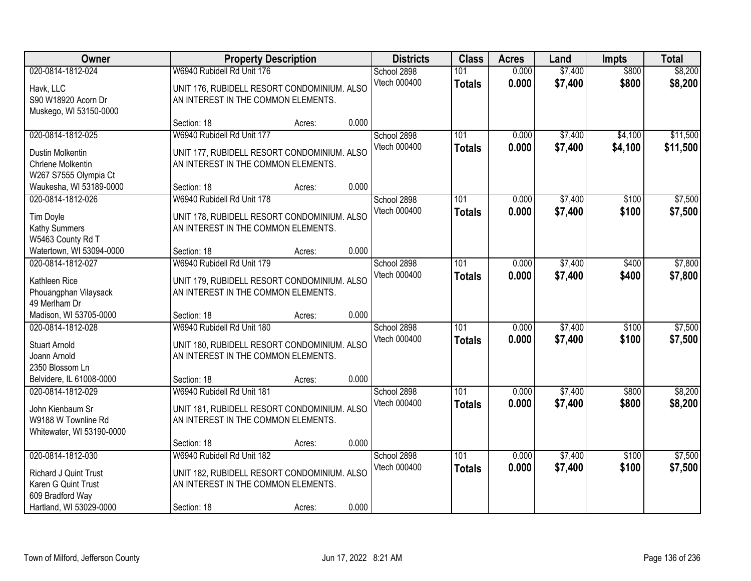| Owner                                                                                                            | <b>Property Description</b>                                                                                                     |        | <b>Districts</b>                     | <b>Class</b>                      | <b>Acres</b>   | Land               | <b>Impts</b>       | <b>Total</b>         |
|------------------------------------------------------------------------------------------------------------------|---------------------------------------------------------------------------------------------------------------------------------|--------|--------------------------------------|-----------------------------------|----------------|--------------------|--------------------|----------------------|
| 020-0814-1812-024<br>Havk, LLC<br>S90 W18920 Acorn Dr                                                            | W6940 Rubidell Rd Unit 176<br>UNIT 176, RUBIDELL RESORT CONDOMINIUM. ALSO<br>AN INTEREST IN THE COMMON ELEMENTS.                |        | School 2898<br>Vtech 000400          | 101<br><b>Totals</b>              | 0.000<br>0.000 | \$7,400<br>\$7,400 | \$800<br>\$800     | \$8,200<br>\$8,200   |
| Muskego, WI 53150-0000                                                                                           | Section: 18                                                                                                                     | Acres: | 0.000                                |                                   |                |                    |                    |                      |
| 020-0814-1812-025<br>Dustin Molkentin<br>Chrlene Molkentin<br>W267 S7555 Olympia Ct                              | W6940 Rubidell Rd Unit 177<br>UNIT 177, RUBIDELL RESORT CONDOMINIUM. ALSO<br>AN INTEREST IN THE COMMON ELEMENTS.                |        | School 2898<br>Vtech 000400          | 101<br><b>Totals</b>              | 0.000<br>0.000 | \$7,400<br>\$7,400 | \$4,100<br>\$4,100 | \$11,500<br>\$11,500 |
| Waukesha, WI 53189-0000                                                                                          | Section: 18                                                                                                                     | Acres: | 0.000                                |                                   |                |                    |                    |                      |
| 020-0814-1812-026<br><b>Tim Doyle</b><br>Kathy Summers<br>W5463 County Rd T                                      | W6940 Rubidell Rd Unit 178<br>UNIT 178, RUBIDELL RESORT CONDOMINIUM. ALSO<br>AN INTEREST IN THE COMMON ELEMENTS.                |        | School 2898<br>Vtech 000400          | 101<br><b>Totals</b>              | 0.000<br>0.000 | \$7,400<br>\$7,400 | \$100<br>\$100     | \$7,500<br>\$7,500   |
| Watertown, WI 53094-0000                                                                                         | Section: 18                                                                                                                     | Acres: | 0.000                                |                                   |                |                    |                    |                      |
| 020-0814-1812-027<br>Kathleen Rice<br>Phouangphan Vilaysack<br>49 Merlham Dr                                     | W6940 Rubidell Rd Unit 179<br>UNIT 179, RUBIDELL RESORT CONDOMINIUM. ALSO<br>AN INTEREST IN THE COMMON ELEMENTS.                |        | School 2898<br>Vtech 000400          | 101<br><b>Totals</b>              | 0.000<br>0.000 | \$7,400<br>\$7,400 | \$400<br>\$400     | \$7,800<br>\$7,800   |
| Madison, WI 53705-0000                                                                                           | Section: 18                                                                                                                     | Acres: | 0.000                                |                                   |                |                    |                    |                      |
| 020-0814-1812-028<br><b>Stuart Arnold</b><br>Joann Arnold<br>2350 Blossom Ln<br>Belvidere, IL 61008-0000         | W6940 Rubidell Rd Unit 180<br>UNIT 180, RUBIDELL RESORT CONDOMINIUM. ALSO<br>AN INTEREST IN THE COMMON ELEMENTS.<br>Section: 18 | Acres: | School 2898<br>Vtech 000400<br>0.000 | $\overline{101}$<br><b>Totals</b> | 0.000<br>0.000 | \$7,400<br>\$7,400 | \$100<br>\$100     | \$7,500<br>\$7,500   |
| 020-0814-1812-029                                                                                                | W6940 Rubidell Rd Unit 181                                                                                                      |        | School 2898                          | 101                               | 0.000          | \$7,400            | \$800              | \$8,200              |
| John Kienbaum Sr<br>W9188 W Townline Rd<br>Whitewater, WI 53190-0000                                             | UNIT 181, RUBIDELL RESORT CONDOMINIUM. ALSO<br>AN INTEREST IN THE COMMON ELEMENTS.                                              |        | Vtech 000400                         | <b>Totals</b>                     | 0.000          | \$7,400            | \$800              | \$8,200              |
|                                                                                                                  | Section: 18                                                                                                                     | Acres: | 0.000                                |                                   |                |                    |                    |                      |
| 020-0814-1812-030<br>Richard J Quint Trust<br>Karen G Quint Trust<br>609 Bradford Way<br>Hartland, WI 53029-0000 | W6940 Rubidell Rd Unit 182<br>UNIT 182, RUBIDELL RESORT CONDOMINIUM. ALSO<br>AN INTEREST IN THE COMMON ELEMENTS.<br>Section: 18 | Acres: | School 2898<br>Vtech 000400<br>0.000 | 101<br><b>Totals</b>              | 0.000<br>0.000 | \$7,400<br>\$7,400 | \$100<br>\$100     | \$7,500<br>\$7,500   |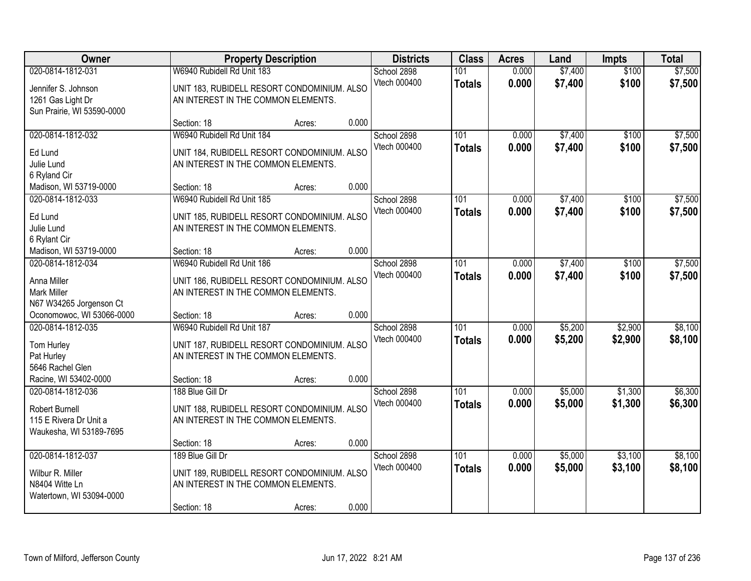| Owner                                                                                       |                                                                                                                       | <b>Property Description</b> |       | <b>Districts</b>            | <b>Class</b>         | <b>Acres</b>   | Land               | Impts              | <b>Total</b>       |
|---------------------------------------------------------------------------------------------|-----------------------------------------------------------------------------------------------------------------------|-----------------------------|-------|-----------------------------|----------------------|----------------|--------------------|--------------------|--------------------|
| 020-0814-1812-031<br>Jennifer S. Johnson<br>1261 Gas Light Dr<br>Sun Prairie, WI 53590-0000 | W6940 Rubidell Rd Unit 183<br>UNIT 183, RUBIDELL RESORT CONDOMINIUM. ALSO<br>AN INTEREST IN THE COMMON ELEMENTS.      |                             |       | School 2898<br>Vtech 000400 | 101<br><b>Totals</b> | 0.000<br>0.000 | \$7,400<br>\$7,400 | \$100<br>\$100     | \$7,500<br>\$7,500 |
|                                                                                             | Section: 18                                                                                                           | Acres:                      | 0.000 |                             |                      |                |                    |                    |                    |
| 020-0814-1812-032<br>Ed Lund<br>Julie Lund<br>6 Ryland Cir                                  | W6940 Rubidell Rd Unit 184<br>UNIT 184, RUBIDELL RESORT CONDOMINIUM. ALSO<br>AN INTEREST IN THE COMMON ELEMENTS.      |                             |       | School 2898<br>Vtech 000400 | 101<br><b>Totals</b> | 0.000<br>0.000 | \$7,400<br>\$7,400 | \$100<br>\$100     | \$7,500<br>\$7,500 |
| Madison, WI 53719-0000                                                                      | Section: 18                                                                                                           | Acres:                      | 0.000 |                             |                      |                |                    |                    |                    |
| 020-0814-1812-033<br>Ed Lund<br>Julie Lund<br>6 Rylant Cir                                  | W6940 Rubidell Rd Unit 185<br>UNIT 185, RUBIDELL RESORT CONDOMINIUM. ALSO<br>AN INTEREST IN THE COMMON ELEMENTS.      |                             |       | School 2898<br>Vtech 000400 | 101<br><b>Totals</b> | 0.000<br>0.000 | \$7,400<br>\$7,400 | \$100<br>\$100     | \$7,500<br>\$7,500 |
| Madison, WI 53719-0000                                                                      | Section: 18                                                                                                           | Acres:                      | 0.000 |                             |                      |                |                    |                    |                    |
| 020-0814-1812-034<br>Anna Miller<br><b>Mark Miller</b><br>N67 W34265 Jorgenson Ct           | W6940 Rubidell Rd Unit 186<br>UNIT 186, RUBIDELL RESORT CONDOMINIUM. ALSO<br>AN INTEREST IN THE COMMON ELEMENTS.      |                             |       | School 2898<br>Vtech 000400 | 101<br><b>Totals</b> | 0.000<br>0.000 | \$7,400<br>\$7,400 | \$100<br>\$100     | \$7,500<br>\$7,500 |
| Oconomowoc, WI 53066-0000                                                                   | Section: 18                                                                                                           | Acres:                      | 0.000 |                             |                      |                |                    |                    |                    |
| 020-0814-1812-035<br>Tom Hurley<br>Pat Hurley<br>5646 Rachel Glen                           | W6940 Rubidell Rd Unit 187<br>UNIT 187, RUBIDELL RESORT CONDOMINIUM. ALSO<br>AN INTEREST IN THE COMMON ELEMENTS.      |                             |       | School 2898<br>Vtech 000400 | 101<br><b>Totals</b> | 0.000<br>0.000 | \$5,200<br>\$5,200 | \$2,900<br>\$2,900 | \$8,100<br>\$8,100 |
| Racine, WI 53402-0000                                                                       | Section: 18                                                                                                           | Acres:                      | 0.000 |                             |                      |                |                    |                    |                    |
| 020-0814-1812-036<br>Robert Burnell<br>115 E Rivera Dr Unit a<br>Waukesha, WI 53189-7695    | 188 Blue Gill Dr<br>UNIT 188, RUBIDELL RESORT CONDOMINIUM. ALSO<br>AN INTEREST IN THE COMMON ELEMENTS.                |                             |       | School 2898<br>Vtech 000400 | 101<br><b>Totals</b> | 0.000<br>0.000 | \$5,000<br>\$5,000 | \$1,300<br>\$1,300 | \$6,300<br>\$6,300 |
|                                                                                             | Section: 18                                                                                                           | Acres:                      | 0.000 |                             |                      |                |                    |                    |                    |
| 020-0814-1812-037<br>Wilbur R. Miller<br>N8404 Witte Ln<br>Watertown, WI 53094-0000         | 189 Blue Gill Dr<br>UNIT 189, RUBIDELL RESORT CONDOMINIUM. ALSO<br>AN INTEREST IN THE COMMON ELEMENTS.<br>Section: 18 | Acres:                      | 0.000 | School 2898<br>Vtech 000400 | 101<br><b>Totals</b> | 0.000<br>0.000 | \$5,000<br>\$5,000 | \$3,100<br>\$3,100 | \$8,100<br>\$8,100 |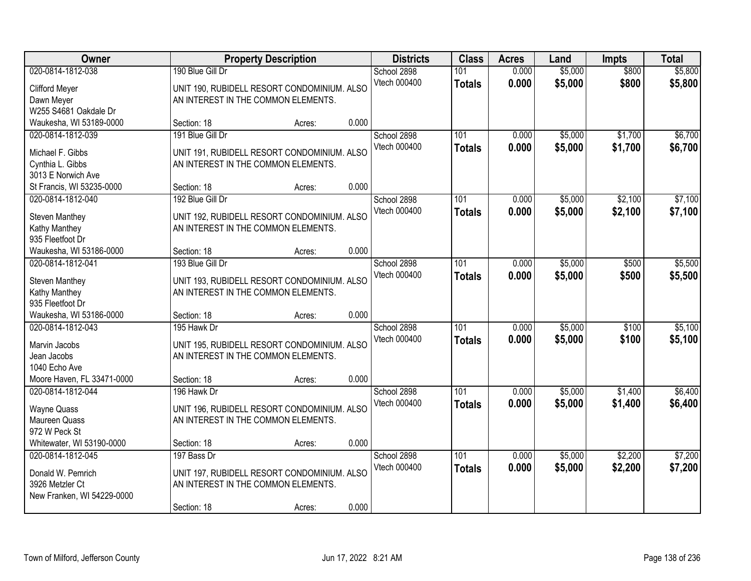| Owner                             |                                     | <b>Property Description</b>                 | <b>Districts</b> | <b>Class</b>  | <b>Acres</b> | Land    | <b>Impts</b> | <b>Total</b> |
|-----------------------------------|-------------------------------------|---------------------------------------------|------------------|---------------|--------------|---------|--------------|--------------|
| 020-0814-1812-038                 | 190 Blue Gill Dr                    |                                             | School 2898      | 101           | 0.000        | \$5,000 | \$800        | \$5,800      |
| Clifford Meyer                    |                                     | UNIT 190, RUBIDELL RESORT CONDOMINIUM. ALSO | Vtech 000400     | <b>Totals</b> | 0.000        | \$5,000 | \$800        | \$5,800      |
| Dawn Meyer                        | AN INTEREST IN THE COMMON ELEMENTS. |                                             |                  |               |              |         |              |              |
| W255 S4681 Oakdale Dr             |                                     |                                             |                  |               |              |         |              |              |
| Waukesha, WI 53189-0000           | Section: 18                         | Acres:                                      | 0.000            |               |              |         |              |              |
| 020-0814-1812-039                 | 191 Blue Gill Dr                    |                                             | School 2898      | 101           | 0.000        | \$5,000 | \$1,700      | \$6,700      |
| Michael F. Gibbs                  |                                     | UNIT 191, RUBIDELL RESORT CONDOMINIUM. ALSO | Vtech 000400     | <b>Totals</b> | 0.000        | \$5,000 | \$1,700      | \$6,700      |
| Cynthia L. Gibbs                  | AN INTEREST IN THE COMMON ELEMENTS. |                                             |                  |               |              |         |              |              |
| 3013 E Norwich Ave                |                                     |                                             |                  |               |              |         |              |              |
| St Francis, WI 53235-0000         | Section: 18                         | Acres:                                      | 0.000            |               |              |         |              |              |
| 020-0814-1812-040                 | 192 Blue Gill Dr                    |                                             | School 2898      | 101           | 0.000        | \$5,000 | \$2,100      | \$7,100      |
|                                   |                                     |                                             | Vtech 000400     | <b>Totals</b> | 0.000        | \$5,000 | \$2,100      | \$7,100      |
| Steven Manthey                    | AN INTEREST IN THE COMMON ELEMENTS. | UNIT 192, RUBIDELL RESORT CONDOMINIUM. ALSO |                  |               |              |         |              |              |
| Kathy Manthey<br>935 Fleetfoot Dr |                                     |                                             |                  |               |              |         |              |              |
| Waukesha, WI 53186-0000           | Section: 18                         | Acres:                                      | 0.000            |               |              |         |              |              |
| 020-0814-1812-041                 | 193 Blue Gill Dr                    |                                             | School 2898      | 101           | 0.000        | \$5,000 | \$500        | \$5,500      |
|                                   |                                     |                                             | Vtech 000400     | <b>Totals</b> | 0.000        | \$5,000 | \$500        | \$5,500      |
| <b>Steven Manthey</b>             |                                     | UNIT 193, RUBIDELL RESORT CONDOMINIUM. ALSO |                  |               |              |         |              |              |
| Kathy Manthey                     | AN INTEREST IN THE COMMON ELEMENTS. |                                             |                  |               |              |         |              |              |
| 935 Fleetfoot Dr                  |                                     |                                             |                  |               |              |         |              |              |
| Waukesha, WI 53186-0000           | Section: 18                         | Acres:                                      | 0.000            |               |              |         |              |              |
| 020-0814-1812-043                 | 195 Hawk Dr                         |                                             | School 2898      | 101           | 0.000        | \$5,000 | \$100        | \$5,100      |
| Marvin Jacobs                     |                                     | UNIT 195, RUBIDELL RESORT CONDOMINIUM. ALSO | Vtech 000400     | <b>Totals</b> | 0.000        | \$5,000 | \$100        | \$5,100      |
| Jean Jacobs                       | AN INTEREST IN THE COMMON ELEMENTS. |                                             |                  |               |              |         |              |              |
| 1040 Echo Ave                     |                                     |                                             |                  |               |              |         |              |              |
| Moore Haven, FL 33471-0000        | Section: 18                         | Acres:                                      | 0.000            |               |              |         |              |              |
| 020-0814-1812-044                 | 196 Hawk Dr                         |                                             | School 2898      | 101           | 0.000        | \$5,000 | \$1,400      | \$6,400      |
| <b>Wayne Quass</b>                |                                     | UNIT 196, RUBIDELL RESORT CONDOMINIUM. ALSO | Vtech 000400     | <b>Totals</b> | 0.000        | \$5,000 | \$1,400      | \$6,400      |
| Maureen Quass                     | AN INTEREST IN THE COMMON ELEMENTS. |                                             |                  |               |              |         |              |              |
| 972 W Peck St                     |                                     |                                             |                  |               |              |         |              |              |
| Whitewater, WI 53190-0000         | Section: 18                         | Acres:                                      | 0.000            |               |              |         |              |              |
| 020-0814-1812-045                 | 197 Bass Dr                         |                                             | School 2898      | 101           | 0.000        | \$5,000 | \$2,200      | \$7,200      |
| Donald W. Pemrich                 |                                     | UNIT 197, RUBIDELL RESORT CONDOMINIUM. ALSO | Vtech 000400     | <b>Totals</b> | 0.000        | \$5,000 | \$2,200      | \$7,200      |
| 3926 Metzler Ct                   | AN INTEREST IN THE COMMON ELEMENTS. |                                             |                  |               |              |         |              |              |
| New Franken, WI 54229-0000        |                                     |                                             |                  |               |              |         |              |              |
|                                   | Section: 18                         | Acres:                                      | 0.000            |               |              |         |              |              |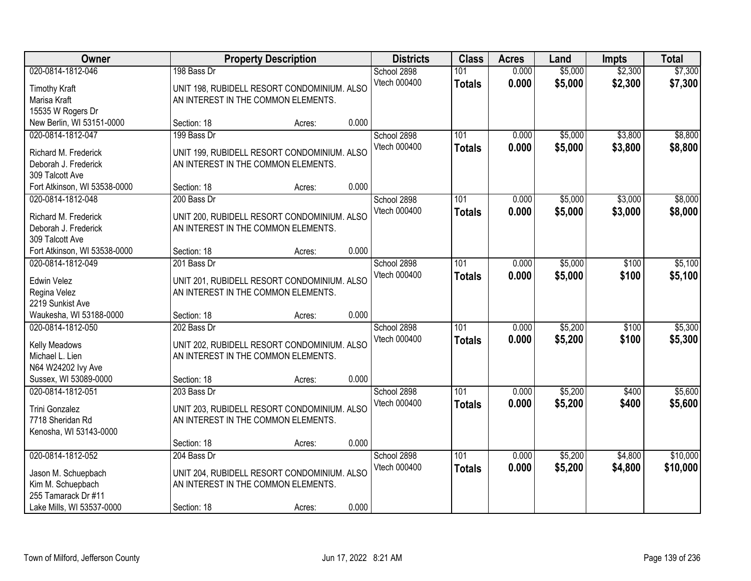| Owner                        |             | <b>Property Description</b>                 |       | <b>Districts</b> | <b>Class</b>     | <b>Acres</b> | Land    | <b>Impts</b> | <b>Total</b> |
|------------------------------|-------------|---------------------------------------------|-------|------------------|------------------|--------------|---------|--------------|--------------|
| 020-0814-1812-046            | 198 Bass Dr |                                             |       | School 2898      | 101              | 0.000        | \$5,000 | \$2,300      | \$7,300      |
| <b>Timothy Kraft</b>         |             | UNIT 198, RUBIDELL RESORT CONDOMINIUM. ALSO |       | Vtech 000400     | <b>Totals</b>    | 0.000        | \$5,000 | \$2,300      | \$7,300      |
| Marisa Kraft                 |             | AN INTEREST IN THE COMMON ELEMENTS.         |       |                  |                  |              |         |              |              |
| 15535 W Rogers Dr            |             |                                             |       |                  |                  |              |         |              |              |
| New Berlin, WI 53151-0000    | Section: 18 | Acres:                                      | 0.000 |                  |                  |              |         |              |              |
| 020-0814-1812-047            | 199 Bass Dr |                                             |       | School 2898      | 101              | 0.000        | \$5,000 | \$3,800      | \$8,800      |
| Richard M. Frederick         |             | UNIT 199, RUBIDELL RESORT CONDOMINIUM. ALSO |       | Vtech 000400     | <b>Totals</b>    | 0.000        | \$5,000 | \$3,800      | \$8,800      |
| Deborah J. Frederick         |             | AN INTEREST IN THE COMMON ELEMENTS.         |       |                  |                  |              |         |              |              |
| 309 Talcott Ave              |             |                                             |       |                  |                  |              |         |              |              |
| Fort Atkinson, WI 53538-0000 | Section: 18 | Acres:                                      | 0.000 |                  |                  |              |         |              |              |
| 020-0814-1812-048            | 200 Bass Dr |                                             |       | School 2898      | 101              | 0.000        | \$5,000 | \$3,000      | \$8,000      |
|                              |             |                                             |       | Vtech 000400     | <b>Totals</b>    | 0.000        | \$5,000 | \$3,000      | \$8,000      |
| Richard M. Frederick         |             | UNIT 200, RUBIDELL RESORT CONDOMINIUM. ALSO |       |                  |                  |              |         |              |              |
| Deborah J. Frederick         |             | AN INTEREST IN THE COMMON ELEMENTS.         |       |                  |                  |              |         |              |              |
| 309 Talcott Ave              |             |                                             |       |                  |                  |              |         |              |              |
| Fort Atkinson, WI 53538-0000 | Section: 18 | Acres:                                      | 0.000 |                  |                  |              |         |              |              |
| 020-0814-1812-049            | 201 Bass Dr |                                             |       | School 2898      | 101              | 0.000        | \$5,000 | \$100        | \$5,100      |
| Edwin Velez                  |             | UNIT 201, RUBIDELL RESORT CONDOMINIUM. ALSO |       | Vtech 000400     | <b>Totals</b>    | 0.000        | \$5,000 | \$100        | \$5,100      |
| Regina Velez                 |             | AN INTEREST IN THE COMMON ELEMENTS.         |       |                  |                  |              |         |              |              |
| 2219 Sunkist Ave             |             |                                             |       |                  |                  |              |         |              |              |
| Waukesha, WI 53188-0000      | Section: 18 | Acres:                                      | 0.000 |                  |                  |              |         |              |              |
| 020-0814-1812-050            | 202 Bass Dr |                                             |       | School 2898      | $\overline{101}$ | 0.000        | \$5,200 | \$100        | \$5,300      |
| Kelly Meadows                |             | UNIT 202, RUBIDELL RESORT CONDOMINIUM. ALSO |       | Vtech 000400     | <b>Totals</b>    | 0.000        | \$5,200 | \$100        | \$5,300      |
| Michael L. Lien              |             | AN INTEREST IN THE COMMON ELEMENTS.         |       |                  |                  |              |         |              |              |
| N64 W24202 Ivy Ave           |             |                                             |       |                  |                  |              |         |              |              |
| Sussex, WI 53089-0000        | Section: 18 | Acres:                                      | 0.000 |                  |                  |              |         |              |              |
| 020-0814-1812-051            | 203 Bass Dr |                                             |       | School 2898      | 101              | 0.000        | \$5,200 | \$400        | \$5,600      |
|                              |             |                                             |       | Vtech 000400     | <b>Totals</b>    | 0.000        | \$5,200 | \$400        | \$5,600      |
| Trini Gonzalez               |             | UNIT 203, RUBIDELL RESORT CONDOMINIUM. ALSO |       |                  |                  |              |         |              |              |
| 7718 Sheridan Rd             |             | AN INTEREST IN THE COMMON ELEMENTS.         |       |                  |                  |              |         |              |              |
| Kenosha, WI 53143-0000       |             |                                             |       |                  |                  |              |         |              |              |
|                              | Section: 18 | Acres:                                      | 0.000 |                  |                  |              |         |              |              |
| 020-0814-1812-052            | 204 Bass Dr |                                             |       | School 2898      | 101              | 0.000        | \$5,200 | \$4,800      | \$10,000     |
| Jason M. Schuepbach          |             | UNIT 204, RUBIDELL RESORT CONDOMINIUM. ALSO |       | Vtech 000400     | <b>Totals</b>    | 0.000        | \$5,200 | \$4,800      | \$10,000     |
| Kim M. Schuepbach            |             | AN INTEREST IN THE COMMON ELEMENTS.         |       |                  |                  |              |         |              |              |
| 255 Tamarack Dr #11          |             |                                             |       |                  |                  |              |         |              |              |
| Lake Mills, WI 53537-0000    | Section: 18 | Acres:                                      | 0.000 |                  |                  |              |         |              |              |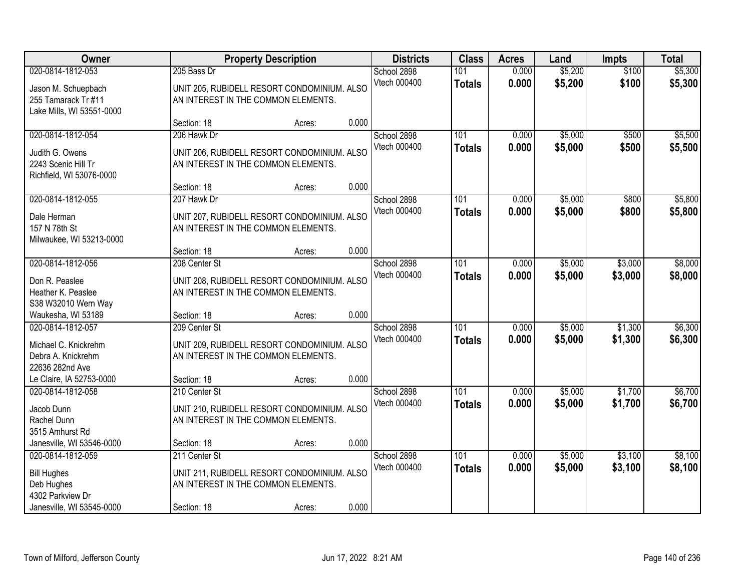| Owner                                                                                        |                                                      | <b>Property Description</b>                 |       | <b>Districts</b>            | <b>Class</b>         | <b>Acres</b>   | Land               | <b>Impts</b>       | <b>Total</b>       |
|----------------------------------------------------------------------------------------------|------------------------------------------------------|---------------------------------------------|-------|-----------------------------|----------------------|----------------|--------------------|--------------------|--------------------|
| 020-0814-1812-053<br>Jason M. Schuepbach<br>255 Tamarack Tr #11<br>Lake Mills, WI 53551-0000 | 205 Bass Dr<br>AN INTEREST IN THE COMMON ELEMENTS.   | UNIT 205, RUBIDELL RESORT CONDOMINIUM. ALSO |       | School 2898<br>Vtech 000400 | 101<br><b>Totals</b> | 0.000<br>0.000 | \$5,200<br>\$5,200 | \$100<br>\$100     | \$5,300<br>\$5,300 |
|                                                                                              | Section: 18                                          | Acres:                                      | 0.000 |                             |                      |                |                    |                    |                    |
| 020-0814-1812-054<br>Judith G. Owens<br>2243 Scenic Hill Tr<br>Richfield, WI 53076-0000      | 206 Hawk Dr<br>AN INTEREST IN THE COMMON ELEMENTS.   | UNIT 206, RUBIDELL RESORT CONDOMINIUM. ALSO |       | School 2898<br>Vtech 000400 | 101<br><b>Totals</b> | 0.000<br>0.000 | \$5,000<br>\$5,000 | \$500<br>\$500     | \$5,500<br>\$5,500 |
| 020-0814-1812-055                                                                            | Section: 18<br>207 Hawk Dr                           | Acres:                                      | 0.000 | School 2898                 | 101                  | 0.000          | \$5,000            | \$800              | \$5,800            |
| Dale Herman<br>157 N 78th St<br>Milwaukee, WI 53213-0000                                     | AN INTEREST IN THE COMMON ELEMENTS.                  | UNIT 207, RUBIDELL RESORT CONDOMINIUM. ALSO |       | Vtech 000400                | <b>Totals</b>        | 0.000          | \$5,000            | \$800              | \$5,800            |
|                                                                                              | Section: 18                                          | Acres:                                      | 0.000 |                             |                      |                |                    |                    |                    |
| 020-0814-1812-056<br>Don R. Peaslee<br>Heather K. Peaslee<br>S38 W32010 Wern Way             | 208 Center St<br>AN INTEREST IN THE COMMON ELEMENTS. | UNIT 208, RUBIDELL RESORT CONDOMINIUM. ALSO |       | School 2898<br>Vtech 000400 | 101<br><b>Totals</b> | 0.000<br>0.000 | \$5,000<br>\$5,000 | \$3,000<br>\$3,000 | \$8,000<br>\$8,000 |
| Waukesha, WI 53189                                                                           | Section: 18                                          | Acres:                                      | 0.000 |                             |                      |                |                    |                    |                    |
| 020-0814-1812-057<br>Michael C. Knickrehm<br>Debra A. Knickrehm<br>22636 282nd Ave           | 209 Center St<br>AN INTEREST IN THE COMMON ELEMENTS. | UNIT 209, RUBIDELL RESORT CONDOMINIUM. ALSO |       | School 2898<br>Vtech 000400 | 101<br><b>Totals</b> | 0.000<br>0.000 | \$5,000<br>\$5,000 | \$1,300<br>\$1,300 | \$6,300<br>\$6,300 |
| Le Claire, IA 52753-0000                                                                     | Section: 18                                          | Acres:                                      | 0.000 |                             |                      |                |                    |                    |                    |
| 020-0814-1812-058<br>Jacob Dunn<br>Rachel Dunn<br>3515 Amhurst Rd                            | 210 Center St<br>AN INTEREST IN THE COMMON ELEMENTS. | UNIT 210, RUBIDELL RESORT CONDOMINIUM. ALSO |       | School 2898<br>Vtech 000400 | 101<br><b>Totals</b> | 0.000<br>0.000 | \$5,000<br>\$5,000 | \$1,700<br>\$1,700 | \$6,700<br>\$6,700 |
| Janesville, WI 53546-0000                                                                    | Section: 18                                          | Acres:                                      | 0.000 |                             |                      |                |                    |                    |                    |
| 020-0814-1812-059<br><b>Bill Hughes</b><br>Deb Hughes<br>4302 Parkview Dr                    | 211 Center St<br>AN INTEREST IN THE COMMON ELEMENTS. | UNIT 211, RUBIDELL RESORT CONDOMINIUM. ALSO |       | School 2898<br>Vtech 000400 | 101<br><b>Totals</b> | 0.000<br>0.000 | \$5,000<br>\$5,000 | \$3,100<br>\$3,100 | \$8,100<br>\$8,100 |
| Janesville, WI 53545-0000                                                                    | Section: 18                                          | Acres:                                      | 0.000 |                             |                      |                |                    |                    |                    |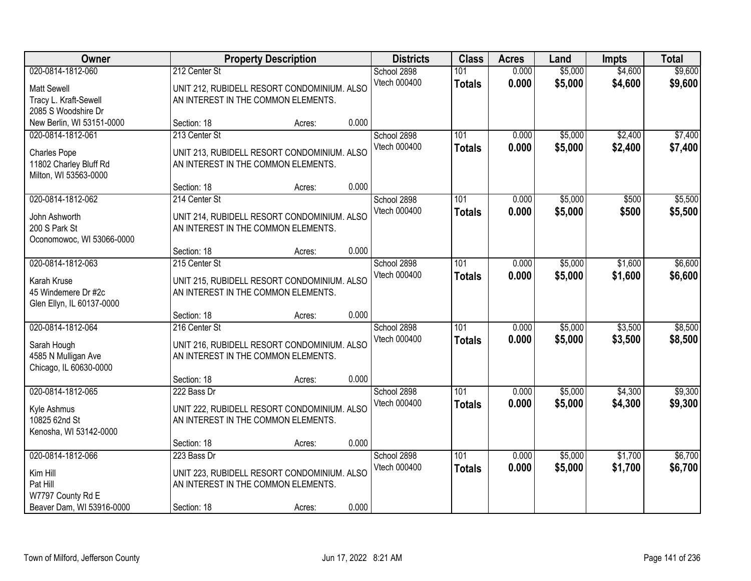| Owner                                                                                       |                                                                   | <b>Property Description</b>                           |       | <b>Districts</b>            | <b>Class</b>         | <b>Acres</b>   | Land               | <b>Impts</b>       | <b>Total</b>       |
|---------------------------------------------------------------------------------------------|-------------------------------------------------------------------|-------------------------------------------------------|-------|-----------------------------|----------------------|----------------|--------------------|--------------------|--------------------|
| 020-0814-1812-060<br><b>Matt Sewell</b><br>Tracy L. Kraft-Sewell<br>2085 S Woodshire Dr     | 212 Center St<br>AN INTEREST IN THE COMMON ELEMENTS.              | UNIT 212, RUBIDELL RESORT CONDOMINIUM. ALSO           |       | School 2898<br>Vtech 000400 | 101<br><b>Totals</b> | 0.000<br>0.000 | \$5,000<br>\$5,000 | \$4,600<br>\$4,600 | \$9,600<br>\$9,600 |
| New Berlin, WI 53151-0000                                                                   | Section: 18                                                       | Acres:                                                | 0.000 |                             |                      |                |                    |                    |                    |
| 020-0814-1812-061<br><b>Charles Pope</b><br>11802 Charley Bluff Rd<br>Milton, WI 53563-0000 | 213 Center St<br>AN INTEREST IN THE COMMON ELEMENTS.              | UNIT 213, RUBIDELL RESORT CONDOMINIUM. ALSO           |       | School 2898<br>Vtech 000400 | 101<br><b>Totals</b> | 0.000<br>0.000 | \$5,000<br>\$5,000 | \$2,400<br>\$2,400 | \$7,400<br>\$7,400 |
|                                                                                             | Section: 18                                                       | Acres:                                                | 0.000 |                             |                      |                |                    |                    |                    |
| 020-0814-1812-062<br>John Ashworth<br>200 S Park St<br>Oconomowoc, WI 53066-0000            | 214 Center St<br>AN INTEREST IN THE COMMON ELEMENTS.              | UNIT 214, RUBIDELL RESORT CONDOMINIUM. ALSO           |       | School 2898<br>Vtech 000400 | 101<br><b>Totals</b> | 0.000<br>0.000 | \$5,000<br>\$5,000 | \$500<br>\$500     | \$5,500<br>\$5,500 |
|                                                                                             | Section: 18                                                       | Acres:                                                | 0.000 |                             |                      |                |                    |                    |                    |
| 020-0814-1812-063<br>Karah Kruse<br>45 Windemere Dr #2c<br>Glen Ellyn, IL 60137-0000        | 215 Center St<br>AN INTEREST IN THE COMMON ELEMENTS.              | UNIT 215, RUBIDELL RESORT CONDOMINIUM. ALSO           |       | School 2898<br>Vtech 000400 | 101<br><b>Totals</b> | 0.000<br>0.000 | \$5,000<br>\$5,000 | \$1,600<br>\$1,600 | \$6,600<br>\$6,600 |
|                                                                                             | Section: 18                                                       | Acres:                                                | 0.000 |                             |                      |                |                    |                    |                    |
| 020-0814-1812-064<br>Sarah Hough<br>4585 N Mulligan Ave<br>Chicago, IL 60630-0000           | 216 Center St<br>AN INTEREST IN THE COMMON ELEMENTS.              | UNIT 216, RUBIDELL RESORT CONDOMINIUM. ALSO           |       | School 2898<br>Vtech 000400 | 101<br><b>Totals</b> | 0.000<br>0.000 | \$5,000<br>\$5,000 | \$3,500<br>\$3,500 | \$8,500<br>\$8,500 |
|                                                                                             | Section: 18                                                       | Acres:                                                | 0.000 |                             |                      |                |                    |                    |                    |
| 020-0814-1812-065<br>Kyle Ashmus<br>10825 62nd St<br>Kenosha, WI 53142-0000                 | 222 Bass Dr<br>AN INTEREST IN THE COMMON ELEMENTS.                | UNIT 222, RUBIDELL RESORT CONDOMINIUM. ALSO           |       | School 2898<br>Vtech 000400 | 101<br><b>Totals</b> | 0.000<br>0.000 | \$5,000<br>\$5,000 | \$4,300<br>\$4,300 | \$9,300<br>\$9,300 |
|                                                                                             | Section: 18                                                       | Acres:                                                | 0.000 |                             |                      |                |                    |                    |                    |
| 020-0814-1812-066<br>Kim Hill<br>Pat Hill<br>W7797 County Rd E<br>Beaver Dam, WI 53916-0000 | 223 Bass Dr<br>AN INTEREST IN THE COMMON ELEMENTS.<br>Section: 18 | UNIT 223, RUBIDELL RESORT CONDOMINIUM. ALSO<br>Acres: | 0.000 | School 2898<br>Vtech 000400 | 101<br><b>Totals</b> | 0.000<br>0.000 | \$5,000<br>\$5,000 | \$1,700<br>\$1,700 | \$6,700<br>\$6,700 |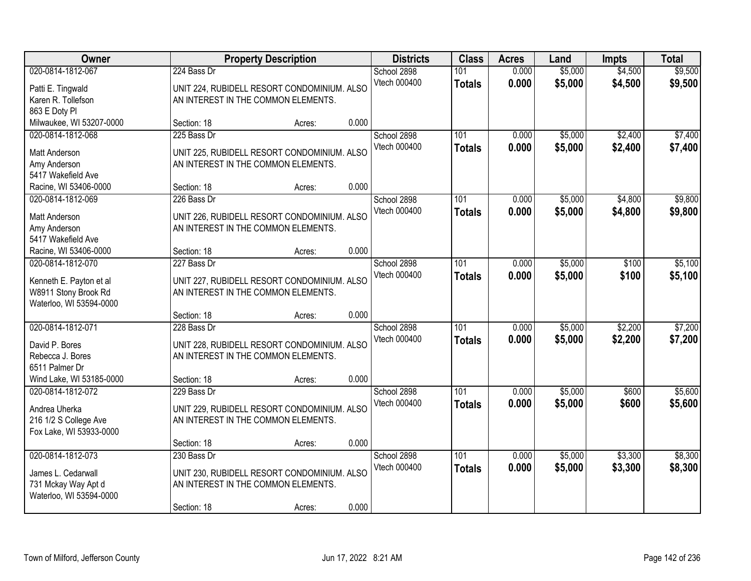| Owner                                                                                           |             | <b>Property Description</b>                                                        |       | <b>Districts</b>            | <b>Class</b>         | <b>Acres</b>   | Land               | <b>Impts</b>       | <b>Total</b>       |
|-------------------------------------------------------------------------------------------------|-------------|------------------------------------------------------------------------------------|-------|-----------------------------|----------------------|----------------|--------------------|--------------------|--------------------|
| 020-0814-1812-067<br>Patti E. Tingwald                                                          | 224 Bass Dr | UNIT 224, RUBIDELL RESORT CONDOMINIUM. ALSO                                        |       | School 2898<br>Vtech 000400 | 101<br><b>Totals</b> | 0.000<br>0.000 | \$5,000<br>\$5,000 | \$4,500<br>\$4,500 | \$9,500<br>\$9,500 |
| Karen R. Tollefson<br>863 E Doty PI                                                             |             | AN INTEREST IN THE COMMON ELEMENTS.                                                | 0.000 |                             |                      |                |                    |                    |                    |
| Milwaukee, WI 53207-0000                                                                        | Section: 18 | Acres:                                                                             |       |                             |                      |                |                    |                    |                    |
| 020-0814-1812-068<br>Matt Anderson                                                              | 225 Bass Dr | UNIT 225, RUBIDELL RESORT CONDOMINIUM. ALSO<br>AN INTEREST IN THE COMMON ELEMENTS. |       | School 2898<br>Vtech 000400 | 101<br><b>Totals</b> | 0.000<br>0.000 | \$5,000<br>\$5,000 | \$2,400<br>\$2,400 | \$7,400<br>\$7,400 |
| Amy Anderson<br>5417 Wakefield Ave<br>Racine, WI 53406-0000                                     | Section: 18 | Acres:                                                                             | 0.000 |                             |                      |                |                    |                    |                    |
| 020-0814-1812-069                                                                               | 226 Bass Dr |                                                                                    |       | School 2898                 | 101                  | 0.000          | \$5,000            | \$4,800            | \$9,800            |
| Matt Anderson<br>Amy Anderson                                                                   |             | UNIT 226, RUBIDELL RESORT CONDOMINIUM. ALSO<br>AN INTEREST IN THE COMMON ELEMENTS. |       | Vtech 000400                | <b>Totals</b>        | 0.000          | \$5,000            | \$4,800            | \$9,800            |
| 5417 Wakefield Ave                                                                              |             |                                                                                    |       |                             |                      |                |                    |                    |                    |
| Racine, WI 53406-0000                                                                           | Section: 18 | Acres:                                                                             | 0.000 |                             |                      |                |                    |                    |                    |
| 020-0814-1812-070<br>Kenneth E. Payton et al<br>W8911 Stony Brook Rd<br>Waterloo, WI 53594-0000 | 227 Bass Dr | UNIT 227, RUBIDELL RESORT CONDOMINIUM. ALSO<br>AN INTEREST IN THE COMMON ELEMENTS. |       | School 2898<br>Vtech 000400 | 101<br><b>Totals</b> | 0.000<br>0.000 | \$5,000<br>\$5,000 | \$100<br>\$100     | \$5,100<br>\$5,100 |
|                                                                                                 | Section: 18 | Acres:                                                                             | 0.000 |                             |                      |                |                    |                    |                    |
| 020-0814-1812-071<br>David P. Bores<br>Rebecca J. Bores<br>6511 Palmer Dr                       | 228 Bass Dr | UNIT 228, RUBIDELL RESORT CONDOMINIUM. ALSO<br>AN INTEREST IN THE COMMON ELEMENTS. |       | School 2898<br>Vtech 000400 | 101<br><b>Totals</b> | 0.000<br>0.000 | \$5,000<br>\$5,000 | \$2,200<br>\$2,200 | \$7,200<br>\$7,200 |
| Wind Lake, WI 53185-0000                                                                        | Section: 18 | Acres:                                                                             | 0.000 |                             |                      |                |                    |                    |                    |
| 020-0814-1812-072<br>Andrea Uherka<br>216 1/2 S College Ave<br>Fox Lake, WI 53933-0000          | 229 Bass Dr | UNIT 229, RUBIDELL RESORT CONDOMINIUM. ALSO<br>AN INTEREST IN THE COMMON ELEMENTS. |       | School 2898<br>Vtech 000400 | 101<br><b>Totals</b> | 0.000<br>0.000 | \$5,000<br>\$5,000 | \$600<br>\$600     | \$5,600<br>\$5,600 |
|                                                                                                 | Section: 18 | Acres:                                                                             | 0.000 |                             |                      |                |                    |                    |                    |
| 020-0814-1812-073<br>James L. Cedarwall<br>731 Mckay Way Apt d                                  | 230 Bass Dr | UNIT 230, RUBIDELL RESORT CONDOMINIUM. ALSO<br>AN INTEREST IN THE COMMON ELEMENTS. |       | School 2898<br>Vtech 000400 | 101<br><b>Totals</b> | 0.000<br>0.000 | \$5,000<br>\$5,000 | \$3,300<br>\$3,300 | \$8,300<br>\$8,300 |
| Waterloo, WI 53594-0000                                                                         | Section: 18 | Acres:                                                                             | 0.000 |                             |                      |                |                    |                    |                    |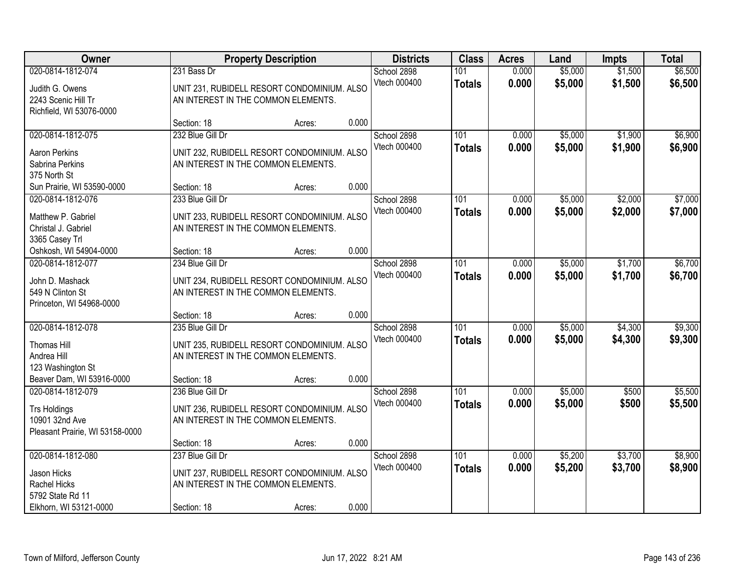| Owner                                          |                                     | <b>Property Description</b>                 |       | <b>Districts</b> | <b>Class</b>  | <b>Acres</b> | Land    | <b>Impts</b> | <b>Total</b> |
|------------------------------------------------|-------------------------------------|---------------------------------------------|-------|------------------|---------------|--------------|---------|--------------|--------------|
| 020-0814-1812-074                              | 231 Bass Dr                         |                                             |       | School 2898      | 101           | 0.000        | \$5,000 | \$1,500      | \$6,500      |
| Judith G. Owens                                |                                     | UNIT 231, RUBIDELL RESORT CONDOMINIUM. ALSO |       | Vtech 000400     | <b>Totals</b> | 0.000        | \$5,000 | \$1,500      | \$6,500      |
| 2243 Scenic Hill Tr                            | AN INTEREST IN THE COMMON ELEMENTS. |                                             |       |                  |               |              |         |              |              |
| Richfield, WI 53076-0000                       |                                     |                                             |       |                  |               |              |         |              |              |
|                                                | Section: 18                         | Acres:                                      | 0.000 |                  |               |              |         |              |              |
| 020-0814-1812-075                              | 232 Blue Gill Dr                    |                                             |       | School 2898      | 101           | 0.000        | \$5,000 | \$1,900      | \$6,900      |
| Aaron Perkins                                  |                                     | UNIT 232, RUBIDELL RESORT CONDOMINIUM. ALSO |       | Vtech 000400     | <b>Totals</b> | 0.000        | \$5,000 | \$1,900      | \$6,900      |
| Sabrina Perkins                                | AN INTEREST IN THE COMMON ELEMENTS. |                                             |       |                  |               |              |         |              |              |
| 375 North St                                   |                                     |                                             |       |                  |               |              |         |              |              |
| Sun Prairie, WI 53590-0000                     | Section: 18                         | Acres:                                      | 0.000 |                  |               |              |         |              |              |
| 020-0814-1812-076                              | 233 Blue Gill Dr                    |                                             |       | School 2898      | 101           | 0.000        | \$5,000 | \$2,000      | \$7,000      |
|                                                |                                     |                                             |       | Vtech 000400     | <b>Totals</b> | 0.000        | \$5,000 | \$2,000      | \$7,000      |
| Matthew P. Gabriel<br>Christal J. Gabriel      | AN INTEREST IN THE COMMON ELEMENTS. | UNIT 233, RUBIDELL RESORT CONDOMINIUM. ALSO |       |                  |               |              |         |              |              |
| 3365 Casey Trl                                 |                                     |                                             |       |                  |               |              |         |              |              |
| Oshkosh, WI 54904-0000                         | Section: 18                         | Acres:                                      | 0.000 |                  |               |              |         |              |              |
| 020-0814-1812-077                              | 234 Blue Gill Dr                    |                                             |       | School 2898      | 101           | 0.000        | \$5,000 | \$1,700      | \$6,700      |
|                                                |                                     |                                             |       | Vtech 000400     | <b>Totals</b> | 0.000        | \$5,000 | \$1,700      | \$6,700      |
| John D. Mashack                                |                                     | UNIT 234, RUBIDELL RESORT CONDOMINIUM. ALSO |       |                  |               |              |         |              |              |
| 549 N Clinton St<br>Princeton, WI 54968-0000   |                                     | AN INTEREST IN THE COMMON ELEMENTS.         |       |                  |               |              |         |              |              |
|                                                | Section: 18                         | Acres:                                      | 0.000 |                  |               |              |         |              |              |
| 020-0814-1812-078                              | 235 Blue Gill Dr                    |                                             |       | School 2898      | 101           | 0.000        | \$5,000 | \$4,300      | \$9,300      |
|                                                |                                     |                                             |       | Vtech 000400     | <b>Totals</b> | 0.000        | \$5,000 | \$4,300      | \$9,300      |
| <b>Thomas Hill</b>                             |                                     | UNIT 235, RUBIDELL RESORT CONDOMINIUM. ALSO |       |                  |               |              |         |              |              |
| Andrea Hill                                    | AN INTEREST IN THE COMMON ELEMENTS. |                                             |       |                  |               |              |         |              |              |
| 123 Washington St                              |                                     |                                             | 0.000 |                  |               |              |         |              |              |
| Beaver Dam, WI 53916-0000<br>020-0814-1812-079 | Section: 18<br>236 Blue Gill Dr     | Acres:                                      |       | School 2898      | 101           | 0.000        | \$5,000 | \$500        | \$5,500      |
|                                                |                                     |                                             |       | Vtech 000400     |               | 0.000        | \$5,000 | \$500        | \$5,500      |
| <b>Trs Holdings</b>                            |                                     | UNIT 236, RUBIDELL RESORT CONDOMINIUM. ALSO |       |                  | <b>Totals</b> |              |         |              |              |
| 10901 32nd Ave                                 |                                     | AN INTEREST IN THE COMMON ELEMENTS.         |       |                  |               |              |         |              |              |
| Pleasant Prairie, WI 53158-0000                |                                     |                                             |       |                  |               |              |         |              |              |
|                                                | Section: 18                         | Acres:                                      | 0.000 |                  |               |              |         |              |              |
| 020-0814-1812-080                              | 237 Blue Gill Dr                    |                                             |       | School 2898      | 101           | 0.000        | \$5,200 | \$3,700      | \$8,900      |
| Jason Hicks                                    |                                     | UNIT 237, RUBIDELL RESORT CONDOMINIUM. ALSO |       | Vtech 000400     | <b>Totals</b> | 0.000        | \$5,200 | \$3,700      | \$8,900      |
| Rachel Hicks                                   | AN INTEREST IN THE COMMON ELEMENTS. |                                             |       |                  |               |              |         |              |              |
| 5792 State Rd 11                               |                                     |                                             |       |                  |               |              |         |              |              |
| Elkhorn, WI 53121-0000                         | Section: 18                         | Acres:                                      | 0.000 |                  |               |              |         |              |              |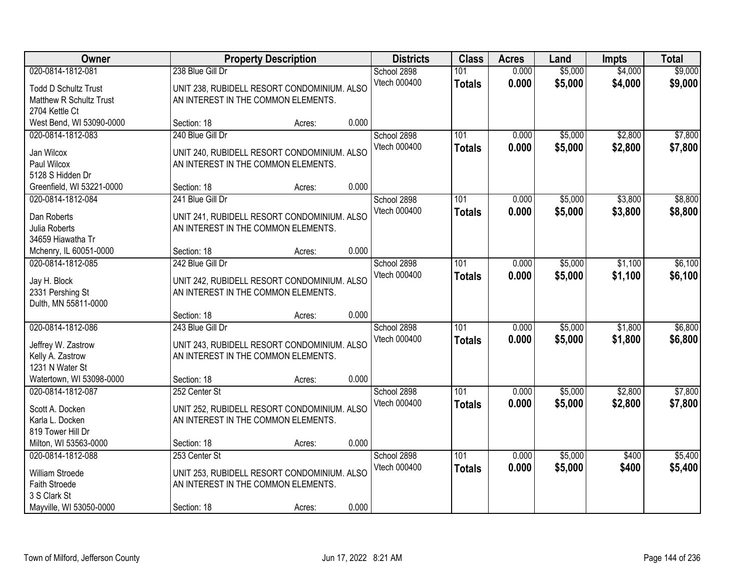| Owner                        |                                     | <b>Property Description</b>                 |       | <b>Districts</b> | <b>Class</b>  | <b>Acres</b> | Land    | <b>Impts</b> | <b>Total</b> |
|------------------------------|-------------------------------------|---------------------------------------------|-------|------------------|---------------|--------------|---------|--------------|--------------|
| 020-0814-1812-081            | 238 Blue Gill Dr                    |                                             |       | School 2898      | 101           | 0.000        | \$5,000 | \$4,000      | \$9,000      |
| <b>Todd D Schultz Trust</b>  |                                     | UNIT 238, RUBIDELL RESORT CONDOMINIUM. ALSO |       | Vtech 000400     | <b>Totals</b> | 0.000        | \$5,000 | \$4,000      | \$9,000      |
| Matthew R Schultz Trust      | AN INTEREST IN THE COMMON ELEMENTS. |                                             |       |                  |               |              |         |              |              |
| 2704 Kettle Ct               |                                     |                                             |       |                  |               |              |         |              |              |
| West Bend, WI 53090-0000     | Section: 18                         | Acres:                                      | 0.000 |                  |               |              |         |              |              |
| 020-0814-1812-083            | 240 Blue Gill Dr                    |                                             |       | School 2898      | 101           | 0.000        | \$5,000 | \$2,800      | \$7,800      |
| Jan Wilcox                   |                                     | UNIT 240, RUBIDELL RESORT CONDOMINIUM. ALSO |       | Vtech 000400     | <b>Totals</b> | 0.000        | \$5,000 | \$2,800      | \$7,800      |
| Paul Wilcox                  | AN INTEREST IN THE COMMON ELEMENTS. |                                             |       |                  |               |              |         |              |              |
| 5128 S Hidden Dr             |                                     |                                             |       |                  |               |              |         |              |              |
| Greenfield, WI 53221-0000    | Section: 18                         | Acres:                                      | 0.000 |                  |               |              |         |              |              |
| 020-0814-1812-084            | 241 Blue Gill Dr                    |                                             |       | School 2898      | 101           | 0.000        | \$5,000 | \$3,800      | \$8,800      |
|                              |                                     |                                             |       | Vtech 000400     | <b>Totals</b> | 0.000        | \$5,000 | \$3,800      | \$8,800      |
| Dan Roberts<br>Julia Roberts | AN INTEREST IN THE COMMON ELEMENTS. | UNIT 241, RUBIDELL RESORT CONDOMINIUM. ALSO |       |                  |               |              |         |              |              |
| 34659 Hiawatha Tr            |                                     |                                             |       |                  |               |              |         |              |              |
| Mchenry, IL 60051-0000       | Section: 18                         | Acres:                                      | 0.000 |                  |               |              |         |              |              |
| 020-0814-1812-085            | 242 Blue Gill Dr                    |                                             |       | School 2898      | 101           | 0.000        | \$5,000 | \$1,100      | \$6,100      |
|                              |                                     |                                             |       | Vtech 000400     | <b>Totals</b> | 0.000        | \$5,000 | \$1,100      | \$6,100      |
| Jay H. Block                 |                                     | UNIT 242, RUBIDELL RESORT CONDOMINIUM. ALSO |       |                  |               |              |         |              |              |
| 2331 Pershing St             | AN INTEREST IN THE COMMON ELEMENTS. |                                             |       |                  |               |              |         |              |              |
| Dulth, MN 55811-0000         |                                     |                                             |       |                  |               |              |         |              |              |
|                              | Section: 18                         | Acres:                                      | 0.000 |                  |               |              |         |              |              |
| 020-0814-1812-086            | 243 Blue Gill Dr                    |                                             |       | School 2898      | 101           | 0.000        | \$5,000 | \$1,800      | \$6,800      |
| Jeffrey W. Zastrow           |                                     | UNIT 243, RUBIDELL RESORT CONDOMINIUM. ALSO |       | Vtech 000400     | <b>Totals</b> | 0.000        | \$5,000 | \$1,800      | \$6,800      |
| Kelly A. Zastrow             | AN INTEREST IN THE COMMON ELEMENTS. |                                             |       |                  |               |              |         |              |              |
| 1231 N Water St              |                                     |                                             |       |                  |               |              |         |              |              |
| Watertown, WI 53098-0000     | Section: 18                         | Acres:                                      | 0.000 |                  |               |              |         |              |              |
| 020-0814-1812-087            | 252 Center St                       |                                             |       | School 2898      | 101           | 0.000        | \$5,000 | \$2,800      | \$7,800      |
| Scott A. Docken              |                                     | UNIT 252, RUBIDELL RESORT CONDOMINIUM. ALSO |       | Vtech 000400     | <b>Totals</b> | 0.000        | \$5,000 | \$2,800      | \$7,800      |
| Karla L. Docken              | AN INTEREST IN THE COMMON ELEMENTS. |                                             |       |                  |               |              |         |              |              |
| 819 Tower Hill Dr            |                                     |                                             |       |                  |               |              |         |              |              |
| Milton, WI 53563-0000        | Section: 18                         | Acres:                                      | 0.000 |                  |               |              |         |              |              |
| 020-0814-1812-088            | 253 Center St                       |                                             |       | School 2898      | 101           | 0.000        | \$5,000 | \$400        | \$5,400      |
| William Stroede              |                                     | UNIT 253, RUBIDELL RESORT CONDOMINIUM. ALSO |       | Vtech 000400     | <b>Totals</b> | 0.000        | \$5,000 | \$400        | \$5,400      |
| Faith Stroede                | AN INTEREST IN THE COMMON ELEMENTS. |                                             |       |                  |               |              |         |              |              |
| 3 S Clark St                 |                                     |                                             |       |                  |               |              |         |              |              |
| Mayville, WI 53050-0000      | Section: 18                         | Acres:                                      | 0.000 |                  |               |              |         |              |              |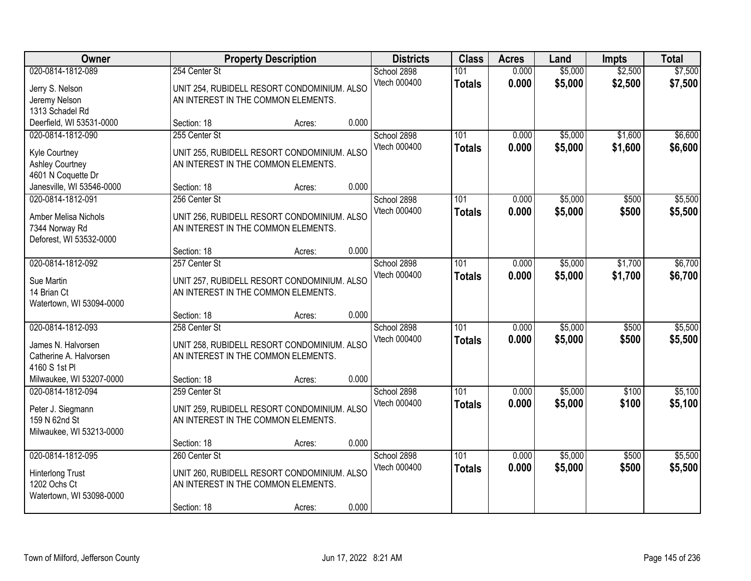| Owner                                       |                                     | <b>Property Description</b>                 |       | <b>Districts</b>            | <b>Class</b>         | <b>Acres</b>   | Land               | <b>Impts</b>       | <b>Total</b>       |
|---------------------------------------------|-------------------------------------|---------------------------------------------|-------|-----------------------------|----------------------|----------------|--------------------|--------------------|--------------------|
| 020-0814-1812-089                           | 254 Center St                       |                                             |       | School 2898<br>Vtech 000400 | 101<br><b>Totals</b> | 0.000<br>0.000 | \$5,000<br>\$5,000 | \$2,500<br>\$2,500 | \$7,500<br>\$7,500 |
| Jerry S. Nelson                             |                                     | UNIT 254, RUBIDELL RESORT CONDOMINIUM. ALSO |       |                             |                      |                |                    |                    |                    |
| Jeremy Nelson                               |                                     | AN INTEREST IN THE COMMON ELEMENTS.         |       |                             |                      |                |                    |                    |                    |
| 1313 Schadel Rd<br>Deerfield, WI 53531-0000 | Section: 18                         |                                             | 0.000 |                             |                      |                |                    |                    |                    |
| 020-0814-1812-090                           | 255 Center St                       | Acres:                                      |       | School 2898                 | 101                  | 0.000          | \$5,000            | \$1,600            | \$6,600            |
|                                             |                                     |                                             |       | Vtech 000400                |                      | 0.000          |                    |                    |                    |
| Kyle Courtney                               |                                     | UNIT 255, RUBIDELL RESORT CONDOMINIUM. ALSO |       |                             | <b>Totals</b>        |                | \$5,000            | \$1,600            | \$6,600            |
| <b>Ashley Courtney</b>                      | AN INTEREST IN THE COMMON ELEMENTS. |                                             |       |                             |                      |                |                    |                    |                    |
| 4601 N Coquette Dr                          |                                     |                                             |       |                             |                      |                |                    |                    |                    |
| Janesville, WI 53546-0000                   | Section: 18                         | Acres:                                      | 0.000 |                             |                      |                |                    |                    |                    |
| 020-0814-1812-091                           | 256 Center St                       |                                             |       | School 2898                 | 101                  | 0.000          | \$5,000            | \$500              | \$5,500            |
| <b>Amber Melisa Nichols</b>                 |                                     | UNIT 256, RUBIDELL RESORT CONDOMINIUM. ALSO |       | Vtech 000400                | <b>Totals</b>        | 0.000          | \$5,000            | \$500              | \$5,500            |
| 7344 Norway Rd                              | AN INTEREST IN THE COMMON ELEMENTS. |                                             |       |                             |                      |                |                    |                    |                    |
| Deforest, WI 53532-0000                     |                                     |                                             |       |                             |                      |                |                    |                    |                    |
|                                             | Section: 18                         | Acres:                                      | 0.000 |                             |                      |                |                    |                    |                    |
| 020-0814-1812-092                           | 257 Center St                       |                                             |       | School 2898                 | 101                  | 0.000          | \$5,000            | \$1,700            | \$6,700            |
| Sue Martin                                  |                                     | UNIT 257, RUBIDELL RESORT CONDOMINIUM. ALSO |       | Vtech 000400                | <b>Totals</b>        | 0.000          | \$5,000            | \$1,700            | \$6,700            |
| 14 Brian Ct                                 | AN INTEREST IN THE COMMON ELEMENTS. |                                             |       |                             |                      |                |                    |                    |                    |
| Watertown, WI 53094-0000                    |                                     |                                             |       |                             |                      |                |                    |                    |                    |
|                                             | Section: 18                         | Acres:                                      | 0.000 |                             |                      |                |                    |                    |                    |
| 020-0814-1812-093                           | 258 Center St                       |                                             |       | School 2898                 | 101                  | 0.000          | \$5,000            | \$500              | \$5,500            |
|                                             |                                     |                                             |       | Vtech 000400                | <b>Totals</b>        | 0.000          | \$5,000            | \$500              | \$5,500            |
| James N. Halvorsen                          |                                     | UNIT 258, RUBIDELL RESORT CONDOMINIUM. ALSO |       |                             |                      |                |                    |                    |                    |
| Catherine A. Halvorsen                      | AN INTEREST IN THE COMMON ELEMENTS. |                                             |       |                             |                      |                |                    |                    |                    |
| 4160 S 1st PI                               |                                     |                                             |       |                             |                      |                |                    |                    |                    |
| Milwaukee, WI 53207-0000                    | Section: 18                         | Acres:                                      | 0.000 |                             |                      |                |                    |                    |                    |
| 020-0814-1812-094                           | 259 Center St                       |                                             |       | School 2898                 | 101                  | 0.000          | \$5,000            | \$100              | \$5,100            |
| Peter J. Siegmann                           |                                     | UNIT 259, RUBIDELL RESORT CONDOMINIUM. ALSO |       | Vtech 000400                | <b>Totals</b>        | 0.000          | \$5,000            | \$100              | \$5,100            |
| 159 N 62nd St                               | AN INTEREST IN THE COMMON ELEMENTS. |                                             |       |                             |                      |                |                    |                    |                    |
| Milwaukee, WI 53213-0000                    |                                     |                                             |       |                             |                      |                |                    |                    |                    |
|                                             | Section: 18                         | Acres:                                      | 0.000 |                             |                      |                |                    |                    |                    |
| 020-0814-1812-095                           | 260 Center St                       |                                             |       | School 2898                 | 101                  | 0.000          | \$5,000            | \$500              | \$5,500            |
| <b>Hinterlong Trust</b>                     |                                     | UNIT 260, RUBIDELL RESORT CONDOMINIUM. ALSO |       | Vtech 000400                | <b>Totals</b>        | 0.000          | \$5,000            | \$500              | \$5,500            |
| 1202 Ochs Ct                                | AN INTEREST IN THE COMMON ELEMENTS. |                                             |       |                             |                      |                |                    |                    |                    |
| Watertown, WI 53098-0000                    |                                     |                                             |       |                             |                      |                |                    |                    |                    |
|                                             | Section: 18                         | Acres:                                      | 0.000 |                             |                      |                |                    |                    |                    |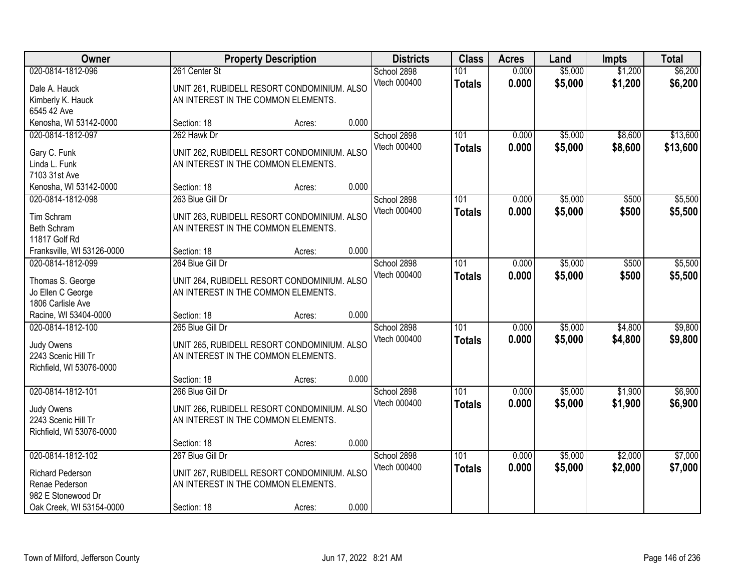| Owner                                      |                                     | <b>Property Description</b>                 |       | <b>Districts</b> | <b>Class</b>     | <b>Acres</b> | Land    | <b>Impts</b> | <b>Total</b> |
|--------------------------------------------|-------------------------------------|---------------------------------------------|-------|------------------|------------------|--------------|---------|--------------|--------------|
| 020-0814-1812-096                          | 261 Center St                       |                                             |       | School 2898      | 101              | 0.000        | \$5,000 | \$1,200      | \$6,200      |
| Dale A. Hauck                              |                                     | UNIT 261, RUBIDELL RESORT CONDOMINIUM. ALSO |       | Vtech 000400     | <b>Totals</b>    | 0.000        | \$5,000 | \$1,200      | \$6,200      |
| Kimberly K. Hauck                          | AN INTEREST IN THE COMMON ELEMENTS. |                                             |       |                  |                  |              |         |              |              |
| 6545 42 Ave                                |                                     |                                             |       |                  |                  |              |         |              |              |
| Kenosha, WI 53142-0000                     | Section: 18                         | Acres:                                      | 0.000 |                  |                  |              |         |              |              |
| 020-0814-1812-097                          | 262 Hawk Dr                         |                                             |       | School 2898      | 101              | 0.000        | \$5,000 | \$8,600      | \$13,600     |
| Gary C. Funk                               |                                     | UNIT 262, RUBIDELL RESORT CONDOMINIUM. ALSO |       | Vtech 000400     | <b>Totals</b>    | 0.000        | \$5,000 | \$8,600      | \$13,600     |
| Linda L. Funk                              | AN INTEREST IN THE COMMON ELEMENTS. |                                             |       |                  |                  |              |         |              |              |
| 7103 31st Ave                              |                                     |                                             |       |                  |                  |              |         |              |              |
| Kenosha, WI 53142-0000                     | Section: 18                         | Acres:                                      | 0.000 |                  |                  |              |         |              |              |
| 020-0814-1812-098                          | 263 Blue Gill Dr                    |                                             |       | School 2898      | 101              | 0.000        | \$5,000 | \$500        | \$5,500      |
|                                            |                                     |                                             |       | Vtech 000400     | <b>Totals</b>    | 0.000        | \$5,000 | \$500        | \$5,500      |
| Tim Schram<br>Beth Schram                  | AN INTEREST IN THE COMMON ELEMENTS. | UNIT 263, RUBIDELL RESORT CONDOMINIUM. ALSO |       |                  |                  |              |         |              |              |
| 11817 Golf Rd                              |                                     |                                             |       |                  |                  |              |         |              |              |
| Franksville, WI 53126-0000                 | Section: 18                         | Acres:                                      | 0.000 |                  |                  |              |         |              |              |
| 020-0814-1812-099                          | 264 Blue Gill Dr                    |                                             |       | School 2898      | 101              | 0.000        | \$5,000 | \$500        | \$5,500      |
|                                            |                                     |                                             |       | Vtech 000400     | <b>Totals</b>    | 0.000        | \$5,000 | \$500        | \$5,500      |
| Thomas S. George                           |                                     | UNIT 264, RUBIDELL RESORT CONDOMINIUM. ALSO |       |                  |                  |              |         |              |              |
| Jo Ellen C George                          | AN INTEREST IN THE COMMON ELEMENTS. |                                             |       |                  |                  |              |         |              |              |
| 1806 Carlisle Ave                          |                                     |                                             | 0.000 |                  |                  |              |         |              |              |
| Racine, WI 53404-0000<br>020-0814-1812-100 | Section: 18<br>265 Blue Gill Dr     | Acres:                                      |       |                  | 101              | 0.000        |         | \$4,800      | \$9,800      |
|                                            |                                     |                                             |       | School 2898      |                  |              | \$5,000 |              |              |
| Judy Owens                                 |                                     | UNIT 265, RUBIDELL RESORT CONDOMINIUM. ALSO |       | Vtech 000400     | <b>Totals</b>    | 0.000        | \$5,000 | \$4,800      | \$9,800      |
| 2243 Scenic Hill Tr                        | AN INTEREST IN THE COMMON ELEMENTS. |                                             |       |                  |                  |              |         |              |              |
| Richfield, WI 53076-0000                   |                                     |                                             |       |                  |                  |              |         |              |              |
|                                            | Section: 18                         | Acres:                                      | 0.000 |                  |                  |              |         |              |              |
| 020-0814-1812-101                          | 266 Blue Gill Dr                    |                                             |       | School 2898      | $\overline{101}$ | 0.000        | \$5,000 | \$1,900      | \$6,900      |
| Judy Owens                                 |                                     | UNIT 266, RUBIDELL RESORT CONDOMINIUM. ALSO |       | Vtech 000400     | <b>Totals</b>    | 0.000        | \$5,000 | \$1,900      | \$6,900      |
| 2243 Scenic Hill Tr                        | AN INTEREST IN THE COMMON ELEMENTS. |                                             |       |                  |                  |              |         |              |              |
| Richfield, WI 53076-0000                   |                                     |                                             |       |                  |                  |              |         |              |              |
|                                            | Section: 18                         | Acres:                                      | 0.000 |                  |                  |              |         |              |              |
| 020-0814-1812-102                          | 267 Blue Gill Dr                    |                                             |       | School 2898      | 101              | 0.000        | \$5,000 | \$2,000      | \$7,000      |
| <b>Richard Pederson</b>                    |                                     | UNIT 267, RUBIDELL RESORT CONDOMINIUM. ALSO |       | Vtech 000400     | <b>Totals</b>    | 0.000        | \$5,000 | \$2,000      | \$7,000      |
| Renae Pederson                             | AN INTEREST IN THE COMMON ELEMENTS. |                                             |       |                  |                  |              |         |              |              |
| 982 E Stonewood Dr                         |                                     |                                             |       |                  |                  |              |         |              |              |
| Oak Creek, WI 53154-0000                   | Section: 18                         | Acres:                                      | 0.000 |                  |                  |              |         |              |              |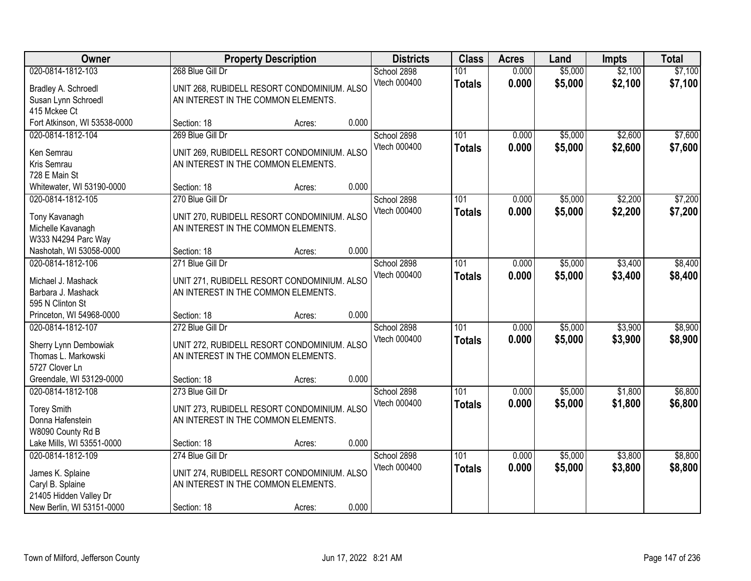| Owner                                    |                                             | <b>Property Description</b>                 |       | <b>Districts</b>            | <b>Class</b>  | <b>Acres</b> | Land    | <b>Impts</b> | <b>Total</b> |
|------------------------------------------|---------------------------------------------|---------------------------------------------|-------|-----------------------------|---------------|--------------|---------|--------------|--------------|
| 020-0814-1812-103                        | 268 Blue Gill Dr                            |                                             |       | School 2898                 | 101           | 0.000        | \$5,000 | \$2,100      | \$7,100      |
| Bradley A. Schroedl                      | UNIT 268, RUBIDELL RESORT CONDOMINIUM. ALSO |                                             |       | Vtech 000400                | <b>Totals</b> | 0.000        | \$5,000 | \$2,100      | \$7,100      |
| Susan Lynn Schroedl                      | AN INTEREST IN THE COMMON ELEMENTS.         |                                             |       |                             |               |              |         |              |              |
| 415 Mckee Ct                             |                                             |                                             |       |                             |               |              |         |              |              |
| Fort Atkinson, WI 53538-0000             | Section: 18                                 | Acres:                                      | 0.000 |                             |               |              |         |              |              |
| 020-0814-1812-104                        | 269 Blue Gill Dr                            |                                             |       | School 2898                 | 101           | 0.000        | \$5,000 | \$2,600      | \$7,600      |
| Ken Semrau                               | UNIT 269, RUBIDELL RESORT CONDOMINIUM. ALSO |                                             |       | Vtech 000400                | <b>Totals</b> | 0.000        | \$5,000 | \$2,600      | \$7,600      |
| Kris Semrau                              | AN INTEREST IN THE COMMON ELEMENTS.         |                                             |       |                             |               |              |         |              |              |
| 728 E Main St                            |                                             |                                             |       |                             |               |              |         |              |              |
| Whitewater, WI 53190-0000                | Section: 18                                 | Acres:                                      | 0.000 |                             |               |              |         |              |              |
| 020-0814-1812-105                        | 270 Blue Gill Dr                            |                                             |       | School 2898                 | 101           | 0.000        | \$5,000 | \$2,200      | \$7,200      |
| Tony Kavanagh                            | UNIT 270, RUBIDELL RESORT CONDOMINIUM. ALSO |                                             |       | Vtech 000400                | <b>Totals</b> | 0.000        | \$5,000 | \$2,200      | \$7,200      |
| Michelle Kavanagh                        | AN INTEREST IN THE COMMON ELEMENTS.         |                                             |       |                             |               |              |         |              |              |
| W333 N4294 Parc Way                      |                                             |                                             |       |                             |               |              |         |              |              |
| Nashotah, WI 53058-0000                  | Section: 18                                 | Acres:                                      | 0.000 |                             |               |              |         |              |              |
| 020-0814-1812-106                        | 271 Blue Gill Dr                            |                                             |       | School 2898                 | 101           | 0.000        | \$5,000 | \$3,400      | \$8,400      |
|                                          |                                             |                                             |       | Vtech 000400                | <b>Totals</b> | 0.000        | \$5,000 | \$3,400      | \$8,400      |
| Michael J. Mashack<br>Barbara J. Mashack | AN INTEREST IN THE COMMON ELEMENTS.         | UNIT 271, RUBIDELL RESORT CONDOMINIUM. ALSO |       |                             |               |              |         |              |              |
| 595 N Clinton St                         |                                             |                                             |       |                             |               |              |         |              |              |
| Princeton, WI 54968-0000                 | Section: 18                                 | Acres:                                      | 0.000 |                             |               |              |         |              |              |
| 020-0814-1812-107                        | 272 Blue Gill Dr                            |                                             |       | School 2898                 | 101           | 0.000        | \$5,000 | \$3,900      | \$8,900      |
|                                          |                                             |                                             |       | Vtech 000400                | <b>Totals</b> | 0.000        | \$5,000 | \$3,900      | \$8,900      |
| Sherry Lynn Dembowiak                    | UNIT 272, RUBIDELL RESORT CONDOMINIUM. ALSO |                                             |       |                             |               |              |         |              |              |
| Thomas L. Markowski                      | AN INTEREST IN THE COMMON ELEMENTS.         |                                             |       |                             |               |              |         |              |              |
| 5727 Clover Ln                           |                                             |                                             |       |                             |               |              |         |              |              |
| Greendale, WI 53129-0000                 | Section: 18                                 | Acres:                                      | 0.000 |                             |               |              |         |              |              |
| 020-0814-1812-108                        | 273 Blue Gill Dr                            |                                             |       | School 2898<br>Vtech 000400 | 101           | 0.000        | \$5,000 | \$1,800      | \$6,800      |
| <b>Torey Smith</b>                       | UNIT 273, RUBIDELL RESORT CONDOMINIUM. ALSO |                                             |       |                             | <b>Totals</b> | 0.000        | \$5,000 | \$1,800      | \$6,800      |
| Donna Hafenstein                         | AN INTEREST IN THE COMMON ELEMENTS.         |                                             |       |                             |               |              |         |              |              |
| W8090 County Rd B                        |                                             |                                             |       |                             |               |              |         |              |              |
| Lake Mills, WI 53551-0000                | Section: 18                                 | Acres:                                      | 0.000 |                             |               |              |         |              |              |
| 020-0814-1812-109                        | 274 Blue Gill Dr                            |                                             |       | School 2898                 | 101           | 0.000        | \$5,000 | \$3,800      | \$8,800      |
| James K. Splaine                         | UNIT 274, RUBIDELL RESORT CONDOMINIUM. ALSO |                                             |       | Vtech 000400                | <b>Totals</b> | 0.000        | \$5,000 | \$3,800      | \$8,800      |
| Caryl B. Splaine                         | AN INTEREST IN THE COMMON ELEMENTS.         |                                             |       |                             |               |              |         |              |              |
| 21405 Hidden Valley Dr                   |                                             |                                             |       |                             |               |              |         |              |              |
| New Berlin, WI 53151-0000                | Section: 18                                 | Acres:                                      | 0.000 |                             |               |              |         |              |              |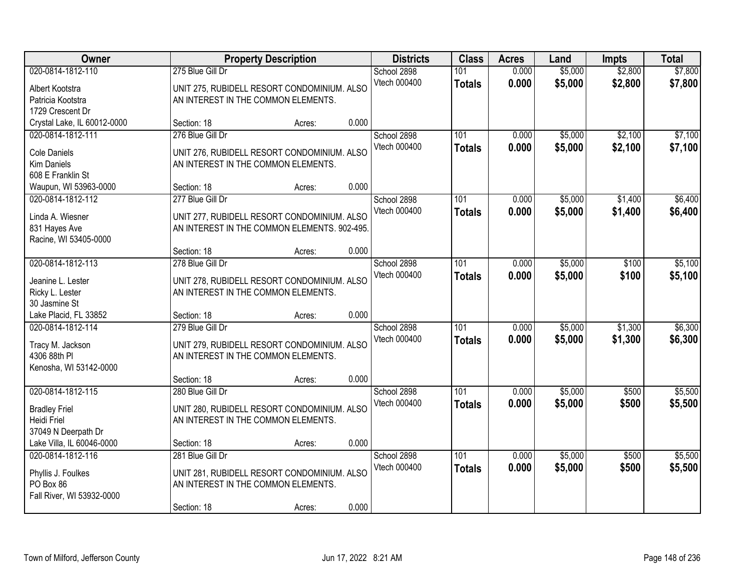| <b>Owner</b>                                                                      |                                                                                                                       | <b>Property Description</b>                 |       | <b>Districts</b>            | <b>Class</b>         | <b>Acres</b>   | Land               | <b>Impts</b>       | <b>Total</b>       |
|-----------------------------------------------------------------------------------|-----------------------------------------------------------------------------------------------------------------------|---------------------------------------------|-------|-----------------------------|----------------------|----------------|--------------------|--------------------|--------------------|
| 020-0814-1812-110<br>Albert Kootstra<br>Patricia Kootstra<br>1729 Crescent Dr     | 275 Blue Gill Dr<br>UNIT 275, RUBIDELL RESORT CONDOMINIUM. ALSO<br>AN INTEREST IN THE COMMON ELEMENTS.                |                                             |       | School 2898<br>Vtech 000400 | 101<br><b>Totals</b> | 0.000<br>0.000 | \$5,000<br>\$5,000 | \$2,800<br>\$2,800 | \$7,800<br>\$7,800 |
| Crystal Lake, IL 60012-0000                                                       | Section: 18                                                                                                           | Acres:                                      | 0.000 |                             |                      |                |                    |                    |                    |
| 020-0814-1812-111<br>Cole Daniels<br><b>Kim Daniels</b><br>608 E Franklin St      | 276 Blue Gill Dr<br>UNIT 276, RUBIDELL RESORT CONDOMINIUM. ALSO<br>AN INTEREST IN THE COMMON ELEMENTS.                |                                             |       | School 2898<br>Vtech 000400 | 101<br><b>Totals</b> | 0.000<br>0.000 | \$5,000<br>\$5,000 | \$2,100<br>\$2,100 | \$7,100<br>\$7,100 |
| Waupun, WI 53963-0000                                                             | Section: 18                                                                                                           | Acres:                                      | 0.000 |                             |                      |                |                    |                    |                    |
| 020-0814-1812-112<br>Linda A. Wiesner<br>831 Hayes Ave<br>Racine, WI 53405-0000   | 277 Blue Gill Dr<br>UNIT 277, RUBIDELL RESORT CONDOMINIUM. ALSO<br>AN INTEREST IN THE COMMON ELEMENTS. 902-495.       |                                             |       | School 2898<br>Vtech 000400 | 101<br><b>Totals</b> | 0.000<br>0.000 | \$5,000<br>\$5,000 | \$1,400<br>\$1,400 | \$6,400<br>\$6,400 |
|                                                                                   | Section: 18                                                                                                           | Acres:                                      | 0.000 |                             |                      |                |                    |                    |                    |
| 020-0814-1812-113<br>Jeanine L. Lester<br>Ricky L. Lester<br>30 Jasmine St        | 278 Blue Gill Dr<br>AN INTEREST IN THE COMMON ELEMENTS.                                                               | UNIT 278, RUBIDELL RESORT CONDOMINIUM. ALSO |       | School 2898<br>Vtech 000400 | 101<br><b>Totals</b> | 0.000<br>0.000 | \$5,000<br>\$5,000 | \$100<br>\$100     | \$5,100<br>\$5,100 |
| Lake Placid, FL 33852                                                             | Section: 18                                                                                                           | Acres:                                      | 0.000 |                             |                      |                |                    |                    |                    |
| 020-0814-1812-114<br>Tracy M. Jackson<br>4306 88th PI<br>Kenosha, WI 53142-0000   | 279 Blue Gill Dr<br>UNIT 279, RUBIDELL RESORT CONDOMINIUM. ALSO<br>AN INTEREST IN THE COMMON ELEMENTS.                |                                             |       | School 2898<br>Vtech 000400 | 101<br><b>Totals</b> | 0.000<br>0.000 | \$5,000<br>\$5,000 | \$1,300<br>\$1,300 | \$6,300<br>\$6,300 |
|                                                                                   | Section: 18                                                                                                           | Acres:                                      | 0.000 |                             |                      |                |                    |                    |                    |
| 020-0814-1812-115<br><b>Bradley Friel</b><br>Heidi Friel<br>37049 N Deerpath Dr   | 280 Blue Gill Dr<br>UNIT 280, RUBIDELL RESORT CONDOMINIUM. ALSO<br>AN INTEREST IN THE COMMON ELEMENTS.                |                                             |       | School 2898<br>Vtech 000400 | 101<br><b>Totals</b> | 0.000<br>0.000 | \$5,000<br>\$5,000 | \$500<br>\$500     | \$5,500<br>\$5,500 |
| Lake Villa, IL 60046-0000                                                         | Section: 18                                                                                                           | Acres:                                      | 0.000 |                             |                      |                |                    |                    |                    |
| 020-0814-1812-116<br>Phyllis J. Foulkes<br>PO Box 86<br>Fall River, WI 53932-0000 | 281 Blue Gill Dr<br>UNIT 281, RUBIDELL RESORT CONDOMINIUM. ALSO<br>AN INTEREST IN THE COMMON ELEMENTS.<br>Section: 18 | Acres:                                      | 0.000 | School 2898<br>Vtech 000400 | 101<br><b>Totals</b> | 0.000<br>0.000 | \$5,000<br>\$5,000 | \$500<br>\$500     | \$5,500<br>\$5,500 |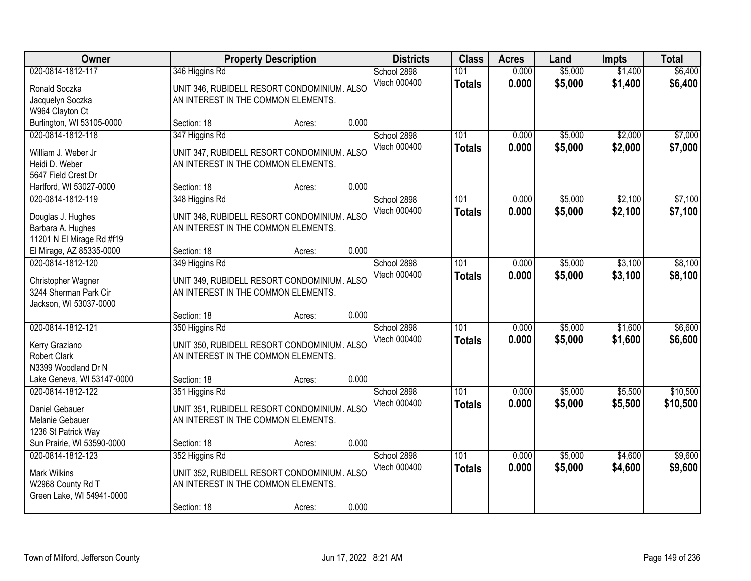| Owner                                  |                                                               | <b>Property Description</b> | <b>Districts</b>            | <b>Class</b>         | <b>Acres</b>   | Land               | <b>Impts</b>       | <b>Total</b>       |
|----------------------------------------|---------------------------------------------------------------|-----------------------------|-----------------------------|----------------------|----------------|--------------------|--------------------|--------------------|
| 020-0814-1812-117<br>Ronald Soczka     | 346 Higgins Rd<br>UNIT 346, RUBIDELL RESORT CONDOMINIUM. ALSO |                             | School 2898<br>Vtech 000400 | 101<br><b>Totals</b> | 0.000<br>0.000 | \$5,000<br>\$5,000 | \$1,400<br>\$1,400 | \$6,400<br>\$6,400 |
| Jacquelyn Soczka                       | AN INTEREST IN THE COMMON ELEMENTS.                           |                             |                             |                      |                |                    |                    |                    |
| W964 Clayton Ct                        |                                                               |                             |                             |                      |                |                    |                    |                    |
| Burlington, WI 53105-0000              | Section: 18                                                   | Acres:                      | 0.000                       |                      |                |                    |                    |                    |
| 020-0814-1812-118                      | 347 Higgins Rd                                                |                             | School 2898                 | 101                  | 0.000          | \$5,000            | \$2,000            | \$7,000            |
| William J. Weber Jr                    | UNIT 347, RUBIDELL RESORT CONDOMINIUM. ALSO                   |                             | Vtech 000400                | <b>Totals</b>        | 0.000          | \$5,000            | \$2,000            | \$7,000            |
| Heidi D. Weber                         | AN INTEREST IN THE COMMON ELEMENTS.                           |                             |                             |                      |                |                    |                    |                    |
| 5647 Field Crest Dr                    |                                                               |                             |                             |                      |                |                    |                    |                    |
| Hartford, WI 53027-0000                | Section: 18                                                   | Acres:                      | 0.000                       |                      |                |                    |                    |                    |
| 020-0814-1812-119                      | 348 Higgins Rd                                                |                             | School 2898                 | 101                  | 0.000          | \$5,000            | \$2,100            | \$7,100            |
| Douglas J. Hughes                      | UNIT 348, RUBIDELL RESORT CONDOMINIUM. ALSO                   |                             | Vtech 000400                | <b>Totals</b>        | 0.000          | \$5,000            | \$2,100            | \$7,100            |
| Barbara A. Hughes                      | AN INTEREST IN THE COMMON ELEMENTS.                           |                             |                             |                      |                |                    |                    |                    |
| 11201 N El Mirage Rd #f19              |                                                               |                             |                             |                      |                |                    |                    |                    |
| El Mirage, AZ 85335-0000               | Section: 18                                                   | Acres:                      | 0.000                       |                      |                |                    |                    |                    |
| 020-0814-1812-120                      | 349 Higgins Rd                                                |                             | School 2898                 | 101                  | 0.000          | \$5,000            | \$3,100            | \$8,100            |
| Christopher Wagner                     | UNIT 349, RUBIDELL RESORT CONDOMINIUM. ALSO                   |                             | Vtech 000400                | <b>Totals</b>        | 0.000          | \$5,000            | \$3,100            | \$8,100            |
| 3244 Sherman Park Cir                  | AN INTEREST IN THE COMMON ELEMENTS.                           |                             |                             |                      |                |                    |                    |                    |
| Jackson, WI 53037-0000                 |                                                               |                             |                             |                      |                |                    |                    |                    |
|                                        | Section: 18                                                   | Acres:                      | 0.000                       |                      |                |                    |                    |                    |
| 020-0814-1812-121                      | 350 Higgins Rd                                                |                             | School 2898                 | 101                  | 0.000          | \$5,000            | \$1,600            | \$6,600            |
|                                        | UNIT 350, RUBIDELL RESORT CONDOMINIUM. ALSO                   |                             | Vtech 000400                | <b>Totals</b>        | 0.000          | \$5,000            | \$1,600            | \$6,600            |
| Kerry Graziano<br><b>Robert Clark</b>  | AN INTEREST IN THE COMMON ELEMENTS.                           |                             |                             |                      |                |                    |                    |                    |
| N3399 Woodland Dr N                    |                                                               |                             |                             |                      |                |                    |                    |                    |
| Lake Geneva, WI 53147-0000             | Section: 18                                                   | Acres:                      | 0.000                       |                      |                |                    |                    |                    |
| 020-0814-1812-122                      | 351 Higgins Rd                                                |                             | School 2898                 | 101                  | 0.000          | \$5,000            | \$5,500            | \$10,500           |
|                                        |                                                               |                             | Vtech 000400                | <b>Totals</b>        | 0.000          | \$5,000            | \$5,500            | \$10,500           |
| Daniel Gebauer                         | UNIT 351, RUBIDELL RESORT CONDOMINIUM. ALSO                   |                             |                             |                      |                |                    |                    |                    |
| Melanie Gebauer<br>1236 St Patrick Way | AN INTEREST IN THE COMMON ELEMENTS.                           |                             |                             |                      |                |                    |                    |                    |
| Sun Prairie, WI 53590-0000             | Section: 18                                                   | Acres:                      | 0.000                       |                      |                |                    |                    |                    |
| 020-0814-1812-123                      | 352 Higgins Rd                                                |                             | School 2898                 | 101                  | 0.000          | \$5,000            | \$4,600            | \$9,600            |
|                                        |                                                               |                             | Vtech 000400                | <b>Totals</b>        | 0.000          | \$5,000            | \$4,600            | \$9,600            |
| <b>Mark Wilkins</b>                    | UNIT 352, RUBIDELL RESORT CONDOMINIUM. ALSO                   |                             |                             |                      |                |                    |                    |                    |
| W2968 County Rd T                      | AN INTEREST IN THE COMMON ELEMENTS.                           |                             |                             |                      |                |                    |                    |                    |
| Green Lake, WI 54941-0000              |                                                               |                             |                             |                      |                |                    |                    |                    |
|                                        | Section: 18                                                   | Acres:                      | 0.000                       |                      |                |                    |                    |                    |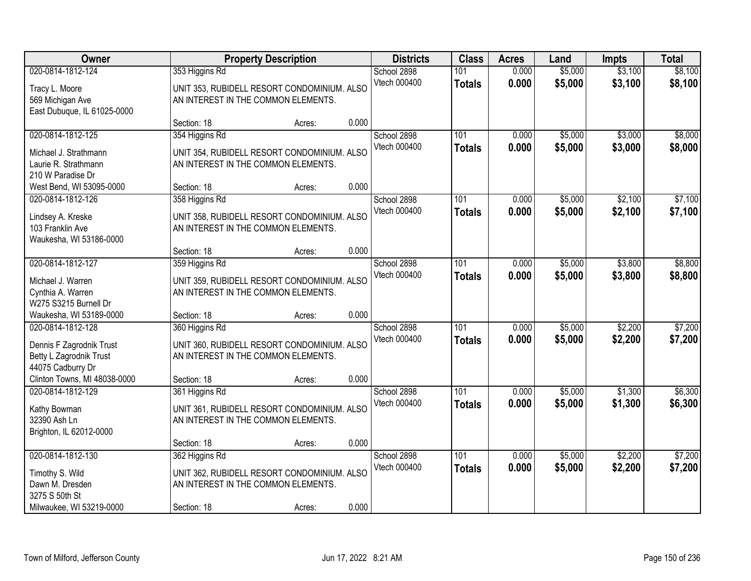| Owner                                                                                                 |                                                                      | <b>Property Description</b>                           |       | <b>Districts</b>            | <b>Class</b>                      | <b>Acres</b>   | Land               | <b>Impts</b>       | <b>Total</b>       |
|-------------------------------------------------------------------------------------------------------|----------------------------------------------------------------------|-------------------------------------------------------|-------|-----------------------------|-----------------------------------|----------------|--------------------|--------------------|--------------------|
| 020-0814-1812-124<br>Tracy L. Moore<br>569 Michigan Ave<br>East Dubuque, IL 61025-0000                | 353 Higgins Rd<br>AN INTEREST IN THE COMMON ELEMENTS.                | UNIT 353, RUBIDELL RESORT CONDOMINIUM. ALSO           |       | School 2898<br>Vtech 000400 | 101<br><b>Totals</b>              | 0.000<br>0.000 | \$5,000<br>\$5,000 | \$3,100<br>\$3,100 | \$8,100<br>\$8,100 |
|                                                                                                       | Section: 18                                                          | Acres:                                                | 0.000 |                             |                                   |                |                    |                    |                    |
| 020-0814-1812-125<br>Michael J. Strathmann<br>Laurie R. Strathmann<br>210 W Paradise Dr               | 354 Higgins Rd<br>AN INTEREST IN THE COMMON ELEMENTS.                | UNIT 354, RUBIDELL RESORT CONDOMINIUM. ALSO           |       | School 2898<br>Vtech 000400 | 101<br><b>Totals</b>              | 0.000<br>0.000 | \$5,000<br>\$5,000 | \$3,000<br>\$3,000 | \$8,000<br>\$8,000 |
| West Bend, WI 53095-0000                                                                              | Section: 18                                                          | Acres:                                                | 0.000 |                             |                                   |                |                    |                    |                    |
| 020-0814-1812-126<br>Lindsey A. Kreske<br>103 Franklin Ave<br>Waukesha, WI 53186-0000                 | 358 Higgins Rd<br>AN INTEREST IN THE COMMON ELEMENTS.                | UNIT 358, RUBIDELL RESORT CONDOMINIUM. ALSO           |       | School 2898<br>Vtech 000400 | 101<br><b>Totals</b>              | 0.000<br>0.000 | \$5,000<br>\$5,000 | \$2,100<br>\$2,100 | \$7,100<br>\$7,100 |
|                                                                                                       | Section: 18                                                          | Acres:                                                | 0.000 |                             |                                   |                |                    |                    |                    |
| 020-0814-1812-127<br>Michael J. Warren<br>Cynthia A. Warren<br>W275 S3215 Burnell Dr                  | 359 Higgins Rd<br>AN INTEREST IN THE COMMON ELEMENTS.                | UNIT 359, RUBIDELL RESORT CONDOMINIUM. ALSO           |       | School 2898<br>Vtech 000400 | 101<br><b>Totals</b>              | 0.000<br>0.000 | \$5,000<br>\$5,000 | \$3,800<br>\$3,800 | \$8,800<br>\$8,800 |
| Waukesha, WI 53189-0000                                                                               | Section: 18                                                          | Acres:                                                | 0.000 |                             |                                   |                |                    |                    |                    |
| 020-0814-1812-128<br>Dennis F Zagrodnik Trust<br>Betty L Zagrodnik Trust<br>44075 Cadburry Dr         | 360 Higgins Rd<br>AN INTEREST IN THE COMMON ELEMENTS.                | UNIT 360, RUBIDELL RESORT CONDOMINIUM. ALSO           |       | School 2898<br>Vtech 000400 | $\overline{101}$<br><b>Totals</b> | 0.000<br>0.000 | \$5,000<br>\$5,000 | \$2,200<br>\$2,200 | \$7,200<br>\$7,200 |
| Clinton Towns, MI 48038-0000                                                                          | Section: 18                                                          | Acres:                                                | 0.000 |                             |                                   |                |                    |                    |                    |
| 020-0814-1812-129<br>Kathy Bowman<br>32390 Ash Ln<br>Brighton, IL 62012-0000                          | 361 Higgins Rd<br>AN INTEREST IN THE COMMON ELEMENTS.                | UNIT 361, RUBIDELL RESORT CONDOMINIUM. ALSO           |       | School 2898<br>Vtech 000400 | 101<br><b>Totals</b>              | 0.000<br>0.000 | \$5,000<br>\$5,000 | \$1,300<br>\$1,300 | \$6,300<br>\$6,300 |
|                                                                                                       | Section: 18                                                          | Acres:                                                | 0.000 |                             |                                   |                |                    |                    |                    |
| 020-0814-1812-130<br>Timothy S. Wild<br>Dawn M. Dresden<br>3275 S 50th St<br>Milwaukee, WI 53219-0000 | 362 Higgins Rd<br>AN INTEREST IN THE COMMON ELEMENTS.<br>Section: 18 | UNIT 362, RUBIDELL RESORT CONDOMINIUM. ALSO<br>Acres: | 0.000 | School 2898<br>Vtech 000400 | 101<br><b>Totals</b>              | 0.000<br>0.000 | \$5,000<br>\$5,000 | \$2,200<br>\$2,200 | \$7,200<br>\$7,200 |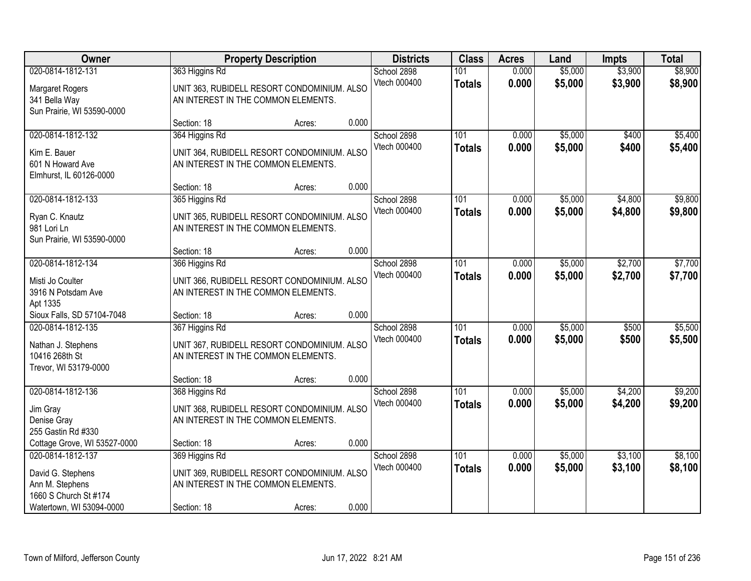| Owner                                                                               |                                                       | <b>Property Description</b>                 |       | <b>Districts</b>            | <b>Class</b>                      | <b>Acres</b>   | Land               | <b>Impts</b>       | <b>Total</b>       |
|-------------------------------------------------------------------------------------|-------------------------------------------------------|---------------------------------------------|-------|-----------------------------|-----------------------------------|----------------|--------------------|--------------------|--------------------|
| 020-0814-1812-131<br>Margaret Rogers<br>341 Bella Way<br>Sun Prairie, WI 53590-0000 | 363 Higgins Rd<br>AN INTEREST IN THE COMMON ELEMENTS. | UNIT 363, RUBIDELL RESORT CONDOMINIUM. ALSO |       | School 2898<br>Vtech 000400 | 101<br><b>Totals</b>              | 0.000<br>0.000 | \$5,000<br>\$5,000 | \$3,900<br>\$3,900 | \$8,900<br>\$8,900 |
|                                                                                     | Section: 18                                           | Acres:                                      | 0.000 |                             |                                   |                |                    |                    |                    |
| 020-0814-1812-132<br>Kim E. Bauer<br>601 N Howard Ave<br>Elmhurst, IL 60126-0000    | 364 Higgins Rd<br>AN INTEREST IN THE COMMON ELEMENTS. | UNIT 364, RUBIDELL RESORT CONDOMINIUM. ALSO |       | School 2898<br>Vtech 000400 | 101<br><b>Totals</b>              | 0.000<br>0.000 | \$5,000<br>\$5,000 | \$400<br>\$400     | \$5,400<br>\$5,400 |
|                                                                                     | Section: 18                                           | Acres:                                      | 0.000 |                             |                                   |                |                    |                    |                    |
| 020-0814-1812-133<br>Ryan C. Knautz<br>981 Lori Ln<br>Sun Prairie, WI 53590-0000    | 365 Higgins Rd<br>AN INTEREST IN THE COMMON ELEMENTS. | UNIT 365, RUBIDELL RESORT CONDOMINIUM. ALSO |       | School 2898<br>Vtech 000400 | 101<br><b>Totals</b>              | 0.000<br>0.000 | \$5,000<br>\$5,000 | \$4,800<br>\$4,800 | \$9,800<br>\$9,800 |
|                                                                                     | Section: 18                                           | Acres:                                      | 0.000 |                             |                                   |                |                    |                    |                    |
| 020-0814-1812-134<br>Misti Jo Coulter<br>3916 N Potsdam Ave<br>Apt 1335             | 366 Higgins Rd<br>AN INTEREST IN THE COMMON ELEMENTS. | UNIT 366, RUBIDELL RESORT CONDOMINIUM. ALSO |       | School 2898<br>Vtech 000400 | 101<br><b>Totals</b>              | 0.000<br>0.000 | \$5,000<br>\$5,000 | \$2,700<br>\$2,700 | \$7,700<br>\$7,700 |
| Sioux Falls, SD 57104-7048                                                          | Section: 18                                           | Acres:                                      | 0.000 |                             |                                   |                |                    |                    |                    |
| 020-0814-1812-135<br>Nathan J. Stephens<br>10416 268th St<br>Trevor, WI 53179-0000  | 367 Higgins Rd<br>AN INTEREST IN THE COMMON ELEMENTS. | UNIT 367, RUBIDELL RESORT CONDOMINIUM. ALSO |       | School 2898<br>Vtech 000400 | 101<br><b>Totals</b>              | 0.000<br>0.000 | \$5,000<br>\$5,000 | \$500<br>\$500     | \$5,500<br>\$5,500 |
|                                                                                     | Section: 18                                           | Acres:                                      | 0.000 |                             |                                   |                |                    |                    |                    |
| 020-0814-1812-136<br>Jim Gray<br>Denise Gray<br>255 Gastin Rd #330                  | 368 Higgins Rd<br>AN INTEREST IN THE COMMON ELEMENTS. | UNIT 368, RUBIDELL RESORT CONDOMINIUM. ALSO |       | School 2898<br>Vtech 000400 | $\overline{101}$<br><b>Totals</b> | 0.000<br>0.000 | \$5,000<br>\$5,000 | \$4,200<br>\$4,200 | \$9,200<br>\$9,200 |
| Cottage Grove, WI 53527-0000                                                        | Section: 18                                           | Acres:                                      | 0.000 |                             |                                   |                |                    |                    |                    |
| 020-0814-1812-137<br>David G. Stephens<br>Ann M. Stephens<br>1660 S Church St #174  | 369 Higgins Rd<br>AN INTEREST IN THE COMMON ELEMENTS. | UNIT 369, RUBIDELL RESORT CONDOMINIUM. ALSO | 0.000 | School 2898<br>Vtech 000400 | 101<br><b>Totals</b>              | 0.000<br>0.000 | \$5,000<br>\$5,000 | \$3,100<br>\$3,100 | \$8,100<br>\$8,100 |
| Watertown, WI 53094-0000                                                            | Section: 18                                           | Acres:                                      |       |                             |                                   |                |                    |                    |                    |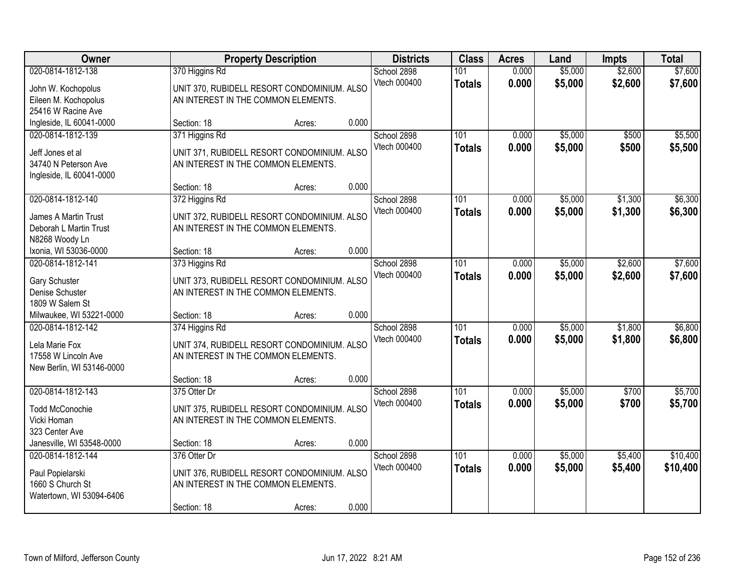| Owner                                                                                     |                                                                    | <b>Property Description</b>                                                        |       | <b>Districts</b>            | <b>Class</b>         | <b>Acres</b>   | Land               | <b>Impts</b>       | <b>Total</b>         |
|-------------------------------------------------------------------------------------------|--------------------------------------------------------------------|------------------------------------------------------------------------------------|-------|-----------------------------|----------------------|----------------|--------------------|--------------------|----------------------|
| 020-0814-1812-138<br>John W. Kochopolus<br>Eileen M. Kochopolus<br>25416 W Racine Ave     | 370 Higgins Rd<br>AN INTEREST IN THE COMMON ELEMENTS.              | UNIT 370, RUBIDELL RESORT CONDOMINIUM. ALSO                                        |       | School 2898<br>Vtech 000400 | 101<br><b>Totals</b> | 0.000<br>0.000 | \$5,000<br>\$5,000 | \$2,600<br>\$2,600 | \$7,600<br>\$7,600   |
| Ingleside, IL 60041-0000                                                                  | Section: 18                                                        | Acres:                                                                             | 0.000 |                             |                      |                |                    |                    |                      |
| 020-0814-1812-139<br>Jeff Jones et al<br>34740 N Peterson Ave<br>Ingleside, IL 60041-0000 | 371 Higgins Rd<br>AN INTEREST IN THE COMMON ELEMENTS.              | UNIT 371, RUBIDELL RESORT CONDOMINIUM. ALSO                                        |       | School 2898<br>Vtech 000400 | 101<br><b>Totals</b> | 0.000<br>0.000 | \$5,000<br>\$5,000 | \$500<br>\$500     | \$5,500<br>\$5,500   |
|                                                                                           | Section: 18                                                        | Acres:                                                                             | 0.000 |                             |                      |                |                    |                    |                      |
| 020-0814-1812-140<br>James A Martin Trust<br>Deborah L Martin Trust<br>N8268 Woody Ln     | 372 Higgins Rd<br>AN INTEREST IN THE COMMON ELEMENTS.              | UNIT 372, RUBIDELL RESORT CONDOMINIUM. ALSO                                        |       | School 2898<br>Vtech 000400 | 101<br><b>Totals</b> | 0.000<br>0.000 | \$5,000<br>\$5,000 | \$1,300<br>\$1,300 | \$6,300<br>\$6,300   |
| Ixonia, WI 53036-0000                                                                     | Section: 18                                                        | Acres:                                                                             | 0.000 |                             |                      |                |                    |                    |                      |
| 020-0814-1812-141<br>Gary Schuster<br>Denise Schuster<br>1809 W Salem St                  | 373 Higgins Rd                                                     | UNIT 373, RUBIDELL RESORT CONDOMINIUM. ALSO<br>AN INTEREST IN THE COMMON ELEMENTS. |       | School 2898<br>Vtech 000400 | 101<br><b>Totals</b> | 0.000<br>0.000 | \$5,000<br>\$5,000 | \$2,600<br>\$2,600 | \$7,600<br>\$7,600   |
| Milwaukee, WI 53221-0000                                                                  | Section: 18                                                        | Acres:                                                                             | 0.000 |                             |                      |                |                    |                    |                      |
| 020-0814-1812-142<br>Lela Marie Fox<br>17558 W Lincoln Ave<br>New Berlin, WI 53146-0000   | 374 Higgins Rd                                                     | UNIT 374, RUBIDELL RESORT CONDOMINIUM. ALSO<br>AN INTEREST IN THE COMMON ELEMENTS. |       | School 2898<br>Vtech 000400 | 101<br><b>Totals</b> | 0.000<br>0.000 | \$5,000<br>\$5,000 | \$1,800<br>\$1,800 | \$6,800<br>\$6,800   |
|                                                                                           | Section: 18                                                        | Acres:                                                                             | 0.000 |                             |                      |                |                    |                    |                      |
| 020-0814-1812-143<br><b>Todd McConochie</b><br>Vicki Homan<br>323 Center Ave              | 375 Otter Dr<br>AN INTEREST IN THE COMMON ELEMENTS.                | UNIT 375, RUBIDELL RESORT CONDOMINIUM. ALSO                                        |       | School 2898<br>Vtech 000400 | 101<br><b>Totals</b> | 0.000<br>0.000 | \$5,000<br>\$5,000 | \$700<br>\$700     | \$5,700<br>\$5,700   |
| Janesville, WI 53548-0000                                                                 | Section: 18                                                        | Acres:                                                                             | 0.000 |                             |                      |                |                    |                    |                      |
| 020-0814-1812-144<br>Paul Popielarski<br>1660 S Church St<br>Watertown, WI 53094-6406     | 376 Otter Dr<br>AN INTEREST IN THE COMMON ELEMENTS.<br>Section: 18 | UNIT 376, RUBIDELL RESORT CONDOMINIUM. ALSO<br>Acres:                              | 0.000 | School 2898<br>Vtech 000400 | 101<br><b>Totals</b> | 0.000<br>0.000 | \$5,000<br>\$5,000 | \$5,400<br>\$5,400 | \$10,400<br>\$10,400 |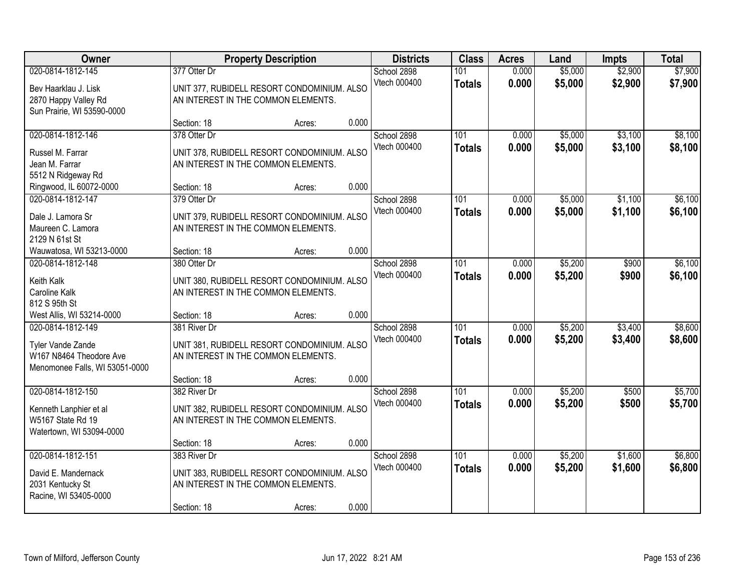| Owner                                                                                               |                             | <b>Property Description</b>                                                                  |       | <b>Districts</b>            | <b>Class</b>         | <b>Acres</b>   | Land               | <b>Impts</b>       | <b>Total</b>       |
|-----------------------------------------------------------------------------------------------------|-----------------------------|----------------------------------------------------------------------------------------------|-------|-----------------------------|----------------------|----------------|--------------------|--------------------|--------------------|
| 020-0814-1812-145<br>Bev Haarklau J. Lisk<br>2870 Happy Valley Rd<br>Sun Prairie, WI 53590-0000     | 377 Otter Dr                | UNIT 377, RUBIDELL RESORT CONDOMINIUM. ALSO<br>AN INTEREST IN THE COMMON ELEMENTS.           |       | School 2898<br>Vtech 000400 | 101<br><b>Totals</b> | 0.000<br>0.000 | \$5,000<br>\$5,000 | \$2,900<br>\$2,900 | \$7,900<br>\$7,900 |
|                                                                                                     | Section: 18                 | Acres:                                                                                       | 0.000 |                             |                      |                |                    |                    |                    |
| 020-0814-1812-146<br>Russel M. Farrar<br>Jean M. Farrar<br>5512 N Ridgeway Rd                       | 378 Otter Dr                | UNIT 378, RUBIDELL RESORT CONDOMINIUM. ALSO<br>AN INTEREST IN THE COMMON ELEMENTS.           |       | School 2898<br>Vtech 000400 | 101<br><b>Totals</b> | 0.000<br>0.000 | \$5,000<br>\$5,000 | \$3,100<br>\$3,100 | \$8,100<br>\$8,100 |
| Ringwood, IL 60072-0000                                                                             | Section: 18                 | Acres:                                                                                       | 0.000 |                             |                      |                |                    |                    |                    |
| 020-0814-1812-147<br>Dale J. Lamora Sr<br>Maureen C. Lamora<br>2129 N 61st St                       | 379 Otter Dr                | UNIT 379, RUBIDELL RESORT CONDOMINIUM. ALSO<br>AN INTEREST IN THE COMMON ELEMENTS.           |       | School 2898<br>Vtech 000400 | 101<br><b>Totals</b> | 0.000<br>0.000 | \$5,000<br>\$5,000 | \$1,100<br>\$1,100 | \$6,100<br>\$6,100 |
| Wauwatosa, WI 53213-0000                                                                            | Section: 18                 | Acres:                                                                                       | 0.000 |                             |                      |                |                    |                    |                    |
| 020-0814-1812-148<br>Keith Kalk<br>Caroline Kalk<br>812 S 95th St                                   | 380 Otter Dr                | UNIT 380, RUBIDELL RESORT CONDOMINIUM. ALSO<br>AN INTEREST IN THE COMMON ELEMENTS.           |       | School 2898<br>Vtech 000400 | 101<br><b>Totals</b> | 0.000<br>0.000 | \$5,200<br>\$5,200 | \$900<br>\$900     | \$6,100<br>\$6,100 |
| West Allis, WI 53214-0000                                                                           | Section: 18                 | Acres:                                                                                       | 0.000 |                             |                      |                |                    |                    |                    |
| 020-0814-1812-149<br>Tyler Vande Zande<br>W167 N8464 Theodore Ave<br>Menomonee Falls, WI 53051-0000 | 381 River Dr                | UNIT 381, RUBIDELL RESORT CONDOMINIUM. ALSO<br>AN INTEREST IN THE COMMON ELEMENTS.           |       | School 2898<br>Vtech 000400 | 101<br><b>Totals</b> | 0.000<br>0.000 | \$5,200<br>\$5,200 | \$3,400<br>\$3,400 | \$8,600<br>\$8,600 |
|                                                                                                     | Section: 18                 | Acres:                                                                                       | 0.000 |                             |                      |                |                    |                    |                    |
| 020-0814-1812-150<br>Kenneth Lanphier et al<br>W5167 State Rd 19<br>Watertown, WI 53094-0000        | 382 River Dr                | UNIT 382, RUBIDELL RESORT CONDOMINIUM. ALSO<br>AN INTEREST IN THE COMMON ELEMENTS.           |       | School 2898<br>Vtech 000400 | 101<br><b>Totals</b> | 0.000<br>0.000 | \$5,200<br>\$5,200 | \$500<br>\$500     | \$5,700<br>\$5,700 |
|                                                                                                     | Section: 18                 | Acres:                                                                                       | 0.000 |                             |                      |                |                    |                    |                    |
| 020-0814-1812-151<br>David E. Mandernack<br>2031 Kentucky St<br>Racine, WI 53405-0000               | 383 River Dr<br>Section: 18 | UNIT 383, RUBIDELL RESORT CONDOMINIUM. ALSO<br>AN INTEREST IN THE COMMON ELEMENTS.<br>Acres: | 0.000 | School 2898<br>Vtech 000400 | 101<br><b>Totals</b> | 0.000<br>0.000 | \$5,200<br>\$5,200 | \$1,600<br>\$1,600 | \$6,800<br>\$6,800 |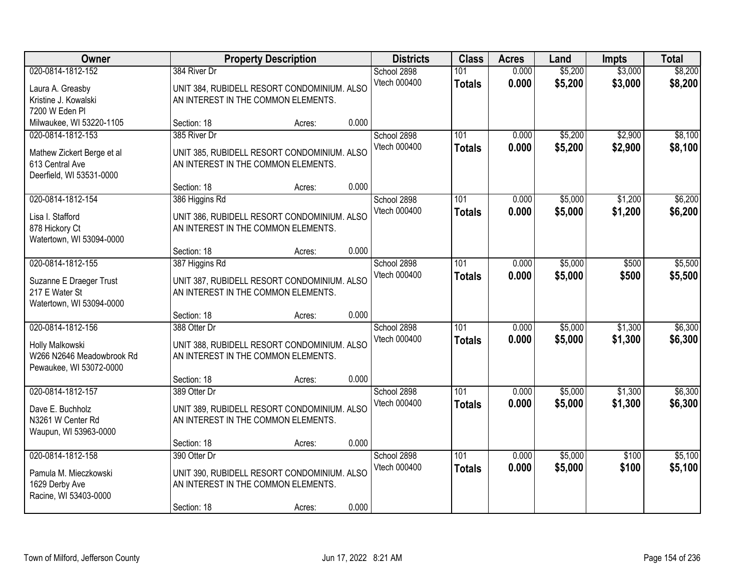| Owner                                                                                          |                                                                                                                   | <b>Property Description</b> |       | <b>Districts</b>            | <b>Class</b>         | <b>Acres</b>   | Land               | <b>Impts</b>       | <b>Total</b>       |
|------------------------------------------------------------------------------------------------|-------------------------------------------------------------------------------------------------------------------|-----------------------------|-------|-----------------------------|----------------------|----------------|--------------------|--------------------|--------------------|
| 020-0814-1812-152<br>Laura A. Greasby<br>Kristine J. Kowalski<br>7200 W Eden Pl                | 384 River Dr<br>UNIT 384, RUBIDELL RESORT CONDOMINIUM. ALSO<br>AN INTEREST IN THE COMMON ELEMENTS.                |                             |       | School 2898<br>Vtech 000400 | 101<br><b>Totals</b> | 0.000<br>0.000 | \$5,200<br>\$5,200 | \$3,000<br>\$3,000 | \$8,200<br>\$8,200 |
| Milwaukee, WI 53220-1105                                                                       | Section: 18                                                                                                       | Acres:                      | 0.000 |                             |                      |                |                    |                    |                    |
| 020-0814-1812-153<br>Mathew Zickert Berge et al<br>613 Central Ave<br>Deerfield, WI 53531-0000 | 385 River Dr<br>UNIT 385, RUBIDELL RESORT CONDOMINIUM. ALSO<br>AN INTEREST IN THE COMMON ELEMENTS.                |                             |       | School 2898<br>Vtech 000400 | 101<br><b>Totals</b> | 0.000<br>0.000 | \$5,200<br>\$5,200 | \$2,900<br>\$2,900 | \$8,100<br>\$8,100 |
|                                                                                                | Section: 18                                                                                                       | Acres:                      | 0.000 |                             |                      |                |                    |                    |                    |
| 020-0814-1812-154<br>Lisa I. Stafford<br>878 Hickory Ct<br>Watertown, WI 53094-0000            | 386 Higgins Rd<br>UNIT 386, RUBIDELL RESORT CONDOMINIUM. ALSO<br>AN INTEREST IN THE COMMON ELEMENTS.              |                             |       | School 2898<br>Vtech 000400 | 101<br><b>Totals</b> | 0.000<br>0.000 | \$5,000<br>\$5,000 | \$1,200<br>\$1,200 | \$6,200<br>\$6,200 |
|                                                                                                | Section: 18                                                                                                       | Acres:                      | 0.000 |                             |                      |                |                    |                    |                    |
| 020-0814-1812-155<br>Suzanne E Draeger Trust<br>217 E Water St<br>Watertown, WI 53094-0000     | 387 Higgins Rd<br>UNIT 387, RUBIDELL RESORT CONDOMINIUM. ALSO<br>AN INTEREST IN THE COMMON ELEMENTS.              |                             |       | School 2898<br>Vtech 000400 | 101<br><b>Totals</b> | 0.000<br>0.000 | \$5,000<br>\$5,000 | \$500<br>\$500     | \$5,500<br>\$5,500 |
|                                                                                                | Section: 18                                                                                                       | Acres:                      | 0.000 |                             |                      |                |                    |                    |                    |
| 020-0814-1812-156<br>Holly Malkowski<br>W266 N2646 Meadowbrook Rd<br>Pewaukee, WI 53072-0000   | 388 Otter Dr<br>UNIT 388, RUBIDELL RESORT CONDOMINIUM. ALSO<br>AN INTEREST IN THE COMMON ELEMENTS.                |                             |       | School 2898<br>Vtech 000400 | 101<br><b>Totals</b> | 0.000<br>0.000 | \$5,000<br>\$5,000 | \$1,300<br>\$1,300 | \$6,300<br>\$6,300 |
|                                                                                                | Section: 18                                                                                                       | Acres:                      | 0.000 |                             |                      |                |                    |                    |                    |
| 020-0814-1812-157<br>Dave E. Buchholz<br>N3261 W Center Rd<br>Waupun, WI 53963-0000            | 389 Otter Dr<br>UNIT 389, RUBIDELL RESORT CONDOMINIUM. ALSO<br>AN INTEREST IN THE COMMON ELEMENTS.                |                             |       | School 2898<br>Vtech 000400 | 101<br><b>Totals</b> | 0.000<br>0.000 | \$5,000<br>\$5,000 | \$1,300<br>\$1,300 | \$6,300<br>\$6,300 |
|                                                                                                | Section: 18                                                                                                       | Acres:                      | 0.000 |                             |                      |                |                    |                    |                    |
| 020-0814-1812-158<br>Pamula M. Mieczkowski<br>1629 Derby Ave<br>Racine, WI 53403-0000          | 390 Otter Dr<br>UNIT 390, RUBIDELL RESORT CONDOMINIUM. ALSO<br>AN INTEREST IN THE COMMON ELEMENTS.<br>Section: 18 | Acres:                      | 0.000 | School 2898<br>Vtech 000400 | 101<br><b>Totals</b> | 0.000<br>0.000 | \$5,000<br>\$5,000 | \$100<br>\$100     | \$5,100<br>\$5,100 |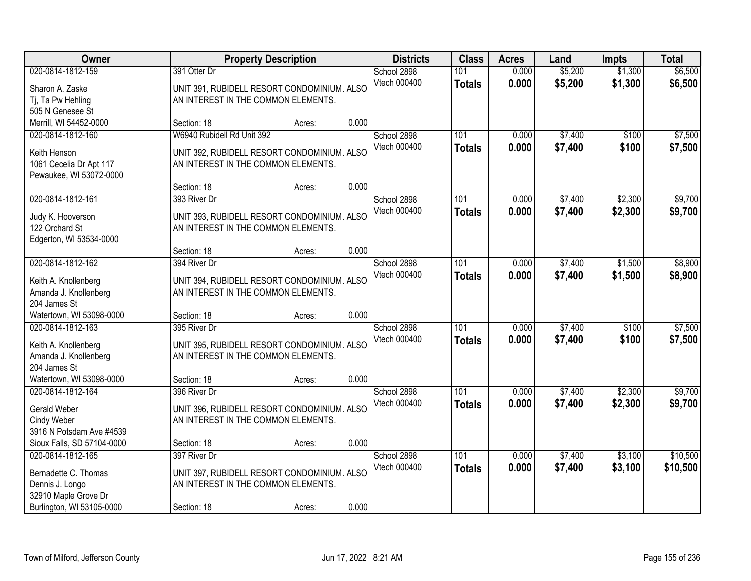| Owner                                                                                                             |                             | <b>Property Description</b>                                                                  |       | <b>Districts</b>            | <b>Class</b>                      | <b>Acres</b>   | Land               | <b>Impts</b>       | <b>Total</b>         |
|-------------------------------------------------------------------------------------------------------------------|-----------------------------|----------------------------------------------------------------------------------------------|-------|-----------------------------|-----------------------------------|----------------|--------------------|--------------------|----------------------|
| 020-0814-1812-159<br>Sharon A. Zaske<br>Tj, Ta Pw Hehling                                                         | 391 Otter Dr                | UNIT 391, RUBIDELL RESORT CONDOMINIUM. ALSO<br>AN INTEREST IN THE COMMON ELEMENTS.           |       | School 2898<br>Vtech 000400 | 101<br><b>Totals</b>              | 0.000<br>0.000 | \$5,200<br>\$5,200 | \$1,300<br>\$1,300 | \$6,500<br>\$6,500   |
| 505 N Genesee St<br>Merrill, WI 54452-0000                                                                        | Section: 18                 | Acres:                                                                                       | 0.000 |                             |                                   |                |                    |                    |                      |
| 020-0814-1812-160<br>Keith Henson<br>1061 Cecelia Dr Apt 117<br>Pewaukee, WI 53072-0000                           | W6940 Rubidell Rd Unit 392  | UNIT 392, RUBIDELL RESORT CONDOMINIUM. ALSO<br>AN INTEREST IN THE COMMON ELEMENTS.           |       | School 2898<br>Vtech 000400 | 101<br><b>Totals</b>              | 0.000<br>0.000 | \$7,400<br>\$7,400 | \$100<br>\$100     | \$7,500<br>\$7,500   |
|                                                                                                                   | Section: 18                 | Acres:                                                                                       | 0.000 |                             |                                   |                |                    |                    |                      |
| 020-0814-1812-161<br>Judy K. Hooverson<br>122 Orchard St<br>Edgerton, WI 53534-0000                               | 393 River Dr                | UNIT 393, RUBIDELL RESORT CONDOMINIUM. ALSO<br>AN INTEREST IN THE COMMON ELEMENTS.           |       | School 2898<br>Vtech 000400 | 101<br><b>Totals</b>              | 0.000<br>0.000 | \$7,400<br>\$7,400 | \$2,300<br>\$2,300 | \$9,700<br>\$9,700   |
|                                                                                                                   | Section: 18                 | Acres:                                                                                       | 0.000 |                             |                                   |                |                    |                    |                      |
| 020-0814-1812-162<br>Keith A. Knollenberg<br>Amanda J. Knollenberg<br>204 James St                                | 394 River Dr                | UNIT 394, RUBIDELL RESORT CONDOMINIUM. ALSO<br>AN INTEREST IN THE COMMON ELEMENTS.           |       | School 2898<br>Vtech 000400 | 101<br><b>Totals</b>              | 0.000<br>0.000 | \$7,400<br>\$7,400 | \$1,500<br>\$1,500 | \$8,900<br>\$8,900   |
| Watertown, WI 53098-0000                                                                                          | Section: 18                 | Acres:                                                                                       | 0.000 |                             |                                   |                |                    |                    |                      |
| 020-0814-1812-163<br>Keith A. Knollenberg<br>Amanda J. Knollenberg<br>204 James St                                | 395 River Dr                | UNIT 395, RUBIDELL RESORT CONDOMINIUM. ALSO<br>AN INTEREST IN THE COMMON ELEMENTS.           |       | School 2898<br>Vtech 000400 | $\overline{101}$<br><b>Totals</b> | 0.000<br>0.000 | \$7,400<br>\$7,400 | \$100<br>\$100     | \$7,500<br>\$7,500   |
| Watertown, WI 53098-0000                                                                                          | Section: 18                 | Acres:                                                                                       | 0.000 |                             |                                   |                |                    |                    |                      |
| 020-0814-1812-164<br><b>Gerald Weber</b><br>Cindy Weber<br>3916 N Potsdam Ave #4539                               | 396 River Dr                | UNIT 396, RUBIDELL RESORT CONDOMINIUM. ALSO<br>AN INTEREST IN THE COMMON ELEMENTS.           |       | School 2898<br>Vtech 000400 | 101<br><b>Totals</b>              | 0.000<br>0.000 | \$7,400<br>\$7,400 | \$2,300<br>\$2,300 | \$9,700<br>\$9,700   |
| Sioux Falls, SD 57104-0000                                                                                        | Section: 18                 | Acres:                                                                                       | 0.000 |                             |                                   |                |                    |                    |                      |
| 020-0814-1812-165<br>Bernadette C. Thomas<br>Dennis J. Longo<br>32910 Maple Grove Dr<br>Burlington, WI 53105-0000 | 397 River Dr<br>Section: 18 | UNIT 397, RUBIDELL RESORT CONDOMINIUM. ALSO<br>AN INTEREST IN THE COMMON ELEMENTS.<br>Acres: | 0.000 | School 2898<br>Vtech 000400 | 101<br><b>Totals</b>              | 0.000<br>0.000 | \$7,400<br>\$7,400 | \$3,100<br>\$3,100 | \$10,500<br>\$10,500 |
|                                                                                                                   |                             |                                                                                              |       |                             |                                   |                |                    |                    |                      |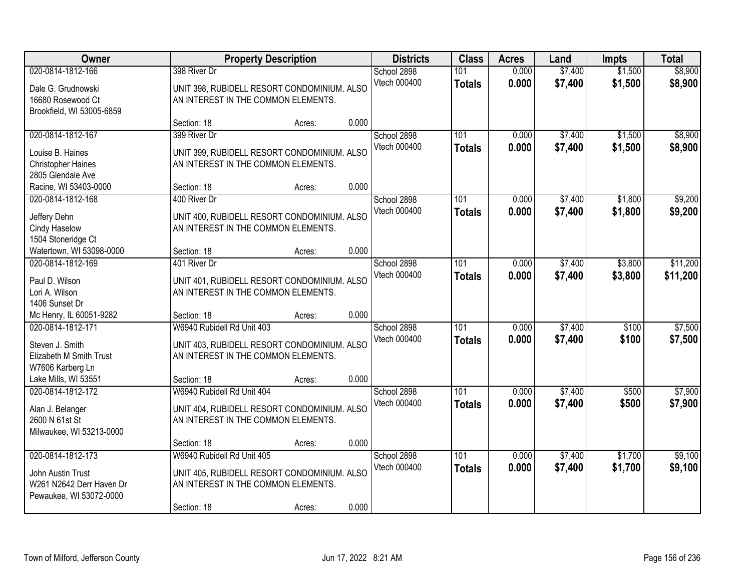| Owner                                                                                                       |                                                                                  | <b>Property Description</b>                           |       | <b>Districts</b>            | <b>Class</b>         | <b>Acres</b>   | Land               | <b>Impts</b>       | <b>Total</b>         |
|-------------------------------------------------------------------------------------------------------------|----------------------------------------------------------------------------------|-------------------------------------------------------|-------|-----------------------------|----------------------|----------------|--------------------|--------------------|----------------------|
| 020-0814-1812-166<br>Dale G. Grudnowski<br>16680 Rosewood Ct<br>Brookfield, WI 53005-6859                   | 398 River Dr<br>AN INTEREST IN THE COMMON ELEMENTS.                              | UNIT 398, RUBIDELL RESORT CONDOMINIUM. ALSO           |       | School 2898<br>Vtech 000400 | 101<br><b>Totals</b> | 0.000<br>0.000 | \$7,400<br>\$7,400 | \$1,500<br>\$1,500 | \$8,900<br>\$8,900   |
|                                                                                                             | Section: 18                                                                      | Acres:                                                | 0.000 |                             |                      |                |                    |                    |                      |
| 020-0814-1812-167<br>Louise B. Haines<br><b>Christopher Haines</b><br>2805 Glendale Ave                     | 399 River Dr<br>AN INTEREST IN THE COMMON ELEMENTS.                              | UNIT 399, RUBIDELL RESORT CONDOMINIUM. ALSO           |       | School 2898<br>Vtech 000400 | 101<br><b>Totals</b> | 0.000<br>0.000 | \$7,400<br>\$7,400 | \$1,500<br>\$1,500 | \$8,900<br>\$8,900   |
| Racine, WI 53403-0000                                                                                       | Section: 18                                                                      | Acres:                                                | 0.000 |                             |                      |                |                    |                    |                      |
| 020-0814-1812-168<br>Jeffery Dehn<br>Cindy Haselow<br>1504 Stoneridge Ct                                    | 400 River Dr<br>AN INTEREST IN THE COMMON ELEMENTS.                              | UNIT 400, RUBIDELL RESORT CONDOMINIUM. ALSO           |       | School 2898<br>Vtech 000400 | 101<br><b>Totals</b> | 0.000<br>0.000 | \$7,400<br>\$7,400 | \$1,800<br>\$1,800 | \$9,200<br>\$9,200   |
| Watertown, WI 53098-0000                                                                                    | Section: 18                                                                      | Acres:                                                | 0.000 |                             |                      |                |                    |                    |                      |
| 020-0814-1812-169<br>Paul D. Wilson<br>Lori A. Wilson<br>1406 Sunset Dr                                     | 401 River Dr<br>AN INTEREST IN THE COMMON ELEMENTS.                              | UNIT 401, RUBIDELL RESORT CONDOMINIUM. ALSO           |       | School 2898<br>Vtech 000400 | 101<br><b>Totals</b> | 0.000<br>0.000 | \$7,400<br>\$7,400 | \$3,800<br>\$3,800 | \$11,200<br>\$11,200 |
| Mc Henry, IL 60051-9282                                                                                     | Section: 18                                                                      | Acres:                                                | 0.000 |                             |                      |                |                    |                    |                      |
| 020-0814-1812-171<br>Steven J. Smith<br>Elizabeth M Smith Trust<br>W7606 Karberg Ln<br>Lake Mills, WI 53551 | W6940 Rubidell Rd Unit 403<br>AN INTEREST IN THE COMMON ELEMENTS.<br>Section: 18 | UNIT 403, RUBIDELL RESORT CONDOMINIUM. ALSO<br>Acres: | 0.000 | School 2898<br>Vtech 000400 | 101<br><b>Totals</b> | 0.000<br>0.000 | \$7,400<br>\$7,400 | \$100<br>\$100     | \$7,500<br>\$7,500   |
| 020-0814-1812-172                                                                                           | W6940 Rubidell Rd Unit 404                                                       |                                                       |       | School 2898                 | 101                  | 0.000          | \$7,400            | \$500              | \$7,900              |
| Alan J. Belanger<br>2600 N 61st St<br>Milwaukee, WI 53213-0000                                              | AN INTEREST IN THE COMMON ELEMENTS.                                              | UNIT 404, RUBIDELL RESORT CONDOMINIUM. ALSO           |       | Vtech 000400                | <b>Totals</b>        | 0.000          | \$7,400            | \$500              | \$7,900              |
|                                                                                                             | Section: 18                                                                      | Acres:                                                | 0.000 |                             |                      |                |                    |                    |                      |
| 020-0814-1812-173<br>John Austin Trust<br>W261 N2642 Derr Haven Dr<br>Pewaukee, WI 53072-0000               | W6940 Rubidell Rd Unit 405<br>AN INTEREST IN THE COMMON ELEMENTS.<br>Section: 18 | UNIT 405, RUBIDELL RESORT CONDOMINIUM. ALSO<br>Acres: | 0.000 | School 2898<br>Vtech 000400 | 101<br><b>Totals</b> | 0.000<br>0.000 | \$7,400<br>\$7,400 | \$1,700<br>\$1,700 | \$9,100<br>\$9,100   |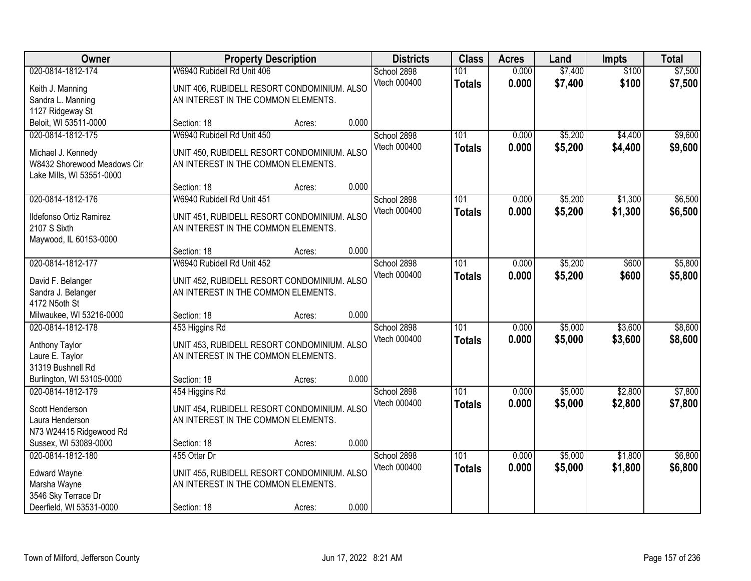| Owner                                            |                                                                                    | <b>Property Description</b> |       | <b>Districts</b> | <b>Class</b>     | <b>Acres</b> | Land    | <b>Impts</b> | <b>Total</b> |
|--------------------------------------------------|------------------------------------------------------------------------------------|-----------------------------|-------|------------------|------------------|--------------|---------|--------------|--------------|
| 020-0814-1812-174                                | W6940 Rubidell Rd Unit 406                                                         |                             |       | School 2898      | 101              | 0.000        | \$7,400 | \$100        | \$7,500      |
| Keith J. Manning                                 | UNIT 406, RUBIDELL RESORT CONDOMINIUM. ALSO                                        |                             |       | Vtech 000400     | <b>Totals</b>    | 0.000        | \$7,400 | \$100        | \$7,500      |
| Sandra L. Manning                                | AN INTEREST IN THE COMMON ELEMENTS.                                                |                             |       |                  |                  |              |         |              |              |
| 1127 Ridgeway St                                 |                                                                                    |                             |       |                  |                  |              |         |              |              |
| Beloit, WI 53511-0000                            | Section: 18                                                                        | Acres:                      | 0.000 |                  |                  |              |         |              |              |
| 020-0814-1812-175                                | W6940 Rubidell Rd Unit 450                                                         |                             |       | School 2898      | 101              | 0.000        | \$5,200 | \$4,400      | \$9,600      |
| Michael J. Kennedy                               | UNIT 450, RUBIDELL RESORT CONDOMINIUM. ALSO                                        |                             |       | Vtech 000400     | <b>Totals</b>    | 0.000        | \$5,200 | \$4,400      | \$9,600      |
| W8432 Shorewood Meadows Cir                      | AN INTEREST IN THE COMMON ELEMENTS.                                                |                             |       |                  |                  |              |         |              |              |
| Lake Mills, WI 53551-0000                        |                                                                                    |                             |       |                  |                  |              |         |              |              |
|                                                  | Section: 18                                                                        | Acres:                      | 0.000 |                  |                  |              |         |              |              |
| 020-0814-1812-176                                | W6940 Rubidell Rd Unit 451                                                         |                             |       | School 2898      | 101              | 0.000        | \$5,200 | \$1,300      | \$6,500      |
| Ildefonso Ortiz Ramirez                          | UNIT 451, RUBIDELL RESORT CONDOMINIUM. ALSO                                        |                             |       | Vtech 000400     | <b>Totals</b>    | 0.000        | \$5,200 | \$1,300      | \$6,500      |
| 2107 S Sixth                                     | AN INTEREST IN THE COMMON ELEMENTS.                                                |                             |       |                  |                  |              |         |              |              |
| Maywood, IL 60153-0000                           |                                                                                    |                             |       |                  |                  |              |         |              |              |
|                                                  | Section: 18                                                                        | Acres:                      | 0.000 |                  |                  |              |         |              |              |
| 020-0814-1812-177                                | W6940 Rubidell Rd Unit 452                                                         |                             |       | School 2898      | 101              | 0.000        | \$5,200 | \$600        | \$5,800      |
|                                                  |                                                                                    |                             |       | Vtech 000400     | <b>Totals</b>    | 0.000        | \$5,200 | \$600        | \$5,800      |
| David F. Belanger<br>Sandra J. Belanger          | UNIT 452, RUBIDELL RESORT CONDOMINIUM. ALSO<br>AN INTEREST IN THE COMMON ELEMENTS. |                             |       |                  |                  |              |         |              |              |
| 4172 N5oth St                                    |                                                                                    |                             |       |                  |                  |              |         |              |              |
| Milwaukee, WI 53216-0000                         | Section: 18                                                                        | Acres:                      | 0.000 |                  |                  |              |         |              |              |
| 020-0814-1812-178                                | 453 Higgins Rd                                                                     |                             |       | School 2898      | $\overline{101}$ | 0.000        | \$5,000 | \$3,600      | \$8,600      |
|                                                  |                                                                                    |                             |       | Vtech 000400     | <b>Totals</b>    | 0.000        | \$5,000 | \$3,600      | \$8,600      |
| Anthony Taylor                                   | UNIT 453, RUBIDELL RESORT CONDOMINIUM. ALSO                                        |                             |       |                  |                  |              |         |              |              |
| Laure E. Taylor<br>31319 Bushnell Rd             | AN INTEREST IN THE COMMON ELEMENTS.                                                |                             |       |                  |                  |              |         |              |              |
| Burlington, WI 53105-0000                        | Section: 18                                                                        | Acres:                      | 0.000 |                  |                  |              |         |              |              |
| 020-0814-1812-179                                | 454 Higgins Rd                                                                     |                             |       | School 2898      | 101              | 0.000        | \$5,000 | \$2,800      | \$7,800      |
|                                                  |                                                                                    |                             |       | Vtech 000400     | <b>Totals</b>    | 0.000        | \$5,000 | \$2,800      | \$7,800      |
| Scott Henderson                                  | UNIT 454, RUBIDELL RESORT CONDOMINIUM. ALSO                                        |                             |       |                  |                  |              |         |              |              |
| Laura Henderson                                  | AN INTEREST IN THE COMMON ELEMENTS.                                                |                             |       |                  |                  |              |         |              |              |
| N73 W24415 Ridgewood Rd<br>Sussex, WI 53089-0000 | Section: 18                                                                        |                             | 0.000 |                  |                  |              |         |              |              |
| 020-0814-1812-180                                | 455 Otter Dr                                                                       | Acres:                      |       | School 2898      | 101              | 0.000        | \$5,000 | \$1,800      | \$6,800      |
|                                                  |                                                                                    |                             |       | Vtech 000400     | <b>Totals</b>    | 0.000        | \$5,000 | \$1,800      | \$6,800      |
| <b>Edward Wayne</b>                              | UNIT 455, RUBIDELL RESORT CONDOMINIUM. ALSO                                        |                             |       |                  |                  |              |         |              |              |
| Marsha Wayne                                     | AN INTEREST IN THE COMMON ELEMENTS.                                                |                             |       |                  |                  |              |         |              |              |
| 3546 Sky Terrace Dr                              |                                                                                    |                             |       |                  |                  |              |         |              |              |
| Deerfield, WI 53531-0000                         | Section: 18                                                                        | Acres:                      | 0.000 |                  |                  |              |         |              |              |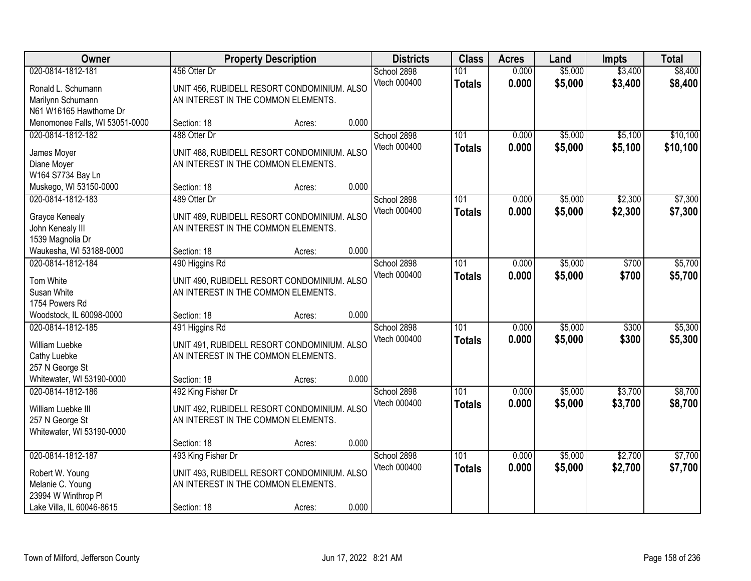| Owner                                       |                                                                                    | <b>Property Description</b>                 |       | <b>Districts</b> | <b>Class</b>  | <b>Acres</b> | Land    | <b>Impts</b> | <b>Total</b> |
|---------------------------------------------|------------------------------------------------------------------------------------|---------------------------------------------|-------|------------------|---------------|--------------|---------|--------------|--------------|
| 020-0814-1812-181                           | 456 Otter Dr                                                                       |                                             |       | School 2898      | 101           | 0.000        | \$5,000 | \$3,400      | \$8,400      |
| Ronald L. Schumann                          | UNIT 456, RUBIDELL RESORT CONDOMINIUM. ALSO                                        |                                             |       | Vtech 000400     | <b>Totals</b> | 0.000        | \$5,000 | \$3,400      | \$8,400      |
| Marilynn Schumann                           | AN INTEREST IN THE COMMON ELEMENTS.                                                |                                             |       |                  |               |              |         |              |              |
| N61 W16165 Hawthorne Dr                     |                                                                                    |                                             |       |                  |               |              |         |              |              |
| Menomonee Falls, WI 53051-0000              | Section: 18                                                                        | Acres:                                      | 0.000 |                  |               |              |         |              |              |
| 020-0814-1812-182                           | 488 Otter Dr                                                                       |                                             |       | School 2898      | 101           | 0.000        | \$5,000 | \$5,100      | \$10,100     |
| James Moyer                                 | UNIT 488, RUBIDELL RESORT CONDOMINIUM. ALSO                                        |                                             |       | Vtech 000400     | <b>Totals</b> | 0.000        | \$5,000 | \$5,100      | \$10,100     |
| Diane Moyer                                 | AN INTEREST IN THE COMMON ELEMENTS.                                                |                                             |       |                  |               |              |         |              |              |
| W164 S7734 Bay Ln                           |                                                                                    |                                             |       |                  |               |              |         |              |              |
| Muskego, WI 53150-0000                      | Section: 18                                                                        | Acres:                                      | 0.000 |                  |               |              |         |              |              |
| 020-0814-1812-183                           | 489 Otter Dr                                                                       |                                             |       | School 2898      | 101           | 0.000        | \$5,000 | \$2,300      | \$7,300      |
|                                             |                                                                                    |                                             |       | Vtech 000400     | <b>Totals</b> | 0.000        | \$5,000 | \$2,300      | \$7,300      |
| <b>Grayce Kenealy</b>                       | UNIT 489, RUBIDELL RESORT CONDOMINIUM. ALSO<br>AN INTEREST IN THE COMMON ELEMENTS. |                                             |       |                  |               |              |         |              |              |
| John Kenealy III                            |                                                                                    |                                             |       |                  |               |              |         |              |              |
| 1539 Magnolia Dr<br>Waukesha, WI 53188-0000 | Section: 18                                                                        | Acres:                                      | 0.000 |                  |               |              |         |              |              |
| 020-0814-1812-184                           | 490 Higgins Rd                                                                     |                                             |       | School 2898      | 101           | 0.000        | \$5,000 | \$700        | \$5,700      |
|                                             |                                                                                    |                                             |       | Vtech 000400     | <b>Totals</b> | 0.000        | \$5,000 | \$700        | \$5,700      |
| Tom White                                   |                                                                                    | UNIT 490, RUBIDELL RESORT CONDOMINIUM. ALSO |       |                  |               |              |         |              |              |
| Susan White                                 | AN INTEREST IN THE COMMON ELEMENTS.                                                |                                             |       |                  |               |              |         |              |              |
| 1754 Powers Rd                              |                                                                                    |                                             |       |                  |               |              |         |              |              |
| Woodstock, IL 60098-0000                    | Section: 18                                                                        | Acres:                                      | 0.000 |                  |               |              |         |              |              |
| 020-0814-1812-185                           | 491 Higgins Rd                                                                     |                                             |       | School 2898      | 101           | 0.000        | \$5,000 | \$300        | \$5,300      |
| William Luebke                              | UNIT 491, RUBIDELL RESORT CONDOMINIUM. ALSO                                        |                                             |       | Vtech 000400     | <b>Totals</b> | 0.000        | \$5,000 | \$300        | \$5,300      |
| Cathy Luebke                                | AN INTEREST IN THE COMMON ELEMENTS.                                                |                                             |       |                  |               |              |         |              |              |
| 257 N George St                             |                                                                                    |                                             |       |                  |               |              |         |              |              |
| Whitewater, WI 53190-0000                   | Section: 18                                                                        | Acres:                                      | 0.000 |                  |               |              |         |              |              |
| 020-0814-1812-186                           | 492 King Fisher Dr                                                                 |                                             |       | School 2898      | 101           | 0.000        | \$5,000 | \$3,700      | \$8,700      |
| William Luebke III                          | UNIT 492, RUBIDELL RESORT CONDOMINIUM. ALSO                                        |                                             |       | Vtech 000400     | <b>Totals</b> | 0.000        | \$5,000 | \$3,700      | \$8,700      |
| 257 N George St                             | AN INTEREST IN THE COMMON ELEMENTS.                                                |                                             |       |                  |               |              |         |              |              |
| Whitewater, WI 53190-0000                   |                                                                                    |                                             |       |                  |               |              |         |              |              |
|                                             | Section: 18                                                                        | Acres:                                      | 0.000 |                  |               |              |         |              |              |
| 020-0814-1812-187                           | 493 King Fisher Dr                                                                 |                                             |       | School 2898      | 101           | 0.000        | \$5,000 | \$2,700      | \$7,700      |
|                                             |                                                                                    |                                             |       | Vtech 000400     | <b>Totals</b> | 0.000        | \$5,000 | \$2,700      | \$7,700      |
| Robert W. Young                             | UNIT 493, RUBIDELL RESORT CONDOMINIUM. ALSO                                        |                                             |       |                  |               |              |         |              |              |
| Melanie C. Young                            | AN INTEREST IN THE COMMON ELEMENTS.                                                |                                             |       |                  |               |              |         |              |              |
| 23994 W Winthrop PI                         |                                                                                    |                                             |       |                  |               |              |         |              |              |
| Lake Villa, IL 60046-8615                   | Section: 18                                                                        | Acres:                                      | 0.000 |                  |               |              |         |              |              |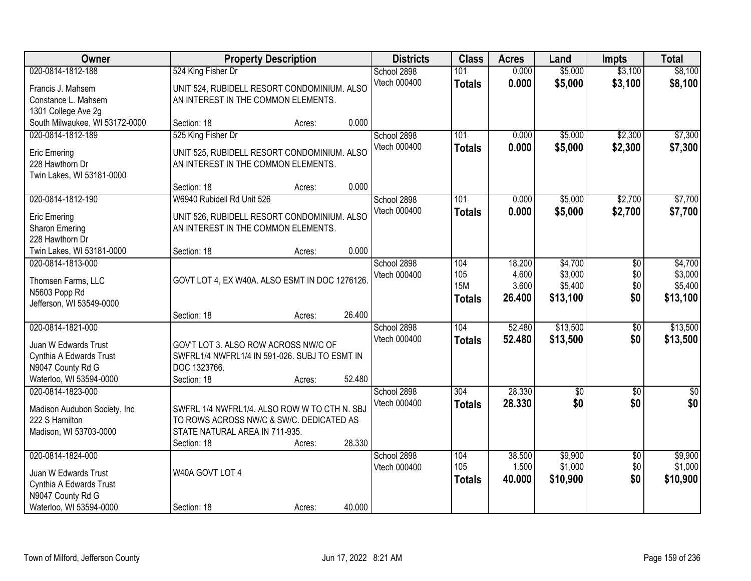| Owner                                 |                                                                                    | <b>Property Description</b> |        | <b>Districts</b> | <b>Class</b>  | <b>Acres</b> | Land            | <b>Impts</b>    | <b>Total</b>     |
|---------------------------------------|------------------------------------------------------------------------------------|-----------------------------|--------|------------------|---------------|--------------|-----------------|-----------------|------------------|
| 020-0814-1812-188                     | 524 King Fisher Dr                                                                 |                             |        | School 2898      | 101           | 0.000        | \$5,000         | \$3,100         | \$8,100          |
| Francis J. Mahsem                     | UNIT 524, RUBIDELL RESORT CONDOMINIUM. ALSO                                        |                             |        | Vtech 000400     | <b>Totals</b> | 0.000        | \$5,000         | \$3,100         | \$8,100          |
| Constance L. Mahsem                   | AN INTEREST IN THE COMMON ELEMENTS.                                                |                             |        |                  |               |              |                 |                 |                  |
| 1301 College Ave 2g                   |                                                                                    |                             |        |                  |               |              |                 |                 |                  |
| South Milwaukee, WI 53172-0000        | Section: 18                                                                        | Acres:                      | 0.000  |                  |               |              |                 |                 |                  |
| 020-0814-1812-189                     | 525 King Fisher Dr                                                                 |                             |        | School 2898      | 101           | 0.000        | \$5,000         | \$2,300         | \$7,300          |
| <b>Eric Emering</b>                   | UNIT 525, RUBIDELL RESORT CONDOMINIUM. ALSO                                        |                             |        | Vtech 000400     | <b>Totals</b> | 0.000        | \$5,000         | \$2,300         | \$7,300          |
| 228 Hawthorn Dr                       | AN INTEREST IN THE COMMON ELEMENTS.                                                |                             |        |                  |               |              |                 |                 |                  |
| Twin Lakes, WI 53181-0000             |                                                                                    |                             |        |                  |               |              |                 |                 |                  |
|                                       | Section: 18                                                                        | Acres:                      | 0.000  |                  |               |              |                 |                 |                  |
| 020-0814-1812-190                     | W6940 Rubidell Rd Unit 526                                                         |                             |        | School 2898      | 101           | 0.000        | \$5,000         | \$2,700         | \$7,700          |
|                                       |                                                                                    |                             |        | Vtech 000400     | <b>Totals</b> | 0.000        | \$5,000         | \$2,700         | \$7,700          |
| <b>Eric Emering</b><br>Sharon Emering | UNIT 526, RUBIDELL RESORT CONDOMINIUM. ALSO<br>AN INTEREST IN THE COMMON ELEMENTS. |                             |        |                  |               |              |                 |                 |                  |
| 228 Hawthorn Dr                       |                                                                                    |                             |        |                  |               |              |                 |                 |                  |
| Twin Lakes, WI 53181-0000             | Section: 18                                                                        | Acres:                      | 0.000  |                  |               |              |                 |                 |                  |
| 020-0814-1813-000                     |                                                                                    |                             |        | School 2898      | 104           | 18.200       | \$4,700         | \$0             | \$4,700          |
|                                       |                                                                                    |                             |        | Vtech 000400     | 105           | 4.600        | \$3,000         | \$0             | \$3,000          |
| Thomsen Farms, LLC                    | GOVT LOT 4, EX W40A. ALSO ESMT IN DOC 1276126.                                     |                             |        |                  | <b>15M</b>    | 3.600        | \$5,400         | \$0             | \$5,400          |
| N5603 Popp Rd                         |                                                                                    |                             |        |                  | <b>Totals</b> | 26.400       | \$13,100        | \$0             | \$13,100         |
| Jefferson, WI 53549-0000              |                                                                                    |                             |        |                  |               |              |                 |                 |                  |
|                                       | Section: 18                                                                        | Acres:                      | 26.400 |                  |               |              |                 |                 |                  |
| 020-0814-1821-000                     |                                                                                    |                             |        | School 2898      | 104           | 52.480       | \$13,500        | $\overline{30}$ | \$13,500         |
| Juan W Edwards Trust                  | GOV'T LOT 3. ALSO ROW ACROSS NW/C OF                                               |                             |        | Vtech 000400     | <b>Totals</b> | 52.480       | \$13,500        | \$0             | \$13,500         |
| Cynthia A Edwards Trust               | SWFRL1/4 NWFRL1/4 IN 591-026. SUBJ TO ESMT IN                                      |                             |        |                  |               |              |                 |                 |                  |
| N9047 County Rd G                     | DOC 1323766.                                                                       |                             |        |                  |               |              |                 |                 |                  |
| Waterloo, WI 53594-0000               | Section: 18                                                                        | Acres:                      | 52.480 |                  |               |              |                 |                 |                  |
| 020-0814-1823-000                     |                                                                                    |                             |        | School 2898      | 304           | 28.330       | $\overline{50}$ | $\overline{30}$ | $\overline{\$0}$ |
| Madison Audubon Society, Inc.         | SWFRL 1/4 NWFRL1/4. ALSO ROW W TO CTH N. SBJ                                       |                             |        | Vtech 000400     | <b>Totals</b> | 28.330       | \$0             | \$0             | \$0              |
| 222 S Hamilton                        | TO ROWS ACROSS NW/C & SW/C. DEDICATED AS                                           |                             |        |                  |               |              |                 |                 |                  |
| Madison, WI 53703-0000                | STATE NATURAL AREA IN 711-935.                                                     |                             |        |                  |               |              |                 |                 |                  |
|                                       | Section: 18                                                                        | Acres:                      | 28.330 |                  |               |              |                 |                 |                  |
| 020-0814-1824-000                     |                                                                                    |                             |        | School 2898      | 104           | 38,500       | \$9,900         | $\overline{50}$ | \$9,900          |
| Juan W Edwards Trust                  | W40A GOVT LOT 4                                                                    |                             |        | Vtech 000400     | 105           | 1.500        | \$1,000         | \$0             | \$1,000          |
| Cynthia A Edwards Trust               |                                                                                    |                             |        |                  | <b>Totals</b> | 40.000       | \$10,900        | \$0             | \$10,900         |
| N9047 County Rd G                     |                                                                                    |                             |        |                  |               |              |                 |                 |                  |
| Waterloo, WI 53594-0000               | Section: 18                                                                        | Acres:                      | 40.000 |                  |               |              |                 |                 |                  |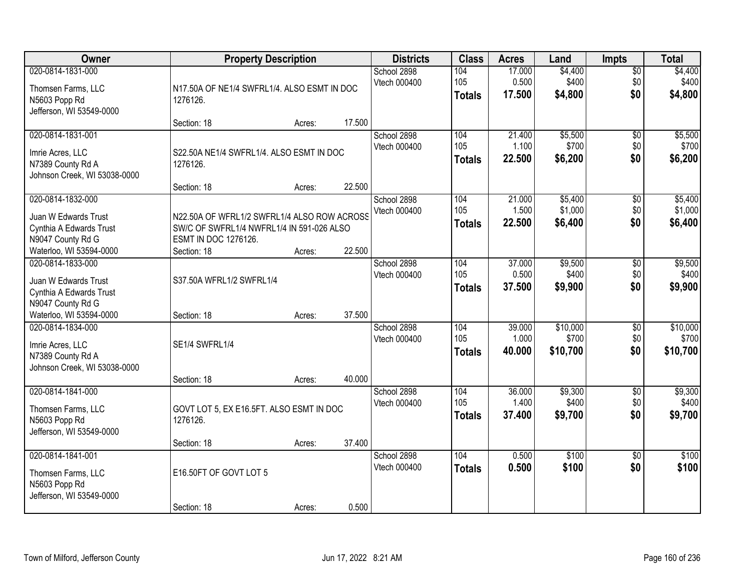| Owner                                                                                      | <b>Property Description</b>                                                                                      |        |        | <b>Districts</b>            | <b>Class</b>                | <b>Acres</b>              | Land                          | <b>Impts</b>                  | <b>Total</b>                  |
|--------------------------------------------------------------------------------------------|------------------------------------------------------------------------------------------------------------------|--------|--------|-----------------------------|-----------------------------|---------------------------|-------------------------------|-------------------------------|-------------------------------|
| 020-0814-1831-000<br>Thomsen Farms, LLC<br>N5603 Popp Rd<br>Jefferson, WI 53549-0000       | N17.50A OF NE1/4 SWFRL1/4. ALSO ESMT IN DOC<br>1276126.                                                          |        |        | School 2898<br>Vtech 000400 | 104<br>105<br><b>Totals</b> | 17.000<br>0.500<br>17.500 | \$4,400<br>\$400<br>\$4,800   | \$0<br>\$0<br>\$0             | \$4,400<br>\$400<br>\$4,800   |
|                                                                                            | Section: 18                                                                                                      | Acres: | 17.500 |                             |                             |                           |                               |                               |                               |
| 020-0814-1831-001<br>Imrie Acres, LLC<br>N7389 County Rd A<br>Johnson Creek, WI 53038-0000 | S22.50A NE1/4 SWFRL1/4, ALSO ESMT IN DOC<br>1276126.                                                             |        |        | School 2898<br>Vtech 000400 | 104<br>105<br><b>Totals</b> | 21.400<br>1.100<br>22.500 | \$5,500<br>\$700<br>\$6,200   | \$0<br>\$0<br>\$0             | \$5,500<br>\$700<br>\$6,200   |
| 020-0814-1832-000                                                                          | Section: 18                                                                                                      | Acres: | 22.500 | School 2898                 | 104                         | 21.000                    | \$5,400                       | \$0                           | \$5,400                       |
| Juan W Edwards Trust<br>Cynthia A Edwards Trust<br>N9047 County Rd G                       | N22.50A OF WFRL1/2 SWFRL1/4 ALSO ROW ACROSS<br>SW/C OF SWFRL1/4 NWFRL1/4 IN 591-026 ALSO<br>ESMT IN DOC 1276126. |        |        | Vtech 000400                | 105<br><b>Totals</b>        | 1.500<br>22.500           | \$1,000<br>\$6,400            | \$0<br>\$0                    | \$1,000<br>\$6,400            |
| Waterloo, WI 53594-0000                                                                    | Section: 18                                                                                                      | Acres: | 22.500 |                             |                             |                           |                               |                               |                               |
| 020-0814-1833-000<br>Juan W Edwards Trust<br>Cynthia A Edwards Trust<br>N9047 County Rd G  | S37.50A WFRL1/2 SWFRL1/4                                                                                         |        |        | School 2898<br>Vtech 000400 | 104<br>105<br><b>Totals</b> | 37.000<br>0.500<br>37.500 | \$9,500<br>\$400<br>\$9,900   | \$0<br>\$0<br>\$0             | \$9,500<br>\$400<br>\$9,900   |
| Waterloo, WI 53594-0000                                                                    | Section: 18                                                                                                      | Acres: | 37.500 |                             |                             |                           |                               |                               |                               |
| 020-0814-1834-000<br>Imrie Acres, LLC<br>N7389 County Rd A<br>Johnson Creek, WI 53038-0000 | SE1/4 SWFRL1/4                                                                                                   |        |        | School 2898<br>Vtech 000400 | 104<br>105<br><b>Totals</b> | 39.000<br>1.000<br>40.000 | \$10,000<br>\$700<br>\$10,700 | \$0<br>\$0<br>\$0             | \$10,000<br>\$700<br>\$10,700 |
|                                                                                            | Section: 18                                                                                                      | Acres: | 40.000 |                             |                             |                           |                               |                               |                               |
| 020-0814-1841-000<br>Thomsen Farms, LLC<br>N5603 Popp Rd<br>Jefferson, WI 53549-0000       | GOVT LOT 5, EX E16.5FT. ALSO ESMT IN DOC<br>1276126.                                                             |        |        | School 2898<br>Vtech 000400 | 104<br>105<br><b>Totals</b> | 36.000<br>1.400<br>37,400 | \$9,300<br>\$400<br>\$9,700   | $\overline{50}$<br>\$0<br>\$0 | \$9,300<br>\$400<br>\$9,700   |
|                                                                                            | Section: 18                                                                                                      | Acres: | 37.400 |                             |                             |                           |                               |                               |                               |
| 020-0814-1841-001<br>Thomsen Farms, LLC<br>N5603 Popp Rd<br>Jefferson, WI 53549-0000       | E16.50FT OF GOVT LOT 5                                                                                           |        |        | School 2898<br>Vtech 000400 | 104<br><b>Totals</b>        | 0.500<br>0.500            | \$100<br>\$100                | $\overline{50}$<br>\$0        | \$100<br>\$100                |
|                                                                                            | Section: 18                                                                                                      | Acres: | 0.500  |                             |                             |                           |                               |                               |                               |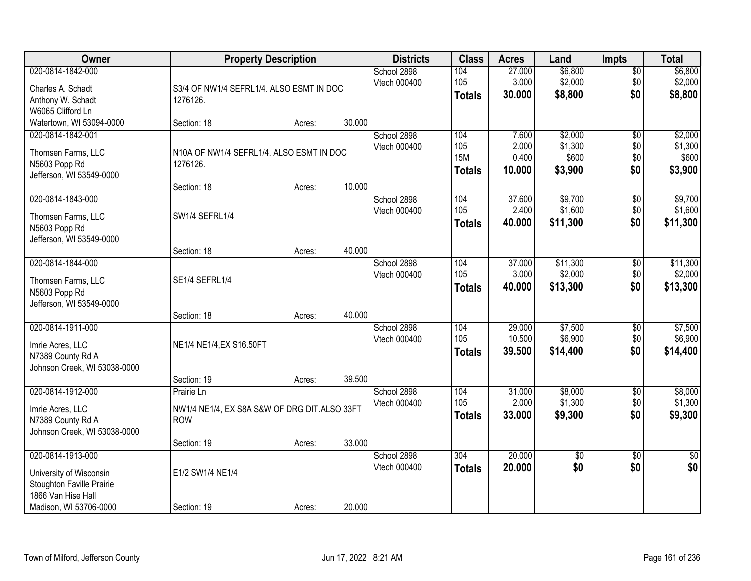| Owner                                                                                           |                                                                          | <b>Property Description</b> |        | <b>Districts</b>            | <b>Class</b>                              | <b>Acres</b>                      | Land                                   | <b>Impts</b>                         | <b>Total</b>                           |
|-------------------------------------------------------------------------------------------------|--------------------------------------------------------------------------|-----------------------------|--------|-----------------------------|-------------------------------------------|-----------------------------------|----------------------------------------|--------------------------------------|----------------------------------------|
| 020-0814-1842-000<br>Charles A. Schadt<br>Anthony W. Schadt<br>W6065 Clifford Ln                | S3/4 OF NW1/4 SEFRL1/4. ALSO ESMT IN DOC<br>1276126.                     |                             |        | School 2898<br>Vtech 000400 | 104<br>105<br><b>Totals</b>               | 27.000<br>3.000<br>30.000         | \$6,800<br>\$2,000<br>\$8,800          | $\overline{50}$<br>\$0<br>\$0        | \$6,800<br>\$2,000<br>\$8,800          |
| Watertown, WI 53094-0000                                                                        | Section: 18                                                              | Acres:                      | 30.000 |                             |                                           |                                   |                                        |                                      |                                        |
| 020-0814-1842-001<br>Thomsen Farms, LLC<br>N5603 Popp Rd<br>Jefferson, WI 53549-0000            | N10A OF NW1/4 SEFRL1/4. ALSO ESMT IN DOC<br>1276126.<br>Section: 18      | Acres:                      | 10.000 | School 2898<br>Vtech 000400 | 104<br>105<br><b>15M</b><br><b>Totals</b> | 7.600<br>2.000<br>0.400<br>10.000 | \$2,000<br>\$1,300<br>\$600<br>\$3,900 | $\overline{50}$<br>\$0<br>\$0<br>\$0 | \$2,000<br>\$1,300<br>\$600<br>\$3,900 |
| 020-0814-1843-000<br>Thomsen Farms, LLC<br>N5603 Popp Rd<br>Jefferson, WI 53549-0000            | SW1/4 SEFRL1/4                                                           |                             |        | School 2898<br>Vtech 000400 | 104<br>105<br><b>Totals</b>               | 37.600<br>2.400<br>40.000         | \$9,700<br>\$1,600<br>\$11,300         | \$0<br>\$0<br>\$0                    | \$9,700<br>\$1,600<br>\$11,300         |
|                                                                                                 | Section: 18                                                              | Acres:                      | 40.000 |                             |                                           |                                   |                                        |                                      |                                        |
| 020-0814-1844-000<br>Thomsen Farms, LLC<br>N5603 Popp Rd<br>Jefferson, WI 53549-0000            | SE1/4 SEFRL1/4                                                           |                             |        | School 2898<br>Vtech 000400 | 104<br>105<br><b>Totals</b>               | 37.000<br>3.000<br>40.000         | \$11,300<br>\$2,000<br>\$13,300        | \$0<br>\$0<br>\$0                    | \$11,300<br>\$2,000<br>\$13,300        |
|                                                                                                 | Section: 18                                                              | Acres:                      | 40.000 |                             |                                           |                                   |                                        |                                      |                                        |
| 020-0814-1911-000<br>Imrie Acres, LLC<br>N7389 County Rd A<br>Johnson Creek, WI 53038-0000      | NE1/4 NE1/4, EX S16.50FT                                                 |                             |        | School 2898<br>Vtech 000400 | 104<br>105<br><b>Totals</b>               | 29.000<br>10.500<br>39.500        | \$7,500<br>\$6,900<br>\$14,400         | $\overline{30}$<br>\$0<br>\$0        | \$7,500<br>\$6,900<br>\$14,400         |
|                                                                                                 | Section: 19                                                              | Acres:                      | 39.500 |                             |                                           |                                   |                                        |                                      |                                        |
| 020-0814-1912-000<br>Imrie Acres, LLC<br>N7389 County Rd A<br>Johnson Creek, WI 53038-0000      | Prairie Ln<br>NW1/4 NE1/4, EX S8A S&W OF DRG DIT.ALSO 33FT<br><b>ROW</b> |                             |        | School 2898<br>Vtech 000400 | 104<br>105<br><b>Totals</b>               | 31.000<br>2.000<br>33.000         | \$8,000<br>\$1,300<br>\$9,300          | $\overline{60}$<br>\$0<br>\$0        | \$8,000<br>\$1,300<br>\$9,300          |
|                                                                                                 | Section: 19                                                              | Acres:                      | 33.000 |                             |                                           |                                   |                                        |                                      |                                        |
| 020-0814-1913-000<br>University of Wisconsin<br>Stoughton Faville Prairie<br>1866 Van Hise Hall | E1/2 SW1/4 NE1/4                                                         |                             |        | School 2898<br>Vtech 000400 | 304<br><b>Totals</b>                      | 20.000<br>20.000                  | $\overline{30}$<br>\$0                 | $\overline{50}$<br>\$0               | $\frac{1}{2}$<br>\$0                   |
| Madison, WI 53706-0000                                                                          | Section: 19                                                              | Acres:                      | 20.000 |                             |                                           |                                   |                                        |                                      |                                        |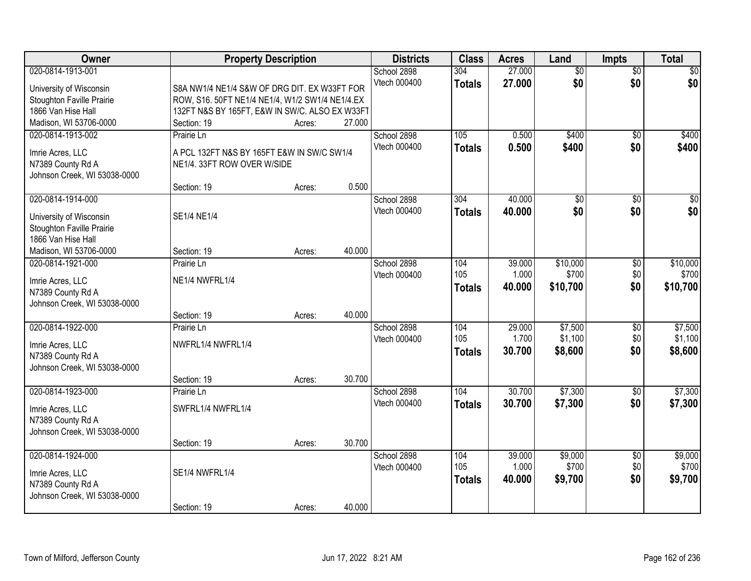| Owner                                 |                                                                           | <b>Property Description</b> |        | <b>Districts</b> | <b>Class</b>  | <b>Acres</b> | Land            | <b>Impts</b>           | <b>Total</b>     |
|---------------------------------------|---------------------------------------------------------------------------|-----------------------------|--------|------------------|---------------|--------------|-----------------|------------------------|------------------|
| 020-0814-1913-001                     |                                                                           |                             |        | School 2898      | 304           | 27.000       | $\overline{50}$ | $\overline{50}$        | \$0              |
| University of Wisconsin               | S8A NW1/4 NE1/4 S&W OF DRG DIT. EX W33FT FOR                              |                             |        | Vtech 000400     | <b>Totals</b> | 27.000       | \$0             | \$0                    | \$0              |
| Stoughton Faville Prairie             | ROW, S16. 50FT NE1/4 NE1/4, W1/2 SW1/4 NE1/4.EX                           |                             |        |                  |               |              |                 |                        |                  |
| 1866 Van Hise Hall                    | 132FT N&S BY 165FT, E&W IN SW/C. ALSO EX W33FT                            |                             |        |                  |               |              |                 |                        |                  |
| Madison, WI 53706-0000                | Section: 19                                                               | Acres:                      | 27.000 |                  |               |              |                 |                        |                  |
| 020-0814-1913-002                     | Prairie Ln                                                                |                             |        | School 2898      | 105           | 0.500        | \$400           | \$0                    | \$400            |
|                                       |                                                                           |                             |        | Vtech 000400     | <b>Totals</b> | 0.500        | \$400           | \$0                    | \$400            |
| Imrie Acres, LLC<br>N7389 County Rd A | A PCL 132FT N&S BY 165FT E&W IN SW/C SW1/4<br>NE1/4. 33FT ROW OVER W/SIDE |                             |        |                  |               |              |                 |                        |                  |
| Johnson Creek, WI 53038-0000          |                                                                           |                             |        |                  |               |              |                 |                        |                  |
|                                       | Section: 19                                                               | Acres:                      | 0.500  |                  |               |              |                 |                        |                  |
| 020-0814-1914-000                     |                                                                           |                             |        | School 2898      | 304           | 40.000       | $\overline{50}$ | \$0                    | $\overline{\$0}$ |
|                                       |                                                                           |                             |        | Vtech 000400     | <b>Totals</b> | 40.000       | \$0             | \$0                    | \$0              |
| University of Wisconsin               | SE1/4 NE1/4                                                               |                             |        |                  |               |              |                 |                        |                  |
| Stoughton Faville Prairie             |                                                                           |                             |        |                  |               |              |                 |                        |                  |
| 1866 Van Hise Hall                    |                                                                           |                             |        |                  |               |              |                 |                        |                  |
| Madison, WI 53706-0000                | Section: 19                                                               | Acres:                      | 40.000 |                  |               |              |                 |                        |                  |
| 020-0814-1921-000                     | Prairie Ln                                                                |                             |        | School 2898      | 104           | 39.000       | \$10,000        | $\sqrt[6]{3}$          | \$10,000         |
| Imrie Acres, LLC                      | NE1/4 NWFRL1/4                                                            |                             |        | Vtech 000400     | 105           | 1.000        | \$700           | \$0                    | \$700            |
| N7389 County Rd A                     |                                                                           |                             |        |                  | <b>Totals</b> | 40.000       | \$10,700        | \$0                    | \$10,700         |
| Johnson Creek, WI 53038-0000          |                                                                           |                             |        |                  |               |              |                 |                        |                  |
|                                       | Section: 19                                                               | Acres:                      | 40.000 |                  |               |              |                 |                        |                  |
| 020-0814-1922-000                     | Prairie Ln                                                                |                             |        | School 2898      | 104           | 29.000       | \$7,500         | $\overline{50}$        | \$7,500          |
| Imrie Acres, LLC                      | NWFRL1/4 NWFRL1/4                                                         |                             |        | Vtech 000400     | 105           | 1.700        | \$1,100         | \$0                    | \$1,100          |
| N7389 County Rd A                     |                                                                           |                             |        |                  | <b>Totals</b> | 30.700       | \$8,600         | \$0                    | \$8,600          |
| Johnson Creek, WI 53038-0000          |                                                                           |                             |        |                  |               |              |                 |                        |                  |
|                                       | Section: 19                                                               | Acres:                      | 30.700 |                  |               |              |                 |                        |                  |
| 020-0814-1923-000                     | Prairie Ln                                                                |                             |        | School 2898      | 104           | 30.700       | \$7,300         | \$0                    | \$7,300          |
|                                       |                                                                           |                             |        | Vtech 000400     | <b>Totals</b> | 30.700       | \$7,300         | \$0                    | \$7,300          |
| Imrie Acres, LLC                      | SWFRL1/4 NWFRL1/4                                                         |                             |        |                  |               |              |                 |                        |                  |
| N7389 County Rd A                     |                                                                           |                             |        |                  |               |              |                 |                        |                  |
| Johnson Creek, WI 53038-0000          | Section: 19                                                               |                             | 30.700 |                  |               |              |                 |                        |                  |
| 020-0814-1924-000                     |                                                                           | Acres:                      |        | School 2898      | 104           | 39.000       | \$9,000         |                        | \$9,000          |
|                                       |                                                                           |                             |        | Vtech 000400     | 105           | 1.000        | \$700           | $\overline{60}$<br>\$0 | \$700            |
| Imrie Acres, LLC                      | SE1/4 NWFRL1/4                                                            |                             |        |                  |               | 40.000       | \$9,700         | \$0                    | \$9,700          |
| N7389 County Rd A                     |                                                                           |                             |        |                  | <b>Totals</b> |              |                 |                        |                  |
| Johnson Creek, WI 53038-0000          |                                                                           |                             |        |                  |               |              |                 |                        |                  |
|                                       | Section: 19                                                               | Acres:                      | 40.000 |                  |               |              |                 |                        |                  |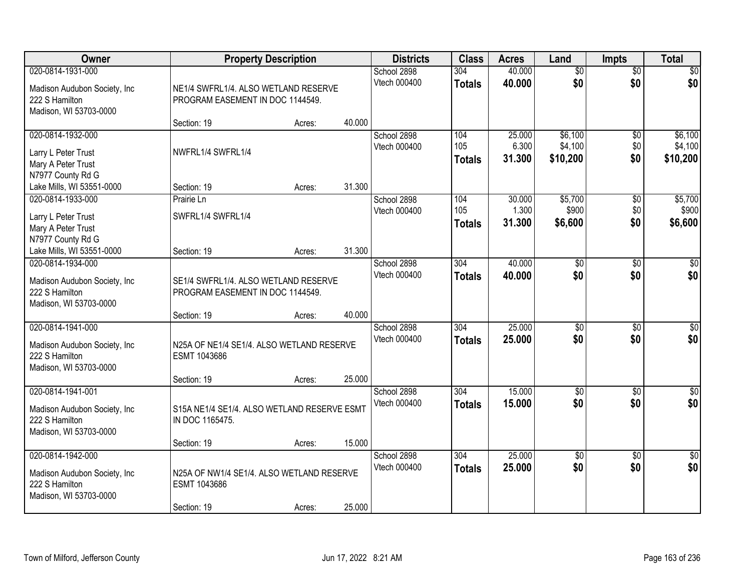| Owner                                                                                          | <b>Property Description</b>                                              |        |        | <b>Districts</b>            | <b>Class</b>                      | <b>Acres</b>              | Land                           | <b>Impts</b>                  | <b>Total</b>                   |
|------------------------------------------------------------------------------------------------|--------------------------------------------------------------------------|--------|--------|-----------------------------|-----------------------------------|---------------------------|--------------------------------|-------------------------------|--------------------------------|
| 020-0814-1931-000<br>Madison Audubon Society, Inc.<br>222 S Hamilton<br>Madison, WI 53703-0000 | NE1/4 SWFRL1/4. ALSO WETLAND RESERVE<br>PROGRAM EASEMENT IN DOC 1144549. |        |        | School 2898<br>Vtech 000400 | 304<br><b>Totals</b>              | 40.000<br>40.000          | $\overline{50}$<br>\$0         | $\overline{50}$<br>\$0        | $\overline{30}$<br>\$0         |
|                                                                                                | Section: 19                                                              | Acres: | 40.000 |                             |                                   |                           |                                |                               |                                |
| 020-0814-1932-000<br>Larry L Peter Trust<br>Mary A Peter Trust<br>N7977 County Rd G            | NWFRL1/4 SWFRL1/4                                                        |        |        | School 2898<br>Vtech 000400 | 104<br>105<br><b>Totals</b>       | 25.000<br>6.300<br>31.300 | \$6,100<br>\$4,100<br>\$10,200 | $\overline{50}$<br>\$0<br>\$0 | \$6,100<br>\$4,100<br>\$10,200 |
| Lake Mills, WI 53551-0000                                                                      | Section: 19                                                              | Acres: | 31.300 |                             |                                   |                           |                                |                               |                                |
| 020-0814-1933-000<br>Larry L Peter Trust<br>Mary A Peter Trust<br>N7977 County Rd G            | Prairie Ln<br>SWFRL1/4 SWFRL1/4                                          |        |        | School 2898<br>Vtech 000400 | 104<br>105<br><b>Totals</b>       | 30.000<br>1.300<br>31.300 | \$5,700<br>\$900<br>\$6,600    | \$0<br>\$0<br>\$0             | \$5,700<br>\$900<br>\$6,600    |
| Lake Mills, WI 53551-0000                                                                      | Section: 19                                                              | Acres: | 31.300 |                             |                                   |                           |                                |                               |                                |
| 020-0814-1934-000<br>Madison Audubon Society, Inc.<br>222 S Hamilton<br>Madison, WI 53703-0000 | SE1/4 SWFRL1/4. ALSO WETLAND RESERVE<br>PROGRAM EASEMENT IN DOC 1144549. |        |        | School 2898<br>Vtech 000400 | 304<br><b>Totals</b>              | 40.000<br>40.000          | \$0<br>\$0                     | \$0<br>\$0                    | \$0<br>\$0                     |
|                                                                                                | Section: 19                                                              | Acres: | 40.000 |                             |                                   |                           |                                |                               |                                |
| 020-0814-1941-000<br>Madison Audubon Society, Inc<br>222 S Hamilton<br>Madison, WI 53703-0000  | N25A OF NE1/4 SE1/4. ALSO WETLAND RESERVE<br>ESMT 1043686<br>Section: 19 | Acres: | 25.000 | School 2898<br>Vtech 000400 | $\overline{304}$<br><b>Totals</b> | 25.000<br>25.000          | $\overline{30}$<br>\$0         | $\overline{30}$<br>\$0        | $\overline{30}$<br>\$0         |
| 020-0814-1941-001                                                                              |                                                                          |        |        | School 2898                 | 304                               | 15.000                    | $\overline{60}$                | $\overline{50}$               | $\overline{\$0}$               |
| Madison Audubon Society, Inc.<br>222 S Hamilton<br>Madison, WI 53703-0000                      | S15A NE1/4 SE1/4. ALSO WETLAND RESERVE ESMT<br>IN DOC 1165475.           |        |        | Vtech 000400                | <b>Totals</b>                     | 15.000                    | \$0                            | \$0                           | \$0                            |
|                                                                                                | Section: 19                                                              | Acres: | 15.000 |                             |                                   |                           |                                |                               |                                |
| 020-0814-1942-000<br>Madison Audubon Society, Inc.<br>222 S Hamilton<br>Madison, WI 53703-0000 | N25A OF NW1/4 SE1/4. ALSO WETLAND RESERVE<br>ESMT 1043686<br>Section: 19 | Acres: | 25.000 | School 2898<br>Vtech 000400 | 304<br><b>Totals</b>              | 25.000<br>25.000          | $\overline{50}$<br>\$0         | $\overline{50}$<br>\$0        | $\overline{50}$<br>\$0         |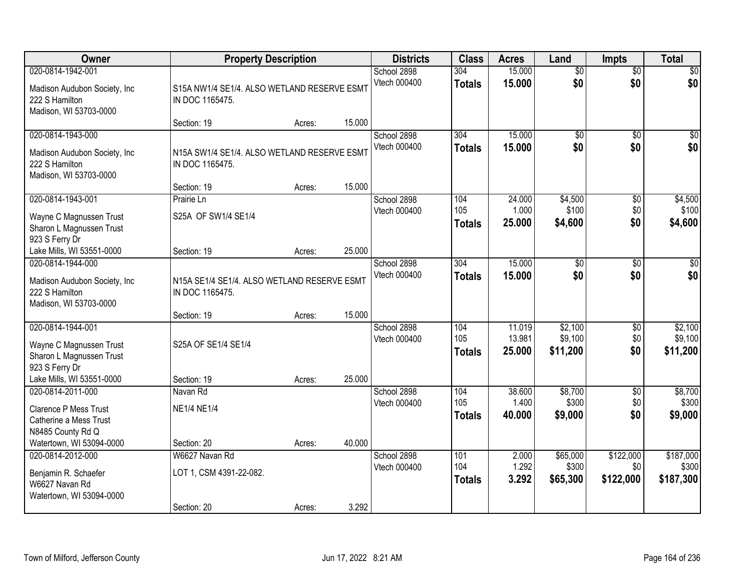| Owner                                                                                                                   |                                                                | <b>Property Description</b> |        | <b>Districts</b>            | <b>Class</b>                | <b>Acres</b>               | Land                           | <b>Impts</b>                  | <b>Total</b>                    |
|-------------------------------------------------------------------------------------------------------------------------|----------------------------------------------------------------|-----------------------------|--------|-----------------------------|-----------------------------|----------------------------|--------------------------------|-------------------------------|---------------------------------|
| 020-0814-1942-001<br>Madison Audubon Society, Inc.<br>222 S Hamilton<br>Madison, WI 53703-0000                          | S15A NW1/4 SE1/4. ALSO WETLAND RESERVE ESMT<br>IN DOC 1165475. |                             |        | School 2898<br>Vtech 000400 | 304<br><b>Totals</b>        | 15.000<br>15.000           | $\overline{50}$<br>\$0         | $\overline{50}$<br>\$0        | \$0<br>\$0                      |
|                                                                                                                         | Section: 19                                                    | Acres:                      | 15.000 |                             |                             |                            |                                |                               |                                 |
| 020-0814-1943-000<br>Madison Audubon Society, Inc.<br>222 S Hamilton<br>Madison, WI 53703-0000                          | N15A SW1/4 SE1/4. ALSO WETLAND RESERVE ESMT<br>IN DOC 1165475. |                             |        | School 2898<br>Vtech 000400 | 304<br><b>Totals</b>        | 15.000<br>15.000           | \$0<br>\$0                     | $\overline{50}$<br>\$0        | $\sqrt{50}$<br>\$0              |
|                                                                                                                         | Section: 19                                                    | Acres:                      | 15.000 |                             |                             |                            |                                |                               |                                 |
| 020-0814-1943-001<br>Wayne C Magnussen Trust<br>Sharon L Magnussen Trust<br>923 S Ferry Dr                              | Prairie Ln<br>S25A OF SW1/4 SE1/4                              |                             |        | School 2898<br>Vtech 000400 | 104<br>105<br><b>Totals</b> | 24.000<br>1.000<br>25.000  | \$4,500<br>\$100<br>\$4,600    | \$0<br>\$0<br>\$0             | \$4,500<br>\$100<br>\$4,600     |
| Lake Mills, WI 53551-0000                                                                                               | Section: 19                                                    | Acres:                      | 25.000 |                             |                             |                            |                                |                               |                                 |
| 020-0814-1944-000<br>Madison Audubon Society, Inc.<br>222 S Hamilton<br>Madison, WI 53703-0000                          | N15A SE1/4 SE1/4. ALSO WETLAND RESERVE ESMT<br>IN DOC 1165475. |                             |        | School 2898<br>Vtech 000400 | 304<br><b>Totals</b>        | 15.000<br>15.000           | $\overline{50}$<br>\$0         | \$0<br>\$0                    | $\sqrt{50}$<br>\$0              |
|                                                                                                                         | Section: 19                                                    | Acres:                      | 15.000 |                             |                             |                            |                                |                               |                                 |
| 020-0814-1944-001<br>Wayne C Magnussen Trust<br>Sharon L Magnussen Trust<br>923 S Ferry Dr<br>Lake Mills, WI 53551-0000 | S25A OF SE1/4 SE1/4<br>Section: 19                             | Acres:                      | 25.000 | School 2898<br>Vtech 000400 | 104<br>105<br><b>Totals</b> | 11.019<br>13.981<br>25.000 | \$2,100<br>\$9,100<br>\$11,200 | \$0<br>\$0<br>\$0             | \$2,100<br>\$9,100<br>\$11,200  |
| 020-0814-2011-000                                                                                                       | Navan Rd                                                       |                             |        | School 2898                 | 104                         | 38.600                     | \$8,700                        | $\sqrt{$0}$                   | \$8,700                         |
| <b>Clarence P Mess Trust</b><br>Catherine a Mess Trust<br>N8485 County Rd Q                                             | <b>NE1/4 NE1/4</b>                                             |                             |        | Vtech 000400                | 105<br><b>Totals</b>        | 1.400<br>40.000            | \$300<br>\$9,000               | \$0<br>\$0                    | \$300<br>\$9,000                |
| Watertown, WI 53094-0000                                                                                                | Section: 20                                                    | Acres:                      | 40.000 |                             |                             |                            |                                |                               |                                 |
| 020-0814-2012-000<br>Benjamin R. Schaefer<br>W6627 Navan Rd<br>Watertown, WI 53094-0000                                 | W6627 Navan Rd<br>LOT 1, CSM 4391-22-082.<br>Section: 20       | Acres:                      | 3.292  | School 2898<br>Vtech 000400 | 101<br>104<br><b>Totals</b> | 2.000<br>1.292<br>3.292    | \$65,000<br>\$300<br>\$65,300  | \$122,000<br>\$0<br>\$122,000 | \$187,000<br>\$300<br>\$187,300 |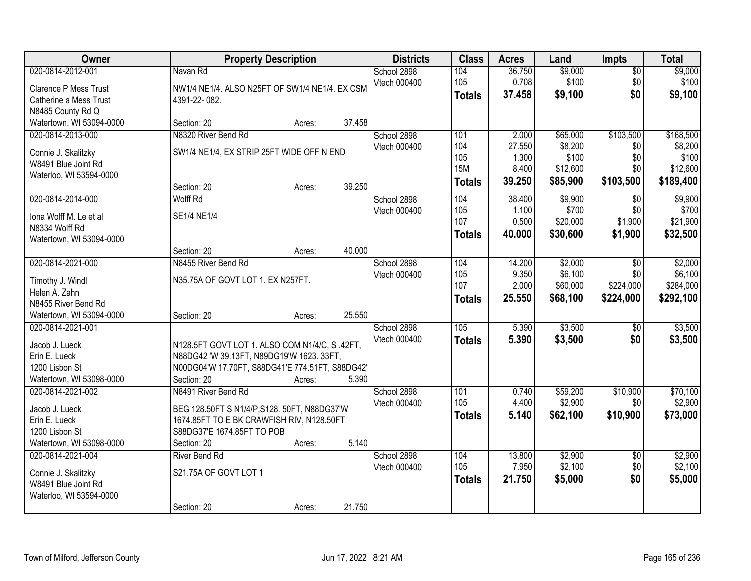| Owner                           | <b>Property Description</b>                                             | <b>Districts</b> | <b>Class</b>     | <b>Acres</b> | Land     | <b>Impts</b>    | <b>Total</b> |
|---------------------------------|-------------------------------------------------------------------------|------------------|------------------|--------------|----------|-----------------|--------------|
| 020-0814-2012-001               | Navan Rd                                                                | School 2898      | 104              | 36.750       | \$9,000  | \$0             | \$9,000      |
| <b>Clarence P Mess Trust</b>    | NW1/4 NE1/4. ALSO N25FT OF SW1/4 NE1/4. EX CSM                          | Vtech 000400     | 105              | 0.708        | \$100    | \$0             | \$100        |
| Catherine a Mess Trust          | 4391-22-082.                                                            |                  | <b>Totals</b>    | 37.458       | \$9,100  | \$0             | \$9,100      |
| N8485 County Rd Q               |                                                                         |                  |                  |              |          |                 |              |
| Watertown, WI 53094-0000        | 37.458<br>Section: 20<br>Acres:                                         |                  |                  |              |          |                 |              |
| 020-0814-2013-000               | N8320 River Bend Rd                                                     | School 2898      | 101              | 2.000        | \$65,000 | \$103,500       | \$168,500    |
| Connie J. Skalitzky             | SW1/4 NE1/4, EX STRIP 25FT WIDE OFF N END                               | Vtech 000400     | 104              | 27.550       | \$8,200  | \$0             | \$8,200      |
| W8491 Blue Joint Rd             |                                                                         |                  | 105              | 1.300        | \$100    | \$0             | \$100        |
| Waterloo, WI 53594-0000         |                                                                         |                  | <b>15M</b>       | 8.400        | \$12,600 | \$0             | \$12,600     |
|                                 | 39.250<br>Section: 20<br>Acres:                                         |                  | <b>Totals</b>    | 39.250       | \$85,900 | \$103,500       | \$189,400    |
| 020-0814-2014-000               | <b>Wolff Rd</b>                                                         | School 2898      | 104              | 38.400       | \$9,900  | \$0             | \$9,900      |
| Iona Wolff M. Le et al          | SE1/4 NE1/4                                                             | Vtech 000400     | 105              | 1.100        | \$700    | \$0             | \$700        |
| N8334 Wolff Rd                  |                                                                         |                  | 107              | 0.500        | \$20,000 | \$1,900         | \$21,900     |
| Watertown, WI 53094-0000        |                                                                         |                  | Totals           | 40.000       | \$30,600 | \$1,900         | \$32,500     |
|                                 | 40.000<br>Section: 20<br>Acres:                                         |                  |                  |              |          |                 |              |
| 020-0814-2021-000               | N8455 River Bend Rd                                                     | School 2898      | 104              | 14.200       | \$2,000  | \$0             | \$2,000      |
| Timothy J. Windl                | N35.75A OF GOVT LOT 1. EX N257FT.                                       | Vtech 000400     | 105              | 9.350        | \$6,100  | \$0             | \$6,100      |
| Helen A. Zahn                   |                                                                         |                  | 107              | 2.000        | \$60,000 | \$224,000       | \$284,000    |
| N8455 River Bend Rd             |                                                                         |                  | <b>Totals</b>    | 25.550       | \$68,100 | \$224,000       | \$292,100    |
| Watertown, WI 53094-0000        | 25.550<br>Section: 20<br>Acres:                                         |                  |                  |              |          |                 |              |
| 020-0814-2021-001               |                                                                         | School 2898      | $\overline{105}$ | 5.390        | \$3,500  | $\sqrt[6]{}$    | \$3,500      |
| Jacob J. Lueck                  | N128.5FT GOVT LOT 1. ALSO COM N1/4/C, S.42FT,                           | Vtech 000400     | <b>Totals</b>    | 5.390        | \$3,500  | \$0             | \$3,500      |
| Erin E. Lueck                   | N88DG42 'W 39.13FT, N89DG19'W 1623. 33FT,                               |                  |                  |              |          |                 |              |
| 1200 Lisbon St                  | N00DG04'W 17.70FT, S88DG41'E 774.51FT, S88DG42'                         |                  |                  |              |          |                 |              |
| Watertown, WI 53098-0000        | Section: 20<br>5.390<br>Acres:                                          |                  |                  |              |          |                 |              |
| 020-0814-2021-002               | N8491 River Bend Rd                                                     | School 2898      | 101              | 0.740        | \$59,200 | \$10,900        | \$70,100     |
|                                 |                                                                         | Vtech 000400     | 105              | 4.400        | \$2,900  | \$0             | \$2,900      |
| Jacob J. Lueck                  | BEG 128.50FT S N1/4/P, S128. 50FT, N88DG37'W                            |                  | <b>Totals</b>    | 5.140        | \$62,100 | \$10,900        | \$73,000     |
| Erin E. Lueck<br>1200 Lisbon St | 1674.85FT TO E BK CRAWFISH RIV, N128.50FT<br>S88DG37'E 1674.85FT TO POB |                  |                  |              |          |                 |              |
| Watertown, WI 53098-0000        | 5.140<br>Section: 20<br>Acres:                                          |                  |                  |              |          |                 |              |
| 020-0814-2021-004               | <b>River Bend Rd</b>                                                    | School 2898      | 104              | 13.800       | \$2,900  | $\overline{50}$ | \$2,900      |
|                                 |                                                                         | Vtech 000400     | 105              | 7.950        | \$2,100  | \$0             | \$2,100      |
| Connie J. Skalitzky             | S21.75A OF GOVT LOT 1                                                   |                  | <b>Totals</b>    | 21.750       | \$5,000  | \$0             | \$5,000      |
| W8491 Blue Joint Rd             |                                                                         |                  |                  |              |          |                 |              |
| Waterloo, WI 53594-0000         | 21.750<br>Section: 20                                                   |                  |                  |              |          |                 |              |
|                                 | Acres:                                                                  |                  |                  |              |          |                 |              |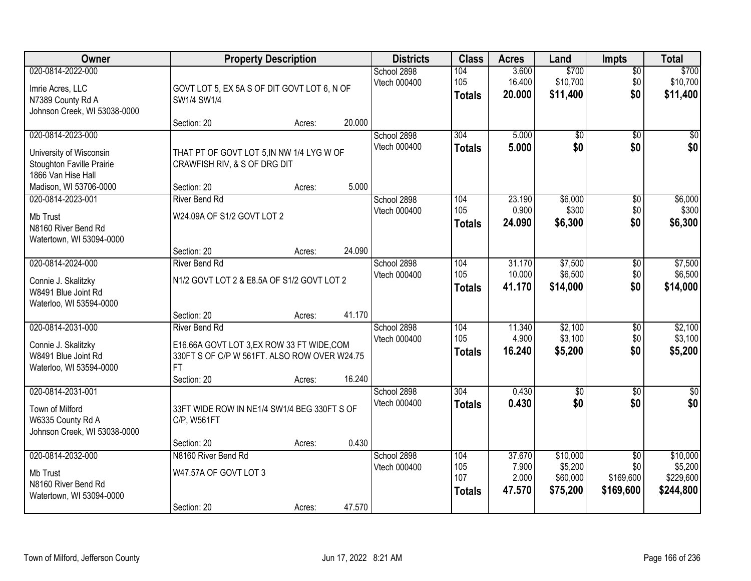| <b>Owner</b>                                                                                    |                                                                                                                                       | <b>Property Description</b> |        | <b>Districts</b>            | <b>Class</b>                | <b>Acres</b>               | Land                            | Impts                         | <b>Total</b>                      |
|-------------------------------------------------------------------------------------------------|---------------------------------------------------------------------------------------------------------------------------------------|-----------------------------|--------|-----------------------------|-----------------------------|----------------------------|---------------------------------|-------------------------------|-----------------------------------|
| 020-0814-2022-000<br>Imrie Acres, LLC<br>N7389 County Rd A<br>Johnson Creek, WI 53038-0000      | GOVT LOT 5, EX 5A S OF DIT GOVT LOT 6, N OF<br>SW1/4 SW1/4                                                                            |                             |        | School 2898<br>Vtech 000400 | 104<br>105<br><b>Totals</b> | 3.600<br>16.400<br>20.000  | \$700<br>\$10,700<br>\$11,400   | $\overline{50}$<br>\$0<br>\$0 | \$700<br>\$10,700<br>\$11,400     |
|                                                                                                 | Section: 20                                                                                                                           | Acres:                      | 20.000 |                             |                             |                            |                                 |                               |                                   |
| 020-0814-2023-000<br>University of Wisconsin<br>Stoughton Faville Prairie<br>1866 Van Hise Hall | THAT PT OF GOVT LOT 5, IN NW 1/4 LYG W OF<br>CRAWFISH RIV, & S OF DRG DIT                                                             |                             |        | School 2898<br>Vtech 000400 | 304<br><b>Totals</b>        | 5.000<br>5.000             | $\overline{60}$<br>\$0          | $\overline{50}$<br>\$0        | $\sqrt{50}$<br>\$0                |
| Madison, WI 53706-0000                                                                          | Section: 20                                                                                                                           | Acres:                      | 5.000  |                             |                             |                            |                                 |                               |                                   |
| 020-0814-2023-001<br>Mb Trust<br>N8160 River Bend Rd<br>Watertown, WI 53094-0000                | <b>River Bend Rd</b><br>W24.09A OF S1/2 GOVT LOT 2                                                                                    |                             |        | School 2898<br>Vtech 000400 | 104<br>105<br><b>Totals</b> | 23.190<br>0.900<br>24.090  | \$6,000<br>\$300<br>\$6,300     | $\overline{50}$<br>\$0<br>\$0 | \$6,000<br>\$300<br>\$6,300       |
|                                                                                                 | Section: 20                                                                                                                           | Acres:                      | 24.090 |                             |                             |                            |                                 |                               |                                   |
| 020-0814-2024-000<br>Connie J. Skalitzky<br>W8491 Blue Joint Rd<br>Waterloo, WI 53594-0000      | <b>River Bend Rd</b><br>N1/2 GOVT LOT 2 & E8.5A OF S1/2 GOVT LOT 2                                                                    |                             |        | School 2898<br>Vtech 000400 | 104<br>105<br><b>Totals</b> | 31.170<br>10.000<br>41.170 | \$7,500<br>\$6,500<br>\$14,000  | $\overline{50}$<br>\$0<br>\$0 | \$7,500<br>\$6,500<br>\$14,000    |
|                                                                                                 | Section: 20                                                                                                                           | Acres:                      | 41.170 |                             |                             |                            |                                 |                               |                                   |
| 020-0814-2031-000<br>Connie J. Skalitzky<br>W8491 Blue Joint Rd<br>Waterloo, WI 53594-0000      | <b>River Bend Rd</b><br>E16.66A GOVT LOT 3,EX ROW 33 FT WIDE,COM<br>330FT S OF C/P W 561FT. ALSO ROW OVER W24.75<br>FT<br>Section: 20 | Acres:                      | 16.240 | School 2898<br>Vtech 000400 | 104<br>105<br><b>Totals</b> | 11.340<br>4.900<br>16.240  | \$2,100<br>\$3,100<br>\$5,200   | $\overline{60}$<br>\$0<br>\$0 | \$2,100<br>\$3,100<br>\$5,200     |
| 020-0814-2031-001<br>Town of Milford<br>W6335 County Rd A<br>Johnson Creek, WI 53038-0000       | 33FT WIDE ROW IN NE1/4 SW1/4 BEG 330FT S OF<br>C/P, W561FT<br>Section: 20                                                             | Acres:                      | 0.430  | School 2898<br>Vtech 000400 | 304<br><b>Totals</b>        | 0.430<br>0.430             | $\sqrt{$0}$<br>\$0              | $\sqrt{6}$<br>\$0             | $\frac{6}{3}$<br>\$0              |
| 020-0814-2032-000                                                                               | N8160 River Bend Rd                                                                                                                   |                             |        | School 2898                 | 104                         | 37.670                     | \$10,000                        | $\overline{30}$               | \$10,000                          |
| <b>Mb Trust</b><br>N8160 River Bend Rd<br>Watertown, WI 53094-0000                              | W47.57A OF GOVT LOT 3<br>Section: 20                                                                                                  | Acres:                      | 47.570 | Vtech 000400                | 105<br>107<br><b>Totals</b> | 7.900<br>2.000<br>47.570   | \$5,200<br>\$60,000<br>\$75,200 | \$0<br>\$169,600<br>\$169,600 | \$5,200<br>\$229,600<br>\$244,800 |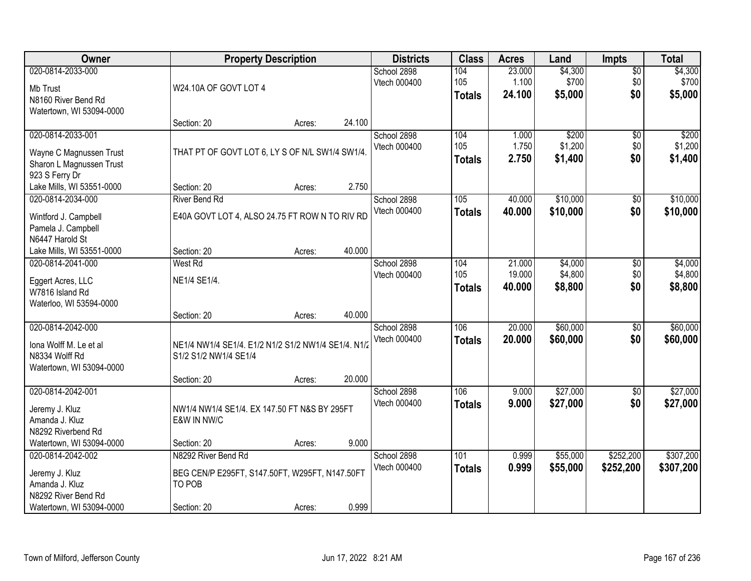| Owner                                                                                                    |                                                                                                | <b>Property Description</b> |        | <b>Districts</b>            | <b>Class</b>                | <b>Acres</b>               | Land                          | <b>Impts</b>                  | <b>Total</b>                  |
|----------------------------------------------------------------------------------------------------------|------------------------------------------------------------------------------------------------|-----------------------------|--------|-----------------------------|-----------------------------|----------------------------|-------------------------------|-------------------------------|-------------------------------|
| 020-0814-2033-000<br>Mb Trust<br>N8160 River Bend Rd<br>Watertown, WI 53094-0000                         | W24.10A OF GOVT LOT 4                                                                          |                             |        | School 2898<br>Vtech 000400 | 104<br>105<br><b>Totals</b> | 23.000<br>1.100<br>24.100  | \$4,300<br>\$700<br>\$5,000   | $\overline{50}$<br>\$0<br>\$0 | \$4,300<br>\$700<br>\$5,000   |
|                                                                                                          | Section: 20                                                                                    | Acres:                      | 24.100 |                             |                             |                            |                               |                               |                               |
| 020-0814-2033-001<br>Wayne C Magnussen Trust<br>Sharon L Magnussen Trust<br>923 S Ferry Dr               | THAT PT OF GOVT LOT 6, LY S OF N/L SW1/4 SW1/4.                                                |                             |        | School 2898<br>Vtech 000400 | 104<br>105<br><b>Totals</b> | 1.000<br>1.750<br>2.750    | \$200<br>\$1,200<br>\$1,400   | $\overline{50}$<br>\$0<br>\$0 | \$200<br>\$1,200<br>\$1,400   |
| Lake Mills, WI 53551-0000                                                                                | Section: 20                                                                                    | Acres:                      | 2.750  |                             |                             |                            |                               |                               |                               |
| 020-0814-2034-000<br>Wintford J. Campbell<br>Pamela J. Campbell<br>N6447 Harold St                       | <b>River Bend Rd</b><br>E40A GOVT LOT 4, ALSO 24.75 FT ROW N TO RIV RD                         |                             |        | School 2898<br>Vtech 000400 | 105<br><b>Totals</b>        | 40.000<br>40.000           | \$10,000<br>\$10,000          | \$0<br>\$0                    | \$10,000<br>\$10,000          |
| Lake Mills, WI 53551-0000                                                                                | Section: 20                                                                                    | Acres:                      | 40.000 |                             |                             |                            |                               |                               |                               |
| 020-0814-2041-000<br>Eggert Acres, LLC<br>W7816 Island Rd<br>Waterloo, WI 53594-0000                     | West Rd<br>NE1/4 SE1/4.                                                                        |                             |        | School 2898<br>Vtech 000400 | 104<br>105<br><b>Totals</b> | 21.000<br>19.000<br>40.000 | \$4,000<br>\$4,800<br>\$8,800 | \$0<br>\$0<br>\$0             | \$4,000<br>\$4,800<br>\$8,800 |
|                                                                                                          | Section: 20                                                                                    | Acres:                      | 40.000 |                             |                             |                            |                               |                               |                               |
| 020-0814-2042-000<br>Iona Wolff M. Le et al<br>N8334 Wolff Rd<br>Watertown, WI 53094-0000                | NE1/4 NW1/4 SE1/4. E1/2 N1/2 S1/2 NW1/4 SE1/4. N1/2<br>S1/2 S1/2 NW1/4 SE1/4<br>Section: 20    | Acres:                      | 20.000 | School 2898<br>Vtech 000400 | 106<br><b>Totals</b>        | 20.000<br>20,000           | \$60,000<br>\$60,000          | \$0<br>\$0                    | \$60,000<br>\$60,000          |
| 020-0814-2042-001                                                                                        |                                                                                                |                             |        | School 2898                 | 106                         | 9.000                      | \$27,000                      | $\sqrt{$0}$                   | \$27,000                      |
| Jeremy J. Kluz<br>Amanda J. Kluz<br>N8292 Riverbend Rd                                                   | NW1/4 NW1/4 SE1/4. EX 147.50 FT N&S BY 295FT<br>E&W IN NW/C                                    |                             |        | Vtech 000400                | <b>Totals</b>               | 9.000                      | \$27,000                      | \$0                           | \$27,000                      |
| Watertown, WI 53094-0000                                                                                 | Section: 20                                                                                    | Acres:                      | 9.000  |                             |                             |                            |                               |                               |                               |
| 020-0814-2042-002<br>Jeremy J. Kluz<br>Amanda J. Kluz<br>N8292 River Bend Rd<br>Watertown, WI 53094-0000 | N8292 River Bend Rd<br>BEG CEN/P E295FT, S147.50FT, W295FT, N147.50FT<br>TO POB<br>Section: 20 | Acres:                      | 0.999  | School 2898<br>Vtech 000400 | 101<br><b>Totals</b>        | 0.999<br>0.999             | \$55,000<br>\$55,000          | \$252,200<br>\$252,200        | \$307,200<br>\$307,200        |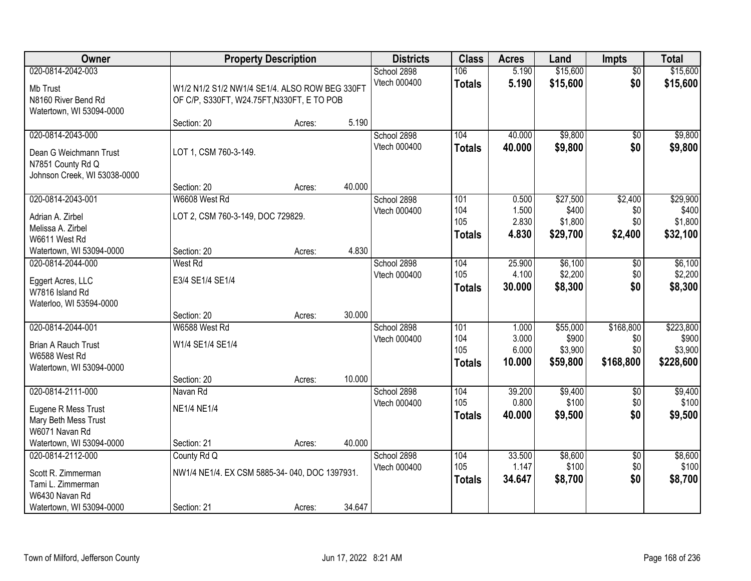| Owner                                                                                                      | <b>Property Description</b>                                                                  |        |        | <b>Districts</b>            | <b>Class</b>                       | <b>Acres</b>                      | Land                                     | <b>Impts</b>                         | <b>Total</b>                               |
|------------------------------------------------------------------------------------------------------------|----------------------------------------------------------------------------------------------|--------|--------|-----------------------------|------------------------------------|-----------------------------------|------------------------------------------|--------------------------------------|--------------------------------------------|
| 020-0814-2042-003<br>Mb Trust<br>N8160 River Bend Rd<br>Watertown, WI 53094-0000                           | W1/2 N1/2 S1/2 NW1/4 SE1/4. ALSO ROW BEG 330FT<br>OF C/P, S330FT, W24.75FT, N330FT, E TO POB |        |        | School 2898<br>Vtech 000400 | 106<br><b>Totals</b>               | 5.190<br>5.190                    | \$15,600<br>\$15,600                     | $\overline{50}$<br>\$0               | \$15,600<br>\$15,600                       |
|                                                                                                            | Section: 20                                                                                  | Acres: | 5.190  |                             |                                    |                                   |                                          |                                      |                                            |
| 020-0814-2043-000<br>Dean G Weichmann Trust<br>N7851 County Rd Q<br>Johnson Creek, WI 53038-0000           | LOT 1, CSM 760-3-149.                                                                        |        |        | School 2898<br>Vtech 000400 | 104<br><b>Totals</b>               | 40.000<br>40.000                  | \$9,800<br>\$9,800                       | \$0<br>\$0                           | \$9,800<br>\$9,800                         |
|                                                                                                            | Section: 20                                                                                  | Acres: | 40.000 |                             |                                    |                                   |                                          |                                      |                                            |
| 020-0814-2043-001<br>Adrian A. Zirbel<br>Melissa A. Zirbel<br>W6611 West Rd                                | W6608 West Rd<br>LOT 2, CSM 760-3-149, DOC 729829.                                           |        |        | School 2898<br>Vtech 000400 | 101<br>104<br>105<br><b>Totals</b> | 0.500<br>1.500<br>2.830<br>4.830  | \$27,500<br>\$400<br>\$1,800<br>\$29,700 | \$2,400<br>\$0<br>\$0<br>\$2,400     | \$29,900<br>\$400<br>\$1,800<br>\$32,100   |
| Watertown, WI 53094-0000                                                                                   | Section: 20                                                                                  | Acres: | 4.830  |                             |                                    |                                   |                                          |                                      |                                            |
| 020-0814-2044-000<br>Eggert Acres, LLC<br>W7816 Island Rd<br>Waterloo, WI 53594-0000                       | West Rd<br>E3/4 SE1/4 SE1/4                                                                  |        |        | School 2898<br>Vtech 000400 | 104<br>105<br><b>Totals</b>        | 25.900<br>4.100<br>30.000         | \$6,100<br>\$2,200<br>\$8,300            | $\sqrt[6]{3}$<br>\$0<br>\$0          | \$6,100<br>\$2,200<br>\$8,300              |
|                                                                                                            | Section: 20                                                                                  | Acres: | 30.000 |                             |                                    |                                   |                                          |                                      |                                            |
| 020-0814-2044-001<br><b>Brian A Rauch Trust</b><br>W6588 West Rd<br>Watertown, WI 53094-0000               | W6588 West Rd<br>W1/4 SE1/4 SE1/4<br>Section: 20                                             | Acres: | 10.000 | School 2898<br>Vtech 000400 | 101<br>104<br>105<br><b>Totals</b> | 1.000<br>3.000<br>6.000<br>10.000 | \$55,000<br>\$900<br>\$3,900<br>\$59,800 | \$168,800<br>\$0<br>\$0<br>\$168,800 | \$223,800<br>\$900<br>\$3,900<br>\$228,600 |
| 020-0814-2111-000                                                                                          | Navan Rd                                                                                     |        |        | School 2898                 | 104                                | 39.200                            | \$9,400                                  | $\overline{$0}$                      | \$9,400                                    |
| Eugene R Mess Trust<br>Mary Beth Mess Trust<br>W6071 Navan Rd                                              | <b>NE1/4 NE1/4</b>                                                                           |        |        | Vtech 000400                | 105<br><b>Totals</b>               | 0.800<br>40.000                   | \$100<br>\$9,500                         | \$0<br>\$0                           | \$100<br>\$9,500                           |
| Watertown, WI 53094-0000                                                                                   | Section: 21                                                                                  | Acres: | 40.000 |                             |                                    |                                   |                                          |                                      |                                            |
| 020-0814-2112-000<br>Scott R. Zimmerman<br>Tami L. Zimmerman<br>W6430 Navan Rd<br>Watertown, WI 53094-0000 | County Rd Q<br>NW1/4 NE1/4. EX CSM 5885-34-040, DOC 1397931.<br>Section: 21                  | Acres: | 34.647 | School 2898<br>Vtech 000400 | 104<br>105<br><b>Totals</b>        | 33.500<br>1.147<br>34.647         | \$8,600<br>\$100<br>\$8,700              | $\overline{60}$<br>\$0<br>\$0        | \$8,600<br>\$100<br>\$8,700                |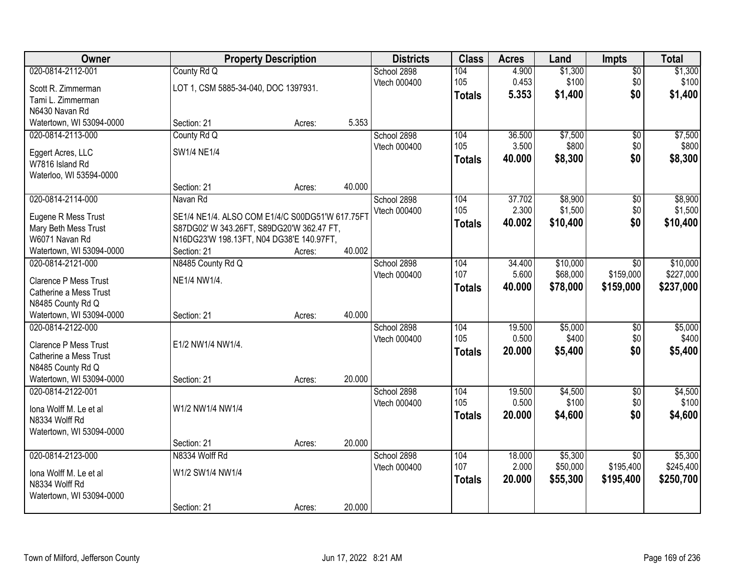| <b>Owner</b>                                           |                                                 | <b>Property Description</b> |        | <b>Districts</b> | <b>Class</b>  | <b>Acres</b> | Land     | Impts           | <b>Total</b> |
|--------------------------------------------------------|-------------------------------------------------|-----------------------------|--------|------------------|---------------|--------------|----------|-----------------|--------------|
| 020-0814-2112-001                                      | County Rd Q                                     |                             |        | School 2898      | 104           | 4.900        | \$1,300  | $\overline{50}$ | \$1,300      |
| Scott R. Zimmerman                                     | LOT 1, CSM 5885-34-040, DOC 1397931.            |                             |        | Vtech 000400     | 105           | 0.453        | \$100    | \$0             | \$100        |
| Tami L. Zimmerman                                      |                                                 |                             |        |                  | <b>Totals</b> | 5.353        | \$1,400  | \$0             | \$1,400      |
| N6430 Navan Rd                                         |                                                 |                             |        |                  |               |              |          |                 |              |
| Watertown, WI 53094-0000                               | Section: 21                                     | Acres:                      | 5.353  |                  |               |              |          |                 |              |
| 020-0814-2113-000                                      | County Rd Q                                     |                             |        | School 2898      | 104           | 36.500       | \$7,500  | $\overline{50}$ | \$7,500      |
|                                                        |                                                 |                             |        | Vtech 000400     | 105           | 3.500        | \$800    | \$0             | \$800        |
| Eggert Acres, LLC                                      | SW1/4 NE1/4                                     |                             |        |                  | <b>Totals</b> | 40.000       | \$8,300  | \$0             | \$8,300      |
| W7816 Island Rd                                        |                                                 |                             |        |                  |               |              |          |                 |              |
| Waterloo, WI 53594-0000                                | Section: 21                                     |                             | 40.000 |                  |               |              |          |                 |              |
| 020-0814-2114-000                                      | Navan Rd                                        | Acres:                      |        | School 2898      | 104           | 37.702       | \$8,900  | $\overline{50}$ | \$8,900      |
|                                                        |                                                 |                             |        | Vtech 000400     | 105           | 2.300        | \$1,500  | \$0             | \$1,500      |
| Eugene R Mess Trust                                    | SE1/4 NE1/4. ALSO COM E1/4/C S00DG51'W 617.75FT |                             |        |                  |               | 40.002       | \$10,400 | \$0             | \$10,400     |
| Mary Beth Mess Trust                                   | S87DG02' W 343.26FT, S89DG20'W 362.47 FT,       |                             |        |                  | <b>Totals</b> |              |          |                 |              |
| W6071 Navan Rd                                         | N16DG23'W 198.13FT, N04 DG38'E 140.97FT,        |                             |        |                  |               |              |          |                 |              |
| Watertown, WI 53094-0000                               | Section: 21                                     | Acres:                      | 40.002 |                  |               |              |          |                 |              |
| 020-0814-2121-000                                      | N8485 County Rd Q                               |                             |        | School 2898      | 104           | 34.400       | \$10,000 | \$0             | \$10,000     |
| <b>Clarence P Mess Trust</b>                           | NE1/4 NW1/4.                                    |                             |        | Vtech 000400     | 107           | 5.600        | \$68,000 | \$159,000       | \$227,000    |
| Catherine a Mess Trust                                 |                                                 |                             |        |                  | <b>Totals</b> | 40.000       | \$78,000 | \$159,000       | \$237,000    |
| N8485 County Rd Q                                      |                                                 |                             |        |                  |               |              |          |                 |              |
| Watertown, WI 53094-0000                               | Section: 21                                     | Acres:                      | 40.000 |                  |               |              |          |                 |              |
| 020-0814-2122-000                                      |                                                 |                             |        | School 2898      | 104           | 19.500       | \$5,000  | $\overline{50}$ | \$5,000      |
|                                                        |                                                 |                             |        | Vtech 000400     | 105           | 0.500        | \$400    | \$0             | \$400        |
| <b>Clarence P Mess Trust</b><br>Catherine a Mess Trust | E1/2 NW1/4 NW1/4.                               |                             |        |                  | <b>Totals</b> | 20.000       | \$5,400  | \$0             | \$5,400      |
| N8485 County Rd Q                                      |                                                 |                             |        |                  |               |              |          |                 |              |
| Watertown, WI 53094-0000                               | Section: 21                                     | Acres:                      | 20.000 |                  |               |              |          |                 |              |
| 020-0814-2122-001                                      |                                                 |                             |        | School 2898      | 104           | 19.500       | \$4,500  | $\sqrt{6}$      | \$4,500      |
|                                                        |                                                 |                             |        | Vtech 000400     | 105           | 0.500        | \$100    | \$0             | \$100        |
| Iona Wolff M. Le et al                                 | W1/2 NW1/4 NW1/4                                |                             |        |                  | <b>Totals</b> | 20.000       | \$4,600  | \$0             | \$4,600      |
| N8334 Wolff Rd                                         |                                                 |                             |        |                  |               |              |          |                 |              |
| Watertown, WI 53094-0000                               |                                                 |                             |        |                  |               |              |          |                 |              |
|                                                        | Section: 21                                     | Acres:                      | 20.000 |                  |               |              |          |                 |              |
| 020-0814-2123-000                                      | N8334 Wolff Rd                                  |                             |        | School 2898      | 104           | 18.000       | \$5,300  | $\overline{50}$ | \$5,300      |
| Iona Wolff M. Le et al                                 | W1/2 SW1/4 NW1/4                                |                             |        | Vtech 000400     | 107           | 2.000        | \$50,000 | \$195,400       | \$245,400    |
| N8334 Wolff Rd                                         |                                                 |                             |        |                  | <b>Totals</b> | 20.000       | \$55,300 | \$195,400       | \$250,700    |
| Watertown, WI 53094-0000                               |                                                 |                             |        |                  |               |              |          |                 |              |
|                                                        | Section: 21                                     | Acres:                      | 20.000 |                  |               |              |          |                 |              |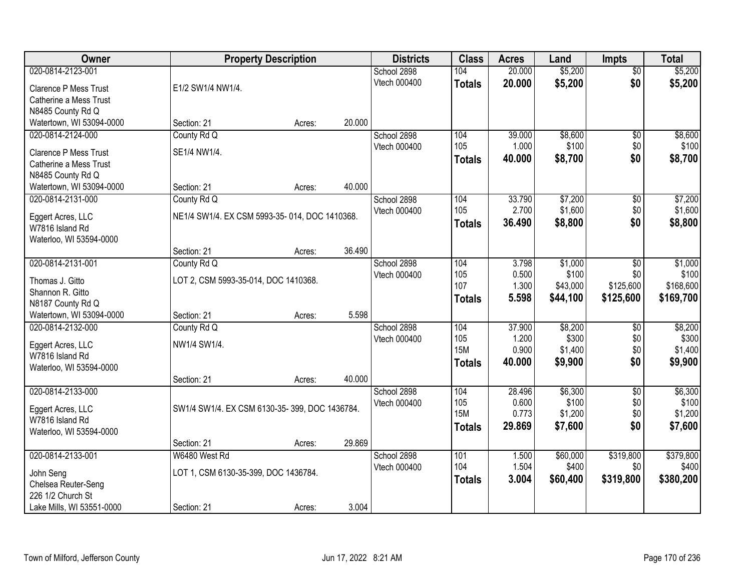| Owner                        |                                               | <b>Property Description</b> |        | <b>Districts</b> | <b>Class</b>  | <b>Acres</b> | Land     | <b>Impts</b>    | <b>Total</b> |
|------------------------------|-----------------------------------------------|-----------------------------|--------|------------------|---------------|--------------|----------|-----------------|--------------|
| 020-0814-2123-001            |                                               |                             |        | School 2898      | 104           | 20.000       | \$5,200  | $\overline{50}$ | \$5,200      |
| <b>Clarence P Mess Trust</b> | E1/2 SW1/4 NW1/4.                             |                             |        | Vtech 000400     | <b>Totals</b> | 20.000       | \$5,200  | \$0             | \$5,200      |
| Catherine a Mess Trust       |                                               |                             |        |                  |               |              |          |                 |              |
| N8485 County Rd Q            |                                               |                             |        |                  |               |              |          |                 |              |
| Watertown, WI 53094-0000     | Section: 21                                   | Acres:                      | 20.000 |                  |               |              |          |                 |              |
| 020-0814-2124-000            | County Rd Q                                   |                             |        | School 2898      | 104           | 39.000       | \$8,600  | $\overline{50}$ | \$8,600      |
| <b>Clarence P Mess Trust</b> | SE1/4 NW1/4.                                  |                             |        | Vtech 000400     | 105           | 1.000        | \$100    | \$0             | \$100        |
| Catherine a Mess Trust       |                                               |                             |        |                  | <b>Totals</b> | 40.000       | \$8,700  | \$0             | \$8,700      |
| N8485 County Rd Q            |                                               |                             |        |                  |               |              |          |                 |              |
| Watertown, WI 53094-0000     | Section: 21                                   | Acres:                      | 40.000 |                  |               |              |          |                 |              |
| 020-0814-2131-000            | County Rd Q                                   |                             |        | School 2898      | 104           | 33.790       | \$7,200  | \$0             | \$7,200      |
|                              |                                               |                             |        | Vtech 000400     | 105           | 2.700        | \$1,600  | \$0             | \$1,600      |
| Eggert Acres, LLC            | NE1/4 SW1/4. EX CSM 5993-35-014, DOC 1410368. |                             |        |                  | <b>Totals</b> | 36.490       | \$8,800  | \$0             | \$8,800      |
| W7816 Island Rd              |                                               |                             |        |                  |               |              |          |                 |              |
| Waterloo, WI 53594-0000      |                                               |                             |        |                  |               |              |          |                 |              |
|                              | Section: 21                                   | Acres:                      | 36.490 |                  |               |              |          |                 |              |
| 020-0814-2131-001            | County Rd Q                                   |                             |        | School 2898      | 104           | 3.798        | \$1,000  | $\sqrt[6]{3}$   | \$1,000      |
| Thomas J. Gitto              | LOT 2, CSM 5993-35-014, DOC 1410368.          |                             |        | Vtech 000400     | 105           | 0.500        | \$100    | \$0             | \$100        |
| Shannon R. Gitto             |                                               |                             |        |                  | 107           | 1.300        | \$43,000 | \$125,600       | \$168,600    |
| N8187 County Rd Q            |                                               |                             |        |                  | <b>Totals</b> | 5.598        | \$44,100 | \$125,600       | \$169,700    |
| Watertown, WI 53094-0000     | Section: 21                                   | Acres:                      | 5.598  |                  |               |              |          |                 |              |
| 020-0814-2132-000            | County Rd Q                                   |                             |        | School 2898      | 104           | 37.900       | \$8,200  | $\overline{50}$ | \$8,200      |
| Eggert Acres, LLC            | NW1/4 SW1/4.                                  |                             |        | Vtech 000400     | 105           | 1.200        | \$300    | \$0             | \$300        |
| W7816 Island Rd              |                                               |                             |        |                  | <b>15M</b>    | 0.900        | \$1,400  | \$0             | \$1,400      |
| Waterloo, WI 53594-0000      |                                               |                             |        |                  | <b>Totals</b> | 40.000       | \$9,900  | \$0             | \$9,900      |
|                              | Section: 21                                   | Acres:                      | 40.000 |                  |               |              |          |                 |              |
| 020-0814-2133-000            |                                               |                             |        | School 2898      | 104           | 28.496       | \$6,300  | $\overline{50}$ | \$6,300      |
|                              |                                               |                             |        | Vtech 000400     | 105           | 0.600        | \$100    | \$0             | \$100        |
| Eggert Acres, LLC            | SW1/4 SW1/4. EX CSM 6130-35-399, DOC 1436784. |                             |        |                  | <b>15M</b>    | 0.773        | \$1,200  | \$0             | \$1,200      |
| W7816 Island Rd              |                                               |                             |        |                  | <b>Totals</b> | 29.869       | \$7,600  | \$0             | \$7,600      |
| Waterloo, WI 53594-0000      |                                               |                             | 29.869 |                  |               |              |          |                 |              |
| 020-0814-2133-001            | Section: 21<br>W6480 West Rd                  | Acres:                      |        | School 2898      | 101           | 1.500        | \$60,000 | \$319,800       | \$379,800    |
|                              |                                               |                             |        | Vtech 000400     | 104           | 1.504        | \$400    | \$0             | \$400        |
| John Seng                    | LOT 1, CSM 6130-35-399, DOC 1436784.          |                             |        |                  |               | 3.004        |          | \$319,800       | \$380,200    |
| Chelsea Reuter-Seng          |                                               |                             |        |                  | <b>Totals</b> |              | \$60,400 |                 |              |
| 226 1/2 Church St            |                                               |                             |        |                  |               |              |          |                 |              |
| Lake Mills, WI 53551-0000    | Section: 21                                   | Acres:                      | 3.004  |                  |               |              |          |                 |              |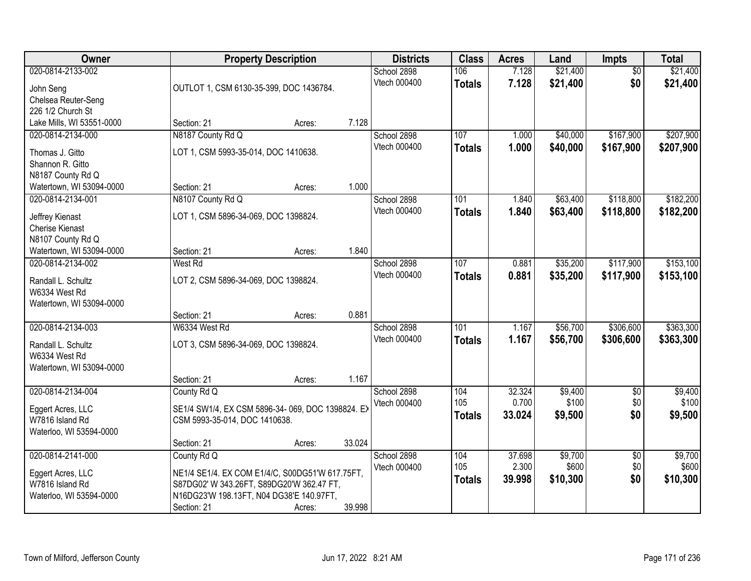| Owner                                                                                                     |                                                                          | <b>Property Description</b>                                                                            | <b>Districts</b>                     | <b>Class</b>                | <b>Acres</b>              | Land                        | Impts                         | <b>Total</b>                |
|-----------------------------------------------------------------------------------------------------------|--------------------------------------------------------------------------|--------------------------------------------------------------------------------------------------------|--------------------------------------|-----------------------------|---------------------------|-----------------------------|-------------------------------|-----------------------------|
| 020-0814-2133-002<br>John Seng<br>Chelsea Reuter-Seng<br>226 1/2 Church St                                | OUTLOT 1, CSM 6130-35-399, DOC 1436784.                                  |                                                                                                        | School 2898<br>Vtech 000400          | 106<br><b>Totals</b>        | 7.128<br>7.128            | \$21,400<br>\$21,400        | $\overline{50}$<br>\$0        | \$21,400<br>\$21,400        |
| Lake Mills, WI 53551-0000                                                                                 | Section: 21                                                              | Acres:                                                                                                 | 7.128                                |                             |                           |                             |                               |                             |
| 020-0814-2134-000<br>Thomas J. Gitto<br>Shannon R. Gitto<br>N8187 County Rd Q<br>Watertown, WI 53094-0000 | N8187 County Rd Q<br>LOT 1, CSM 5993-35-014, DOC 1410638.<br>Section: 21 | Acres:                                                                                                 | School 2898<br>Vtech 000400<br>1.000 | 107<br><b>Totals</b>        | 1.000<br>1.000            | \$40,000<br>\$40,000        | \$167,900<br>\$167,900        | \$207,900<br>\$207,900      |
| 020-0814-2134-001                                                                                         | N8107 County Rd Q                                                        |                                                                                                        | School 2898                          | 101                         | 1.840                     | \$63,400                    | \$118,800                     | \$182,200                   |
| Jeffrey Kienast<br>Cherise Kienast<br>N8107 County Rd Q                                                   | LOT 1, CSM 5896-34-069, DOC 1398824.                                     |                                                                                                        | Vtech 000400                         | <b>Totals</b>               | 1.840                     | \$63,400                    | \$118,800                     | \$182,200                   |
| Watertown, WI 53094-0000                                                                                  | Section: 21                                                              | Acres:                                                                                                 | 1.840                                |                             |                           |                             |                               |                             |
| 020-0814-2134-002<br>Randall L. Schultz<br>W6334 West Rd<br>Watertown, WI 53094-0000                      | West Rd<br>LOT 2, CSM 5896-34-069, DOC 1398824.                          |                                                                                                        | School 2898<br>Vtech 000400          | 107<br><b>Totals</b>        | 0.881<br>0.881            | \$35,200<br>\$35,200        | \$117,900<br>\$117,900        | \$153,100<br>\$153,100      |
|                                                                                                           | Section: 21                                                              | Acres:                                                                                                 | 0.881                                |                             |                           |                             |                               |                             |
| 020-0814-2134-003<br>Randall L. Schultz<br>W6334 West Rd<br>Watertown, WI 53094-0000                      | W6334 West Rd<br>LOT 3, CSM 5896-34-069, DOC 1398824.<br>Section: 21     | Acres:                                                                                                 | School 2898<br>Vtech 000400<br>1.167 | 101<br><b>Totals</b>        | 1.167<br>1.167            | \$56,700<br>\$56,700        | \$306,600<br>\$306,600        | \$363,300<br>\$363,300      |
| 020-0814-2134-004<br>Eggert Acres, LLC<br>W7816 Island Rd<br>Waterloo, WI 53594-0000                      | County Rd Q<br>CSM 5993-35-014, DOC 1410638.                             | SE1/4 SW1/4, EX CSM 5896-34-069, DOC 1398824. EX                                                       | School 2898<br>Vtech 000400          | 104<br>105<br><b>Totals</b> | 32.324<br>0.700<br>33.024 | \$9,400<br>\$100<br>\$9,500 | $\overline{60}$<br>\$0<br>\$0 | \$9,400<br>\$100<br>\$9,500 |
| 020-0814-2141-000                                                                                         | Section: 21<br>County Rd Q                                               | Acres:                                                                                                 | 33.024<br>School 2898                | 104                         | 37.698                    | \$9,700                     | $\overline{50}$               | \$9,700                     |
| Eggert Acres, LLC<br>W7816 Island Rd<br>Waterloo, WI 53594-0000                                           | N16DG23'W 198.13FT, N04 DG38'E 140.97FT,<br>Section: 21                  | NE1/4 SE1/4. EX COM E1/4/C, S00DG51'W 617.75FT,<br>S87DG02' W 343.26FT, S89DG20'W 362.47 FT,<br>Acres: | Vtech 000400<br>39.998               | 105<br><b>Totals</b>        | 2.300<br>39.998           | \$600<br>\$10,300           | \$0<br>\$0                    | \$600<br>\$10,300           |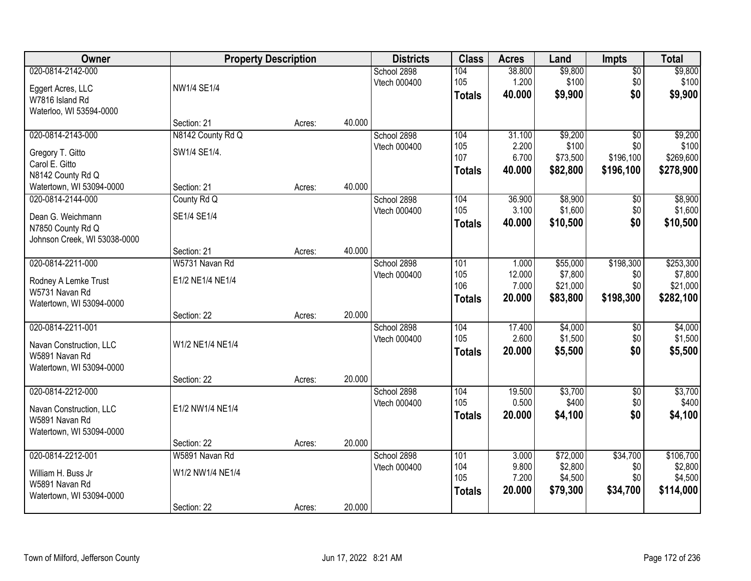| Owner                        |                   | <b>Property Description</b> |        | <b>Districts</b> | <b>Class</b>  | <b>Acres</b>   | Land              | <b>Impts</b>     | <b>Total</b>       |
|------------------------------|-------------------|-----------------------------|--------|------------------|---------------|----------------|-------------------|------------------|--------------------|
| 020-0814-2142-000            |                   |                             |        | School 2898      | 104           | 38.800         | \$9,800           | \$0              | \$9,800            |
| Eggert Acres, LLC            | NW1/4 SE1/4       |                             |        | Vtech 000400     | 105           | 1.200          | \$100             | \$0              | \$100              |
| W7816 Island Rd              |                   |                             |        |                  | <b>Totals</b> | 40.000         | \$9,900           | \$0              | \$9,900            |
| Waterloo, WI 53594-0000      |                   |                             |        |                  |               |                |                   |                  |                    |
|                              | Section: 21       | Acres:                      | 40.000 |                  |               |                |                   |                  |                    |
| 020-0814-2143-000            | N8142 County Rd Q |                             |        | School 2898      | 104           | 31.100         | \$9,200           | $\overline{50}$  | \$9,200            |
| Gregory T. Gitto             | SW1/4 SE1/4.      |                             |        | Vtech 000400     | 105<br>107    | 2.200<br>6.700 | \$100<br>\$73,500 | \$0<br>\$196,100 | \$100<br>\$269,600 |
| Carol E. Gitto               |                   |                             |        |                  |               | 40.000         | \$82,800          | \$196,100        | \$278,900          |
| N8142 County Rd Q            |                   |                             |        |                  | <b>Totals</b> |                |                   |                  |                    |
| Watertown, WI 53094-0000     | Section: 21       | Acres:                      | 40.000 |                  |               |                |                   |                  |                    |
| 020-0814-2144-000            | County Rd Q       |                             |        | School 2898      | 104           | 36.900         | \$8,900           | \$0              | \$8,900            |
| Dean G. Weichmann            | SE1/4 SE1/4       |                             |        | Vtech 000400     | 105           | 3.100          | \$1,600           | \$0              | \$1,600            |
| N7850 County Rd Q            |                   |                             |        |                  | <b>Totals</b> | 40.000         | \$10,500          | \$0              | \$10,500           |
| Johnson Creek, WI 53038-0000 |                   |                             |        |                  |               |                |                   |                  |                    |
|                              | Section: 21       | Acres:                      | 40.000 |                  |               |                |                   |                  |                    |
| 020-0814-2211-000            | W5731 Navan Rd    |                             |        | School 2898      | 101           | 1.000          | \$55,000          | \$198,300        | \$253,300          |
| Rodney A Lemke Trust         | E1/2 NE1/4 NE1/4  |                             |        | Vtech 000400     | 105           | 12.000         | \$7,800           | \$0              | \$7,800            |
| W5731 Navan Rd               |                   |                             |        |                  | 106           | 7.000          | \$21,000          | \$0              | \$21,000           |
| Watertown, WI 53094-0000     |                   |                             |        |                  | <b>Totals</b> | 20.000         | \$83,800          | \$198,300        | \$282,100          |
|                              | Section: 22       | Acres:                      | 20.000 |                  |               |                |                   |                  |                    |
| 020-0814-2211-001            |                   |                             |        | School 2898      | 104           | 17.400         | \$4,000           | \$0              | \$4,000            |
| Navan Construction, LLC      | W1/2 NE1/4 NE1/4  |                             |        | Vtech 000400     | 105           | 2.600          | \$1,500           | \$0              | \$1,500            |
| W5891 Navan Rd               |                   |                             |        |                  | <b>Totals</b> | 20.000         | \$5,500           | \$0              | \$5,500            |
| Watertown, WI 53094-0000     |                   |                             |        |                  |               |                |                   |                  |                    |
|                              | Section: 22       | Acres:                      | 20.000 |                  |               |                |                   |                  |                    |
| 020-0814-2212-000            |                   |                             |        | School 2898      | 104           | 19.500         | \$3,700           | $\overline{60}$  | \$3,700            |
| Navan Construction, LLC      | E1/2 NW1/4 NE1/4  |                             |        | Vtech 000400     | 105           | 0.500          | \$400             | \$0              | \$400              |
| W5891 Navan Rd               |                   |                             |        |                  | <b>Totals</b> | 20,000         | \$4,100           | \$0              | \$4,100            |
| Watertown, WI 53094-0000     |                   |                             |        |                  |               |                |                   |                  |                    |
|                              | Section: 22       | Acres:                      | 20.000 |                  |               |                |                   |                  |                    |
| 020-0814-2212-001            | W5891 Navan Rd    |                             |        | School 2898      | 101           | 3.000          | \$72,000          | \$34,700         | \$106,700          |
| William H. Buss Jr           | W1/2 NW1/4 NE1/4  |                             |        | Vtech 000400     | 104           | 9.800          | \$2,800           | \$0              | \$2,800            |
| W5891 Navan Rd               |                   |                             |        |                  | 105           | 7.200          | \$4,500           | \$0              | \$4,500            |
| Watertown, WI 53094-0000     |                   |                             |        |                  | <b>Totals</b> | 20.000         | \$79,300          | \$34,700         | \$114,000          |
|                              | Section: 22       | Acres:                      | 20.000 |                  |               |                |                   |                  |                    |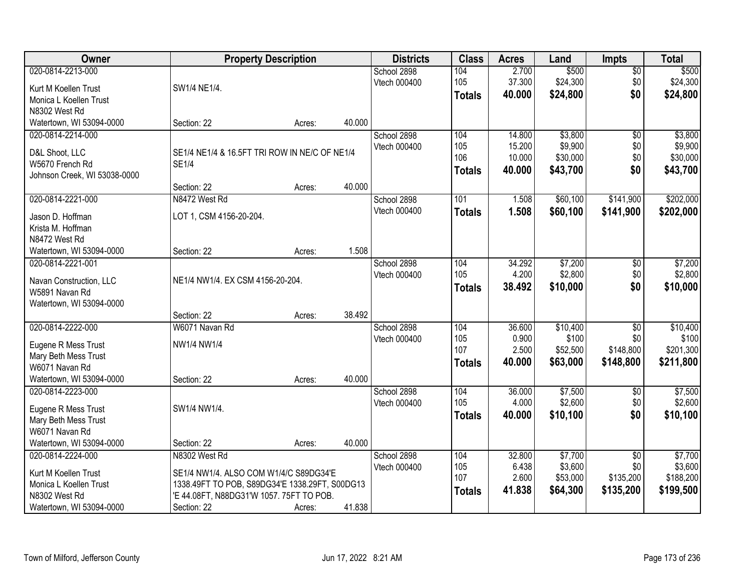| Owner                        |                                                | <b>Property Description</b> |        | <b>Districts</b> | <b>Class</b>  | <b>Acres</b>     | Land                 | <b>Impts</b>    | <b>Total</b>        |
|------------------------------|------------------------------------------------|-----------------------------|--------|------------------|---------------|------------------|----------------------|-----------------|---------------------|
| 020-0814-2213-000            |                                                |                             |        | School 2898      | 104           | 2.700            | \$500                | $\overline{50}$ | \$500               |
| Kurt M Koellen Trust         | SW1/4 NE1/4.                                   |                             |        | Vtech 000400     | 105           | 37.300<br>40.000 | \$24,300<br>\$24,800 | \$0<br>\$0      | \$24,300            |
| Monica L Koellen Trust       |                                                |                             |        |                  | <b>Totals</b> |                  |                      |                 | \$24,800            |
| N8302 West Rd                |                                                |                             |        |                  |               |                  |                      |                 |                     |
| Watertown, WI 53094-0000     | Section: 22                                    | Acres:                      | 40.000 |                  |               |                  |                      |                 |                     |
| 020-0814-2214-000            |                                                |                             |        | School 2898      | 104           | 14.800           | \$3,800              | $\overline{50}$ | \$3,800             |
| D&L Shoot, LLC               | SE1/4 NE1/4 & 16.5FT TRI ROW IN NE/C OF NE1/4  |                             |        | Vtech 000400     | 105<br>106    | 15.200<br>10.000 | \$9,900<br>\$30,000  | \$0<br>\$0      | \$9,900<br>\$30,000 |
| W5670 French Rd              | <b>SE1/4</b>                                   |                             |        |                  |               | 40.000           | \$43,700             | \$0             | \$43,700            |
| Johnson Creek, WI 53038-0000 |                                                |                             |        |                  | <b>Totals</b> |                  |                      |                 |                     |
|                              | Section: 22                                    | Acres:                      | 40.000 |                  |               |                  |                      |                 |                     |
| 020-0814-2221-000            | N8472 West Rd                                  |                             |        | School 2898      | 101           | 1.508            | \$60,100             | \$141,900       | \$202,000           |
| Jason D. Hoffman             | LOT 1, CSM 4156-20-204.                        |                             |        | Vtech 000400     | <b>Totals</b> | 1.508            | \$60,100             | \$141,900       | \$202,000           |
| Krista M. Hoffman            |                                                |                             |        |                  |               |                  |                      |                 |                     |
| N8472 West Rd                |                                                |                             |        |                  |               |                  |                      |                 |                     |
| Watertown, WI 53094-0000     | Section: 22                                    | Acres:                      | 1.508  |                  |               |                  |                      |                 |                     |
| 020-0814-2221-001            |                                                |                             |        | School 2898      | 104           | 34.292           | \$7,200              | \$0             | \$7,200             |
| Navan Construction, LLC      | NE1/4 NW1/4. EX CSM 4156-20-204.               |                             |        | Vtech 000400     | 105           | 4.200            | \$2,800              | \$0             | \$2,800             |
| W5891 Navan Rd               |                                                |                             |        |                  | <b>Totals</b> | 38.492           | \$10,000             | \$0             | \$10,000            |
| Watertown, WI 53094-0000     |                                                |                             |        |                  |               |                  |                      |                 |                     |
|                              | Section: 22                                    | Acres:                      | 38.492 |                  |               |                  |                      |                 |                     |
| 020-0814-2222-000            | W6071 Navan Rd                                 |                             |        | School 2898      | 104           | 36.600           | \$10,400             | $\overline{30}$ | \$10,400            |
| Eugene R Mess Trust          | NW1/4 NW1/4                                    |                             |        | Vtech 000400     | 105           | 0.900            | \$100                | \$0             | \$100               |
| Mary Beth Mess Trust         |                                                |                             |        |                  | 107           | 2.500            | \$52,500             | \$148,800       | \$201,300           |
| W6071 Navan Rd               |                                                |                             |        |                  | <b>Totals</b> | 40.000           | \$63,000             | \$148,800       | \$211,800           |
| Watertown, WI 53094-0000     | Section: 22                                    | Acres:                      | 40.000 |                  |               |                  |                      |                 |                     |
| 020-0814-2223-000            |                                                |                             |        | School 2898      | 104           | 36.000           | \$7,500              | $\sqrt{6}$      | \$7,500             |
| Eugene R Mess Trust          | SW1/4 NW1/4.                                   |                             |        | Vtech 000400     | 105           | 4.000            | \$2,600              | \$0             | \$2,600             |
| Mary Beth Mess Trust         |                                                |                             |        |                  | <b>Totals</b> | 40.000           | \$10,100             | \$0             | \$10,100            |
| W6071 Navan Rd               |                                                |                             |        |                  |               |                  |                      |                 |                     |
| Watertown, WI 53094-0000     | Section: 22                                    | Acres:                      | 40.000 |                  |               |                  |                      |                 |                     |
| 020-0814-2224-000            | N8302 West Rd                                  |                             |        | School 2898      | 104           | 32.800           | \$7,700              | $\overline{50}$ | \$7,700             |
| Kurt M Koellen Trust         | SE1/4 NW1/4. ALSO COM W1/4/C S89DG34'E         |                             |        | Vtech 000400     | 105           | 6.438            | \$3,600              | \$0             | \$3,600             |
| Monica L Koellen Trust       | 1338.49FT TO POB, S89DG34'E 1338.29FT, S00DG13 |                             |        |                  | 107           | 2.600            | \$53,000             | \$135,200       | \$188,200           |
| N8302 West Rd                | 'E 44.08FT, N88DG31'W 1057. 75FT TO POB.       |                             |        |                  | <b>Totals</b> | 41.838           | \$64,300             | \$135,200       | \$199,500           |
| Watertown, WI 53094-0000     | Section: 22                                    | Acres:                      | 41.838 |                  |               |                  |                      |                 |                     |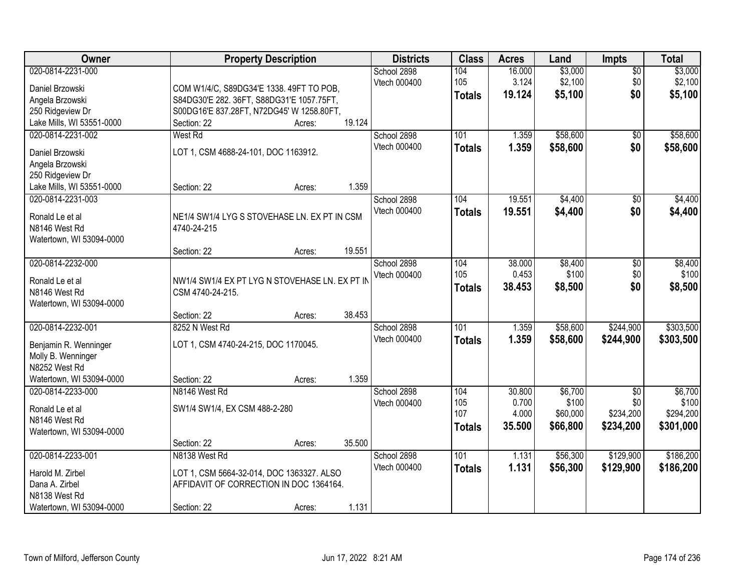| Owner                               |                                                | <b>Property Description</b> |        | <b>Districts</b> | <b>Class</b>  | <b>Acres</b> | Land     | <b>Impts</b>    | <b>Total</b> |
|-------------------------------------|------------------------------------------------|-----------------------------|--------|------------------|---------------|--------------|----------|-----------------|--------------|
| 020-0814-2231-000                   |                                                |                             |        | School 2898      | 104           | 16.000       | \$3,000  | $\sqrt{$0}$     | \$3,000      |
| Daniel Brzowski                     | COM W1/4/C, S89DG34'E 1338. 49FT TO POB,       |                             |        | Vtech 000400     | 105           | 3.124        | \$2,100  | \$0             | \$2,100      |
| Angela Brzowski                     | S84DG30'E 282. 36FT, S88DG31'E 1057.75FT,      |                             |        |                  | <b>Totals</b> | 19.124       | \$5,100  | \$0             | \$5,100      |
| 250 Ridgeview Dr                    | S00DG16'E 837.28FT, N72DG45' W 1258.80FT,      |                             |        |                  |               |              |          |                 |              |
| Lake Mills, WI 53551-0000           | Section: 22                                    | Acres:                      | 19.124 |                  |               |              |          |                 |              |
| 020-0814-2231-002                   | <b>West Rd</b>                                 |                             |        | School 2898      | 101           | 1.359        | \$58,600 | \$0             | \$58,600     |
| Daniel Brzowski                     | LOT 1, CSM 4688-24-101, DOC 1163912.           |                             |        | Vtech 000400     | <b>Totals</b> | 1.359        | \$58,600 | \$0             | \$58,600     |
| Angela Brzowski                     |                                                |                             |        |                  |               |              |          |                 |              |
| 250 Ridgeview Dr                    |                                                |                             |        |                  |               |              |          |                 |              |
| Lake Mills, WI 53551-0000           | Section: 22                                    | Acres:                      | 1.359  |                  |               |              |          |                 |              |
| 020-0814-2231-003                   |                                                |                             |        | School 2898      | 104           | 19.551       | \$4,400  | \$0             | \$4,400      |
| Ronald Le et al                     | NE1/4 SW1/4 LYG S STOVEHASE LN. EX PT IN CSM   |                             |        | Vtech 000400     | <b>Totals</b> | 19.551       | \$4,400  | \$0             | \$4,400      |
| N8146 West Rd                       | 4740-24-215                                    |                             |        |                  |               |              |          |                 |              |
| Watertown, WI 53094-0000            |                                                |                             |        |                  |               |              |          |                 |              |
|                                     | Section: 22                                    | Acres:                      | 19.551 |                  |               |              |          |                 |              |
| 020-0814-2232-000                   |                                                |                             |        | School 2898      | 104           | 38.000       | \$8,400  | \$0             | \$8,400      |
| Ronald Le et al                     | NW1/4 SW1/4 EX PT LYG N STOVEHASE LN. EX PT IN |                             |        | Vtech 000400     | 105           | 0.453        | \$100    | \$0             | \$100        |
| N8146 West Rd                       | CSM 4740-24-215.                               |                             |        |                  | <b>Totals</b> | 38.453       | \$8,500  | \$0             | \$8,500      |
| Watertown, WI 53094-0000            |                                                |                             |        |                  |               |              |          |                 |              |
|                                     | Section: 22                                    | Acres:                      | 38.453 |                  |               |              |          |                 |              |
| 020-0814-2232-001                   | 8252 N West Rd                                 |                             |        | School 2898      | 101           | 1.359        | \$58,600 | \$244,900       | \$303,500    |
|                                     |                                                |                             |        | Vtech 000400     | <b>Totals</b> | 1.359        | \$58,600 | \$244,900       | \$303,500    |
| Benjamin R. Wenninger               | LOT 1, CSM 4740-24-215, DOC 1170045.           |                             |        |                  |               |              |          |                 |              |
| Molly B. Wenninger<br>N8252 West Rd |                                                |                             |        |                  |               |              |          |                 |              |
| Watertown, WI 53094-0000            | Section: 22                                    | Acres:                      | 1.359  |                  |               |              |          |                 |              |
| 020-0814-2233-000                   | N8146 West Rd                                  |                             |        | School 2898      | 104           | 30.800       | \$6,700  | $\overline{50}$ | \$6,700      |
|                                     |                                                |                             |        | Vtech 000400     | 105           | 0.700        | \$100    | \$0             | \$100        |
| Ronald Le et al                     | SW1/4 SW1/4, EX CSM 488-2-280                  |                             |        |                  | 107           | 4.000        | \$60,000 | \$234,200       | \$294,200    |
| N8146 West Rd                       |                                                |                             |        |                  | <b>Totals</b> | 35.500       | \$66,800 | \$234,200       | \$301,000    |
| Watertown, WI 53094-0000            | Section: 22                                    | Acres:                      | 35.500 |                  |               |              |          |                 |              |
| 020-0814-2233-001                   | N8138 West Rd                                  |                             |        | School 2898      | 101           | 1.131        | \$56,300 | \$129,900       | \$186,200    |
|                                     |                                                |                             |        | Vtech 000400     | <b>Totals</b> | 1.131        | \$56,300 | \$129,900       | \$186,200    |
| Harold M. Zirbel                    | LOT 1, CSM 5664-32-014, DOC 1363327. ALSO      |                             |        |                  |               |              |          |                 |              |
| Dana A. Zirbel                      | AFFIDAVIT OF CORRECTION IN DOC 1364164.        |                             |        |                  |               |              |          |                 |              |
| N8138 West Rd                       |                                                |                             |        |                  |               |              |          |                 |              |
| Watertown, WI 53094-0000            | Section: 22                                    | Acres:                      | 1.131  |                  |               |              |          |                 |              |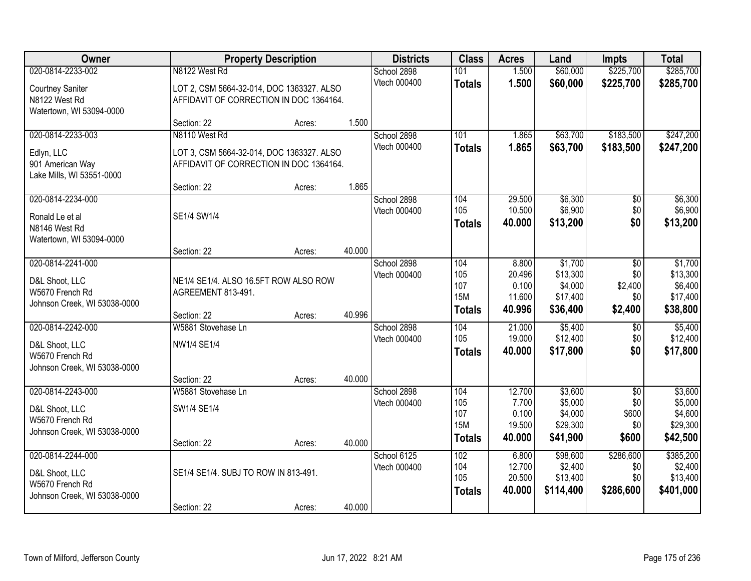| Owner                                                             |                                                                                      | <b>Property Description</b> |        | <b>Districts</b>            | <b>Class</b>                | <b>Acres</b>                        | Land                                         | <b>Impts</b>                         | <b>Total</b>                                  |
|-------------------------------------------------------------------|--------------------------------------------------------------------------------------|-----------------------------|--------|-----------------------------|-----------------------------|-------------------------------------|----------------------------------------------|--------------------------------------|-----------------------------------------------|
| 020-0814-2233-002<br><b>Courtney Saniter</b>                      | N8122 West Rd<br>LOT 2, CSM 5664-32-014, DOC 1363327. ALSO                           |                             |        | School 2898<br>Vtech 000400 | 101<br><b>Totals</b>        | 1.500<br>1.500                      | \$60,000<br>\$60,000                         | \$225,700<br>\$225,700               | \$285,700<br>\$285,700                        |
| N8122 West Rd<br>Watertown, WI 53094-0000                         | AFFIDAVIT OF CORRECTION IN DOC 1364164.                                              |                             |        |                             |                             |                                     |                                              |                                      |                                               |
|                                                                   | Section: 22                                                                          | Acres:                      | 1.500  |                             |                             |                                     |                                              |                                      |                                               |
| 020-0814-2233-003                                                 | N8110 West Rd                                                                        |                             |        | School 2898<br>Vtech 000400 | 101<br><b>Totals</b>        | 1.865<br>1.865                      | \$63,700<br>\$63,700                         | \$183,500<br>\$183,500               | \$247,200<br>\$247,200                        |
| Edlyn, LLC<br>901 American Way<br>Lake Mills, WI 53551-0000       | LOT 3, CSM 5664-32-014, DOC 1363327. ALSO<br>AFFIDAVIT OF CORRECTION IN DOC 1364164. |                             |        |                             |                             |                                     |                                              |                                      |                                               |
|                                                                   | Section: 22                                                                          | Acres:                      | 1.865  |                             |                             |                                     |                                              |                                      |                                               |
| 020-0814-2234-000<br>Ronald Le et al<br>N8146 West Rd             | SE1/4 SW1/4                                                                          |                             |        | School 2898<br>Vtech 000400 | 104<br>105<br><b>Totals</b> | 29.500<br>10.500<br>40.000          | \$6,300<br>\$6,900<br>\$13,200               | \$0<br>\$0<br>\$0                    | \$6,300<br>\$6,900<br>\$13,200                |
| Watertown, WI 53094-0000                                          | Section: 22                                                                          | Acres:                      | 40.000 |                             |                             |                                     |                                              |                                      |                                               |
| 020-0814-2241-000<br>D&L Shoot, LLC                               | NE1/4 SE1/4. ALSO 16.5FT ROW ALSO ROW                                                |                             |        | School 2898<br>Vtech 000400 | 104<br>105                  | 8.800<br>20.496                     | \$1,700<br>\$13,300                          | \$0<br>\$0                           | \$1,700<br>\$13,300                           |
| W5670 French Rd<br>Johnson Creek, WI 53038-0000                   | AGREEMENT 813-491.                                                                   |                             |        |                             | 107<br><b>15M</b>           | 0.100<br>11.600                     | \$4,000<br>\$17,400                          | \$2,400<br>\$0                       | \$6,400<br>\$17,400                           |
|                                                                   | Section: 22                                                                          | Acres:                      | 40.996 |                             | <b>Totals</b>               | 40.996                              | \$36,400                                     | \$2,400                              | \$38,800                                      |
| 020-0814-2242-000                                                 | W5881 Stovehase Ln                                                                   |                             |        | School 2898<br>Vtech 000400 | 104<br>105                  | 21.000<br>19.000                    | \$5,400<br>\$12,400                          | $\overline{50}$<br>\$0               | \$5,400<br>\$12,400                           |
| D&L Shoot, LLC<br>W5670 French Rd<br>Johnson Creek, WI 53038-0000 | NW1/4 SE1/4                                                                          |                             |        |                             | <b>Totals</b>               | 40.000                              | \$17,800                                     | \$0                                  | \$17,800                                      |
|                                                                   | Section: 22                                                                          | Acres:                      | 40.000 |                             |                             |                                     |                                              |                                      |                                               |
| 020-0814-2243-000                                                 | W5881 Stovehase Ln                                                                   |                             |        | School 2898                 | 104                         | 12.700                              | \$3,600                                      | $\overline{50}$                      | \$3,600                                       |
| D&L Shoot, LLC<br>W5670 French Rd                                 | SW1/4 SE1/4                                                                          |                             |        | Vtech 000400                | 105<br>107<br><b>15M</b>    | 7.700<br>0.100<br>19.500            | \$5,000<br>\$4,000<br>\$29,300               | \$0<br>\$600<br>\$0                  | \$5,000<br>\$4,600<br>\$29,300                |
| Johnson Creek, WI 53038-0000                                      | Section: 22                                                                          | Acres:                      | 40.000 |                             | <b>Totals</b>               | 40.000                              | \$41,900                                     | \$600                                | \$42,500                                      |
| 020-0814-2244-000<br>D&L Shoot, LLC<br>W5670 French Rd            | SE1/4 SE1/4. SUBJ TO ROW IN 813-491.                                                 |                             |        | School 6125<br>Vtech 000400 | 102<br>104<br>105           | 6.800<br>12.700<br>20.500<br>40.000 | \$98,600<br>\$2,400<br>\$13,400<br>\$114,400 | \$286,600<br>\$0<br>\$0<br>\$286,600 | \$385,200<br>\$2,400<br>\$13,400<br>\$401,000 |
| Johnson Creek, WI 53038-0000                                      | Section: 22                                                                          | Acres:                      | 40.000 |                             | <b>Totals</b>               |                                     |                                              |                                      |                                               |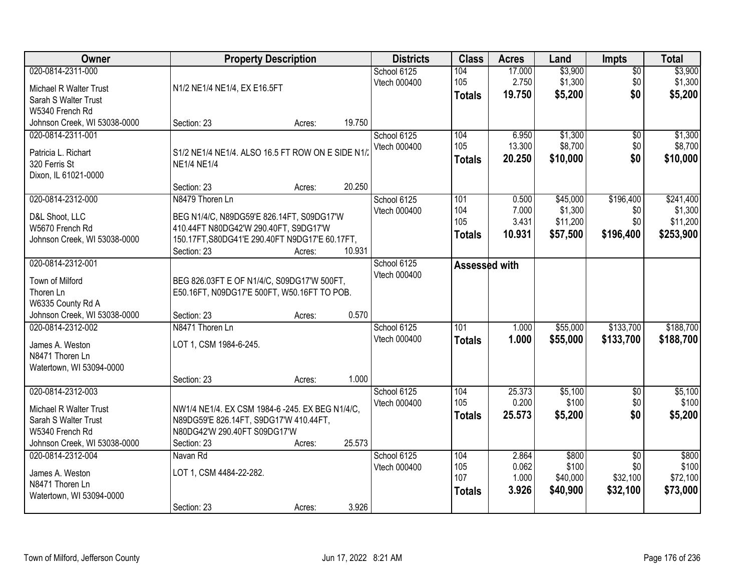| Owner                                           |                                                  | <b>Property Description</b> |        | <b>Districts</b>            | <b>Class</b>  | <b>Acres</b>    | Land                | <b>Impts</b>           | <b>Total</b>        |
|-------------------------------------------------|--------------------------------------------------|-----------------------------|--------|-----------------------------|---------------|-----------------|---------------------|------------------------|---------------------|
| 020-0814-2311-000                               |                                                  |                             |        | School 6125<br>Vtech 000400 | 104<br>105    | 17.000<br>2.750 | \$3,900<br>\$1,300  | $\overline{50}$<br>\$0 | \$3,900<br>\$1,300  |
| Michael R Walter Trust                          | N1/2 NE1/4 NE1/4, EX E16.5FT                     |                             |        |                             | <b>Totals</b> | 19.750          | \$5,200             | \$0                    | \$5,200             |
| Sarah S Walter Trust                            |                                                  |                             |        |                             |               |                 |                     |                        |                     |
| W5340 French Rd<br>Johnson Creek, WI 53038-0000 | Section: 23                                      |                             | 19.750 |                             |               |                 |                     |                        |                     |
| 020-0814-2311-001                               |                                                  | Acres:                      |        | School 6125                 | 104           | 6.950           | \$1,300             | $\overline{50}$        | \$1,300             |
|                                                 |                                                  |                             |        | Vtech 000400                | 105           | 13.300          | \$8,700             | \$0                    | \$8,700             |
| Patricia L. Richart                             | S1/2 NE1/4 NE1/4. ALSO 16.5 FT ROW ON E SIDE N1/ |                             |        |                             | <b>Totals</b> | 20.250          | \$10,000            | \$0                    | \$10,000            |
| 320 Ferris St                                   | <b>NE1/4 NE1/4</b>                               |                             |        |                             |               |                 |                     |                        |                     |
| Dixon, IL 61021-0000                            |                                                  |                             |        |                             |               |                 |                     |                        |                     |
|                                                 | Section: 23                                      | Acres:                      | 20.250 |                             |               |                 |                     |                        |                     |
| 020-0814-2312-000                               | N8479 Thoren Ln                                  |                             |        | School 6125                 | 101           | 0.500           | \$45,000            | \$196,400              | \$241,400           |
| D&L Shoot, LLC                                  | BEG N1/4/C, N89DG59'E 826.14FT, S09DG17'W        |                             |        | Vtech 000400                | 104<br>105    | 7.000<br>3.431  | \$1,300<br>\$11,200 | \$0<br>\$0             | \$1,300<br>\$11,200 |
| W5670 French Rd                                 | 410.44FT N80DG42'W 290.40FT, S9DG17'W            |                             |        |                             |               | 10.931          | \$57,500            | \$196,400              | \$253,900           |
| Johnson Creek, WI 53038-0000                    | 150.17FT, S80DG41'E 290.40FT N9DG17'E 60.17FT,   |                             |        |                             | <b>Totals</b> |                 |                     |                        |                     |
|                                                 | Section: 23                                      | Acres:                      | 10.931 |                             |               |                 |                     |                        |                     |
| 020-0814-2312-001                               |                                                  |                             |        | School 6125                 | Assessed with |                 |                     |                        |                     |
| Town of Milford                                 | BEG 826.03FT E OF N1/4/C, S09DG17'W 500FT,       |                             |        | Vtech 000400                |               |                 |                     |                        |                     |
| Thoren Ln                                       | E50.16FT, N09DG17'E 500FT, W50.16FT TO POB.      |                             |        |                             |               |                 |                     |                        |                     |
| W6335 County Rd A                               |                                                  |                             |        |                             |               |                 |                     |                        |                     |
| Johnson Creek, WI 53038-0000                    | Section: 23                                      | Acres:                      | 0.570  |                             |               |                 |                     |                        |                     |
| 020-0814-2312-002                               | N8471 Thoren Ln                                  |                             |        | School 6125                 | 101           | 1.000           | \$55,000            | \$133,700              | \$188,700           |
| James A. Weston                                 | LOT 1, CSM 1984-6-245.                           |                             |        | Vtech 000400                | <b>Totals</b> | 1.000           | \$55,000            | \$133,700              | \$188,700           |
| N8471 Thoren Ln                                 |                                                  |                             |        |                             |               |                 |                     |                        |                     |
| Watertown, WI 53094-0000                        |                                                  |                             |        |                             |               |                 |                     |                        |                     |
|                                                 | Section: 23                                      | Acres:                      | 1.000  |                             |               |                 |                     |                        |                     |
| 020-0814-2312-003                               |                                                  |                             |        | School 6125                 | 104           | 25.373          | \$5,100             | $\overline{50}$        | \$5,100             |
| Michael R Walter Trust                          | NW1/4 NE1/4. EX CSM 1984-6 -245. EX BEG N1/4/C.  |                             |        | Vtech 000400                | 105           | 0.200           | \$100               | \$0                    | \$100               |
| Sarah S Walter Trust                            | N89DG59'E 826.14FT, S9DG17'W 410.44FT,           |                             |        |                             | <b>Totals</b> | 25.573          | \$5,200             | \$0                    | \$5,200             |
| W5340 French Rd                                 | N80DG42'W 290.40FT S09DG17'W                     |                             |        |                             |               |                 |                     |                        |                     |
| Johnson Creek, WI 53038-0000                    | Section: 23                                      | Acres:                      | 25.573 |                             |               |                 |                     |                        |                     |
| 020-0814-2312-004                               | Navan Rd                                         |                             |        | School 6125                 | 104           | 2.864           | \$800               | $\overline{50}$        | \$800               |
|                                                 | LOT 1, CSM 4484-22-282.                          |                             |        | Vtech 000400                | 105           | 0.062           | \$100               | \$0                    | \$100               |
| James A. Weston<br>N8471 Thoren Ln              |                                                  |                             |        |                             | 107           | 1.000           | \$40,000            | \$32,100               | \$72,100            |
| Watertown, WI 53094-0000                        |                                                  |                             |        |                             | <b>Totals</b> | 3.926           | \$40,900            | \$32,100               | \$73,000            |
|                                                 | Section: 23                                      | Acres:                      | 3.926  |                             |               |                 |                     |                        |                     |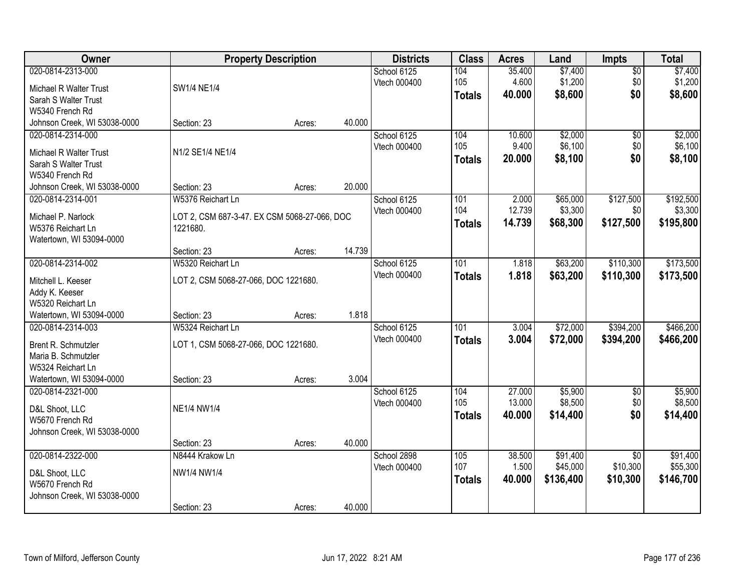| Owner                                         |                                              | <b>Property Description</b> |        | <b>Districts</b> | <b>Class</b>  | <b>Acres</b> | Land      | Impts           | <b>Total</b> |
|-----------------------------------------------|----------------------------------------------|-----------------------------|--------|------------------|---------------|--------------|-----------|-----------------|--------------|
| 020-0814-2313-000                             |                                              |                             |        | School 6125      | 104           | 35.400       | \$7,400   | $\overline{50}$ | \$7,400      |
| Michael R Walter Trust                        | SW1/4 NE1/4                                  |                             |        | Vtech 000400     | 105           | 4.600        | \$1,200   | \$0             | \$1,200      |
| Sarah S Walter Trust                          |                                              |                             |        |                  | <b>Totals</b> | 40.000       | \$8,600   | \$0             | \$8,600      |
| W5340 French Rd                               |                                              |                             |        |                  |               |              |           |                 |              |
| Johnson Creek, WI 53038-0000                  | Section: 23                                  | Acres:                      | 40.000 |                  |               |              |           |                 |              |
| 020-0814-2314-000                             |                                              |                             |        | School 6125      | 104           | 10.600       | \$2,000   | $\overline{50}$ | \$2,000      |
| Michael R Walter Trust                        | N1/2 SE1/4 NE1/4                             |                             |        | Vtech 000400     | 105           | 9.400        | \$6,100   | \$0             | \$6,100      |
| Sarah S Walter Trust                          |                                              |                             |        |                  | <b>Totals</b> | 20.000       | \$8,100   | \$0             | \$8,100      |
| W5340 French Rd                               |                                              |                             |        |                  |               |              |           |                 |              |
| Johnson Creek, WI 53038-0000                  | Section: 23                                  | Acres:                      | 20.000 |                  |               |              |           |                 |              |
| 020-0814-2314-001                             | W5376 Reichart Ln                            |                             |        | School 6125      | 101           | 2.000        | \$65,000  | \$127,500       | \$192,500    |
|                                               |                                              |                             |        | Vtech 000400     | 104           | 12.739       | \$3,300   | \$0             | \$3,300      |
| Michael P. Narlock                            | LOT 2, CSM 687-3-47. EX CSM 5068-27-066, DOC |                             |        |                  | <b>Totals</b> | 14.739       | \$68,300  | \$127,500       | \$195,800    |
| W5376 Reichart Ln<br>Watertown, WI 53094-0000 | 1221680.                                     |                             |        |                  |               |              |           |                 |              |
|                                               | Section: 23                                  | Acres:                      | 14.739 |                  |               |              |           |                 |              |
| 020-0814-2314-002                             | W5320 Reichart Ln                            |                             |        | School 6125      | 101           | 1.818        | \$63,200  | \$110,300       | \$173,500    |
|                                               |                                              |                             |        | Vtech 000400     | <b>Totals</b> | 1.818        | \$63,200  | \$110,300       | \$173,500    |
| Mitchell L. Keeser                            | LOT 2, CSM 5068-27-066, DOC 1221680.         |                             |        |                  |               |              |           |                 |              |
| Addy K. Keeser                                |                                              |                             |        |                  |               |              |           |                 |              |
| W5320 Reichart Ln<br>Watertown, WI 53094-0000 | Section: 23                                  |                             | 1.818  |                  |               |              |           |                 |              |
| 020-0814-2314-003                             | W5324 Reichart Ln                            | Acres:                      |        | School 6125      | 101           | 3.004        | \$72,000  | \$394,200       | \$466,200    |
|                                               |                                              |                             |        | Vtech 000400     |               | 3.004        | \$72,000  | \$394,200       | \$466,200    |
| Brent R. Schmutzler                           | LOT 1, CSM 5068-27-066, DOC 1221680.         |                             |        |                  | <b>Totals</b> |              |           |                 |              |
| Maria B. Schmutzler                           |                                              |                             |        |                  |               |              |           |                 |              |
| W5324 Reichart Ln                             |                                              |                             |        |                  |               |              |           |                 |              |
| Watertown, WI 53094-0000                      | Section: 23                                  | Acres:                      | 3.004  |                  |               |              |           |                 |              |
| 020-0814-2321-000                             |                                              |                             |        | School 6125      | 104           | 27.000       | \$5,900   | $\overline{50}$ | \$5,900      |
| D&L Shoot, LLC                                | <b>NE1/4 NW1/4</b>                           |                             |        | Vtech 000400     | 105           | 13.000       | \$8,500   | \$0             | \$8,500      |
| W5670 French Rd                               |                                              |                             |        |                  | <b>Totals</b> | 40.000       | \$14,400  | \$0             | \$14,400     |
| Johnson Creek, WI 53038-0000                  |                                              |                             |        |                  |               |              |           |                 |              |
|                                               | Section: 23                                  | Acres:                      | 40.000 |                  |               |              |           |                 |              |
| 020-0814-2322-000                             | N8444 Krakow Ln                              |                             |        | School 2898      | 105           | 38.500       | \$91,400  | $\overline{50}$ | \$91,400     |
| D&L Shoot, LLC                                | NW1/4 NW1/4                                  |                             |        | Vtech 000400     | 107           | 1.500        | \$45,000  | \$10,300        | \$55,300     |
| W5670 French Rd                               |                                              |                             |        |                  | <b>Totals</b> | 40.000       | \$136,400 | \$10,300        | \$146,700    |
| Johnson Creek, WI 53038-0000                  |                                              |                             |        |                  |               |              |           |                 |              |
|                                               | Section: 23                                  | Acres:                      | 40.000 |                  |               |              |           |                 |              |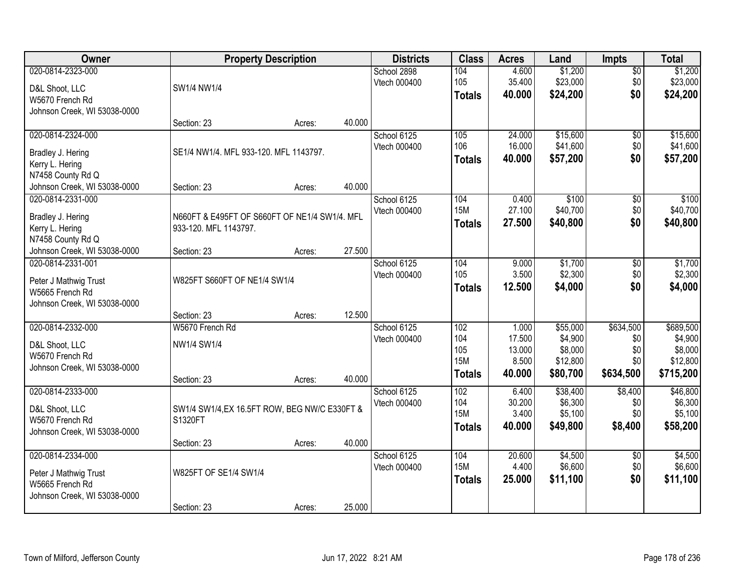| Owner                                           |                                                                        | <b>Property Description</b> |        | <b>Districts</b>            | <b>Class</b>      | <b>Acres</b>    | Land     | <b>Impts</b>    | <b>Total</b>        |
|-------------------------------------------------|------------------------------------------------------------------------|-----------------------------|--------|-----------------------------|-------------------|-----------------|----------|-----------------|---------------------|
| 020-0814-2323-000                               |                                                                        |                             |        | School 2898                 | 104               | 4.600           | \$1,200  | $\overline{50}$ | \$1,200             |
| D&L Shoot, LLC                                  | SW1/4 NW1/4                                                            |                             |        | Vtech 000400                | 105               | 35.400          | \$23,000 | \$0             | \$23,000            |
| W5670 French Rd                                 |                                                                        |                             |        |                             | <b>Totals</b>     | 40.000          | \$24,200 | \$0             | \$24,200            |
| Johnson Creek, WI 53038-0000                    |                                                                        |                             |        |                             |                   |                 |          |                 |                     |
|                                                 | Section: 23                                                            | Acres:                      | 40.000 |                             |                   |                 |          |                 |                     |
| 020-0814-2324-000                               |                                                                        |                             |        | School 6125                 | 105               | 24.000          | \$15,600 | $\overline{50}$ | \$15,600            |
| Bradley J. Hering                               | SE1/4 NW1/4. MFL 933-120. MFL 1143797.                                 |                             |        | Vtech 000400                | 106               | 16.000          | \$41,600 | \$0             | \$41,600            |
| Kerry L. Hering                                 |                                                                        |                             |        |                             | <b>Totals</b>     | 40.000          | \$57,200 | \$0             | \$57,200            |
| N7458 County Rd Q                               |                                                                        |                             |        |                             |                   |                 |          |                 |                     |
| Johnson Creek, WI 53038-0000                    | Section: 23                                                            | Acres:                      | 40.000 |                             |                   |                 |          |                 |                     |
| 020-0814-2331-000                               |                                                                        |                             |        | School 6125                 | 104               | 0.400           | \$100    | \$0             | \$100               |
|                                                 |                                                                        |                             |        | Vtech 000400                | <b>15M</b>        | 27.100          | \$40,700 | \$0             | \$40,700            |
| Bradley J. Hering<br>Kerry L. Hering            | N660FT & E495FT OF S660FT OF NE1/4 SW1/4. MFL<br>933-120. MFL 1143797. |                             |        |                             | <b>Totals</b>     | 27.500          | \$40,800 | \$0             | \$40,800            |
| N7458 County Rd Q                               |                                                                        |                             |        |                             |                   |                 |          |                 |                     |
| Johnson Creek, WI 53038-0000                    | Section: 23                                                            | Acres:                      | 27.500 |                             |                   |                 |          |                 |                     |
| 020-0814-2331-001                               |                                                                        |                             |        | School 6125                 | 104               | 9.000           | \$1,700  | \$0             | \$1,700             |
|                                                 |                                                                        |                             |        | Vtech 000400                | 105               | 3.500           | \$2,300  | \$0             | \$2,300             |
| Peter J Mathwig Trust                           | W825FT S660FT OF NE1/4 SW1/4                                           |                             |        |                             | <b>Totals</b>     | 12.500          | \$4,000  | \$0             | \$4,000             |
| W5665 French Rd<br>Johnson Creek, WI 53038-0000 |                                                                        |                             |        |                             |                   |                 |          |                 |                     |
|                                                 | Section: 23                                                            | Acres:                      | 12.500 |                             |                   |                 |          |                 |                     |
| 020-0814-2332-000                               | W5670 French Rd                                                        |                             |        | School 6125                 | 102               | 1.000           | \$55,000 | \$634,500       | \$689,500           |
|                                                 |                                                                        |                             |        | Vtech 000400                | 104               | 17.500          | \$4,900  | \$0             | \$4,900             |
| D&L Shoot, LLC                                  | NW1/4 SW1/4                                                            |                             |        |                             | 105               | 13.000          | \$8,000  | \$0             | \$8,000             |
| W5670 French Rd                                 |                                                                        |                             |        |                             | <b>15M</b>        | 8.500           | \$12,800 | \$0             | \$12,800            |
| Johnson Creek, WI 53038-0000                    |                                                                        |                             |        |                             | <b>Totals</b>     | 40.000          | \$80,700 | \$634,500       | \$715,200           |
|                                                 | Section: 23                                                            | Acres:                      | 40.000 |                             | 102               |                 | \$38,400 |                 |                     |
| 020-0814-2333-000                               |                                                                        |                             |        | School 6125<br>Vtech 000400 | 104               | 6.400<br>30.200 | \$6,300  | \$8,400<br>\$0  | \$46,800<br>\$6,300 |
| D&L Shoot, LLC                                  | SW1/4 SW1/4, EX 16.5FT ROW, BEG NW/C E330FT &                          |                             |        |                             | <b>15M</b>        | 3.400           | \$5,100  | \$0             | \$5,100             |
| W5670 French Rd                                 | S1320FT                                                                |                             |        |                             | <b>Totals</b>     | 40.000          | \$49,800 | \$8,400         | \$58,200            |
| Johnson Creek, WI 53038-0000                    |                                                                        |                             |        |                             |                   |                 |          |                 |                     |
|                                                 | Section: 23                                                            | Acres:                      | 40.000 |                             |                   |                 |          |                 |                     |
| 020-0814-2334-000                               |                                                                        |                             |        | School 6125                 | 104<br><b>15M</b> | 20.600          | \$4,500  | $\overline{50}$ | \$4,500             |
| Peter J Mathwig Trust                           | W825FT OF SE1/4 SW1/4                                                  |                             |        | Vtech 000400                |                   | 4.400           | \$6,600  | \$0             | \$6,600             |
| W5665 French Rd                                 |                                                                        |                             |        |                             | <b>Totals</b>     | 25.000          | \$11,100 | \$0             | \$11,100            |
| Johnson Creek, WI 53038-0000                    |                                                                        |                             |        |                             |                   |                 |          |                 |                     |
|                                                 | Section: 23                                                            | Acres:                      | 25.000 |                             |                   |                 |          |                 |                     |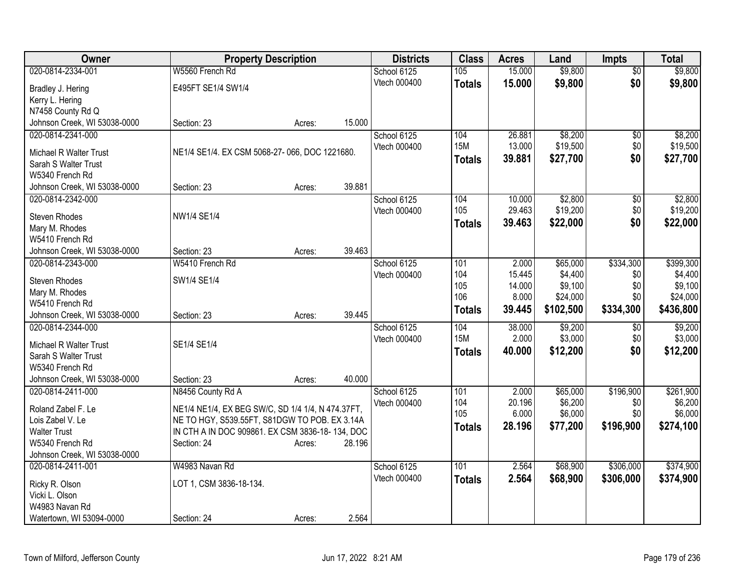| Owner                        | <b>Property Description</b>                       |        |        | <b>Districts</b> | <b>Class</b>  | <b>Acres</b> | Land      | <b>Impts</b>    | <b>Total</b> |
|------------------------------|---------------------------------------------------|--------|--------|------------------|---------------|--------------|-----------|-----------------|--------------|
| 020-0814-2334-001            | W5560 French Rd                                   |        |        | School 6125      | 105           | 15.000       | \$9,800   | $\overline{50}$ | \$9,800      |
| Bradley J. Hering            | E495FT SE1/4 SW1/4                                |        |        | Vtech 000400     | <b>Totals</b> | 15.000       | \$9,800   | \$0             | \$9,800      |
| Kerry L. Hering              |                                                   |        |        |                  |               |              |           |                 |              |
| N7458 County Rd Q            |                                                   |        |        |                  |               |              |           |                 |              |
| Johnson Creek, WI 53038-0000 | Section: 23                                       | Acres: | 15.000 |                  |               |              |           |                 |              |
| 020-0814-2341-000            |                                                   |        |        | School 6125      | 104           | 26.881       | \$8,200   | \$0             | \$8,200      |
| Michael R Walter Trust       | NE1/4 SE1/4. EX CSM 5068-27-066, DOC 1221680.     |        |        | Vtech 000400     | <b>15M</b>    | 13.000       | \$19,500  | \$0             | \$19,500     |
| Sarah S Walter Trust         |                                                   |        |        |                  | <b>Totals</b> | 39.881       | \$27,700  | \$0             | \$27,700     |
| W5340 French Rd              |                                                   |        |        |                  |               |              |           |                 |              |
| Johnson Creek, WI 53038-0000 | Section: 23                                       | Acres: | 39.881 |                  |               |              |           |                 |              |
| 020-0814-2342-000            |                                                   |        |        | School 6125      | 104           | 10.000       | \$2,800   | \$0             | \$2,800      |
| Steven Rhodes                | NW1/4 SE1/4                                       |        |        | Vtech 000400     | 105           | 29.463       | \$19,200  | \$0             | \$19,200     |
| Mary M. Rhodes               |                                                   |        |        |                  | <b>Totals</b> | 39.463       | \$22,000  | \$0             | \$22,000     |
| W5410 French Rd              |                                                   |        |        |                  |               |              |           |                 |              |
| Johnson Creek, WI 53038-0000 | Section: 23                                       | Acres: | 39.463 |                  |               |              |           |                 |              |
| 020-0814-2343-000            | W5410 French Rd                                   |        |        | School 6125      | 101           | 2.000        | \$65,000  | \$334,300       | \$399,300    |
| Steven Rhodes                | SW1/4 SE1/4                                       |        |        | Vtech 000400     | 104           | 15.445       | \$4,400   | \$0             | \$4,400      |
| Mary M. Rhodes               |                                                   |        |        |                  | 105           | 14.000       | \$9,100   | \$0             | \$9,100      |
| W5410 French Rd              |                                                   |        |        |                  | 106           | 8.000        | \$24,000  | \$0             | \$24,000     |
| Johnson Creek, WI 53038-0000 | Section: 23                                       | Acres: | 39.445 |                  | <b>Totals</b> | 39.445       | \$102,500 | \$334,300       | \$436,800    |
| 020-0814-2344-000            |                                                   |        |        | School 6125      | 104           | 38.000       | \$9,200   | \$0             | \$9,200      |
| Michael R Walter Trust       | SE1/4 SE1/4                                       |        |        | Vtech 000400     | <b>15M</b>    | 2.000        | \$3,000   | \$0             | \$3,000      |
| Sarah S Walter Trust         |                                                   |        |        |                  | <b>Totals</b> | 40.000       | \$12,200  | \$0             | \$12,200     |
| W5340 French Rd              |                                                   |        |        |                  |               |              |           |                 |              |
| Johnson Creek, WI 53038-0000 | Section: 23                                       | Acres: | 40.000 |                  |               |              |           |                 |              |
| 020-0814-2411-000            | N8456 County Rd A                                 |        |        | School 6125      | 101           | 2.000        | \$65,000  | \$196,900       | \$261,900    |
| Roland Zabel F. Le           | NE1/4 NE1/4, EX BEG SW/C, SD 1/4 1/4, N 474.37FT, |        |        | Vtech 000400     | 104           | 20.196       | \$6,200   | \$0             | \$6,200      |
| Lois Zabel V. Le             | NE TO HGY, S539.55FT, S81DGW TO POB. EX 3.14A     |        |        |                  | 105           | 6.000        | \$6,000   | \$0             | \$6,000      |
| <b>Walter Trust</b>          | IN CTH A IN DOC 909861. EX CSM 3836-18-134, DOC   |        |        |                  | <b>Totals</b> | 28.196       | \$77,200  | \$196,900       | \$274,100    |
| W5340 French Rd              | Section: 24                                       | Acres: | 28.196 |                  |               |              |           |                 |              |
| Johnson Creek, WI 53038-0000 |                                                   |        |        |                  |               |              |           |                 |              |
| 020-0814-2411-001            | W4983 Navan Rd                                    |        |        | School 6125      | 101           | 2.564        | \$68,900  | \$306,000       | \$374,900    |
| Ricky R. Olson               | LOT 1, CSM 3836-18-134.                           |        |        | Vtech 000400     | <b>Totals</b> | 2.564        | \$68,900  | \$306,000       | \$374,900    |
| Vicki L. Olson               |                                                   |        |        |                  |               |              |           |                 |              |
| W4983 Navan Rd               |                                                   |        |        |                  |               |              |           |                 |              |
| Watertown, WI 53094-0000     | Section: 24                                       | Acres: | 2.564  |                  |               |              |           |                 |              |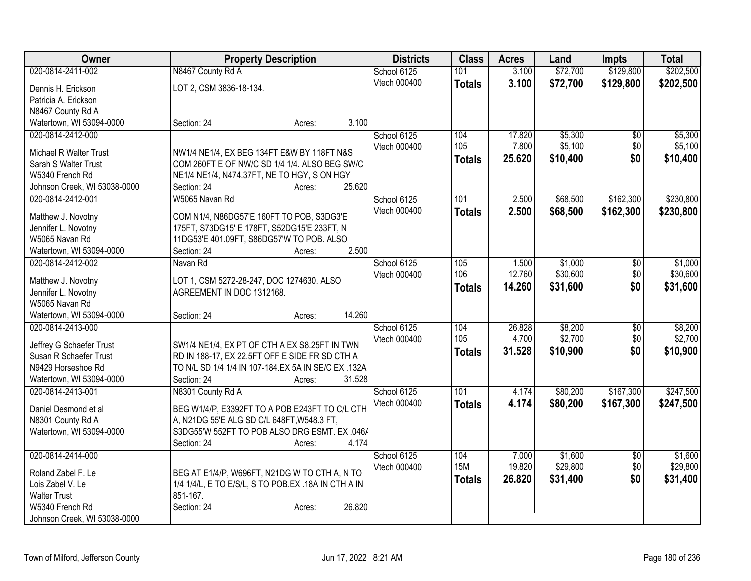| Owner                        | <b>Property Description</b>                         | <b>Districts</b> | <b>Class</b>     | <b>Acres</b>    | Land                | <b>Impts</b>           | <b>Total</b>        |
|------------------------------|-----------------------------------------------------|------------------|------------------|-----------------|---------------------|------------------------|---------------------|
| 020-0814-2411-002            | N8467 County Rd A                                   | School 6125      | 101              | 3.100           | \$72,700            | \$129,800              | \$202,500           |
| Dennis H. Erickson           | LOT 2, CSM 3836-18-134.                             | Vtech 000400     | <b>Totals</b>    | 3.100           | \$72,700            | \$129,800              | \$202,500           |
| Patricia A. Erickson         |                                                     |                  |                  |                 |                     |                        |                     |
| N8467 County Rd A            |                                                     |                  |                  |                 |                     |                        |                     |
| Watertown, WI 53094-0000     | 3.100<br>Section: 24<br>Acres:                      |                  |                  |                 |                     |                        |                     |
| 020-0814-2412-000            |                                                     | School 6125      | 104              | 17.820          | \$5,300             | $\overline{30}$        | \$5,300             |
| Michael R Walter Trust       | NW1/4 NE1/4, EX BEG 134FT E&W BY 118FT N&S          | Vtech 000400     | 105              | 7.800           | \$5,100             | \$0                    | \$5,100             |
| Sarah S Walter Trust         | COM 260FT E OF NW/C SD 1/4 1/4. ALSO BEG SW/C       |                  | <b>Totals</b>    | 25.620          | \$10,400            | \$0                    | \$10,400            |
| W5340 French Rd              | NE1/4 NE1/4, N474.37FT, NE TO HGY, S ON HGY         |                  |                  |                 |                     |                        |                     |
| Johnson Creek, WI 53038-0000 | 25.620<br>Section: 24<br>Acres:                     |                  |                  |                 |                     |                        |                     |
| 020-0814-2412-001            | W5065 Navan Rd                                      | School 6125      | 101              | 2.500           | \$68,500            | \$162,300              | \$230,800           |
|                              |                                                     | Vtech 000400     | <b>Totals</b>    | 2.500           | \$68,500            | \$162,300              | \$230,800           |
| Matthew J. Novotny           | COM N1/4, N86DG57'E 160FT TO POB, S3DG3'E           |                  |                  |                 |                     |                        |                     |
| Jennifer L. Novotny          | 175FT, S73DG15' E 178FT, S52DG15'E 233FT, N         |                  |                  |                 |                     |                        |                     |
| W5065 Navan Rd               | 11DG53'E 401.09FT, S86DG57'W TO POB. ALSO<br>2.500  |                  |                  |                 |                     |                        |                     |
| Watertown, WI 53094-0000     | Section: 24<br>Acres:                               |                  |                  |                 |                     |                        |                     |
| 020-0814-2412-002            | Navan Rd                                            | School 6125      | 105<br>106       | 1.500<br>12.760 | \$1,000<br>\$30,600 | $\overline{50}$<br>\$0 | \$1,000<br>\$30,600 |
| Matthew J. Novotny           | LOT 1, CSM 5272-28-247, DOC 1274630. ALSO           | Vtech 000400     |                  | 14.260          |                     | \$0                    |                     |
| Jennifer L. Novotny          | AGREEMENT IN DOC 1312168.                           |                  | <b>Totals</b>    |                 | \$31,600            |                        | \$31,600            |
| W5065 Navan Rd               |                                                     |                  |                  |                 |                     |                        |                     |
| Watertown, WI 53094-0000     | 14.260<br>Section: 24<br>Acres:                     |                  |                  |                 |                     |                        |                     |
| 020-0814-2413-000            |                                                     | School 6125      | 104              | 26.828          | \$8,200             | \$0                    | \$8,200             |
| Jeffrey G Schaefer Trust     | SW1/4 NE1/4, EX PT OF CTH A EX S8.25FT IN TWN       | Vtech 000400     | 105              | 4.700           | \$2,700             | \$0                    | \$2,700             |
| Susan R Schaefer Trust       | RD IN 188-17, EX 22.5FT OFF E SIDE FR SD CTH A      |                  | <b>Totals</b>    | 31.528          | \$10,900            | \$0                    | \$10,900            |
| N9429 Horseshoe Rd           | TO N/L SD 1/4 1/4 IN 107-184.EX 5A IN SE/C EX .132A |                  |                  |                 |                     |                        |                     |
| Watertown, WI 53094-0000     | 31.528<br>Section: 24<br>Acres:                     |                  |                  |                 |                     |                        |                     |
| 020-0814-2413-001            | N8301 County Rd A                                   | School 6125      | $\overline{101}$ | 4.174           | \$80,200            | \$167,300              | \$247,500           |
| Daniel Desmond et al         | BEG W1/4/P, E3392FT TO A POB E243FT TO C/L CTH      | Vtech 000400     | <b>Totals</b>    | 4.174           | \$80,200            | \$167,300              | \$247,500           |
| N8301 County Rd A            | A, N21DG 55'E ALG SD C/L 648FT, W548.3 FT,          |                  |                  |                 |                     |                        |                     |
| Watertown, WI 53094-0000     | S3DG55'W 552FT TO POB ALSO DRG ESMT. EX .046/       |                  |                  |                 |                     |                        |                     |
|                              | 4.174<br>Section: 24<br>Acres:                      |                  |                  |                 |                     |                        |                     |
| 020-0814-2414-000            |                                                     | School 6125      | 104              | 7.000           | \$1,600             | $\overline{50}$        | \$1,600             |
|                              |                                                     | Vtech 000400     | <b>15M</b>       | 19.820          | \$29,800            | \$0                    | \$29,800            |
| Roland Zabel F. Le           | BEG AT E1/4/P, W696FT, N21DG W TO CTH A, N TO       |                  | <b>Totals</b>    | 26.820          | \$31,400            | \$0                    | \$31,400            |
| Lois Zabel V. Le             | 1/4 1/4/L, E TO E/S/L, S TO POB.EX .18A IN CTH A IN |                  |                  |                 |                     |                        |                     |
| <b>Walter Trust</b>          | 851-167.                                            |                  |                  |                 |                     |                        |                     |
| W5340 French Rd              | Section: 24<br>26.820<br>Acres:                     |                  |                  |                 |                     |                        |                     |
| Johnson Creek, WI 53038-0000 |                                                     |                  |                  |                 |                     |                        |                     |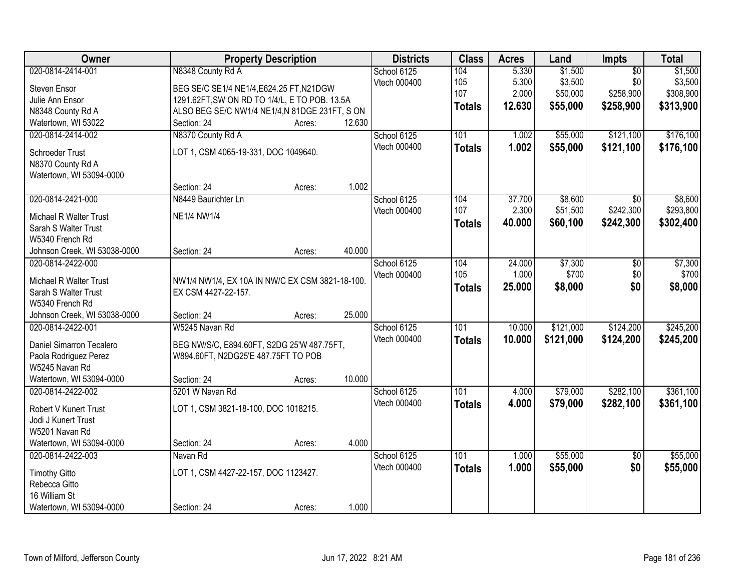| Owner                                   | <b>Property Description</b>                     |                  | <b>Districts</b>            | <b>Class</b>  | <b>Acres</b> | Land      | Impts           | <b>Total</b> |
|-----------------------------------------|-------------------------------------------------|------------------|-----------------------------|---------------|--------------|-----------|-----------------|--------------|
| 020-0814-2414-001                       | N8348 County Rd A                               |                  | School 6125                 | 104           | 5.330        | \$1,500   | $\overline{50}$ | \$1,500      |
| Steven Ensor                            | BEG SE/C SE1/4 NE1/4, E624.25 FT, N21DGW        |                  | Vtech 000400                | 105           | 5.300        | \$3,500   | \$0             | \$3,500      |
| Julie Ann Ensor                         | 1291.62FT, SW ON RD TO 1/4/L, E TO POB. 13.5A   |                  |                             | 107           | 2.000        | \$50,000  | \$258,900       | \$308,900    |
| N8348 County Rd A                       | ALSO BEG SE/C NW1/4 NE1/4,N 81DGE 231FT, S ON   |                  |                             | <b>Totals</b> | 12.630       | \$55,000  | \$258,900       | \$313,900    |
| Watertown, WI 53022                     | Section: 24                                     | 12.630<br>Acres: |                             |               |              |           |                 |              |
| 020-0814-2414-002                       | N8370 County Rd A                               |                  | School 6125                 | 101           | 1.002        | \$55,000  | \$121,100       | \$176,100    |
|                                         |                                                 |                  | Vtech 000400                | <b>Totals</b> | 1.002        | \$55,000  | \$121,100       | \$176,100    |
| <b>Schroeder Trust</b>                  | LOT 1, CSM 4065-19-331, DOC 1049640.            |                  |                             |               |              |           |                 |              |
| N8370 County Rd A                       |                                                 |                  |                             |               |              |           |                 |              |
| Watertown, WI 53094-0000                |                                                 |                  |                             |               |              |           |                 |              |
|                                         | Section: 24                                     | 1.002<br>Acres:  |                             |               |              |           |                 |              |
| 020-0814-2421-000                       | N8449 Baurichter Ln                             |                  | School 6125                 | 104           | 37.700       | \$8,600   | $\overline{50}$ | \$8,600      |
| Michael R Walter Trust                  | <b>NE1/4 NW1/4</b>                              |                  | Vtech 000400                | 107           | 2.300        | \$51,500  | \$242,300       | \$293,800    |
| Sarah S Walter Trust                    |                                                 |                  |                             | <b>Totals</b> | 40.000       | \$60,100  | \$242,300       | \$302,400    |
| W5340 French Rd                         |                                                 |                  |                             |               |              |           |                 |              |
| Johnson Creek, WI 53038-0000            | Section: 24                                     | 40.000<br>Acres: |                             |               |              |           |                 |              |
| 020-0814-2422-000                       |                                                 |                  | School 6125                 | 104           | 24.000       | \$7,300   | \$0             | \$7,300      |
|                                         |                                                 |                  | Vtech 000400                | 105           | 1.000        | \$700     | \$0             | \$700        |
| Michael R Walter Trust                  | NW1/4 NW1/4, EX 10A IN NW/C EX CSM 3821-18-100. |                  |                             | <b>Totals</b> | 25.000       | \$8,000   | \$0             | \$8,000      |
| Sarah S Walter Trust<br>W5340 French Rd | EX CSM 4427-22-157.                             |                  |                             |               |              |           |                 |              |
| Johnson Creek, WI 53038-0000            | Section: 24                                     | 25.000           |                             |               |              |           |                 |              |
| 020-0814-2422-001                       | W5245 Navan Rd                                  | Acres:           |                             | 101           | 10.000       | \$121,000 | \$124,200       | \$245,200    |
|                                         |                                                 |                  | School 6125<br>Vtech 000400 |               |              |           |                 |              |
| Daniel Simarron Tecalero                | BEG NW/S/C, E894.60FT, S2DG 25'W 487.75FT,      |                  |                             | <b>Totals</b> | 10.000       | \$121,000 | \$124,200       | \$245,200    |
| Paola Rodriguez Perez                   | W894.60FT, N2DG25'E 487.75FT TO POB             |                  |                             |               |              |           |                 |              |
| W5245 Navan Rd                          |                                                 |                  |                             |               |              |           |                 |              |
| Watertown, WI 53094-0000                | Section: 24                                     | 10.000<br>Acres: |                             |               |              |           |                 |              |
| 020-0814-2422-002                       | 5201 W Navan Rd                                 |                  | School 6125                 | 101           | 4.000        | \$79,000  | \$282,100       | \$361,100    |
| Robert V Kunert Trust                   | LOT 1, CSM 3821-18-100, DOC 1018215.            |                  | Vtech 000400                | <b>Totals</b> | 4.000        | \$79,000  | \$282,100       | \$361,100    |
| Jodi J Kunert Trust                     |                                                 |                  |                             |               |              |           |                 |              |
| W5201 Navan Rd                          |                                                 |                  |                             |               |              |           |                 |              |
| Watertown, WI 53094-0000                | Section: 24                                     | 4.000<br>Acres:  |                             |               |              |           |                 |              |
| 020-0814-2422-003                       | Navan Rd                                        |                  | School 6125                 | 101           | 1.000        | \$55,000  | $\overline{50}$ | \$55,000     |
|                                         |                                                 |                  | Vtech 000400                | <b>Totals</b> | 1.000        | \$55,000  | \$0             | \$55,000     |
| <b>Timothy Gitto</b>                    | LOT 1, CSM 4427-22-157, DOC 1123427.            |                  |                             |               |              |           |                 |              |
| Rebecca Gitto                           |                                                 |                  |                             |               |              |           |                 |              |
| 16 William St                           |                                                 |                  |                             |               |              |           |                 |              |
| Watertown, WI 53094-0000                | Section: 24                                     | 1.000<br>Acres:  |                             |               |              |           |                 |              |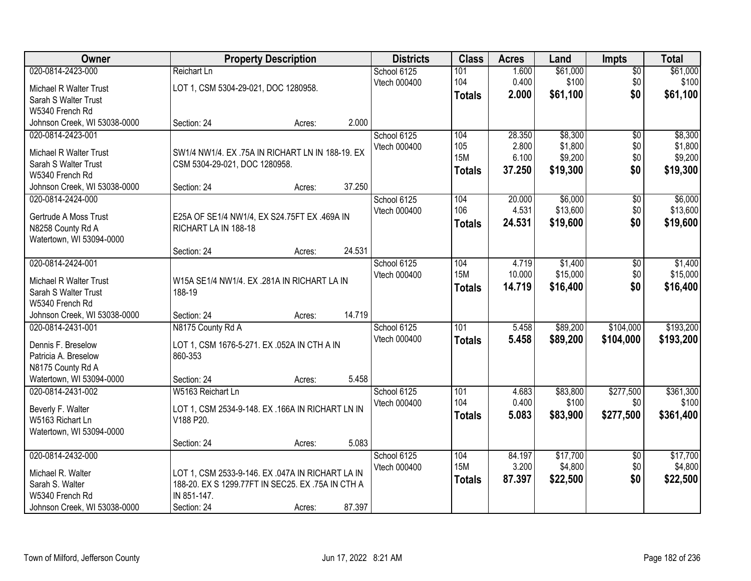| Owner                        |                                                   | <b>Property Description</b> |        | <b>Districts</b> | <b>Class</b>  | <b>Acres</b> | Land     | <b>Impts</b>    | <b>Total</b> |
|------------------------------|---------------------------------------------------|-----------------------------|--------|------------------|---------------|--------------|----------|-----------------|--------------|
| 020-0814-2423-000            | Reichart Ln                                       |                             |        | School 6125      | 101           | 1.600        | \$61,000 | $\sqrt{$0}$     | \$61,000     |
| Michael R Walter Trust       | LOT 1, CSM 5304-29-021, DOC 1280958.              |                             |        | Vtech 000400     | 104           | 0.400        | \$100    | \$0             | \$100        |
| Sarah S Walter Trust         |                                                   |                             |        |                  | <b>Totals</b> | 2.000        | \$61,100 | \$0             | \$61,100     |
| W5340 French Rd              |                                                   |                             |        |                  |               |              |          |                 |              |
| Johnson Creek, WI 53038-0000 | Section: 24                                       | Acres:                      | 2.000  |                  |               |              |          |                 |              |
| 020-0814-2423-001            |                                                   |                             |        | School 6125      | 104           | 28.350       | \$8,300  | $\overline{50}$ | \$8,300      |
| Michael R Walter Trust       | SW1/4 NW1/4, EX .75A IN RICHART LN IN 188-19, EX  |                             |        | Vtech 000400     | 105           | 2.800        | \$1,800  | \$0             | \$1,800      |
| Sarah S Walter Trust         | CSM 5304-29-021, DOC 1280958.                     |                             |        |                  | <b>15M</b>    | 6.100        | \$9,200  | \$0             | \$9,200      |
| W5340 French Rd              |                                                   |                             |        |                  | <b>Totals</b> | 37.250       | \$19,300 | \$0             | \$19,300     |
| Johnson Creek, WI 53038-0000 | Section: 24                                       | Acres:                      | 37.250 |                  |               |              |          |                 |              |
| 020-0814-2424-000            |                                                   |                             |        | School 6125      | 104           | 20.000       | \$6,000  | \$0             | \$6,000      |
| Gertrude A Moss Trust        | E25A OF SE1/4 NW1/4, EX S24.75FT EX .469A IN      |                             |        | Vtech 000400     | 106           | 4.531        | \$13,600 | \$0             | \$13,600     |
| N8258 County Rd A            | RICHART LA IN 188-18                              |                             |        |                  | <b>Totals</b> | 24.531       | \$19,600 | \$0             | \$19,600     |
| Watertown, WI 53094-0000     |                                                   |                             |        |                  |               |              |          |                 |              |
|                              | Section: 24                                       | Acres:                      | 24.531 |                  |               |              |          |                 |              |
| 020-0814-2424-001            |                                                   |                             |        | School 6125      | 104           | 4.719        | \$1,400  | $\sqrt[6]{3}$   | \$1,400      |
| Michael R Walter Trust       | W15A SE1/4 NW1/4. EX .281A IN RICHART LA IN       |                             |        | Vtech 000400     | <b>15M</b>    | 10.000       | \$15,000 | \$0             | \$15,000     |
| Sarah S Walter Trust         | 188-19                                            |                             |        |                  | <b>Totals</b> | 14.719       | \$16,400 | \$0             | \$16,400     |
| W5340 French Rd              |                                                   |                             |        |                  |               |              |          |                 |              |
| Johnson Creek, WI 53038-0000 | Section: 24                                       | Acres:                      | 14.719 |                  |               |              |          |                 |              |
| 020-0814-2431-001            | N8175 County Rd A                                 |                             |        | School 6125      | 101           | 5.458        | \$89,200 | \$104,000       | \$193,200    |
| Dennis F. Breselow           | LOT 1, CSM 1676-5-271. EX .052A IN CTH A IN       |                             |        | Vtech 000400     | Totals        | 5.458        | \$89,200 | \$104,000       | \$193,200    |
| Patricia A. Breselow         | 860-353                                           |                             |        |                  |               |              |          |                 |              |
| N8175 County Rd A            |                                                   |                             |        |                  |               |              |          |                 |              |
| Watertown, WI 53094-0000     | Section: 24                                       | Acres:                      | 5.458  |                  |               |              |          |                 |              |
| 020-0814-2431-002            | W5163 Reichart Ln                                 |                             |        | School 6125      | 101           | 4.683        | \$83,800 | \$277,500       | \$361,300    |
| Beverly F. Walter            | LOT 1, CSM 2534-9-148. EX .166A IN RICHART LN IN  |                             |        | Vtech 000400     | 104           | 0.400        | \$100    | \$0             | \$100        |
| W5163 Richart Ln             | V188 P20.                                         |                             |        |                  | <b>Totals</b> | 5.083        | \$83,900 | \$277,500       | \$361,400    |
| Watertown, WI 53094-0000     |                                                   |                             |        |                  |               |              |          |                 |              |
|                              | Section: 24                                       | Acres:                      | 5.083  |                  |               |              |          |                 |              |
| 020-0814-2432-000            |                                                   |                             |        | School 6125      | 104           | 84.197       | \$17,700 | $\overline{60}$ | \$17,700     |
| Michael R. Walter            | LOT 1, CSM 2533-9-146. EX .047A IN RICHART LA IN  |                             |        | Vtech 000400     | <b>15M</b>    | 3.200        | \$4,800  | \$0             | \$4,800      |
| Sarah S. Walter              | 188-20. EX S 1299.77FT IN SEC25. EX .75A IN CTH A |                             |        |                  | <b>Totals</b> | 87.397       | \$22,500 | \$0             | \$22,500     |
| W5340 French Rd              | IN 851-147.                                       |                             |        |                  |               |              |          |                 |              |
| Johnson Creek, WI 53038-0000 | Section: 24                                       | Acres:                      | 87.397 |                  |               |              |          |                 |              |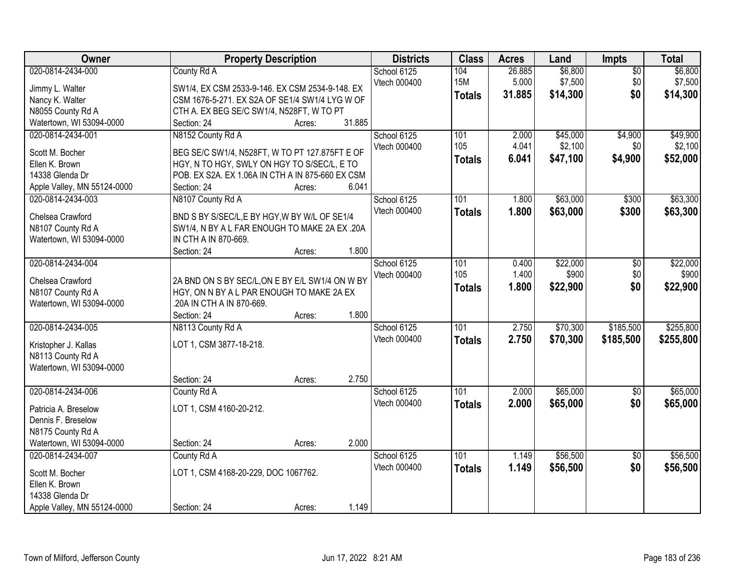| Owner                                         | <b>Property Description</b>                      | <b>Districts</b> | <b>Class</b>  | <b>Acres</b> | Land     | Impts           | <b>Total</b> |
|-----------------------------------------------|--------------------------------------------------|------------------|---------------|--------------|----------|-----------------|--------------|
| 020-0814-2434-000                             | County Rd A                                      | School 6125      | 104           | 26.885       | \$6,800  | $\overline{50}$ | \$6,800      |
| Jimmy L. Walter                               | SW1/4, EX CSM 2533-9-146. EX CSM 2534-9-148. EX  | Vtech 000400     | <b>15M</b>    | 5.000        | \$7,500  | \$0             | \$7,500      |
| Nancy K. Walter                               | CSM 1676-5-271. EX S2A OF SE1/4 SW1/4 LYG W OF   |                  | <b>Totals</b> | 31.885       | \$14,300 | \$0             | \$14,300     |
| N8055 County Rd A                             | CTH A. EX BEG SE/C SW1/4, N528FT, W TO PT        |                  |               |              |          |                 |              |
| Watertown, WI 53094-0000                      | 31.885<br>Section: 24<br>Acres:                  |                  |               |              |          |                 |              |
| 020-0814-2434-001                             | N8152 County Rd A                                | School 6125      | 101           | 2.000        | \$45,000 | \$4,900         | \$49,900     |
|                                               |                                                  | Vtech 000400     | 105           | 4.041        | \$2,100  | \$0             | \$2,100      |
| Scott M. Bocher                               | BEG SE/C SW1/4, N528FT, W TO PT 127.875FT E OF   |                  | <b>Totals</b> | 6.041        | \$47,100 | \$4,900         | \$52,000     |
| Ellen K. Brown                                | HGY, N TO HGY, SWLY ON HGY TO S/SEC/L, E TO      |                  |               |              |          |                 |              |
| 14338 Glenda Dr                               | POB. EX S2A. EX 1.06A IN CTH A IN 875-660 EX CSM |                  |               |              |          |                 |              |
| Apple Valley, MN 55124-0000                   | 6.041<br>Section: 24<br>Acres:                   |                  |               |              |          |                 |              |
| 020-0814-2434-003                             | N8107 County Rd A                                | School 6125      | 101           | 1.800        | \$63,000 | \$300           | \$63,300     |
| Chelsea Crawford                              | BND S BY S/SEC/L,E BY HGY, W BY W/L OF SE1/4     | Vtech 000400     | <b>Totals</b> | 1.800        | \$63,000 | \$300           | \$63,300     |
| N8107 County Rd A                             | SW1/4, N BY A L FAR ENOUGH TO MAKE 2A EX .20A    |                  |               |              |          |                 |              |
| Watertown, WI 53094-0000                      | IN CTH A IN 870-669.                             |                  |               |              |          |                 |              |
|                                               | 1.800<br>Section: 24<br>Acres:                   |                  |               |              |          |                 |              |
| 020-0814-2434-004                             |                                                  | School 6125      | 101           | 0.400        | \$22,000 | $\overline{60}$ | \$22,000     |
|                                               |                                                  | Vtech 000400     | 105           | 1.400        | \$900    | \$0             | \$900        |
| Chelsea Crawford                              | 2A BND ON S BY SEC/L, ON E BY E/L SW1/4 ON W BY  |                  | <b>Totals</b> | 1.800        | \$22,900 | \$0             | \$22,900     |
| N8107 County Rd A                             | HGY, ON N BY A L PAR ENOUGH TO MAKE 2A EX        |                  |               |              |          |                 |              |
| Watertown, WI 53094-0000                      | 20A IN CTH A IN 870-669.                         |                  |               |              |          |                 |              |
|                                               | 1.800<br>Section: 24<br>Acres:                   |                  |               |              |          |                 |              |
| 020-0814-2434-005                             | N8113 County Rd A                                | School 6125      | 101           | 2.750        | \$70,300 | \$185,500       | \$255,800    |
| Kristopher J. Kallas                          | LOT 1, CSM 3877-18-218.                          | Vtech 000400     | <b>Totals</b> | 2.750        | \$70,300 | \$185,500       | \$255,800    |
| N8113 County Rd A                             |                                                  |                  |               |              |          |                 |              |
| Watertown, WI 53094-0000                      |                                                  |                  |               |              |          |                 |              |
|                                               | 2.750<br>Section: 24<br>Acres:                   |                  |               |              |          |                 |              |
| 020-0814-2434-006                             | County Rd A                                      | School 6125      | 101           | 2.000        | \$65,000 | $\overline{60}$ | \$65,000     |
|                                               |                                                  | Vtech 000400     | <b>Totals</b> | 2.000        | \$65,000 | \$0             | \$65,000     |
| Patricia A. Breselow<br>Dennis F. Breselow    | LOT 1, CSM 4160-20-212.                          |                  |               |              |          |                 |              |
|                                               |                                                  |                  |               |              |          |                 |              |
| N8175 County Rd A<br>Watertown, WI 53094-0000 | 2.000                                            |                  |               |              |          |                 |              |
|                                               | Section: 24<br>Acres:                            |                  |               |              |          |                 |              |
| 020-0814-2434-007                             | County Rd A                                      | School 6125      | 101           | 1.149        | \$56,500 | $\overline{50}$ | \$56,500     |
| Scott M. Bocher                               | LOT 1, CSM 4168-20-229, DOC 1067762.             | Vtech 000400     | <b>Totals</b> | 1.149        | \$56,500 | \$0             | \$56,500     |
| Ellen K. Brown                                |                                                  |                  |               |              |          |                 |              |
| 14338 Glenda Dr                               |                                                  |                  |               |              |          |                 |              |
| Apple Valley, MN 55124-0000                   | 1.149<br>Section: 24<br>Acres:                   |                  |               |              |          |                 |              |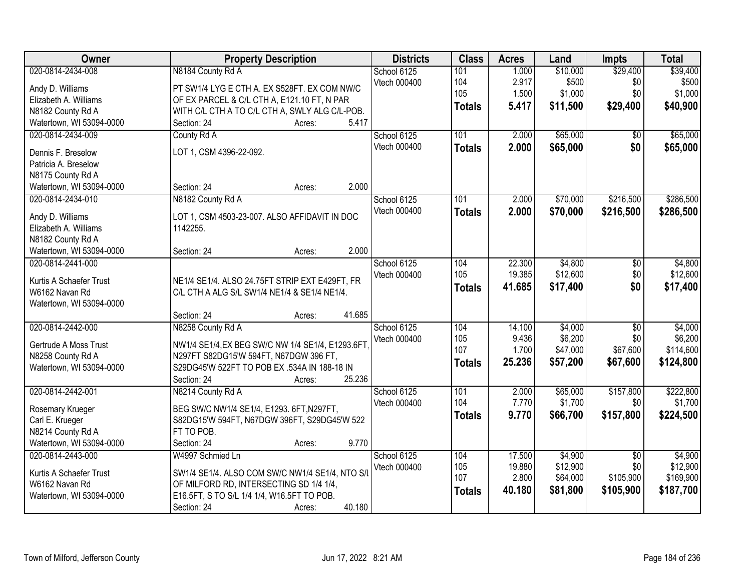| <b>Owner</b>                               | <b>Property Description</b>                                                           | <b>Districts</b> | <b>Class</b>  | <b>Acres</b> | Land     | <b>Impts</b>    | <b>Total</b> |
|--------------------------------------------|---------------------------------------------------------------------------------------|------------------|---------------|--------------|----------|-----------------|--------------|
| 020-0814-2434-008                          | N8184 County Rd A                                                                     | School 6125      | 101           | 1.000        | \$10,000 | \$29,400        | \$39,400     |
| Andy D. Williams                           | PT SW1/4 LYG E CTH A. EX S528FT. EX COM NW/C                                          | Vtech 000400     | 104           | 2.917        | \$500    | \$0             | \$500        |
| Elizabeth A. Williams                      | OF EX PARCEL & C/L CTH A, E121.10 FT, N PAR                                           |                  | 105           | 1.500        | \$1,000  | \$0             | \$1,000      |
| N8182 County Rd A                          | WITH C/L CTH A TO C/L CTH A, SWLY ALG C/L-POB.                                        |                  | <b>Totals</b> | 5.417        | \$11,500 | \$29,400        | \$40,900     |
| Watertown, WI 53094-0000                   | 5.417<br>Section: 24<br>Acres:                                                        |                  |               |              |          |                 |              |
| 020-0814-2434-009                          | County Rd A                                                                           | School 6125      | 101           | 2.000        | \$65,000 | \$0             | \$65,000     |
|                                            |                                                                                       | Vtech 000400     | <b>Totals</b> | 2.000        | \$65,000 | \$0             | \$65,000     |
| Dennis F. Breselow                         | LOT 1, CSM 4396-22-092.                                                               |                  |               |              |          |                 |              |
| Patricia A. Breselow                       |                                                                                       |                  |               |              |          |                 |              |
| N8175 County Rd A                          | 2.000                                                                                 |                  |               |              |          |                 |              |
| Watertown, WI 53094-0000                   | Section: 24<br>Acres:                                                                 |                  |               |              |          |                 |              |
| 020-0814-2434-010                          | N8182 County Rd A                                                                     | School 6125      | 101           | 2.000        | \$70,000 | \$216,500       | \$286,500    |
| Andy D. Williams                           | LOT 1, CSM 4503-23-007. ALSO AFFIDAVIT IN DOC                                         | Vtech 000400     | <b>Totals</b> | 2.000        | \$70,000 | \$216,500       | \$286,500    |
| Elizabeth A. Williams                      | 1142255.                                                                              |                  |               |              |          |                 |              |
| N8182 County Rd A                          |                                                                                       |                  |               |              |          |                 |              |
| Watertown, WI 53094-0000                   | 2.000<br>Section: 24<br>Acres:                                                        |                  |               |              |          |                 |              |
| 020-0814-2441-000                          |                                                                                       | School 6125      | 104           | 22.300       | \$4,800  | \$0             | \$4,800      |
| Kurtis A Schaefer Trust                    | NE1/4 SE1/4. ALSO 24.75FT STRIP EXT E429FT, FR                                        | Vtech 000400     | 105           | 19.385       | \$12,600 | \$0             | \$12,600     |
| W6162 Navan Rd                             | C/L CTH A ALG S/L SW1/4 NE1/4 & SE1/4 NE1/4.                                          |                  | <b>Totals</b> | 41.685       | \$17,400 | \$0             | \$17,400     |
| Watertown, WI 53094-0000                   |                                                                                       |                  |               |              |          |                 |              |
|                                            | 41.685<br>Section: 24<br>Acres:                                                       |                  |               |              |          |                 |              |
| 020-0814-2442-000                          | N8258 County Rd A                                                                     | School 6125      | 104           | 14.100       | \$4,000  | $\overline{50}$ | \$4,000      |
|                                            |                                                                                       | Vtech 000400     | 105           | 9.436        | \$6,200  | \$0             | \$6,200      |
| Gertrude A Moss Trust                      | NW1/4 SE1/4, EX BEG SW/C NW 1/4 SE1/4, E1293.6FT                                      |                  | 107           | 1.700        | \$47,000 | \$67,600        | \$114,600    |
| N8258 County Rd A                          | N297FT S82DG15'W 594FT, N67DGW 396 FT,                                                |                  | <b>Totals</b> | 25.236       | \$57,200 | \$67,600        | \$124,800    |
| Watertown, WI 53094-0000                   | S29DG45'W 522FT TO POB EX .534A IN 188-18 IN                                          |                  |               |              |          |                 |              |
|                                            | 25.236<br>Section: 24<br>Acres:                                                       |                  |               |              |          |                 |              |
| 020-0814-2442-001                          | N8214 County Rd A                                                                     | School 6125      | 101           | 2.000        | \$65,000 | \$157,800       | \$222,800    |
| Rosemary Krueger                           | BEG SW/C NW1/4 SE1/4, E1293. 6FT, N297FT,                                             | Vtech 000400     | 104           | 7.770        | \$1,700  | \$0             | \$1,700      |
| Carl E. Krueger                            | S82DG15'W 594FT, N67DGW 396FT, S29DG45'W 522                                          |                  | <b>Totals</b> | 9.770        | \$66,700 | \$157,800       | \$224,500    |
| N8214 County Rd A                          | FT TO POB.                                                                            |                  |               |              |          |                 |              |
| Watertown, WI 53094-0000                   | 9.770<br>Section: 24<br>Acres:                                                        |                  |               |              |          |                 |              |
| 020-0814-2443-000                          | W4997 Schmied Ln                                                                      | School 6125      | 104           | 17.500       | \$4,900  | $\overline{50}$ | \$4,900      |
|                                            |                                                                                       | Vtech 000400     | 105           | 19.880       | \$12,900 | \$0             | \$12,900     |
| Kurtis A Schaefer Trust                    | SW1/4 SE1/4. ALSO COM SW/C NW1/4 SE1/4, NTO S/L                                       |                  | 107           | 2.800        | \$64,000 | \$105,900       | \$169,900    |
| W6162 Navan Rd<br>Watertown, WI 53094-0000 | OF MILFORD RD, INTERSECTING SD 1/4 1/4,<br>E16.5FT, S TO S/L 1/4 1/4, W16.5FT TO POB. |                  | <b>Totals</b> | 40.180       | \$81,800 | \$105,900       | \$187,700    |
|                                            | 40.180                                                                                |                  |               |              |          |                 |              |
|                                            | Section: 24<br>Acres:                                                                 |                  |               |              |          |                 |              |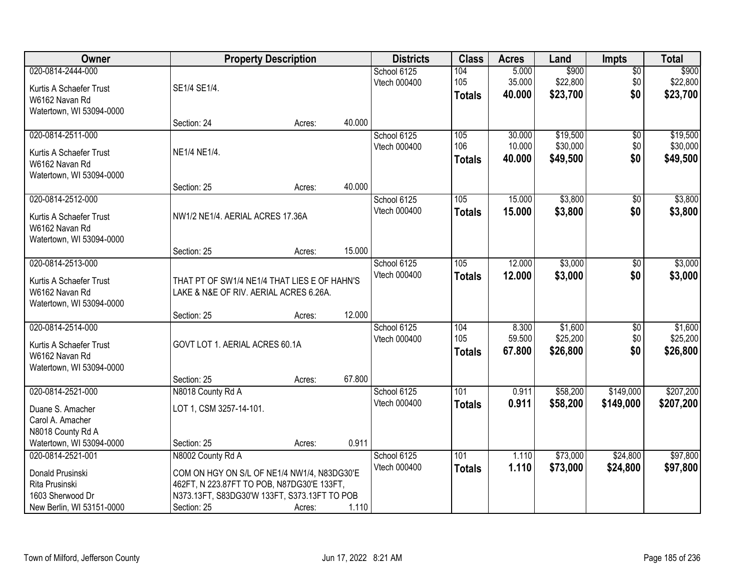| Owner                                                                                                    |                                                                                                                                                                               | <b>Property Description</b> |        | <b>Districts</b>            | <b>Class</b>                | <b>Acres</b>               | Land                             | <b>Impts</b>                  | <b>Total</b>                     |
|----------------------------------------------------------------------------------------------------------|-------------------------------------------------------------------------------------------------------------------------------------------------------------------------------|-----------------------------|--------|-----------------------------|-----------------------------|----------------------------|----------------------------------|-------------------------------|----------------------------------|
| 020-0814-2444-000<br>Kurtis A Schaefer Trust                                                             | SE1/4 SE1/4.                                                                                                                                                                  |                             |        | School 6125<br>Vtech 000400 | 104<br>105<br><b>Totals</b> | 5.000<br>35.000<br>40.000  | \$900<br>\$22,800<br>\$23,700    | $\overline{50}$<br>\$0<br>\$0 | \$900<br>\$22,800<br>\$23,700    |
| W6162 Navan Rd<br>Watertown, WI 53094-0000                                                               | Section: 24                                                                                                                                                                   | Acres:                      | 40.000 |                             |                             |                            |                                  |                               |                                  |
| 020-0814-2511-000<br>Kurtis A Schaefer Trust<br>W6162 Navan Rd<br>Watertown, WI 53094-0000               | NE1/4 NE1/4.                                                                                                                                                                  |                             |        | School 6125<br>Vtech 000400 | 105<br>106<br><b>Totals</b> | 30.000<br>10.000<br>40.000 | \$19,500<br>\$30,000<br>\$49,500 | \$0<br>\$0<br>\$0             | \$19,500<br>\$30,000<br>\$49,500 |
|                                                                                                          | Section: 25                                                                                                                                                                   | Acres:                      | 40.000 |                             |                             |                            |                                  |                               |                                  |
| 020-0814-2512-000<br>Kurtis A Schaefer Trust<br>W6162 Navan Rd<br>Watertown, WI 53094-0000               | NW1/2 NE1/4. AERIAL ACRES 17.36A                                                                                                                                              |                             |        | School 6125<br>Vtech 000400 | 105<br><b>Totals</b>        | 15.000<br>15.000           | \$3,800<br>\$3,800               | $\overline{50}$<br>\$0        | \$3,800<br>\$3,800               |
|                                                                                                          | Section: 25                                                                                                                                                                   | Acres:                      | 15.000 |                             |                             |                            |                                  |                               |                                  |
| 020-0814-2513-000<br>Kurtis A Schaefer Trust<br>W6162 Navan Rd<br>Watertown, WI 53094-0000               | THAT PT OF SW1/4 NE1/4 THAT LIES E OF HAHN'S<br>LAKE & N&E OF RIV. AERIAL ACRES 6.26A.                                                                                        |                             |        | School 6125<br>Vtech 000400 | 105<br><b>Totals</b>        | 12.000<br>12.000           | \$3,000<br>\$3,000               | $\sqrt[6]{}$<br>\$0           | \$3,000<br>\$3,000               |
|                                                                                                          | Section: 25                                                                                                                                                                   | Acres:                      | 12.000 |                             |                             |                            |                                  |                               |                                  |
| 020-0814-2514-000<br>Kurtis A Schaefer Trust<br>W6162 Navan Rd<br>Watertown, WI 53094-0000               | GOVT LOT 1. AERIAL ACRES 60.1A                                                                                                                                                |                             |        | School 6125<br>Vtech 000400 | 104<br>105<br><b>Totals</b> | 8.300<br>59.500<br>67.800  | \$1,600<br>\$25,200<br>\$26,800  | \$0<br>\$0<br>\$0             | \$1,600<br>\$25,200<br>\$26,800  |
| 020-0814-2521-000                                                                                        | Section: 25<br>N8018 County Rd A                                                                                                                                              | Acres:                      | 67.800 | School 6125                 | 101                         | 0.911                      | \$58,200                         | \$149,000                     | \$207,200                        |
| Duane S. Amacher<br>Carol A. Amacher<br>N8018 County Rd A                                                | LOT 1, CSM 3257-14-101.                                                                                                                                                       |                             |        | Vtech 000400                | <b>Totals</b>               | 0.911                      | \$58,200                         | \$149,000                     | \$207,200                        |
| Watertown, WI 53094-0000                                                                                 | Section: 25                                                                                                                                                                   | Acres:                      | 0.911  |                             |                             |                            |                                  |                               |                                  |
| 020-0814-2521-001<br>Donald Prusinski<br>Rita Prusinski<br>1603 Sherwood Dr<br>New Berlin, WI 53151-0000 | N8002 County Rd A<br>COM ON HGY ON S/L OF NE1/4 NW1/4, N83DG30'E<br>462FT, N 223.87FT TO POB, N87DG30'E 133FT,<br>N373.13FT, S83DG30'W 133FT, S373.13FT TO POB<br>Section: 25 | Acres:                      | 1.110  | School 6125<br>Vtech 000400 | 101<br><b>Totals</b>        | 1.110<br>1.110             | \$73,000<br>\$73,000             | \$24,800<br>\$24,800          | \$97,800<br>\$97,800             |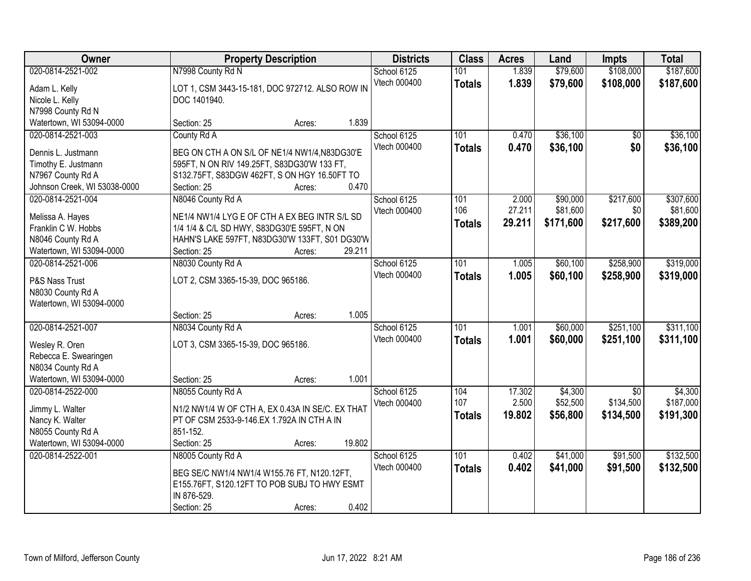| Owner                                                                                                               | <b>Property Description</b>                                                                                                                                                                            | <b>Districts</b>            | <b>Class</b>                | <b>Acres</b>              | Land                              | <b>Impts</b>                              | <b>Total</b>                       |
|---------------------------------------------------------------------------------------------------------------------|--------------------------------------------------------------------------------------------------------------------------------------------------------------------------------------------------------|-----------------------------|-----------------------------|---------------------------|-----------------------------------|-------------------------------------------|------------------------------------|
| 020-0814-2521-002<br>Adam L. Kelly<br>Nicole L. Kelly<br>N7998 County Rd N                                          | N7998 County Rd N<br>LOT 1, CSM 3443-15-181, DOC 972712. ALSO ROW IN<br>DOC 1401940.                                                                                                                   | School 6125<br>Vtech 000400 | 101<br><b>Totals</b>        | 1.839<br>1.839            | \$79,600<br>\$79,600              | \$108,000<br>\$108,000                    | \$187,600<br>\$187,600             |
| Watertown, WI 53094-0000                                                                                            | 1.839<br>Section: 25<br>Acres:                                                                                                                                                                         |                             |                             |                           |                                   |                                           |                                    |
| 020-0814-2521-003<br>Dennis L. Justmann<br>Timothy E. Justmann<br>N7967 County Rd A<br>Johnson Creek, WI 53038-0000 | County Rd A<br>BEG ON CTH A ON S/L OF NE1/4 NW1/4, N83DG30'E<br>595FT, N ON RIV 149.25FT, S83DG30'W 133 FT,<br>S132.75FT, S83DGW 462FT, S ON HGY 16.50FT TO<br>0.470<br>Section: 25<br>Acres:          | School 6125<br>Vtech 000400 | 101<br><b>Totals</b>        | 0.470<br>0.470            | \$36,100<br>\$36,100              | $\overline{50}$<br>\$0                    | \$36,100<br>\$36,100               |
| 020-0814-2521-004<br>Melissa A. Hayes<br>Franklin C W. Hobbs<br>N8046 County Rd A<br>Watertown, WI 53094-0000       | N8046 County Rd A<br>NE1/4 NW1/4 LYG E OF CTH A EX BEG INTR S/L SD<br>1/4 1/4 & C/L SD HWY, S83DG30'E 595FT, N ON<br>HAHN'S LAKE 597FT, N83DG30'W 133FT, S01 DG30'W<br>29.211<br>Section: 25<br>Acres: | School 6125<br>Vtech 000400 | 101<br>106<br><b>Totals</b> | 2.000<br>27.211<br>29.211 | \$90,000<br>\$81,600<br>\$171,600 | \$217,600<br>\$0<br>\$217,600             | \$307,600<br>\$81,600<br>\$389,200 |
| 020-0814-2521-006<br>P&S Nass Trust<br>N8030 County Rd A<br>Watertown, WI 53094-0000                                | N8030 County Rd A<br>LOT 2, CSM 3365-15-39, DOC 965186.<br>1.005<br>Section: 25<br>Acres:                                                                                                              | School 6125<br>Vtech 000400 | 101<br><b>Totals</b>        | 1.005<br>1.005            | \$60,100<br>\$60,100              | \$258,900<br>\$258,900                    | \$319,000<br>\$319,000             |
| 020-0814-2521-007<br>Wesley R. Oren<br>Rebecca E. Swearingen<br>N8034 County Rd A<br>Watertown, WI 53094-0000       | N8034 County Rd A<br>LOT 3, CSM 3365-15-39, DOC 965186.<br>1.001<br>Section: 25<br>Acres:                                                                                                              | School 6125<br>Vtech 000400 | 101<br><b>Totals</b>        | 1.001<br>1.001            | \$60,000<br>\$60,000              | \$251,100<br>\$251,100                    | \$311,100<br>\$311,100             |
| 020-0814-2522-000<br>Jimmy L. Walter<br>Nancy K. Walter<br>N8055 County Rd A<br>Watertown, WI 53094-0000            | N8055 County Rd A<br>N1/2 NW1/4 W OF CTH A, EX 0.43A IN SE/C. EX THAT<br>PT OF CSM 2533-9-146.EX 1.792A IN CTH A IN<br>851-152.<br>19.802<br>Section: 25<br>Acres:                                     | School 6125<br>Vtech 000400 | 104<br>107<br><b>Totals</b> | 17.302<br>2.500<br>19.802 | \$4,300<br>\$52,500<br>\$56,800   | $\overline{50}$<br>\$134,500<br>\$134,500 | \$4,300<br>\$187,000<br>\$191,300  |
| 020-0814-2522-001                                                                                                   | N8005 County Rd A<br>BEG SE/C NW1/4 NW1/4 W155.76 FT, N120.12FT,<br>E155.76FT, S120.12FT TO POB SUBJ TO HWY ESMT<br>IN 876-529.<br>0.402<br>Section: 25<br>Acres:                                      | School 6125<br>Vtech 000400 | 101<br><b>Totals</b>        | 0.402<br>0.402            | \$41,000<br>\$41,000              | \$91,500<br>\$91,500                      | \$132,500<br>\$132,500             |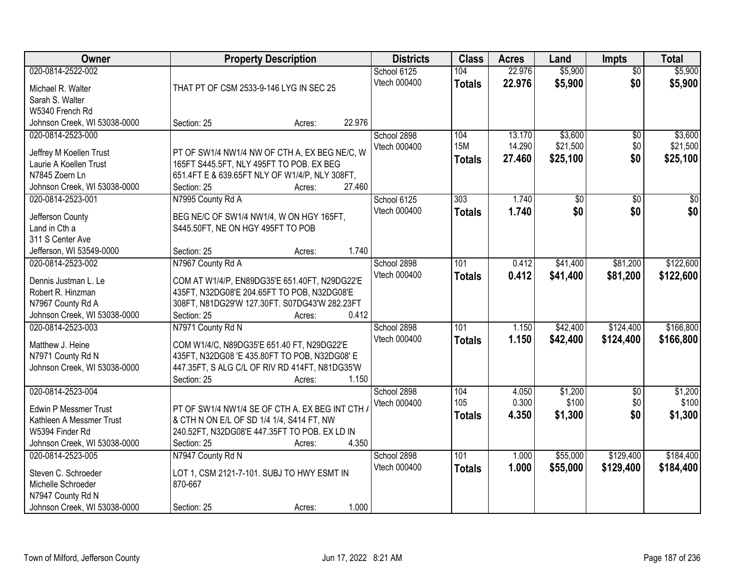| Owner                        |                                                 | <b>Property Description</b> | <b>Districts</b> | <b>Class</b>  | <b>Acres</b> | Land     | <b>Impts</b>    | <b>Total</b>    |
|------------------------------|-------------------------------------------------|-----------------------------|------------------|---------------|--------------|----------|-----------------|-----------------|
| 020-0814-2522-002            |                                                 |                             | School 6125      | 104           | 22.976       | \$5,900  | $\overline{50}$ | \$5,900         |
| Michael R. Walter            | THAT PT OF CSM 2533-9-146 LYG IN SEC 25         |                             | Vtech 000400     | <b>Totals</b> | 22.976       | \$5,900  | \$0             | \$5,900         |
| Sarah S. Walter              |                                                 |                             |                  |               |              |          |                 |                 |
| W5340 French Rd              |                                                 |                             |                  |               |              |          |                 |                 |
| Johnson Creek, WI 53038-0000 | Section: 25                                     | 22.976<br>Acres:            |                  |               |              |          |                 |                 |
| 020-0814-2523-000            |                                                 |                             | School 2898      | 104           | 13.170       | \$3,600  | \$0             | \$3,600         |
| Jeffrey M Koellen Trust      | PT OF SW1/4 NW1/4 NW OF CTH A, EX BEG NE/C, W   |                             | Vtech 000400     | <b>15M</b>    | 14.290       | \$21,500 | \$0             | \$21,500        |
| Laurie A Koellen Trust       | 165FT S445.5FT, NLY 495FT TO POB. EX BEG        |                             |                  | <b>Totals</b> | 27.460       | \$25,100 | \$0             | \$25,100        |
| N7845 Zoern Ln               | 651.4FT E & 639.65FT NLY OF W1/4/P, NLY 308FT,  |                             |                  |               |              |          |                 |                 |
| Johnson Creek, WI 53038-0000 | Section: 25                                     | 27.460<br>Acres:            |                  |               |              |          |                 |                 |
| 020-0814-2523-001            | N7995 County Rd A                               |                             | School 6125      | 303           | 1.740        | \$0      | $\sqrt[6]{3}$   | $\overline{50}$ |
|                              |                                                 |                             | Vtech 000400     | <b>Totals</b> | 1.740        | \$0      | \$0             | \$0             |
| Jefferson County             | BEG NE/C OF SW1/4 NW1/4, W ON HGY 165FT,        |                             |                  |               |              |          |                 |                 |
| Land in Cth a                | S445.50FT, NE ON HGY 495FT TO POB               |                             |                  |               |              |          |                 |                 |
| 311 S Center Ave             |                                                 |                             |                  |               |              |          |                 |                 |
| Jefferson, WI 53549-0000     | Section: 25                                     | 1.740<br>Acres:             |                  |               |              |          |                 |                 |
| 020-0814-2523-002            | N7967 County Rd A                               |                             | School 2898      | 101           | 0.412        | \$41,400 | \$81,200        | \$122,600       |
| Dennis Justman L. Le         | COM AT W1/4/P, EN89DG35'E 651.40FT, N29DG22'E   |                             | Vtech 000400     | <b>Totals</b> | 0.412        | \$41,400 | \$81,200        | \$122,600       |
| Robert R. Hinzman            | 435FT, N32DG08'E 204.65FT TO POB, N32DG08'E     |                             |                  |               |              |          |                 |                 |
| N7967 County Rd A            | 308FT, N81DG29'W 127.30FT. S07DG43'W 282.23FT   |                             |                  |               |              |          |                 |                 |
| Johnson Creek, WI 53038-0000 | Section: 25                                     | 0.412<br>Acres:             |                  |               |              |          |                 |                 |
| 020-0814-2523-003            | N7971 County Rd N                               |                             | School 2898      | 101           | 1.150        | \$42,400 | \$124,400       | \$166,800       |
| Matthew J. Heine             | COM W1/4/C, N89DG35'E 651.40 FT, N29DG22'E      |                             | Vtech 000400     | <b>Totals</b> | 1.150        | \$42,400 | \$124,400       | \$166,800       |
| N7971 County Rd N            | 435FT, N32DG08 'E 435.80FT TO POB, N32DG08' E   |                             |                  |               |              |          |                 |                 |
| Johnson Creek, WI 53038-0000 | 447.35FT, S ALG C/L OF RIV RD 414FT, N81DG35'W  |                             |                  |               |              |          |                 |                 |
|                              | Section: 25                                     | 1.150<br>Acres:             |                  |               |              |          |                 |                 |
| 020-0814-2523-004            |                                                 |                             | School 2898      | 104           | 4.050        | \$1,200  | $\overline{50}$ | \$1,200         |
|                              |                                                 |                             | Vtech 000400     | 105           | 0.300        | \$100    | \$0             | \$100           |
| <b>Edwin P Messmer Trust</b> | PT OF SW1/4 NW1/4 SE OF CTH A. EX BEG INT CTH / |                             |                  | <b>Totals</b> | 4.350        | \$1,300  | \$0             | \$1,300         |
| Kathleen A Messmer Trust     | & CTH N ON E/L OF SD 1/4 1/4, S414 FT, NW       |                             |                  |               |              |          |                 |                 |
| W5394 Finder Rd              | 240.52FT, N32DG08'E 447.35FT TO POB. EX LD IN   | 4.350                       |                  |               |              |          |                 |                 |
| Johnson Creek, WI 53038-0000 | Section: 25                                     | Acres:                      |                  |               |              |          |                 | \$184,400       |
| 020-0814-2523-005            | N7947 County Rd N                               |                             | School 2898      | 101           | 1.000        | \$55,000 | \$129,400       |                 |
| Steven C. Schroeder          | LOT 1, CSM 2121-7-101. SUBJ TO HWY ESMT IN      |                             | Vtech 000400     | <b>Totals</b> | 1.000        | \$55,000 | \$129,400       | \$184,400       |
| Michelle Schroeder           | 870-667                                         |                             |                  |               |              |          |                 |                 |
| N7947 County Rd N            |                                                 |                             |                  |               |              |          |                 |                 |
| Johnson Creek, WI 53038-0000 | Section: 25                                     | 1.000<br>Acres:             |                  |               |              |          |                 |                 |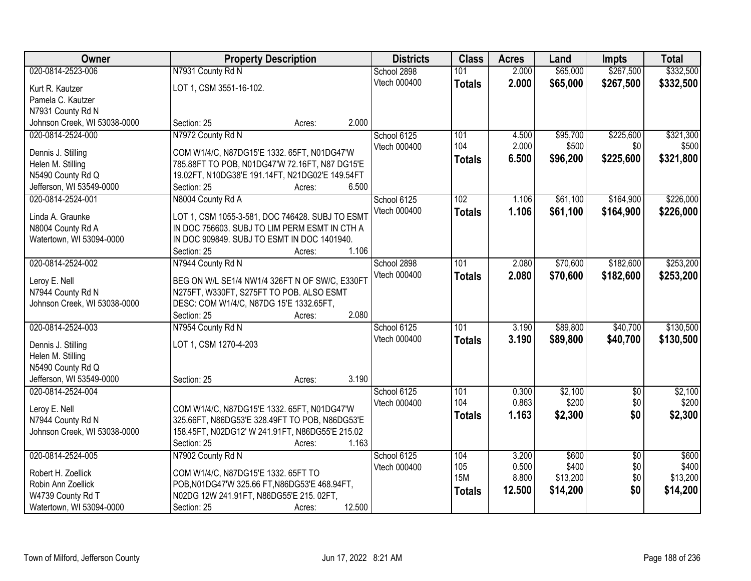| Owner                              | <b>Property Description</b>                                                                | <b>Districts</b> | <b>Class</b>  | <b>Acres</b> | Land     | <b>Impts</b>    | <b>Total</b> |
|------------------------------------|--------------------------------------------------------------------------------------------|------------------|---------------|--------------|----------|-----------------|--------------|
| 020-0814-2523-006                  | N7931 County Rd N                                                                          | School 2898      | 101           | 2.000        | \$65,000 | \$267,500       | \$332,500    |
| Kurt R. Kautzer                    | LOT 1, CSM 3551-16-102.                                                                    | Vtech 000400     | <b>Totals</b> | 2.000        | \$65,000 | \$267,500       | \$332,500    |
| Pamela C. Kautzer                  |                                                                                            |                  |               |              |          |                 |              |
| N7931 County Rd N                  |                                                                                            |                  |               |              |          |                 |              |
| Johnson Creek, WI 53038-0000       | 2.000<br>Section: 25<br>Acres:                                                             |                  |               |              |          |                 |              |
| 020-0814-2524-000                  | N7972 County Rd N                                                                          | School 6125      | 101           | 4.500        | \$95,700 | \$225,600       | \$321,300    |
|                                    |                                                                                            | Vtech 000400     | 104           | 2.000        | \$500    | \$0             | \$500        |
| Dennis J. Stilling                 | COM W1/4/C, N87DG15'E 1332. 65FT, N01DG47'W                                                |                  | <b>Totals</b> | 6.500        | \$96,200 | \$225,600       | \$321,800    |
| Helen M. Stilling                  | 785.88FT TO POB, N01DG47'W 72.16FT, N87 DG15'E                                             |                  |               |              |          |                 |              |
| N5490 County Rd Q                  | 19.02FT, N10DG38'E 191.14FT, N21DG02'E 149.54FT                                            |                  |               |              |          |                 |              |
| Jefferson, WI 53549-0000           | Section: 25<br>6.500<br>Acres:                                                             |                  |               |              |          |                 |              |
| 020-0814-2524-001                  | N8004 County Rd A                                                                          | School 6125      | 102           | 1.106        | \$61,100 | \$164,900       | \$226,000    |
| Linda A. Graunke                   | LOT 1, CSM 1055-3-581, DOC 746428. SUBJ TO ESMT                                            | Vtech 000400     | <b>Totals</b> | 1.106        | \$61,100 | \$164,900       | \$226,000    |
| N8004 County Rd A                  | IN DOC 756603. SUBJ TO LIM PERM ESMT IN CTH A                                              |                  |               |              |          |                 |              |
| Watertown, WI 53094-0000           | IN DOC 909849. SUBJ TO ESMT IN DOC 1401940.                                                |                  |               |              |          |                 |              |
|                                    | 1.106<br>Section: 25<br>Acres:                                                             |                  |               |              |          |                 |              |
| 020-0814-2524-002                  | N7944 County Rd N                                                                          | School 2898      | 101           | 2.080        | \$70,600 | \$182,600       | \$253,200    |
|                                    |                                                                                            | Vtech 000400     | <b>Totals</b> | 2.080        | \$70,600 | \$182,600       | \$253,200    |
| Leroy E. Nell<br>N7944 County Rd N | BEG ON W/L SE1/4 NW1/4 326FT N OF SW/C, E330FT<br>N275FT, W330FT, S275FT TO POB. ALSO ESMT |                  |               |              |          |                 |              |
| Johnson Creek, WI 53038-0000       | DESC: COM W1/4/C, N87DG 15'E 1332.65FT,                                                    |                  |               |              |          |                 |              |
|                                    | 2.080<br>Section: 25<br>Acres:                                                             |                  |               |              |          |                 |              |
| 020-0814-2524-003                  | N7954 County Rd N                                                                          | School 6125      | 101           | 3.190        | \$89,800 | \$40,700        | \$130,500    |
|                                    |                                                                                            | Vtech 000400     |               | 3.190        | \$89,800 | \$40,700        | \$130,500    |
| Dennis J. Stilling                 | LOT 1, CSM 1270-4-203                                                                      |                  | <b>Totals</b> |              |          |                 |              |
| Helen M. Stilling                  |                                                                                            |                  |               |              |          |                 |              |
| N5490 County Rd Q                  |                                                                                            |                  |               |              |          |                 |              |
| Jefferson, WI 53549-0000           | 3.190<br>Section: 25<br>Acres:                                                             |                  |               |              |          |                 |              |
| 020-0814-2524-004                  |                                                                                            | School 6125      | 101           | 0.300        | \$2,100  | $\overline{60}$ | \$2,100      |
| Leroy E. Nell                      | COM W1/4/C, N87DG15'E 1332. 65FT, N01DG47'W                                                | Vtech 000400     | 104           | 0.863        | \$200    | \$0             | \$200        |
| N7944 County Rd N                  | 325.66FT, N86DG53'E 328.49FT TO POB, N86DG53'E                                             |                  | <b>Totals</b> | 1.163        | \$2,300  | \$0             | \$2,300      |
| Johnson Creek, WI 53038-0000       | 158.45FT, N02DG12' W 241.91FT, N86DG55'E 215.02                                            |                  |               |              |          |                 |              |
|                                    | 1.163<br>Section: 25<br>Acres:                                                             |                  |               |              |          |                 |              |
| 020-0814-2524-005                  | N7902 County Rd N                                                                          | School 6125      | 104           | 3.200        | \$600    | $\overline{50}$ | \$600        |
|                                    |                                                                                            | Vtech 000400     | 105           | 0.500        | \$400    | \$0             | \$400        |
| Robert H. Zoellick                 | COM W1/4/C, N87DG15'E 1332. 65FT TO                                                        |                  | <b>15M</b>    | 8.800        | \$13,200 | \$0             | \$13,200     |
| Robin Ann Zoellick                 | POB, N01DG47'W 325.66 FT, N86DG53'E 468.94FT,                                              |                  | <b>Totals</b> | 12.500       | \$14,200 | \$0             | \$14,200     |
| W4739 County Rd T                  | N02DG 12W 241.91FT, N86DG55'E 215.02FT,                                                    |                  |               |              |          |                 |              |
| Watertown, WI 53094-0000           | 12.500<br>Section: 25<br>Acres:                                                            |                  |               |              |          |                 |              |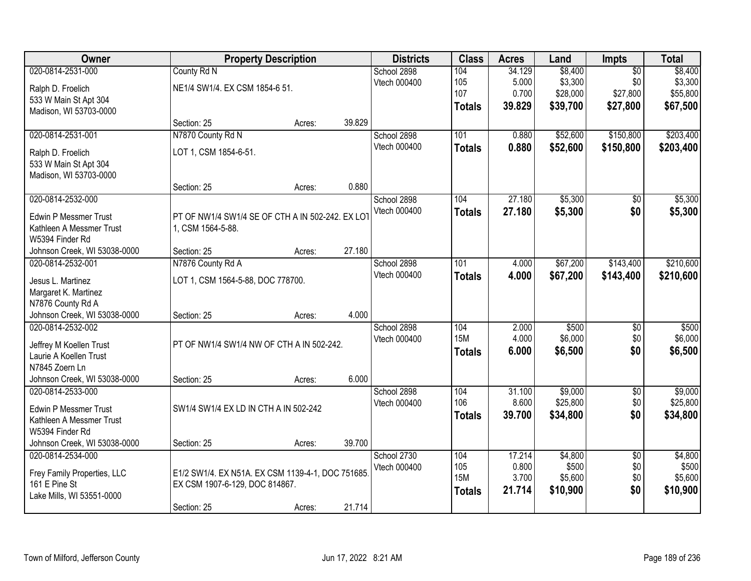| Owner                        |                                                   | <b>Property Description</b> |        | <b>Districts</b> | <b>Class</b>  | <b>Acres</b> | Land     | Impts           | <b>Total</b> |
|------------------------------|---------------------------------------------------|-----------------------------|--------|------------------|---------------|--------------|----------|-----------------|--------------|
| 020-0814-2531-000            | County Rd N                                       |                             |        | School 2898      | 104           | 34.129       | \$8,400  | $\overline{50}$ | \$8,400      |
| Ralph D. Froelich            | NE1/4 SW1/4. EX CSM 1854-6 51.                    |                             |        | Vtech 000400     | 105           | 5.000        | \$3,300  | \$0             | \$3,300      |
| 533 W Main St Apt 304        |                                                   |                             |        |                  | 107           | 0.700        | \$28,000 | \$27,800        | \$55,800     |
| Madison, WI 53703-0000       |                                                   |                             |        |                  | <b>Totals</b> | 39.829       | \$39,700 | \$27,800        | \$67,500     |
|                              | Section: 25                                       | Acres:                      | 39.829 |                  |               |              |          |                 |              |
| 020-0814-2531-001            | N7870 County Rd N                                 |                             |        | School 2898      | 101           | 0.880        | \$52,600 | \$150,800       | \$203,400    |
| Ralph D. Froelich            | LOT 1, CSM 1854-6-51.                             |                             |        | Vtech 000400     | <b>Totals</b> | 0.880        | \$52,600 | \$150,800       | \$203,400    |
| 533 W Main St Apt 304        |                                                   |                             |        |                  |               |              |          |                 |              |
| Madison, WI 53703-0000       |                                                   |                             |        |                  |               |              |          |                 |              |
|                              | Section: 25                                       | Acres:                      | 0.880  |                  |               |              |          |                 |              |
| 020-0814-2532-000            |                                                   |                             |        | School 2898      | 104           | 27.180       | \$5,300  | $\overline{50}$ | \$5,300      |
| <b>Edwin P Messmer Trust</b> | PT OF NW1/4 SW1/4 SE OF CTH A IN 502-242. EX LOT  |                             |        | Vtech 000400     | <b>Totals</b> | 27.180       | \$5,300  | \$0             | \$5,300      |
| Kathleen A Messmer Trust     | 1, CSM 1564-5-88.                                 |                             |        |                  |               |              |          |                 |              |
| W5394 Finder Rd              |                                                   |                             |        |                  |               |              |          |                 |              |
| Johnson Creek, WI 53038-0000 | Section: 25                                       | Acres:                      | 27.180 |                  |               |              |          |                 |              |
| 020-0814-2532-001            | N7876 County Rd A                                 |                             |        | School 2898      | 101           | 4.000        | \$67,200 | \$143,400       | \$210,600    |
| Jesus L. Martinez            | LOT 1, CSM 1564-5-88, DOC 778700.                 |                             |        | Vtech 000400     | <b>Totals</b> | 4.000        | \$67,200 | \$143,400       | \$210,600    |
| Margaret K. Martinez         |                                                   |                             |        |                  |               |              |          |                 |              |
| N7876 County Rd A            |                                                   |                             |        |                  |               |              |          |                 |              |
| Johnson Creek, WI 53038-0000 | Section: 25                                       | Acres:                      | 4.000  |                  |               |              |          |                 |              |
| 020-0814-2532-002            |                                                   |                             |        | School 2898      | 104           | 2.000        | \$500    | $\overline{50}$ | \$500        |
| Jeffrey M Koellen Trust      | PT OF NW1/4 SW1/4 NW OF CTH A IN 502-242.         |                             |        | Vtech 000400     | <b>15M</b>    | 4.000        | \$6,000  | \$0             | \$6,000      |
| Laurie A Koellen Trust       |                                                   |                             |        |                  | <b>Totals</b> | 6.000        | \$6,500  | \$0             | \$6,500      |
| N7845 Zoern Ln               |                                                   |                             |        |                  |               |              |          |                 |              |
| Johnson Creek, WI 53038-0000 | Section: 25                                       | Acres:                      | 6.000  |                  |               |              |          |                 |              |
| 020-0814-2533-000            |                                                   |                             |        | School 2898      | 104           | 31.100       | \$9,000  | $\overline{60}$ | \$9,000      |
| <b>Edwin P Messmer Trust</b> | SW1/4 SW1/4 EX LD IN CTH A IN 502-242             |                             |        | Vtech 000400     | 106           | 8.600        | \$25,800 | \$0             | \$25,800     |
| Kathleen A Messmer Trust     |                                                   |                             |        |                  | <b>Totals</b> | 39.700       | \$34,800 | \$0             | \$34,800     |
| W5394 Finder Rd              |                                                   |                             |        |                  |               |              |          |                 |              |
| Johnson Creek, WI 53038-0000 | Section: 25                                       | Acres:                      | 39.700 |                  |               |              |          |                 |              |
| 020-0814-2534-000            |                                                   |                             |        | School 2730      | 104           | 17.214       | \$4,800  | $\overline{50}$ | \$4,800      |
| Frey Family Properties, LLC  | E1/2 SW1/4. EX N51A. EX CSM 1139-4-1, DOC 751685. |                             |        | Vtech 000400     | 105           | 0.800        | \$500    | \$0             | \$500        |
| 161 E Pine St                | EX CSM 1907-6-129, DOC 814867.                    |                             |        |                  | <b>15M</b>    | 3.700        | \$5,600  | \$0             | \$5,600      |
| Lake Mills, WI 53551-0000    |                                                   |                             |        |                  | <b>Totals</b> | 21.714       | \$10,900 | \$0             | \$10,900     |
|                              | Section: 25                                       | Acres:                      | 21.714 |                  |               |              |          |                 |              |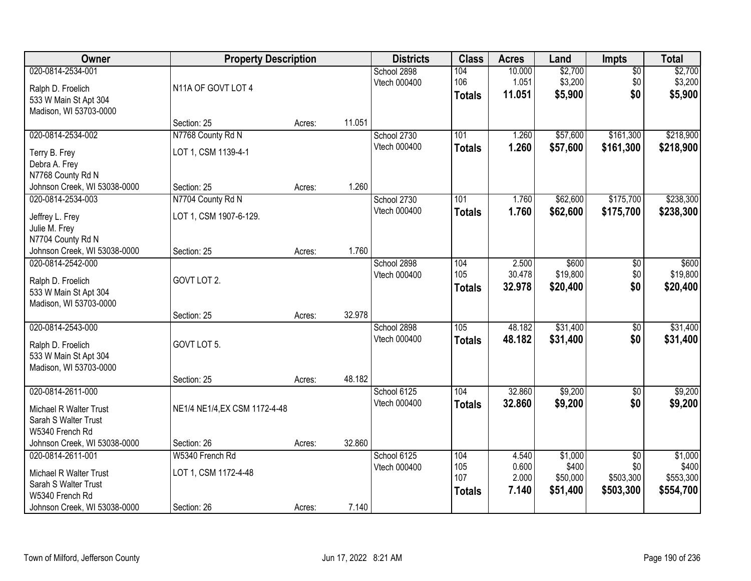| Owner                                                                                     | <b>Property Description</b>                 |        |        | <b>Districts</b>            | <b>Class</b>                       | <b>Acres</b>                     | Land                                     | Impts                                            | <b>Total</b>                               |
|-------------------------------------------------------------------------------------------|---------------------------------------------|--------|--------|-----------------------------|------------------------------------|----------------------------------|------------------------------------------|--------------------------------------------------|--------------------------------------------|
| 020-0814-2534-001<br>Ralph D. Froelich<br>533 W Main St Apt 304                           | N11A OF GOVT LOT 4                          |        |        | School 2898<br>Vtech 000400 | 104<br>106<br><b>Totals</b>        | 10.000<br>1.051<br>11.051        | \$2,700<br>\$3,200<br>\$5,900            | $\overline{50}$<br>\$0<br>\$0                    | \$2,700<br>\$3,200<br>\$5,900              |
| Madison, WI 53703-0000                                                                    | Section: 25                                 | Acres: | 11.051 |                             |                                    |                                  |                                          |                                                  |                                            |
| 020-0814-2534-002<br>Terry B. Frey<br>Debra A. Frey<br>N7768 County Rd N                  | N7768 County Rd N<br>LOT 1, CSM 1139-4-1    |        |        | School 2730<br>Vtech 000400 | 101<br><b>Totals</b>               | 1.260<br>1.260                   | \$57,600<br>\$57,600                     | \$161,300<br>\$161,300                           | \$218,900<br>\$218,900                     |
| Johnson Creek, WI 53038-0000                                                              | Section: 25                                 | Acres: | 1.260  |                             |                                    |                                  |                                          |                                                  |                                            |
| 020-0814-2534-003<br>Jeffrey L. Frey<br>Julie M. Frey<br>N7704 County Rd N                | N7704 County Rd N<br>LOT 1, CSM 1907-6-129. |        |        | School 2730<br>Vtech 000400 | 101<br><b>Totals</b>               | 1.760<br>1.760                   | \$62,600<br>\$62,600                     | \$175,700<br>\$175,700                           | \$238,300<br>\$238,300                     |
| Johnson Creek, WI 53038-0000                                                              | Section: 25                                 | Acres: | 1.760  |                             |                                    |                                  |                                          |                                                  |                                            |
| 020-0814-2542-000<br>Ralph D. Froelich<br>533 W Main St Apt 304<br>Madison, WI 53703-0000 | GOVT LOT 2.                                 |        |        | School 2898<br>Vtech 000400 | 104<br>105<br><b>Totals</b>        | 2.500<br>30.478<br>32.978        | \$600<br>\$19,800<br>\$20,400            | \$0<br>\$0<br>\$0                                | \$600<br>\$19,800<br>\$20,400              |
|                                                                                           | Section: 25                                 | Acres: | 32.978 |                             |                                    |                                  |                                          |                                                  |                                            |
| 020-0814-2543-000<br>Ralph D. Froelich<br>533 W Main St Apt 304<br>Madison, WI 53703-0000 | GOVT LOT 5.                                 |        | 48.182 | School 2898<br>Vtech 000400 | 105<br><b>Totals</b>               | 48.182<br>48.182                 | \$31,400<br>\$31,400                     | $\overline{50}$<br>\$0                           | \$31,400<br>\$31,400                       |
| 020-0814-2611-000                                                                         | Section: 25                                 | Acres: |        | School 6125                 | 104                                | 32.860                           | \$9,200                                  | $\overline{60}$                                  | \$9,200                                    |
| Michael R Walter Trust<br>Sarah S Walter Trust<br>W5340 French Rd                         | NE1/4 NE1/4, EX CSM 1172-4-48               |        |        | Vtech 000400                | <b>Totals</b>                      | 32.860                           | \$9,200                                  | \$0                                              | \$9,200                                    |
| Johnson Creek, WI 53038-0000                                                              | Section: 26                                 | Acres: | 32.860 |                             |                                    |                                  |                                          |                                                  |                                            |
| 020-0814-2611-001<br>Michael R Walter Trust<br>Sarah S Walter Trust<br>W5340 French Rd    | W5340 French Rd<br>LOT 1, CSM 1172-4-48     |        |        | School 6125<br>Vtech 000400 | 104<br>105<br>107<br><b>Totals</b> | 4.540<br>0.600<br>2.000<br>7.140 | \$1,000<br>\$400<br>\$50,000<br>\$51,400 | $\overline{50}$<br>\$0<br>\$503,300<br>\$503,300 | \$1,000<br>\$400<br>\$553,300<br>\$554,700 |
| Johnson Creek, WI 53038-0000                                                              | Section: 26                                 | Acres: | 7.140  |                             |                                    |                                  |                                          |                                                  |                                            |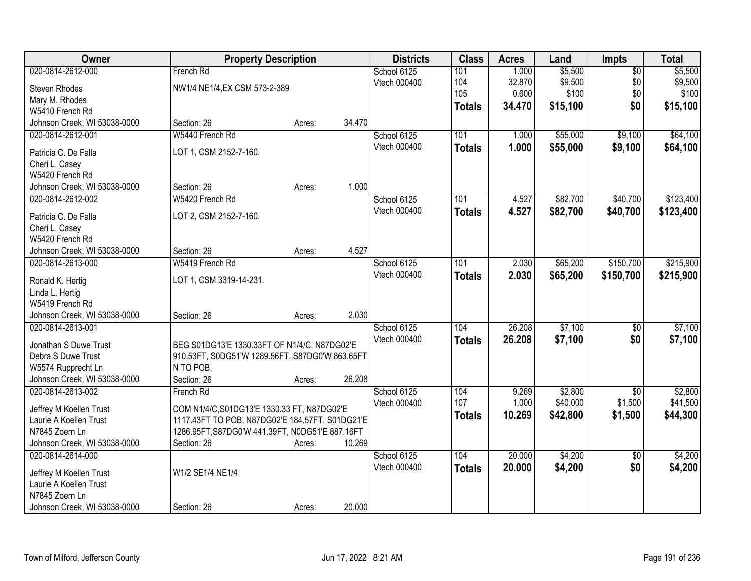| Owner                             |                                                                                                  | <b>Property Description</b> | <b>Districts</b> | <b>Class</b>  | <b>Acres</b> | Land     | Impts           | <b>Total</b> |
|-----------------------------------|--------------------------------------------------------------------------------------------------|-----------------------------|------------------|---------------|--------------|----------|-----------------|--------------|
| 020-0814-2612-000                 | French Rd                                                                                        |                             | School 6125      | 101           | 1.000        | \$5,500  | $\overline{50}$ | \$5,500      |
| Steven Rhodes                     | NW1/4 NE1/4, EX CSM 573-2-389                                                                    |                             | Vtech 000400     | 104           | 32.870       | \$9,500  | \$0             | \$9,500      |
| Mary M. Rhodes                    |                                                                                                  |                             |                  | 105           | 0.600        | \$100    | \$0             | \$100        |
| W5410 French Rd                   |                                                                                                  |                             |                  | <b>Totals</b> | 34.470       | \$15,100 | \$0             | \$15,100     |
| Johnson Creek, WI 53038-0000      | Section: 26                                                                                      | Acres:                      | 34.470           |               |              |          |                 |              |
| 020-0814-2612-001                 | W5440 French Rd                                                                                  |                             | School 6125      | 101           | 1.000        | \$55,000 | \$9,100         | \$64,100     |
|                                   | LOT 1, CSM 2152-7-160.                                                                           |                             | Vtech 000400     | <b>Totals</b> | 1.000        | \$55,000 | \$9,100         | \$64,100     |
| Patricia C. De Falla              |                                                                                                  |                             |                  |               |              |          |                 |              |
| Cheri L. Casey<br>W5420 French Rd |                                                                                                  |                             |                  |               |              |          |                 |              |
| Johnson Creek, WI 53038-0000      | Section: 26                                                                                      | Acres:                      | 1.000            |               |              |          |                 |              |
| 020-0814-2612-002                 | W5420 French Rd                                                                                  |                             | School 6125      | 101           | 4.527        | \$82,700 | \$40,700        | \$123,400    |
|                                   |                                                                                                  |                             | Vtech 000400     | <b>Totals</b> | 4.527        | \$82,700 | \$40,700        | \$123,400    |
| Patricia C. De Falla              | LOT 2, CSM 2152-7-160.                                                                           |                             |                  |               |              |          |                 |              |
| Cheri L. Casey                    |                                                                                                  |                             |                  |               |              |          |                 |              |
| W5420 French Rd                   |                                                                                                  |                             |                  |               |              |          |                 |              |
| Johnson Creek, WI 53038-0000      | Section: 26                                                                                      | Acres:                      | 4.527            |               |              |          |                 |              |
| 020-0814-2613-000                 | W5419 French Rd                                                                                  |                             | School 6125      | 101           | 2.030        | \$65,200 | \$150,700       | \$215,900    |
| Ronald K. Hertig                  | LOT 1, CSM 3319-14-231.                                                                          |                             | Vtech 000400     | <b>Totals</b> | 2.030        | \$65,200 | \$150,700       | \$215,900    |
| Linda L. Hertig                   |                                                                                                  |                             |                  |               |              |          |                 |              |
| W5419 French Rd                   |                                                                                                  |                             |                  |               |              |          |                 |              |
| Johnson Creek, WI 53038-0000      | Section: 26                                                                                      | Acres:                      | 2.030            |               |              |          |                 |              |
| 020-0814-2613-001                 |                                                                                                  |                             | School 6125      | 104           | 26.208       | \$7,100  | $\overline{50}$ | \$7,100      |
| Jonathan S Duwe Trust             |                                                                                                  |                             | Vtech 000400     | <b>Totals</b> | 26.208       | \$7,100  | \$0             | \$7,100      |
| Debra S Duwe Trust                | BEG S01DG13'E 1330.33FT OF N1/4/C, N87DG02'E<br>910.53FT, S0DG51'W 1289.56FT, S87DG0'W 863.65FT, |                             |                  |               |              |          |                 |              |
| W5574 Rupprecht Ln                | N TO POB.                                                                                        |                             |                  |               |              |          |                 |              |
| Johnson Creek, WI 53038-0000      | Section: 26                                                                                      | Acres:                      | 26.208           |               |              |          |                 |              |
| 020-0814-2613-002                 | French Rd                                                                                        |                             | School 6125      | 104           | 9.269        | \$2,800  | \$0             | \$2,800      |
|                                   |                                                                                                  |                             | Vtech 000400     | 107           | 1.000        | \$40,000 | \$1,500         | \$41,500     |
| Jeffrey M Koellen Trust           | COM N1/4/C, S01DG13'E 1330.33 FT, N87DG02'E                                                      |                             |                  | <b>Totals</b> | 10.269       | \$42,800 | \$1,500         | \$44,300     |
| Laurie A Koellen Trust            | 1117.43FT TO POB, N87DG02'E 184.57FT, S01DG21'E                                                  |                             |                  |               |              |          |                 |              |
| N7845 Zoern Ln                    | 1286.95FT, S87DG0'W 441.39FT, N0DG51'E 887.16FT                                                  |                             |                  |               |              |          |                 |              |
| Johnson Creek, WI 53038-0000      | Section: 26                                                                                      | Acres:                      | 10.269           |               |              |          |                 |              |
| 020-0814-2614-000                 |                                                                                                  |                             | School 6125      | 104           | 20.000       | \$4,200  | $\overline{50}$ | \$4,200      |
| Jeffrey M Koellen Trust           | W1/2 SE1/4 NE1/4                                                                                 |                             | Vtech 000400     | <b>Totals</b> | 20.000       | \$4,200  | \$0             | \$4,200      |
| Laurie A Koellen Trust            |                                                                                                  |                             |                  |               |              |          |                 |              |
| N7845 Zoern Ln                    |                                                                                                  |                             |                  |               |              |          |                 |              |
| Johnson Creek, WI 53038-0000      | Section: 26                                                                                      | Acres:                      | 20.000           |               |              |          |                 |              |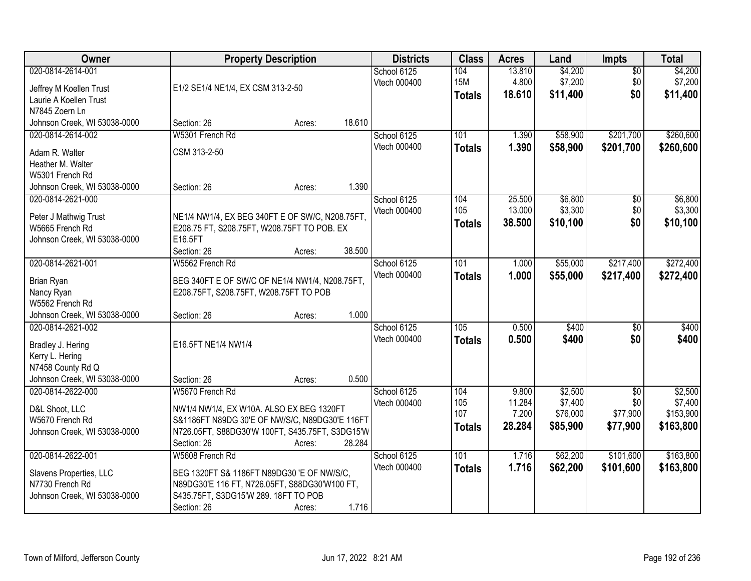| Owner                                                                                                          | <b>Property Description</b>                                                                                                                                                              | <b>Districts</b>            | <b>Class</b>                       | <b>Acres</b>               | Land                            | <b>Impts</b>                  | <b>Total</b>                      |
|----------------------------------------------------------------------------------------------------------------|------------------------------------------------------------------------------------------------------------------------------------------------------------------------------------------|-----------------------------|------------------------------------|----------------------------|---------------------------------|-------------------------------|-----------------------------------|
| 020-0814-2614-001<br>Jeffrey M Koellen Trust<br>Laurie A Koellen Trust<br>N7845 Zoern Ln                       | E1/2 SE1/4 NE1/4, EX CSM 313-2-50                                                                                                                                                        | School 6125<br>Vtech 000400 | 104<br><b>15M</b><br><b>Totals</b> | 13.810<br>4.800<br>18.610  | \$4,200<br>\$7,200<br>\$11,400  | $\overline{50}$<br>\$0<br>\$0 | \$4,200<br>\$7,200<br>\$11,400    |
| Johnson Creek, WI 53038-0000                                                                                   | 18.610<br>Section: 26<br>Acres:                                                                                                                                                          |                             |                                    |                            |                                 |                               |                                   |
| 020-0814-2614-002<br>Adam R. Walter<br>Heather M. Walter<br>W5301 French Rd                                    | W5301 French Rd<br>CSM 313-2-50                                                                                                                                                          | School 6125<br>Vtech 000400 | 101<br><b>Totals</b>               | 1.390<br>1.390             | \$58,900<br>\$58,900            | \$201,700<br>\$201,700        | \$260,600<br>\$260,600            |
| Johnson Creek, WI 53038-0000                                                                                   | 1.390<br>Section: 26<br>Acres:                                                                                                                                                           |                             |                                    |                            |                                 |                               |                                   |
| 020-0814-2621-000<br>Peter J Mathwig Trust<br>W5665 French Rd<br>Johnson Creek, WI 53038-0000                  | NE1/4 NW1/4, EX BEG 340FT E OF SW/C, N208.75FT,<br>E208.75 FT, S208.75FT, W208.75FT TO POB. EX<br>E16.5FT<br>Section: 26<br>38.500<br>Acres:                                             | School 6125<br>Vtech 000400 | 104<br>105<br><b>Totals</b>        | 25.500<br>13.000<br>38.500 | \$6,800<br>\$3,300<br>\$10,100  | \$0<br>\$0<br>\$0             | \$6,800<br>\$3,300<br>\$10,100    |
| 020-0814-2621-001                                                                                              | W5562 French Rd                                                                                                                                                                          | School 6125                 | 101                                | 1.000                      | \$55,000                        | \$217,400                     | \$272,400                         |
| Brian Ryan<br>Nancy Ryan<br>W5562 French Rd<br>Johnson Creek, WI 53038-0000                                    | BEG 340FT E OF SW/C OF NE1/4 NW1/4, N208.75FT,<br>E208.75FT, S208.75FT, W208.75FT TO POB<br>1.000<br>Section: 26<br>Acres:                                                               | Vtech 000400                | <b>Totals</b>                      | 1.000                      | \$55,000                        | \$217,400                     | \$272,400                         |
| 020-0814-2621-002<br>Bradley J. Hering<br>Kerry L. Hering<br>N7458 County Rd Q<br>Johnson Creek, WI 53038-0000 | E16.5FT NE1/4 NW1/4<br>0.500<br>Section: 26<br>Acres:                                                                                                                                    | School 6125<br>Vtech 000400 | 105<br><b>Totals</b>               | 0.500<br>0.500             | \$400<br>\$400                  | $\overline{50}$<br>\$0        | \$400<br>\$400                    |
| 020-0814-2622-000                                                                                              | W5670 French Rd                                                                                                                                                                          | School 6125                 | 104                                | 9.800                      | \$2,500                         | $\sqrt{6}$                    | \$2,500                           |
| D&L Shoot, LLC<br>W5670 French Rd<br>Johnson Creek, WI 53038-0000                                              | NW1/4 NW1/4, EX W10A. ALSO EX BEG 1320FT<br>S&1186FT N89DG 30'E OF NW/S/C, N89DG30'E 116FT<br>N726.05FT, S88DG30'W 100FT, S435.75FT, S3DG15'W<br>28.284<br>Section: 26<br>Acres:         | Vtech 000400                | 105<br>107<br><b>Totals</b>        | 11.284<br>7.200<br>28.284  | \$7,400<br>\$76,000<br>\$85,900 | \$0<br>\$77,900<br>\$77,900   | \$7,400<br>\$153,900<br>\$163,800 |
| 020-0814-2622-001<br>Slavens Properties, LLC<br>N7730 French Rd<br>Johnson Creek, WI 53038-0000                | W5608 French Rd<br>BEG 1320FT S& 1186FT N89DG30 'E OF NW/S/C.<br>N89DG30'E 116 FT, N726.05FT, S88DG30'W100 FT,<br>S435.75FT, S3DG15'W 289. 18FT TO POB<br>1.716<br>Section: 26<br>Acres: | School 6125<br>Vtech 000400 | 101<br><b>Totals</b>               | 1.716<br>1.716             | \$62,200<br>\$62,200            | \$101,600<br>\$101,600        | \$163,800<br>\$163,800            |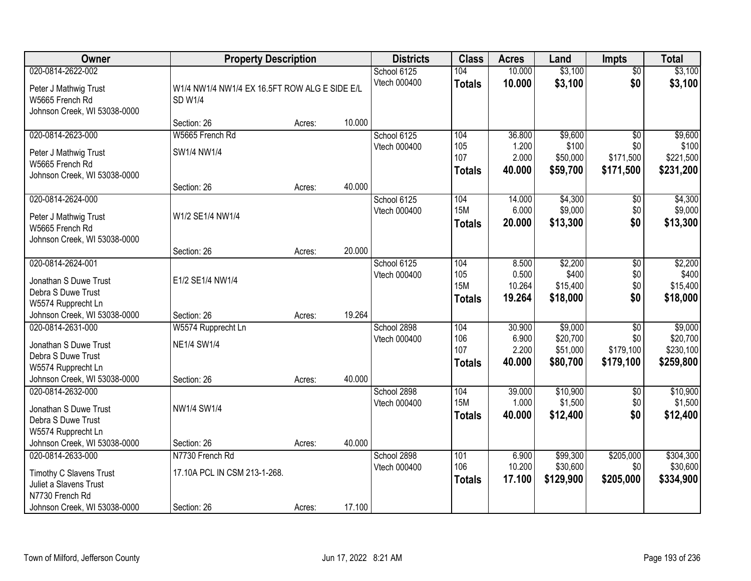| Owner                                                                                                                  | <b>Property Description</b>                              |        |        | <b>Districts</b>            | <b>Class</b>                              | <b>Acres</b>                       | Land                                        | <b>Impts</b>                                     | <b>Total</b>                                  |
|------------------------------------------------------------------------------------------------------------------------|----------------------------------------------------------|--------|--------|-----------------------------|-------------------------------------------|------------------------------------|---------------------------------------------|--------------------------------------------------|-----------------------------------------------|
| 020-0814-2622-002<br>Peter J Mathwig Trust<br>W5665 French Rd<br>Johnson Creek, WI 53038-0000                          | W1/4 NW1/4 NW1/4 EX 16.5FT ROW ALG E SIDE E/L<br>SD W1/4 |        |        | School 6125<br>Vtech 000400 | 104<br><b>Totals</b>                      | 10.000<br>10.000                   | \$3,100<br>\$3,100                          | $\overline{50}$<br>\$0                           | \$3,100<br>\$3,100                            |
|                                                                                                                        | Section: 26                                              | Acres: | 10.000 |                             |                                           |                                    |                                             |                                                  |                                               |
| 020-0814-2623-000<br>Peter J Mathwig Trust<br>W5665 French Rd<br>Johnson Creek, WI 53038-0000                          | W5665 French Rd<br>SW1/4 NW1/4                           |        |        | School 6125<br>Vtech 000400 | 104<br>105<br>107<br><b>Totals</b>        | 36.800<br>1.200<br>2.000<br>40.000 | \$9,600<br>\$100<br>\$50,000<br>\$59,700    | \$0<br>\$0<br>\$171,500<br>\$171,500             | \$9,600<br>\$100<br>\$221,500<br>\$231,200    |
| 020-0814-2624-000                                                                                                      | Section: 26                                              | Acres: | 40.000 |                             | 104                                       |                                    |                                             |                                                  |                                               |
| Peter J Mathwig Trust<br>W5665 French Rd<br>Johnson Creek, WI 53038-0000                                               | W1/2 SE1/4 NW1/4                                         |        |        | School 6125<br>Vtech 000400 | <b>15M</b><br><b>Totals</b>               | 14.000<br>6.000<br>20.000          | \$4,300<br>\$9,000<br>\$13,300              | \$0<br>\$0<br>\$0                                | \$4,300<br>\$9,000<br>\$13,300                |
|                                                                                                                        | Section: 26                                              | Acres: | 20.000 |                             |                                           |                                    |                                             |                                                  |                                               |
| 020-0814-2624-001<br>Jonathan S Duwe Trust<br>Debra S Duwe Trust<br>W5574 Rupprecht Ln                                 | E1/2 SE1/4 NW1/4                                         |        |        | School 6125<br>Vtech 000400 | 104<br>105<br><b>15M</b><br><b>Totals</b> | 8.500<br>0.500<br>10.264<br>19.264 | \$2,200<br>\$400<br>\$15,400<br>\$18,000    | \$0<br>\$0<br>\$0<br>\$0                         | \$2,200<br>\$400<br>\$15,400<br>\$18,000      |
| Johnson Creek, WI 53038-0000                                                                                           | Section: 26                                              | Acres: | 19.264 |                             |                                           |                                    |                                             |                                                  |                                               |
| 020-0814-2631-000<br>Jonathan S Duwe Trust<br>Debra S Duwe Trust<br>W5574 Rupprecht Ln<br>Johnson Creek, WI 53038-0000 | W5574 Rupprecht Ln<br><b>NE1/4 SW1/4</b><br>Section: 26  | Acres: | 40.000 | School 2898<br>Vtech 000400 | 104<br>106<br>107<br><b>Totals</b>        | 30.900<br>6.900<br>2.200<br>40.000 | \$9,000<br>\$20,700<br>\$51,000<br>\$80,700 | $\overline{50}$<br>\$0<br>\$179,100<br>\$179,100 | \$9,000<br>\$20,700<br>\$230,100<br>\$259,800 |
| 020-0814-2632-000<br>Jonathan S Duwe Trust<br>Debra S Duwe Trust<br>W5574 Rupprecht Ln<br>Johnson Creek, WI 53038-0000 | NW1/4 SW1/4<br>Section: 26                               | Acres: | 40.000 | School 2898<br>Vtech 000400 | 104<br><b>15M</b><br><b>Totals</b>        | 39.000<br>1.000<br>40.000          | \$10,900<br>\$1,500<br>\$12,400             | $\overline{50}$<br>\$0<br>\$0                    | \$10,900<br>\$1,500<br>\$12,400               |
| 020-0814-2633-000                                                                                                      | N7730 French Rd                                          |        |        | School 2898                 | 101                                       | 6.900                              | \$99,300                                    | \$205,000                                        | \$304,300                                     |
| Timothy C Slavens Trust<br>Juliet a Slavens Trust<br>N7730 French Rd<br>Johnson Creek, WI 53038-0000                   | 17.10A PCL IN CSM 213-1-268.<br>Section: 26              | Acres: | 17.100 | Vtech 000400                | 106<br><b>Totals</b>                      | 10.200<br>17.100                   | \$30,600<br>\$129,900                       | \$0<br>\$205,000                                 | \$30,600<br>\$334,900                         |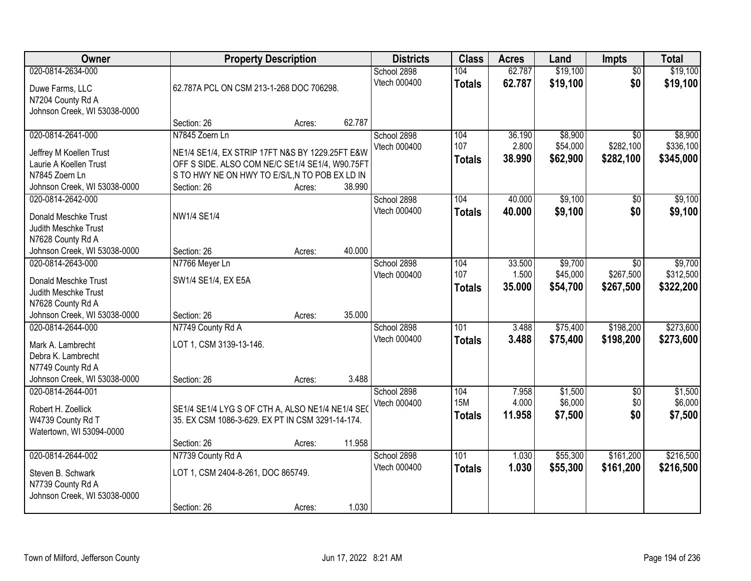| Owner                                                                                                                                             |                                                                                                                                                                                      | <b>Property Description</b> |                 | <b>Districts</b>            | <b>Class</b>                       | <b>Acres</b>              | Land                            | Impts                                     | <b>Total</b>                      |
|---------------------------------------------------------------------------------------------------------------------------------------------------|--------------------------------------------------------------------------------------------------------------------------------------------------------------------------------------|-----------------------------|-----------------|-----------------------------|------------------------------------|---------------------------|---------------------------------|-------------------------------------------|-----------------------------------|
| 020-0814-2634-000<br>Duwe Farms, LLC<br>N7204 County Rd A                                                                                         | 62.787A PCL ON CSM 213-1-268 DOC 706298.                                                                                                                                             |                             |                 | School 2898<br>Vtech 000400 | 104<br><b>Totals</b>               | 62.787<br>62.787          | \$19,100<br>\$19,100            | $\overline{50}$<br>\$0                    | \$19,100<br>\$19,100              |
| Johnson Creek, WI 53038-0000                                                                                                                      | Section: 26                                                                                                                                                                          | Acres:                      | 62.787          |                             |                                    |                           |                                 |                                           |                                   |
| 020-0814-2641-000<br>Jeffrey M Koellen Trust<br>Laurie A Koellen Trust<br>N7845 Zoern Ln<br>Johnson Creek, WI 53038-0000                          | N7845 Zoern Ln<br>NE1/4 SE1/4, EX STRIP 17FT N&S BY 1229.25FT E&W<br>OFF S SIDE. ALSO COM NE/C SE1/4 SE1/4, W90.75FT<br>S TO HWY NE ON HWY TO E/S/L,N TO POB EX LD IN<br>Section: 26 | Acres:                      | 38.990          | School 2898<br>Vtech 000400 | 104<br>107<br><b>Totals</b>        | 36.190<br>2.800<br>38.990 | \$8,900<br>\$54,000<br>\$62,900 | $\overline{50}$<br>\$282,100<br>\$282,100 | \$8,900<br>\$336,100<br>\$345,000 |
| 020-0814-2642-000<br>Donald Meschke Trust<br>Judith Meschke Trust<br>N7628 County Rd A<br>Johnson Creek, WI 53038-0000                            | NW1/4 SE1/4<br>Section: 26                                                                                                                                                           | Acres:                      | 40.000          | School 2898<br>Vtech 000400 | 104<br><b>Totals</b>               | 40.000<br>40.000          | \$9,100<br>\$9,100              | \$0<br>\$0                                | \$9,100<br>\$9,100                |
| 020-0814-2643-000<br>Donald Meschke Trust<br>Judith Meschke Trust<br>N7628 County Rd A                                                            | N7766 Meyer Ln<br>SW1/4 SE1/4, EX E5A                                                                                                                                                |                             |                 | School 2898<br>Vtech 000400 | 104<br>107<br><b>Totals</b>        | 33.500<br>1.500<br>35.000 | \$9,700<br>\$45,000<br>\$54,700 | \$0<br>\$267,500<br>\$267,500             | \$9,700<br>\$312,500<br>\$322,200 |
| Johnson Creek, WI 53038-0000<br>020-0814-2644-000<br>Mark A. Lambrecht<br>Debra K. Lambrecht<br>N7749 County Rd A<br>Johnson Creek, WI 53038-0000 | Section: 26<br>N7749 County Rd A<br>LOT 1, CSM 3139-13-146.<br>Section: 26                                                                                                           | Acres:<br>Acres:            | 35.000<br>3.488 | School 2898<br>Vtech 000400 | 101<br><b>Totals</b>               | 3.488<br>3.488            | \$75,400<br>\$75,400            | \$198,200<br>\$198,200                    | \$273,600<br>\$273,600            |
| 020-0814-2644-001<br>Robert H. Zoellick<br>W4739 County Rd T<br>Watertown, WI 53094-0000                                                          | SE1/4 SE1/4 LYG S OF CTH A, ALSO NE1/4 NE1/4 SEO<br>35. EX CSM 1086-3-629. EX PT IN CSM 3291-14-174.<br>Section: 26                                                                  | Acres:                      | 11.958          | School 2898<br>Vtech 000400 | 104<br><b>15M</b><br><b>Totals</b> | 7.958<br>4.000<br>11.958  | \$1,500<br>\$6,000<br>\$7,500   | $\overline{50}$<br>\$0<br>\$0             | \$1,500<br>\$6,000<br>\$7,500     |
| 020-0814-2644-002<br>Steven B. Schwark<br>N7739 County Rd A<br>Johnson Creek, WI 53038-0000                                                       | N7739 County Rd A<br>LOT 1, CSM 2404-8-261, DOC 865749.<br>Section: 26                                                                                                               | Acres:                      | 1.030           | School 2898<br>Vtech 000400 | 101<br><b>Totals</b>               | 1.030<br>1.030            | \$55,300<br>\$55,300            | \$161,200<br>\$161,200                    | \$216,500<br>\$216,500            |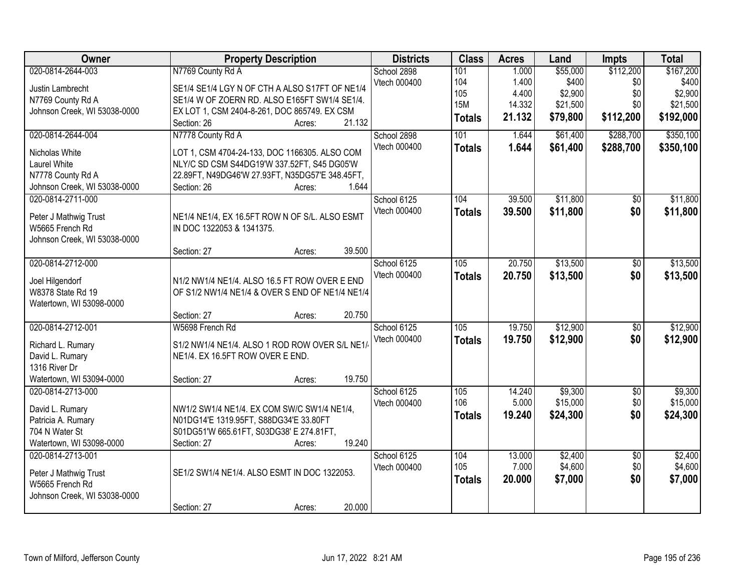| Owner                                    | <b>Property Description</b>                     | <b>Districts</b> | <b>Class</b>     | <b>Acres</b> | Land     | <b>Impts</b>    | <b>Total</b> |
|------------------------------------------|-------------------------------------------------|------------------|------------------|--------------|----------|-----------------|--------------|
| 020-0814-2644-003                        | N7769 County Rd A                               | School 2898      | 101              | 1.000        | \$55,000 | \$112,200       | \$167,200    |
| Justin Lambrecht                         | SE1/4 SE1/4 LGY N OF CTH A ALSO S17FT OF NE1/4  | Vtech 000400     | 104              | 1.400        | \$400    | \$0             | \$400        |
| N7769 County Rd A                        | SE1/4 W OF ZOERN RD. ALSO E165FT SW1/4 SE1/4.   |                  | 105              | 4.400        | \$2,900  | \$0             | \$2,900      |
| Johnson Creek, WI 53038-0000             | EX LOT 1, CSM 2404-8-261, DOC 865749. EX CSM    |                  | <b>15M</b>       | 14.332       | \$21,500 | \$0             | \$21,500     |
|                                          | 21.132<br>Section: 26<br>Acres:                 |                  | <b>Totals</b>    | 21.132       | \$79,800 | \$112,200       | \$192,000    |
| 020-0814-2644-004                        | N7778 County Rd A                               | School 2898      | 101              | 1.644        | \$61,400 | \$288,700       | \$350,100    |
| Nicholas White                           | LOT 1, CSM 4704-24-133, DOC 1166305. ALSO COM   | Vtech 000400     | <b>Totals</b>    | 1.644        | \$61,400 | \$288,700       | \$350,100    |
| Laurel White                             | NLY/C SD CSM S44DG19'W 337.52FT, S45 DG05'W     |                  |                  |              |          |                 |              |
| N7778 County Rd A                        | 22.89FT, N49DG46'W 27.93FT, N35DG57'E 348.45FT, |                  |                  |              |          |                 |              |
| Johnson Creek, WI 53038-0000             | 1.644<br>Section: 26<br>Acres:                  |                  |                  |              |          |                 |              |
| 020-0814-2711-000                        |                                                 | School 6125      | 104              | 39.500       | \$11,800 | $\overline{50}$ | \$11,800     |
|                                          |                                                 | Vtech 000400     | <b>Totals</b>    | 39.500       | \$11,800 | \$0             | \$11,800     |
| Peter J Mathwig Trust                    | NE1/4 NE1/4, EX 16.5FT ROW N OF S/L. ALSO ESMT  |                  |                  |              |          |                 |              |
| W5665 French Rd                          | IN DOC 1322053 & 1341375.                       |                  |                  |              |          |                 |              |
| Johnson Creek, WI 53038-0000             |                                                 |                  |                  |              |          |                 |              |
|                                          | 39.500<br>Section: 27<br>Acres:                 |                  |                  |              |          |                 |              |
| 020-0814-2712-000                        |                                                 | School 6125      | 105              | 20.750       | \$13,500 | $\overline{50}$ | \$13,500     |
| Joel Hilgendorf                          | N1/2 NW1/4 NE1/4. ALSO 16.5 FT ROW OVER E END   | Vtech 000400     | <b>Totals</b>    | 20.750       | \$13,500 | \$0             | \$13,500     |
| W8378 State Rd 19                        | OF S1/2 NW1/4 NE1/4 & OVER S END OF NE1/4 NE1/4 |                  |                  |              |          |                 |              |
| Watertown, WI 53098-0000                 |                                                 |                  |                  |              |          |                 |              |
|                                          | 20.750<br>Section: 27<br>Acres:                 |                  |                  |              |          |                 |              |
| 020-0814-2712-001                        | W5698 French Rd                                 | School 6125      | $\overline{105}$ | 19.750       | \$12,900 | $\overline{50}$ | \$12,900     |
|                                          |                                                 | Vtech 000400     | <b>Totals</b>    | 19.750       | \$12,900 | \$0             | \$12,900     |
| Richard L. Rumary                        | S1/2 NW1/4 NE1/4. ALSO 1 ROD ROW OVER S/L NE1/  |                  |                  |              |          |                 |              |
| David L. Rumary                          | NE1/4. EX 16.5FT ROW OVER E END.                |                  |                  |              |          |                 |              |
| 1316 River Dr                            |                                                 |                  |                  |              |          |                 |              |
| Watertown, WI 53094-0000                 | 19.750<br>Section: 27<br>Acres:                 |                  |                  |              |          |                 |              |
| 020-0814-2713-000                        |                                                 | School 6125      | 105              | 14.240       | \$9,300  | $\overline{50}$ | \$9,300      |
| David L. Rumary                          | NW1/2 SW1/4 NE1/4. EX COM SW/C SW1/4 NE1/4,     | Vtech 000400     | 106              | 5.000        | \$15,000 | \$0             | \$15,000     |
| Patricia A. Rumary                       | N01DG14'E 1319.95FT, S88DG34'E 33.80FT          |                  | <b>Totals</b>    | 19.240       | \$24,300 | \$0             | \$24,300     |
| 704 N Water St                           | S01DG51'W 665.61FT, S03DG38' E 274.81FT,        |                  |                  |              |          |                 |              |
| Watertown, WI 53098-0000                 | 19.240<br>Section: 27<br>Acres:                 |                  |                  |              |          |                 |              |
| 020-0814-2713-001                        |                                                 | School 6125      | 104              | 13.000       | \$2,400  | $\overline{30}$ | \$2,400      |
|                                          | SE1/2 SW1/4 NE1/4. ALSO ESMT IN DOC 1322053.    | Vtech 000400     | 105              | 7.000        | \$4,600  | \$0             | \$4,600      |
| Peter J Mathwig Trust<br>W5665 French Rd |                                                 |                  | <b>Totals</b>    | 20.000       | \$7,000  | \$0             | \$7,000      |
| Johnson Creek, WI 53038-0000             |                                                 |                  |                  |              |          |                 |              |
|                                          | 20.000<br>Section: 27<br>Acres:                 |                  |                  |              |          |                 |              |
|                                          |                                                 |                  |                  |              |          |                 |              |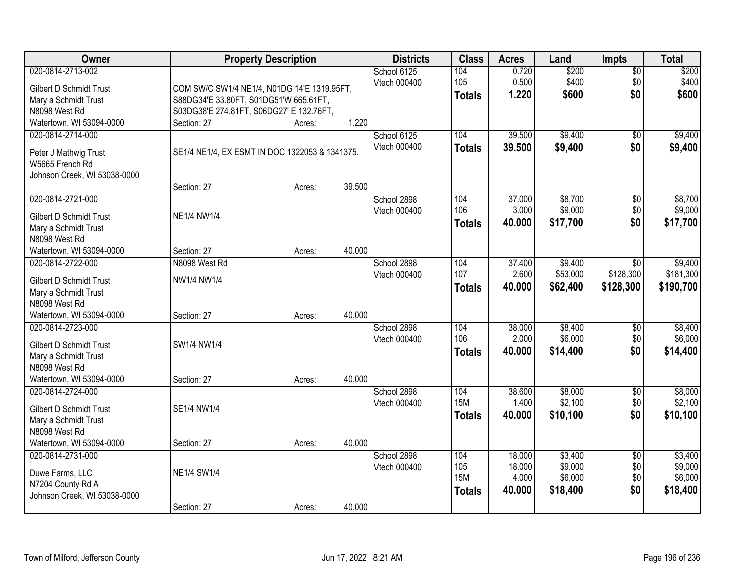| Owner                                                  |                                                | <b>Property Description</b> |        | <b>Districts</b> | <b>Class</b>  | <b>Acres</b> | Land     | <b>Impts</b>    | <b>Total</b> |
|--------------------------------------------------------|------------------------------------------------|-----------------------------|--------|------------------|---------------|--------------|----------|-----------------|--------------|
| 020-0814-2713-002                                      |                                                |                             |        | School 6125      | 104           | 0.720        | \$200    | \$0             | \$200        |
| Gilbert D Schmidt Trust                                | COM SW/C SW1/4 NE1/4, N01DG 14'E 1319.95FT,    |                             |        | Vtech 000400     | 105           | 0.500        | \$400    | \$0             | \$400        |
| Mary a Schmidt Trust                                   | S88DG34'E 33.80FT, S01DG51'W 665.61FT,         |                             |        |                  | <b>Totals</b> | 1.220        | \$600    | \$0             | \$600        |
| N8098 West Rd                                          | S03DG38'E 274.81FT, S06DG27' E 132.76FT,       |                             |        |                  |               |              |          |                 |              |
| Watertown, WI 53094-0000                               | Section: 27                                    | Acres:                      | 1.220  |                  |               |              |          |                 |              |
| 020-0814-2714-000                                      |                                                |                             |        | School 6125      | 104           | 39.500       | \$9,400  | \$0             | \$9,400      |
| Peter J Mathwig Trust                                  | SE1/4 NE1/4, EX ESMT IN DOC 1322053 & 1341375. |                             |        | Vtech 000400     | <b>Totals</b> | 39.500       | \$9,400  | \$0             | \$9,400      |
| W5665 French Rd                                        |                                                |                             |        |                  |               |              |          |                 |              |
| Johnson Creek, WI 53038-0000                           |                                                |                             |        |                  |               |              |          |                 |              |
|                                                        | Section: 27                                    | Acres:                      | 39.500 |                  |               |              |          |                 |              |
| 020-0814-2721-000                                      |                                                |                             |        | School 2898      | 104           | 37.000       | \$8,700  | \$0             | \$8,700      |
| <b>Gilbert D Schmidt Trust</b>                         | <b>NE1/4 NW1/4</b>                             |                             |        | Vtech 000400     | 106           | 3.000        | \$9,000  | \$0             | \$9,000      |
| Mary a Schmidt Trust                                   |                                                |                             |        |                  | <b>Totals</b> | 40.000       | \$17,700 | \$0             | \$17,700     |
| N8098 West Rd                                          |                                                |                             |        |                  |               |              |          |                 |              |
| Watertown, WI 53094-0000                               | Section: 27                                    | Acres:                      | 40.000 |                  |               |              |          |                 |              |
| 020-0814-2722-000                                      | N8098 West Rd                                  |                             |        | School 2898      | 104           | 37.400       | \$9,400  | $\sqrt[6]{}$    | \$9,400      |
|                                                        |                                                |                             |        | Vtech 000400     | 107           | 2.600        | \$53,000 | \$128,300       | \$181,300    |
| <b>Gilbert D Schmidt Trust</b><br>Mary a Schmidt Trust | NW1/4 NW1/4                                    |                             |        |                  | <b>Totals</b> | 40.000       | \$62,400 | \$128,300       | \$190,700    |
| N8098 West Rd                                          |                                                |                             |        |                  |               |              |          |                 |              |
| Watertown, WI 53094-0000                               | Section: 27                                    | Acres:                      | 40.000 |                  |               |              |          |                 |              |
| 020-0814-2723-000                                      |                                                |                             |        | School 2898      | 104           | 38.000       | \$8,400  | \$0             | \$8,400      |
|                                                        |                                                |                             |        | Vtech 000400     | 106           | 2.000        | \$6,000  | \$0             | \$6,000      |
| <b>Gilbert D Schmidt Trust</b>                         | SW1/4 NW1/4                                    |                             |        |                  | <b>Totals</b> | 40.000       | \$14,400 | \$0             | \$14,400     |
| Mary a Schmidt Trust<br>N8098 West Rd                  |                                                |                             |        |                  |               |              |          |                 |              |
| Watertown, WI 53094-0000                               | Section: 27                                    | Acres:                      | 40.000 |                  |               |              |          |                 |              |
| 020-0814-2724-000                                      |                                                |                             |        | School 2898      | 104           | 38.600       | \$8,000  | $\sqrt{6}$      | \$8,000      |
|                                                        |                                                |                             |        | Vtech 000400     | <b>15M</b>    | 1.400        | \$2,100  | \$0             | \$2,100      |
| <b>Gilbert D Schmidt Trust</b>                         | SE1/4 NW1/4                                    |                             |        |                  | <b>Totals</b> | 40.000       | \$10,100 | \$0             | \$10,100     |
| Mary a Schmidt Trust<br>N8098 West Rd                  |                                                |                             |        |                  |               |              |          |                 |              |
| Watertown, WI 53094-0000                               | Section: 27                                    | Acres:                      | 40.000 |                  |               |              |          |                 |              |
| 020-0814-2731-000                                      |                                                |                             |        | School 2898      | 104           | 18.000       | \$3,400  | $\overline{50}$ | \$3,400      |
|                                                        |                                                |                             |        | Vtech 000400     | 105           | 18.000       | \$9,000  | \$0             | \$9,000      |
| Duwe Farms, LLC                                        | <b>NE1/4 SW1/4</b>                             |                             |        |                  | <b>15M</b>    | 4.000        | \$6,000  | \$0             | \$6,000      |
| N7204 County Rd A                                      |                                                |                             |        |                  | <b>Totals</b> | 40.000       | \$18,400 | \$0             | \$18,400     |
| Johnson Creek, WI 53038-0000                           |                                                |                             |        |                  |               |              |          |                 |              |
|                                                        | Section: 27                                    | Acres:                      | 40.000 |                  |               |              |          |                 |              |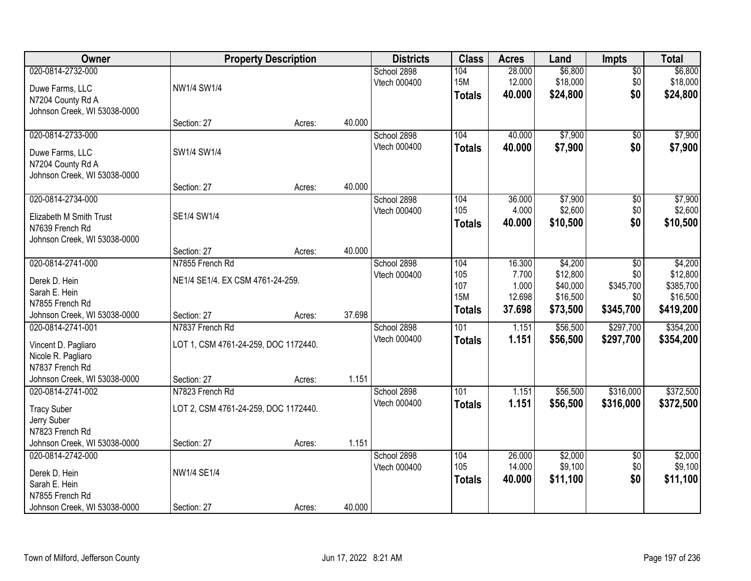| <b>Owner</b>                                      |                                      | <b>Property Description</b> |        | <b>Districts</b>            | <b>Class</b>      | <b>Acres</b>     | Land                | Impts                  | <b>Total</b>        |
|---------------------------------------------------|--------------------------------------|-----------------------------|--------|-----------------------------|-------------------|------------------|---------------------|------------------------|---------------------|
| 020-0814-2732-000                                 |                                      |                             |        | School 2898<br>Vtech 000400 | 104<br><b>15M</b> | 28.000<br>12.000 | \$6,800<br>\$18,000 | $\overline{50}$<br>\$0 | \$6,800<br>\$18,000 |
| Duwe Farms, LLC                                   | NW1/4 SW1/4                          |                             |        |                             | <b>Totals</b>     | 40.000           | \$24,800            | \$0                    | \$24,800            |
| N7204 County Rd A<br>Johnson Creek, WI 53038-0000 |                                      |                             |        |                             |                   |                  |                     |                        |                     |
|                                                   | Section: 27                          | Acres:                      | 40.000 |                             |                   |                  |                     |                        |                     |
| 020-0814-2733-000                                 |                                      |                             |        | School 2898                 | 104               | 40.000           | \$7,900             | $\overline{50}$        | \$7,900             |
| Duwe Farms, LLC                                   | SW1/4 SW1/4                          |                             |        | Vtech 000400                | <b>Totals</b>     | 40.000           | \$7,900             | \$0                    | \$7,900             |
| N7204 County Rd A                                 |                                      |                             |        |                             |                   |                  |                     |                        |                     |
| Johnson Creek, WI 53038-0000                      |                                      |                             |        |                             |                   |                  |                     |                        |                     |
|                                                   | Section: 27                          | Acres:                      | 40.000 |                             |                   |                  |                     |                        |                     |
| 020-0814-2734-000                                 |                                      |                             |        | School 2898                 | 104               | 36.000           | \$7,900             | \$0                    | \$7,900             |
| Elizabeth M Smith Trust                           | SE1/4 SW1/4                          |                             |        | Vtech 000400                | 105               | 4.000<br>40.000  | \$2,600<br>\$10,500 | \$0<br>\$0             | \$2,600<br>\$10,500 |
| N7639 French Rd                                   |                                      |                             |        |                             | <b>Totals</b>     |                  |                     |                        |                     |
| Johnson Creek, WI 53038-0000                      |                                      |                             |        |                             |                   |                  |                     |                        |                     |
| 020-0814-2741-000                                 | Section: 27<br>N7855 French Rd       | Acres:                      | 40.000 |                             | 104               |                  |                     |                        |                     |
|                                                   |                                      |                             |        | School 2898<br>Vtech 000400 | 105               | 16.300<br>7.700  | \$4,200<br>\$12,800 | \$0<br>\$0             | \$4,200<br>\$12,800 |
| Derek D. Hein                                     | NE1/4 SE1/4. EX CSM 4761-24-259.     |                             |        |                             | 107               | 1.000            | \$40,000            | \$345,700              | \$385,700           |
| Sarah E. Hein                                     |                                      |                             |        |                             | <b>15M</b>        | 12.698           | \$16,500            | \$0                    | \$16,500            |
| N7855 French Rd<br>Johnson Creek, WI 53038-0000   | Section: 27                          |                             | 37.698 |                             | <b>Totals</b>     | 37.698           | \$73,500            | \$345,700              | \$419,200           |
| 020-0814-2741-001                                 | N7837 French Rd                      | Acres:                      |        | School 2898                 | 101               | 1.151            | \$56,500            | \$297,700              | \$354,200           |
|                                                   |                                      |                             |        | Vtech 000400                | <b>Totals</b>     | 1.151            | \$56,500            | \$297,700              | \$354,200           |
| Vincent D. Pagliaro                               | LOT 1, CSM 4761-24-259, DOC 1172440. |                             |        |                             |                   |                  |                     |                        |                     |
| Nicole R. Pagliaro<br>N7837 French Rd             |                                      |                             |        |                             |                   |                  |                     |                        |                     |
| Johnson Creek, WI 53038-0000                      | Section: 27                          | Acres:                      | 1.151  |                             |                   |                  |                     |                        |                     |
| 020-0814-2741-002                                 | N7823 French Rd                      |                             |        | School 2898                 | 101               | 1.151            | \$56,500            | \$316,000              | \$372,500           |
|                                                   |                                      |                             |        | Vtech 000400                | <b>Totals</b>     | 1.151            | \$56,500            | \$316,000              | \$372,500           |
| <b>Tracy Suber</b><br>Jerry Suber                 | LOT 2, CSM 4761-24-259, DOC 1172440. |                             |        |                             |                   |                  |                     |                        |                     |
| N7823 French Rd                                   |                                      |                             |        |                             |                   |                  |                     |                        |                     |
| Johnson Creek, WI 53038-0000                      | Section: 27                          | Acres:                      | 1.151  |                             |                   |                  |                     |                        |                     |
| 020-0814-2742-000                                 |                                      |                             |        | School 2898                 | 104               | 26.000           | \$2,000             | $\overline{50}$        | \$2,000             |
| Derek D. Hein                                     | NW1/4 SE1/4                          |                             |        | Vtech 000400                | 105               | 14.000           | \$9,100             | \$0                    | \$9,100             |
| Sarah E. Hein                                     |                                      |                             |        |                             | <b>Totals</b>     | 40.000           | \$11,100            | \$0                    | \$11,100            |
| N7855 French Rd                                   |                                      |                             |        |                             |                   |                  |                     |                        |                     |
| Johnson Creek, WI 53038-0000                      | Section: 27                          | Acres:                      | 40.000 |                             |                   |                  |                     |                        |                     |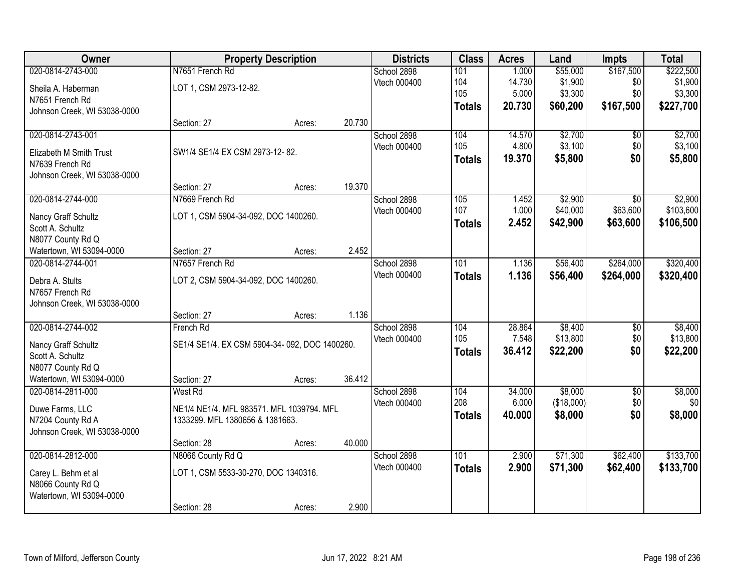| Owner                        |                                               | <b>Property Description</b> |        | <b>Districts</b> | <b>Class</b>  | <b>Acres</b> | Land       | <b>Impts</b>    | <b>Total</b> |
|------------------------------|-----------------------------------------------|-----------------------------|--------|------------------|---------------|--------------|------------|-----------------|--------------|
| 020-0814-2743-000            | N7651 French Rd                               |                             |        | School 2898      | 101           | 1.000        | \$55,000   | \$167,500       | \$222,500    |
| Sheila A. Haberman           | LOT 1, CSM 2973-12-82.                        |                             |        | Vtech 000400     | 104           | 14.730       | \$1,900    | \$0             | \$1,900      |
| N7651 French Rd              |                                               |                             |        |                  | 105           | 5.000        | \$3,300    | \$0             | \$3,300      |
| Johnson Creek, WI 53038-0000 |                                               |                             |        |                  | <b>Totals</b> | 20.730       | \$60,200   | \$167,500       | \$227,700    |
|                              | Section: 27                                   | Acres:                      | 20.730 |                  |               |              |            |                 |              |
| 020-0814-2743-001            |                                               |                             |        | School 2898      | 104           | 14.570       | \$2,700    | \$0             | \$2,700      |
| Elizabeth M Smith Trust      | SW1/4 SE1/4 EX CSM 2973-12-82.                |                             |        | Vtech 000400     | 105           | 4.800        | \$3,100    | \$0             | \$3,100      |
| N7639 French Rd              |                                               |                             |        |                  | <b>Totals</b> | 19.370       | \$5,800    | \$0             | \$5,800      |
| Johnson Creek, WI 53038-0000 |                                               |                             |        |                  |               |              |            |                 |              |
|                              | Section: 27                                   | Acres:                      | 19.370 |                  |               |              |            |                 |              |
| 020-0814-2744-000            | N7669 French Rd                               |                             |        | School 2898      | 105           | 1.452        | \$2,900    | \$0             | \$2,900      |
| Nancy Graff Schultz          | LOT 1, CSM 5904-34-092, DOC 1400260.          |                             |        | Vtech 000400     | 107           | 1.000        | \$40,000   | \$63,600        | \$103,600    |
| Scott A. Schultz             |                                               |                             |        |                  | <b>Totals</b> | 2.452        | \$42,900   | \$63,600        | \$106,500    |
| N8077 County Rd Q            |                                               |                             |        |                  |               |              |            |                 |              |
| Watertown, WI 53094-0000     | Section: 27                                   | Acres:                      | 2.452  |                  |               |              |            |                 |              |
| 020-0814-2744-001            | N7657 French Rd                               |                             |        | School 2898      | 101           | 1.136        | \$56,400   | \$264,000       | \$320,400    |
| Debra A. Stults              | LOT 2, CSM 5904-34-092, DOC 1400260.          |                             |        | Vtech 000400     | <b>Totals</b> | 1.136        | \$56,400   | \$264,000       | \$320,400    |
| N7657 French Rd              |                                               |                             |        |                  |               |              |            |                 |              |
| Johnson Creek, WI 53038-0000 |                                               |                             |        |                  |               |              |            |                 |              |
|                              | Section: 27                                   | Acres:                      | 1.136  |                  |               |              |            |                 |              |
| 020-0814-2744-002            | French Rd                                     |                             |        | School 2898      | 104           | 28.864       | \$8,400    | $\overline{50}$ | \$8,400      |
| Nancy Graff Schultz          | SE1/4 SE1/4. EX CSM 5904-34-092, DOC 1400260. |                             |        | Vtech 000400     | 105           | 7.548        | \$13,800   | \$0             | \$13,800     |
| Scott A. Schultz             |                                               |                             |        |                  | <b>Totals</b> | 36.412       | \$22,200   | \$0             | \$22,200     |
| N8077 County Rd Q            |                                               |                             |        |                  |               |              |            |                 |              |
| Watertown, WI 53094-0000     | Section: 27                                   | Acres:                      | 36.412 |                  |               |              |            |                 |              |
| 020-0814-2811-000            | West Rd                                       |                             |        | School 2898      | 104           | 34.000       | \$8,000    | $\overline{50}$ | \$8,000      |
| Duwe Farms, LLC              | NE1/4 NE1/4. MFL 983571. MFL 1039794. MFL     |                             |        | Vtech 000400     | 208           | 6.000        | (\$18,000) | \$0             | \$0          |
| N7204 County Rd A            | 1333299. MFL 1380656 & 1381663.               |                             |        |                  | <b>Totals</b> | 40.000       | \$8,000    | \$0             | \$8,000      |
| Johnson Creek, WI 53038-0000 |                                               |                             |        |                  |               |              |            |                 |              |
|                              | Section: 28                                   | Acres:                      | 40.000 |                  |               |              |            |                 |              |
| 020-0814-2812-000            | N8066 County Rd Q                             |                             |        | School 2898      | 101           | 2.900        | \$71,300   | \$62,400        | \$133,700    |
| Carey L. Behm et al          | LOT 1, CSM 5533-30-270, DOC 1340316.          |                             |        | Vtech 000400     | <b>Totals</b> | 2.900        | \$71,300   | \$62,400        | \$133,700    |
| N8066 County Rd Q            |                                               |                             |        |                  |               |              |            |                 |              |
| Watertown, WI 53094-0000     |                                               |                             |        |                  |               |              |            |                 |              |
|                              | Section: 28                                   | Acres:                      | 2.900  |                  |               |              |            |                 |              |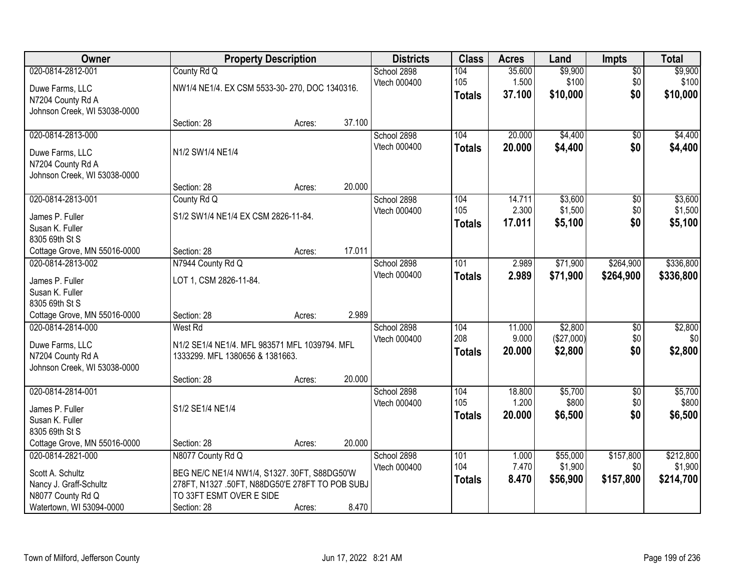| Owner                                                                                                            |                                                                                                                                                                 | <b>Property Description</b> |        | <b>Districts</b>                   | <b>Class</b>                | <b>Acres</b>              | Land                             | <b>Impts</b>                  | <b>Total</b>                      |
|------------------------------------------------------------------------------------------------------------------|-----------------------------------------------------------------------------------------------------------------------------------------------------------------|-----------------------------|--------|------------------------------------|-----------------------------|---------------------------|----------------------------------|-------------------------------|-----------------------------------|
| 020-0814-2812-001<br>Duwe Farms, LLC<br>N7204 County Rd A<br>Johnson Creek, WI 53038-0000                        | County Rd Q<br>NW1/4 NE1/4. EX CSM 5533-30-270, DOC 1340316.                                                                                                    |                             |        | School 2898<br>Vtech 000400        | 104<br>105<br><b>Totals</b> | 35.600<br>1.500<br>37.100 | \$9,900<br>\$100<br>\$10,000     | $\overline{50}$<br>\$0<br>\$0 | \$9,900<br>\$100<br>\$10,000      |
|                                                                                                                  | Section: 28                                                                                                                                                     | Acres:                      | 37.100 |                                    |                             |                           |                                  |                               |                                   |
| 020-0814-2813-000<br>Duwe Farms, LLC<br>N7204 County Rd A<br>Johnson Creek, WI 53038-0000                        | N1/2 SW1/4 NE1/4                                                                                                                                                |                             |        | School 2898<br>Vtech 000400        | 104<br><b>Totals</b>        | 20.000<br>20.000          | \$4,400<br>\$4,400               | $\overline{50}$<br>\$0        | \$4,400<br>\$4,400                |
|                                                                                                                  | Section: 28                                                                                                                                                     | Acres:                      | 20.000 |                                    |                             |                           |                                  |                               |                                   |
| 020-0814-2813-001<br>James P. Fuller<br>Susan K. Fuller<br>8305 69th St S                                        | County Rd Q<br>S1/2 SW1/4 NE1/4 EX CSM 2826-11-84.                                                                                                              |                             |        | School 2898<br>Vtech 000400        | 104<br>105<br>Totals        | 14.711<br>2.300<br>17.011 | \$3,600<br>\$1,500<br>\$5,100    | $\overline{50}$<br>\$0<br>\$0 | \$3,600<br>\$1,500<br>\$5,100     |
| Cottage Grove, MN 55016-0000                                                                                     | Section: 28                                                                                                                                                     | Acres:                      | 17.011 |                                    |                             |                           |                                  |                               |                                   |
| 020-0814-2813-002<br>James P. Fuller<br>Susan K. Fuller<br>8305 69th St S                                        | N7944 County Rd Q<br>LOT 1, CSM 2826-11-84.                                                                                                                     |                             |        | School 2898<br>Vtech 000400        | 101<br><b>Totals</b>        | 2.989<br>2.989            | \$71,900<br>\$71,900             | \$264,900<br>\$264,900        | \$336,800<br>\$336,800            |
| Cottage Grove, MN 55016-0000                                                                                     | Section: 28                                                                                                                                                     | Acres:                      | 2.989  |                                    |                             |                           |                                  |                               |                                   |
| 020-0814-2814-000<br>Duwe Farms, LLC<br>N7204 County Rd A<br>Johnson Creek, WI 53038-0000                        | West Rd<br>N1/2 SE1/4 NE1/4. MFL 983571 MFL 1039794. MFL<br>1333299. MFL 1380656 & 1381663.<br>Section: 28                                                      | Acres:                      | 20.000 | School 2898<br><b>Vtech 000400</b> | 104<br>208<br>Totals        | 11.000<br>9.000<br>20.000 | \$2,800<br>(\$27,000)<br>\$2,800 | \$0<br>\$0<br>\$0             | \$2,800<br>\$0<br>\$2,800         |
| 020-0814-2814-001                                                                                                |                                                                                                                                                                 |                             |        | School 2898                        | 104                         | 18.800                    | \$5,700                          | $\overline{60}$               | \$5,700                           |
| James P. Fuller<br>Susan K. Fuller<br>8305 69th St S                                                             | S1/2 SE1/4 NE1/4                                                                                                                                                |                             |        | Vtech 000400                       | 105<br><b>Totals</b>        | 1.200<br>20.000           | \$800<br>\$6,500                 | \$0<br>\$0                    | \$800<br>\$6,500                  |
| Cottage Grove, MN 55016-0000                                                                                     | Section: 28                                                                                                                                                     | Acres:                      | 20.000 |                                    |                             |                           |                                  |                               |                                   |
| 020-0814-2821-000<br>Scott A. Schultz<br>Nancy J. Graff-Schultz<br>N8077 County Rd Q<br>Watertown, WI 53094-0000 | N8077 County Rd Q<br>BEG NE/C NE1/4 NW1/4, S1327. 30FT, S88DG50'W<br>278FT, N1327 .50FT, N88DG50'E 278FT TO POB SUBJ<br>TO 33FT ESMT OVER E SIDE<br>Section: 28 | Acres:                      | 8.470  | School 2898<br>Vtech 000400        | 101<br>104<br><b>Totals</b> | 1.000<br>7.470<br>8.470   | \$55,000<br>\$1,900<br>\$56,900  | \$157,800<br>\$0<br>\$157,800 | \$212,800<br>\$1,900<br>\$214,700 |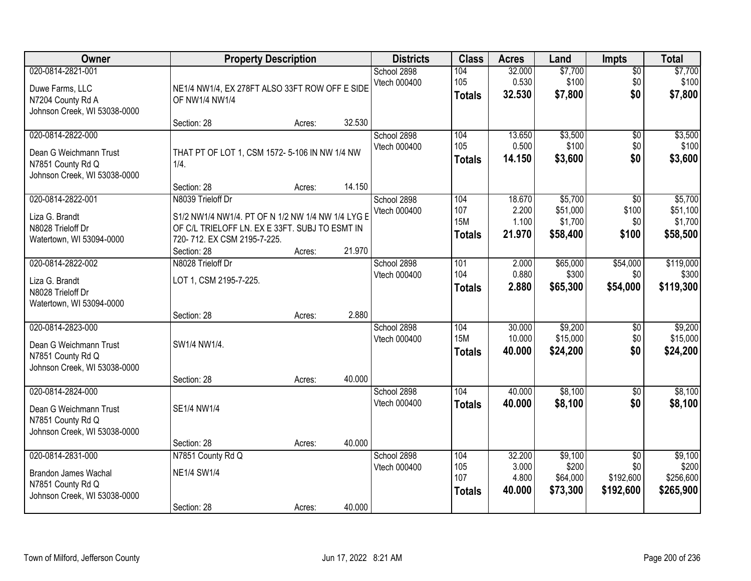| Owner                                                                                                 | <b>Property Description</b>                                                                                                                       |        |        | <b>Districts</b>            | <b>Class</b>                       | <b>Acres</b>                       | Land                                     | Impts                                            | <b>Total</b>                               |
|-------------------------------------------------------------------------------------------------------|---------------------------------------------------------------------------------------------------------------------------------------------------|--------|--------|-----------------------------|------------------------------------|------------------------------------|------------------------------------------|--------------------------------------------------|--------------------------------------------|
| 020-0814-2821-001<br>Duwe Farms, LLC<br>N7204 County Rd A<br>Johnson Creek, WI 53038-0000             | NE1/4 NW1/4, EX 278FT ALSO 33FT ROW OFF E SIDE<br>OF NW1/4 NW1/4                                                                                  |        |        | School 2898<br>Vtech 000400 | 104<br>105<br><b>Totals</b>        | 32.000<br>0.530<br>32.530          | \$7,700<br>\$100<br>\$7,800              | $\overline{50}$<br>\$0<br>\$0                    | \$7,700<br>\$100<br>\$7,800                |
|                                                                                                       | Section: 28                                                                                                                                       | Acres: | 32.530 |                             |                                    |                                    |                                          |                                                  |                                            |
| 020-0814-2822-000<br>Dean G Weichmann Trust<br>N7851 County Rd Q<br>Johnson Creek, WI 53038-0000      | THAT PT OF LOT 1, CSM 1572-5-106 IN NW 1/4 NW<br>1/4.                                                                                             |        | 14.150 | School 2898<br>Vtech 000400 | 104<br>105<br><b>Totals</b>        | 13.650<br>0.500<br>14.150          | \$3,500<br>\$100<br>\$3,600              | $\overline{60}$<br>\$0<br>\$0                    | \$3,500<br>\$100<br>\$3,600                |
| 020-0814-2822-001                                                                                     | Section: 28<br>N8039 Trieloff Dr                                                                                                                  | Acres: |        | School 2898                 | 104                                | 18.670                             | \$5,700                                  | $\overline{50}$                                  | \$5,700                                    |
| Liza G. Brandt<br>N8028 Trieloff Dr<br>Watertown, WI 53094-0000                                       | S1/2 NW1/4 NW1/4. PT OF N 1/2 NW 1/4 NW 1/4 LYG E<br>OF C/L TRIELOFF LN. EX E 33FT. SUBJ TO ESMT IN<br>720-712. EX CSM 2195-7-225.<br>Section: 28 | Acres: | 21.970 | Vtech 000400                | 107<br><b>15M</b><br><b>Totals</b> | 2.200<br>1.100<br>21.970           | \$51,000<br>\$1,700<br>\$58,400          | \$100<br>\$0<br>\$100                            | \$51,100<br>\$1,700<br>\$58,500            |
| 020-0814-2822-002                                                                                     | N8028 Trieloff Dr                                                                                                                                 |        |        | School 2898                 | 101                                | 2.000                              | \$65,000                                 | \$54,000                                         | \$119,000                                  |
| Liza G. Brandt<br>N8028 Trieloff Dr<br>Watertown, WI 53094-0000                                       | LOT 1, CSM 2195-7-225.                                                                                                                            |        |        | Vtech 000400                | 104<br><b>Totals</b>               | 0.880<br>2.880                     | \$300<br>\$65,300                        | \$0<br>\$54,000                                  | \$300<br>\$119,300                         |
|                                                                                                       | Section: 28                                                                                                                                       | Acres: | 2.880  |                             |                                    |                                    |                                          |                                                  |                                            |
| 020-0814-2823-000<br>Dean G Weichmann Trust<br>N7851 County Rd Q<br>Johnson Creek, WI 53038-0000      | SW1/4 NW1/4.                                                                                                                                      |        |        | School 2898<br>Vtech 000400 | 104<br><b>15M</b><br><b>Totals</b> | 30.000<br>10.000<br>40.000         | \$9,200<br>\$15,000<br>\$24,200          | $\overline{50}$<br>\$0<br>\$0                    | \$9,200<br>\$15,000<br>\$24,200            |
|                                                                                                       | Section: 28                                                                                                                                       | Acres: | 40.000 |                             |                                    |                                    |                                          |                                                  |                                            |
| 020-0814-2824-000<br>Dean G Weichmann Trust<br>N7851 County Rd Q<br>Johnson Creek, WI 53038-0000      | SE1/4 NW1/4                                                                                                                                       |        |        | School 2898<br>Vtech 000400 | 104<br><b>Totals</b>               | 40.000<br>40.000                   | \$8,100<br>\$8,100                       | $\overline{60}$<br>\$0                           | \$8,100<br>\$8,100                         |
|                                                                                                       | Section: 28                                                                                                                                       | Acres: | 40.000 |                             |                                    |                                    |                                          |                                                  |                                            |
| 020-0814-2831-000<br><b>Brandon James Wachal</b><br>N7851 County Rd Q<br>Johnson Creek, WI 53038-0000 | N7851 County Rd Q<br><b>NE1/4 SW1/4</b><br>Section: 28                                                                                            | Acres: | 40.000 | School 2898<br>Vtech 000400 | 104<br>105<br>107<br><b>Totals</b> | 32.200<br>3.000<br>4.800<br>40.000 | \$9,100<br>\$200<br>\$64,000<br>\$73,300 | $\overline{50}$<br>\$0<br>\$192,600<br>\$192,600 | \$9,100<br>\$200<br>\$256,600<br>\$265,900 |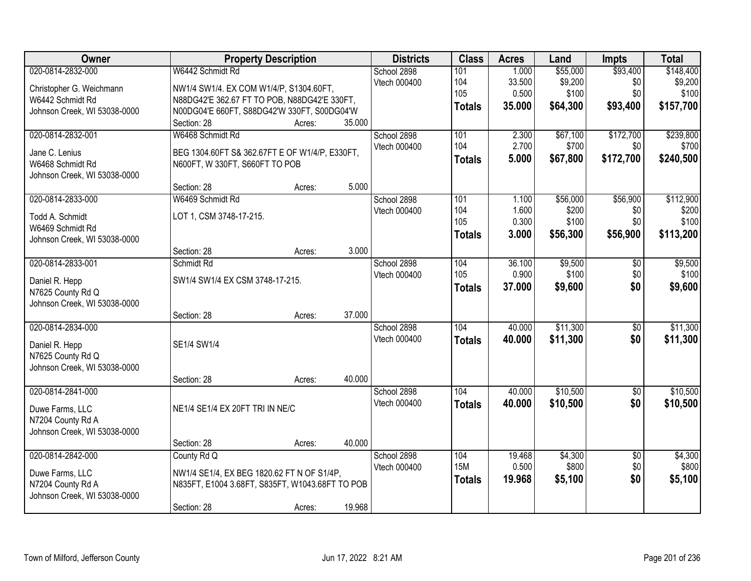| Owner                                                                                             |                                                                                                                                                                           | <b>Property Description</b> |        | <b>Districts</b>            | <b>Class</b>                       | <b>Acres</b>                       | Land                                     | <b>Impts</b>                       | <b>Total</b>                               |
|---------------------------------------------------------------------------------------------------|---------------------------------------------------------------------------------------------------------------------------------------------------------------------------|-----------------------------|--------|-----------------------------|------------------------------------|------------------------------------|------------------------------------------|------------------------------------|--------------------------------------------|
| 020-0814-2832-000<br>Christopher G. Weichmann<br>W6442 Schmidt Rd<br>Johnson Creek, WI 53038-0000 | W6442 Schmidt Rd<br>NW1/4 SW1/4. EX COM W1/4/P, S1304.60FT,<br>N88DG42'E 362.67 FT TO POB, N88DG42'E 330FT,<br>N00DG04'E 660FT, S88DG42'W 330FT, S00DG04'W<br>Section: 28 | Acres:                      | 35.000 | School 2898<br>Vtech 000400 | 101<br>104<br>105<br><b>Totals</b> | 1.000<br>33.500<br>0.500<br>35.000 | \$55,000<br>\$9,200<br>\$100<br>\$64,300 | \$93,400<br>\$0<br>\$0<br>\$93,400 | \$148,400<br>\$9,200<br>\$100<br>\$157,700 |
| 020-0814-2832-001<br>Jane C. Lenius<br>W6468 Schmidt Rd<br>Johnson Creek, WI 53038-0000           | W6468 Schmidt Rd<br>BEG 1304.60FT S& 362.67FT E OF W1/4/P, E330FT,<br>N600FT, W 330FT, S660FT TO POB<br>Section: 28                                                       | Acres:                      | 5.000  | School 2898<br>Vtech 000400 | 101<br>104<br><b>Totals</b>        | 2.300<br>2.700<br>5.000            | \$67,100<br>\$700<br>\$67,800            | \$172,700<br>\$0<br>\$172,700      | \$239,800<br>\$700<br>\$240,500            |
| 020-0814-2833-000<br>Todd A. Schmidt<br>W6469 Schmidt Rd<br>Johnson Creek, WI 53038-0000          | W6469 Schmidt Rd<br>LOT 1, CSM 3748-17-215.<br>Section: 28                                                                                                                | Acres:                      | 3.000  | School 2898<br>Vtech 000400 | 101<br>104<br>105<br><b>Totals</b> | 1.100<br>1.600<br>0.300<br>3.000   | \$56,000<br>\$200<br>\$100<br>\$56,300   | \$56,900<br>\$0<br>\$0<br>\$56,900 | \$112,900<br>\$200<br>\$100<br>\$113,200   |
| 020-0814-2833-001<br>Daniel R. Hepp<br>N7625 County Rd Q<br>Johnson Creek, WI 53038-0000          | Schmidt Rd<br>SW1/4 SW1/4 EX CSM 3748-17-215.<br>Section: 28                                                                                                              | Acres:                      | 37.000 | School 2898<br>Vtech 000400 | 104<br>105<br><b>Totals</b>        | 36.100<br>0.900<br>37.000          | \$9,500<br>\$100<br>\$9,600              | \$0<br>\$0<br>\$0                  | \$9,500<br>\$100<br>\$9,600                |
| 020-0814-2834-000<br>Daniel R. Hepp<br>N7625 County Rd Q<br>Johnson Creek, WI 53038-0000          | SE1/4 SW1/4<br>Section: 28                                                                                                                                                | Acres:                      | 40.000 | School 2898<br>Vtech 000400 | 104<br><b>Totals</b>               | 40.000<br>40.000                   | \$11,300<br>\$11,300                     | $\overline{50}$<br>\$0             | \$11,300<br>\$11,300                       |
| 020-0814-2841-000<br>Duwe Farms, LLC<br>N7204 County Rd A<br>Johnson Creek, WI 53038-0000         | NE1/4 SE1/4 EX 20FT TRI IN NE/C<br>Section: 28                                                                                                                            | Acres:                      | 40.000 | School 2898<br>Vtech 000400 | 104<br><b>Totals</b>               | 40.000<br>40.000                   | \$10,500<br>\$10,500                     | $\overline{60}$<br>\$0             | \$10,500<br>\$10,500                       |
| 020-0814-2842-000<br>Duwe Farms, LLC<br>N7204 County Rd A<br>Johnson Creek, WI 53038-0000         | County Rd Q<br>NW1/4 SE1/4, EX BEG 1820.62 FT N OF S1/4P,<br>N835FT, E1004 3.68FT, S835FT, W1043.68FT TO POB<br>Section: 28                                               | Acres:                      | 19.968 | School 2898<br>Vtech 000400 | 104<br><b>15M</b><br><b>Totals</b> | 19.468<br>0.500<br>19.968          | \$4,300<br>\$800<br>\$5,100              | $\overline{50}$<br>\$0<br>\$0      | \$4,300<br>\$800<br>\$5,100                |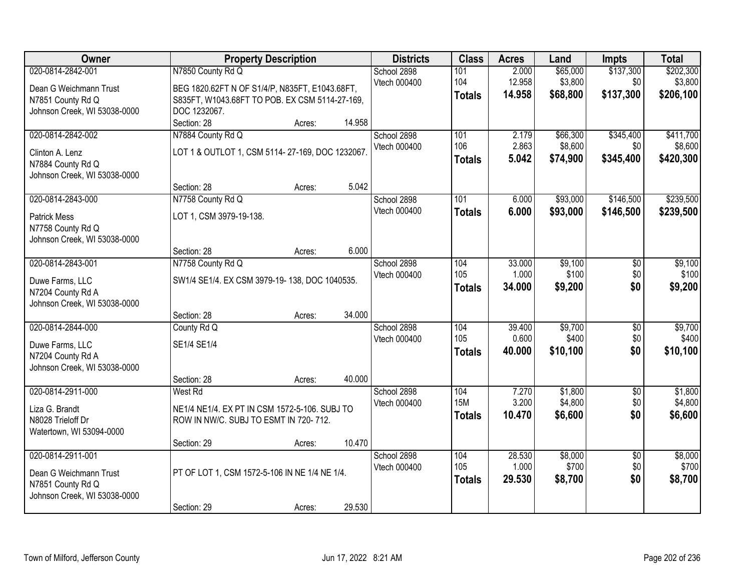| Owner                                             | <b>Property Description</b>                                                                      |        |        | <b>Districts</b>            | <b>Class</b>  | <b>Acres</b>    | Land                | <b>Impts</b>           | <b>Total</b>         |
|---------------------------------------------------|--------------------------------------------------------------------------------------------------|--------|--------|-----------------------------|---------------|-----------------|---------------------|------------------------|----------------------|
| 020-0814-2842-001                                 | N7850 County Rd Q                                                                                |        |        | School 2898<br>Vtech 000400 | 101<br>104    | 2.000<br>12.958 | \$65,000<br>\$3,800 | \$137,300<br>\$0       | \$202,300<br>\$3,800 |
| Dean G Weichmann Trust                            | BEG 1820.62FT N OF S1/4/P, N835FT, E1043.68FT,<br>S835FT, W1043.68FT TO POB. EX CSM 5114-27-169, |        |        |                             | <b>Totals</b> | 14.958          | \$68,800            | \$137,300              | \$206,100            |
| N7851 County Rd Q<br>Johnson Creek, WI 53038-0000 | DOC 1232067.                                                                                     |        |        |                             |               |                 |                     |                        |                      |
|                                                   | Section: 28                                                                                      | Acres: | 14.958 |                             |               |                 |                     |                        |                      |
| 020-0814-2842-002                                 | N7884 County Rd Q                                                                                |        |        | School 2898                 | 101           | 2.179           | \$66,300            | \$345,400              | \$411,700            |
|                                                   |                                                                                                  |        |        | Vtech 000400                | 106           | 2.863           | \$8,600             | \$0                    | \$8,600              |
| Clinton A. Lenz                                   | LOT 1 & OUTLOT 1, CSM 5114-27-169, DOC 1232067.                                                  |        |        |                             | <b>Totals</b> | 5.042           | \$74,900            | \$345,400              | \$420,300            |
| N7884 County Rd Q<br>Johnson Creek, WI 53038-0000 |                                                                                                  |        |        |                             |               |                 |                     |                        |                      |
|                                                   | Section: 28                                                                                      | Acres: | 5.042  |                             |               |                 |                     |                        |                      |
| 020-0814-2843-000                                 | N7758 County Rd Q                                                                                |        |        | School 2898                 | 101           | 6.000           | \$93,000            | \$146,500              | \$239,500            |
|                                                   |                                                                                                  |        |        | Vtech 000400                | <b>Totals</b> | 6.000           | \$93,000            | \$146,500              | \$239,500            |
| <b>Patrick Mess</b>                               | LOT 1, CSM 3979-19-138.                                                                          |        |        |                             |               |                 |                     |                        |                      |
| N7758 County Rd Q                                 |                                                                                                  |        |        |                             |               |                 |                     |                        |                      |
| Johnson Creek, WI 53038-0000                      | Section: 28                                                                                      | Acres: | 6.000  |                             |               |                 |                     |                        |                      |
| 020-0814-2843-001                                 | N7758 County Rd Q                                                                                |        |        | School 2898                 | 104           | 33.000          | \$9,100             | \$0                    | \$9,100              |
|                                                   |                                                                                                  |        |        | Vtech 000400                | 105           | 1.000           | \$100               | \$0                    | \$100                |
| Duwe Farms, LLC                                   | SW1/4 SE1/4. EX CSM 3979-19-138, DOC 1040535.                                                    |        |        |                             | <b>Totals</b> | 34.000          | \$9,200             | \$0                    | \$9,200              |
| N7204 County Rd A                                 |                                                                                                  |        |        |                             |               |                 |                     |                        |                      |
| Johnson Creek, WI 53038-0000                      |                                                                                                  |        |        |                             |               |                 |                     |                        |                      |
| 020-0814-2844-000                                 | Section: 28                                                                                      | Acres: | 34.000 |                             | 104           | 39.400          | \$9,700             |                        | \$9,700              |
|                                                   | County Rd Q                                                                                      |        |        | School 2898<br>Vtech 000400 | 105           | 0.600           | \$400               | $\overline{50}$<br>\$0 | \$400                |
| Duwe Farms, LLC                                   | SE1/4 SE1/4                                                                                      |        |        |                             | <b>Totals</b> | 40.000          | \$10,100            | \$0                    | \$10,100             |
| N7204 County Rd A                                 |                                                                                                  |        |        |                             |               |                 |                     |                        |                      |
| Johnson Creek, WI 53038-0000                      |                                                                                                  |        |        |                             |               |                 |                     |                        |                      |
|                                                   | Section: 28                                                                                      | Acres: | 40.000 |                             |               |                 |                     |                        |                      |
| 020-0814-2911-000                                 | West Rd                                                                                          |        |        | School 2898                 | 104           | 7.270           | \$1,800             | $\overline{50}$        | \$1,800              |
| Liza G. Brandt                                    | NE1/4 NE1/4. EX PT IN CSM 1572-5-106. SUBJ TO                                                    |        |        | Vtech 000400                | <b>15M</b>    | 3.200           | \$4,800             | \$0<br>\$0             | \$4,800              |
| N8028 Trieloff Dr                                 | ROW IN NW/C. SUBJ TO ESMT IN 720-712.                                                            |        |        |                             | <b>Totals</b> | 10.470          | \$6,600             |                        | \$6,600              |
| Watertown, WI 53094-0000                          |                                                                                                  |        |        |                             |               |                 |                     |                        |                      |
|                                                   | Section: 29                                                                                      | Acres: | 10.470 |                             |               |                 |                     |                        |                      |
| 020-0814-2911-001                                 |                                                                                                  |        |        | School 2898                 | 104           | 28.530          | \$8,000             | $\overline{50}$        | \$8,000              |
| Dean G Weichmann Trust                            | PT OF LOT 1, CSM 1572-5-106 IN NE 1/4 NE 1/4.                                                    |        |        | Vtech 000400                | 105           | 1.000           | \$700               | \$0                    | \$700                |
| N7851 County Rd Q                                 |                                                                                                  |        |        |                             | <b>Totals</b> | 29.530          | \$8,700             | \$0                    | \$8,700              |
| Johnson Creek, WI 53038-0000                      |                                                                                                  |        |        |                             |               |                 |                     |                        |                      |
|                                                   | Section: 29                                                                                      | Acres: | 29.530 |                             |               |                 |                     |                        |                      |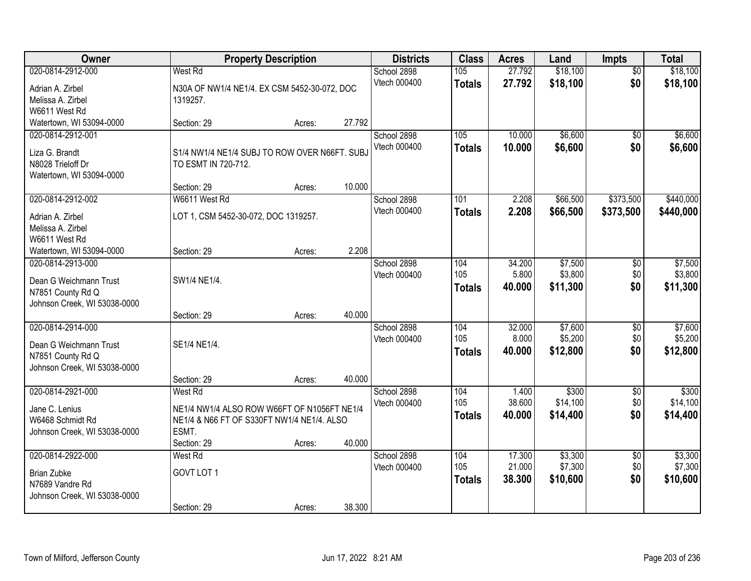| Owner                                                                                            |                                                                                                                              | <b>Property Description</b> |        | <b>Districts</b>            | <b>Class</b>                | <b>Acres</b>               | Land                           | Impts                         | <b>Total</b>                   |
|--------------------------------------------------------------------------------------------------|------------------------------------------------------------------------------------------------------------------------------|-----------------------------|--------|-----------------------------|-----------------------------|----------------------------|--------------------------------|-------------------------------|--------------------------------|
| 020-0814-2912-000<br>Adrian A. Zirbel<br>Melissa A. Zirbel<br>W6611 West Rd                      | <b>West Rd</b><br>N30A OF NW1/4 NE1/4. EX CSM 5452-30-072, DOC<br>1319257.                                                   |                             |        | School 2898<br>Vtech 000400 | 105<br><b>Totals</b>        | 27.792<br>27.792           | \$18,100<br>\$18,100           | $\overline{50}$<br>\$0        | \$18,100<br>\$18,100           |
| Watertown, WI 53094-0000                                                                         | Section: 29                                                                                                                  | Acres:                      | 27.792 |                             |                             |                            |                                |                               |                                |
| 020-0814-2912-001<br>Liza G. Brandt<br>N8028 Trieloff Dr<br>Watertown, WI 53094-0000             | S1/4 NW1/4 NE1/4 SUBJ TO ROW OVER N66FT. SUBJ<br>TO ESMT IN 720-712.                                                         |                             |        | School 2898<br>Vtech 000400 | 105<br><b>Totals</b>        | 10.000<br>10.000           | \$6,600<br>\$6,600             | \$0<br>\$0                    | \$6,600<br>\$6,600             |
|                                                                                                  | Section: 29                                                                                                                  | Acres:                      | 10.000 |                             |                             |                            |                                |                               |                                |
| 020-0814-2912-002<br>Adrian A. Zirbel<br>Melissa A. Zirbel<br>W6611 West Rd                      | W6611 West Rd<br>LOT 1, CSM 5452-30-072, DOC 1319257.                                                                        |                             |        | School 2898<br>Vtech 000400 | 101<br><b>Totals</b>        | 2.208<br>2.208             | \$66,500<br>\$66,500           | \$373,500<br>\$373,500        | \$440,000<br>\$440,000         |
| Watertown, WI 53094-0000                                                                         | Section: 29                                                                                                                  | Acres:                      | 2.208  |                             |                             |                            |                                |                               |                                |
| 020-0814-2913-000<br>Dean G Weichmann Trust<br>N7851 County Rd Q<br>Johnson Creek, WI 53038-0000 | SW1/4 NE1/4.                                                                                                                 |                             |        | School 2898<br>Vtech 000400 | 104<br>105<br><b>Totals</b> | 34.200<br>5.800<br>40.000  | \$7,500<br>\$3,800<br>\$11,300 | \$0<br>\$0<br>\$0             | \$7,500<br>\$3,800<br>\$11,300 |
|                                                                                                  | Section: 29                                                                                                                  | Acres:                      | 40.000 |                             |                             |                            |                                |                               |                                |
| 020-0814-2914-000<br>Dean G Weichmann Trust<br>N7851 County Rd Q<br>Johnson Creek, WI 53038-0000 | SE1/4 NE1/4.                                                                                                                 |                             |        | School 2898<br>Vtech 000400 | 104<br>105<br><b>Totals</b> | 32.000<br>8.000<br>40.000  | \$7,600<br>\$5,200<br>\$12,800 | $\overline{50}$<br>\$0<br>\$0 | \$7,600<br>\$5,200<br>\$12,800 |
|                                                                                                  | Section: 29                                                                                                                  | Acres:                      | 40.000 |                             |                             |                            |                                |                               |                                |
| 020-0814-2921-000<br>Jane C. Lenius<br>W6468 Schmidt Rd<br>Johnson Creek, WI 53038-0000          | West Rd<br>NE1/4 NW1/4 ALSO ROW W66FT OF N1056FT NE1/4<br>NE1/4 & N66 FT OF S330FT NW1/4 NE1/4. ALSO<br>ESMT.<br>Section: 29 | Acres:                      | 40.000 | School 2898<br>Vtech 000400 | 104<br>105<br><b>Totals</b> | 1.400<br>38.600<br>40.000  | \$300<br>\$14,100<br>\$14,400  | $\sqrt{6}$<br>\$0 <br>\$0     | \$300<br>\$14,100<br>\$14,400  |
| 020-0814-2922-000<br><b>Brian Zubke</b><br>N7689 Vandre Rd<br>Johnson Creek, WI 53038-0000       | West Rd<br>GOVT LOT 1<br>Section: 29                                                                                         | Acres:                      | 38.300 | School 2898<br>Vtech 000400 | 104<br>105<br><b>Totals</b> | 17.300<br>21.000<br>38.300 | \$3,300<br>\$7,300<br>\$10,600 | $\overline{50}$<br>\$0<br>\$0 | \$3,300<br>\$7,300<br>\$10,600 |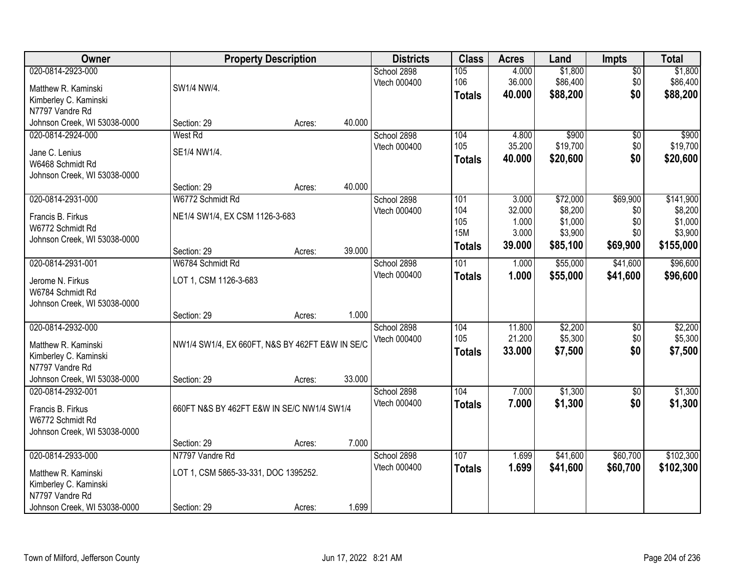| Owner                        |                                                 | <b>Property Description</b> |        | <b>Districts</b> | <b>Class</b>  | <b>Acres</b> | Land     | <b>Impts</b>    | <b>Total</b> |
|------------------------------|-------------------------------------------------|-----------------------------|--------|------------------|---------------|--------------|----------|-----------------|--------------|
| 020-0814-2923-000            |                                                 |                             |        | School 2898      | 105           | 4.000        | \$1,800  | $\overline{30}$ | \$1,800      |
| Matthew R. Kaminski          | SW1/4 NW/4.                                     |                             |        | Vtech 000400     | 106           | 36.000       | \$86,400 | \$0             | \$86,400     |
| Kimberley C. Kaminski        |                                                 |                             |        |                  | <b>Totals</b> | 40.000       | \$88,200 | \$0             | \$88,200     |
| N7797 Vandre Rd              |                                                 |                             |        |                  |               |              |          |                 |              |
| Johnson Creek, WI 53038-0000 | Section: 29                                     | Acres:                      | 40.000 |                  |               |              |          |                 |              |
| 020-0814-2924-000            | <b>West Rd</b>                                  |                             |        | School 2898      | 104           | 4.800        | \$900    | $\overline{50}$ | \$900        |
| Jane C. Lenius               | SE1/4 NW1/4.                                    |                             |        | Vtech 000400     | 105           | 35.200       | \$19,700 | \$0             | \$19,700     |
| W6468 Schmidt Rd             |                                                 |                             |        |                  | <b>Totals</b> | 40.000       | \$20,600 | \$0             | \$20,600     |
| Johnson Creek, WI 53038-0000 |                                                 |                             |        |                  |               |              |          |                 |              |
|                              | Section: 29                                     | Acres:                      | 40.000 |                  |               |              |          |                 |              |
| 020-0814-2931-000            | W6772 Schmidt Rd                                |                             |        | School 2898      | 101           | 3.000        | \$72,000 | \$69,900        | \$141,900    |
| Francis B. Firkus            | NE1/4 SW1/4, EX CSM 1126-3-683                  |                             |        | Vtech 000400     | 104           | 32.000       | \$8,200  | \$0             | \$8,200      |
| W6772 Schmidt Rd             |                                                 |                             |        |                  | 105           | 1.000        | \$1,000  | \$0             | \$1,000      |
| Johnson Creek, WI 53038-0000 |                                                 |                             |        |                  | <b>15M</b>    | 3.000        | \$3,900  | \$0             | \$3,900      |
|                              | Section: 29                                     | Acres:                      | 39.000 |                  | <b>Totals</b> | 39.000       | \$85,100 | \$69,900        | \$155,000    |
| 020-0814-2931-001            | W6784 Schmidt Rd                                |                             |        | School 2898      | 101           | 1.000        | \$55,000 | \$41,600        | \$96,600     |
| Jerome N. Firkus             | LOT 1, CSM 1126-3-683                           |                             |        | Vtech 000400     | <b>Totals</b> | 1.000        | \$55,000 | \$41,600        | \$96,600     |
| W6784 Schmidt Rd             |                                                 |                             |        |                  |               |              |          |                 |              |
| Johnson Creek, WI 53038-0000 |                                                 |                             |        |                  |               |              |          |                 |              |
|                              | Section: 29                                     | Acres:                      | 1.000  |                  |               |              |          |                 |              |
| 020-0814-2932-000            |                                                 |                             |        | School 2898      | 104           | 11.800       | \$2,200  | \$0             | \$2,200      |
| Matthew R. Kaminski          | NW1/4 SW1/4, EX 660FT, N&S BY 462FT E&W IN SE/C |                             |        | Vtech 000400     | 105           | 21.200       | \$5,300  | \$0             | \$5,300      |
| Kimberley C. Kaminski        |                                                 |                             |        |                  | <b>Totals</b> | 33.000       | \$7,500  | \$0             | \$7,500      |
| N7797 Vandre Rd              |                                                 |                             |        |                  |               |              |          |                 |              |
| Johnson Creek, WI 53038-0000 | Section: 29                                     | Acres:                      | 33.000 |                  |               |              |          |                 |              |
| 020-0814-2932-001            |                                                 |                             |        | School 2898      | 104           | 7.000        | \$1,300  | $\sqrt{6}$      | \$1,300      |
| Francis B. Firkus            | 660FT N&S BY 462FT E&W IN SE/C NW1/4 SW1/4      |                             |        | Vtech 000400     | <b>Totals</b> | 7.000        | \$1,300  | \$0             | \$1,300      |
| W6772 Schmidt Rd             |                                                 |                             |        |                  |               |              |          |                 |              |
| Johnson Creek, WI 53038-0000 |                                                 |                             |        |                  |               |              |          |                 |              |
|                              | Section: 29                                     | Acres:                      | 7.000  |                  |               |              |          |                 |              |
| 020-0814-2933-000            | N7797 Vandre Rd                                 |                             |        | School 2898      | 107           | 1.699        | \$41,600 | \$60,700        | \$102,300    |
| Matthew R. Kaminski          | LOT 1, CSM 5865-33-331, DOC 1395252.            |                             |        | Vtech 000400     | <b>Totals</b> | 1.699        | \$41,600 | \$60,700        | \$102,300    |
| Kimberley C. Kaminski        |                                                 |                             |        |                  |               |              |          |                 |              |
| N7797 Vandre Rd              |                                                 |                             |        |                  |               |              |          |                 |              |
| Johnson Creek, WI 53038-0000 | Section: 29                                     | Acres:                      | 1.699  |                  |               |              |          |                 |              |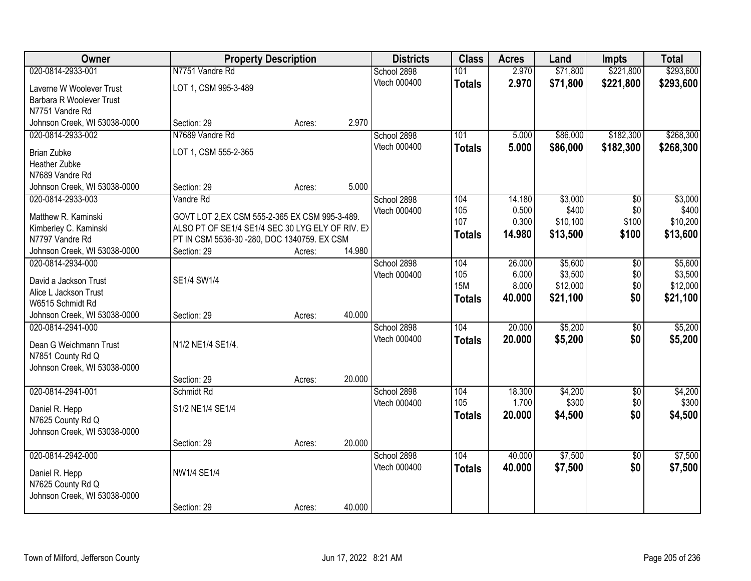| Owner                        | <b>Property Description</b>                      |        |        | <b>Districts</b> | <b>Class</b>  | <b>Acres</b> | Land     | <b>Impts</b>    | <b>Total</b> |
|------------------------------|--------------------------------------------------|--------|--------|------------------|---------------|--------------|----------|-----------------|--------------|
| 020-0814-2933-001            | N7751 Vandre Rd                                  |        |        | School 2898      | 101           | 2.970        | \$71,800 | \$221,800       | \$293,600    |
| Laverne W Woolever Trust     | LOT 1, CSM 995-3-489                             |        |        | Vtech 000400     | <b>Totals</b> | 2.970        | \$71,800 | \$221,800       | \$293,600    |
| Barbara R Woolever Trust     |                                                  |        |        |                  |               |              |          |                 |              |
| N7751 Vandre Rd              |                                                  |        |        |                  |               |              |          |                 |              |
| Johnson Creek, WI 53038-0000 | Section: 29                                      | Acres: | 2.970  |                  |               |              |          |                 |              |
| 020-0814-2933-002            | N7689 Vandre Rd                                  |        |        | School 2898      | 101           | 5.000        | \$86,000 | \$182,300       | \$268,300    |
| <b>Brian Zubke</b>           | LOT 1, CSM 555-2-365                             |        |        | Vtech 000400     | <b>Totals</b> | 5.000        | \$86,000 | \$182,300       | \$268,300    |
| Heather Zubke                |                                                  |        |        |                  |               |              |          |                 |              |
| N7689 Vandre Rd              |                                                  |        |        |                  |               |              |          |                 |              |
| Johnson Creek, WI 53038-0000 | Section: 29                                      | Acres: | 5.000  |                  |               |              |          |                 |              |
| 020-0814-2933-003            | Vandre Rd                                        |        |        | School 2898      | 104           | 14.180       | \$3,000  | \$0             | \$3,000      |
| Matthew R. Kaminski          | GOVT LOT 2, EX CSM 555-2-365 EX CSM 995-3-489.   |        |        | Vtech 000400     | 105           | 0.500        | \$400    | \$0             | \$400        |
| Kimberley C. Kaminski        | ALSO PT OF SE1/4 SE1/4 SEC 30 LYG ELY OF RIV. E) |        |        |                  | 107           | 0.300        | \$10,100 | \$100           | \$10,200     |
| N7797 Vandre Rd              | PT IN CSM 5536-30 -280, DOC 1340759. EX CSM      |        |        |                  | <b>Totals</b> | 14.980       | \$13,500 | \$100           | \$13,600     |
| Johnson Creek, WI 53038-0000 | Section: 29                                      | Acres: | 14.980 |                  |               |              |          |                 |              |
| 020-0814-2934-000            |                                                  |        |        | School 2898      | 104           | 26.000       | \$5,600  | \$0             | \$5,600      |
| David a Jackson Trust        | SE1/4 SW1/4                                      |        |        | Vtech 000400     | 105           | 6.000        | \$3,500  | \$0             | \$3,500      |
| Alice L Jackson Trust        |                                                  |        |        |                  | <b>15M</b>    | 8.000        | \$12,000 | \$0             | \$12,000     |
| W6515 Schmidt Rd             |                                                  |        |        |                  | <b>Totals</b> | 40.000       | \$21,100 | \$0             | \$21,100     |
| Johnson Creek, WI 53038-0000 | Section: 29                                      | Acres: | 40.000 |                  |               |              |          |                 |              |
| 020-0814-2941-000            |                                                  |        |        | School 2898      | 104           | 20.000       | \$5,200  | $\overline{30}$ | \$5,200      |
| Dean G Weichmann Trust       | N1/2 NE1/4 SE1/4.                                |        |        | Vtech 000400     | <b>Totals</b> | 20.000       | \$5,200  | \$0             | \$5,200      |
| N7851 County Rd Q            |                                                  |        |        |                  |               |              |          |                 |              |
| Johnson Creek, WI 53038-0000 |                                                  |        |        |                  |               |              |          |                 |              |
|                              | Section: 29                                      | Acres: | 20.000 |                  |               |              |          |                 |              |
| 020-0814-2941-001            | Schmidt Rd                                       |        |        | School 2898      | 104           | 18.300       | \$4,200  | $\overline{60}$ | \$4,200      |
| Daniel R. Hepp               | S1/2 NE1/4 SE1/4                                 |        |        | Vtech 000400     | 105           | 1.700        | \$300    | \$0             | \$300        |
| N7625 County Rd Q            |                                                  |        |        |                  | <b>Totals</b> | 20,000       | \$4,500  | \$0             | \$4,500      |
| Johnson Creek, WI 53038-0000 |                                                  |        |        |                  |               |              |          |                 |              |
|                              | Section: 29                                      | Acres: | 20.000 |                  |               |              |          |                 |              |
| 020-0814-2942-000            |                                                  |        |        | School 2898      | 104           | 40.000       | \$7,500  | $\overline{50}$ | \$7,500      |
| Daniel R. Hepp               | NW1/4 SE1/4                                      |        |        | Vtech 000400     | <b>Totals</b> | 40.000       | \$7,500  | \$0             | \$7,500      |
| N7625 County Rd Q            |                                                  |        |        |                  |               |              |          |                 |              |
| Johnson Creek, WI 53038-0000 |                                                  |        |        |                  |               |              |          |                 |              |
|                              | Section: 29                                      | Acres: | 40.000 |                  |               |              |          |                 |              |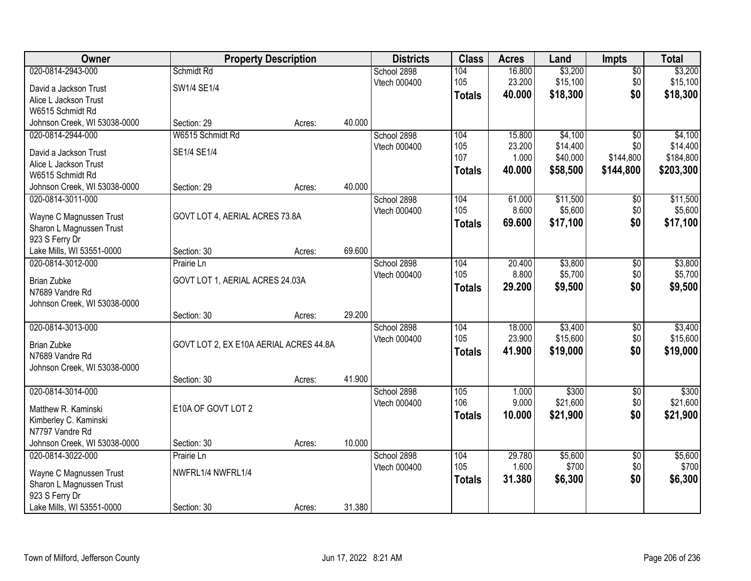| Owner                                               |                                        | <b>Property Description</b> |        | <b>Districts</b>            | <b>Class</b>  | <b>Acres</b>    | Land             | <b>Impts</b>           | <b>Total</b>     |
|-----------------------------------------------------|----------------------------------------|-----------------------------|--------|-----------------------------|---------------|-----------------|------------------|------------------------|------------------|
| 020-0814-2943-000                                   | Schmidt Rd                             |                             |        | School 2898                 | 104           | 16.800          | \$3,200          | $\overline{30}$        | \$3,200          |
| David a Jackson Trust                               | SW1/4 SE1/4                            |                             |        | Vtech 000400                | 105           | 23.200          | \$15,100         | \$0                    | \$15,100         |
| Alice L Jackson Trust                               |                                        |                             |        |                             | <b>Totals</b> | 40.000          | \$18,300         | \$0                    | \$18,300         |
| W6515 Schmidt Rd                                    |                                        |                             |        |                             |               |                 |                  |                        |                  |
| Johnson Creek, WI 53038-0000                        | Section: 29                            | Acres:                      | 40.000 |                             |               |                 |                  |                        |                  |
| 020-0814-2944-000                                   | W6515 Schmidt Rd                       |                             |        | School 2898                 | 104           | 15.800          | \$4,100          | $\overline{50}$        | \$4,100          |
| David a Jackson Trust                               | SE1/4 SE1/4                            |                             |        | Vtech 000400                | 105           | 23.200          | \$14,400         | \$0                    | \$14,400         |
| Alice L Jackson Trust                               |                                        |                             |        |                             | 107           | 1.000           | \$40,000         | \$144,800              | \$184,800        |
| W6515 Schmidt Rd                                    |                                        |                             |        |                             | <b>Totals</b> | 40.000          | \$58,500         | \$144,800              | \$203,300        |
| Johnson Creek, WI 53038-0000                        | Section: 29                            | Acres:                      | 40.000 |                             |               |                 |                  |                        |                  |
| 020-0814-3011-000                                   |                                        |                             |        | School 2898                 | 104           | 61.000          | \$11,500         | \$0                    | \$11,500         |
|                                                     |                                        |                             |        | Vtech 000400                | 105           | 8.600           | \$5,600          | \$0                    | \$5,600          |
| Wayne C Magnussen Trust<br>Sharon L Magnussen Trust | GOVT LOT 4, AERIAL ACRES 73.8A         |                             |        |                             | <b>Totals</b> | 69.600          | \$17,100         | \$0                    | \$17,100         |
| 923 S Ferry Dr                                      |                                        |                             |        |                             |               |                 |                  |                        |                  |
| Lake Mills, WI 53551-0000                           | Section: 30                            | Acres:                      | 69.600 |                             |               |                 |                  |                        |                  |
| 020-0814-3012-000                                   | Prairie Ln                             |                             |        | School 2898                 | 104           | 20.400          | \$3,800          | \$0                    | \$3,800          |
|                                                     |                                        |                             |        | Vtech 000400                | 105           | 8.800           | \$5,700          | \$0                    | \$5,700          |
| <b>Brian Zubke</b>                                  | GOVT LOT 1, AERIAL ACRES 24.03A        |                             |        |                             | <b>Totals</b> | 29.200          | \$9,500          | \$0                    | \$9,500          |
| N7689 Vandre Rd<br>Johnson Creek, WI 53038-0000     |                                        |                             |        |                             |               |                 |                  |                        |                  |
|                                                     | Section: 30                            | Acres:                      | 29.200 |                             |               |                 |                  |                        |                  |
| 020-0814-3013-000                                   |                                        |                             |        | School 2898                 | 104           | 18.000          | \$3,400          | \$0                    | \$3,400          |
|                                                     |                                        |                             |        | Vtech 000400                | 105           | 23.900          | \$15,600         | \$0                    | \$15,600         |
| <b>Brian Zubke</b>                                  | GOVT LOT 2, EX E10A AERIAL ACRES 44.8A |                             |        |                             | <b>Totals</b> | 41.900          | \$19,000         | \$0                    | \$19,000         |
| N7689 Vandre Rd                                     |                                        |                             |        |                             |               |                 |                  |                        |                  |
| Johnson Creek, WI 53038-0000                        |                                        |                             | 41.900 |                             |               |                 |                  |                        |                  |
| 020-0814-3014-000                                   | Section: 30                            | Acres:                      |        | School 2898                 | 105           | 1.000           | \$300            | $\sqrt{6}$             | \$300            |
|                                                     |                                        |                             |        | Vtech 000400                | 106           | 9.000           | \$21,600         | \$0                    | \$21,600         |
| Matthew R. Kaminski                                 | E10A OF GOVT LOT 2                     |                             |        |                             | <b>Totals</b> | 10.000          | \$21,900         | \$0                    | \$21,900         |
| Kimberley C. Kaminski                               |                                        |                             |        |                             |               |                 |                  |                        |                  |
| N7797 Vandre Rd                                     |                                        |                             |        |                             |               |                 |                  |                        |                  |
| Johnson Creek, WI 53038-0000                        | Section: 30                            | Acres:                      | 10.000 |                             |               |                 |                  |                        |                  |
| 020-0814-3022-000                                   | Prairie Ln                             |                             |        | School 2898<br>Vtech 000400 | 104<br>105    | 29.780<br>1.600 | \$5,600<br>\$700 | $\overline{50}$<br>\$0 | \$5,600<br>\$700 |
| Wayne C Magnussen Trust                             | NWFRL1/4 NWFRL1/4                      |                             |        |                             |               | 31.380          | \$6,300          | \$0                    | \$6,300          |
| Sharon L Magnussen Trust                            |                                        |                             |        |                             | <b>Totals</b> |                 |                  |                        |                  |
| 923 S Ferry Dr                                      |                                        |                             |        |                             |               |                 |                  |                        |                  |
| Lake Mills, WI 53551-0000                           | Section: 30                            | Acres:                      | 31.380 |                             |               |                 |                  |                        |                  |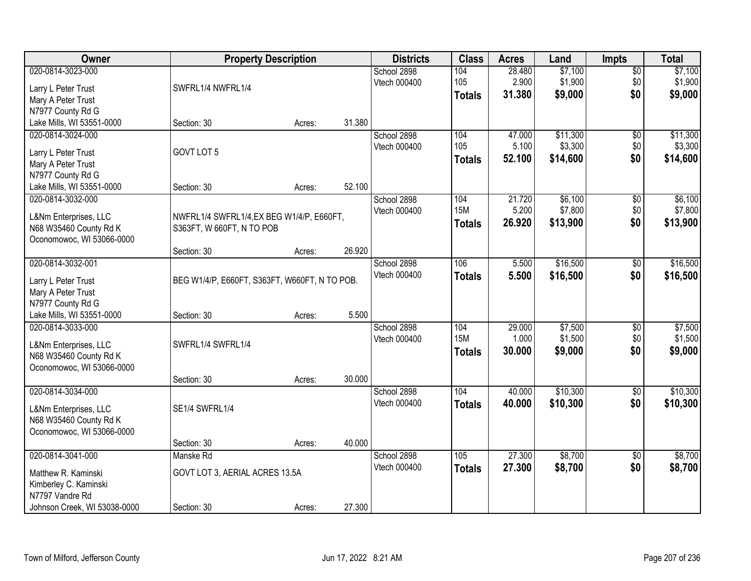| Owner                                                                                             | <b>Property Description</b>                                            |        |        | <b>Districts</b>            | <b>Class</b>                       | <b>Acres</b>              | Land                            | Impts                         | <b>Total</b>                    |
|---------------------------------------------------------------------------------------------------|------------------------------------------------------------------------|--------|--------|-----------------------------|------------------------------------|---------------------------|---------------------------------|-------------------------------|---------------------------------|
| 020-0814-3023-000<br>Larry L Peter Trust<br>Mary A Peter Trust                                    | SWFRL1/4 NWFRL1/4                                                      |        |        | School 2898<br>Vtech 000400 | 104<br>105<br><b>Totals</b>        | 28.480<br>2.900<br>31.380 | \$7,100<br>\$1,900<br>\$9,000   | $\overline{50}$<br>\$0<br>\$0 | \$7,100<br>\$1,900<br>\$9,000   |
| N7977 County Rd G<br>Lake Mills, WI 53551-0000                                                    | Section: 30                                                            | Acres: | 31.380 |                             |                                    |                           |                                 |                               |                                 |
| 020-0814-3024-000<br>Larry L Peter Trust<br>Mary A Peter Trust                                    | GOVT LOT 5                                                             |        |        | School 2898<br>Vtech 000400 | 104<br>105<br><b>Totals</b>        | 47.000<br>5.100<br>52.100 | \$11,300<br>\$3,300<br>\$14,600 | \$0<br>\$0<br>\$0             | \$11,300<br>\$3,300<br>\$14,600 |
| N7977 County Rd G<br>Lake Mills, WI 53551-0000                                                    | Section: 30                                                            | Acres: | 52.100 |                             |                                    |                           |                                 |                               |                                 |
| 020-0814-3032-000<br>L&Nm Enterprises, LLC<br>N68 W35460 County Rd K<br>Oconomowoc, WI 53066-0000 | NWFRL1/4 SWFRL1/4, EX BEG W1/4/P, E660FT,<br>S363FT, W 660FT, N TO POB |        |        | School 2898<br>Vtech 000400 | 104<br><b>15M</b><br><b>Totals</b> | 21.720<br>5.200<br>26.920 | \$6,100<br>\$7,800<br>\$13,900  | $\overline{50}$<br>\$0<br>\$0 | \$6,100<br>\$7,800<br>\$13,900  |
|                                                                                                   | Section: 30                                                            | Acres: | 26.920 |                             |                                    |                           |                                 |                               |                                 |
| 020-0814-3032-001<br>Larry L Peter Trust<br>Mary A Peter Trust<br>N7977 County Rd G               | BEG W1/4/P, E660FT, S363FT, W660FT, N TO POB.                          |        |        | School 2898<br>Vtech 000400 | 106<br><b>Totals</b>               | 5.500<br>5.500            | \$16,500<br>\$16,500            | \$0<br>\$0                    | \$16,500<br>\$16,500            |
| Lake Mills, WI 53551-0000                                                                         | Section: 30                                                            | Acres: | 5.500  |                             |                                    |                           |                                 |                               |                                 |
| 020-0814-3033-000<br>L&Nm Enterprises, LLC<br>N68 W35460 County Rd K<br>Oconomowoc, WI 53066-0000 | SWFRL1/4 SWFRL1/4                                                      |        |        | School 2898<br>Vtech 000400 | 104<br><b>15M</b><br><b>Totals</b> | 29.000<br>1.000<br>30.000 | \$7,500<br>\$1,500<br>\$9,000   | \$0<br>\$0<br>\$0             | \$7,500<br>\$1,500<br>\$9,000   |
| 020-0814-3034-000                                                                                 | Section: 30                                                            | Acres: | 30.000 | School 2898                 | 104                                | 40.000                    | \$10,300                        | $\overline{60}$               | \$10,300                        |
| L&Nm Enterprises, LLC<br>N68 W35460 County Rd K<br>Oconomowoc, WI 53066-0000                      | SE1/4 SWFRL1/4                                                         |        |        | Vtech 000400                | <b>Totals</b>                      | 40.000                    | \$10,300                        | \$0                           | \$10,300                        |
|                                                                                                   | Section: 30                                                            | Acres: | 40.000 |                             |                                    |                           |                                 |                               |                                 |
| 020-0814-3041-000<br>Matthew R. Kaminski<br>Kimberley C. Kaminski<br>N7797 Vandre Rd              | Manske Rd<br>GOVT LOT 3, AERIAL ACRES 13.5A                            |        |        | School 2898<br>Vtech 000400 | 105<br><b>Totals</b>               | 27.300<br>27.300          | \$8,700<br>\$8,700              | $\overline{50}$<br>\$0        | \$8,700<br>\$8,700              |
| Johnson Creek, WI 53038-0000                                                                      | Section: 30                                                            | Acres: | 27.300 |                             |                                    |                           |                                 |                               |                                 |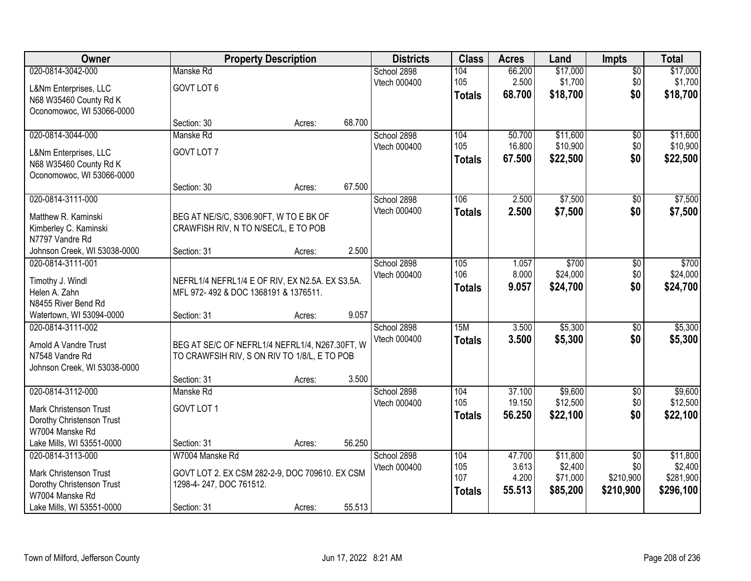| Owner                        |                                                 | <b>Property Description</b> |        | <b>Districts</b> | <b>Class</b>  | <b>Acres</b> | Land     | <b>Impts</b>    | <b>Total</b> |
|------------------------------|-------------------------------------------------|-----------------------------|--------|------------------|---------------|--------------|----------|-----------------|--------------|
| 020-0814-3042-000            | Manske Rd                                       |                             |        | School 2898      | 104           | 66.200       | \$17,000 | $\sqrt{$0}$     | \$17,000     |
| L&Nm Enterprises, LLC        | GOVT LOT 6                                      |                             |        | Vtech 000400     | 105           | 2.500        | \$1,700  | \$0             | \$1,700      |
| N68 W35460 County Rd K       |                                                 |                             |        |                  | <b>Totals</b> | 68.700       | \$18,700 | \$0             | \$18,700     |
| Oconomowoc, WI 53066-0000    |                                                 |                             |        |                  |               |              |          |                 |              |
|                              | Section: 30                                     | Acres:                      | 68.700 |                  |               |              |          |                 |              |
| 020-0814-3044-000            | Manske Rd                                       |                             |        | School 2898      | 104           | 50.700       | \$11,600 | \$0             | \$11,600     |
| L&Nm Enterprises, LLC        | GOVT LOT 7                                      |                             |        | Vtech 000400     | 105           | 16.800       | \$10,900 | \$0             | \$10,900     |
| N68 W35460 County Rd K       |                                                 |                             |        |                  | <b>Totals</b> | 67.500       | \$22,500 | \$0             | \$22,500     |
| Oconomowoc, WI 53066-0000    |                                                 |                             |        |                  |               |              |          |                 |              |
|                              | Section: 30                                     | Acres:                      | 67.500 |                  |               |              |          |                 |              |
| 020-0814-3111-000            |                                                 |                             |        | School 2898      | 106           | 2.500        | \$7,500  | \$0             | \$7,500      |
| Matthew R. Kaminski          | BEG AT NE/S/C, S306.90FT, W TO E BK OF          |                             |        | Vtech 000400     | <b>Totals</b> | 2.500        | \$7,500  | \$0             | \$7,500      |
| Kimberley C. Kaminski        | CRAWFISH RIV, N TO N/SEC/L, E TO POB            |                             |        |                  |               |              |          |                 |              |
| N7797 Vandre Rd              |                                                 |                             |        |                  |               |              |          |                 |              |
| Johnson Creek, WI 53038-0000 | Section: 31                                     | Acres:                      | 2.500  |                  |               |              |          |                 |              |
| 020-0814-3111-001            |                                                 |                             |        | School 2898      | 105           | 1.057        | \$700    | \$0             | \$700        |
| Timothy J. Windl             | NEFRL1/4 NEFRL1/4 E OF RIV, EX N2.5A. EX S3.5A. |                             |        | Vtech 000400     | 106           | 8.000        | \$24,000 | \$0             | \$24,000     |
| Helen A. Zahn                | MFL 972-492 & DOC 1368191 & 1376511.            |                             |        |                  | <b>Totals</b> | 9.057        | \$24,700 | \$0             | \$24,700     |
| N8455 River Bend Rd          |                                                 |                             |        |                  |               |              |          |                 |              |
| Watertown, WI 53094-0000     | Section: 31                                     | Acres:                      | 9.057  |                  |               |              |          |                 |              |
| 020-0814-3111-002            |                                                 |                             |        | School 2898      | 15M           | 3.500        | \$5,300  | $\overline{50}$ | \$5,300      |
| Arnold A Vandre Trust        | BEG AT SE/C OF NEFRL1/4 NEFRL1/4, N267.30FT, W  |                             |        | Vtech 000400     | <b>Totals</b> | 3.500        | \$5,300  | \$0             | \$5,300      |
| N7548 Vandre Rd              | TO CRAWFSIH RIV, S ON RIV TO 1/8/L, E TO POB    |                             |        |                  |               |              |          |                 |              |
| Johnson Creek, WI 53038-0000 |                                                 |                             |        |                  |               |              |          |                 |              |
|                              | Section: 31                                     | Acres:                      | 3.500  |                  |               |              |          |                 |              |
| 020-0814-3112-000            | Manske Rd                                       |                             |        | School 2898      | 104           | 37.100       | \$9,600  | \$0             | \$9,600      |
| Mark Christenson Trust       | GOVT LOT 1                                      |                             |        | Vtech 000400     | 105           | 19.150       | \$12,500 | \$0             | \$12,500     |
| Dorothy Christenson Trust    |                                                 |                             |        |                  | <b>Totals</b> | 56.250       | \$22,100 | \$0             | \$22,100     |
| W7004 Manske Rd              |                                                 |                             |        |                  |               |              |          |                 |              |
| Lake Mills, WI 53551-0000    | Section: 31                                     | Acres:                      | 56.250 |                  |               |              |          |                 |              |
| 020-0814-3113-000            | W7004 Manske Rd                                 |                             |        | School 2898      | 104           | 47.700       | \$11,800 | $\overline{50}$ | \$11,800     |
| Mark Christenson Trust       | GOVT LOT 2. EX CSM 282-2-9, DOC 709610. EX CSM  |                             |        | Vtech 000400     | 105           | 3.613        | \$2,400  | \$0             | \$2,400      |
| Dorothy Christenson Trust    | 1298-4-247, DOC 761512.                         |                             |        |                  | 107           | 4.200        | \$71,000 | \$210,900       | \$281,900    |
| W7004 Manske Rd              |                                                 |                             |        |                  | <b>Totals</b> | 55.513       | \$85,200 | \$210,900       | \$296,100    |
| Lake Mills, WI 53551-0000    | Section: 31                                     | Acres:                      | 55.513 |                  |               |              |          |                 |              |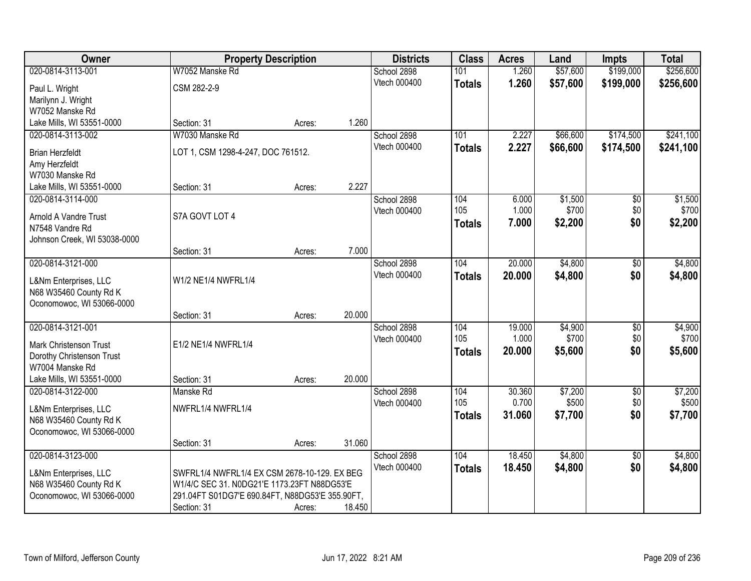| Owner                         |                                                 | <b>Property Description</b> |        | <b>Districts</b>    | <b>Class</b>  | <b>Acres</b> | Land     | <b>Impts</b>    | <b>Total</b> |
|-------------------------------|-------------------------------------------------|-----------------------------|--------|---------------------|---------------|--------------|----------|-----------------|--------------|
| 020-0814-3113-001             | W7052 Manske Rd                                 |                             |        | School 2898         | 101           | 1.260        | \$57,600 | \$199,000       | \$256,600    |
| Paul L. Wright                | CSM 282-2-9                                     |                             |        | Vtech 000400        | <b>Totals</b> | 1.260        | \$57,600 | \$199,000       | \$256,600    |
| Marilynn J. Wright            |                                                 |                             |        |                     |               |              |          |                 |              |
| W7052 Manske Rd               |                                                 |                             |        |                     |               |              |          |                 |              |
| Lake Mills, WI 53551-0000     | Section: 31                                     | Acres:                      | 1.260  |                     |               |              |          |                 |              |
| 020-0814-3113-002             | W7030 Manske Rd                                 |                             |        | School 2898         | 101           | 2.227        | \$66,600 | \$174,500       | \$241,100    |
| <b>Brian Herzfeldt</b>        | LOT 1, CSM 1298-4-247, DOC 761512.              |                             |        | <b>Vtech 000400</b> | <b>Totals</b> | 2.227        | \$66,600 | \$174,500       | \$241,100    |
| Amy Herzfeldt                 |                                                 |                             |        |                     |               |              |          |                 |              |
| W7030 Manske Rd               |                                                 |                             |        |                     |               |              |          |                 |              |
| Lake Mills, WI 53551-0000     | Section: 31                                     | Acres:                      | 2.227  |                     |               |              |          |                 |              |
| 020-0814-3114-000             |                                                 |                             |        | School 2898         | 104           | 6.000        | \$1,500  | $\overline{50}$ | \$1,500      |
| <b>Arnold A Vandre Trust</b>  | S7A GOVT LOT 4                                  |                             |        | Vtech 000400        | 105           | 1.000        | \$700    | \$0             | \$700        |
| N7548 Vandre Rd               |                                                 |                             |        |                     | <b>Totals</b> | 7.000        | \$2,200  | \$0             | \$2,200      |
| Johnson Creek, WI 53038-0000  |                                                 |                             |        |                     |               |              |          |                 |              |
|                               | Section: 31                                     | Acres:                      | 7.000  |                     |               |              |          |                 |              |
| 020-0814-3121-000             |                                                 |                             |        | School 2898         | 104           | 20.000       | \$4,800  | \$0             | \$4,800      |
| L&Nm Enterprises, LLC         | W1/2 NE1/4 NWFRL1/4                             |                             |        | Vtech 000400        | <b>Totals</b> | 20.000       | \$4,800  | \$0             | \$4,800      |
| N68 W35460 County Rd K        |                                                 |                             |        |                     |               |              |          |                 |              |
| Oconomowoc, WI 53066-0000     |                                                 |                             |        |                     |               |              |          |                 |              |
|                               | Section: 31                                     | Acres:                      | 20.000 |                     |               |              |          |                 |              |
| 020-0814-3121-001             |                                                 |                             |        | School 2898         | 104           | 19.000       | \$4,900  | $\overline{50}$ | \$4,900      |
| <b>Mark Christenson Trust</b> | E1/2 NE1/4 NWFRL1/4                             |                             |        | Vtech 000400        | 105           | 1.000        | \$700    | \$0             | \$700        |
| Dorothy Christenson Trust     |                                                 |                             |        |                     | <b>Totals</b> | 20.000       | \$5,600  | \$0             | \$5,600      |
| W7004 Manske Rd               |                                                 |                             |        |                     |               |              |          |                 |              |
| Lake Mills, WI 53551-0000     | Section: 31                                     | Acres:                      | 20.000 |                     |               |              |          |                 |              |
| 020-0814-3122-000             | Manske Rd                                       |                             |        | School 2898         | 104           | 30.360       | \$7,200  | $\overline{60}$ | \$7,200      |
| L&Nm Enterprises, LLC         | NWFRL1/4 NWFRL1/4                               |                             |        | Vtech 000400        | 105           | 0.700        | \$500    | \$0<br>\$0      | \$500        |
| N68 W35460 County Rd K        |                                                 |                             |        |                     | <b>Totals</b> | 31.060       | \$7,700  |                 | \$7,700      |
| Oconomowoc, WI 53066-0000     |                                                 |                             |        |                     |               |              |          |                 |              |
|                               | Section: 31                                     | Acres:                      | 31.060 |                     |               |              |          |                 |              |
| 020-0814-3123-000             |                                                 |                             |        | School 2898         | 104           | 18.450       | \$4,800  | $\overline{50}$ | \$4,800      |
| L&Nm Enterprises, LLC         | SWFRL1/4 NWFRL1/4 EX CSM 2678-10-129. EX BEG    |                             |        | Vtech 000400        | <b>Totals</b> | 18.450       | \$4,800  | \$0             | \$4,800      |
| N68 W35460 County Rd K        | W1/4/C SEC 31. N0DG21'E 1173.23FT N88DG53'E     |                             |        |                     |               |              |          |                 |              |
| Oconomowoc, WI 53066-0000     | 291.04FT S01DG7'E 690.84FT, N88DG53'E 355.90FT, |                             |        |                     |               |              |          |                 |              |
|                               | Section: 31                                     | Acres:                      | 18.450 |                     |               |              |          |                 |              |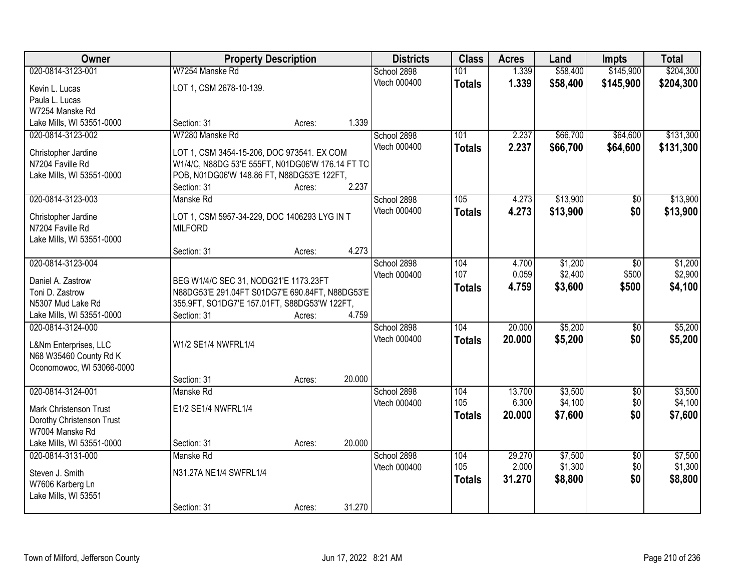| Owner                                          |                                                  | <b>Property Description</b> |        | <b>Districts</b> | <b>Class</b>  | <b>Acres</b> | Land     | <b>Impts</b>    | <b>Total</b> |
|------------------------------------------------|--------------------------------------------------|-----------------------------|--------|------------------|---------------|--------------|----------|-----------------|--------------|
| 020-0814-3123-001                              | W7254 Manske Rd                                  |                             |        | School 2898      | 101           | 1.339        | \$58,400 | \$145,900       | \$204,300    |
| Kevin L. Lucas                                 | LOT 1, CSM 2678-10-139.                          |                             |        | Vtech 000400     | <b>Totals</b> | 1.339        | \$58,400 | \$145,900       | \$204,300    |
| Paula L. Lucas                                 |                                                  |                             |        |                  |               |              |          |                 |              |
| W7254 Manske Rd                                |                                                  |                             |        |                  |               |              |          |                 |              |
| Lake Mills, WI 53551-0000                      | Section: 31                                      | Acres:                      | 1.339  |                  |               |              |          |                 |              |
| 020-0814-3123-002                              | W7280 Manske Rd                                  |                             |        | School 2898      | 101           | 2.237        | \$66,700 | \$64,600        | \$131,300    |
|                                                | LOT 1, CSM 3454-15-206, DOC 973541. EX COM       |                             |        | Vtech 000400     | <b>Totals</b> | 2.237        | \$66,700 | \$64,600        | \$131,300    |
| Christopher Jardine<br>N7204 Faville Rd        | W1/4/C, N88DG 53'E 555FT, N01DG06'W 176.14 FT TO |                             |        |                  |               |              |          |                 |              |
| Lake Mills, WI 53551-0000                      | POB, N01DG06'W 148.86 FT, N88DG53'E 122FT,       |                             |        |                  |               |              |          |                 |              |
|                                                | Section: 31                                      | Acres:                      | 2.237  |                  |               |              |          |                 |              |
| 020-0814-3123-003                              | Manske Rd                                        |                             |        | School 2898      | 105           | 4.273        | \$13,900 | \$0             | \$13,900     |
|                                                |                                                  |                             |        | Vtech 000400     | <b>Totals</b> | 4.273        | \$13,900 | \$0             | \$13,900     |
| Christopher Jardine                            | LOT 1, CSM 5957-34-229, DOC 1406293 LYG IN T     |                             |        |                  |               |              |          |                 |              |
| N7204 Faville Rd<br>Lake Mills, WI 53551-0000  | <b>MILFORD</b>                                   |                             |        |                  |               |              |          |                 |              |
|                                                | Section: 31                                      | Acres:                      | 4.273  |                  |               |              |          |                 |              |
| 020-0814-3123-004                              |                                                  |                             |        | School 2898      | 104           | 4.700        | \$1,200  | $\sqrt{6}$      | \$1,200      |
|                                                |                                                  |                             |        | Vtech 000400     | 107           | 0.059        | \$2,400  | \$500           | \$2,900      |
| Daniel A. Zastrow                              | BEG W1/4/C SEC 31, NODG21'E 1173.23FT            |                             |        |                  | <b>Totals</b> | 4.759        | \$3,600  | \$500           | \$4,100      |
| Toni D. Zastrow                                | N88DG53'E 291.04FT S01DG7'E 690.84FT, N88DG53'E  |                             |        |                  |               |              |          |                 |              |
| N5307 Mud Lake Rd                              | 355.9FT, SO1DG7'E 157.01FT, S88DG53'W 122FT,     |                             |        |                  |               |              |          |                 |              |
| Lake Mills, WI 53551-0000<br>020-0814-3124-000 | Section: 31                                      | Acres:                      | 4.759  |                  | 104           | 20.000       | \$5,200  |                 | \$5,200      |
|                                                |                                                  |                             |        | School 2898      |               |              |          | $\overline{50}$ |              |
| L&Nm Enterprises, LLC                          | W1/2 SE1/4 NWFRL1/4                              |                             |        | Vtech 000400     | <b>Totals</b> | 20.000       | \$5,200  | \$0             | \$5,200      |
| N68 W35460 County Rd K                         |                                                  |                             |        |                  |               |              |          |                 |              |
| Oconomowoc, WI 53066-0000                      |                                                  |                             |        |                  |               |              |          |                 |              |
|                                                | Section: 31                                      | Acres:                      | 20.000 |                  |               |              |          |                 |              |
| 020-0814-3124-001                              | Manske Rd                                        |                             |        | School 2898      | 104           | 13.700       | \$3,500  | $\overline{50}$ | \$3,500      |
| Mark Christenson Trust                         | E1/2 SE1/4 NWFRL1/4                              |                             |        | Vtech 000400     | 105           | 6.300        | \$4,100  | \$0             | \$4,100      |
| Dorothy Christenson Trust                      |                                                  |                             |        |                  | <b>Totals</b> | 20,000       | \$7,600  | \$0             | \$7,600      |
| W7004 Manske Rd                                |                                                  |                             |        |                  |               |              |          |                 |              |
| Lake Mills, WI 53551-0000                      | Section: 31                                      | Acres:                      | 20.000 |                  |               |              |          |                 |              |
| 020-0814-3131-000                              | Manske Rd                                        |                             |        | School 2898      | 104           | 29.270       | \$7,500  | $\overline{50}$ | \$7,500      |
| Steven J. Smith                                | N31.27A NE1/4 SWFRL1/4                           |                             |        | Vtech 000400     | 105           | 2.000        | \$1,300  | \$0             | \$1,300      |
| W7606 Karberg Ln                               |                                                  |                             |        |                  | <b>Totals</b> | 31.270       | \$8,800  | \$0             | \$8,800      |
| Lake Mills, WI 53551                           |                                                  |                             |        |                  |               |              |          |                 |              |
|                                                | Section: 31                                      | Acres:                      | 31.270 |                  |               |              |          |                 |              |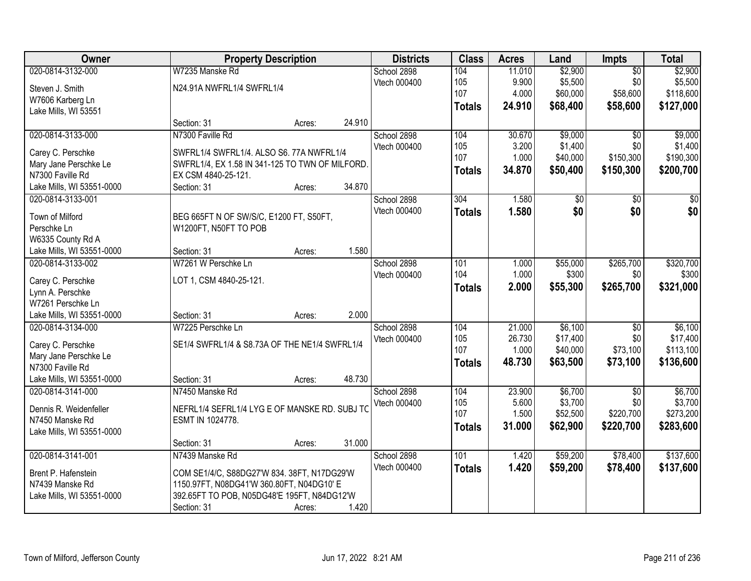| Owner                                          |                                                 | <b>Property Description</b> |        | <b>Districts</b> | <b>Class</b>  | <b>Acres</b> | Land        | Impts           | <b>Total</b>    |
|------------------------------------------------|-------------------------------------------------|-----------------------------|--------|------------------|---------------|--------------|-------------|-----------------|-----------------|
| 020-0814-3132-000                              | W7235 Manske Rd                                 |                             |        | School 2898      | 104           | 11.010       | \$2,900     | $\overline{50}$ | \$2,900         |
| Steven J. Smith                                | N24.91A NWFRL1/4 SWFRL1/4                       |                             |        | Vtech 000400     | 105           | 9.900        | \$5,500     | \$0             | \$5,500         |
| W7606 Karberg Ln                               |                                                 |                             |        |                  | 107           | 4.000        | \$60,000    | \$58,600        | \$118,600       |
| Lake Mills, WI 53551                           |                                                 |                             |        |                  | <b>Totals</b> | 24.910       | \$68,400    | \$58,600        | \$127,000       |
|                                                | Section: 31                                     | Acres:                      | 24.910 |                  |               |              |             |                 |                 |
| 020-0814-3133-000                              | N7300 Faville Rd                                |                             |        | School 2898      | 104           | 30.670       | \$9,000     | $\overline{50}$ | \$9,000         |
|                                                |                                                 |                             |        | Vtech 000400     | 105           | 3.200        | \$1,400     | \$0             | \$1,400         |
| Carey C. Perschke<br>Mary Jane Perschke Le     | SWFRL1/4 SWFRL1/4. ALSO S6. 77A NWFRL1/4        |                             |        |                  | 107           | 1.000        | \$40,000    | \$150,300       | \$190,300       |
|                                                | SWFRL1/4, EX 1.58 IN 341-125 TO TWN OF MILFORD. |                             |        |                  | <b>Totals</b> | 34.870       | \$50,400    | \$150,300       | \$200,700       |
| N7300 Faville Rd                               | EX CSM 4840-25-121.                             |                             | 34.870 |                  |               |              |             |                 |                 |
| Lake Mills, WI 53551-0000<br>020-0814-3133-001 | Section: 31                                     | Acres:                      |        | School 2898      | 304           | 1.580        |             | $\overline{50}$ | $\overline{50}$ |
|                                                |                                                 |                             |        |                  |               |              | $\sqrt{50}$ |                 |                 |
| Town of Milford                                | BEG 665FT N OF SW/S/C, E1200 FT, S50FT,         |                             |        | Vtech 000400     | <b>Totals</b> | 1.580        | \$0         | \$0             | \$0             |
| Perschke Ln                                    | W1200FT, N50FT TO POB                           |                             |        |                  |               |              |             |                 |                 |
| W6335 County Rd A                              |                                                 |                             |        |                  |               |              |             |                 |                 |
| Lake Mills, WI 53551-0000                      | Section: 31                                     | Acres:                      | 1.580  |                  |               |              |             |                 |                 |
| 020-0814-3133-002                              | W7261 W Perschke Ln                             |                             |        | School 2898      | 101           | 1.000        | \$55,000    | \$265,700       | \$320,700       |
|                                                |                                                 |                             |        | Vtech 000400     | 104           | 1.000        | \$300       | \$0             | \$300           |
| Carey C. Perschke                              | LOT 1, CSM 4840-25-121.                         |                             |        |                  | <b>Totals</b> | 2.000        | \$55,300    | \$265,700       | \$321,000       |
| Lynn A. Perschke<br>W7261 Perschke Ln          |                                                 |                             |        |                  |               |              |             |                 |                 |
| Lake Mills, WI 53551-0000                      | Section: 31                                     |                             | 2.000  |                  |               |              |             |                 |                 |
| 020-0814-3134-000                              | W7225 Perschke Ln                               | Acres:                      |        |                  | 104           | 21.000       | \$6,100     | $\overline{50}$ | \$6,100         |
|                                                |                                                 |                             |        | School 2898      | 105           | 26.730       | \$17,400    | \$0             | \$17,400        |
| Carey C. Perschke                              | SE1/4 SWFRL1/4 & S8.73A OF THE NE1/4 SWFRL1/4   |                             |        | Vtech 000400     | 107           | 1.000        | \$40,000    | \$73,100        | \$113,100       |
| Mary Jane Perschke Le                          |                                                 |                             |        |                  |               | 48.730       |             | \$73,100        |                 |
| N7300 Faville Rd                               |                                                 |                             |        |                  | <b>Totals</b> |              | \$63,500    |                 | \$136,600       |
| Lake Mills, WI 53551-0000                      | Section: 31                                     | Acres:                      | 48.730 |                  |               |              |             |                 |                 |
| 020-0814-3141-000                              | N7450 Manske Rd                                 |                             |        | School 2898      | 104           | 23.900       | \$6,700     | $\sqrt{6}$      | \$6,700         |
| Dennis R. Weidenfeller                         | NEFRL1/4 SEFRL1/4 LYG E OF MANSKE RD. SUBJ TO   |                             |        | Vtech 000400     | 105           | 5.600        | \$3,700     | \$0             | \$3,700         |
| N7450 Manske Rd                                | ESMT IN 1024778.                                |                             |        |                  | 107           | 1.500        | \$52,500    | \$220,700       | \$273,200       |
| Lake Mills, WI 53551-0000                      |                                                 |                             |        |                  | <b>Totals</b> | 31.000       | \$62,900    | \$220,700       | \$283,600       |
|                                                | Section: 31                                     | Acres:                      | 31.000 |                  |               |              |             |                 |                 |
| 020-0814-3141-001                              | N7439 Manske Rd                                 |                             |        | School 2898      | 101           | 1.420        | \$59,200    | \$78,400        | \$137,600       |
|                                                |                                                 |                             |        | Vtech 000400     |               | 1.420        | \$59,200    | \$78,400        | \$137,600       |
| Brent P. Hafenstein                            | COM SE1/4/C, S88DG27'W 834. 38FT, N17DG29'W     |                             |        |                  | <b>Totals</b> |              |             |                 |                 |
| N7439 Manske Rd                                | 1150.97FT, N08DG41'W 360.80FT, N04DG10' E       |                             |        |                  |               |              |             |                 |                 |
| Lake Mills, WI 53551-0000                      | 392.65FT TO POB, N05DG48'E 195FT, N84DG12'W     |                             |        |                  |               |              |             |                 |                 |
|                                                | Section: 31                                     | Acres:                      | 1.420  |                  |               |              |             |                 |                 |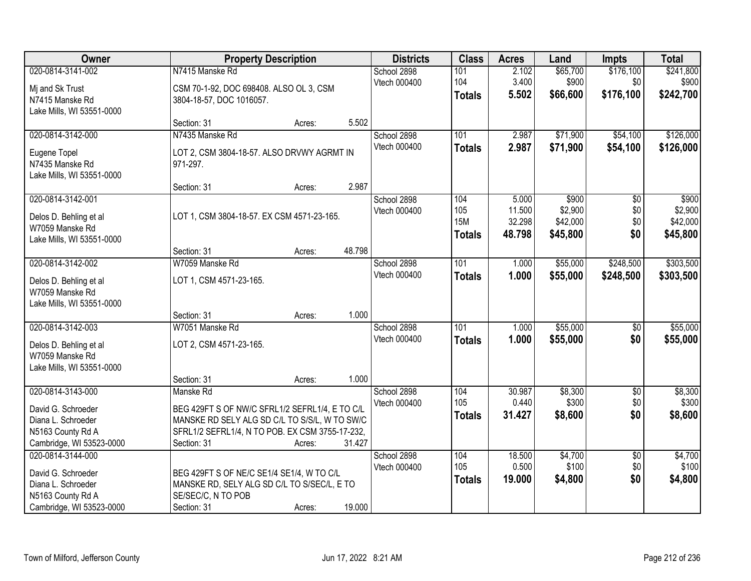| Owner                                                                                                          | <b>Property Description</b>                                                                                                                                                                        | <b>Districts</b>            | <b>Class</b>                              | <b>Acres</b>                        | Land                                     | <b>Impts</b>                         | <b>Total</b>                             |
|----------------------------------------------------------------------------------------------------------------|----------------------------------------------------------------------------------------------------------------------------------------------------------------------------------------------------|-----------------------------|-------------------------------------------|-------------------------------------|------------------------------------------|--------------------------------------|------------------------------------------|
| 020-0814-3141-002<br>Mj and Sk Trust                                                                           | N7415 Manske Rd<br>CSM 70-1-92, DOC 698408. ALSO OL 3, CSM                                                                                                                                         | School 2898<br>Vtech 000400 | 101<br>104<br><b>Totals</b>               | 2.102<br>3.400<br>5.502             | \$65,700<br>\$900<br>\$66,600            | \$176,100<br>\$0<br>\$176,100        | \$241,800<br>\$900<br>\$242,700          |
| N7415 Manske Rd<br>Lake Mills, WI 53551-0000                                                                   | 3804-18-57, DOC 1016057.<br>5.502<br>Section: 31<br>Acres:                                                                                                                                         |                             |                                           |                                     |                                          |                                      |                                          |
| 020-0814-3142-000<br>Eugene Topel<br>N7435 Manske Rd<br>Lake Mills, WI 53551-0000                              | N7435 Manske Rd<br>LOT 2, CSM 3804-18-57. ALSO DRVWY AGRMT IN<br>971-297.                                                                                                                          | School 2898<br>Vtech 000400 | 101<br><b>Totals</b>                      | 2.987<br>2.987                      | \$71,900<br>\$71,900                     | \$54,100<br>\$54,100                 | \$126,000<br>\$126,000                   |
| 020-0814-3142-001<br>Delos D. Behling et al<br>W7059 Manske Rd<br>Lake Mills, WI 53551-0000                    | 2.987<br>Section: 31<br>Acres:<br>LOT 1, CSM 3804-18-57. EX CSM 4571-23-165.<br>48.798<br>Section: 31<br>Acres:                                                                                    | School 2898<br>Vtech 000400 | 104<br>105<br><b>15M</b><br><b>Totals</b> | 5.000<br>11.500<br>32.298<br>48.798 | \$900<br>\$2,900<br>\$42,000<br>\$45,800 | $\overline{50}$<br>\$0<br>\$0<br>\$0 | \$900<br>\$2,900<br>\$42,000<br>\$45,800 |
| 020-0814-3142-002<br>Delos D. Behling et al<br>W7059 Manske Rd<br>Lake Mills, WI 53551-0000                    | W7059 Manske Rd<br>LOT 1, CSM 4571-23-165.<br>1.000<br>Section: 31<br>Acres:                                                                                                                       | School 2898<br>Vtech 000400 | 101<br><b>Totals</b>                      | 1.000<br>1.000                      | \$55,000<br>\$55,000                     | \$248,500<br>\$248,500               | \$303,500<br>\$303,500                   |
| 020-0814-3142-003<br>Delos D. Behling et al<br>W7059 Manske Rd<br>Lake Mills, WI 53551-0000                    | W7051 Manske Rd<br>LOT 2, CSM 4571-23-165.<br>1.000<br>Section: 31<br>Acres:                                                                                                                       | School 2898<br>Vtech 000400 | $\overline{101}$<br><b>Totals</b>         | 1.000<br>1.000                      | \$55,000<br>\$55,000                     | \$0<br>\$0                           | \$55,000<br>\$55,000                     |
| 020-0814-3143-000<br>David G. Schroeder<br>Diana L. Schroeder<br>N5163 County Rd A<br>Cambridge, WI 53523-0000 | Manske Rd<br>BEG 429FT S OF NW/C SFRL1/2 SEFRL1/4, E TO C/L<br>MANSKE RD SELY ALG SD C/L TO S/S/L, W TO SW/C<br>SFRL1/2 SEFRL1/4, N TO POB. EX CSM 3755-17-232,<br>31.427<br>Section: 31<br>Acres: | School 2898<br>Vtech 000400 | 104<br>105<br><b>Totals</b>               | 30.987<br>0.440<br>31.427           | \$8,300<br>\$300<br>\$8,600              | $\overline{50}$<br>\$0<br>\$0        | \$8,300<br>\$300<br>\$8,600              |
| 020-0814-3144-000<br>David G. Schroeder<br>Diana L. Schroeder<br>N5163 County Rd A<br>Cambridge, WI 53523-0000 | BEG 429FT S OF NE/C SE1/4 SE1/4, W TO C/L<br>MANSKE RD, SELY ALG SD C/L TO S/SEC/L, E TO<br>SE/SEC/C, N TO POB<br>19.000<br>Section: 31<br>Acres:                                                  | School 2898<br>Vtech 000400 | 104<br>105<br><b>Totals</b>               | 18.500<br>0.500<br>19.000           | \$4,700<br>\$100<br>\$4,800              | $\overline{50}$<br>\$0<br>\$0        | \$4,700<br>\$100<br>\$4,800              |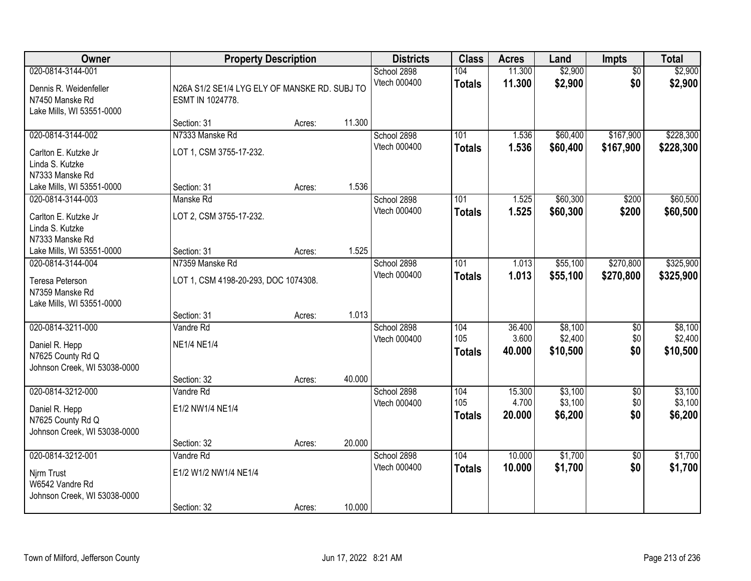| Owner                                                                                       | <b>Property Description</b>                                       |        |        | <b>Districts</b>            | <b>Class</b>                | <b>Acres</b>              | Land                           | Impts                         | <b>Total</b>                   |
|---------------------------------------------------------------------------------------------|-------------------------------------------------------------------|--------|--------|-----------------------------|-----------------------------|---------------------------|--------------------------------|-------------------------------|--------------------------------|
| 020-0814-3144-001<br>Dennis R. Weidenfeller<br>N7450 Manske Rd<br>Lake Mills, WI 53551-0000 | N26A S1/2 SE1/4 LYG ELY OF MANSKE RD. SUBJ TO<br>ESMT IN 1024778. |        |        | School 2898<br>Vtech 000400 | 104<br><b>Totals</b>        | 11.300<br>11.300          | \$2,900<br>\$2,900             | $\overline{50}$<br>\$0        | \$2,900<br>\$2,900             |
|                                                                                             | Section: 31                                                       | Acres: | 11.300 |                             |                             |                           |                                |                               |                                |
| 020-0814-3144-002<br>Carlton E. Kutzke Jr<br>Linda S. Kutzke<br>N7333 Manske Rd             | N7333 Manske Rd<br>LOT 1, CSM 3755-17-232.                        |        |        | School 2898<br>Vtech 000400 | 101<br><b>Totals</b>        | 1.536<br>1.536            | \$60,400<br>\$60,400           | \$167,900<br>\$167,900        | \$228,300<br>\$228,300         |
| Lake Mills, WI 53551-0000                                                                   | Section: 31                                                       | Acres: | 1.536  |                             |                             |                           |                                |                               |                                |
| 020-0814-3144-003<br>Carlton E. Kutzke Jr<br>Linda S. Kutzke<br>N7333 Manske Rd             | Manske Rd<br>LOT 2, CSM 3755-17-232.                              |        |        | School 2898<br>Vtech 000400 | 101<br><b>Totals</b>        | 1.525<br>1.525            | \$60,300<br>\$60,300           | \$200<br>\$200                | \$60,500<br>\$60,500           |
| Lake Mills, WI 53551-0000                                                                   | Section: 31                                                       | Acres: | 1.525  |                             |                             |                           |                                |                               |                                |
| 020-0814-3144-004<br>Teresa Peterson<br>N7359 Manske Rd<br>Lake Mills, WI 53551-0000        | N7359 Manske Rd<br>LOT 1, CSM 4198-20-293, DOC 1074308.           |        |        | School 2898<br>Vtech 000400 | 101<br><b>Totals</b>        | 1.013<br>1.013            | \$55,100<br>\$55,100           | \$270,800<br>\$270,800        | \$325,900<br>\$325,900         |
|                                                                                             | Section: 31                                                       | Acres: | 1.013  |                             |                             |                           |                                |                               |                                |
| 020-0814-3211-000<br>Daniel R. Hepp<br>N7625 County Rd Q<br>Johnson Creek, WI 53038-0000    | Vandre Rd<br><b>NE1/4 NE1/4</b><br>Section: 32                    | Acres: | 40.000 | School 2898<br>Vtech 000400 | 104<br>105<br><b>Totals</b> | 36.400<br>3.600<br>40.000 | \$8,100<br>\$2,400<br>\$10,500 | $\overline{50}$<br>\$0<br>\$0 | \$8,100<br>\$2,400<br>\$10,500 |
| 020-0814-3212-000<br>Daniel R. Hepp<br>N7625 County Rd Q<br>Johnson Creek, WI 53038-0000    | Vandre Rd<br>E1/2 NW1/4 NE1/4<br>Section: 32                      | Acres: | 20.000 | School 2898<br>Vtech 000400 | 104<br>105<br><b>Totals</b> | 15.300<br>4.700<br>20,000 | \$3,100<br>\$3,100<br>\$6,200  | $\overline{50}$<br>\$0<br>\$0 | \$3,100<br>\$3,100<br>\$6,200  |
| 020-0814-3212-001<br>Njrm Trust<br>W6542 Vandre Rd<br>Johnson Creek, WI 53038-0000          | Vandre Rd<br>E1/2 W1/2 NW1/4 NE1/4<br>Section: 32                 | Acres: | 10.000 | School 2898<br>Vtech 000400 | 104<br><b>Totals</b>        | 10.000<br>10.000          | \$1,700<br>\$1,700             | $\overline{50}$<br>\$0        | \$1,700<br>\$1,700             |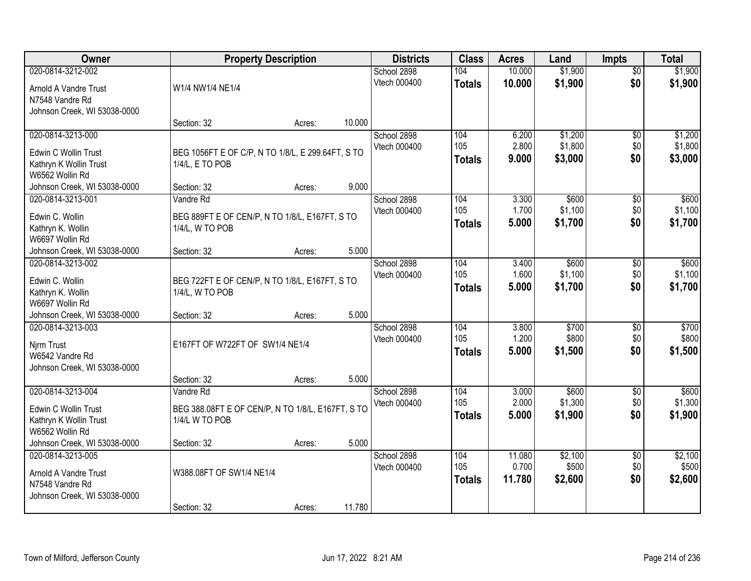| Owner                        |                                                   | <b>Property Description</b> |        | <b>Districts</b> | <b>Class</b>  | <b>Acres</b> | Land    | <b>Impts</b>    | <b>Total</b> |
|------------------------------|---------------------------------------------------|-----------------------------|--------|------------------|---------------|--------------|---------|-----------------|--------------|
| 020-0814-3212-002            |                                                   |                             |        | School 2898      | 104           | 10.000       | \$1,900 | $\overline{50}$ | \$1,900      |
| Arnold A Vandre Trust        | W1/4 NW1/4 NE1/4                                  |                             |        | Vtech 000400     | <b>Totals</b> | 10.000       | \$1,900 | \$0             | \$1,900      |
| N7548 Vandre Rd              |                                                   |                             |        |                  |               |              |         |                 |              |
| Johnson Creek, WI 53038-0000 |                                                   |                             |        |                  |               |              |         |                 |              |
|                              | Section: 32                                       | Acres:                      | 10.000 |                  |               |              |         |                 |              |
| 020-0814-3213-000            |                                                   |                             |        | School 2898      | 104           | 6.200        | \$1,200 | $\overline{50}$ | \$1,200      |
| Edwin C Wollin Trust         | BEG 1056FT E OF C/P, N TO 1/8/L, E 299.64FT, S TO |                             |        | Vtech 000400     | 105           | 2.800        | \$1,800 | \$0             | \$1,800      |
| Kathryn K Wollin Trust       | 1/4/L, E TO POB                                   |                             |        |                  | <b>Totals</b> | 9.000        | \$3,000 | \$0             | \$3,000      |
| W6562 Wollin Rd              |                                                   |                             |        |                  |               |              |         |                 |              |
| Johnson Creek, WI 53038-0000 | Section: 32                                       | Acres:                      | 9.000  |                  |               |              |         |                 |              |
| 020-0814-3213-001            | Vandre Rd                                         |                             |        | School 2898      | 104           | 3.300        | \$600   | \$0             | \$600        |
| Edwin C. Wollin              | BEG 889FT E OF CEN/P, N TO 1/8/L, E167FT, S TO    |                             |        | Vtech 000400     | 105           | 1.700        | \$1,100 | \$0             | \$1,100      |
| Kathryn K. Wollin            | 1/4/L, W TO POB                                   |                             |        |                  | <b>Totals</b> | 5.000        | \$1,700 | \$0             | \$1,700      |
| W6697 Wollin Rd              |                                                   |                             |        |                  |               |              |         |                 |              |
| Johnson Creek, WI 53038-0000 | Section: 32                                       | Acres:                      | 5.000  |                  |               |              |         |                 |              |
| 020-0814-3213-002            |                                                   |                             |        | School 2898      | 104           | 3.400        | \$600   | \$0             | \$600        |
| Edwin C. Wollin              | BEG 722FT E OF CEN/P, N TO 1/8/L, E167FT, S TO    |                             |        | Vtech 000400     | 105           | 1.600        | \$1,100 | \$0             | \$1,100      |
| Kathryn K. Wollin            | 1/4/L, W TO POB                                   |                             |        |                  | <b>Totals</b> | 5.000        | \$1,700 | \$0             | \$1,700      |
| W6697 Wollin Rd              |                                                   |                             |        |                  |               |              |         |                 |              |
| Johnson Creek, WI 53038-0000 | Section: 32                                       | Acres:                      | 5.000  |                  |               |              |         |                 |              |
| 020-0814-3213-003            |                                                   |                             |        | School 2898      | 104           | 3.800        | \$700   | $\overline{60}$ | \$700        |
| Njrm Trust                   | E167FT OF W722FT OF SW1/4 NE1/4                   |                             |        | Vtech 000400     | 105           | 1.200        | \$800   | \$0             | \$800        |
| W6542 Vandre Rd              |                                                   |                             |        |                  | <b>Totals</b> | 5.000        | \$1,500 | \$0             | \$1,500      |
| Johnson Creek, WI 53038-0000 |                                                   |                             |        |                  |               |              |         |                 |              |
|                              | Section: 32                                       | Acres:                      | 5.000  |                  |               |              |         |                 |              |
| 020-0814-3213-004            | Vandre Rd                                         |                             |        | School 2898      | 104           | 3.000        | \$600   | \$0             | \$600        |
| Edwin C Wollin Trust         | BEG 388.08FT E OF CEN/P, N TO 1/8/L, E167FT, S TO |                             |        | Vtech 000400     | 105           | 2.000        | \$1,300 | \$0             | \$1,300      |
| Kathryn K Wollin Trust       | 1/4/L W TO POB                                    |                             |        |                  | <b>Totals</b> | 5.000        | \$1,900 | \$0             | \$1,900      |
| W6562 Wollin Rd              |                                                   |                             |        |                  |               |              |         |                 |              |
| Johnson Creek, WI 53038-0000 | Section: 32                                       | Acres:                      | 5.000  |                  |               |              |         |                 |              |
| 020-0814-3213-005            |                                                   |                             |        | School 2898      | 104           | 11.080       | \$2,100 | $\overline{50}$ | \$2,100      |
| Arnold A Vandre Trust        | W388.08FT OF SW1/4 NE1/4                          |                             |        | Vtech 000400     | 105           | 0.700        | \$500   | \$0             | \$500        |
| N7548 Vandre Rd              |                                                   |                             |        |                  | <b>Totals</b> | 11.780       | \$2,600 | \$0             | \$2,600      |
| Johnson Creek, WI 53038-0000 |                                                   |                             |        |                  |               |              |         |                 |              |
|                              | Section: 32                                       | Acres:                      | 11.780 |                  |               |              |         |                 |              |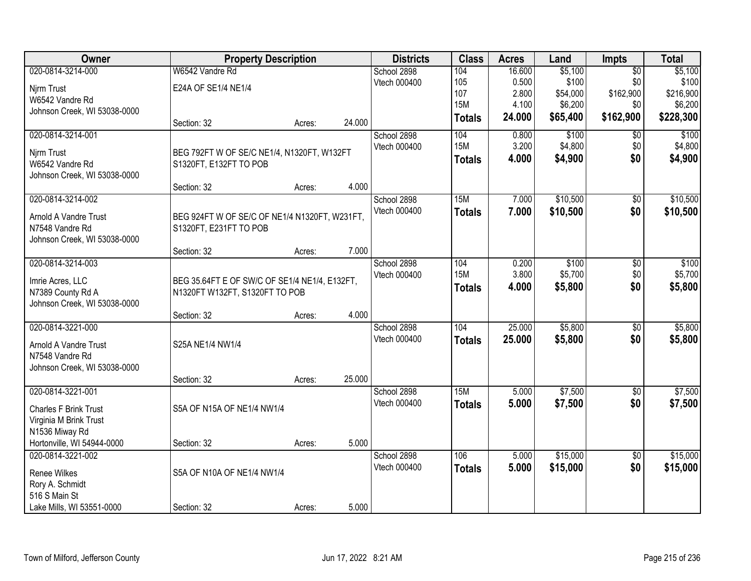| <b>Owner</b>                          | <b>Property Description</b>                                                     |        |        | <b>Districts</b> | <b>Class</b>  | <b>Acres</b> | Land     | Impts           | <b>Total</b> |
|---------------------------------------|---------------------------------------------------------------------------------|--------|--------|------------------|---------------|--------------|----------|-----------------|--------------|
| 020-0814-3214-000                     | W6542 Vandre Rd                                                                 |        |        | School 2898      | 104           | 16.600       | \$5,100  | $\overline{50}$ | \$5,100      |
| Njrm Trust                            | E24A OF SE1/4 NE1/4                                                             |        |        | Vtech 000400     | 105           | 0.500        | \$100    | \$0             | \$100        |
| W6542 Vandre Rd                       |                                                                                 |        |        |                  | 107           | 2.800        | \$54,000 | \$162,900       | \$216,900    |
| Johnson Creek, WI 53038-0000          |                                                                                 |        |        |                  | <b>15M</b>    | 4.100        | \$6,200  | \$0             | \$6,200      |
|                                       | Section: 32                                                                     | Acres: | 24.000 |                  | <b>Totals</b> | 24.000       | \$65,400 | \$162,900       | \$228,300    |
| 020-0814-3214-001                     |                                                                                 |        |        | School 2898      | 104           | 0.800        | \$100    | $\overline{50}$ | \$100        |
| Njrm Trust                            | BEG 792FT W OF SE/C NE1/4, N1320FT, W132FT                                      |        |        | Vtech 000400     | <b>15M</b>    | 3.200        | \$4,800  | \$0             | \$4,800      |
| W6542 Vandre Rd                       | S1320FT, E132FT TO POB                                                          |        |        |                  | <b>Totals</b> | 4.000        | \$4,900  | \$0             | \$4,900      |
| Johnson Creek, WI 53038-0000          |                                                                                 |        |        |                  |               |              |          |                 |              |
|                                       | Section: 32                                                                     | Acres: | 4.000  |                  |               |              |          |                 |              |
| 020-0814-3214-002                     |                                                                                 |        |        | School 2898      | 15M           | 7.000        | \$10,500 | $\overline{50}$ | \$10,500     |
| Arnold A Vandre Trust                 | BEG 924FT W OF SE/C OF NE1/4 N1320FT, W231FT,                                   |        |        | Vtech 000400     | <b>Totals</b> | 7.000        | \$10,500 | \$0             | \$10,500     |
| N7548 Vandre Rd                       | S1320FT, E231FT TO POB                                                          |        |        |                  |               |              |          |                 |              |
| Johnson Creek, WI 53038-0000          |                                                                                 |        |        |                  |               |              |          |                 |              |
|                                       | Section: 32                                                                     | Acres: | 7.000  |                  |               |              |          |                 |              |
| 020-0814-3214-003                     |                                                                                 |        |        | School 2898      | 104           | 0.200        | \$100    | \$0             | \$100        |
|                                       |                                                                                 |        |        | Vtech 000400     | <b>15M</b>    | 3.800        | \$5,700  | \$0             | \$5,700      |
| Imrie Acres, LLC<br>N7389 County Rd A | BEG 35.64FT E OF SW/C OF SE1/4 NE1/4, E132FT,<br>N1320FT W132FT, S1320FT TO POB |        |        |                  | <b>Totals</b> | 4.000        | \$5,800  | \$0             | \$5,800      |
| Johnson Creek, WI 53038-0000          |                                                                                 |        |        |                  |               |              |          |                 |              |
|                                       | Section: 32                                                                     | Acres: | 4.000  |                  |               |              |          |                 |              |
| 020-0814-3221-000                     |                                                                                 |        |        | School 2898      | 104           | 25.000       | \$5,800  | $\overline{50}$ | \$5,800      |
|                                       |                                                                                 |        |        | Vtech 000400     | <b>Totals</b> | 25.000       | \$5,800  | \$0             | \$5,800      |
| Arnold A Vandre Trust                 | S25A NE1/4 NW1/4                                                                |        |        |                  |               |              |          |                 |              |
| N7548 Vandre Rd                       |                                                                                 |        |        |                  |               |              |          |                 |              |
| Johnson Creek, WI 53038-0000          |                                                                                 |        | 25.000 |                  |               |              |          |                 |              |
| 020-0814-3221-001                     | Section: 32                                                                     | Acres: |        | School 2898      | 15M           | 5.000        | \$7,500  | $\sqrt{6}$      | \$7,500      |
|                                       |                                                                                 |        |        | Vtech 000400     |               | 5.000        | \$7,500  | \$0             | \$7,500      |
| <b>Charles F Brink Trust</b>          | S5A OF N15A OF NE1/4 NW1/4                                                      |        |        |                  | <b>Totals</b> |              |          |                 |              |
| Virginia M Brink Trust                |                                                                                 |        |        |                  |               |              |          |                 |              |
| N1536 Miway Rd                        |                                                                                 |        |        |                  |               |              |          |                 |              |
| Hortonville, WI 54944-0000            | Section: 32                                                                     | Acres: | 5.000  |                  |               |              |          |                 |              |
| 020-0814-3221-002                     |                                                                                 |        |        | School 2898      | 106           | 5.000        | \$15,000 | $\overline{50}$ | \$15,000     |
| <b>Renee Wilkes</b>                   | S5A OF N10A OF NE1/4 NW1/4                                                      |        |        | Vtech 000400     | <b>Totals</b> | 5.000        | \$15,000 | \$0             | \$15,000     |
| Rory A. Schmidt                       |                                                                                 |        |        |                  |               |              |          |                 |              |
| 516 S Main St                         |                                                                                 |        |        |                  |               |              |          |                 |              |
| Lake Mills, WI 53551-0000             | Section: 32                                                                     | Acres: | 5.000  |                  |               |              |          |                 |              |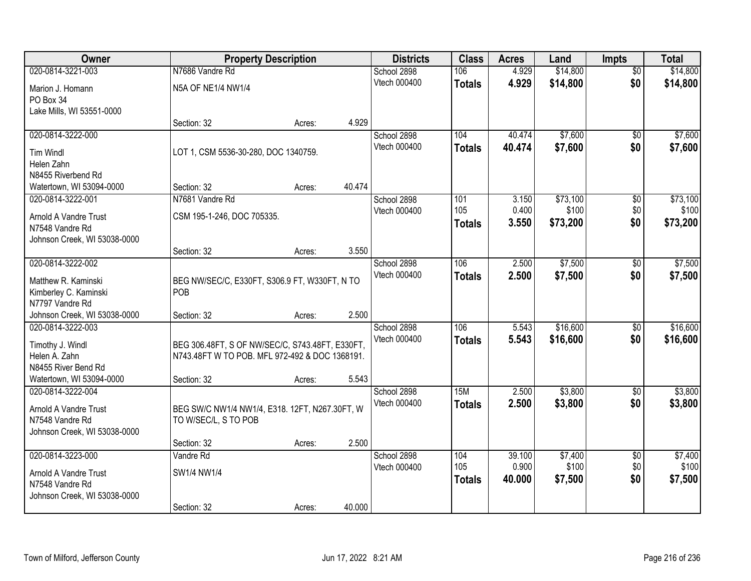| Owner                        |                                                 | <b>Property Description</b> |        | <b>Districts</b>            | <b>Class</b>  | <b>Acres</b>    | Land             | <b>Impts</b>           | <b>Total</b>     |
|------------------------------|-------------------------------------------------|-----------------------------|--------|-----------------------------|---------------|-----------------|------------------|------------------------|------------------|
| 020-0814-3221-003            | N7686 Vandre Rd                                 |                             |        | School 2898                 | 106           | 4.929           | \$14,800         | $\overline{50}$        | \$14,800         |
| Marion J. Homann             | N5A OF NE1/4 NW1/4                              |                             |        | Vtech 000400                | <b>Totals</b> | 4.929           | \$14,800         | \$0                    | \$14,800         |
| PO Box 34                    |                                                 |                             |        |                             |               |                 |                  |                        |                  |
| Lake Mills, WI 53551-0000    |                                                 |                             |        |                             |               |                 |                  |                        |                  |
|                              | Section: 32                                     | Acres:                      | 4.929  |                             |               |                 |                  |                        |                  |
| 020-0814-3222-000            |                                                 |                             |        | School 2898                 | 104           | 40.474          | \$7,600          | $\overline{50}$        | \$7,600          |
| <b>Tim Windl</b>             | LOT 1, CSM 5536-30-280, DOC 1340759.            |                             |        | Vtech 000400                | <b>Totals</b> | 40.474          | \$7,600          | \$0                    | \$7,600          |
| Helen Zahn                   |                                                 |                             |        |                             |               |                 |                  |                        |                  |
| N8455 Riverbend Rd           |                                                 |                             |        |                             |               |                 |                  |                        |                  |
| Watertown, WI 53094-0000     | Section: 32                                     | Acres:                      | 40.474 |                             |               |                 |                  |                        |                  |
| 020-0814-3222-001            | N7681 Vandre Rd                                 |                             |        | School 2898                 | 101           | 3.150           | \$73,100         | $\overline{50}$        | \$73,100         |
| Arnold A Vandre Trust        | CSM 195-1-246, DOC 705335.                      |                             |        | Vtech 000400                | 105           | 0.400           | \$100            | \$0                    | \$100            |
| N7548 Vandre Rd              |                                                 |                             |        |                             | <b>Totals</b> | 3.550           | \$73,200         | \$0                    | \$73,200         |
| Johnson Creek, WI 53038-0000 |                                                 |                             |        |                             |               |                 |                  |                        |                  |
|                              | Section: 32                                     | Acres:                      | 3.550  |                             |               |                 |                  |                        |                  |
| 020-0814-3222-002            |                                                 |                             |        | School 2898                 | 106           | 2.500           | \$7,500          | \$0                    | \$7,500          |
| Matthew R. Kaminski          | BEG NW/SEC/C, E330FT, S306.9 FT, W330FT, N TO   |                             |        | Vtech 000400                | <b>Totals</b> | 2.500           | \$7,500          | \$0                    | \$7,500          |
| Kimberley C. Kaminski        | <b>POB</b>                                      |                             |        |                             |               |                 |                  |                        |                  |
| N7797 Vandre Rd              |                                                 |                             |        |                             |               |                 |                  |                        |                  |
| Johnson Creek, WI 53038-0000 | Section: 32                                     | Acres:                      | 2.500  |                             |               |                 |                  |                        |                  |
| 020-0814-3222-003            |                                                 |                             |        | School 2898                 | 106           | 5.543           | \$16,600         | $\overline{50}$        | \$16,600         |
| Timothy J. Windl             | BEG 306.48FT, S OF NW/SEC/C, S743.48FT, E330FT, |                             |        | Vtech 000400                | <b>Totals</b> | 5.543           | \$16,600         | \$0                    | \$16,600         |
| Helen A. Zahn                | N743.48FT W TO POB. MFL 972-492 & DOC 1368191.  |                             |        |                             |               |                 |                  |                        |                  |
| N8455 River Bend Rd          |                                                 |                             |        |                             |               |                 |                  |                        |                  |
| Watertown, WI 53094-0000     | Section: 32                                     | Acres:                      | 5.543  |                             |               |                 |                  |                        |                  |
| 020-0814-3222-004            |                                                 |                             |        | School 2898                 | 15M           | 2.500           | \$3,800          | \$0                    | \$3,800          |
| Arnold A Vandre Trust        | BEG SW/C NW1/4 NW1/4, E318. 12FT, N267.30FT, W  |                             |        | Vtech 000400                | <b>Totals</b> | 2.500           | \$3,800          | \$0                    | \$3,800          |
| N7548 Vandre Rd              | TO W/SEC/L, S TO POB                            |                             |        |                             |               |                 |                  |                        |                  |
| Johnson Creek, WI 53038-0000 |                                                 |                             |        |                             |               |                 |                  |                        |                  |
|                              | Section: 32                                     | Acres:                      | 2.500  |                             |               |                 |                  |                        |                  |
| 020-0814-3223-000            | Vandre Rd                                       |                             |        | School 2898<br>Vtech 000400 | 104<br>105    | 39.100<br>0.900 | \$7,400<br>\$100 | $\overline{50}$<br>\$0 | \$7,400<br>\$100 |
| Arnold A Vandre Trust        | SW1/4 NW1/4                                     |                             |        |                             |               | 40.000          |                  | \$0                    | \$7,500          |
| N7548 Vandre Rd              |                                                 |                             |        |                             | <b>Totals</b> |                 | \$7,500          |                        |                  |
| Johnson Creek, WI 53038-0000 |                                                 |                             |        |                             |               |                 |                  |                        |                  |
|                              | Section: 32                                     | Acres:                      | 40.000 |                             |               |                 |                  |                        |                  |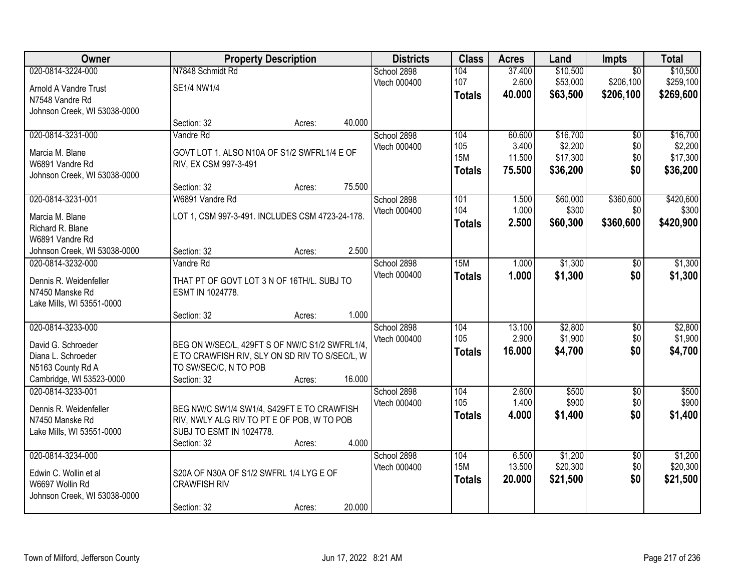| Owner                        | <b>Property Description</b>                     |                  | <b>Districts</b> | <b>Class</b>  | <b>Acres</b> | Land     | <b>Impts</b>    | <b>Total</b> |
|------------------------------|-------------------------------------------------|------------------|------------------|---------------|--------------|----------|-----------------|--------------|
| 020-0814-3224-000            | N7848 Schmidt Rd                                |                  | School 2898      | 104           | 37.400       | \$10,500 | $\overline{50}$ | \$10,500     |
| Arnold A Vandre Trust        | SE1/4 NW1/4                                     |                  | Vtech 000400     | 107           | 2.600        | \$53,000 | \$206,100       | \$259,100    |
| N7548 Vandre Rd              |                                                 |                  |                  | <b>Totals</b> | 40.000       | \$63,500 | \$206,100       | \$269,600    |
| Johnson Creek, WI 53038-0000 |                                                 |                  |                  |               |              |          |                 |              |
|                              | Section: 32                                     | 40.000<br>Acres: |                  |               |              |          |                 |              |
| 020-0814-3231-000            | Vandre Rd                                       |                  | School 2898      | 104           | 60.600       | \$16,700 | $\overline{50}$ | \$16,700     |
| Marcia M. Blane              | GOVT LOT 1. ALSO N10A OF S1/2 SWFRL1/4 E OF     |                  | Vtech 000400     | 105           | 3.400        | \$2,200  | \$0             | \$2,200      |
| W6891 Vandre Rd              | RIV, EX CSM 997-3-491                           |                  |                  | <b>15M</b>    | 11.500       | \$17,300 | \$0             | \$17,300     |
| Johnson Creek, WI 53038-0000 |                                                 |                  |                  | <b>Totals</b> | 75.500       | \$36,200 | \$0             | \$36,200     |
|                              | Section: 32                                     | 75.500<br>Acres: |                  |               |              |          |                 |              |
| 020-0814-3231-001            | W6891 Vandre Rd                                 |                  | School 2898      | 101           | 1.500        | \$60,000 | \$360,600       | \$420,600    |
| Marcia M. Blane              | LOT 1, CSM 997-3-491. INCLUDES CSM 4723-24-178. |                  | Vtech 000400     | 104           | 1.000        | \$300    | \$0             | \$300        |
| Richard R. Blane             |                                                 |                  |                  | <b>Totals</b> | 2.500        | \$60,300 | \$360,600       | \$420,900    |
| W6891 Vandre Rd              |                                                 |                  |                  |               |              |          |                 |              |
| Johnson Creek, WI 53038-0000 | Section: 32                                     | 2.500<br>Acres:  |                  |               |              |          |                 |              |
| 020-0814-3232-000            | Vandre Rd                                       |                  | School 2898      | 15M           | 1.000        | \$1,300  | $\sqrt[6]{}$    | \$1,300      |
| Dennis R. Weidenfeller       | THAT PT OF GOVT LOT 3 N OF 16TH/L. SUBJ TO      |                  | Vtech 000400     | <b>Totals</b> | 1.000        | \$1,300  | \$0             | \$1,300      |
| N7450 Manske Rd              | ESMT IN 1024778.                                |                  |                  |               |              |          |                 |              |
| Lake Mills, WI 53551-0000    |                                                 |                  |                  |               |              |          |                 |              |
|                              | Section: 32                                     | 1.000<br>Acres:  |                  |               |              |          |                 |              |
| 020-0814-3233-000            |                                                 |                  | School 2898      | 104           | 13.100       | \$2,800  | $\overline{50}$ | \$2,800      |
| David G. Schroeder           | BEG ON W/SEC/L, 429FT S OF NW/C S1/2 SWFRL1/4,  |                  | Vtech 000400     | 105           | 2.900        | \$1,900  | \$0             | \$1,900      |
| Diana L. Schroeder           | E TO CRAWFISH RIV, SLY ON SD RIV TO S/SEC/L, W  |                  |                  | <b>Totals</b> | 16.000       | \$4,700  | \$0             | \$4,700      |
| N5163 County Rd A            | TO SW/SEC/C, N TO POB                           |                  |                  |               |              |          |                 |              |
| Cambridge, WI 53523-0000     | Section: 32                                     | 16.000<br>Acres: |                  |               |              |          |                 |              |
| 020-0814-3233-001            |                                                 |                  | School 2898      | 104           | 2.600        | \$500    | $\overline{$0}$ | \$500        |
| Dennis R. Weidenfeller       | BEG NW/C SW1/4 SW1/4, S429FT E TO CRAWFISH      |                  | Vtech 000400     | 105           | 1.400        | \$900    | \$0             | \$900        |
| N7450 Manske Rd              | RIV, NWLY ALG RIV TO PT E OF POB, W TO POB      |                  |                  | <b>Totals</b> | 4.000        | \$1,400  | \$0             | \$1,400      |
| Lake Mills, WI 53551-0000    | SUBJ TO ESMT IN 1024778.                        |                  |                  |               |              |          |                 |              |
|                              | Section: 32                                     | 4.000<br>Acres:  |                  |               |              |          |                 |              |
| 020-0814-3234-000            |                                                 |                  | School 2898      | 104           | 6.500        | \$1,200  | $\overline{60}$ | \$1,200      |
| Edwin C. Wollin et al        | S20A OF N30A OF S1/2 SWFRL 1/4 LYG E OF         |                  | Vtech 000400     | <b>15M</b>    | 13.500       | \$20,300 | \$0             | \$20,300     |
| W6697 Wollin Rd              | <b>CRAWFISH RIV</b>                             |                  |                  | <b>Totals</b> | 20.000       | \$21,500 | \$0             | \$21,500     |
| Johnson Creek, WI 53038-0000 |                                                 |                  |                  |               |              |          |                 |              |
|                              | Section: 32                                     | 20.000<br>Acres: |                  |               |              |          |                 |              |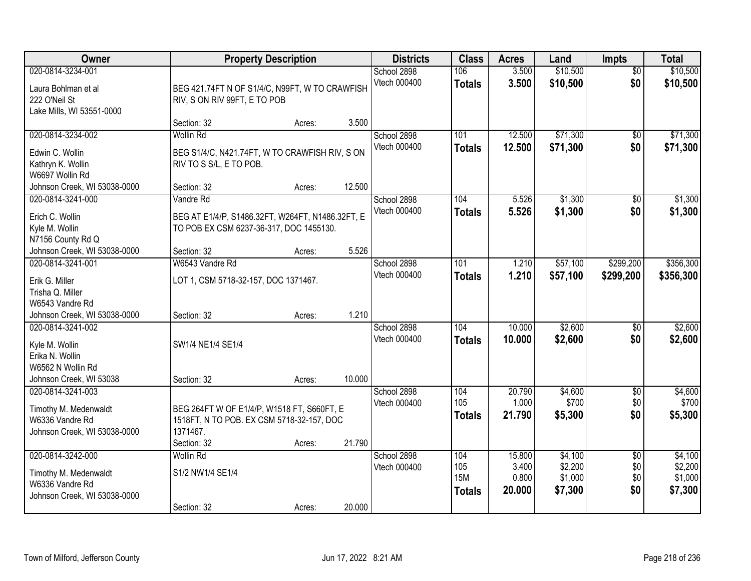| Owner                                                                                                        |                                                                                                                    | <b>Property Description</b> |        | <b>Districts</b>            | <b>Class</b>                              | <b>Acres</b>                       | Land                                     | <b>Impts</b>                         | <b>Total</b>                             |
|--------------------------------------------------------------------------------------------------------------|--------------------------------------------------------------------------------------------------------------------|-----------------------------|--------|-----------------------------|-------------------------------------------|------------------------------------|------------------------------------------|--------------------------------------|------------------------------------------|
| 020-0814-3234-001<br>Laura Bohlman et al<br>222 O'Neil St<br>Lake Mills, WI 53551-0000                       | BEG 421.74FT N OF S1/4/C, N99FT, W TO CRAWFISH<br>RIV, S ON RIV 99FT, E TO POB                                     |                             |        | School 2898<br>Vtech 000400 | 106<br><b>Totals</b>                      | 3.500<br>3.500                     | \$10,500<br>\$10,500                     | $\overline{30}$<br>\$0               | \$10,500<br>\$10,500                     |
|                                                                                                              | Section: 32                                                                                                        | Acres:                      | 3.500  |                             |                                           |                                    |                                          |                                      |                                          |
| 020-0814-3234-002<br>Edwin C. Wollin<br>Kathryn K. Wollin<br>W6697 Wollin Rd<br>Johnson Creek, WI 53038-0000 | <b>Wollin Rd</b><br>BEG S1/4/C, N421.74FT, W TO CRAWFISH RIV, S ON<br>RIV TO S S/L, E TO POB.<br>Section: 32       | Acres:                      | 12.500 | School 2898<br>Vtech 000400 | 101<br><b>Totals</b>                      | 12.500<br>12.500                   | \$71,300<br>\$71,300                     | \$0<br>\$0                           | \$71,300<br>\$71,300                     |
| 020-0814-3241-000                                                                                            | Vandre Rd                                                                                                          |                             |        | School 2898                 | 104                                       | 5.526                              | \$1,300                                  | \$0                                  | \$1,300                                  |
| Erich C. Wollin<br>Kyle M. Wollin<br>N7156 County Rd Q                                                       | BEG AT E1/4/P, S1486.32FT, W264FT, N1486.32FT, E<br>TO POB EX CSM 6237-36-317, DOC 1455130.                        |                             |        | Vtech 000400                | <b>Totals</b>                             | 5.526                              | \$1,300                                  | \$0                                  | \$1,300                                  |
| Johnson Creek, WI 53038-0000                                                                                 | Section: 32                                                                                                        | Acres:                      | 5.526  |                             |                                           |                                    |                                          |                                      |                                          |
| 020-0814-3241-001<br>Erik G. Miller<br>Trisha Q. Miller<br>W6543 Vandre Rd                                   | W6543 Vandre Rd<br>LOT 1, CSM 5718-32-157, DOC 1371467.                                                            |                             |        | School 2898<br>Vtech 000400 | 101<br><b>Totals</b>                      | 1.210<br>1.210                     | \$57,100<br>\$57,100                     | \$299,200<br>\$299,200               | \$356,300<br>\$356,300                   |
| Johnson Creek, WI 53038-0000                                                                                 | Section: 32                                                                                                        | Acres:                      | 1.210  |                             |                                           |                                    |                                          |                                      |                                          |
| 020-0814-3241-002<br>Kyle M. Wollin<br>Erika N. Wollin<br>W6562 N Wollin Rd<br>Johnson Creek, WI 53038       | SW1/4 NE1/4 SE1/4<br>Section: 32                                                                                   | Acres:                      | 10.000 | School 2898<br>Vtech 000400 | 104<br><b>Totals</b>                      | 10.000<br>10.000                   | \$2,600<br>\$2,600                       | $\overline{50}$<br>\$0               | \$2,600<br>\$2,600                       |
| 020-0814-3241-003<br>Timothy M. Medenwaldt<br>W6336 Vandre Rd<br>Johnson Creek, WI 53038-0000                | BEG 264FT W OF E1/4/P, W1518 FT, S660FT, E<br>1518FT, N TO POB. EX CSM 5718-32-157, DOC<br>1371467.<br>Section: 32 | Acres:                      | 21.790 | School 2898<br>Vtech 000400 | 104<br>105<br><b>Totals</b>               | 20.790<br>1.000<br>21.790          | \$4,600<br>\$700<br>\$5,300              | $\overline{50}$<br>\$0<br>\$0        | \$4,600<br>\$700<br>\$5,300              |
| 020-0814-3242-000<br>Timothy M. Medenwaldt<br>W6336 Vandre Rd<br>Johnson Creek, WI 53038-0000                | <b>Wollin Rd</b><br>S1/2 NW1/4 SE1/4<br>Section: 32                                                                | Acres:                      | 20.000 | School 2898<br>Vtech 000400 | 104<br>105<br><b>15M</b><br><b>Totals</b> | 15,800<br>3.400<br>0.800<br>20.000 | \$4,100<br>\$2,200<br>\$1,000<br>\$7,300 | $\overline{50}$<br>\$0<br>\$0<br>\$0 | \$4,100<br>\$2,200<br>\$1,000<br>\$7,300 |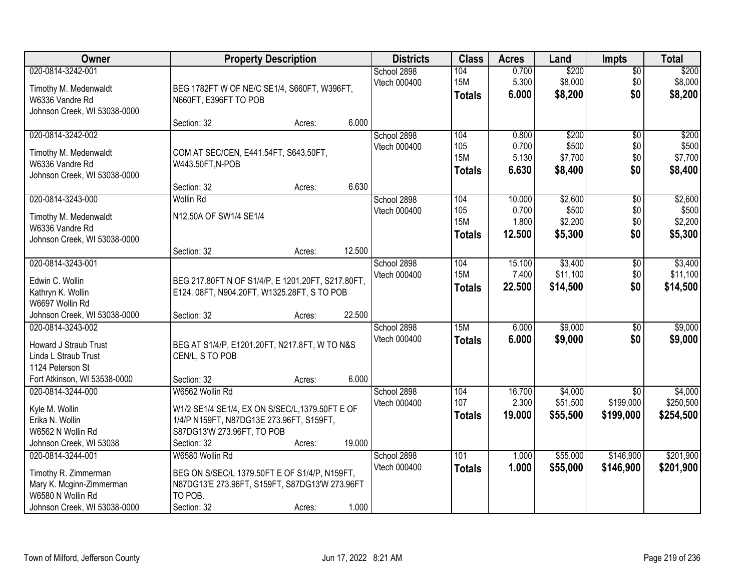| Owner                                                                                                                      | <b>Property Description</b>                                                                                                                                                     | <b>Districts</b>            | <b>Class</b>                              | <b>Acres</b>                     | Land                                 | <b>Impts</b>                         | <b>Total</b>                         |
|----------------------------------------------------------------------------------------------------------------------------|---------------------------------------------------------------------------------------------------------------------------------------------------------------------------------|-----------------------------|-------------------------------------------|----------------------------------|--------------------------------------|--------------------------------------|--------------------------------------|
| 020-0814-3242-001<br>Timothy M. Medenwaldt<br>W6336 Vandre Rd<br>Johnson Creek, WI 53038-0000                              | BEG 1782FT W OF NE/C SE1/4, S660FT, W396FT,<br>N660FT, E396FT TO POB                                                                                                            | School 2898<br>Vtech 000400 | 104<br><b>15M</b><br><b>Totals</b>        | 0.700<br>5.300<br>6.000          | \$200<br>\$8,000<br>\$8,200          | $\sqrt{$0}$<br>\$0<br>\$0            | \$200<br>\$8,000<br>\$8,200          |
|                                                                                                                            | 6.000<br>Section: 32<br>Acres:                                                                                                                                                  |                             |                                           |                                  |                                      |                                      |                                      |
| 020-0814-3242-002<br>Timothy M. Medenwaldt<br>W6336 Vandre Rd<br>Johnson Creek, WI 53038-0000                              | COM AT SEC/CEN, E441.54FT, S643.50FT,<br>W443.50FT, N-POB<br>6.630                                                                                                              | School 2898<br>Vtech 000400 | 104<br>105<br><b>15M</b><br><b>Totals</b> | 0.800<br>0.700<br>5.130<br>6.630 | \$200<br>\$500<br>\$7,700<br>\$8,400 | $\overline{50}$<br>\$0<br>\$0<br>\$0 | \$200<br>\$500<br>\$7,700<br>\$8,400 |
| 020-0814-3243-000                                                                                                          | Section: 32<br>Acres:<br><b>Wollin Rd</b>                                                                                                                                       | School 2898                 | 104                                       | 10.000                           | \$2,600                              | $\overline{60}$                      | \$2,600                              |
| Timothy M. Medenwaldt<br>W6336 Vandre Rd<br>Johnson Creek, WI 53038-0000                                                   | N12.50A OF SW1/4 SE1/4                                                                                                                                                          | Vtech 000400                | 105<br><b>15M</b><br><b>Totals</b>        | 0.700<br>1.800<br>12.500         | \$500<br>\$2,200<br>\$5,300          | \$0<br>\$0<br>\$0                    | \$500<br>\$2,200<br>\$5,300          |
|                                                                                                                            | 12.500<br>Section: 32<br>Acres:                                                                                                                                                 |                             |                                           |                                  |                                      |                                      |                                      |
| 020-0814-3243-001<br>Edwin C. Wollin<br>Kathryn K. Wollin<br>W6697 Wollin Rd<br>Johnson Creek, WI 53038-0000               | BEG 217.80FT N OF S1/4/P, E 1201.20FT, S217.80FT,<br>E124. 08FT, N904.20FT, W1325.28FT, S TO POB<br>22.500<br>Section: 32<br>Acres:                                             | School 2898<br>Vtech 000400 | 104<br><b>15M</b><br><b>Totals</b>        | 15.100<br>7.400<br>22.500        | \$3,400<br>\$11,100<br>\$14,500      | \$0<br>\$0<br>\$0                    | \$3,400<br>\$11,100<br>\$14,500      |
| 020-0814-3243-002<br>Howard J Straub Trust<br>Linda L Straub Trust<br>1124 Peterson St<br>Fort Atkinson, WI 53538-0000     | BEG AT S1/4/P, E1201.20FT, N217.8FT, W TO N&S<br>CEN/L, S TO POB<br>6.000<br>Section: 32<br>Acres:                                                                              | School 2898<br>Vtech 000400 | 15M<br><b>Totals</b>                      | 6.000<br>6.000                   | \$9,000<br>\$9,000                   | $\overline{50}$<br>\$0               | \$9,000<br>\$9,000                   |
| 020-0814-3244-000<br>Kyle M. Wollin<br>Erika N. Wollin<br>W6562 N Wollin Rd<br>Johnson Creek, WI 53038                     | W6562 Wollin Rd<br>W1/2 SE1/4 SE1/4, EX ON S/SEC/L, 1379.50FT E OF<br>1/4/P N159FT, N87DG13E 273.96FT, S159FT,<br>S87DG13'W 273.96FT, TO POB<br>19.000<br>Section: 32<br>Acres: | School 2898<br>Vtech 000400 | 104<br>107<br><b>Totals</b>               | 16.700<br>2.300<br>19.000        | \$4,000<br>\$51,500<br>\$55,500      | \$0<br>\$199,000<br>\$199,000        | \$4,000<br>\$250,500<br>\$254,500    |
| 020-0814-3244-001<br>Timothy R. Zimmerman<br>Mary K. Mcginn-Zimmerman<br>W6580 N Wollin Rd<br>Johnson Creek, WI 53038-0000 | W6580 Wollin Rd<br>BEG ON S/SEC/L 1379.50FT E OF S1/4/P, N159FT,<br>N87DG13'E 273.96FT, S159FT, S87DG13'W 273.96FT<br>TO POB.<br>1.000<br>Section: 32<br>Acres:                 | School 2898<br>Vtech 000400 | 101<br><b>Totals</b>                      | 1.000<br>1.000                   | \$55,000<br>\$55,000                 | \$146,900<br>\$146,900               | \$201,900<br>\$201,900               |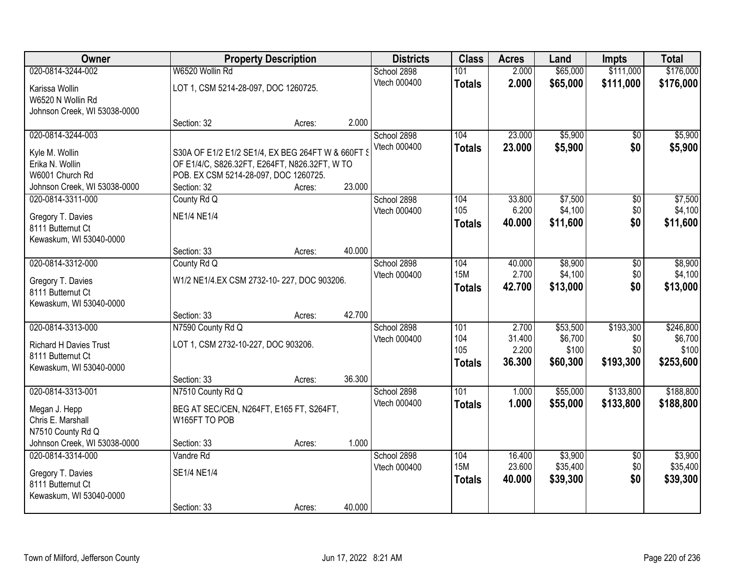| Owner                         |                                                   | <b>Property Description</b> |        | <b>Districts</b> | <b>Class</b>  | <b>Acres</b> | Land     | <b>Impts</b>    | <b>Total</b> |
|-------------------------------|---------------------------------------------------|-----------------------------|--------|------------------|---------------|--------------|----------|-----------------|--------------|
| 020-0814-3244-002             | W6520 Wollin Rd                                   |                             |        | School 2898      | 101           | 2.000        | \$65,000 | \$111,000       | \$176,000    |
| Karissa Wollin                | LOT 1, CSM 5214-28-097, DOC 1260725.              |                             |        | Vtech 000400     | <b>Totals</b> | 2.000        | \$65,000 | \$111,000       | \$176,000    |
| W6520 N Wollin Rd             |                                                   |                             |        |                  |               |              |          |                 |              |
| Johnson Creek, WI 53038-0000  |                                                   |                             |        |                  |               |              |          |                 |              |
|                               | Section: 32                                       | Acres:                      | 2.000  |                  |               |              |          |                 |              |
| 020-0814-3244-003             |                                                   |                             |        | School 2898      | 104           | 23.000       | \$5,900  | \$0             | \$5,900      |
| Kyle M. Wollin                | S30A OF E1/2 E1/2 SE1/4, EX BEG 264FT W & 660FT \ |                             |        | Vtech 000400     | <b>Totals</b> | 23.000       | \$5,900  | \$0             | \$5,900      |
| Erika N. Wollin               | OF E1/4/C, S826.32FT, E264FT, N826.32FT, W TO     |                             |        |                  |               |              |          |                 |              |
| W6001 Church Rd               | POB. EX CSM 5214-28-097, DOC 1260725.             |                             |        |                  |               |              |          |                 |              |
| Johnson Creek, WI 53038-0000  | Section: 32                                       | Acres:                      | 23.000 |                  |               |              |          |                 |              |
| 020-0814-3311-000             | County Rd Q                                       |                             |        | School 2898      | 104           | 33.800       | \$7,500  | \$0             | \$7,500      |
| Gregory T. Davies             | <b>NE1/4 NE1/4</b>                                |                             |        | Vtech 000400     | 105           | 6.200        | \$4,100  | \$0             | \$4,100      |
| 8111 Butternut Ct             |                                                   |                             |        |                  | <b>Totals</b> | 40.000       | \$11,600 | \$0             | \$11,600     |
| Kewaskum, WI 53040-0000       |                                                   |                             |        |                  |               |              |          |                 |              |
|                               | Section: 33                                       | Acres:                      | 40.000 |                  |               |              |          |                 |              |
| 020-0814-3312-000             | County Rd Q                                       |                             |        | School 2898      | 104           | 40.000       | \$8,900  | \$0             | \$8,900      |
| Gregory T. Davies             | W1/2 NE1/4.EX CSM 2732-10-227, DOC 903206.        |                             |        | Vtech 000400     | <b>15M</b>    | 2.700        | \$4,100  | \$0             | \$4,100      |
| 8111 Butternut Ct             |                                                   |                             |        |                  | <b>Totals</b> | 42.700       | \$13,000 | \$0             | \$13,000     |
| Kewaskum, WI 53040-0000       |                                                   |                             |        |                  |               |              |          |                 |              |
|                               | Section: 33                                       | Acres:                      | 42.700 |                  |               |              |          |                 |              |
| 020-0814-3313-000             | N7590 County Rd Q                                 |                             |        | School 2898      | 101           | 2.700        | \$53,500 | \$193,300       | \$246,800    |
| <b>Richard H Davies Trust</b> | LOT 1, CSM 2732-10-227, DOC 903206.               |                             |        | Vtech 000400     | 104           | 31.400       | \$6,700  | \$0             | \$6,700      |
| 8111 Butternut Ct             |                                                   |                             |        |                  | 105           | 2.200        | \$100    | \$0             | \$100        |
| Kewaskum, WI 53040-0000       |                                                   |                             |        |                  | <b>Totals</b> | 36.300       | \$60,300 | \$193,300       | \$253,600    |
|                               | Section: 33                                       | Acres:                      | 36.300 |                  |               |              |          |                 |              |
| 020-0814-3313-001             | N7510 County Rd Q                                 |                             |        | School 2898      | 101           | 1.000        | \$55,000 | \$133,800       | \$188,800    |
| Megan J. Hepp                 | BEG AT SEC/CEN, N264FT, E165 FT, S264FT,          |                             |        | Vtech 000400     | <b>Totals</b> | 1.000        | \$55,000 | \$133,800       | \$188,800    |
| Chris E. Marshall             | W165FT TO POB                                     |                             |        |                  |               |              |          |                 |              |
| N7510 County Rd Q             |                                                   |                             |        |                  |               |              |          |                 |              |
| Johnson Creek, WI 53038-0000  | Section: 33                                       | Acres:                      | 1.000  |                  |               |              |          |                 |              |
| 020-0814-3314-000             | Vandre Rd                                         |                             |        | School 2898      | 104           | 16.400       | \$3,900  | $\overline{50}$ | \$3,900      |
| Gregory T. Davies             | <b>SE1/4 NE1/4</b>                                |                             |        | Vtech 000400     | <b>15M</b>    | 23.600       | \$35,400 | \$0             | \$35,400     |
| 8111 Butternut Ct             |                                                   |                             |        |                  | <b>Totals</b> | 40.000       | \$39,300 | \$0             | \$39,300     |
| Kewaskum, WI 53040-0000       |                                                   |                             |        |                  |               |              |          |                 |              |
|                               | Section: 33                                       | Acres:                      | 40.000 |                  |               |              |          |                 |              |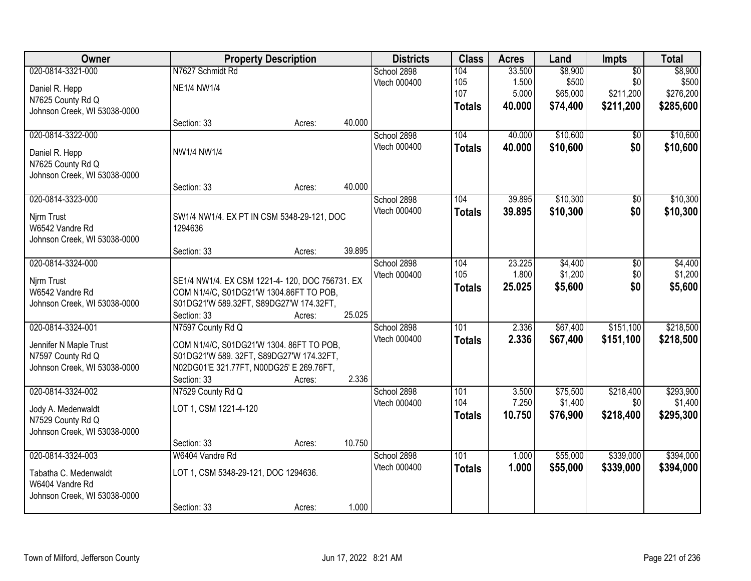| Owner                        |                                                | <b>Property Description</b> |        | <b>Districts</b> | <b>Class</b>  | <b>Acres</b> | Land     | Impts           | <b>Total</b> |
|------------------------------|------------------------------------------------|-----------------------------|--------|------------------|---------------|--------------|----------|-----------------|--------------|
| 020-0814-3321-000            | N7627 Schmidt Rd                               |                             |        | School 2898      | 104           | 33.500       | \$8,900  | $\overline{50}$ | \$8,900      |
| Daniel R. Hepp               | <b>NE1/4 NW1/4</b>                             |                             |        | Vtech 000400     | 105           | 1.500        | \$500    | \$0             | \$500        |
| N7625 County Rd Q            |                                                |                             |        |                  | 107           | 5.000        | \$65,000 | \$211,200       | \$276,200    |
| Johnson Creek, WI 53038-0000 |                                                |                             |        |                  | <b>Totals</b> | 40.000       | \$74,400 | \$211,200       | \$285,600    |
|                              | Section: 33                                    | Acres:                      | 40.000 |                  |               |              |          |                 |              |
| 020-0814-3322-000            |                                                |                             |        | School 2898      | 104           | 40.000       | \$10,600 | \$0             | \$10,600     |
| Daniel R. Hepp               | NW1/4 NW1/4                                    |                             |        | Vtech 000400     | <b>Totals</b> | 40.000       | \$10,600 | \$0             | \$10,600     |
| N7625 County Rd Q            |                                                |                             |        |                  |               |              |          |                 |              |
| Johnson Creek, WI 53038-0000 |                                                |                             |        |                  |               |              |          |                 |              |
|                              | Section: 33                                    | Acres:                      | 40.000 |                  |               |              |          |                 |              |
| 020-0814-3323-000            |                                                |                             |        | School 2898      | 104           | 39.895       | \$10,300 | \$0             | \$10,300     |
| Njrm Trust                   | SW1/4 NW1/4. EX PT IN CSM 5348-29-121, DOC     |                             |        | Vtech 000400     | <b>Totals</b> | 39.895       | \$10,300 | \$0             | \$10,300     |
| W6542 Vandre Rd              | 1294636                                        |                             |        |                  |               |              |          |                 |              |
| Johnson Creek, WI 53038-0000 |                                                |                             |        |                  |               |              |          |                 |              |
|                              | Section: 33                                    | Acres:                      | 39.895 |                  |               |              |          |                 |              |
| 020-0814-3324-000            |                                                |                             |        | School 2898      | 104           | 23.225       | \$4,400  | \$0             | \$4,400      |
| Njrm Trust                   | SE1/4 NW1/4. EX CSM 1221-4-120, DOC 756731. EX |                             |        | Vtech 000400     | 105           | 1.800        | \$1,200  | \$0             | \$1,200      |
| W6542 Vandre Rd              | COM N1/4/C, S01DG21'W 1304.86FT TO POB,        |                             |        |                  | <b>Totals</b> | 25.025       | \$5,600  | \$0             | \$5,600      |
| Johnson Creek, WI 53038-0000 | S01DG21'W 589.32FT, S89DG27'W 174.32FT,        |                             |        |                  |               |              |          |                 |              |
|                              | Section: 33                                    | Acres:                      | 25.025 |                  |               |              |          |                 |              |
| 020-0814-3324-001            | N7597 County Rd Q                              |                             |        | School 2898      | 101           | 2.336        | \$67,400 | \$151,100       | \$218,500    |
| Jennifer N Maple Trust       | COM N1/4/C, S01DG21'W 1304. 86FT TO POB,       |                             |        | Vtech 000400     | <b>Totals</b> | 2.336        | \$67,400 | \$151,100       | \$218,500    |
| N7597 County Rd Q            | S01DG21'W 589. 32FT, S89DG27'W 174.32FT,       |                             |        |                  |               |              |          |                 |              |
| Johnson Creek, WI 53038-0000 | N02DG01'E 321.77FT, N00DG25' E 269.76FT,       |                             |        |                  |               |              |          |                 |              |
|                              | Section: 33                                    | Acres:                      | 2.336  |                  |               |              |          |                 |              |
| 020-0814-3324-002            | N7529 County Rd Q                              |                             |        | School 2898      | 101           | 3.500        | \$75,500 | \$218,400       | \$293,900    |
| Jody A. Medenwaldt           | LOT 1, CSM 1221-4-120                          |                             |        | Vtech 000400     | 104           | 7.250        | \$1,400  | \$0             | \$1,400      |
| N7529 County Rd Q            |                                                |                             |        |                  | <b>Totals</b> | 10.750       | \$76,900 | \$218,400       | \$295,300    |
| Johnson Creek, WI 53038-0000 |                                                |                             |        |                  |               |              |          |                 |              |
|                              | Section: 33                                    | Acres:                      | 10.750 |                  |               |              |          |                 |              |
| 020-0814-3324-003            | W6404 Vandre Rd                                |                             |        | School 2898      | 101           | 1.000        | \$55,000 | \$339,000       | \$394,000    |
| Tabatha C. Medenwaldt        | LOT 1, CSM 5348-29-121, DOC 1294636.           |                             |        | Vtech 000400     | <b>Totals</b> | 1.000        | \$55,000 | \$339,000       | \$394,000    |
| W6404 Vandre Rd              |                                                |                             |        |                  |               |              |          |                 |              |
| Johnson Creek, WI 53038-0000 |                                                |                             |        |                  |               |              |          |                 |              |
|                              | Section: 33                                    | Acres:                      | 1.000  |                  |               |              |          |                 |              |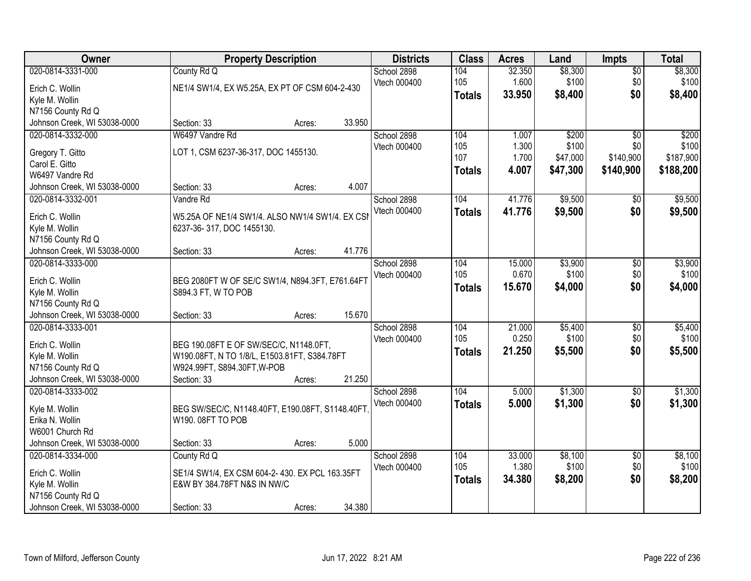| Owner                                           |                                                                             | <b>Property Description</b> |        | <b>Districts</b> | <b>Class</b>  | <b>Acres</b> | Land     | <b>Impts</b>    | <b>Total</b> |
|-------------------------------------------------|-----------------------------------------------------------------------------|-----------------------------|--------|------------------|---------------|--------------|----------|-----------------|--------------|
| 020-0814-3331-000                               | County Rd Q                                                                 |                             |        | School 2898      | 104           | 32.350       | \$8,300  | $\overline{50}$ | \$8,300      |
| Erich C. Wollin                                 | NE1/4 SW1/4, EX W5.25A, EX PT OF CSM 604-2-430                              |                             |        | Vtech 000400     | 105           | 1.600        | \$100    | \$0             | \$100        |
| Kyle M. Wollin                                  |                                                                             |                             |        |                  | <b>Totals</b> | 33.950       | \$8,400  | \$0             | \$8,400      |
| N7156 County Rd Q                               |                                                                             |                             |        |                  |               |              |          |                 |              |
| Johnson Creek, WI 53038-0000                    | Section: 33                                                                 | Acres:                      | 33.950 |                  |               |              |          |                 |              |
| 020-0814-3332-000                               | W6497 Vandre Rd                                                             |                             |        | School 2898      | 104           | 1.007        | \$200    | $\overline{50}$ | \$200        |
| Gregory T. Gitto                                | LOT 1, CSM 6237-36-317, DOC 1455130.                                        |                             |        | Vtech 000400     | 105           | 1.300        | \$100    | \$0             | \$100        |
| Carol E. Gitto                                  |                                                                             |                             |        |                  | 107           | 1.700        | \$47,000 | \$140,900       | \$187,900    |
| W6497 Vandre Rd                                 |                                                                             |                             |        |                  | <b>Totals</b> | 4.007        | \$47,300 | \$140,900       | \$188,200    |
| Johnson Creek, WI 53038-0000                    | Section: 33                                                                 | Acres:                      | 4.007  |                  |               |              |          |                 |              |
| 020-0814-3332-001                               | Vandre Rd                                                                   |                             |        | School 2898      | 104           | 41.776       | \$9,500  | \$0             | \$9,500      |
| Erich C. Wollin                                 | W5.25A OF NE1/4 SW1/4. ALSO NW1/4 SW1/4. EX CSI                             |                             |        | Vtech 000400     | <b>Totals</b> | 41.776       | \$9,500  | \$0             | \$9,500      |
| Kyle M. Wollin                                  | 6237-36-317, DOC 1455130.                                                   |                             |        |                  |               |              |          |                 |              |
| N7156 County Rd Q                               |                                                                             |                             |        |                  |               |              |          |                 |              |
| Johnson Creek, WI 53038-0000                    | Section: 33                                                                 | Acres:                      | 41.776 |                  |               |              |          |                 |              |
| 020-0814-3333-000                               |                                                                             |                             |        | School 2898      | 104           | 15.000       | \$3,900  | \$0             | \$3,900      |
| Erich C. Wollin                                 | BEG 2080FT W OF SE/C SW1/4, N894.3FT, E761.64FT                             |                             |        | Vtech 000400     | 105           | 0.670        | \$100    | \$0             | \$100        |
| Kyle M. Wollin                                  | S894.3 FT, W TO POB                                                         |                             |        |                  | <b>Totals</b> | 15.670       | \$4,000  | \$0             | \$4,000      |
| N7156 County Rd Q                               |                                                                             |                             |        |                  |               |              |          |                 |              |
| Johnson Creek, WI 53038-0000                    | Section: 33                                                                 | Acres:                      | 15.670 |                  |               |              |          |                 |              |
| 020-0814-3333-001                               |                                                                             |                             |        | School 2898      | 104           | 21.000       | \$5,400  | $\overline{30}$ | \$5,400      |
|                                                 |                                                                             |                             |        | Vtech 000400     | 105           | 0.250        | \$100    | \$0             | \$100        |
| Erich C. Wollin                                 | BEG 190.08FT E OF SW/SEC/C, N1148.0FT,                                      |                             |        |                  | <b>Totals</b> | 21.250       | \$5,500  | \$0             | \$5,500      |
| Kyle M. Wollin<br>N7156 County Rd Q             | W190.08FT, N TO 1/8/L, E1503.81FT, S384.78FT<br>W924.99FT, S894.30FT, W-POB |                             |        |                  |               |              |          |                 |              |
| Johnson Creek, WI 53038-0000                    | Section: 33                                                                 | Acres:                      | 21.250 |                  |               |              |          |                 |              |
| 020-0814-3333-002                               |                                                                             |                             |        | School 2898      | 104           | 5.000        | \$1,300  | $\sqrt{6}$      | \$1,300      |
|                                                 |                                                                             |                             |        | Vtech 000400     | <b>Totals</b> | 5.000        | \$1,300  | \$0             | \$1,300      |
| Kyle M. Wollin                                  | BEG SW/SEC/C, N1148.40FT, E190.08FT, S1148.40FT                             |                             |        |                  |               |              |          |                 |              |
| Erika N. Wollin                                 | W190.08FT TO POB                                                            |                             |        |                  |               |              |          |                 |              |
| W6001 Church Rd<br>Johnson Creek, WI 53038-0000 | Section: 33                                                                 | Acres:                      | 5.000  |                  |               |              |          |                 |              |
| 020-0814-3334-000                               | County Rd Q                                                                 |                             |        | School 2898      | 104           | 33.000       | \$8,100  | $\overline{50}$ | \$8,100      |
|                                                 |                                                                             |                             |        | Vtech 000400     | 105           | 1.380        | \$100    | \$0             | \$100        |
| Erich C. Wollin                                 | SE1/4 SW1/4, EX CSM 604-2-430. EX PCL 163.35FT                              |                             |        |                  | <b>Totals</b> | 34.380       | \$8,200  | \$0             | \$8,200      |
| Kyle M. Wollin                                  | E&W BY 384.78FT N&S IN NW/C                                                 |                             |        |                  |               |              |          |                 |              |
| N7156 County Rd Q                               |                                                                             |                             |        |                  |               |              |          |                 |              |
| Johnson Creek, WI 53038-0000                    | Section: 33                                                                 | Acres:                      | 34.380 |                  |               |              |          |                 |              |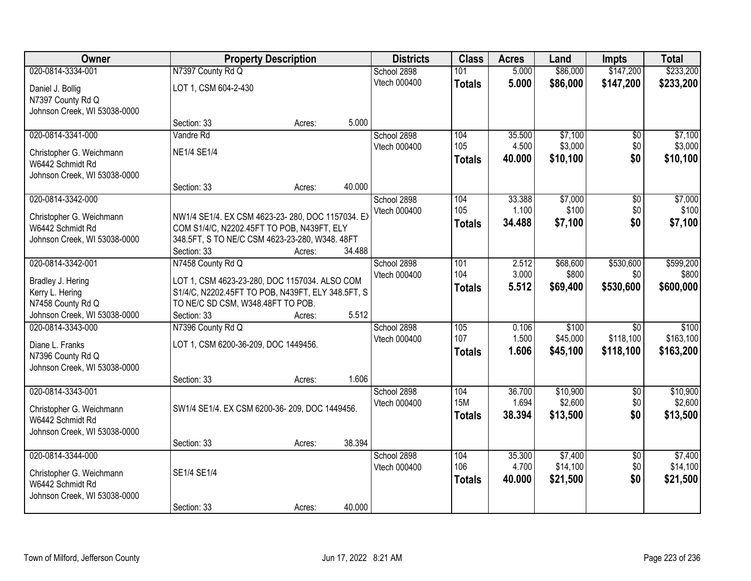| 020-0814-3334-001<br>N7397 County Rd Q<br>\$86,000<br>\$147,200<br>School 2898<br>101<br>5.000                                   | \$233,200 |
|----------------------------------------------------------------------------------------------------------------------------------|-----------|
|                                                                                                                                  |           |
| Vtech 000400<br>5.000<br>\$86,000<br>\$147,200<br><b>Totals</b><br>LOT 1, CSM 604-2-430<br>Daniel J. Bollig<br>N7397 County Rd Q | \$233,200 |
| Johnson Creek, WI 53038-0000                                                                                                     |           |
| 5.000<br>Section: 33<br>Acres:                                                                                                   |           |
| 020-0814-3341-000<br>\$7,100<br>School 2898<br>104<br>Vandre Rd<br>35.500<br>\$0                                                 | \$7,100   |
| 105<br>4.500<br>\$3,000<br>\$0<br>Vtech 000400<br><b>NE1/4 SE1/4</b><br>Christopher G. Weichmann                                 | \$3,000   |
| \$0<br>40.000<br>\$10,100<br><b>Totals</b><br>W6442 Schmidt Rd                                                                   | \$10,100  |
| Johnson Creek, WI 53038-0000                                                                                                     |           |
| 40.000<br>Section: 33<br>Acres:                                                                                                  |           |
| 020-0814-3342-000<br>33.388<br>\$7,000<br>School 2898<br>104<br>\$0                                                              | \$7,000   |
| \$0<br>105<br>1.100<br>\$100<br>Vtech 000400<br>NW1/4 SE1/4. EX CSM 4623-23-280, DOC 1157034. EX<br>Christopher G. Weichmann     | \$100     |
| \$7,100<br>\$0<br>34.488<br><b>Totals</b><br>COM S1/4/C, N2202.45FT TO POB, N439FT, ELY<br>W6442 Schmidt Rd                      | \$7,100   |
| Johnson Creek, WI 53038-0000<br>348.5FT, S TO NE/C CSM 4623-23-280, W348. 48FT                                                   |           |
| 34.488<br>Section: 33<br>Acres:                                                                                                  |           |
| \$530,600<br>020-0814-3342-001<br>N7458 County Rd Q<br>School 2898<br>101<br>\$68,600<br>2.512                                   | \$599,200 |
| 3.000<br>104<br>\$800<br>\$0<br>Vtech 000400<br>LOT 1, CSM 4623-23-280, DOC 1157034. ALSO COM<br>Bradley J. Hering               | \$800     |
| 5.512<br>\$530,600<br>\$69,400<br><b>Totals</b><br>Kerry L. Hering<br>S1/4/C, N2202.45FT TO POB, N439FT, ELY 348.5FT, S          | \$600,000 |
| N7458 County Rd Q<br>TO NE/C SD CSM, W348.48FT TO POB.                                                                           |           |
| 5.512<br>Johnson Creek, WI 53038-0000<br>Section: 33<br>Acres:                                                                   |           |
| N7396 County Rd Q<br>\$100<br>020-0814-3343-000<br>105<br>0.106<br>$\overline{50}$<br>School 2898                                | \$100     |
| 107<br>\$118,100<br>1.500<br>\$45,000<br>Vtech 000400                                                                            | \$163,100 |
| LOT 1, CSM 6200-36-209, DOC 1449456.<br>Diane L. Franks<br>1.606<br>\$118,100<br>\$45,100<br><b>Totals</b><br>N7396 County Rd Q  | \$163,200 |
| Johnson Creek, WI 53038-0000                                                                                                     |           |
| 1.606<br>Section: 33<br>Acres:                                                                                                   |           |
| 020-0814-3343-001<br>School 2898<br>104<br>36.700<br>\$10,900<br>$\sqrt{6}$                                                      | \$10,900  |
| \$0 <br><b>15M</b><br>1.694<br>\$2,600<br>Vtech 000400                                                                           | \$2,600   |
| SW1/4 SE1/4. EX CSM 6200-36-209, DOC 1449456.<br>Christopher G. Weichmann<br>\$13,500<br>\$0<br>38.394<br><b>Totals</b>          | \$13,500  |
| W6442 Schmidt Rd<br>Johnson Creek, WI 53038-0000                                                                                 |           |
| 38.394<br>Section: 33<br>Acres:                                                                                                  |           |
| 020-0814-3344-000<br>\$7,400<br>104<br>35.300<br>$\overline{50}$<br>School 2898                                                  | \$7,400   |
| \$0<br>106<br>4.700<br>\$14,100<br>Vtech 000400                                                                                  | \$14,100  |
| SE1/4 SE1/4<br>Christopher G. Weichmann<br>\$0<br>40.000<br>\$21,500<br><b>Totals</b>                                            | \$21,500  |
| W6442 Schmidt Rd<br>Johnson Creek, WI 53038-0000                                                                                 |           |
| 40.000<br>Section: 33<br>Acres:                                                                                                  |           |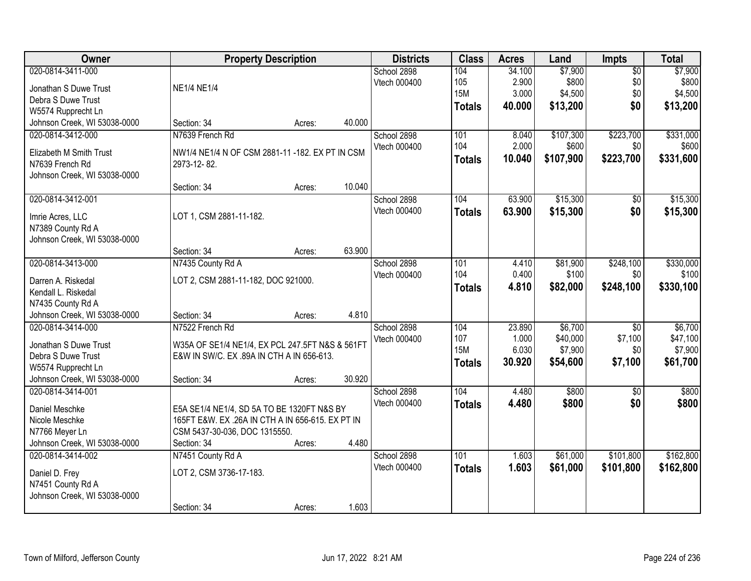| Owner                        | <b>Property Description</b>                                                                  |        |        | <b>Districts</b> | <b>Class</b>  | <b>Acres</b> | Land      | Impts           | <b>Total</b> |
|------------------------------|----------------------------------------------------------------------------------------------|--------|--------|------------------|---------------|--------------|-----------|-----------------|--------------|
| 020-0814-3411-000            |                                                                                              |        |        | School 2898      | 104           | 34.100       | \$7,900   | $\overline{50}$ | \$7,900      |
| Jonathan S Duwe Trust        | <b>NE1/4 NE1/4</b>                                                                           |        |        | Vtech 000400     | 105           | 2.900        | \$800     | \$0             | \$800        |
| Debra S Duwe Trust           |                                                                                              |        |        |                  | <b>15M</b>    | 3.000        | \$4,500   | \$0             | \$4,500      |
| W5574 Rupprecht Ln           |                                                                                              |        |        |                  | <b>Totals</b> | 40.000       | \$13,200  | \$0             | \$13,200     |
| Johnson Creek, WI 53038-0000 | Section: 34                                                                                  | Acres: | 40.000 |                  |               |              |           |                 |              |
| 020-0814-3412-000            | N7639 French Rd                                                                              |        |        | School 2898      | 101           | 8.040        | \$107,300 | \$223,700       | \$331,000    |
|                              |                                                                                              |        |        | Vtech 000400     | 104           | 2.000        | \$600     | \$0             | \$600        |
| Elizabeth M Smith Trust      | NW1/4 NE1/4 N OF CSM 2881-11 -182. EX PT IN CSM                                              |        |        |                  | <b>Totals</b> | 10.040       | \$107,900 | \$223,700       | \$331,600    |
| N7639 French Rd              | 2973-12-82.                                                                                  |        |        |                  |               |              |           |                 |              |
| Johnson Creek, WI 53038-0000 | Section: 34                                                                                  | Acres: | 10.040 |                  |               |              |           |                 |              |
| 020-0814-3412-001            |                                                                                              |        |        | School 2898      | 104           | 63.900       | \$15,300  | \$0             | \$15,300     |
|                              |                                                                                              |        |        | Vtech 000400     | <b>Totals</b> | 63.900       | \$15,300  | \$0             | \$15,300     |
| Imrie Acres, LLC             | LOT 1, CSM 2881-11-182.                                                                      |        |        |                  |               |              |           |                 |              |
| N7389 County Rd A            |                                                                                              |        |        |                  |               |              |           |                 |              |
| Johnson Creek, WI 53038-0000 |                                                                                              |        |        |                  |               |              |           |                 |              |
|                              | Section: 34                                                                                  | Acres: | 63.900 |                  |               |              |           |                 |              |
| 020-0814-3413-000            | N7435 County Rd A                                                                            |        |        | School 2898      | 101           | 4.410        | \$81,900  | \$248,100       | \$330,000    |
| Darren A. Riskedal           | LOT 2, CSM 2881-11-182, DOC 921000.                                                          |        |        | Vtech 000400     | 104           | 0.400        | \$100     | \$0             | \$100        |
| Kendall L. Riskedal          |                                                                                              |        |        |                  | <b>Totals</b> | 4.810        | \$82,000  | \$248,100       | \$330,100    |
| N7435 County Rd A            |                                                                                              |        |        |                  |               |              |           |                 |              |
| Johnson Creek, WI 53038-0000 | Section: 34                                                                                  | Acres: | 4.810  |                  |               |              |           |                 |              |
| 020-0814-3414-000            | N7522 French Rd                                                                              |        |        | School 2898      | 104           | 23.890       | \$6,700   | $\overline{50}$ | \$6,700      |
| Jonathan S Duwe Trust        |                                                                                              |        |        | Vtech 000400     | 107           | 1.000        | \$40,000  | \$7,100         | \$47,100     |
| Debra S Duwe Trust           | W35A OF SE1/4 NE1/4, EX PCL 247.5FT N&S & 561FT<br>E&W IN SW/C. EX .89A IN CTH A IN 656-613. |        |        |                  | <b>15M</b>    | 6.030        | \$7,900   | \$0             | \$7,900      |
| W5574 Rupprecht Ln           |                                                                                              |        |        |                  | <b>Totals</b> | 30.920       | \$54,600  | \$7,100         | \$61,700     |
| Johnson Creek, WI 53038-0000 | Section: 34                                                                                  | Acres: | 30.920 |                  |               |              |           |                 |              |
| 020-0814-3414-001            |                                                                                              |        |        | School 2898      | 104           | 4.480        | \$800     | $\sqrt{6}$      | \$800        |
|                              |                                                                                              |        |        | Vtech 000400     | <b>Totals</b> | 4.480        | \$800     | \$0             | \$800        |
| Daniel Meschke               | E5A SE1/4 NE1/4, SD 5A TO BE 1320FT N&S BY                                                   |        |        |                  |               |              |           |                 |              |
| Nicole Meschke               | 165FT E&W. EX .26A IN CTH A IN 656-615. EX PT IN                                             |        |        |                  |               |              |           |                 |              |
| N7766 Meyer Ln               | CSM 5437-30-036, DOC 1315550.                                                                |        |        |                  |               |              |           |                 |              |
| Johnson Creek, WI 53038-0000 | Section: 34                                                                                  | Acres: | 4.480  |                  |               |              |           |                 |              |
| 020-0814-3414-002            | N7451 County Rd A                                                                            |        |        | School 2898      | 101           | 1.603        | \$61,000  | \$101,800       | \$162,800    |
| Daniel D. Frey               | LOT 2, CSM 3736-17-183.                                                                      |        |        | Vtech 000400     | <b>Totals</b> | 1.603        | \$61,000  | \$101,800       | \$162,800    |
| N7451 County Rd A            |                                                                                              |        |        |                  |               |              |           |                 |              |
| Johnson Creek, WI 53038-0000 |                                                                                              |        |        |                  |               |              |           |                 |              |
|                              | Section: 34                                                                                  | Acres: | 1.603  |                  |               |              |           |                 |              |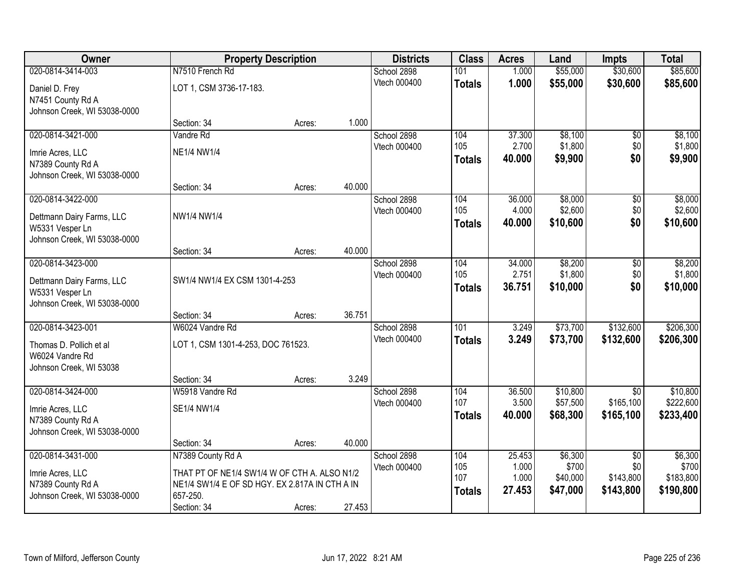| Owner                                        |                                                | <b>Property Description</b> |        | <b>Districts</b>            | <b>Class</b>         | <b>Acres</b>    | Land               | <b>Impts</b>           | <b>Total</b>       |
|----------------------------------------------|------------------------------------------------|-----------------------------|--------|-----------------------------|----------------------|-----------------|--------------------|------------------------|--------------------|
| 020-0814-3414-003                            | N7510 French Rd                                |                             |        | School 2898                 | 101                  | 1.000           | \$55,000           | \$30,600               | \$85,600           |
| Daniel D. Frey                               | LOT 1, CSM 3736-17-183.                        |                             |        | Vtech 000400                | <b>Totals</b>        | 1.000           | \$55,000           | \$30,600               | \$85,600           |
| N7451 County Rd A                            |                                                |                             |        |                             |                      |                 |                    |                        |                    |
| Johnson Creek, WI 53038-0000                 |                                                |                             |        |                             |                      |                 |                    |                        |                    |
|                                              | Section: 34                                    | Acres:                      | 1.000  |                             |                      |                 |                    |                        |                    |
| 020-0814-3421-000                            | Vandre Rd                                      |                             |        | School 2898                 | 104                  | 37.300          | \$8,100            | \$0                    | \$8,100            |
| Imrie Acres, LLC                             | <b>NE1/4 NW1/4</b>                             |                             |        | Vtech 000400                | 105<br><b>Totals</b> | 2.700<br>40.000 | \$1,800<br>\$9,900 | \$0<br>\$0             | \$1,800<br>\$9,900 |
| N7389 County Rd A                            |                                                |                             |        |                             |                      |                 |                    |                        |                    |
| Johnson Creek, WI 53038-0000                 |                                                |                             |        |                             |                      |                 |                    |                        |                    |
| 020-0814-3422-000                            | Section: 34                                    | Acres:                      | 40.000 |                             | 104                  | 36.000          | \$8,000            |                        |                    |
|                                              |                                                |                             |        | School 2898<br>Vtech 000400 | 105                  | 4.000           | \$2,600            | \$0<br>\$0             | \$8,000<br>\$2,600 |
| Dettmann Dairy Farms, LLC                    | NW1/4 NW1/4                                    |                             |        |                             | <b>Totals</b>        | 40.000          | \$10,600           | \$0                    | \$10,600           |
| W5331 Vesper Ln                              |                                                |                             |        |                             |                      |                 |                    |                        |                    |
| Johnson Creek, WI 53038-0000                 | Section: 34                                    | Acres:                      | 40.000 |                             |                      |                 |                    |                        |                    |
| 020-0814-3423-000                            |                                                |                             |        | School 2898                 | 104                  | 34.000          | \$8,200            | \$0                    | \$8,200            |
|                                              |                                                |                             |        | Vtech 000400                | 105                  | 2.751           | \$1,800            | \$0                    | \$1,800            |
| Dettmann Dairy Farms, LLC<br>W5331 Vesper Ln | SW1/4 NW1/4 EX CSM 1301-4-253                  |                             |        |                             | <b>Totals</b>        | 36.751          | \$10,000           | \$0                    | \$10,000           |
| Johnson Creek, WI 53038-0000                 |                                                |                             |        |                             |                      |                 |                    |                        |                    |
|                                              | Section: 34                                    | Acres:                      | 36.751 |                             |                      |                 |                    |                        |                    |
| 020-0814-3423-001                            | W6024 Vandre Rd                                |                             |        | School 2898                 | 101                  | 3.249           | \$73,700           | \$132,600              | \$206,300          |
| Thomas D. Pollich et al                      | LOT 1, CSM 1301-4-253, DOC 761523.             |                             |        | Vtech 000400                | <b>Totals</b>        | 3.249           | \$73,700           | \$132,600              | \$206,300          |
| W6024 Vandre Rd                              |                                                |                             |        |                             |                      |                 |                    |                        |                    |
| Johnson Creek, WI 53038                      |                                                |                             |        |                             |                      |                 |                    |                        |                    |
|                                              | Section: 34                                    | Acres:                      | 3.249  |                             |                      |                 |                    |                        |                    |
| 020-0814-3424-000                            | W5918 Vandre Rd                                |                             |        | School 2898                 | 104                  | 36.500          | \$10,800           | $\overline{50}$        | \$10,800           |
| Imrie Acres, LLC                             | SE1/4 NW1/4                                    |                             |        | Vtech 000400                | 107                  | 3.500           | \$57,500           | \$165,100              | \$222,600          |
| N7389 County Rd A                            |                                                |                             |        |                             | <b>Totals</b>        | 40.000          | \$68,300           | \$165,100              | \$233,400          |
| Johnson Creek, WI 53038-0000                 |                                                |                             |        |                             |                      |                 |                    |                        |                    |
|                                              | Section: 34                                    | Acres:                      | 40.000 |                             |                      |                 |                    |                        |                    |
| 020-0814-3431-000                            | N7389 County Rd A                              |                             |        | School 2898                 | 104<br>105           | 25.453<br>1.000 | \$6,300<br>\$700   | $\overline{30}$<br>\$0 | \$6,300<br>\$700   |
| Imrie Acres, LLC                             | THAT PT OF NE1/4 SW1/4 W OF CTH A. ALSO N1/2   |                             |        | Vtech 000400                | 107                  | 1.000           | \$40,000           | \$143,800              | \$183,800          |
| N7389 County Rd A                            | NE1/4 SW1/4 E OF SD HGY. EX 2.817A IN CTH A IN |                             |        |                             | <b>Totals</b>        | 27.453          | \$47,000           | \$143,800              | \$190,800          |
| Johnson Creek, WI 53038-0000                 | 657-250.                                       |                             |        |                             |                      |                 |                    |                        |                    |
|                                              | Section: 34                                    | Acres:                      | 27.453 |                             |                      |                 |                    |                        |                    |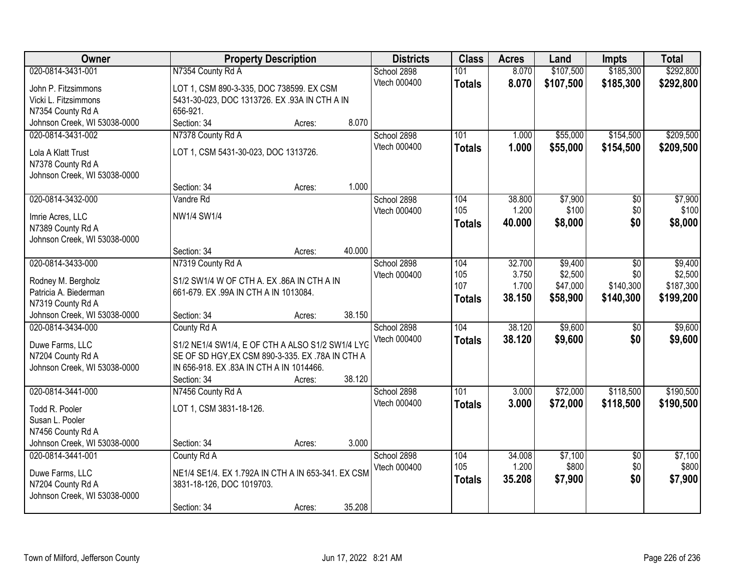| Owner                                             | <b>Property Description</b>                                                                 |        |        | <b>Districts</b>            | <b>Class</b>     | <b>Acres</b>    | Land             | <b>Impts</b>           | <b>Total</b>     |
|---------------------------------------------------|---------------------------------------------------------------------------------------------|--------|--------|-----------------------------|------------------|-----------------|------------------|------------------------|------------------|
| 020-0814-3431-001                                 | N7354 County Rd A                                                                           |        |        | School 2898                 | 101              | 8.070           | \$107,500        | \$185,300              | \$292,800        |
| John P. Fitzsimmons                               | LOT 1, CSM 890-3-335, DOC 738599. EX CSM                                                    |        |        | Vtech 000400                | <b>Totals</b>    | 8.070           | \$107,500        | \$185,300              | \$292,800        |
| Vicki L. Fitzsimmons                              | 5431-30-023, DOC 1313726. EX .93A IN CTH A IN                                               |        |        |                             |                  |                 |                  |                        |                  |
| N7354 County Rd A                                 | 656-921.                                                                                    |        |        |                             |                  |                 |                  |                        |                  |
| Johnson Creek, WI 53038-0000                      | Section: 34                                                                                 | Acres: | 8.070  |                             |                  |                 |                  |                        |                  |
| 020-0814-3431-002                                 | N7378 County Rd A                                                                           |        |        | School 2898                 | 101              | 1.000           | \$55,000         | \$154,500              | \$209,500        |
| Lola A Klatt Trust                                | LOT 1, CSM 5431-30-023, DOC 1313726.                                                        |        |        | Vtech 000400                | <b>Totals</b>    | 1.000           | \$55,000         | \$154,500              | \$209,500        |
| N7378 County Rd A                                 |                                                                                             |        |        |                             |                  |                 |                  |                        |                  |
| Johnson Creek, WI 53038-0000                      |                                                                                             |        |        |                             |                  |                 |                  |                        |                  |
|                                                   | Section: 34                                                                                 | Acres: | 1.000  |                             |                  |                 |                  |                        |                  |
| 020-0814-3432-000                                 | Vandre Rd                                                                                   |        |        | School 2898                 | 104              | 38.800          | \$7,900          | $\sqrt[6]{}$           | \$7,900          |
| Imrie Acres, LLC                                  | NW1/4 SW1/4                                                                                 |        |        | Vtech 000400                | 105              | 1.200           | \$100            | \$0                    | \$100            |
| N7389 County Rd A                                 |                                                                                             |        |        |                             | <b>Totals</b>    | 40.000          | \$8,000          | \$0                    | \$8,000          |
| Johnson Creek, WI 53038-0000                      |                                                                                             |        |        |                             |                  |                 |                  |                        |                  |
|                                                   | Section: 34                                                                                 | Acres: | 40.000 |                             |                  |                 |                  |                        |                  |
| 020-0814-3433-000                                 | N7319 County Rd A                                                                           |        |        | School 2898                 | 104              | 32.700          | \$9,400          | \$0                    | \$9,400          |
|                                                   |                                                                                             |        |        | Vtech 000400                | 105              | 3.750           | \$2,500          | \$0                    | \$2,500          |
| Rodney M. Bergholz<br>Patricia A. Biederman       | S1/2 SW1/4 W OF CTH A. EX.86A IN CTH A IN<br>661-679. EX .99A IN CTH A IN 1013084.          |        |        |                             | 107              | 1.700           | \$47,000         | \$140,300              | \$187,300        |
| N7319 County Rd A                                 |                                                                                             |        |        |                             | <b>Totals</b>    | 38.150          | \$58,900         | \$140,300              | \$199,200        |
| Johnson Creek, WI 53038-0000                      | Section: 34                                                                                 | Acres: | 38.150 |                             |                  |                 |                  |                        |                  |
| 020-0814-3434-000                                 | County Rd A                                                                                 |        |        | School 2898                 | 104              | 38.120          | \$9,600          | $\overline{60}$        | \$9,600          |
|                                                   |                                                                                             |        |        | Vtech 000400                | <b>Totals</b>    | 38.120          | \$9,600          | \$0                    | \$9,600          |
| Duwe Farms, LLC                                   | S1/2 NE1/4 SW1/4, E OF CTH A ALSO S1/2 SW1/4 LYG                                            |        |        |                             |                  |                 |                  |                        |                  |
| N7204 County Rd A<br>Johnson Creek, WI 53038-0000 | SE OF SD HGY, EX CSM 890-3-335. EX .78A IN CTH A<br>IN 656-918. EX.83A IN CTH A IN 1014466. |        |        |                             |                  |                 |                  |                        |                  |
|                                                   | Section: 34                                                                                 | Acres: | 38.120 |                             |                  |                 |                  |                        |                  |
| 020-0814-3441-000                                 | N7456 County Rd A                                                                           |        |        | School 2898                 | $\overline{101}$ | 3.000           | \$72,000         | \$118,500              | \$190,500        |
|                                                   |                                                                                             |        |        | Vtech 000400                | <b>Totals</b>    | 3.000           | \$72,000         | \$118,500              | \$190,500        |
| Todd R. Pooler                                    | LOT 1, CSM 3831-18-126.                                                                     |        |        |                             |                  |                 |                  |                        |                  |
| Susan L. Pooler                                   |                                                                                             |        |        |                             |                  |                 |                  |                        |                  |
| N7456 County Rd A                                 |                                                                                             |        |        |                             |                  |                 |                  |                        |                  |
| Johnson Creek, WI 53038-0000<br>020-0814-3441-001 | Section: 34                                                                                 | Acres: | 3.000  |                             |                  |                 |                  |                        |                  |
|                                                   | County Rd A                                                                                 |        |        | School 2898<br>Vtech 000400 | 104<br>105       | 34.008<br>1.200 | \$7,100<br>\$800 | $\overline{60}$<br>\$0 | \$7,100<br>\$800 |
| Duwe Farms, LLC                                   | NE1/4 SE1/4. EX 1.792A IN CTH A IN 653-341. EX CSM                                          |        |        |                             | <b>Totals</b>    | 35.208          | \$7,900          | \$0                    | \$7,900          |
| N7204 County Rd A                                 | 3831-18-126, DOC 1019703.                                                                   |        |        |                             |                  |                 |                  |                        |                  |
| Johnson Creek, WI 53038-0000                      |                                                                                             |        |        |                             |                  |                 |                  |                        |                  |
|                                                   | Section: 34                                                                                 | Acres: | 35.208 |                             |                  |                 |                  |                        |                  |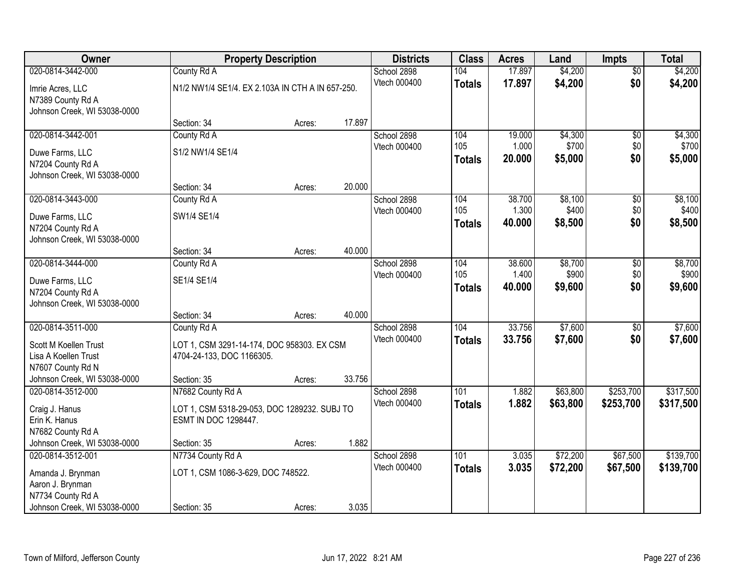| Owner                        |                                                  | <b>Property Description</b> |        | <b>Districts</b>            | <b>Class</b>  | <b>Acres</b>    | Land     | <b>Impts</b>    | <b>Total</b> |
|------------------------------|--------------------------------------------------|-----------------------------|--------|-----------------------------|---------------|-----------------|----------|-----------------|--------------|
| 020-0814-3442-000            | County Rd A                                      |                             |        | School 2898                 | 104           | 17.897          | \$4,200  | $\overline{50}$ | \$4,200      |
| Imrie Acres, LLC             | N1/2 NW1/4 SE1/4. EX 2.103A IN CTH A IN 657-250. |                             |        | Vtech 000400                | <b>Totals</b> | 17.897          | \$4,200  | \$0             | \$4,200      |
| N7389 County Rd A            |                                                  |                             |        |                             |               |                 |          |                 |              |
| Johnson Creek, WI 53038-0000 |                                                  |                             |        |                             |               |                 |          |                 |              |
|                              | Section: 34                                      | Acres:                      | 17.897 |                             |               |                 |          |                 |              |
| 020-0814-3442-001            | County Rd A                                      |                             |        | School 2898                 | 104           | 19.000          | \$4,300  | \$0             | \$4,300      |
| Duwe Farms, LLC              | S1/2 NW1/4 SE1/4                                 |                             |        | Vtech 000400                | 105           | 1.000           | \$700    | \$0             | \$700        |
| N7204 County Rd A            |                                                  |                             |        |                             | <b>Totals</b> | 20.000          | \$5,000  | \$0             | \$5,000      |
| Johnson Creek, WI 53038-0000 |                                                  |                             |        |                             |               |                 |          |                 |              |
|                              | Section: 34                                      | Acres:                      | 20.000 |                             |               |                 |          |                 |              |
| 020-0814-3443-000            | County Rd A                                      |                             |        | School 2898                 | 104           | 38.700          | \$8,100  | \$0             | \$8,100      |
| Duwe Farms, LLC              | SW1/4 SE1/4                                      |                             |        | Vtech 000400                | 105           | 1.300           | \$400    | \$0             | \$400        |
| N7204 County Rd A            |                                                  |                             |        |                             | <b>Totals</b> | 40.000          | \$8,500  | \$0             | \$8,500      |
| Johnson Creek, WI 53038-0000 |                                                  |                             |        |                             |               |                 |          |                 |              |
|                              | Section: 34                                      | Acres:                      | 40.000 |                             |               |                 |          |                 |              |
| 020-0814-3444-000            | County Rd A                                      |                             |        | School 2898                 | 104           | 38.600          | \$8,700  | \$0             | \$8,700      |
| Duwe Farms, LLC              | SE1/4 SE1/4                                      |                             |        | Vtech 000400                | 105           | 1.400<br>40,000 | \$900    | \$0<br>\$0      | \$900        |
| N7204 County Rd A            |                                                  |                             |        |                             | <b>Totals</b> |                 | \$9,600  |                 | \$9,600      |
| Johnson Creek, WI 53038-0000 |                                                  |                             |        |                             |               |                 |          |                 |              |
|                              | Section: 34                                      | Acres:                      | 40.000 |                             |               |                 |          |                 |              |
| 020-0814-3511-000            | County Rd A                                      |                             |        | School 2898                 | 104           | 33.756          | \$7,600  | \$0             | \$7,600      |
| Scott M Koellen Trust        | LOT 1, CSM 3291-14-174, DOC 958303. EX CSM       |                             |        | Vtech 000400                | <b>Totals</b> | 33.756          | \$7,600  | \$0             | \$7,600      |
| Lisa A Koellen Trust         | 4704-24-133, DOC 1166305.                        |                             |        |                             |               |                 |          |                 |              |
| N7607 County Rd N            |                                                  |                             |        |                             |               |                 |          |                 |              |
| Johnson Creek, WI 53038-0000 | Section: 35                                      | Acres:                      | 33.756 |                             |               |                 |          |                 |              |
| 020-0814-3512-000            | N7682 County Rd A                                |                             |        | School 2898                 | 101           | 1.882           | \$63,800 | \$253,700       | \$317,500    |
| Craig J. Hanus               | LOT 1, CSM 5318-29-053, DOC 1289232. SUBJ TO     |                             |        | Vtech 000400                | <b>Totals</b> | 1.882           | \$63,800 | \$253,700       | \$317,500    |
| Erin K. Hanus                | ESMT IN DOC 1298447.                             |                             |        |                             |               |                 |          |                 |              |
| N7682 County Rd A            |                                                  |                             |        |                             |               |                 |          |                 |              |
| Johnson Creek, WI 53038-0000 | Section: 35                                      | Acres:                      | 1.882  |                             |               |                 |          |                 |              |
| 020-0814-3512-001            | N7734 County Rd A                                |                             |        | School 2898<br>Vtech 000400 | 101           | 3.035           | \$72,200 | \$67,500        | \$139,700    |
| Amanda J. Brynman            | LOT 1, CSM 1086-3-629, DOC 748522.               |                             |        |                             | <b>Totals</b> | 3.035           | \$72,200 | \$67,500        | \$139,700    |
| Aaron J. Brynman             |                                                  |                             |        |                             |               |                 |          |                 |              |
| N7734 County Rd A            |                                                  |                             |        |                             |               |                 |          |                 |              |
| Johnson Creek, WI 53038-0000 | Section: 35                                      | Acres:                      | 3.035  |                             |               |                 |          |                 |              |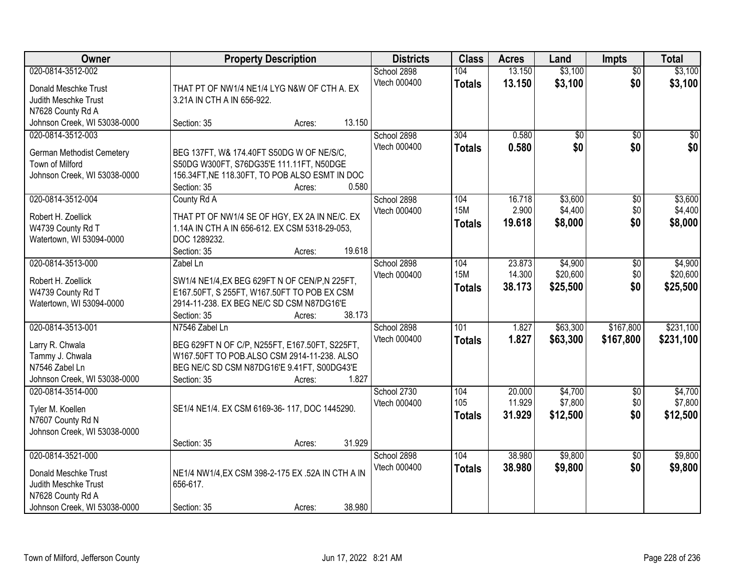| Owner                                                                                                                  | <b>Property Description</b>                                                                                                                                                                      | <b>Districts</b>                   | <b>Class</b>                       | <b>Acres</b>               | Land                            | <b>Impts</b>                  | <b>Total</b>                    |
|------------------------------------------------------------------------------------------------------------------------|--------------------------------------------------------------------------------------------------------------------------------------------------------------------------------------------------|------------------------------------|------------------------------------|----------------------------|---------------------------------|-------------------------------|---------------------------------|
| 020-0814-3512-002<br>Donald Meschke Trust<br>Judith Meschke Trust<br>N7628 County Rd A                                 | THAT PT OF NW1/4 NE1/4 LYG N&W OF CTH A. EX<br>3.21A IN CTH A IN 656-922.                                                                                                                        | School 2898<br>Vtech 000400        | 104<br><b>Totals</b>               | 13.150<br>13.150           | \$3,100<br>\$3,100              | $\overline{50}$<br>\$0        | \$3,100<br>\$3,100              |
| Johnson Creek, WI 53038-0000                                                                                           | 13.150<br>Section: 35<br>Acres:                                                                                                                                                                  |                                    |                                    |                            |                                 |                               |                                 |
| 020-0814-3512-003<br>German Methodist Cemetery<br>Town of Milford<br>Johnson Creek, WI 53038-0000                      | BEG 137FT, W& 174.40FT S50DG W OF NE/S/C,<br>S50DG W300FT, S76DG35'E 111.11FT, N50DGE<br>156.34FT, NE 118.30FT, TO POB ALSO ESMT IN DOC<br>0.580<br>Section: 35<br>Acres:                        | School 2898<br><b>Vtech 000400</b> | 304<br><b>Totals</b>               | 0.580<br>0.580             | \$0<br>\$0                      | $\overline{50}$<br>\$0        | $\overline{50}$<br>\$0          |
| 020-0814-3512-004<br>Robert H. Zoellick<br>W4739 County Rd T<br>Watertown, WI 53094-0000                               | County Rd A<br>THAT PT OF NW1/4 SE OF HGY, EX 2A IN NE/C. EX<br>1.14A IN CTH A IN 656-612. EX CSM 5318-29-053,<br>DOC 1289232.<br>19.618<br>Section: 35<br>Acres:                                | School 2898<br>Vtech 000400        | 104<br><b>15M</b><br><b>Totals</b> | 16.718<br>2.900<br>19.618  | \$3,600<br>\$4,400<br>\$8,000   | $\overline{50}$<br>\$0<br>\$0 | \$3,600<br>\$4,400<br>\$8,000   |
| 020-0814-3513-000<br>Robert H. Zoellick<br>W4739 County Rd T<br>Watertown, WI 53094-0000                               | Zabel Ln<br>SW1/4 NE1/4, EX BEG 629FT N OF CEN/P, N 225FT,<br>E167.50FT, S 255FT, W167.50FT TO POB EX CSM<br>2914-11-238. EX BEG NE/C SD CSM N87DG16'E<br>38.173<br>Section: 35<br>Acres:        | School 2898<br>Vtech 000400        | 104<br><b>15M</b><br><b>Totals</b> | 23.873<br>14.300<br>38.173 | \$4,900<br>\$20,600<br>\$25,500 | \$0<br>\$0<br>\$0             | \$4,900<br>\$20,600<br>\$25,500 |
| 020-0814-3513-001<br>Larry R. Chwala<br>Tammy J. Chwala<br>N7546 Zabel Ln<br>Johnson Creek, WI 53038-0000              | N7546 Zabel Ln<br>BEG 629FT N OF C/P, N255FT, E167.50FT, S225FT,<br>W167.50FT TO POB.ALSO CSM 2914-11-238. ALSO<br>BEG NE/C SD CSM N87DG16'E 9.41FT, S00DG43'E<br>1.827<br>Section: 35<br>Acres: | School 2898<br>Vtech 000400        | 101<br><b>Totals</b>               | 1.827<br>1.827             | \$63,300<br>\$63,300            | \$167,800<br>\$167,800        | \$231,100<br>\$231,100          |
| 020-0814-3514-000<br>Tyler M. Koellen<br>N7607 County Rd N<br>Johnson Creek, WI 53038-0000                             | SE1/4 NE1/4. EX CSM 6169-36-117, DOC 1445290.<br>31.929<br>Section: 35<br>Acres:                                                                                                                 | School 2730<br>Vtech 000400        | 104<br>105<br><b>Totals</b>        | 20.000<br>11.929<br>31.929 | \$4,700<br>\$7,800<br>\$12,500  | $\overline{60}$<br>\$0<br>\$0 | \$4,700<br>\$7,800<br>\$12,500  |
| 020-0814-3521-000<br>Donald Meschke Trust<br>Judith Meschke Trust<br>N7628 County Rd A<br>Johnson Creek, WI 53038-0000 | NE1/4 NW1/4, EX CSM 398-2-175 EX .52A IN CTH A IN<br>656-617.<br>38.980<br>Section: 35<br>Acres:                                                                                                 | School 2898<br>Vtech 000400        | 104<br><b>Totals</b>               | 38.980<br>38.980           | \$9,800<br>\$9,800              | $\overline{50}$<br>\$0        | \$9,800<br>\$9,800              |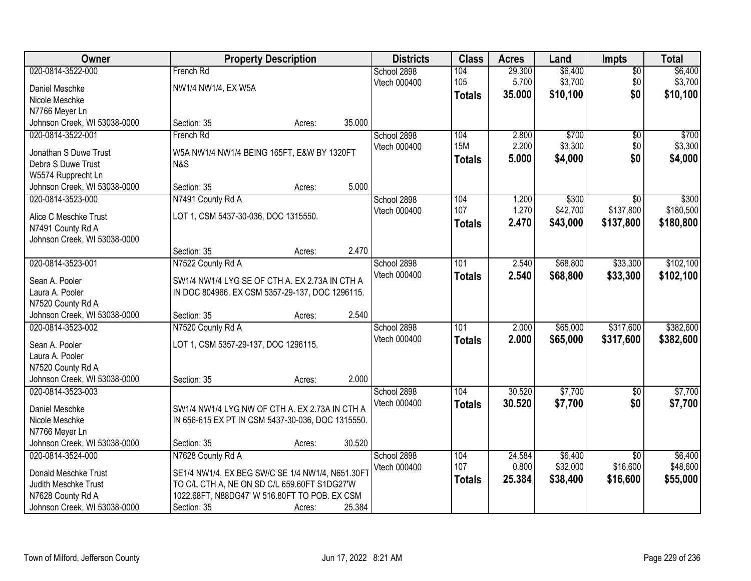| <b>Owner</b>                                       | <b>Property Description</b>                       |        |        | <b>Districts</b> | <b>Class</b>  | <b>Acres</b> | Land     | Impts           | <b>Total</b> |
|----------------------------------------------------|---------------------------------------------------|--------|--------|------------------|---------------|--------------|----------|-----------------|--------------|
| 020-0814-3522-000                                  | French Rd                                         |        |        | School 2898      | 104           | 29.300       | \$6,400  | $\overline{50}$ | \$6,400      |
| Daniel Meschke                                     | NW1/4 NW1/4, EX W5A                               |        |        | Vtech 000400     | 105           | 5.700        | \$3,700  | \$0             | \$3,700      |
| Nicole Meschke                                     |                                                   |        |        |                  | <b>Totals</b> | 35.000       | \$10,100 | \$0             | \$10,100     |
| N7766 Meyer Ln                                     |                                                   |        |        |                  |               |              |          |                 |              |
| Johnson Creek, WI 53038-0000                       | Section: 35                                       | Acres: | 35.000 |                  |               |              |          |                 |              |
| 020-0814-3522-001                                  | French Rd                                         |        |        | School 2898      | 104           | 2.800        | \$700    | $\overline{50}$ | \$700        |
|                                                    |                                                   |        |        | Vtech 000400     | <b>15M</b>    | 2.200        | \$3,300  | \$0             | \$3,300      |
| Jonathan S Duwe Trust                              | W5A NW1/4 NW1/4 BEING 165FT, E&W BY 1320FT        |        |        |                  | <b>Totals</b> | 5.000        | \$4,000  | \$0             | \$4,000      |
| Debra S Duwe Trust                                 | N&S                                               |        |        |                  |               |              |          |                 |              |
| W5574 Rupprecht Ln<br>Johnson Creek, WI 53038-0000 | Section: 35                                       | Acres: | 5.000  |                  |               |              |          |                 |              |
| 020-0814-3523-000                                  | N7491 County Rd A                                 |        |        | School 2898      | 104           | 1.200        | \$300    | $\overline{50}$ | \$300        |
|                                                    |                                                   |        |        | Vtech 000400     | 107           | 1.270        | \$42,700 | \$137,800       | \$180,500    |
| Alice C Meschke Trust                              | LOT 1, CSM 5437-30-036, DOC 1315550.              |        |        |                  |               | 2.470        | \$43,000 | \$137,800       | \$180,800    |
| N7491 County Rd A                                  |                                                   |        |        |                  | <b>Totals</b> |              |          |                 |              |
| Johnson Creek, WI 53038-0000                       |                                                   |        |        |                  |               |              |          |                 |              |
|                                                    | Section: 35                                       | Acres: | 2.470  |                  |               |              |          |                 |              |
| 020-0814-3523-001                                  | N7522 County Rd A                                 |        |        | School 2898      | 101           | 2.540        | \$68,800 | \$33,300        | \$102,100    |
| Sean A. Pooler                                     | SW1/4 NW1/4 LYG SE OF CTH A. EX 2.73A IN CTH A    |        |        | Vtech 000400     | <b>Totals</b> | 2.540        | \$68,800 | \$33,300        | \$102,100    |
| Laura A. Pooler                                    | IN DOC 804966. EX CSM 5357-29-137, DOC 1296115.   |        |        |                  |               |              |          |                 |              |
| N7520 County Rd A                                  |                                                   |        |        |                  |               |              |          |                 |              |
| Johnson Creek, WI 53038-0000                       | Section: 35                                       | Acres: | 2.540  |                  |               |              |          |                 |              |
| 020-0814-3523-002                                  | N7520 County Rd A                                 |        |        | School 2898      | 101           | 2.000        | \$65,000 | \$317,600       | \$382,600    |
|                                                    |                                                   |        |        | Vtech 000400     | <b>Totals</b> | 2.000        | \$65,000 | \$317,600       | \$382,600    |
| Sean A. Pooler                                     | LOT 1, CSM 5357-29-137, DOC 1296115.              |        |        |                  |               |              |          |                 |              |
| Laura A. Pooler                                    |                                                   |        |        |                  |               |              |          |                 |              |
| N7520 County Rd A                                  |                                                   |        |        |                  |               |              |          |                 |              |
| Johnson Creek, WI 53038-0000                       | Section: 35                                       | Acres: | 2.000  |                  |               |              |          |                 |              |
| 020-0814-3523-003                                  |                                                   |        |        | School 2898      | 104           | 30.520       | \$7,700  | $\overline{50}$ | \$7,700      |
| Daniel Meschke                                     | SW1/4 NW1/4 LYG NW OF CTH A. EX 2.73A IN CTH A    |        |        | Vtech 000400     | <b>Totals</b> | 30.520       | \$7,700  | \$0             | \$7,700      |
| Nicole Meschke                                     | IN 656-615 EX PT IN CSM 5437-30-036, DOC 1315550. |        |        |                  |               |              |          |                 |              |
| N7766 Meyer Ln                                     |                                                   |        |        |                  |               |              |          |                 |              |
| Johnson Creek, WI 53038-0000                       | Section: 35                                       | Acres: | 30.520 |                  |               |              |          |                 |              |
| 020-0814-3524-000                                  | N7628 County Rd A                                 |        |        | School 2898      | 104           | 24.584       | \$6,400  | $\overline{50}$ | \$6,400      |
| Donald Meschke Trust                               | SE1/4 NW1/4, EX BEG SW/C SE 1/4 NW1/4, N651.30FT  |        |        | Vtech 000400     | 107           | 0.800        | \$32,000 | \$16,600        | \$48,600     |
| Judith Meschke Trust                               | TO C/L CTH A, NE ON SD C/L 659.60FT S1DG27'W      |        |        |                  | <b>Totals</b> | 25.384       | \$38,400 | \$16,600        | \$55,000     |
| N7628 County Rd A                                  | 1022.68FT, N88DG47' W 516.80FT TO POB. EX CSM     |        |        |                  |               |              |          |                 |              |
| Johnson Creek, WI 53038-0000                       | Section: 35                                       | Acres: | 25.384 |                  |               |              |          |                 |              |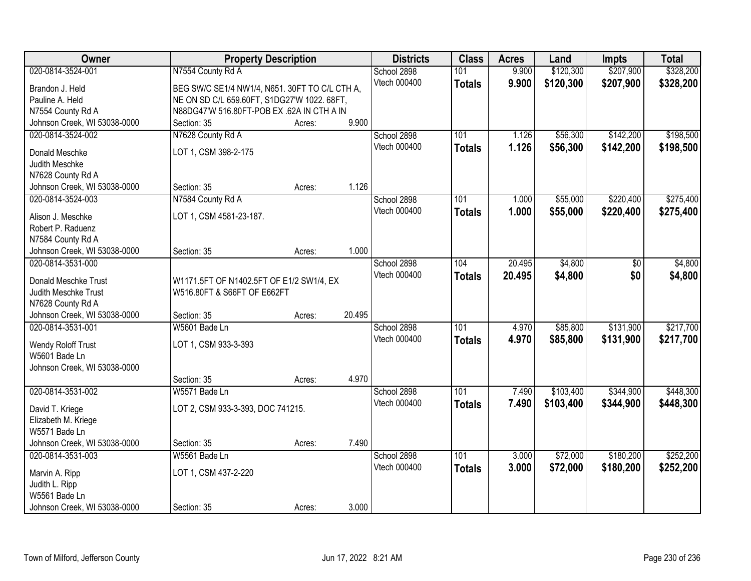| Owner                                             | <b>Property Description</b>                    |        |        | <b>Districts</b>    | <b>Class</b>     | <b>Acres</b> | Land      | <b>Impts</b> | <b>Total</b> |
|---------------------------------------------------|------------------------------------------------|--------|--------|---------------------|------------------|--------------|-----------|--------------|--------------|
| 020-0814-3524-001                                 | N7554 County Rd A                              |        |        | School 2898         | 101              | 9.900        | \$120,300 | \$207,900    | \$328,200    |
| Brandon J. Held                                   | BEG SW/C SE1/4 NW1/4, N651. 30FT TO C/L CTH A, |        |        | Vtech 000400        | <b>Totals</b>    | 9.900        | \$120,300 | \$207,900    | \$328,200    |
| Pauline A. Held                                   | NE ON SD C/L 659.60FT, S1DG27'W 1022. 68FT,    |        |        |                     |                  |              |           |              |              |
| N7554 County Rd A                                 | N88DG47'W 516.80FT-POB EX .62A IN CTH A IN     |        |        |                     |                  |              |           |              |              |
| Johnson Creek, WI 53038-0000                      | Section: 35                                    | Acres: | 9.900  |                     |                  |              |           |              |              |
| 020-0814-3524-002                                 | N7628 County Rd A                              |        |        | School 2898         | 101              | 1.126        | \$56,300  | \$142,200    | \$198,500    |
| Donald Meschke                                    | LOT 1, CSM 398-2-175                           |        |        | <b>Vtech 000400</b> | <b>Totals</b>    | 1.126        | \$56,300  | \$142,200    | \$198,500    |
| Judith Meschke                                    |                                                |        |        |                     |                  |              |           |              |              |
| N7628 County Rd A                                 |                                                |        |        |                     |                  |              |           |              |              |
| Johnson Creek, WI 53038-0000                      | Section: 35                                    | Acres: | 1.126  |                     |                  |              |           |              |              |
| 020-0814-3524-003                                 | N7584 County Rd A                              |        |        | School 2898         | 101              | 1.000        | \$55,000  | \$220,400    | \$275,400    |
|                                                   |                                                |        |        | Vtech 000400        | <b>Totals</b>    | 1.000        | \$55,000  | \$220,400    | \$275,400    |
| Alison J. Meschke                                 | LOT 1, CSM 4581-23-187.                        |        |        |                     |                  |              |           |              |              |
| Robert P. Raduenz                                 |                                                |        |        |                     |                  |              |           |              |              |
| N7584 County Rd A<br>Johnson Creek, WI 53038-0000 | Section: 35                                    | Acres: | 1.000  |                     |                  |              |           |              |              |
| 020-0814-3531-000                                 |                                                |        |        | School 2898         | 104              | 20.495       | \$4,800   | \$0          | \$4,800      |
|                                                   |                                                |        |        | Vtech 000400        | <b>Totals</b>    | 20.495       | \$4,800   | \$0          | \$4,800      |
| Donald Meschke Trust                              | W1171.5FT OF N1402.5FT OF E1/2 SW1/4, EX       |        |        |                     |                  |              |           |              |              |
| Judith Meschke Trust                              | W516.80FT & S66FT OF E662FT                    |        |        |                     |                  |              |           |              |              |
| N7628 County Rd A                                 |                                                |        |        |                     |                  |              |           |              |              |
| Johnson Creek, WI 53038-0000                      | Section: 35                                    | Acres: | 20.495 |                     |                  |              |           |              |              |
| 020-0814-3531-001                                 | W5601 Bade Ln                                  |        |        | School 2898         | $\overline{101}$ | 4.970        | \$85,800  | \$131,900    | \$217,700    |
| Wendy Roloff Trust                                | LOT 1, CSM 933-3-393                           |        |        | Vtech 000400        | <b>Totals</b>    | 4.970        | \$85,800  | \$131,900    | \$217,700    |
| W5601 Bade Ln                                     |                                                |        |        |                     |                  |              |           |              |              |
| Johnson Creek, WI 53038-0000                      |                                                |        |        |                     |                  |              |           |              |              |
|                                                   | Section: 35                                    | Acres: | 4.970  |                     |                  |              |           |              |              |
| 020-0814-3531-002                                 | W5571 Bade Ln                                  |        |        | School 2898         | $\overline{101}$ | 7.490        | \$103,400 | \$344,900    | \$448,300    |
| David T. Kriege                                   | LOT 2, CSM 933-3-393, DOC 741215.              |        |        | Vtech 000400        | <b>Totals</b>    | 7.490        | \$103,400 | \$344,900    | \$448,300    |
| Elizabeth M. Kriege                               |                                                |        |        |                     |                  |              |           |              |              |
| W5571 Bade Ln                                     |                                                |        |        |                     |                  |              |           |              |              |
| Johnson Creek, WI 53038-0000                      | Section: 35                                    | Acres: | 7.490  |                     |                  |              |           |              |              |
| 020-0814-3531-003                                 | W5561 Bade Ln                                  |        |        | School 2898         | 101              | 3.000        | \$72,000  | \$180,200    | \$252,200    |
|                                                   | LOT 1, CSM 437-2-220                           |        |        | Vtech 000400        | <b>Totals</b>    | 3.000        | \$72,000  | \$180,200    | \$252,200    |
| Marvin A. Ripp<br>Judith L. Ripp                  |                                                |        |        |                     |                  |              |           |              |              |
| W5561 Bade Ln                                     |                                                |        |        |                     |                  |              |           |              |              |
| Johnson Creek, WI 53038-0000                      | Section: 35                                    | Acres: | 3.000  |                     |                  |              |           |              |              |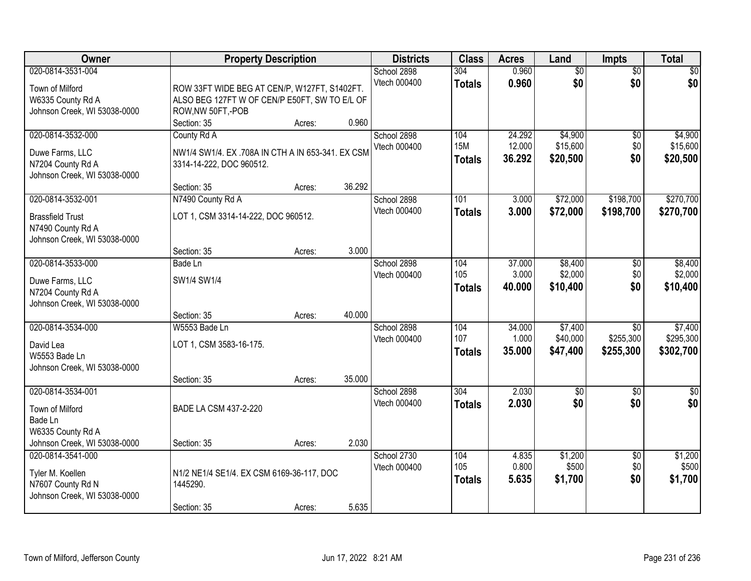| Owner                                                                                                |                                                                                                                      | <b>Property Description</b> |                  | <b>Districts</b>            | <b>Class</b>                       | <b>Acres</b>               | Land                            | Impts                                     | <b>Total</b>                      |
|------------------------------------------------------------------------------------------------------|----------------------------------------------------------------------------------------------------------------------|-----------------------------|------------------|-----------------------------|------------------------------------|----------------------------|---------------------------------|-------------------------------------------|-----------------------------------|
| 020-0814-3531-004<br>Town of Milford<br>W6335 County Rd A<br>Johnson Creek, WI 53038-0000            | ROW 33FT WIDE BEG AT CEN/P, W127FT, S1402FT.<br>ALSO BEG 127FT W OF CEN/P E50FT, SW TO E/L OF<br>ROW, NW 50FT, - POB |                             |                  | School 2898<br>Vtech 000400 | 304<br><b>Totals</b>               | 0.960<br>0.960             | $\overline{50}$<br>\$0          | $\overline{50}$<br>\$0                    | \$0<br>\$0                        |
| 020-0814-3532-000<br>Duwe Farms, LLC<br>N7204 County Rd A<br>Johnson Creek, WI 53038-0000            | Section: 35<br>County Rd A<br>NW1/4 SW1/4. EX .708A IN CTH A IN 653-341. EX CSM<br>3314-14-222, DOC 960512.          | Acres:                      | 0.960            | School 2898<br>Vtech 000400 | 104<br><b>15M</b><br><b>Totals</b> | 24.292<br>12.000<br>36.292 | \$4,900<br>\$15,600<br>\$20,500 | $\overline{50}$<br>\$0<br>\$0             | \$4,900<br>\$15,600<br>\$20,500   |
| 020-0814-3532-001<br><b>Brassfield Trust</b><br>N7490 County Rd A<br>Johnson Creek, WI 53038-0000    | Section: 35<br>N7490 County Rd A<br>LOT 1, CSM 3314-14-222, DOC 960512.                                              | Acres:                      | 36.292           | School 2898<br>Vtech 000400 | 101<br><b>Totals</b>               | 3.000<br>3.000             | \$72,000<br>\$72,000            | \$198,700<br>\$198,700                    | \$270,700<br>\$270,700            |
| 020-0814-3533-000<br>Duwe Farms, LLC<br>N7204 County Rd A<br>Johnson Creek, WI 53038-0000            | Section: 35<br>Bade Ln<br>SW1/4 SW1/4                                                                                | Acres:                      | 3.000            | School 2898<br>Vtech 000400 | 104<br>105<br><b>Totals</b>        | 37.000<br>3.000<br>40.000  | \$8,400<br>\$2,000<br>\$10,400  | \$0<br>\$0<br>\$0                         | \$8,400<br>\$2,000<br>\$10,400    |
| 020-0814-3534-000<br>David Lea<br>W5553 Bade Ln<br>Johnson Creek, WI 53038-0000                      | Section: 35<br>W5553 Bade Ln<br>LOT 1, CSM 3583-16-175.<br>Section: 35                                               | Acres:<br>Acres:            | 40.000<br>35.000 | School 2898<br>Vtech 000400 | 104<br>107<br><b>Totals</b>        | 34,000<br>1.000<br>35.000  | \$7,400<br>\$40,000<br>\$47,400 | $\overline{50}$<br>\$255,300<br>\$255,300 | \$7,400<br>\$295,300<br>\$302,700 |
| 020-0814-3534-001<br>Town of Milford<br>Bade Ln<br>W6335 County Rd A<br>Johnson Creek, WI 53038-0000 | BADE LA CSM 437-2-220<br>Section: 35                                                                                 | Acres:                      | 2.030            | School 2898<br>Vtech 000400 | $\overline{304}$<br><b>Totals</b>  | 2.030<br>2.030             | $\sqrt{50}$<br>\$0              | $\overline{50}$<br>\$0                    | $\overline{50}$<br>\$0            |
| 020-0814-3541-000<br>Tyler M. Koellen<br>N7607 County Rd N<br>Johnson Creek, WI 53038-0000           | N1/2 NE1/4 SE1/4. EX CSM 6169-36-117, DOC<br>1445290.<br>Section: 35                                                 | Acres:                      | 5.635            | School 2730<br>Vtech 000400 | 104<br>105<br><b>Totals</b>        | 4.835<br>0.800<br>5.635    | \$1,200<br>\$500<br>\$1,700     | $\overline{50}$<br>\$0<br>\$0             | \$1,200<br>\$500<br>\$1,700       |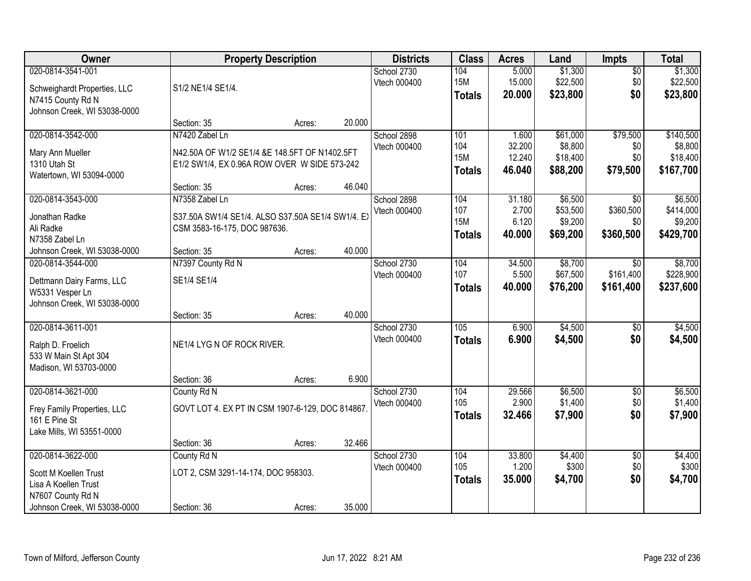| Owner                                                                                                                   |                                                                                                                                | <b>Property Description</b> |        | <b>Districts</b>            | <b>Class</b>                              | <b>Acres</b>                        | Land                                        | <b>Impts</b>                              | <b>Total</b>                                  |
|-------------------------------------------------------------------------------------------------------------------------|--------------------------------------------------------------------------------------------------------------------------------|-----------------------------|--------|-----------------------------|-------------------------------------------|-------------------------------------|---------------------------------------------|-------------------------------------------|-----------------------------------------------|
| 020-0814-3541-001<br>Schweighardt Properties, LLC<br>N7415 County Rd N<br>Johnson Creek, WI 53038-0000                  | S1/2 NE1/4 SE1/4.                                                                                                              |                             |        | School 2730<br>Vtech 000400 | 104<br><b>15M</b><br><b>Totals</b>        | 5.000<br>15.000<br>20.000           | \$1,300<br>\$22,500<br>\$23,800             | $\overline{30}$<br>\$0<br>\$0             | \$1,300<br>\$22,500<br>\$23,800               |
|                                                                                                                         | Section: 35                                                                                                                    | Acres:                      | 20.000 |                             |                                           |                                     |                                             |                                           |                                               |
| 020-0814-3542-000<br>Mary Ann Mueller<br>1310 Utah St<br>Watertown, WI 53094-0000                                       | N7420 Zabel Ln<br>N42.50A OF W1/2 SE1/4 &E 148.5FT OF N1402.5FT<br>E1/2 SW1/4, EX 0.96A ROW OVER W SIDE 573-242<br>Section: 35 | Acres:                      | 46.040 | School 2898<br>Vtech 000400 | 101<br>104<br><b>15M</b><br><b>Totals</b> | 1.600<br>32.200<br>12.240<br>46.040 | \$61,000<br>\$8,800<br>\$18,400<br>\$88,200 | \$79,500<br>\$0<br>\$0<br>\$79,500        | \$140,500<br>\$8,800<br>\$18,400<br>\$167,700 |
| 020-0814-3543-000<br>Jonathan Radke<br>Ali Radke<br>N7358 Zabel Ln                                                      | N7358 Zabel Ln<br>S37.50A SW1/4 SE1/4. ALSO S37.50A SE1/4 SW1/4. EX<br>CSM 3583-16-175, DOC 987636.                            |                             |        | School 2898<br>Vtech 000400 | 104<br>107<br><b>15M</b><br><b>Totals</b> | 31.180<br>2.700<br>6.120<br>40.000  | \$6,500<br>\$53,500<br>\$9,200<br>\$69,200  | \$0<br>\$360,500<br>\$0<br>\$360,500      | \$6,500<br>\$414,000<br>\$9,200<br>\$429,700  |
| Johnson Creek, WI 53038-0000                                                                                            | Section: 35                                                                                                                    | Acres:                      | 40.000 |                             |                                           |                                     |                                             |                                           |                                               |
| 020-0814-3544-000<br>Dettmann Dairy Farms, LLC<br>W5331 Vesper Ln<br>Johnson Creek, WI 53038-0000                       | N7397 County Rd N<br>SE1/4 SE1/4                                                                                               |                             |        | School 2730<br>Vtech 000400 | 104<br>107<br><b>Totals</b>               | 34.500<br>5.500<br>40.000           | \$8,700<br>\$67,500<br>\$76,200             | $\overline{50}$<br>\$161,400<br>\$161,400 | \$8,700<br>\$228,900<br>\$237,600             |
|                                                                                                                         | Section: 35                                                                                                                    | Acres:                      | 40.000 |                             |                                           |                                     |                                             |                                           |                                               |
| 020-0814-3611-001<br>Ralph D. Froelich<br>533 W Main St Apt 304<br>Madison, WI 53703-0000                               | NE1/4 LYG N OF ROCK RIVER.                                                                                                     |                             |        | School 2730<br>Vtech 000400 | 105<br><b>Totals</b>                      | 6.900<br>6.900                      | \$4,500<br>\$4,500                          | $\overline{50}$<br>\$0                    | \$4,500<br>\$4,500                            |
|                                                                                                                         | Section: 36                                                                                                                    | Acres:                      | 6.900  |                             |                                           |                                     |                                             |                                           |                                               |
| 020-0814-3621-000<br>Frey Family Properties, LLC<br>161 E Pine St<br>Lake Mills, WI 53551-0000                          | County Rd N<br>GOVT LOT 4. EX PT IN CSM 1907-6-129, DOC 814867                                                                 |                             |        | School 2730<br>Vtech 000400 | 104<br>105<br><b>Totals</b>               | 29.566<br>2.900<br>32.466           | \$6,500<br>\$1,400<br>\$7,900               | $\overline{50}$<br>\$0<br>\$0             | \$6,500<br>\$1,400<br>\$7,900                 |
|                                                                                                                         | Section: 36                                                                                                                    | Acres:                      | 32.466 |                             |                                           |                                     |                                             |                                           |                                               |
| 020-0814-3622-000<br>Scott M Koellen Trust<br>Lisa A Koellen Trust<br>N7607 County Rd N<br>Johnson Creek, WI 53038-0000 | County Rd N<br>LOT 2, CSM 3291-14-174, DOC 958303.<br>Section: 36                                                              | Acres:                      | 35.000 | School 2730<br>Vtech 000400 | 104<br>105<br><b>Totals</b>               | 33.800<br>1.200<br>35.000           | \$4,400<br>\$300<br>\$4,700                 | $\overline{50}$<br>\$0<br>\$0             | \$4,400<br>\$300<br>\$4,700                   |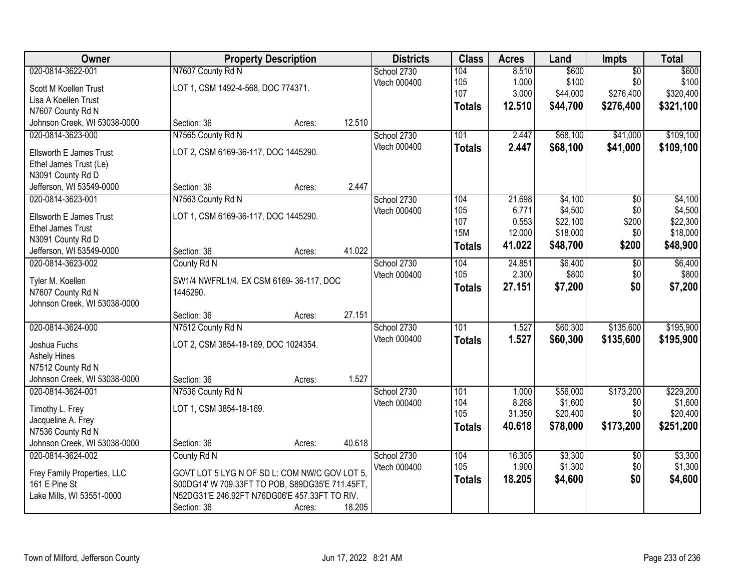| Owner                                             |                                                 | <b>Property Description</b> |        | <b>Districts</b> | <b>Class</b>  | <b>Acres</b>   | Land                | Impts           | <b>Total</b>         |
|---------------------------------------------------|-------------------------------------------------|-----------------------------|--------|------------------|---------------|----------------|---------------------|-----------------|----------------------|
| 020-0814-3622-001                                 | N7607 County Rd N                               |                             |        | School 2730      | 104           | 8.510          | \$600               | $\overline{50}$ | \$600                |
| Scott M Koellen Trust                             | LOT 1, CSM 1492-4-568, DOC 774371.              |                             |        | Vtech 000400     | 105           | 1.000          | \$100               | \$0             | \$100                |
| Lisa A Koellen Trust                              |                                                 |                             |        |                  | 107           | 3.000          | \$44,000            | \$276,400       | \$320,400            |
| N7607 County Rd N                                 |                                                 |                             |        |                  | <b>Totals</b> | 12.510         | \$44,700            | \$276,400       | \$321,100            |
| Johnson Creek, WI 53038-0000                      | Section: 36                                     | Acres:                      | 12.510 |                  |               |                |                     |                 |                      |
| 020-0814-3623-000                                 | N7565 County Rd N                               |                             |        | School 2730      | 101           | 2.447          | \$68,100            | \$41,000        | \$109,100            |
| Ellsworth E James Trust                           | LOT 2, CSM 6169-36-117, DOC 1445290.            |                             |        | Vtech 000400     | <b>Totals</b> | 2.447          | \$68,100            | \$41,000        | \$109,100            |
| Ethel James Trust (Le)                            |                                                 |                             |        |                  |               |                |                     |                 |                      |
| N3091 County Rd D                                 |                                                 |                             |        |                  |               |                |                     |                 |                      |
| Jefferson, WI 53549-0000                          | Section: 36                                     | Acres:                      | 2.447  |                  |               |                |                     |                 |                      |
| 020-0814-3623-001                                 | N7563 County Rd N                               |                             |        | School 2730      | 104           | 21.698         | \$4,100             | $\overline{50}$ | \$4,100              |
| Ellsworth E James Trust                           | LOT 1, CSM 6169-36-117, DOC 1445290.            |                             |        | Vtech 000400     | 105           | 6.771          | \$4,500             | \$0             | \$4,500              |
| <b>Ethel James Trust</b>                          |                                                 |                             |        |                  | 107           | 0.553          | \$22,100            | \$200           | \$22,300             |
| N3091 County Rd D                                 |                                                 |                             |        |                  | <b>15M</b>    | 12.000         | \$18,000            | \$0             | \$18,000             |
| Jefferson, WI 53549-0000                          | Section: 36                                     | Acres:                      | 41.022 |                  | <b>Totals</b> | 41.022         | \$48,700            | \$200           | \$48,900             |
| 020-0814-3623-002                                 | County Rd N                                     |                             |        | School 2730      | 104           | 24.851         | \$6,400             | \$0             | \$6,400              |
|                                                   |                                                 |                             |        | Vtech 000400     | 105           | 2.300          | \$800               | \$0             | \$800                |
| Tyler M. Koellen                                  | SW1/4 NWFRL1/4. EX CSM 6169-36-117, DOC         |                             |        |                  | <b>Totals</b> | 27.151         | \$7,200             | \$0             | \$7,200              |
| N7607 County Rd N<br>Johnson Creek, WI 53038-0000 | 1445290.                                        |                             |        |                  |               |                |                     |                 |                      |
|                                                   | Section: 36                                     | Acres:                      | 27.151 |                  |               |                |                     |                 |                      |
| 020-0814-3624-000                                 | N7512 County Rd N                               |                             |        | School 2730      | 101           | 1.527          | \$60,300            | \$135,600       | \$195,900            |
|                                                   |                                                 |                             |        | Vtech 000400     | <b>Totals</b> | 1.527          | \$60,300            | \$135,600       | \$195,900            |
| Joshua Fuchs                                      | LOT 2, CSM 3854-18-169, DOC 1024354.            |                             |        |                  |               |                |                     |                 |                      |
| <b>Ashely Hines</b>                               |                                                 |                             |        |                  |               |                |                     |                 |                      |
| N7512 County Rd N                                 |                                                 |                             |        |                  |               |                |                     |                 |                      |
| Johnson Creek, WI 53038-0000                      | Section: 36                                     | Acres:                      | 1.527  |                  |               |                |                     |                 |                      |
| 020-0814-3624-001                                 | N7536 County Rd N                               |                             |        | School 2730      | 101<br>104    | 1.000<br>8.268 | \$56,000<br>\$1,600 | \$173,200       | \$229,200<br>\$1,600 |
| Timothy L. Frey                                   | LOT 1, CSM 3854-18-169.                         |                             |        | Vtech 000400     | 105           | 31.350         | \$20,400            | \$0<br>\$0      | \$20,400             |
| Jacqueline A. Frey                                |                                                 |                             |        |                  |               | 40.618         | \$78,000            | \$173,200       | \$251,200            |
| N7536 County Rd N                                 |                                                 |                             |        |                  | <b>Totals</b> |                |                     |                 |                      |
| Johnson Creek, WI 53038-0000                      | Section: 36                                     | Acres:                      | 40.618 |                  |               |                |                     |                 |                      |
| 020-0814-3624-002                                 | County Rd N                                     |                             |        | School 2730      | 104           | 16.305         | \$3,300             | $\overline{50}$ | \$3,300              |
| Frey Family Properties, LLC                       | GOVT LOT 5 LYG N OF SD L: COM NW/C GOV LOT 5.   |                             |        | Vtech 000400     | 105           | 1.900          | \$1,300             | \$0             | \$1,300              |
| 161 E Pine St                                     | S00DG14' W 709.33FT TO POB, S89DG35'E 711.45FT, |                             |        |                  | <b>Totals</b> | 18.205         | \$4,600             | \$0             | \$4,600              |
| Lake Mills, WI 53551-0000                         | N52DG31'E 246.92FT N76DG06'E 457.33FT TO RIV.   |                             |        |                  |               |                |                     |                 |                      |
|                                                   | Section: 36                                     | Acres:                      | 18.205 |                  |               |                |                     |                 |                      |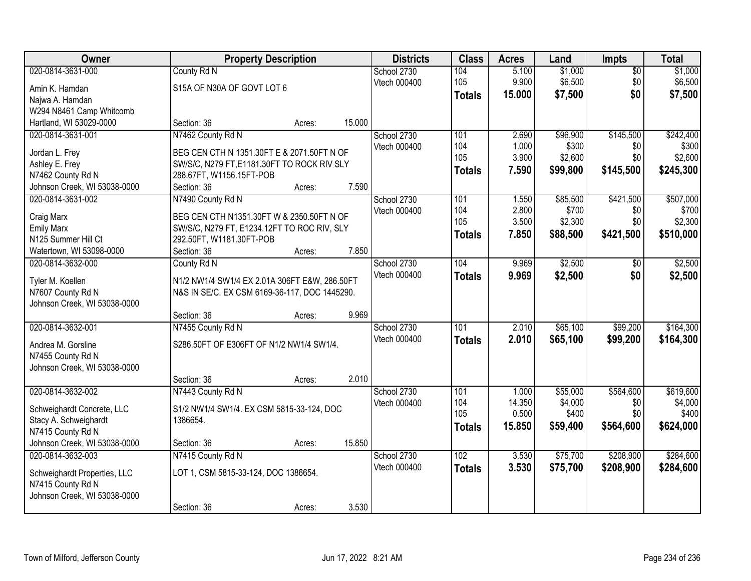| Owner                                             | <b>Property Description</b>                   |        |        | <b>Districts</b> | <b>Class</b>  | <b>Acres</b>    | Land             | <b>Impts</b>    | <b>Total</b>     |
|---------------------------------------------------|-----------------------------------------------|--------|--------|------------------|---------------|-----------------|------------------|-----------------|------------------|
| 020-0814-3631-000                                 | County Rd N                                   |        |        | School 2730      | 104           | 5.100           | \$1,000          | $\overline{50}$ | \$1,000          |
| Amin K. Hamdan                                    | S15A OF N30A OF GOVT LOT 6                    |        |        | Vtech 000400     | 105           | 9.900           | \$6,500          | \$0             | \$6,500          |
| Najwa A. Hamdan                                   |                                               |        |        |                  | <b>Totals</b> | 15.000          | \$7,500          | \$0             | \$7,500          |
| W294 N8461 Camp Whitcomb                          |                                               |        |        |                  |               |                 |                  |                 |                  |
| Hartland, WI 53029-0000                           | Section: 36                                   | Acres: | 15.000 |                  |               |                 |                  |                 |                  |
| 020-0814-3631-001                                 | N7462 County Rd N                             |        |        | School 2730      | 101           | 2.690           | \$96,900         | \$145,500       | \$242,400        |
|                                                   |                                               |        |        | Vtech 000400     | 104           | 1.000           | \$300            | \$0             | \$300            |
| Jordan L. Frey                                    | BEG CEN CTH N 1351.30FT E & 2071.50FT N OF    |        |        |                  | 105           | 3.900           | \$2,600          | \$0             | \$2,600          |
| Ashley E. Frey                                    | SW/S/C, N279 FT, E1181.30FT TO ROCK RIV SLY   |        |        |                  | <b>Totals</b> | 7.590           | \$99,800         | \$145,500       | \$245,300        |
| N7462 County Rd N                                 | 288.67FT, W1156.15FT-POB<br>Section: 36       | Acres: | 7.590  |                  |               |                 |                  |                 |                  |
| Johnson Creek, WI 53038-0000<br>020-0814-3631-002 | N7490 County Rd N                             |        |        | School 2730      | 101           | 1.550           | \$85,500         | \$421,500       | \$507,000        |
|                                                   |                                               |        |        | Vtech 000400     | 104           | 2.800           | \$700            | \$0             | \$700            |
| Craig Marx                                        | BEG CEN CTH N1351.30FT W & 2350.50FT N OF     |        |        |                  | 105           | 3.500           | \$2,300          | \$0             | \$2,300          |
| <b>Emily Marx</b>                                 | SW/S/C, N279 FT, E1234.12FT TO ROC RIV, SLY   |        |        |                  | <b>Totals</b> | 7.850           | \$88,500         | \$421,500       | \$510,000        |
| N125 Summer Hill Ct                               | 292.50FT, W1181.30FT-POB                      |        |        |                  |               |                 |                  |                 |                  |
| Watertown, WI 53098-0000                          | Section: 36                                   | Acres: | 7.850  |                  |               |                 |                  |                 |                  |
| 020-0814-3632-000                                 | County Rd N                                   |        |        | School 2730      | 104           | 9.969           | \$2,500          | \$0             | \$2,500          |
| Tyler M. Koellen                                  | N1/2 NW1/4 SW1/4 EX 2.01A 306FT E&W, 286.50FT |        |        | Vtech 000400     | <b>Totals</b> | 9.969           | \$2,500          | \$0             | \$2,500          |
| N7607 County Rd N                                 | N&S IN SE/C. EX CSM 6169-36-117, DOC 1445290. |        |        |                  |               |                 |                  |                 |                  |
| Johnson Creek, WI 53038-0000                      |                                               |        |        |                  |               |                 |                  |                 |                  |
|                                                   | Section: 36                                   | Acres: | 9.969  |                  |               |                 |                  |                 |                  |
| 020-0814-3632-001                                 | N7455 County Rd N                             |        |        | School 2730      | 101           | 2.010           | \$65,100         | \$99,200        | \$164,300        |
|                                                   |                                               |        |        | Vtech 000400     | <b>Totals</b> | 2.010           | \$65,100         | \$99,200        | \$164,300        |
| Andrea M. Gorsline                                | S286.50FT OF E306FT OF N1/2 NW1/4 SW1/4.      |        |        |                  |               |                 |                  |                 |                  |
| N7455 County Rd N                                 |                                               |        |        |                  |               |                 |                  |                 |                  |
| Johnson Creek, WI 53038-0000                      |                                               |        |        |                  |               |                 |                  |                 |                  |
|                                                   | Section: 36                                   | Acres: | 2.010  |                  |               |                 |                  |                 |                  |
| 020-0814-3632-002                                 | N7443 County Rd N                             |        |        | School 2730      | 101           | 1.000           | \$55,000         | \$564,600       | \$619,600        |
| Schweighardt Concrete, LLC                        | S1/2 NW1/4 SW1/4. EX CSM 5815-33-124, DOC     |        |        | Vtech 000400     | 104<br>105    | 14.350<br>0.500 | \$4,000<br>\$400 | \$0<br>\$0      | \$4,000<br>\$400 |
| Stacy A. Schweighardt                             | 1386654.                                      |        |        |                  |               | 15.850          | \$59,400         | \$564,600       | \$624,000        |
| N7415 County Rd N                                 |                                               |        |        |                  | <b>Totals</b> |                 |                  |                 |                  |
| Johnson Creek, WI 53038-0000                      | Section: 36                                   | Acres: | 15.850 |                  |               |                 |                  |                 |                  |
| 020-0814-3632-003                                 | N7415 County Rd N                             |        |        | School 2730      | 102           | 3.530           | \$75,700         | \$208,900       | \$284,600        |
| Schweighardt Properties, LLC                      | LOT 1, CSM 5815-33-124, DOC 1386654.          |        |        | Vtech 000400     | <b>Totals</b> | 3.530           | \$75,700         | \$208,900       | \$284,600        |
| N7415 County Rd N                                 |                                               |        |        |                  |               |                 |                  |                 |                  |
| Johnson Creek, WI 53038-0000                      |                                               |        |        |                  |               |                 |                  |                 |                  |
|                                                   | Section: 36                                   | Acres: | 3.530  |                  |               |                 |                  |                 |                  |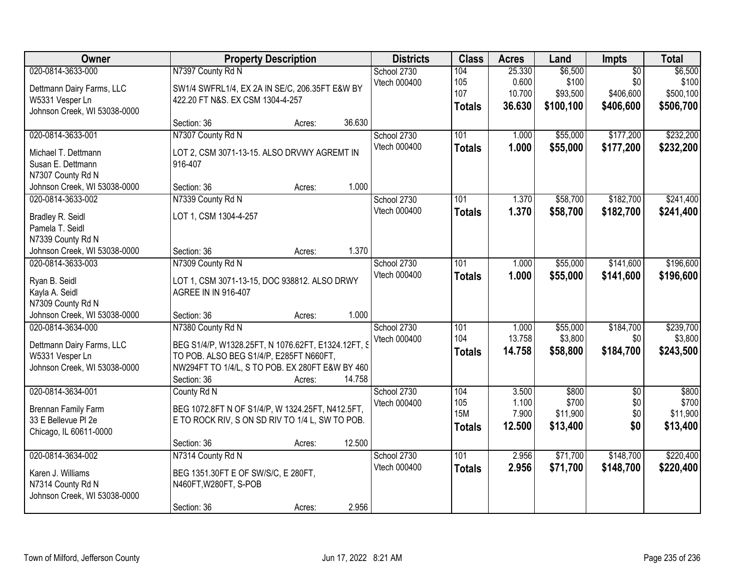| Owner                                                                                             | <b>Property Description</b>                                                                                                                                                                              | <b>Districts</b>            | <b>Class</b>                              | <b>Acres</b>                        | Land                                      | Impts                                            | <b>Total</b>                               |
|---------------------------------------------------------------------------------------------------|----------------------------------------------------------------------------------------------------------------------------------------------------------------------------------------------------------|-----------------------------|-------------------------------------------|-------------------------------------|-------------------------------------------|--------------------------------------------------|--------------------------------------------|
| 020-0814-3633-000<br>Dettmann Dairy Farms, LLC<br>W5331 Vesper Ln<br>Johnson Creek, WI 53038-0000 | N7397 County Rd N<br>SW1/4 SWFRL1/4, EX 2A IN SE/C, 206.35FT E&W BY<br>422.20 FT N&S. EX CSM 1304-4-257                                                                                                  | School 2730<br>Vtech 000400 | 104<br>105<br>107<br><b>Totals</b>        | 25.330<br>0.600<br>10.700<br>36.630 | \$6,500<br>\$100<br>\$93,500<br>\$100,100 | $\overline{50}$<br>\$0<br>\$406,600<br>\$406,600 | \$6,500<br>\$100<br>\$500,100<br>\$506,700 |
|                                                                                                   | 36.630<br>Section: 36<br>Acres:                                                                                                                                                                          |                             |                                           |                                     |                                           |                                                  |                                            |
| 020-0814-3633-001<br>Michael T. Dettmann<br>Susan E. Dettmann<br>N7307 County Rd N                | N7307 County Rd N<br>LOT 2, CSM 3071-13-15. ALSO DRVWY AGREMT IN<br>916-407                                                                                                                              | School 2730<br>Vtech 000400 | 101<br><b>Totals</b>                      | 1.000<br>1.000                      | \$55,000<br>\$55,000                      | \$177,200<br>\$177,200                           | \$232,200<br>\$232,200                     |
| Johnson Creek, WI 53038-0000<br>020-0814-3633-002                                                 | 1.000<br>Section: 36<br>Acres:<br>N7339 County Rd N                                                                                                                                                      | School 2730                 | 101                                       | 1.370                               | \$58,700                                  | \$182,700                                        | \$241,400                                  |
| Bradley R. Seidl<br>Pamela T. Seidl<br>N7339 County Rd N                                          | LOT 1, CSM 1304-4-257                                                                                                                                                                                    | Vtech 000400                | <b>Totals</b>                             | 1.370                               | \$58,700                                  | \$182,700                                        | \$241,400                                  |
| Johnson Creek, WI 53038-0000                                                                      | 1.370<br>Section: 36<br>Acres:                                                                                                                                                                           |                             |                                           |                                     |                                           |                                                  |                                            |
| 020-0814-3633-003<br>Ryan B. Seidl<br>Kayla A. Seidl<br>N7309 County Rd N                         | N7309 County Rd N<br>LOT 1, CSM 3071-13-15, DOC 938812. ALSO DRWY<br>AGREE IN IN 916-407                                                                                                                 | School 2730<br>Vtech 000400 | 101<br><b>Totals</b>                      | 1.000<br>1.000                      | \$55,000<br>\$55,000                      | \$141,600<br>\$141,600                           | \$196,600<br>\$196,600                     |
| Johnson Creek, WI 53038-0000                                                                      | 1.000<br>Section: 36<br>Acres:                                                                                                                                                                           |                             |                                           |                                     |                                           |                                                  |                                            |
| 020-0814-3634-000<br>Dettmann Dairy Farms, LLC<br>W5331 Vesper Ln<br>Johnson Creek, WI 53038-0000 | N7380 County Rd N<br>BEG S1/4/P, W1328.25FT, N 1076.62FT, E1324.12FT, S<br>TO POB. ALSO BEG S1/4/P, E285FT N660FT,<br>NW294FT TO 1/4/L, S TO POB. EX 280FT E&W BY 460<br>14.758<br>Section: 36<br>Acres: | School 2730<br>Vtech 000400 | 101<br>104<br><b>Totals</b>               | 1.000<br>13.758<br>14.758           | \$55,000<br>\$3,800<br>\$58,800           | \$184,700<br>\$0<br>\$184,700                    | \$239,700<br>\$3,800<br>\$243,500          |
| 020-0814-3634-001<br>Brennan Family Farm<br>33 E Bellevue PI 2e<br>Chicago, IL 60611-0000         | County Rd N<br>BEG 1072.8FT N OF S1/4/P, W 1324.25FT, N412.5FT,<br>E TO ROCK RIV, S ON SD RIV TO 1/4 L, SW TO POB.<br>12.500<br>Section: 36<br>Acres:                                                    | School 2730<br>Vtech 000400 | 104<br>105<br><b>15M</b><br><b>Totals</b> | 3.500<br>1.100<br>7.900<br>12.500   | \$800<br>\$700<br>\$11,900<br>\$13,400    | $\sqrt{6}$<br>\$0<br>\$0<br>\$0                  | \$800<br>\$700<br>\$11,900<br>\$13,400     |
| 020-0814-3634-002                                                                                 | N7314 County Rd N                                                                                                                                                                                        | School 2730<br>Vtech 000400 | 101<br><b>Totals</b>                      | 2.956<br>2.956                      | \$71,700<br>\$71,700                      | \$148,700<br>\$148,700                           | \$220,400<br>\$220,400                     |
| Karen J. Williams<br>N7314 County Rd N<br>Johnson Creek, WI 53038-0000                            | BEG 1351.30FT E OF SW/S/C, E 280FT,<br>N460FT, W280FT, S-POB                                                                                                                                             |                             |                                           |                                     |                                           |                                                  |                                            |
|                                                                                                   | 2.956<br>Section: 36<br>Acres:                                                                                                                                                                           |                             |                                           |                                     |                                           |                                                  |                                            |